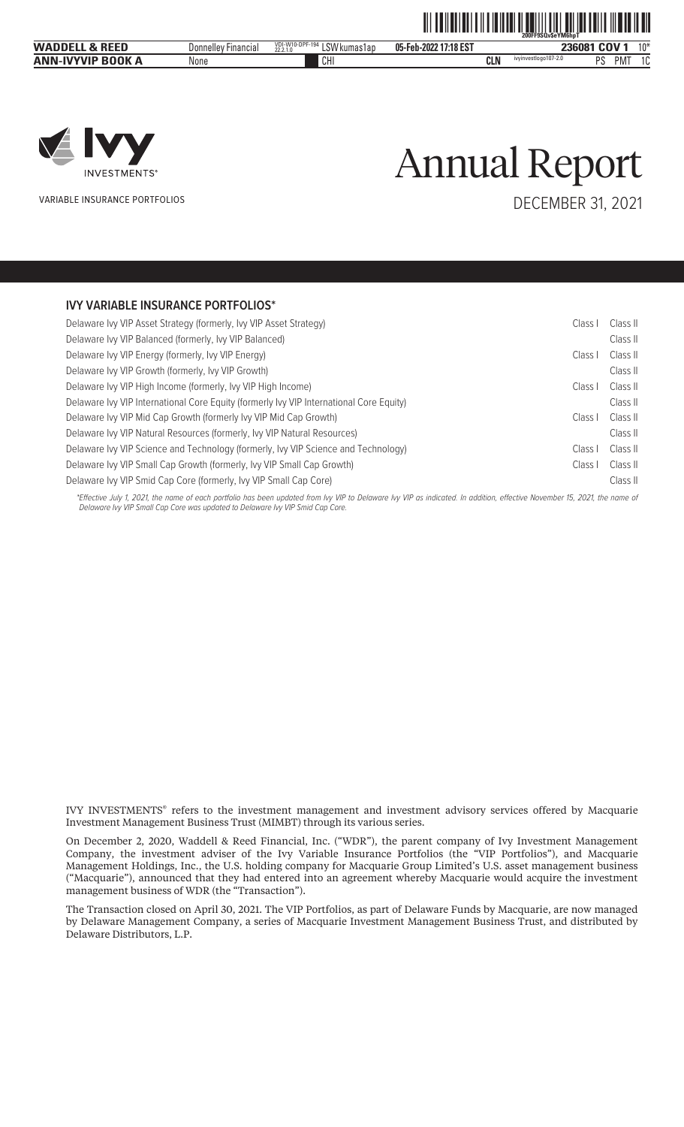|                                                             |                               |                                                          |                          | <b>LUULL JOUVJET IVIUIIII L</b>    |                            |       |
|-------------------------------------------------------------|-------------------------------|----------------------------------------------------------|--------------------------|------------------------------------|----------------------------|-------|
| nrrr<br>WAD                                                 | Donnelley<br><b>Financial</b> | VDI-W10-DPI<br>F-194<br>0111<br>LSW kumas1ap<br>22.2.1.0 | 17:18 EST<br>05-Feb-2022 |                                    | 0011<br>22004              | $10*$ |
| $\lambda$ ROOK $\lambda$<br>ANN<br>$\mathbf{M}$<br>'W<br>vw | None                          | 011<br>ъпı                                               |                          | ivyinvestlogo107-2.0<br><b>CLN</b> | DC<br>PM <sup>-</sup><br>ັ | م م   |
|                                                             |                               |                                                          |                          |                                    |                            |       |



VARIABLE INSURANCE PORTFOLIOS

# Annual Report

ˆ200FF9SQv\$eYM6hpTŠ **200FF9SQv\$eYM6hpT**

DECEMBER 31, 2021

## **IVY VARIABLE INSURANCE PORTFOLIOS\***

| Delaware Ivy VIP Asset Strategy (formerly, Ivy VIP Asset Strategy)                      | Class I | Class II |
|-----------------------------------------------------------------------------------------|---------|----------|
| Delaware Ivy VIP Balanced (formerly, Ivy VIP Balanced)                                  |         | Class II |
| Delaware Ivy VIP Energy (formerly, Ivy VIP Energy)                                      | Class I | Class II |
| Delaware Ivy VIP Growth (formerly, Ivy VIP Growth)                                      |         | Class II |
| Delaware Ivy VIP High Income (formerly, Ivy VIP High Income)                            | Class I | Class II |
| Delaware Ivy VIP International Core Equity (formerly Ivy VIP International Core Equity) |         | Class II |
| Delaware Ivy VIP Mid Cap Growth (formerly Ivy VIP Mid Cap Growth)                       | Class I | Class II |
| Delaware Ivy VIP Natural Resources (formerly, Ivy VIP Natural Resources)                |         | Class II |
| Delaware Ivy VIP Science and Technology (formerly, Ivy VIP Science and Technology)      | Class I | Class II |
| Delaware Ivy VIP Small Cap Growth (formerly, Ivy VIP Small Cap Growth)                  | Class I | Class II |
| Delaware Ivy VIP Smid Cap Core (formerly, Ivy VIP Small Cap Core)                       |         | Class II |

\*Effective July 1, 2021, the name of each portfolio has been updated from Ivy VIP to Delaware Ivy VIP as indicated. In addition, effective November 15, 2021, the name of Delaware Ivy VIP Small Cap Core was updated to Delaware Ivy VIP Smid Cap Core.

IVY INVESTMENTS® refers to the investment management and investment advisory services offered by Macquarie Investment Management Business Trust (MIMBT) through its various series.

On December 2, 2020, Waddell & Reed Financial, Inc. ("WDR"), the parent company of Ivy Investment Management Company, the investment adviser of the Ivy Variable Insurance Portfolios (the "VIP Portfolios"), and Macquarie Management Holdings, Inc., the U.S. holding company for Macquarie Group Limited's U.S. asset management business ("Macquarie"), announced that they had entered into an agreement whereby Macquarie would acquire the investment management business of WDR (the "Transaction").

The Transaction closed on April 30, 2021. The VIP Portfolios, as part of Delaware Funds by Macquarie, are now managed by Delaware Management Company, a series of Macquarie Investment Management Business Trust, and distributed by Delaware Distributors, L.P.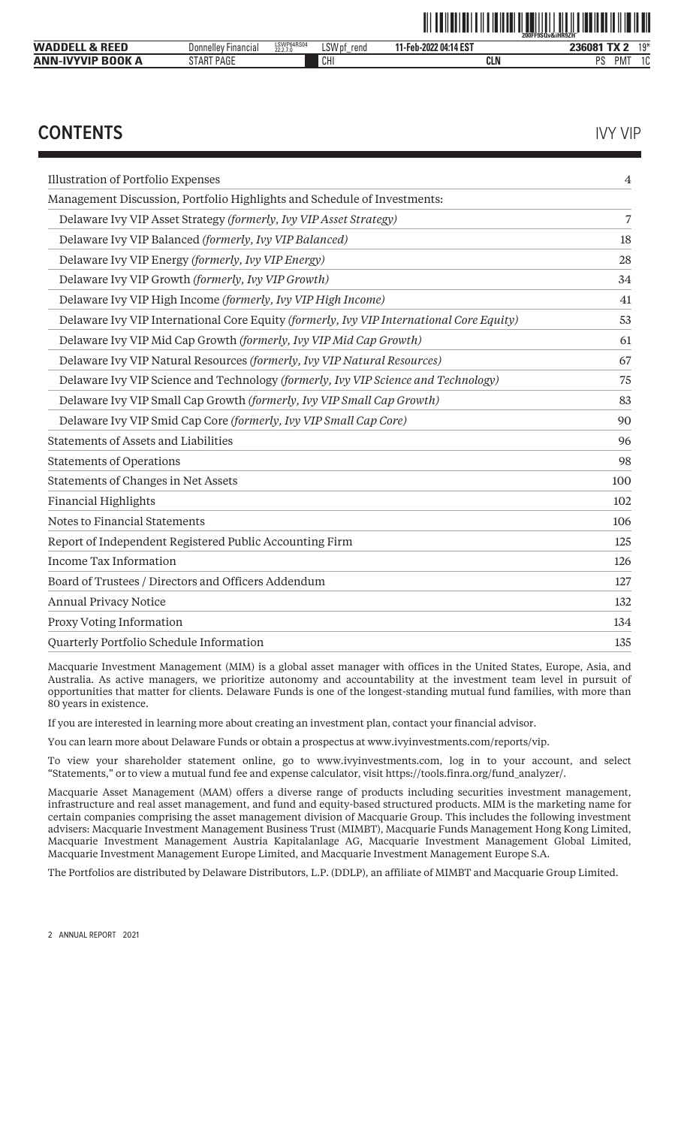|                           |                             |                                 |                |                                   | <b>ZUUFFYSUVOINNYAN</b> |            |              |
|---------------------------|-----------------------------|---------------------------------|----------------|-----------------------------------|-------------------------|------------|--------------|
| <b>REED</b><br><b>WAD</b> | Financia,<br>Donnelley      | LSWP64RS04<br>00075<br>22.2.1.0 | LSW pf<br>rend | -2022 04:14 EST<br>4 A<br>11-Feb- | 236081 TX               |            | $10*$        |
| -IVYVIP RNNK A<br>ANN     | <b>ART PAGE</b><br>: ARL، ر |                                 | PII<br>. טח'   | <b>CLN</b>                        | <sub>D</sub> e<br>u     | <b>PMT</b> | $\sim$<br>ιu |

## **CONTENTS** IVY VIP

**∂** 200FF9 DECEMBER 1999 FF9SQV ALIEN DECEMBER 1999 FF9SQV

| Illustration of Portfolio Expenses                                                       | 4   |
|------------------------------------------------------------------------------------------|-----|
| Management Discussion, Portfolio Highlights and Schedule of Investments:                 |     |
| Delaware Ivy VIP Asset Strategy (formerly, Ivy VIP Asset Strategy)                       | 7   |
| Delaware Ivy VIP Balanced (formerly, Ivy VIP Balanced)                                   | 18  |
| Delaware Ivy VIP Energy (formerly, Ivy VIP Energy)                                       | 28  |
| Delaware Ivy VIP Growth (formerly, Ivy VIP Growth)                                       | 34  |
| Delaware Ivy VIP High Income (formerly, Ivy VIP High Income)                             | 41  |
| Delaware Ivy VIP International Core Equity (formerly, Ivy VIP International Core Equity) | 53  |
| Delaware Ivy VIP Mid Cap Growth (formerly, Ivy VIP Mid Cap Growth)                       | 61  |
| Delaware Ivy VIP Natural Resources (formerly, Ivy VIP Natural Resources)                 | 67  |
| Delaware Ivy VIP Science and Technology (formerly, Ivy VIP Science and Technology)       | 75  |
| Delaware Ivy VIP Small Cap Growth (formerly, Ivy VIP Small Cap Growth)                   | 83  |
| Delaware Ivy VIP Smid Cap Core (formerly, Ivy VIP Small Cap Core)                        | 90  |
| <b>Statements of Assets and Liabilities</b>                                              | 96  |
| <b>Statements of Operations</b>                                                          | 98  |
| Statements of Changes in Net Assets                                                      | 100 |
| <b>Financial Highlights</b>                                                              | 102 |
| Notes to Financial Statements                                                            | 106 |
| Report of Independent Registered Public Accounting Firm                                  | 125 |
| <b>Income Tax Information</b>                                                            | 126 |
| Board of Trustees / Directors and Officers Addendum                                      | 127 |
| <b>Annual Privacy Notice</b>                                                             | 132 |
| Proxy Voting Information                                                                 | 134 |
| Quarterly Portfolio Schedule Information                                                 | 135 |

Macquarie Investment Management (MIM) is a global asset manager with offices in the United States, Europe, Asia, and Australia. As active managers, we prioritize autonomy and accountability at the investment team level in pursuit of opportunities that matter for clients. Delaware Funds is one of the longest-standing mutual fund families, with more than 80 years in existence.

If you are interested in learning more about creating an investment plan, contact your financial advisor.

You can learn more about Delaware Funds or obtain a prospectus at www.ivyinvestments.com/reports/vip.

To view your shareholder statement online, go to www.ivyinvestments.com, log in to your account, and select "Statements," or to view a mutual fund fee and expense calculator, visit https://tools.finra.org/fund\_analyzer/.

Macquarie Asset Management (MAM) offers a diverse range of products including securities investment management, infrastructure and real asset management, and fund and equity-based structured products. MIM is the marketing name for certain companies comprising the asset management division of Macquarie Group. This includes the following investment advisers: Macquarie Investment Management Business Trust (MIMBT), Macquarie Funds Management Hong Kong Limited, Macquarie Investment Management Austria Kapitalanlage AG, Macquarie Investment Management Global Limited, Macquarie Investment Management Europe Limited, and Macquarie Investment Management Europe S.A.

The Portfolios are distributed by Delaware Distributors, L.P. (DDLP), an affiliate of MIMBT and Macquarie Group Limited.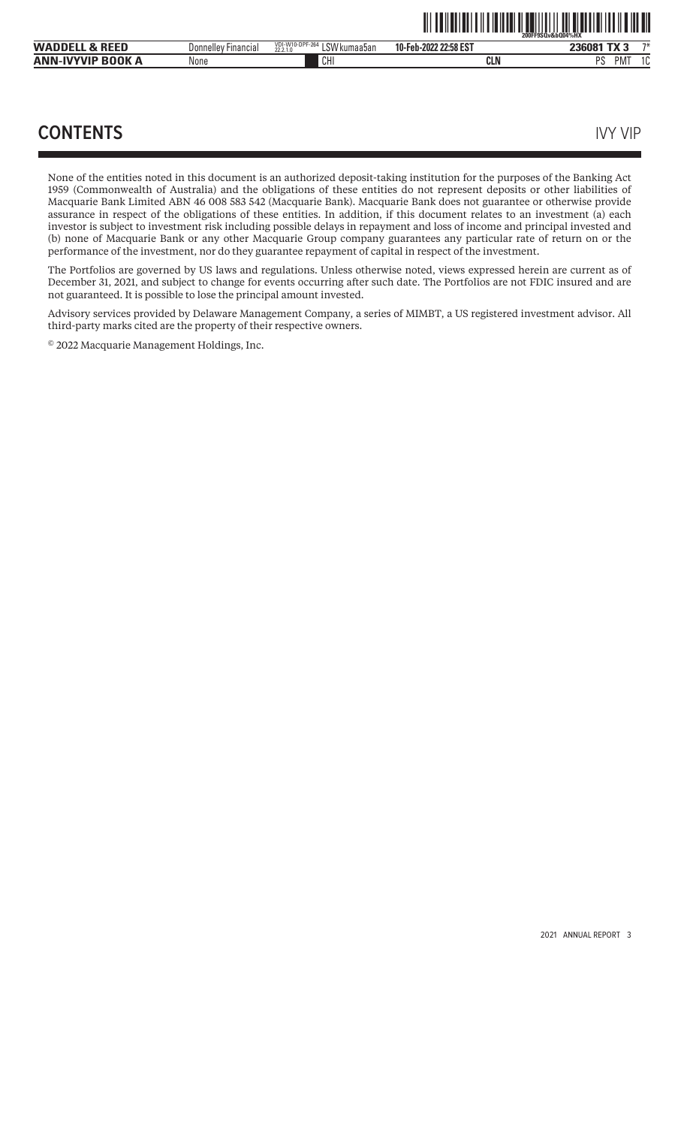|                                           |                     |                                                  |                          | 200FF9SQv&bQ04%HX                            |              |
|-------------------------------------------|---------------------|--------------------------------------------------|--------------------------|----------------------------------------------|--------------|
| <b>WADDELL</b><br><b>REED</b><br>$\Omega$ | Donnelley Financial | VDI-W10-DPF-264<br>LSW<br>V kumaaban<br>22.2.1.0 | 22:58 EST<br>10-Feb-2022 | $-11$                                        | 74           |
| <b>ANN-IVYVIP BOOK A</b>                  | None                | 011<br>ыл                                        | <b>CLN</b>               | <sub>D</sub> <sub>C</sub><br>PM <sup>-</sup> | $\sim$<br>ΙU |

## **CONTENTS** IVY VIP

TITE OF A REAL PROPERTY AND INTERFERING TO A RELEASE OF A RELEASE OF A RELEASE OF A RELEASE OF A RELEASE OF A

None of the entities noted in this document is an authorized deposit-taking institution for the purposes of the Banking Act 1959 (Commonwealth of Australia) and the obligations of these entities do not represent deposits or other liabilities of Macquarie Bank Limited ABN 46 008 583 542 (Macquarie Bank). Macquarie Bank does not guarantee or otherwise provide assurance in respect of the obligations of these entities. In addition, if this document relates to an investment (a) each investor is subject to investment risk including possible delays in repayment and loss of income and principal invested and (b) none of Macquarie Bank or any other Macquarie Group company guarantees any particular rate of return on or the performance of the investment, nor do they guarantee repayment of capital in respect of the investment.

The Portfolios are governed by US laws and regulations. Unless otherwise noted, views expressed herein are current as of December 31, 2021, and subject to change for events occurring after such date. The Portfolios are not FDIC insured and are not guaranteed. It is possible to lose the principal amount invested.

Advisory services provided by Delaware Management Company, a series of MIMBT, a US registered investment advisor. All third-party marks cited are the property of their respective owners.

© 2022 Macquarie Management Holdings, Inc.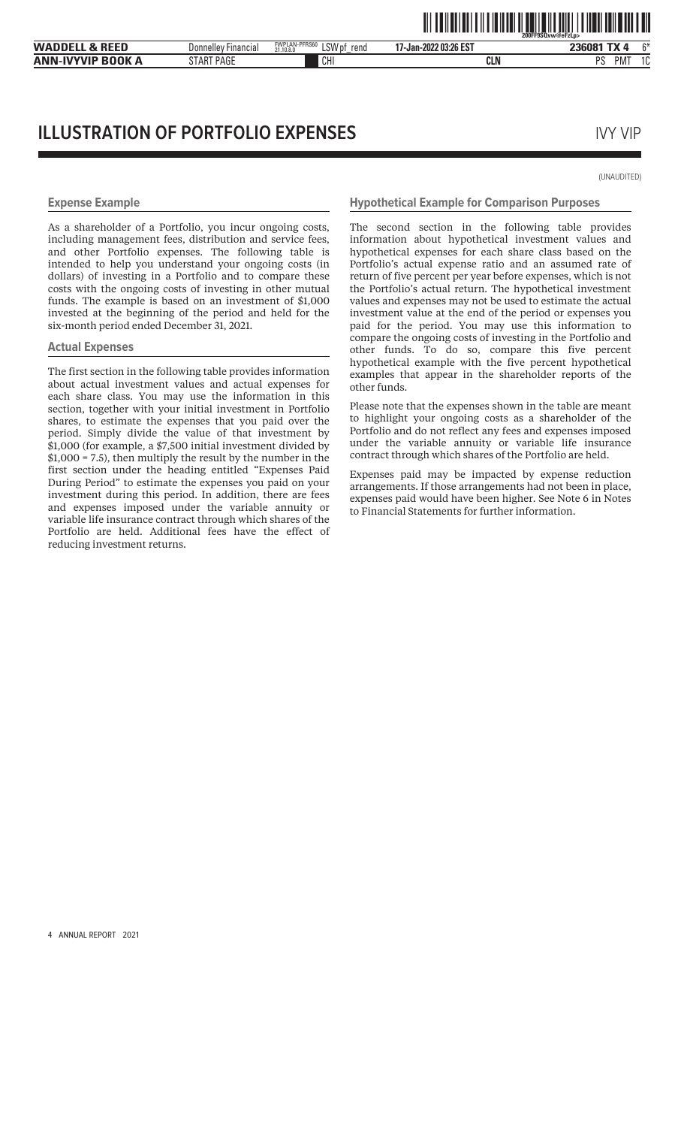|                           |                            |                                              |                       | 200FF9SQvw@eFzLp>      |
|---------------------------|----------------------------|----------------------------------------------|-----------------------|------------------------|
| <b>WADDELL &amp; REED</b> | <b>Donnelley Financial</b> | FWPLAN-PFRS60<br>LSW pf<br>rend<br>21.10.8.0 | 17-Jan-2022 03:26 EST | . TX<br>$6*$<br>236081 |
| <b>ANN-IVYVIP BOOK A</b>  | START PAGE                 | CHI                                          | <b>CLN</b>            | <b>PMT</b><br>PS<br>10 |
|                           |                            |                                              |                       |                        |

## **ILLUSTRATION OF PORTFOLIO EXPENSES ILLUSTRATION OF PORTFOLIO EXPENSES**

(UNAUDITED)

### **Expense Example**

<span id="page-3-0"></span>As a shareholder of a Portfolio, you incur ongoing costs, including management fees, distribution and service fees, and other Portfolio expenses. The following table is intended to help you understand your ongoing costs (in dollars) of investing in a Portfolio and to compare these costs with the ongoing costs of investing in other mutual funds. The example is based on an investment of \$1,000 invested at the beginning of the period and held for the six-month period ended December 31, 2021.

### **Actual Expenses**

The first section in the following table provides information about actual investment values and actual expenses for each share class. You may use the information in this section, together with your initial investment in Portfolio shares, to estimate the expenses that you paid over the period. Simply divide the value of that investment by \$1,000 (for example, a \$7,500 initial investment divided by \$1,000 = 7.5), then multiply the result by the number in the first section under the heading entitled "Expenses Paid During Period" to estimate the expenses you paid on your investment during this period. In addition, there are fees and expenses imposed under the variable annuity or variable life insurance contract through which shares of the Portfolio are held. Additional fees have the effect of reducing investment returns.

### **Hypothetical Example for Comparison Purposes**

The second section in the following table provides information about hypothetical investment values and hypothetical expenses for each share class based on the Portfolio's actual expense ratio and an assumed rate of return of five percent per year before expenses, which is not the Portfolio's actual return. The hypothetical investment values and expenses may not be used to estimate the actual investment value at the end of the period or expenses you paid for the period. You may use this information to compare the ongoing costs of investing in the Portfolio and other funds. To do so, compare this five percent hypothetical example with the five percent hypothetical examples that appear in the shareholder reports of the other funds.

Please note that the expenses shown in the table are meant to highlight your ongoing costs as a shareholder of the Portfolio and do not reflect any fees and expenses imposed under the variable annuity or variable life insurance contract through which shares of the Portfolio are held.

Expenses paid may be impacted by expense reduction arrangements. If those arrangements had not been in place, expenses paid would have been higher. See Note 6 in Notes to Financial Statements for further information.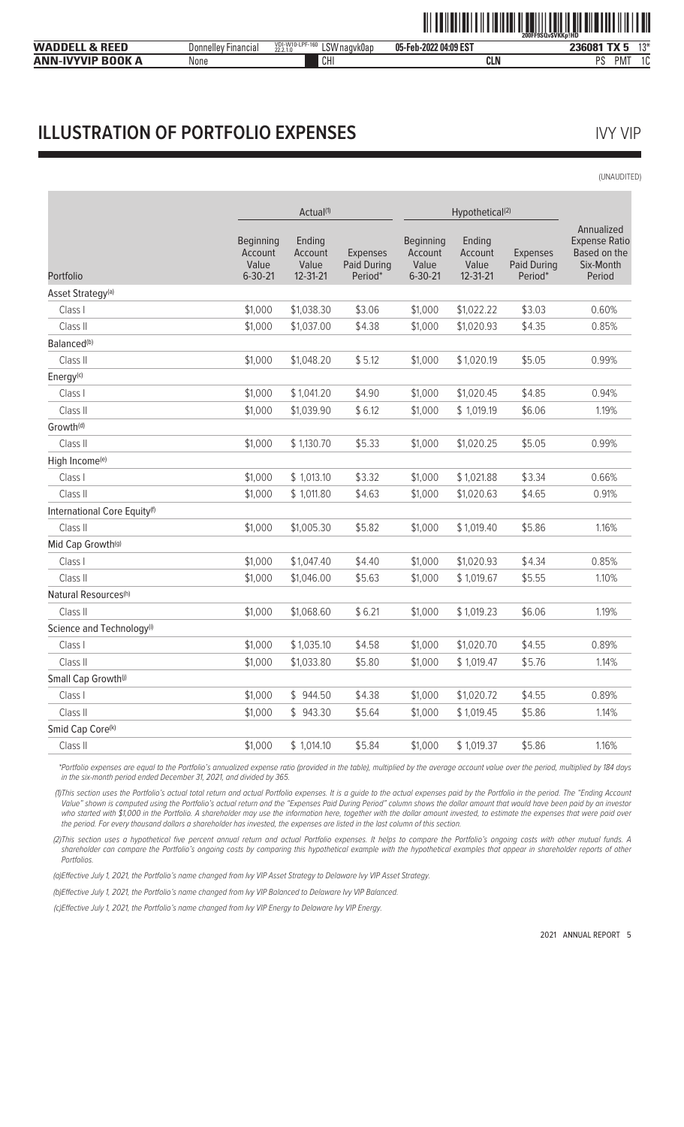|                             |                               |                                                               |                       | 200FF9SQvSVKKp!HD |             |
|-----------------------------|-------------------------------|---------------------------------------------------------------|-----------------------|-------------------|-------------|
| DEER<br>WAD <sub>r</sub>    | Donnelley<br><b>Financial</b> | VDI-W10-LPF-160<br>$\bigcap$<br>V nagvkUap<br>22.2.1.0<br>∟ວ⊻ | 05-Feb-2022 04:09 EST | -70<br>776001     | $12*$<br>ιυ |
| ∕ RNOK ′<br>ANN<br>'W<br>vu | None                          | $\sim$<br>ыı                                                  | <b>CLN</b>            | DC<br><b>PM</b>   | . .         |

## **ILLUSTRATION OF PORTFOLIO EXPENSES** IVY VIP

|                                          |                                                 | Actual <sup>(1)</sup>                  |                                    | Hypothetical <sup>(2)</sup>                           |                                              |                                    |                                                                           |  |  |
|------------------------------------------|-------------------------------------------------|----------------------------------------|------------------------------------|-------------------------------------------------------|----------------------------------------------|------------------------------------|---------------------------------------------------------------------------|--|--|
| Portfolio                                | <b>Beginning</b><br>Account<br>Value<br>6-30-21 | Ending<br>Account<br>Value<br>12-31-21 | Expenses<br>Paid During<br>Period* | <b>Beginning</b><br>Account<br>Value<br>$6 - 30 - 21$ | Ending<br>Account<br>Value<br>$12 - 31 - 21$ | Expenses<br>Paid During<br>Period* | Annualized<br><b>Expense Ratio</b><br>Based on the<br>Six-Month<br>Period |  |  |
| Asset Strategy <sup>(a)</sup>            |                                                 |                                        |                                    |                                                       |                                              |                                    |                                                                           |  |  |
| Class I                                  | \$1,000                                         | \$1,038.30                             | \$3.06                             | \$1,000                                               | \$1,022.22                                   | \$3.03                             | 0.60%                                                                     |  |  |
| Class II                                 | \$1,000                                         | \$1,037.00                             | \$4.38                             | \$1,000                                               | \$1,020.93                                   | \$4.35                             | 0.85%                                                                     |  |  |
| Balanced <sup>(b)</sup>                  |                                                 |                                        |                                    |                                                       |                                              |                                    |                                                                           |  |  |
| Class II                                 | \$1,000                                         | \$1,048.20                             | \$5.12                             | \$1,000                                               | \$1,020.19                                   | \$5.05                             | 0.99%                                                                     |  |  |
| Energy <sup>(c)</sup>                    |                                                 |                                        |                                    |                                                       |                                              |                                    |                                                                           |  |  |
| Class I                                  | \$1,000                                         | \$1,041.20                             | \$4.90                             | \$1,000                                               | \$1,020.45                                   | \$4.85                             | 0.94%                                                                     |  |  |
| Class II                                 | \$1,000                                         | \$1,039.90                             | \$6.12                             | \$1,000                                               | \$1,019.19                                   | \$6.06                             | 1.19%                                                                     |  |  |
| Growth <sup>(d)</sup>                    |                                                 |                                        |                                    |                                                       |                                              |                                    |                                                                           |  |  |
| Class II                                 | \$1,000                                         | \$1,130.70                             | \$5.33                             | \$1,000                                               | \$1,020.25                                   | \$5.05                             | 0.99%                                                                     |  |  |
| High Income <sup>(e)</sup>               |                                                 |                                        |                                    |                                                       |                                              |                                    |                                                                           |  |  |
| Class I                                  | \$1,000                                         | \$1,013.10                             | \$3.32                             | \$1,000                                               | \$1,021.88                                   | \$3.34                             | 0.66%                                                                     |  |  |
| Class II                                 | \$1,000                                         | \$1,011.80                             | \$4.63                             | \$1,000                                               | \$1,020.63                                   | \$4.65                             | 0.91%                                                                     |  |  |
| International Core Equity <sup>(f)</sup> |                                                 |                                        |                                    |                                                       |                                              |                                    |                                                                           |  |  |
| Class II                                 | \$1,000                                         | \$1,005.30                             | \$5.82                             | \$1,000                                               | \$1,019.40                                   | \$5.86                             | 1.16%                                                                     |  |  |
| Mid Cap Growth <sup>(g)</sup>            |                                                 |                                        |                                    |                                                       |                                              |                                    |                                                                           |  |  |
| Class I                                  | \$1,000                                         | \$1,047.40                             | \$4.40                             | \$1,000                                               | \$1,020.93                                   | \$4.34                             | 0.85%                                                                     |  |  |
| Class II                                 | \$1,000                                         | \$1,046.00                             | \$5.63                             | \$1,000                                               | \$1,019.67                                   | \$5.55                             | 1.10%                                                                     |  |  |
| Natural Resources <sup>(h)</sup>         |                                                 |                                        |                                    |                                                       |                                              |                                    |                                                                           |  |  |
| Class II                                 | \$1,000                                         | \$1,068.60                             | \$6.21                             | \$1,000                                               | \$1,019.23                                   | \$6.06                             | 1.19%                                                                     |  |  |
| Science and Technology(i)                |                                                 |                                        |                                    |                                                       |                                              |                                    |                                                                           |  |  |
| Class I                                  | \$1,000                                         | \$1,035.10                             | \$4.58                             | \$1,000                                               | \$1,020.70                                   | \$4.55                             | 0.89%                                                                     |  |  |
| Class II                                 | \$1,000                                         | \$1,033.80                             | \$5.80                             | \$1,000                                               | \$1,019.47                                   | \$5.76                             | 1.14%                                                                     |  |  |
| Small Cap Growth <sup>(j)</sup>          |                                                 |                                        |                                    |                                                       |                                              |                                    |                                                                           |  |  |
| Class I                                  | \$1,000                                         | \$944.50                               | \$4.38                             | \$1,000                                               | \$1,020.72                                   | \$4.55                             | 0.89%                                                                     |  |  |
| Class II                                 | \$1,000                                         | \$943.30                               | \$5.64                             | \$1,000                                               | \$1,019.45                                   | \$5.86                             | 1.14%                                                                     |  |  |
| Smid Cap Core <sup>(k)</sup>             |                                                 |                                        |                                    |                                                       |                                              |                                    |                                                                           |  |  |
| Class II                                 | \$1,000                                         | \$1,014.10                             | \$5.84                             | \$1,000                                               | \$1,019.37                                   | \$5.86                             | 1.16%                                                                     |  |  |

\*Portfolio expenses are equal to the Portfolio's annualized expense ratio (provided in the table), multiplied by the average account value over the period, multiplied by 184 days in the six-month period ended December 31, 2021, and divided by 365.

(1)This section uses the Portfolio's actual total return and actual Portfolio expenses. It is a guide to the actual expenses paid by the Portfolio in the period. The "Ending Account Value" shown is computed using the Portfolio's actual return and the "Expenses Paid During Period" column shows the dollar amount that would have been paid by an investor who started with \$1,000 in the Portfolio. A shareholder may use the information here, together with the dollar amount invested, to estimate the expenses that were paid over the period. For every thousand dollars a shareholder has invested, the expenses are listed in the last column of this section.

(2)This section uses a hypothetical five percent annual return and actual Portfolio expenses. It helps to compare the Portfolio's ongoing costs with other mutual funds. A shareholder can compare the Portfolio's ongoing costs by comparing this hypothetical example with the hypothetical examples that appear in shareholder reports of other Portfolios.

(a)Effective July 1, 2021, the Portfolio's name changed from Ivy VIP Asset Strategy to Delaware Ivy VIP Asset Strategy.

(b)Effective July 1, 2021, the Portfolio's name changed from Ivy VIP Balanced to Delaware Ivy VIP Balanced.

(c)Effective July 1, 2021, the Portfolio's name changed from Ivy VIP Energy to Delaware Ivy VIP Energy.



(UNAUDITED)

ˆ200FF9SQv\$VKKp!HDŠ **200FF9SQv\$VKKp!HD**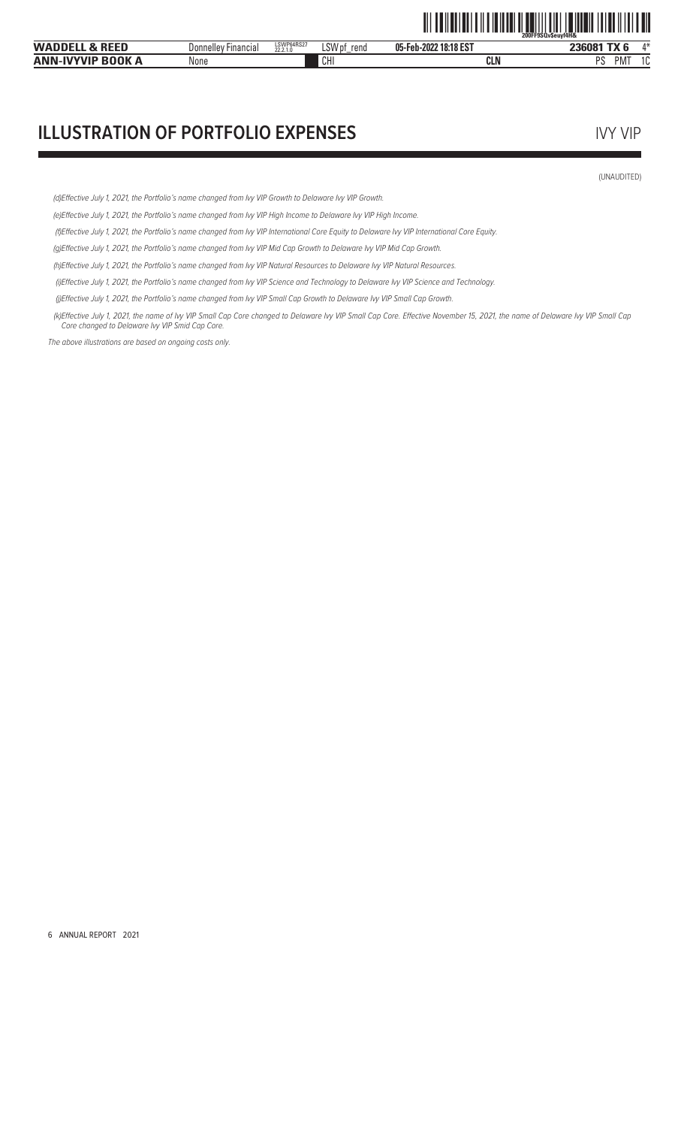|                                                  |                                     |                      |                     | 200FF9SQvSeuvt4H&        |                            |     |  |
|--------------------------------------------------|-------------------------------------|----------------------|---------------------|--------------------------|----------------------------|-----|--|
| <b>REED</b><br><b>WADDELL</b><br>$\Omega$<br>. . | $- \cdot$<br>Financial<br>Donnelley | LSWP64RS27<br>22.2.1 | LSW pf<br>rena<br>- | 18:18 EST<br>05-Feb-2022 | FW.                        | Л*  |  |
| VIP ROOK A<br><b>ANN</b>                         | None                                |                      | CHI                 | <b>CLN</b>               | DC<br>PM <sup>-</sup><br>◡ | م م |  |
|                                                  |                                     |                      |                     |                          |                            |     |  |

## **ILLUSTRATION OF PORTFOLIO EXPENSES** IVY VIP

(UNAUDITED)

ˆ200FF9SQv\$euyf4H&Š **200FF9SQv\$euyf4H&**

(d)Effective July 1, 2021, the Portfolio's name changed from Ivy VIP Growth to Delaware Ivy VIP Growth.

(e)Effective July 1, 2021, the Portfolio's name changed from Ivy VIP High Income to Delaware Ivy VIP High Income.

(f)Effective July 1, 2021, the Portfolio's name changed from Ivy VIP International Core Equity to Delaware Ivy VIP International Core Equity.

(g)Effective July 1, 2021, the Portfolio's name changed from Ivy VIP Mid Cap Growth to Delaware Ivy VIP Mid Cap Growth.

(h)Effective July 1, 2021, the Portfolio's name changed from Ivy VIP Natural Resources to Delaware Ivy VIP Natural Resources.

(i)Effective July 1, 2021, the Portfolio's name changed from Ivy VIP Science and Technology to Delaware Ivy VIP Science and Technology.

(j)Effective July 1, 2021, the Portfolio's name changed from Ivy VIP Small Cap Growth to Delaware Ivy VIP Small Cap Growth.

(k)Effective July 1, 2021, the name of Ivy VIP Small Cap Core changed to Delaware Ivy VIP Small Cap Core. Effective November 15, 2021, the name of Delaware Ivy VIP Small Cap Core changed to Delaware Ivy VIP Smid Cap Core.

The above illustrations are based on ongoing costs only.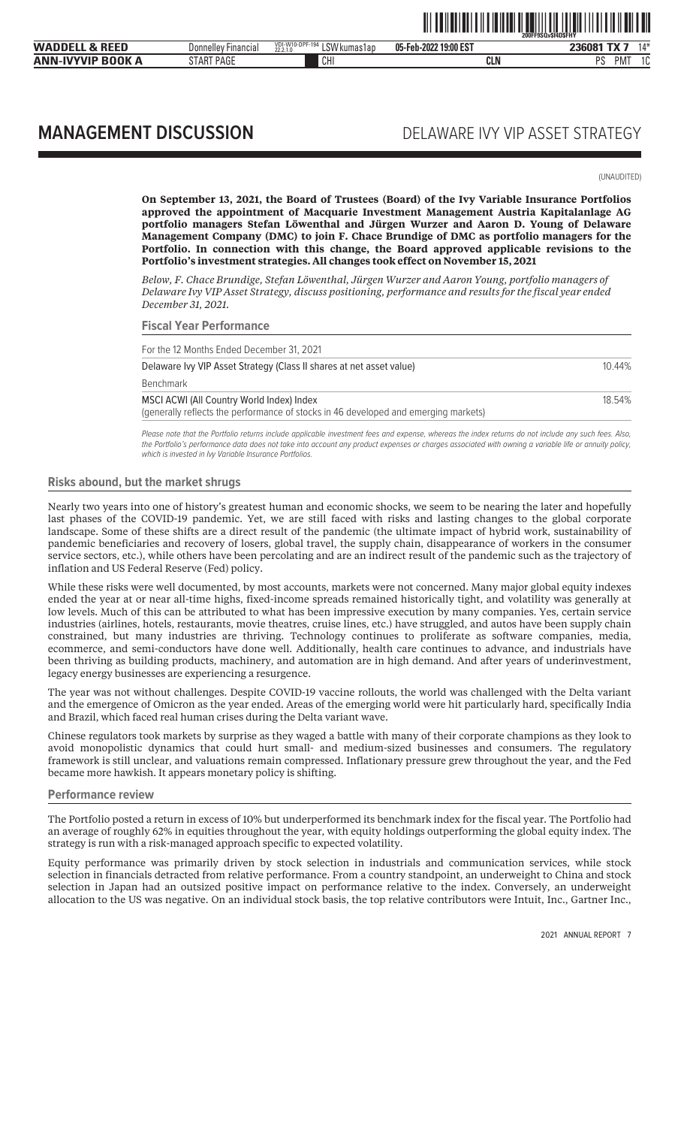| <b>WADDE</b><br><b>DEED</b><br>$\sim$               | ' Financial<br><b>Donnelley</b> | VDI-W10-DPF-194<br>∟SW∣<br>√kumas1ap<br>22.2.1.0 | 19:00 EST<br>05-Feb-2022 | 14*<br>-77                              |
|-----------------------------------------------------|---------------------------------|--------------------------------------------------|--------------------------|-----------------------------------------|
| <b>BOOK A</b><br>LIVV'<br><b>AVIP</b><br><b>ANN</b> | <b>I ART PACT</b>               | $\sim$<br>.                                      | <b>CLN</b>               | <sub>DC</sub><br>PM <sup>-</sup><br>. . |

## **MANAGEMENT DISCUSSION** DELAWARE IVY VIP ASSET STRATEGY

(UNAUDITED)

**On September 13, 2021, the Board of Trustees (Board) of the Ivy Variable Insurance Portfolios approved the appointment of Macquarie Investment Management Austria Kapitalanlage AG portfolio managers Stefan Löwenthal and Jürgen Wurzer and Aaron D. Young of Delaware Management Company (DMC) to join F. Chace Brundige of DMC as portfolio managers for the Portfolio. In connection with this change, the Board approved applicable revisions to the Portfolio's investment strategies. All changes took effect on November 15, 2021**

<span id="page-6-0"></span>*Below, F. Chace Brundige, Stefan Löwenthal, Jürgen Wurzer and Aaron Young, portfolio managers of Delaware Ivy VIP Asset Strategy, discuss positioning, performance and results for the fiscal year ended December 31, 2021.*

**Fiscal Year Performance**

| For the 12 Months Ended December 31, 2021                                                                                        |        |
|----------------------------------------------------------------------------------------------------------------------------------|--------|
| Delaware Ivy VIP Asset Strategy (Class II shares at net asset value)                                                             | 10.44% |
| <b>Benchmark</b>                                                                                                                 |        |
| MSCI ACWI (All Country World Index) Index<br>(generally reflects the performance of stocks in 46 developed and emerging markets) | 18.54% |

Please note that the Portfolio returns include applicable investment fees and expense, whereas the index returns do not include any such fees. Also, the Portfolio's performance data does not take into account any product expenses or charges associated with owning a variable life or annuity policy, which is invested in Ivy Variable Insurance Portfolios.

### **Risks abound, but the market shrugs**

Nearly two years into one of history's greatest human and economic shocks, we seem to be nearing the later and hopefully last phases of the COVID-19 pandemic. Yet, we are still faced with risks and lasting changes to the global corporate landscape. Some of these shifts are a direct result of the pandemic (the ultimate impact of hybrid work, sustainability of pandemic beneficiaries and recovery of losers, global travel, the supply chain, disappearance of workers in the consumer service sectors, etc.), while others have been percolating and are an indirect result of the pandemic such as the trajectory of inflation and US Federal Reserve (Fed) policy.

While these risks were well documented, by most accounts, markets were not concerned. Many major global equity indexes ended the year at or near all-time highs, fixed-income spreads remained historically tight, and volatility was generally at low levels. Much of this can be attributed to what has been impressive execution by many companies. Yes, certain service industries (airlines, hotels, restaurants, movie theatres, cruise lines, etc.) have struggled, and autos have been supply chain constrained, but many industries are thriving. Technology continues to proliferate as software companies, media, ecommerce, and semi-conductors have done well. Additionally, health care continues to advance, and industrials have been thriving as building products, machinery, and automation are in high demand. And after years of underinvestment, legacy energy businesses are experiencing a resurgence.

The year was not without challenges. Despite COVID-19 vaccine rollouts, the world was challenged with the Delta variant and the emergence of Omicron as the year ended. Areas of the emerging world were hit particularly hard, specifically India and Brazil, which faced real human crises during the Delta variant wave.

Chinese regulators took markets by surprise as they waged a battle with many of their corporate champions as they look to avoid monopolistic dynamics that could hurt small- and medium-sized businesses and consumers. The regulatory framework is still unclear, and valuations remain compressed. Inflationary pressure grew throughout the year, and the Fed became more hawkish. It appears monetary policy is shifting.

### **Performance review**

The Portfolio posted a return in excess of 10% but underperformed its benchmark index for the fiscal year. The Portfolio had an average of roughly 62% in equities throughout the year, with equity holdings outperforming the global equity index. The strategy is run with a risk-managed approach specific to expected volatility.

Equity performance was primarily driven by stock selection in industrials and communication services, while stock selection in financials detracted from relative performance. From a country standpoint, an underweight to China and stock selection in Japan had an outsized positive impact on performance relative to the index. Conversely, an underweight allocation to the US was negative. On an individual stock basis, the top relative contributors were Intuit, Inc., Gartner Inc.,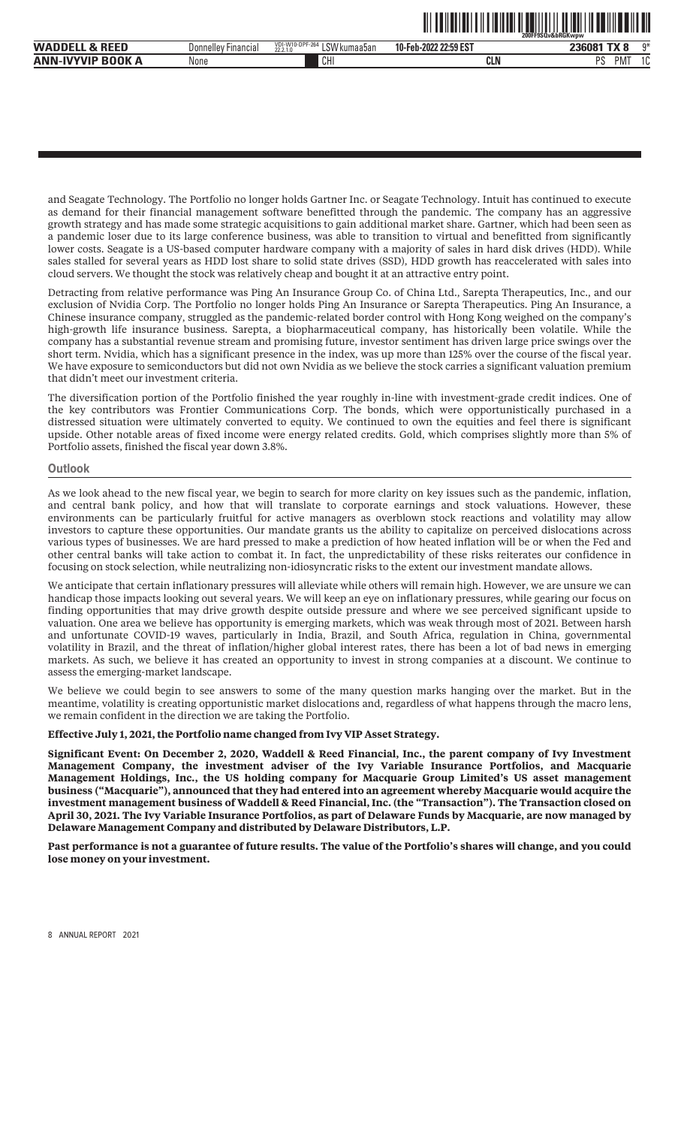|                                           |                               |                                             |                       | -----------------------------<br>200FF9SQv&bRGKwpw |              |
|-------------------------------------------|-------------------------------|---------------------------------------------|-----------------------|----------------------------------------------------|--------------|
| <b>WADDELL</b><br><b>REED</b><br>$\Omega$ | <b>Financial</b><br>Donnelley | VDI-W10-DPF-264<br>LSW kumaa5an<br>22.2.1.0 | 10-Feb-2022 22:59 EST | $-$                                                | ∩*           |
| -IVYVIP BOOK A<br><b>ANN</b>              | None                          | CHI                                         | <b>CLN</b>            | <sub>D</sub> <sub>C</sub><br>PM <sup>-</sup>       | $\sim$<br>ιu |

<u>oli toiloitta ja tulttuin valiittiin toimittiin valiittoin ol</u>

and Seagate Technology. The Portfolio no longer holds Gartner Inc. or Seagate Technology. Intuit has continued to execute as demand for their financial management software benefitted through the pandemic. The company has an aggressive growth strategy and has made some strategic acquisitions to gain additional market share. Gartner, which had been seen as a pandemic loser due to its large conference business, was able to transition to virtual and benefitted from significantly lower costs. Seagate is a US-based computer hardware company with a majority of sales in hard disk drives (HDD). While sales stalled for several years as HDD lost share to solid state drives (SSD), HDD growth has reaccelerated with sales into cloud servers. We thought the stock was relatively cheap and bought it at an attractive entry point.

Detracting from relative performance was Ping An Insurance Group Co. of China Ltd., Sarepta Therapeutics, Inc., and our exclusion of Nvidia Corp. The Portfolio no longer holds Ping An Insurance or Sarepta Therapeutics. Ping An Insurance, a Chinese insurance company, struggled as the pandemic-related border control with Hong Kong weighed on the company's high-growth life insurance business. Sarepta, a biopharmaceutical company, has historically been volatile. While the company has a substantial revenue stream and promising future, investor sentiment has driven large price swings over the short term. Nvidia, which has a significant presence in the index, was up more than 125% over the course of the fiscal year. We have exposure to semiconductors but did not own Nvidia as we believe the stock carries a significant valuation premium that didn't meet our investment criteria.

The diversification portion of the Portfolio finished the year roughly in-line with investment-grade credit indices. One of the key contributors was Frontier Communications Corp. The bonds, which were opportunistically purchased in a distressed situation were ultimately converted to equity. We continued to own the equities and feel there is significant upside. Other notable areas of fixed income were energy related credits. Gold, which comprises slightly more than 5% of Portfolio assets, finished the fiscal year down 3.8%.

### **Outlook**

As we look ahead to the new fiscal year, we begin to search for more clarity on key issues such as the pandemic, inflation, and central bank policy, and how that will translate to corporate earnings and stock valuations. However, these environments can be particularly fruitful for active managers as overblown stock reactions and volatility may allow investors to capture these opportunities. Our mandate grants us the ability to capitalize on perceived dislocations across various types of businesses. We are hard pressed to make a prediction of how heated inflation will be or when the Fed and other central banks will take action to combat it. In fact, the unpredictability of these risks reiterates our confidence in focusing on stock selection, while neutralizing non-idiosyncratic risks to the extent our investment mandate allows.

We anticipate that certain inflationary pressures will alleviate while others will remain high. However, we are unsure we can handicap those impacts looking out several years. We will keep an eye on inflationary pressures, while gearing our focus on finding opportunities that may drive growth despite outside pressure and where we see perceived significant upside to valuation. One area we believe has opportunity is emerging markets, which was weak through most of 2021. Between harsh and unfortunate COVID-19 waves, particularly in India, Brazil, and South Africa, regulation in China, governmental volatility in Brazil, and the threat of inflation/higher global interest rates, there has been a lot of bad news in emerging markets. As such, we believe it has created an opportunity to invest in strong companies at a discount. We continue to assess the emerging-market landscape.

We believe we could begin to see answers to some of the many question marks hanging over the market. But in the meantime, volatility is creating opportunistic market dislocations and, regardless of what happens through the macro lens, we remain confident in the direction we are taking the Portfolio.

### **Effective July 1, 2021, the Portfolio name changed from Ivy VIP Asset Strategy.**

**Significant Event: On December 2, 2020, Waddell & Reed Financial, Inc., the parent company of Ivy Investment Management Company, the investment adviser of the Ivy Variable Insurance Portfolios, and Macquarie Management Holdings, Inc., the US holding company for Macquarie Group Limited's US asset management business ("Macquarie"), announced that they had entered into an agreement whereby Macquarie would acquire the investment management business of Waddell & Reed Financial, Inc. (the "Transaction"). The Transaction closed on April 30, 2021. The Ivy Variable Insurance Portfolios, as part of Delaware Funds by Macquarie, are now managed by Delaware Management Company and distributed by Delaware Distributors, L.P.**

**Past performance is not a guarantee of future results. The value of the Portfolio's shares will change, and you could lose money on your investment.**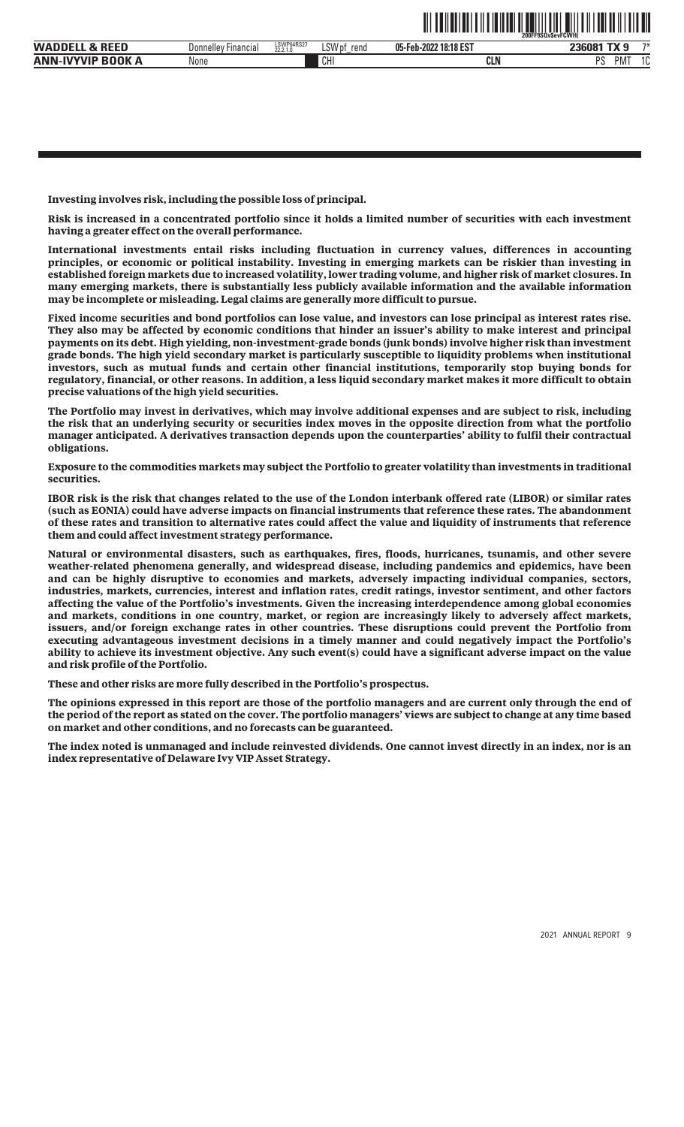|                                        |                        |                        |                          |                            | 200FF9SQvSevFCWH(                            |        |
|----------------------------------------|------------------------|------------------------|--------------------------|----------------------------|----------------------------------------------|--------|
| <b>REED</b><br><b>WA</b><br>ឹ          | -ınancıal<br>Donnelley | LSWP64RS27<br>22.2.1.0 | LSW <sub>p</sub><br>rend | . 18:18 EST<br>05-Feb-2022 | rv/                                          | 74     |
| IVYVIP ROOK 4<br><b>ANN</b><br>. I V 1 | None                   |                        | CHI                      | <b>CLN</b>                 | <sub>D</sub> <sub>C</sub><br>PM <sup>-</sup> | $\sim$ |
|                                        |                        |                        |                          |                            |                                              |        |

**∂11 FB10B1 F01 F10 FF9SQv\$evFCUH(F011 B111 F11 FB10 FF11 F11 F11** 

**Investing involves risk, including the possible loss of principal.**

**Risk is increased in a concentrated portfolio since it holds a limited number of securities with each investment having a greater effect on the overall performance.**

**International investments entail risks including fluctuation in currency values, differences in accounting principles, or economic or political instability. Investing in emerging markets can be riskier than investing in established foreign markets due to increased volatility, lower trading volume, and higher risk of market closures. In many emerging markets, there is substantially less publicly available information and the available information may be incomplete or misleading. Legal claims are generally more difficult to pursue.**

**Fixed income securities and bond portfolios can lose value, and investors can lose principal as interest rates rise. They also may be affected by economic conditions that hinder an issuer's ability to make interest and principal payments on its debt. High yielding, non-investment-grade bonds (junk bonds) involve higher risk than investment grade bonds. The high yield secondary market is particularly susceptible to liquidity problems when institutional investors, such as mutual funds and certain other financial institutions, temporarily stop buying bonds for regulatory, financial, or other reasons. In addition, a less liquid secondary market makes it more difficult to obtain precise valuations of the high yield securities.**

**The Portfolio may invest in derivatives, which may involve additional expenses and are subject to risk, including the risk that an underlying security or securities index moves in the opposite direction from what the portfolio manager anticipated. A derivatives transaction depends upon the counterparties' ability to fulfil their contractual obligations.**

**Exposure to the commodities markets may subject the Portfolio to greater volatility than investments in traditional securities.**

**IBOR risk is the risk that changes related to the use of the London interbank offered rate (LIBOR) or similar rates (such as EONIA) could have adverse impacts on financial instruments that reference these rates. The abandonment of these rates and transition to alternative rates could affect the value and liquidity of instruments that reference them and could affect investment strategy performance.**

**Natural or environmental disasters, such as earthquakes, fires, floods, hurricanes, tsunamis, and other severe weather-related phenomena generally, and widespread disease, including pandemics and epidemics, have been and can be highly disruptive to economies and markets, adversely impacting individual companies, sectors, industries, markets, currencies, interest and inflation rates, credit ratings, investor sentiment, and other factors affecting the value of the Portfolio's investments. Given the increasing interdependence among global economies and markets, conditions in one country, market, or region are increasingly likely to adversely affect markets, issuers, and/or foreign exchange rates in other countries. These disruptions could prevent the Portfolio from executing advantageous investment decisions in a timely manner and could negatively impact the Portfolio's ability to achieve its investment objective. Any such event(s) could have a significant adverse impact on the value and risk profile of the Portfolio.**

**These and other risks are more fully described in the Portfolio's prospectus.**

**The opinions expressed in this report are those of the portfolio managers and are current only through the end of the period of the report as stated on the cover. The portfolio managers' views are subject to change at any time based on market and other conditions, and no forecasts can be guaranteed.**

**The index noted is unmanaged and include reinvested dividends. One cannot invest directly in an index, nor is an index representative of Delaware Ivy VIP Asset Strategy.**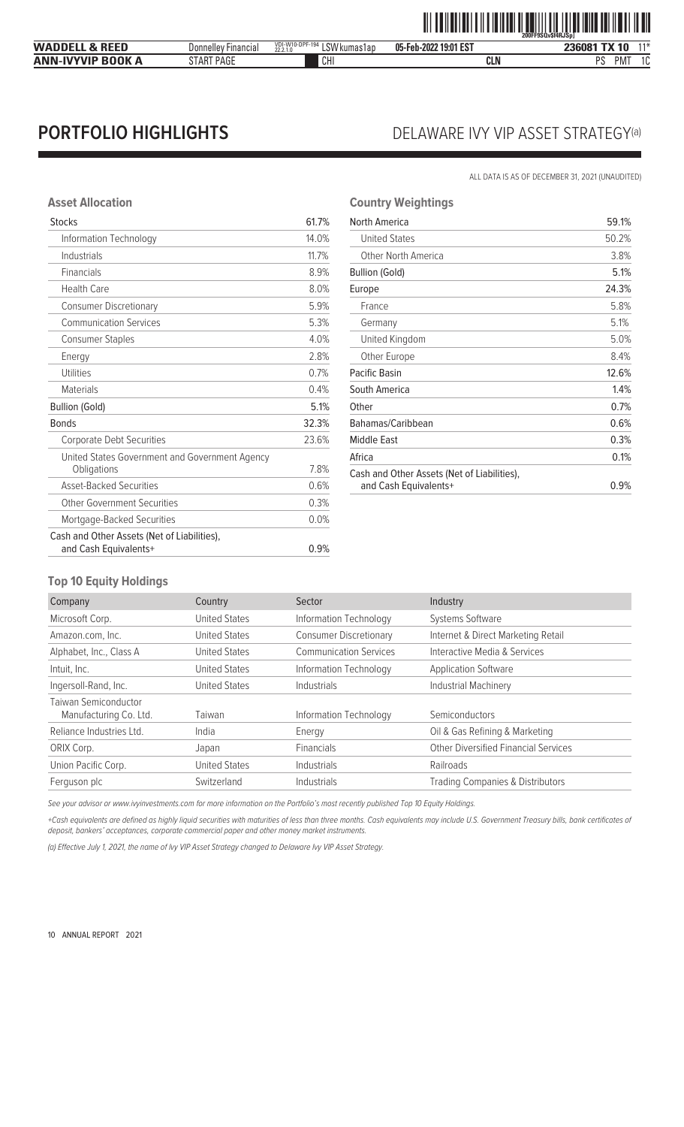|                           |                     |                                             | <u>Milion III II</u>  | $\  \ $<br>200FF9SQvSf4RJSp1 |
|---------------------------|---------------------|---------------------------------------------|-----------------------|------------------------------|
| <b>WADDELL &amp; REED</b> | Donnelley Financial | VDI-W10-DPF-194<br>22.2.1.0<br>LSW kumas1ap | 05-Feb-2022 19:01 EST | $11*$<br>236081 TX 10        |
| <b>ANN-IVYVIP BOOK A</b>  | START PAGE          | CHI                                         | CLN                   | PS<br>10<br>PMT              |
|                           |                     |                                             |                       |                              |

## **PORTFOLIO HIGHLIGHTS** DELAWARE IVY VIP ASSET STRATEGY<sup>(a)</sup>

### **Asset Allocation**

| <b>Stocks</b>                                  | 61.7% |
|------------------------------------------------|-------|
| Information Technology                         | 14.0% |
| Industrials                                    | 11.7% |
| <b>Financials</b>                              | 8.9%  |
| Health Care                                    | 8.0%  |
| <b>Consumer Discretionary</b>                  | 5.9%  |
| <b>Communication Services</b>                  | 5.3%  |
| <b>Consumer Staples</b>                        | 4.0%  |
| Energy                                         | 2.8%  |
| Utilities                                      | 0.7%  |
| <b>Materials</b>                               | 0.4%  |
| <b>Bullion (Gold)</b>                          | 5.1%  |
| <b>Bonds</b>                                   | 32.3% |
| <b>Corporate Debt Securities</b>               | 23.6% |
| United States Government and Government Agency |       |
| Obligations                                    | 7.8%  |
| Asset-Backed Securities                        | 0.6%  |
| Other Government Securities                    | 0.3%  |
| Mortgage-Backed Securities                     | 0.0%  |
| Cash and Other Assets (Net of Liabilities),    |       |
| and Cash Equivalents+                          | 0.9%  |

### ALL DATA IS AS OF DECEMBER 31, 2021 (UNAUDITED)

## **Country Weightings**

| North America                               | 59.1% |
|---------------------------------------------|-------|
| <b>United States</b>                        | 50.2% |
| Other North America                         | 3.8%  |
| Bullion (Gold)                              | 5.1%  |
| Europe                                      | 24.3% |
| France                                      | 5.8%  |
| Germany                                     | 5.1%  |
| United Kingdom                              | 5.0%  |
| Other Europe                                | 8.4%  |
| Pacific Basin                               | 12.6% |
| South America                               | 1.4%  |
| Other                                       | 0.7%  |
| Bahamas/Caribbean                           | 0.6%  |
| Middle East                                 | 0.3%  |
| Africa                                      | 0.1%  |
| Cash and Other Assets (Net of Liabilities), |       |
| and Cash Equivalents+                       | 0.9%  |

## **Top 10 Equity Holdings**

| Company                                        | Country              | Sector                        | Industry                                    |
|------------------------------------------------|----------------------|-------------------------------|---------------------------------------------|
| Microsoft Corp.                                | <b>United States</b> | Information Technology        | Systems Software                            |
| Amazon.com, Inc.                               | <b>United States</b> | <b>Consumer Discretionary</b> | Internet & Direct Marketing Retail          |
| Alphabet, Inc., Class A                        | <b>United States</b> | <b>Communication Services</b> | Interactive Media & Services                |
| Intuit, Inc.                                   | <b>United States</b> | Information Technology        | <b>Application Software</b>                 |
| Ingersoll-Rand, Inc.                           | <b>United States</b> | <b>Industrials</b>            | Industrial Machinery                        |
| Taiwan Semiconductor<br>Manufacturing Co. Ltd. | Taiwan               | Information Technology        | Semiconductors                              |
| Reliance Industries Ltd.                       | India                | Energy                        | Oil & Gas Refining & Marketing              |
| ORIX Corp.                                     | Japan                | <b>Financials</b>             | Other Diversified Financial Services        |
| Union Pacific Corp.                            | <b>United States</b> | <b>Industrials</b>            | Railroads                                   |
| Ferguson plc                                   | Switzerland          | <b>Industrials</b>            | <b>Trading Companies &amp; Distributors</b> |

See your advisor or www.ivyinvestments.com for more information on the Portfolio's most recently published Top 10 Equity Holdings.

+Cash equivalents are defined as highly liquid securities with maturities of less than three months. Cash equivalents may include U.S. Government Treasury bills, bank certificates of deposit, bankers' acceptances, corporate commercial paper and other money market instruments.

(a) Effective July 1, 2021, the name of Ivy VIP Asset Strategy changed to Delaware Ivy VIP Asset Strategy.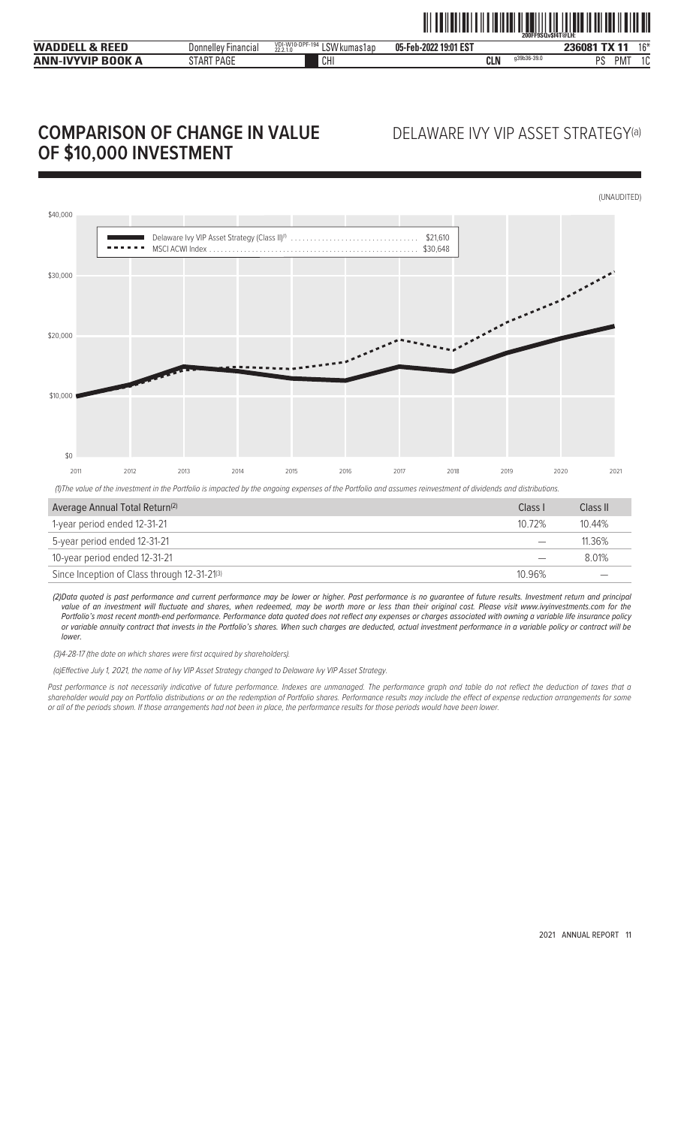|                           |                            |                              |                       | 200FF9SOvSf4T@LH: | <b>TITULE II DI DELL'ULLET</b> |       |
|---------------------------|----------------------------|------------------------------|-----------------------|-------------------|--------------------------------|-------|
| <b>WADDELL &amp; REED</b> | <b>Donnelley Financial</b> | VDI-W10-DPF-194 LSW kumas1ap | 05-Feb-2022 19:01 EST |                   | 236081 TX 11                   | $16*$ |
| <b>ANN-IVYVIP BOOK A</b>  | <b>START PAGE</b>          | CH                           | <b>CLN</b>            | q39b36-39.0       | PS<br>PMT                      | 10    |
|                           |                            |                              |                       |                   |                                |       |

**COMPARISON OF CHANGE IN VALUE OF \$10,000 INVESTMENT**

## DELAWARE IVY VIP ASSET STRATEGY<sup>(a)</sup>



| Average Annual Total Return <sup>(2)</sup>   | Class I | Class II |
|----------------------------------------------|---------|----------|
| 1-year period ended 12-31-21                 | 10 72%  | 10.44%   |
| 5-year period ended 12-31-21                 |         | 11.36%   |
| 10-year period ended 12-31-21                |         | 8.01%    |
| Since Inception of Class through 12-31-21(3) | 10.96%  |          |

(2)Data quoted is past performance and current performance may be lower or higher. Past performance is no guarantee of future results. Investment return and principal value of an investment will fluctuate and shares, when redeemed, may be worth more or less than their original cost. Please visit www.ivyinvestments.com for the Portfolio's most recent month-end performance. Performance data quoted does not reflect any expenses or charges associated with owning a variable life insurance policy or variable annuity contract that invests in the Portfolio's shares. When such charges are deducted, actual investment performance in a variable policy or contract will be lower.

(3)4-28-17 (the date on which shares were first acquired by shareholders).

(a)Effective July 1, 2021, the name of Ivy VIP Asset Strategy changed to Delaware Ivy VIP Asset Strategy.

Past performance is not necessarily indicative of future performance. Indexes are unmanaged. The performance graph and table do not reflect the deduction of taxes that a shareholder would pay on Portfolio distributions or on the redemption of Portfolio shares. Performance results may include the effect of expense reduction arrangements for some or all of the periods shown. If those arrangements had not been in place, the performance results for those periods would have been lower.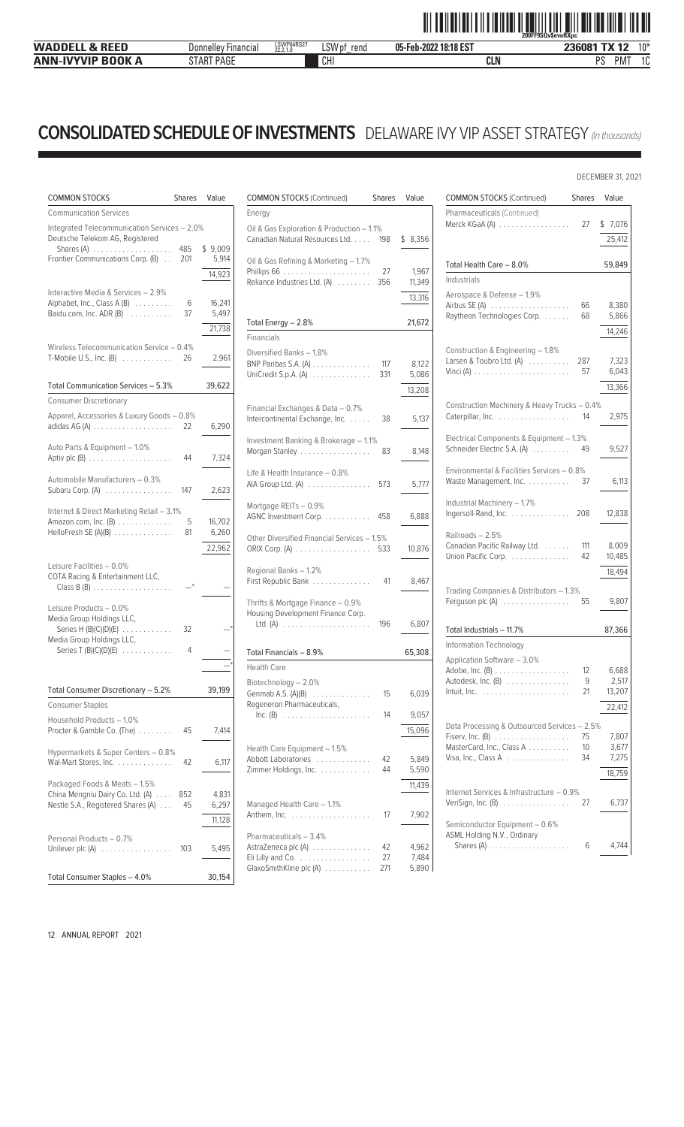|                           |                            |                        |                |                       | <b>TILITI IIII</b><br>$\parallel \parallel \parallel$<br>200FF9SQvSevoRXpc |
|---------------------------|----------------------------|------------------------|----------------|-----------------------|----------------------------------------------------------------------------|
| <b>WADDELL &amp; REED</b> | <b>Donnelley Financial</b> | LSWP64RS27<br>22.2.1.0 | ∟SW pf<br>rend | 05-Feb-2022 18:18 EST | <b>TX 12</b><br>$10*$<br>236081                                            |
| <b>ANN-IVYVIP BOOK A</b>  | <b>START PAGE</b>          |                        | CHI            | <b>CLN</b>            | PS<br><b>PMT</b><br>$1^\circ$<br>ιu                                        |

| <b>COMMON STOCKS</b>                                                                          | <b>Shares</b> | Value            |
|-----------------------------------------------------------------------------------------------|---------------|------------------|
| <b>Communication Services</b>                                                                 |               |                  |
| Integrated Telecommunication Services - 2.0%<br>Deutsche Telekom AG, Registered               |               |                  |
| Shares $(A)$<br>Frontier Communications Corp. (B)                                             | 485<br>201    | \$9.009<br>5.914 |
|                                                                                               |               | 14,923           |
| Interactive Media & Services - 2.9%<br>Alphabet, Inc., Class A (B)<br>Baidu.com, Inc. ADR (B) | 6<br>37       | 16.241<br>5,497  |
|                                                                                               |               | 21,738           |
| Wireless Telecommunication Service - 0.4%<br>T-Mobile U.S., Inc. $(B)$                        | 26            | 2,961            |
| Total Communication Services - 5.3%                                                           |               | 39,622           |
| <b>Consumer Discretionary</b>                                                                 |               |                  |
| Apparel, Accessories & Luxury Goods - 0.8%<br>adidas AG $(A)$                                 | 22            | 6,290            |
| Auto Parts & Equipment - 1.0%<br>Aptiv plc $(B)$                                              | 44            | 7,324            |
| Automobile Manufacturers - 0.3%                                                               |               |                  |
| Subaru Corp. $(A)$                                                                            | 147           | 2,623            |
| Internet & Direct Marketing Retail - 3.1%                                                     |               |                  |
| Amazon.com, Inc. (B)<br>HelloFresh SE $(A)(B)$                                                | 5<br>81       | 16,702<br>6,260  |
|                                                                                               |               | 22,962           |
|                                                                                               |               |                  |
| Leisure Facilities - 0.0%<br>COTA Racing & Entertainment LLC,                                 |               |                  |
| Leisure Products - 0.0%                                                                       |               |                  |
| Media Group Holdings LLC,                                                                     |               |                  |
| Series H $(B)(C)(D)(E)$<br>Media Group Holdings LLC,                                          | 32            |                  |
| Series T $(B)(C)(D)(E)$                                                                       | 4             |                  |
|                                                                                               |               |                  |
| Total Consumer Discretionary - 5.2%                                                           |               | 39,199           |
| <b>Consumer Staples</b>                                                                       |               |                  |
| Household Products - 1.0%<br>Procter & Gamble Co. (The)                                       | 45            | 7,414            |
| Hypermarkets & Super Centers - 0.8%<br>Wal-Mart Stores, Inc.                                  | 42            | 6,117            |
| Packaged Foods & Meats - 1.5%                                                                 |               |                  |
| China Mengniu Dairy Co. Ltd. (A)                                                              | 852<br>45     | 4,831            |
| Nestle S.A., Registered Shares (A)                                                            |               | 6,297            |
|                                                                                               |               | 11,128           |
| Personal Products - 0.7%<br>Unilever plc $(A)$                                                | 103           | 5,495            |
| Total Consumer Staples - 4.0%                                                                 |               | 30,154           |

| <b>COMMON STOCKS (Continued)</b>                                             | Shares   | Value          |
|------------------------------------------------------------------------------|----------|----------------|
| Energy                                                                       |          |                |
| Oil & Gas Exploration & Production - 1.1%<br>Canadian Natural Resources Ltd. | 198      | \$<br>8,356    |
| Oil & Gas Refining & Marketing - 1.7%                                        |          |                |
|                                                                              | 27       | 1,967          |
| Reliance Industries Ltd. (A)                                                 | 356      | 11,349         |
|                                                                              |          | 13,316         |
| Total Energy - 2.8%                                                          |          | 21,672         |
| Financials                                                                   |          |                |
| Diversified Banks - 1.8%                                                     |          |                |
| BNP Paribas S.A. $(A)$                                                       | 117      | 8,122          |
| UniCredit S.p.A. (A)                                                         | 331      | 5,086          |
|                                                                              |          | 13,208         |
| Financial Exchanges & Data - 0.7%                                            |          |                |
| Intercontinental Exchange, Inc.                                              | 38       | 5,137          |
| Investment Banking & Brokerage - 1.1%                                        |          |                |
| Morgan Stanley                                                               | 83       | 8,148          |
| Life & Health Insurance $-0.8%$                                              |          |                |
| AIA Group Ltd. (A)                                                           | 573      | 5,777          |
| Mortgage REITs - 0.9%                                                        |          |                |
| AGNC Investment Corp.                                                        | 458      | 6,888          |
| Other Diversified Financial Services - 1.5%                                  |          |                |
|                                                                              | 533      | 10,876         |
| Regional Banks - 1.2%                                                        |          |                |
| First Republic Bank                                                          | 41       | 8,467          |
| Thrifts & Mortgage Finance - 0.9%                                            |          |                |
| Housing Development Finance Corp.                                            |          |                |
|                                                                              | 196      | 6,807          |
| Total Financials - 8.9%                                                      |          | 65,308         |
| <b>Health Care</b>                                                           |          |                |
| Biotechnology - 2.0%                                                         |          |                |
| Genmab A.S. (A)(B)                                                           | 15       | 6,039          |
| Regeneron Pharmaceuticals,<br>Inc. (B)<br>a sala<br>.                        | 14       | 9,057          |
|                                                                              |          | 15,096         |
|                                                                              |          |                |
| Health Care Equipment - 1.5%                                                 |          |                |
| Abbott Laboratories<br>Zimmer Holdings, Inc.                                 | 42<br>44 | 5,849<br>5,590 |
|                                                                              |          | 11,439         |
|                                                                              |          |                |
| Managed Health Care - 1.1%<br>Anthem, Inc.                                   | 17       | 7,902          |
|                                                                              |          |                |
| Pharmaceuticals - 3.4%                                                       |          |                |
| AstraZeneca plc (A)<br>Eli Lilly and Co.                                     | 42<br>27 | 4,962<br>7,484 |
| GlaxoSmithKline plc (A)                                                      | 271      | 5,890          |

|                                                                                                                                                      |                            | DECEMBER 31, 2021                 |  |
|------------------------------------------------------------------------------------------------------------------------------------------------------|----------------------------|-----------------------------------|--|
| <b>COMMON STOCKS (Continued)</b>                                                                                                                     | <b>Shares</b>              | Value                             |  |
| Pharmaceuticals (Continued)<br>Merck KGaA (A)                                                                                                        | 27                         | \$<br>7,076<br>25,412             |  |
| Total Health Care - 8.0%                                                                                                                             |                            | 59,849                            |  |
| Industrials                                                                                                                                          |                            |                                   |  |
| Aerospace & Defense - 1.9%<br>Airbus SE (A) $\ldots \ldots \ldots \ldots \ldots$<br>Raytheon Technologies Corp.                                      | 66<br>68                   | 8,380<br>5,866                    |  |
|                                                                                                                                                      |                            | 14,246                            |  |
| Construction & Engineering - 1.8%<br>Larsen & Toubro Ltd. $(A)$                                                                                      | 287<br>57                  | 7,323<br>6,043<br>13,366          |  |
| Construction Machinery & Heavy Trucks - 0.4%                                                                                                         |                            |                                   |  |
| Caterpillar, Inc.                                                                                                                                    | 14                         | 2,975                             |  |
| Electrical Components & Equipment - 1.3%<br>Schneider Electric S.A. (A)                                                                              | 49                         | 9,527                             |  |
| Environmental & Facilities Services - 0.8%<br>Waste Management, Inc.                                                                                 | 37                         | 6,113                             |  |
| Industrial Machinery - 1.7%<br>Ingersoll-Rand, Inc.                                                                                                  | 208                        | 12,838                            |  |
| Railroads - 2.5%<br>Canadian Pacific Railway Ltd.<br>Union Pacific Corp.                                                                             | 111<br>42                  | 8,009<br>10,485<br>18,494         |  |
| Trading Companies & Distributors - 1.3%<br>Ferguson plc $(A)$                                                                                        | 55                         | 9,807                             |  |
| Total Industrials - 11.7%                                                                                                                            |                            | 87,366                            |  |
| Information Technology                                                                                                                               |                            |                                   |  |
| Application Software - 3.0%<br>Adobe, Inc. $(B)$<br>Autodesk, Inc. (B)                                                                               | 12 <sup>°</sup><br>9<br>21 | 6,688<br>2,517<br>13,207          |  |
|                                                                                                                                                      |                            | 22,412                            |  |
| Data Processing & Outsourced Services - 2.5%<br>Fiserv, Inc. $(B)$<br>MasterCard, Inc., Class A<br>Visa, Inc., Class A $\ldots \ldots \ldots \ldots$ | 75<br>10<br>34             | 7,807<br>3,677<br>7,275<br>18,759 |  |
| Internet Services & Infrastructure - 0.9%<br>VeriSign, Inc. $(B)$                                                                                    | 27                         | 6,737                             |  |
| Semiconductor Equipment - 0.6%<br>ASML Holding N.V., Ordinary<br>Shares $(A)$                                                                        | 6                          | 4,744                             |  |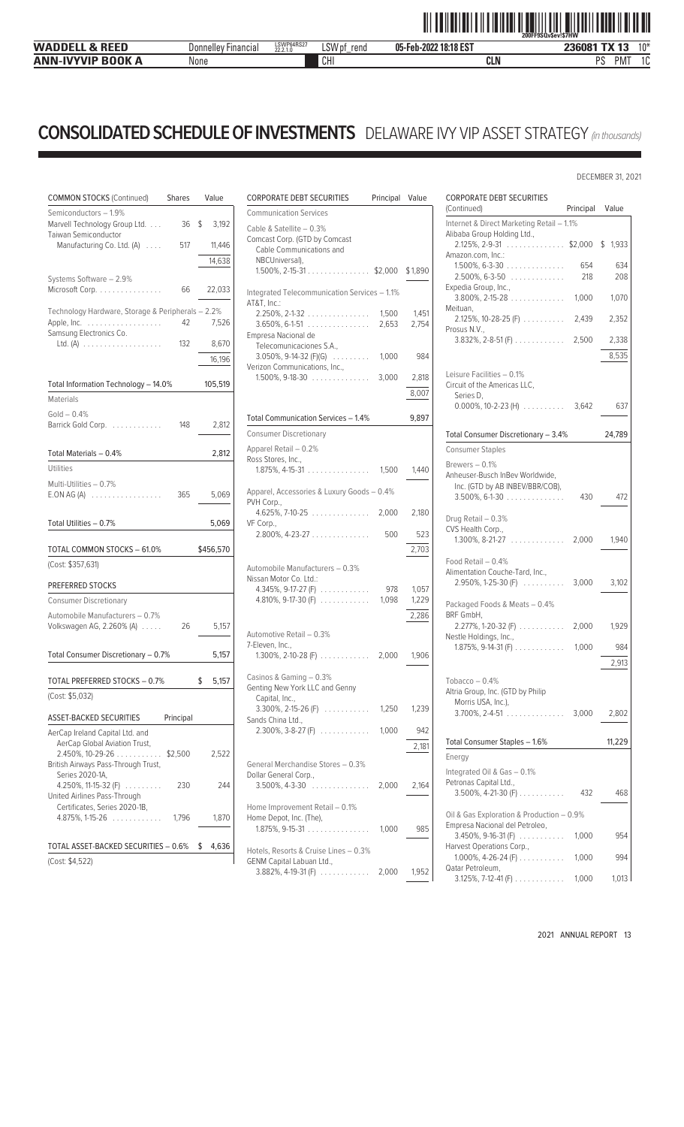|                           |                            |                        |                |                       | 200FF9SOvSevIS7HW                   |
|---------------------------|----------------------------|------------------------|----------------|-----------------------|-------------------------------------|
| <b>WADDELL &amp; REED</b> | <b>Donnelley Financial</b> | LSWP64RS27<br>22.2.1.0 | LSW pf<br>rend | 05-Feb-2022 18:18 EST | 236081 TX 13<br>$10*$               |
| <b>ANN-IVYVIP BOOK A</b>  | None                       |                        | CHI            | <b>CLN</b>            | <b>PMT</b><br>PS<br>$1^\circ$<br>ΙU |

| <b>COMMON STOCKS (Continued)</b>                                                         | <b>Shares</b> | Value       |
|------------------------------------------------------------------------------------------|---------------|-------------|
| Semiconductors-1.9%<br>Marvell Technology Group Ltd.                                     | 36            | \$<br>3,192 |
| Taiwan Semiconductor<br>Manufacturing Co. Ltd. (A)                                       | 517           | 11,446      |
|                                                                                          |               | 14,638      |
| Systems Software - 2.9%<br>Microsoft Corp.                                               | 66            | 22,033      |
| Technology Hardware, Storage & Peripherals - 2.2%                                        |               |             |
| Apple, Inc. $\ldots \ldots \ldots \ldots \ldots$<br>Samsung Electronics Co.              | -42           | 7,526       |
|                                                                                          | 132           | 8,670       |
|                                                                                          |               | 16,196      |
| Total Information Technology - 14.0%                                                     |               | 105,519     |
| <b>Materials</b>                                                                         |               |             |
| $Gold - 0.4%$                                                                            |               |             |
| Barrick Gold Corp.                                                                       | 148           | 2,812       |
| Total Materials - 0.4%                                                                   |               | 2,812       |
| Utilities                                                                                |               |             |
| Multi-Utilities - 0.7%                                                                   |               |             |
| $E.ONAG(A)$                                                                              | 365           | 5,069       |
|                                                                                          |               |             |
| Total Utilities - 0.7%                                                                   |               | 5,069       |
| TOTAL COMMON STOCKS - 61.0%                                                              |               | \$456,570   |
| (Cost: \$357,631)                                                                        |               |             |
| PREFERRED STOCKS                                                                         |               |             |
| <b>Consumer Discretionary</b>                                                            |               |             |
| Automobile Manufacturers - 0.7%                                                          |               |             |
| Volkswagen AG, 2.260% (A)                                                                | 26            | 5,157       |
| Total Consumer Discretionary - 0.7%                                                      |               |             |
|                                                                                          |               | 5,157       |
| TOTAL PREFERRED STOCKS - 0.7%                                                            |               | \$<br>5,157 |
| (Cost: \$5,032)                                                                          |               |             |
| <b>ASSET-BACKED SECURITIES</b>                                                           | Principal     |             |
| AerCap Ireland Capital Ltd. and<br>AerCap Global Aviation Trust,<br>$2.450\%$ , 10-29-26 | \$2,500       | 2,522       |
| British Airways Pass-Through Trust,                                                      |               |             |
| Series 2020-1A,<br>4.250%, 11-15-32 (F) $\ldots \ldots$<br>United Airlines Pass-Through  | 230           | 244         |
| Certificates, Series 2020-1B,<br>$4.875\%$ , 1-15-26 $\dots\dots\dots\dots$              | 1,796         | 1,870       |
| TOTAL ASSET-BACKED SECURITIES - 0.6%                                                     |               | \$<br>4,636 |
| $(C_{\text{out}} \notin A \text{ E2})$                                                   |               |             |

| <b>CORPORATE DEBT SECURITIES</b>                                                                        | Principal      | Value          |
|---------------------------------------------------------------------------------------------------------|----------------|----------------|
| <b>Communication Services</b>                                                                           |                |                |
| Cable & Satellite - 0.3%<br>Comcast Corp. (GTD by Comcast<br>Cable Communications and<br>NBCUniversal), |                |                |
| $1.500\%$ , 2-15-31                                                                                     | \$2,000        | \$1,890        |
| Integrated Telecommunication Services - 1.1%<br>AT&T, Inc.:                                             |                |                |
| $2.250\%$ , 2-1-32<br>3.650%, 6-1-51<br>Empresa Nacional de                                             | 1,500<br>2,653 | 1,451<br>2,754 |
| Telecomunicaciones S.A.,<br>$3.050\%$ , 9-14-32 (F)(G) $\ldots \ldots$                                  | 1,000          | 984            |
| Verizon Communications, Inc.,<br>$1.500\%$ , 9-18-30                                                    | 3,000          | 2,818          |
|                                                                                                         |                | 8,007          |
| Total Communication Services - 1.4%                                                                     |                | 9,897          |
| <b>Consumer Discretionary</b>                                                                           |                |                |
| Apparel Retail - 0.2%<br>Ross Stores, Inc.,                                                             |                |                |
| 1.875%, 4-15-31                                                                                         | 1,500          | 1,440          |
| Apparel, Accessories & Luxury Goods - 0.4%<br>PVH Corp.,                                                |                |                |
| $4.625\%$ , $7-10-25$<br>VF Corp.,                                                                      | 2,000          | 2,180          |
| $2.800\%$ , 4-23-27                                                                                     | 500            | 523            |
|                                                                                                         |                | 2,703          |
| Automobile Manufacturers - 0.3%                                                                         |                |                |
| Nissan Motor Co. Ltd.:<br>4.345%, $9-17-27$ (F)                                                         | 978            | 1,057          |
| 4.810%, $9-17-30$ (F) $\ldots \ldots \ldots$                                                            | 1,098          | 1,229          |
|                                                                                                         |                | 2,286          |
| Automotive Retail - 0.3%<br>7-Eleven, Inc.,                                                             |                |                |
| 1.300%, $2-10-28$ (F) $\ldots \ldots \ldots$                                                            | 2,000          | 1,906          |
| Casinos & Gaming - 0.3%<br>Genting New York LLC and Genny                                               |                |                |
| Capital, Inc.,<br>$3.300\%$ , 2-15-26 (F)                                                               | 1,250          | 1,239          |
| Sands China Ltd.,<br>$2.300\%$ , $3-8-27$ (F) $\ldots \ldots \ldots$                                    | 1,000          | 942            |
|                                                                                                         |                | 2,181          |
| General Merchandise Stores - 0.3%                                                                       |                |                |
| Dollar General Corp.,<br>$3.500\%$ , 4-3-30 $\dots$<br>.                                                | 2,000          | 2,164          |
| Home Improvement Retail - 0.1%                                                                          |                |                |
| Home Depot, Inc. (The),<br>$1.875\%$ , 9-15-31                                                          | 1,000          | 985            |
| Hotels, Resorts & Cruise Lines - 0.3%                                                                   |                |                |
| GENM Capital Labuan Ltd.,<br>$3.882\%$ , 4-19-31 (F) $\ldots \ldots \ldots 2,000$                       |                | 1,952          |
|                                                                                                         |                |                |

| Internet & Direct Marketing Retail - 1.1%                                                                        |            |                   |
|------------------------------------------------------------------------------------------------------------------|------------|-------------------|
| Alibaba Group Holding Ltd.,<br>$2.125\%$ , 2-9-31                                                                |            | $$2,000$ \$ 1,933 |
| Amazon.com, Inc.:<br>$1.500\%$ , 6-3-30 $\dots\dots\dots\dots\dots$<br>$2.500\%$ , 6-3-50 $\dots\dots\dots\dots$ | 654<br>218 | 634<br>208        |
| Expedia Group, Inc.,<br>$3.800\%$ , 2-15-28                                                                      | 1,000      | 1,070             |
| Meituan.<br>$2.125\%$ , 10-28-25 (F)                                                                             | 2,439      | 2,352             |
| Prosus N.V.,<br>$3.832\%$ , $2-8-51$ (F) $\ldots \ldots \ldots$                                                  | 2,500      | 2,338             |
|                                                                                                                  |            | 8,535             |
| Leisure Facilities - 0.1%                                                                                        |            |                   |
| Circuit of the Americas LLC,                                                                                     |            |                   |
| Series D.<br>$0.000\%$ , 10-2-23 (H) $\ldots \ldots \ldots$ 3,642                                                |            | 637               |
| Total Consumer Discretionary - 3.4%                                                                              |            | 24,789            |
| <b>Consumer Staples</b>                                                                                          |            |                   |
| Brewers $-0.1%$<br>Anheuser-Busch InBev Worldwide,<br>Inc. (GTD by AB INBEV/BBR/COB),                            |            |                   |
| $3.500\%$ , 6-1-30                                                                                               | 430        | 472               |
| Drug Retail - 0.3%<br>CVS Health Corp.,<br>$1.300\%$ , 8-21-27                                                   | 2,000      | 1,940             |
|                                                                                                                  |            |                   |
| Food Retail - 0.4%<br>Alimentation Couche-Tard, Inc.,<br>$2.950\%$ , 1-25-30 (F) $\ldots \ldots \ldots$          | 3,000      | 3,102             |
| Packaged Foods & Meats - 0.4%                                                                                    |            |                   |
| BRF GmbH,<br>$2.277\%$ , 1-20-32 (F)                                                                             | 2,000      | 1,929             |
| Nestle Holdings, Inc.,<br>$1.875\%$ , 9-14-31 (F)                                                                | 1,000      | 984               |
|                                                                                                                  |            | 2,913             |
| Tobacco $-0.4%$<br>Altria Group, Inc. (GTD by Philip                                                             |            |                   |
| Morris USA, Inc.),<br>$3.700\%$ , 2-4-51                                                                         | 3,000      | 2,802             |
| Total Consumer Staples - 1.6%                                                                                    |            | 11,229            |
| Energy                                                                                                           |            |                   |
| Integrated Oil & Gas - 0.1%                                                                                      |            |                   |
| Petronas Capital Ltd.,<br>$3.500\%$ , 4-21-30 (F)                                                                | 432        | 468               |
| Oil & Gas Exploration & Production - 0.9%                                                                        |            |                   |
| Empresa Nacional del Petroleo,<br>$3.450\%$ , 9-16-31 (F) $\ldots \ldots \ldots$                                 | 1,000      | 954               |
| Harvest Operations Corp.,<br>1.000%, 4-26-24 (F)                                                                 | 1,000      | 994               |
| Qatar Petroleum,<br>3.125%, 7-12-41 (F)                                                                          | 1,000      | 1,013             |

DECEMBER 31, 2021

Principal Value

CORPORATE DEBT SECURITIES<br>(Continued)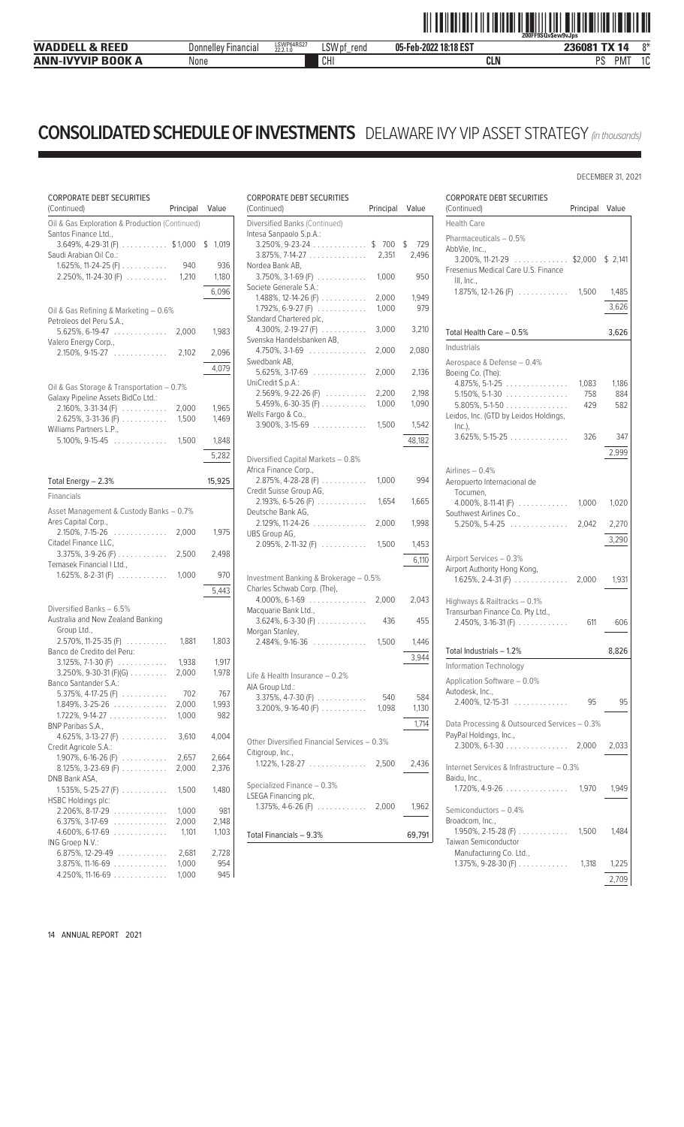|                           |                            |                        |                | <u> Litter (1988)</u> | III<br>VIIII<br>200FF9SQvSew9vJps |
|---------------------------|----------------------------|------------------------|----------------|-----------------------|-----------------------------------|
| <b>WADDELL &amp; REED</b> | <b>Donnelley Financial</b> | LSWP64RS27<br>22.2.1.0 | LSW pf<br>rend | 05-Feb-2022 18:18 EST | $8*$<br><b>TX 14</b><br>236081    |
| <b>ANN-IVYVIP BOOK A</b>  | None                       |                        | CH             | CLN                   | PMT<br>PS<br>10<br>ιu             |

### CORPORATE DEBT SECURITIES

| (Continued)                                                                          | Principal      | Value          |
|--------------------------------------------------------------------------------------|----------------|----------------|
| Oil & Gas Exploration & Production (Continued)<br>Santos Finance Ltd.,               |                |                |
| $3.649\%$ , 4-29-31 (F) $\ldots \ldots \ldots$ \$1,000<br>Saudi Arabian Oil Co.:     |                | \$<br>1,019    |
| 1.625%, 11-24-25 (F) $\ldots$<br>$2.250\%$ , 11-24-30 (F) $\ldots \ldots \ldots$     | 940<br>1,210   | 936<br>1,180   |
|                                                                                      |                | 6,096          |
| Oil & Gas Refining & Marketing - 0.6%<br>Petroleos del Peru S.A.,                    |                |                |
| $5.625\%$ , 6-19-47<br>Valero Energy Corp.,                                          | 2,000          | 1,983          |
| 2.150%, 9-15-27<br>dia a a a a a a                                                   | 2,102          | 2,096          |
|                                                                                      |                | 4,079          |
| Oil & Gas Storage & Transportation - 0.7%                                            |                |                |
| Galaxy Pipeline Assets BidCo Ltd.:<br>$2.160\%$ , 3-31-34 (F) $\ldots \ldots \ldots$ | 2,000          | 1,965          |
| $2.625\%$ , 3-31-36 (F) $\ldots \ldots \ldots$<br>Williams Partners L.P.,            | 1,500          | 1,469          |
| $5.100\%$ , 9-15-45                                                                  | 1,500          | 1,848          |
|                                                                                      |                | 5,282          |
| Total Energy - 2.3%                                                                  |                | 15,925         |
| Financials                                                                           |                |                |
| Asset Management & Custody Banks - 0.7%<br>Ares Capital Corp.,                       |                |                |
| 2.150%, 7-15-26<br>.<br>Citadel Finance LLC,                                         | 2,000          | 1,975          |
| $3.375\%$ , $3-9-26$ (F)<br>Temasek Financial I Ltd.,                                | 2,500          | 2,498          |
| $1.625\%$ , 8-2-31 (F) $\ldots \ldots \ldots$                                        | 1,000          | 970            |
|                                                                                      |                | 5,443          |
| Diversified Banks - 6.5%                                                             |                |                |
| Australia and New Zealand Banking<br>Group Ltd.,                                     |                |                |
| $2.570\%$ , 11-25-35 (F)<br>Banco de Credito del Peru:                               | 1,881          | 1,803          |
| $3.125\%$ , 7-1-30 (F)                                                               | 1,938          | 1,917          |
| $3.250\%$ , 9-30-31 (F)(G) $\ldots \ldots \ldots$<br>Banco Santander S.A.:           | 2,000          | 1,978          |
| $5.375\%$ , 4-17-25 (F) $\ldots \ldots \ldots$                                       | 702            | 767            |
| $1.849\%$ , $3-25-26$<br>$1.722\%$ , 9-14-27                                         | 2,000<br>1,000 | 1,993<br>982   |
| BNP Paribas S.A.,<br>4.625%, 3-13-27 (F) $\ldots \ldots \ldots$                      | 3,610          | 4,004          |
| Credit Agricole S.A.:                                                                |                |                |
| 1.907%, 6-16-26 (F)<br>.<br>$8.125\%$ , 3-23-69 (F)                                  | 2,657<br>2,000 | 2,664<br>2,376 |
| DNB Bank ASA,<br>1.535%, 5-25-27 (F) $\ldots$                                        | 1,500          | 1,480          |
| <b>HSBC Holdings plc:</b><br>2.206%, 8-17-29<br>.                                    | 1,000          | 981            |
| 6.375%, 3-17-69<br>.                                                                 | 2,000          | 2,148          |
| 4.600%, 6-17-69<br>.<br>ING Groep N.V.:                                              | 1,101          | 1,103          |
| $6.875\%$ , 12-29-49 $\dots\dots\dots\dots$<br>3.875%, 11-16-69<br>.                 | 2,681<br>1,000 | 2,728<br>954   |
| $4.250\%$ , 11-16-69                                                                 | 1,000          | 945            |

| <b>CORPORATE DEBT SECURITIES</b><br>(Continued)                      | Principal | Value     |
|----------------------------------------------------------------------|-----------|-----------|
| Diversified Banks (Continued)<br>Intesa Sanpaolo S.p.A.:             |           |           |
| $3.250\%$ , 9-23-24 \$ 700                                           |           | \$<br>729 |
| $3.875\%$ , 7-14-27                                                  | 2,351     | 2,496     |
| Nordea Bank AB.                                                      |           |           |
| $3.750\%$ , $3-1-69$ (F)<br>Societe Generale S.A.:                   | 1,000     | 950       |
| 1.488%, 12-14-26 (F) $\ldots$                                        | 2,000     | 1,949     |
| 1.792%, 6-9-27 (F) $\ldots$                                          |           |           |
| Standard Chartered plc,                                              | 1,000     | 979       |
| 4.300%, 2-19-27 (F) $\ldots$                                         | 3,000     | 3,210     |
| Svenska Handelsbanken AB,                                            |           |           |
| $4.750\%$ , $3-1-69$                                                 | 2,000     | 2,080     |
| Swedbank AB,                                                         |           |           |
| $5.625\%, 3-17-69$<br>UniCredit S.p.A.:                              | 2,000     | 2,136     |
| $2.569\%$ , 9-22-26 (F) $\ldots \ldots \ldots$                       | 2,200     | 2,198     |
| 5.459%, 6-30-35 (F) $\ldots$                                         | 1,000     | 1,090     |
| Wells Fargo & Co.,                                                   |           |           |
| $3.900\%$ , $3-15-69$                                                | 1,500     | 1,542     |
|                                                                      |           | 48,182    |
|                                                                      |           |           |
| Diversified Capital Markets - 0.8%                                   |           |           |
| Africa Finance Corp.,                                                |           |           |
| $2.875\%$ , 4-28-28 (F)                                              | 1,000     | 994       |
| Credit Suisse Group AG,                                              |           |           |
| $2.193\%$ , 6-5-26 (F) $\ldots$                                      | 1,654     | 1,665     |
| Deutsche Bank AG,                                                    |           |           |
| $2.129\%$ , 11-24-26                                                 | 2,000     | 1,998     |
| UBS Group AG,                                                        |           |           |
| $2.095\%$ , 2-11-32 (F) $\ldots$                                     | 1,500     | 1,453     |
|                                                                      |           |           |
|                                                                      |           | 6,110     |
|                                                                      |           |           |
| Investment Banking & Brokerage - 0.5%<br>Charles Schwab Corp. (The), |           |           |
| $4.000\%$ , 6-1-69                                                   |           |           |
|                                                                      | 2,000     | 2,043     |
| Macquarie Bank Ltd.,                                                 | 436       |           |
| $3.624\%$ , 6-3-30 (F)                                               |           | 455       |
| Morgan Stanley,                                                      |           |           |
| $2.484\%, 9-16-36 \dots \dots \dots \dots$                           | 1,500     | 1,446     |
|                                                                      |           | 3,944     |
|                                                                      |           |           |
| Life & Health Insurance - 0.2%                                       |           |           |
| AIA Group Ltd.:                                                      |           |           |
| $3.375\%$ , 4-7-30 (F) $\ldots$                                      | 540       | 584       |
| $3.200\%$ , 9-16-40 (F) $\dots \dots \dots$                          | 1,098     | 1,130     |
|                                                                      |           | 1,714     |
|                                                                      |           |           |
| Other Diversified Financial Services - 0.3%                          |           |           |
| Citigroup, Inc.,                                                     |           |           |
| 1.122%, 1-28-27<br>.                                                 | 2,500     | 2,436     |
|                                                                      |           |           |
|                                                                      |           |           |
| Specialized Finance - 0.3%                                           |           |           |
| LSEGA Financing plc,                                                 |           |           |
| 1.375%, 4-6-26 (F) $\ldots \ldots \ldots$ 2,000                      |           | 1,962     |
|                                                                      |           |           |
| Total Financials - 9.3%                                              |           | 69,791    |

| <b>CORPORATE DEBT SECURITIES</b><br>(Continued)                                                                                                                                             | Principal Value     |                     |
|---------------------------------------------------------------------------------------------------------------------------------------------------------------------------------------------|---------------------|---------------------|
| <b>Health Care</b><br>Pharmaceuticals - 0.5%                                                                                                                                                |                     |                     |
| AbbVie, Inc.,<br>$3.200\%$ , 11-21-29 $\dots\dots\dots\dots$ \$2,000<br>Fresenius Medical Care U.S. Finance<br>III, Inc.,                                                                   |                     | \$2,141             |
| $1.875\%$ , 12-1-26 (F) $\ldots \ldots \ldots \ldots$ 1,500                                                                                                                                 |                     | 1,485<br>3,626      |
| Total Health Care - 0.5%                                                                                                                                                                    |                     | 3,626               |
| Industrials                                                                                                                                                                                 |                     |                     |
| Aerospace & Defense - 0.4%<br>Boeing Co. (The):<br>$4.875\%$ , 5-1-25<br>$5.150\%$ , 5-1-30 $\dots\dots\dots\dots\dots\dots$<br>$5.805\%$ , 5-1-50<br>Leidos, Inc. (GTD by Leidos Holdings, | 1,083<br>758<br>429 | 1,186<br>884<br>582 |
| lnc.),<br>$3.625\%$ , 5-15-25,                                                                                                                                                              | 326                 | 347<br>2,999        |
| Airlines - 0.4%<br>Aeropuerto Internacional de<br>Tocumen,                                                                                                                                  |                     |                     |
| 4.000%, 8-11-41 (F) $\ldots \ldots \ldots$<br>Southwest Airlines Co.,                                                                                                                       | 1,000               | 1,020               |
| $5.250\%$ , 5-4-25                                                                                                                                                                          | 2,042               | 2,270               |
|                                                                                                                                                                                             |                     | 3,290               |
| Airport Services - 0.3%<br>Airport Authority Hong Kong,<br>$1.625\%$ , 2-4-31 (F) $\ldots \ldots \ldots$                                                                                    | 2,000               | 1,931               |
| Highways & Railtracks - 0.1%<br>Transurban Finance Co. Pty Ltd.,<br>$2.450\%$ , $3-16-31$ (F) $\ldots \ldots \ldots$                                                                        | 611                 | 606                 |
| Total Industrials - 1.2%                                                                                                                                                                    |                     | 8,826               |
| Information Technology                                                                                                                                                                      |                     |                     |
| Application Software - 0.0%<br>Autodesk, Inc.,<br>$2.400\%$ , 12-15-31 $\dots$                                                                                                              | 95                  | 95                  |
| Data Processing & Outsourced Services - 0.3%<br>PayPal Holdings, Inc.,<br>$2.300\%$ , 6-1-30                                                                                                | 2,000               | 2,033               |
| Internet Services & Infrastructure - 0.3%                                                                                                                                                   |                     |                     |
| Baidu, Inc.,<br>1.720%, 4-9-26                                                                                                                                                              | 1,970               | 1,949               |
| Semiconductors - 0.4%<br>Broadcom, Inc.,<br>$1.950\%$ , 2-15-28 (F)<br>Taiwan Semiconductor                                                                                                 | 1,500               | 1,484               |
| Manufacturing Co. Ltd.,<br>1.375%, $9-28-30$ (F) $\ldots \ldots \ldots$                                                                                                                     | 1,318               | 1,225<br>2,709      |

DECEMBER 31, 2021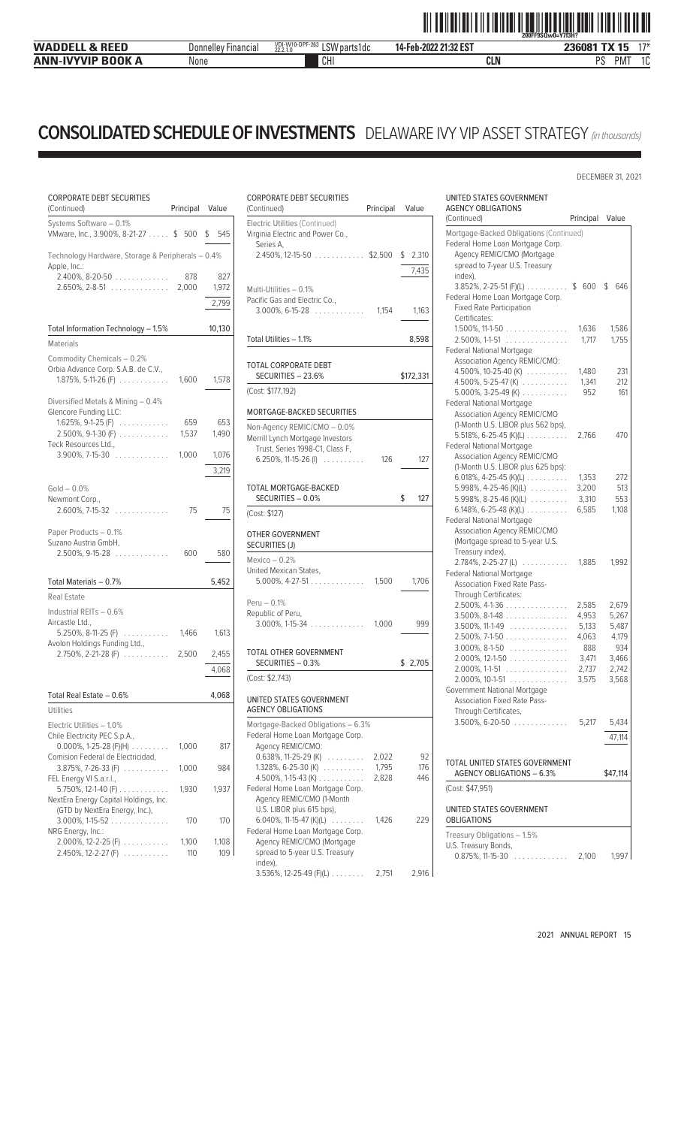|                           |                            |                              |                       | $\parallel \parallel \parallel$<br><u> Lindari III ma'lumot</u><br><b>TITULITII</b><br>200FF9SQw0=Y7f3H? |
|---------------------------|----------------------------|------------------------------|-----------------------|----------------------------------------------------------------------------------------------------------|
| <b>WADDELL &amp; REED</b> | <b>Donnelley Financial</b> | VDI-W10-DPF-263 LSW parts1dc | 14-Feb-2022 21:32 EST | 236081 TX 15<br>$17*$                                                                                    |
| <b>ANN-IVYVIP BOOK A</b>  | None                       | CHI                          | CLN                   | PMT<br>PS<br>10<br>ΙU                                                                                    |

| <b>CORPORATE DEBT SECURITIES</b><br>(Continued)                                                                     | Principal    | Value        |
|---------------------------------------------------------------------------------------------------------------------|--------------|--------------|
| Systems Software - 0.1%<br>VMware, Inc., 3.900%, 8-21-27 \$                                                         | 500          | \$<br>545    |
| Technology Hardware, Storage & Peripherals - 0.4%<br>Apple, Inc.:                                                   |              |              |
| $2.400\%$ , $8-20-50$<br>$2.650\%$ , 2-8-51                                                                         | 878<br>2,000 | 827<br>1,972 |
|                                                                                                                     |              | 2,799        |
| Total Information Technology - 1.5%                                                                                 |              | 10,130       |
| <b>Materials</b>                                                                                                    |              |              |
| Commodity Chemicals - 0.2%<br>Orbia Advance Corp. S.A.B. de C.V.,<br>$1.875\%$ , 5-11-26 (F) $\ldots \ldots \ldots$ | 1,600        | 1,578        |
| Diversified Metals & Mining - 0.4%                                                                                  |              |              |
| Glencore Funding LLC:<br>$1.625\%$ , 9-1-25 (F)<br>$2.500\%$ , 9-1-30 (F)<br>Teck Resources Ltd.,                   | 659<br>1,537 | 653<br>1.490 |
| $3.900\%$ , 7-15-30                                                                                                 | 1,000        | 1.076        |
|                                                                                                                     |              | 3,219        |
| Gold $-0.0\%$                                                                                                       |              |              |
| Newmont Corp.,<br>2.600%, 7-15-32                                                                                   | 75           | 75           |
| Paper Products - 0.1%<br>Suzano Austria GmbH,<br>$2.500\%$ , 9-15-28                                                | 600          | 580          |
| Total Materials - 0.7%                                                                                              |              | 5,452        |
| <b>Real Estate</b>                                                                                                  |              |              |
| Industrial REITs - 0.6%<br>Aircastle Ltd.,                                                                          |              |              |
| $5.250\%$ , $8-11-25$ (F) $\ldots \ldots \ldots$<br>Avolon Holdings Funding Ltd.,                                   | 1,466        | 1,613        |
| $2.750\%$ , 2-21-28 (F)                                                                                             | 2,500        | 2.455        |
|                                                                                                                     |              | 4,068        |
| Total Real Estate - 0.6%                                                                                            |              | 4,068        |
| Utilities                                                                                                           |              |              |
| Electric Utilities - 1.0%                                                                                           |              |              |
| Chile Electricity PEC S.p.A.,<br>$0.000\%$ , 1-25-28 (F)(H)                                                         | 1,000        | 817          |
| Comision Federal de Electricidad,<br>$3.875\%$ , 7-26-33 (F) $\ldots$                                               | 1,000        | 984          |
| FEL Energy VI S.a.r.l.,<br>5.750%, 12-1-40 (F) $\ldots \ldots \ldots$<br>NextEra Energy Capital Holdings, Inc.      | 1,930        | 1,937        |
| (GTD by NextEra Energy, Inc.),<br>$3.000\%$ , 1-15-52                                                               | 170          | 170          |
| NRG Energy, Inc.:<br>2.000%, 12-2-25 (F)<br>$2.450\%$ , 12-2-27 (F) $\ldots \ldots \ldots$                          | 1,100<br>110 | 1,108<br>109 |

| <b>CORPORATE DEBT SECURITIES</b><br>(Continued)                                                             | Principal | Value       |
|-------------------------------------------------------------------------------------------------------------|-----------|-------------|
| Electric Utilities (Continued)<br>Virginia Electric and Power Co.,<br>Series A.                             |           |             |
| $2.450\%$ , 12-15-50                                                                                        | \$2,500   | \$<br>2,310 |
| Multi-Utilities - 0.1%                                                                                      |           | 7,435       |
| Pacific Gas and Electric Co.,<br>$3.000\%$ , 6-15-28                                                        | 1.154     | 1,163       |
| Total Utilities - 1.1%                                                                                      |           | 8,598       |
| <b>TOTAL CORPORATE DEBT</b>                                                                                 |           |             |
| SECURITIES - 23.6%                                                                                          |           | \$172,331   |
| (Cost: \$177,192)                                                                                           |           |             |
| MORTGAGE-BACKED SECURITIES                                                                                  |           |             |
| Non-Agency REMIC/CMO - 0.0%<br>Merrill Lynch Mortgage Investors<br>Trust, Series 1998-C1, Class F,          |           |             |
| $6.250\%$ , 11-15-26 (I)                                                                                    | 126       | 127         |
| <b>TOTAL MORTGAGE-BACKED</b><br>SECURITIES - 0.0%                                                           |           | \$<br>127   |
| (Cost: \$127)                                                                                               |           |             |
| OTHER GOVERNMENT<br>SECURITIES (J)                                                                          |           |             |
| $Mexico - 0.2%$                                                                                             |           |             |
| United Mexican States,<br>$5.000\%$ , 4-27-51                                                               | 1,500     | 1,706       |
| Peru $-0.1%$                                                                                                |           |             |
| Republic of Peru,<br>$3.000\%$ , 1-15-34 $\dots$                                                            | 1,000     | 999         |
| <b>TOTAL OTHER GOVERNMENT</b><br>SECURITIES - 0.3%                                                          |           | \$2,705     |
| (Cost: \$2,743)                                                                                             |           |             |
| UNITED STATES GOVERNMENT                                                                                    |           |             |
| <b>AGENCY OBLIGATIONS</b>                                                                                   |           |             |
| Mortgage-Backed Obligations - 6.3%<br>Federal Home Loan Mortgage Corp.                                      |           |             |
| Agency REMIC/CMO:<br>$0.638\%$ , 11-25-29 (K)                                                               | 2,022     | 92          |
| 1.328%, 6-25-30 (K) $\ldots$                                                                                | 1,795     | 176         |
| 4.500%, 1-15-43 (K) $\ldots \ldots \ldots$<br>Federal Home Loan Mortgage Corp.<br>Agency REMIC/CMO (1-Month | 2.828     | 446         |
| U.S. LIBOR plus 615 bps),<br>6.040%, 11-15-47 $(K)(L)$                                                      | 1,426     | 229         |
| Federal Home Loan Mortgage Corp.<br>Agency REMIC/CMO (Mortgage<br>spread to 5-year U.S. Treasury            |           |             |
| index),<br>$3.536\%$ , 12-25-49 (F)(L) $\ldots \ldots$ 2,751                                                |           | 2,916       |

| UNITED STATES GOVERNMENT<br><b>AGENCY OBLIGATIONS</b>                                                                                                  |                |                |
|--------------------------------------------------------------------------------------------------------------------------------------------------------|----------------|----------------|
| (Continued)                                                                                                                                            | Principal      | Value          |
| Mortgage-Backed Obligations (Continued)<br>Federal Home Loan Mortgage Corp.<br>Agency REMIC/CMO (Mortgage<br>spread to 7-year U.S. Treasury<br>index), |                |                |
| $3.852\%$ , 2-25-51 (F)(L)<br>Federal Home Loan Mortgage Corp.<br><b>Fixed Rate Participation</b><br>Certificates:                                     | \$600          | \$<br>646      |
| 1.500%, 11-1-50<br>2.500%, 1-1-51<br>Federal National Mortgage<br>Association Agency REMIC/CMO:                                                        | 1,636<br>1,717 | 1,586<br>1,755 |
| 4.500%, 10-25-40 (K) $\ldots$                                                                                                                          | 1,480          | 231            |
| 4.500%, 5-25-47 (K) $\ldots$                                                                                                                           | 1,341          | 212            |
| $5.000\%$ , 3-25-49 (K)<br>Federal National Mortgage<br>Association Agency REMIC/CMO<br>(1-Month U.S. LIBOR plus 562 bps),                             | 952            | 161            |
| $5.518\%$ , 6-25-45 (K)(L)<br>Federal National Mortgage<br>Association Agency REMIC/CMO<br>(1-Month U.S. LIBOR plus 625 bps):                          | 2,766          | 470            |
| 6.018%, 4-25-45 $(K)(L)$                                                                                                                               | 1,353          | 272            |
| 5.998%, 4-25-46 $(K)(L)$                                                                                                                               | 3,200          | 513            |
| 5.998%, 8-25-46 (K)(L) $\ldots \ldots$                                                                                                                 | 3,310          | 553            |
| 6.148%, 6-25-48 $(K)(L)$<br>Federal National Mortgage<br>Association Agency REMIC/CMO<br>(Mortgage spread to 5-year U.S.<br>Treasury index),           | 6,585          | 1,108          |
| 2.784%, 2-25-27 (L)<br>.<br>Federal National Mortgage<br><b>Association Fixed Rate Pass-</b><br>Through Certificates:                                  | 1,885          | 1,992          |
| $2.500\%$ , 4-1-36                                                                                                                                     | 2,585          | 2,679          |
| $3.500\%$ , $8-1-48$                                                                                                                                   | 4,953          | 5,267          |
| 3.500%, 11-1-49<br>.                                                                                                                                   | 5,133          | 5,487          |
| $2.500\%$ , 7-1-50                                                                                                                                     | 4,063          | 4,179          |
| 3.000%, 8-1-50<br>.                                                                                                                                    | 888            | 934            |
| $2.000\%$ , 12-1-50                                                                                                                                    | 3,471          | 3,466          |
| 2.000%, 1-1-51<br>.                                                                                                                                    | 2,737          | 2,742          |
| 2.000%, 10-1-51<br>.<br>Government National Mortgage<br><b>Association Fixed Rate Pass-</b><br>Through Certificates,                                   | 3,575          | 3,568          |
| $3.500\%$ , 6-20-50 $\ldots$<br>1.1.1.1.1                                                                                                              | 5,217          | 5,434          |
|                                                                                                                                                        |                |                |
|                                                                                                                                                        |                | 47,114         |
| TOTAL UNITED STATES GOVERNMENT<br>AGENCY OBLIGATIONS - 6.3%                                                                                            |                | \$47,114       |
| (Cost: \$47,951)                                                                                                                                       |                |                |
| UNITED STATES GOVERNMENT<br><b>OBLIGATIONS</b>                                                                                                         |                |                |
| Treasury Obligations - 1.5%<br>U.S. Treasury Bonds,                                                                                                    |                |                |
| 0.875%, 11-15-30<br>1.1.1.1.1.1.1                                                                                                                      | 2,100          | 1,997          |

DECEMBER 31, 2021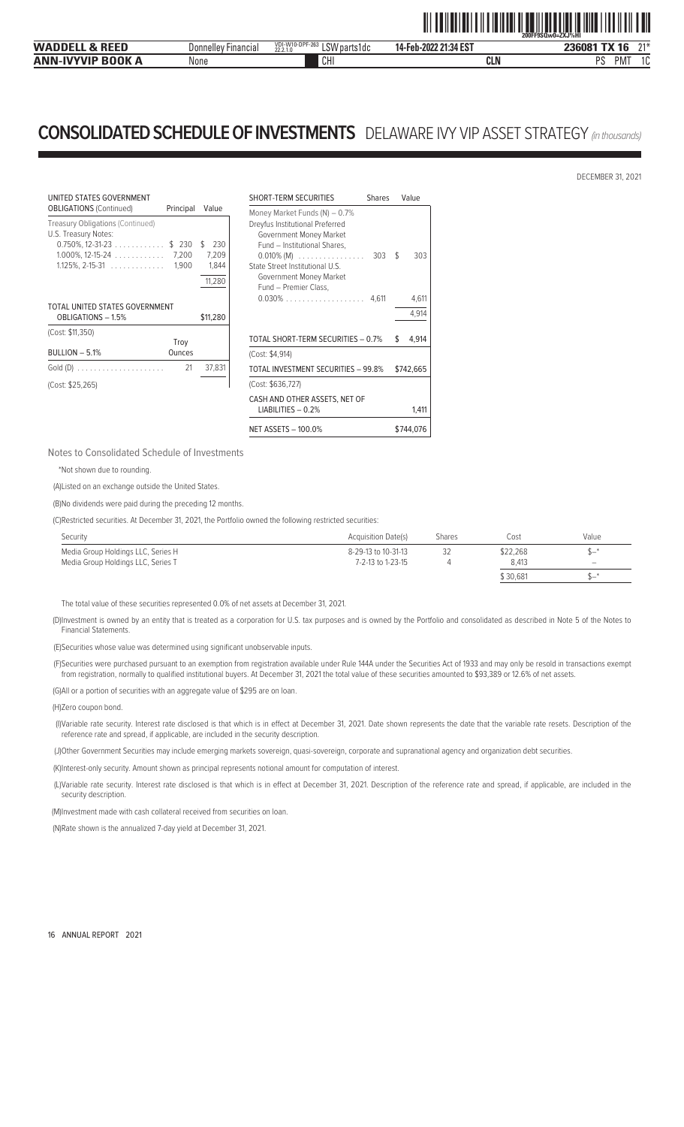| <b>WADDELL</b><br><b>REED</b><br>$\bullet$<br>$\alpha$ | Donnelley<br>' Financial | VDI-W10-DPF-263<br>LSW parts1dc<br>22.2.1.0 | 14-Feb-2022 21:34 EST | 236081<br>$\sim$           | 21 <sup>2</sup> |
|--------------------------------------------------------|--------------------------|---------------------------------------------|-----------------------|----------------------------|-----------------|
| I-IVYVIP BOOK A<br><b>ANN</b>                          | None                     | PII<br>∵u⊓.                                 | <b>CLN</b>            | DС<br>$D^{\text{A}}$<br>۲M | $\sim$<br>ιu    |
|                                                        |                          |                                             |                       |                            |                 |

TIT TO HOLLOID II HI HI HOLLOID II OO HI HI HI HI HI HI HI HI TIHA

DECEMBER 31, 2021

## **CONSOLIDATED SCHEDULE OF INVESTMENTS** DELAWARE IVY VIP ASSET STRATEGY (in thousands)

|                                                               | <b>SHORT-TERM SECURITIE</b>                                                                                                                                                                                                         |
|---------------------------------------------------------------|-------------------------------------------------------------------------------------------------------------------------------------------------------------------------------------------------------------------------------------|
| \$230<br><sup>\$</sup><br>$1.000\%$ , 12-15-24 7,200<br>1,900 | Money Market Funds (N)<br>Dreyfus Institutional Prefe<br>Government Money M<br>Fund - Institutional Sh<br>$0.010\%$ (M) $\ldots \ldots$<br>State Street Institutional I<br>Government Money M<br>Fund - Premier Class,<br>$0.030\%$ |
| TOTAL UNITED STATES GOVERNMENT                                |                                                                                                                                                                                                                                     |
|                                                               | <b>TOTAL SHORT-TERM SEQ</b>                                                                                                                                                                                                         |
| Ounces                                                        | (Cost: \$4,914)                                                                                                                                                                                                                     |
| 21                                                            | <b>TOTAL INVESTMENT SEC</b>                                                                                                                                                                                                         |
|                                                               |                                                                                                                                                                                                                                     |
|                                                               | Principal<br>Value<br>230<br>7,209<br>1,844<br>11,280<br>\$11,280<br>Troy<br>37,831                                                                                                                                                 |

| SHORT-TERM SECURITIES                                                                                                                                                                | <b>Shares</b> | Value |           |
|--------------------------------------------------------------------------------------------------------------------------------------------------------------------------------------|---------------|-------|-----------|
| Money Market Funds $(N) - 0.7\%$<br>Dreyfus Institutional Preferred<br>Government Money Market<br>Fund - Institutional Shares,<br>$0.010\%$ (M) $\ldots \ldots \ldots \ldots \ldots$ | 303           | \$    | 303       |
| State Street Institutional U.S.<br>Government Money Market<br>Fund - Premier Class,                                                                                                  |               |       |           |
| $0.030\%$                                                                                                                                                                            | 4,611         |       | 4,611     |
|                                                                                                                                                                                      |               |       | 4,914     |
| TOTAL SHORT-TERM SECURITIES - 0.7%                                                                                                                                                   |               | \$    | 4,914     |
| (Cost: \$4,914)                                                                                                                                                                      |               |       |           |
| TOTAL INVESTMENT SECURITIES - 99.8%                                                                                                                                                  |               |       | \$742,665 |
| (Cost: \$636,727)                                                                                                                                                                    |               |       |           |
| CASH AND OTHER ASSETS, NET OF<br>LIABILITIES - 0.2%                                                                                                                                  |               |       | 1,411     |
| <b>NET ASSETS - 100.0%</b>                                                                                                                                                           |               |       | \$744,076 |

Notes to Consolidated Schedule of Investments

\*Not shown due to rounding.

(A)Listed on an exchange outside the United States.

(B)No dividends were paid during the preceding 12 months.

(C)Restricted securities. At December 31, 2021, the Portfolio owned the following restricted securities:

| Security                           | Acquisition Date(s) | <b>Shares</b> | Cost     | Value                    |
|------------------------------------|---------------------|---------------|----------|--------------------------|
| Media Group Holdings LLC, Series H | 8-29-13 to 10-31-13 |               | \$22,268 | $S^{-*}$                 |
| Media Group Holdings LLC, Series T | 7-2-13 to 1-23-15   |               | 8,413    | $\overline{\phantom{0}}$ |
|                                    |                     |               | \$30.681 | $S^{-*}$                 |

The total value of these securities represented 0.0% of net assets at December 31, 2021.

(D)Investment is owned by an entity that is treated as a corporation for U.S. tax purposes and is owned by the Portfolio and consolidated as described in Note 5 of the Notes to Financial Statements.

(E)Securities whose value was determined using significant unobservable inputs.

(F)Securities were purchased pursuant to an exemption from registration available under Rule 144A under the Securities Act of 1933 and may only be resold in transactions exempt from registration, normally to qualified institutional buyers. At December 31, 2021 the total value of these securities amounted to \$93,389 or 12.6% of net assets.

(G)All or a portion of securities with an aggregate value of \$295 are on loan.

(H)Zero coupon bond.

(I)Variable rate security. Interest rate disclosed is that which is in effect at December 31, 2021. Date shown represents the date that the variable rate resets. Description of the reference rate and spread, if applicable, are included in the security description.

(J)Other Government Securities may include emerging markets sovereign, quasi-sovereign, corporate and supranational agency and organization debt securities.

(K)Interest-only security. Amount shown as principal represents notional amount for computation of interest.

(L)Variable rate security. Interest rate disclosed is that which is in effect at December 31, 2021. Description of the reference rate and spread, if applicable, are included in the security description.

(M)Investment made with cash collateral received from securities on loan.

(N)Rate shown is the annualized 7-day yield at December 31, 2021.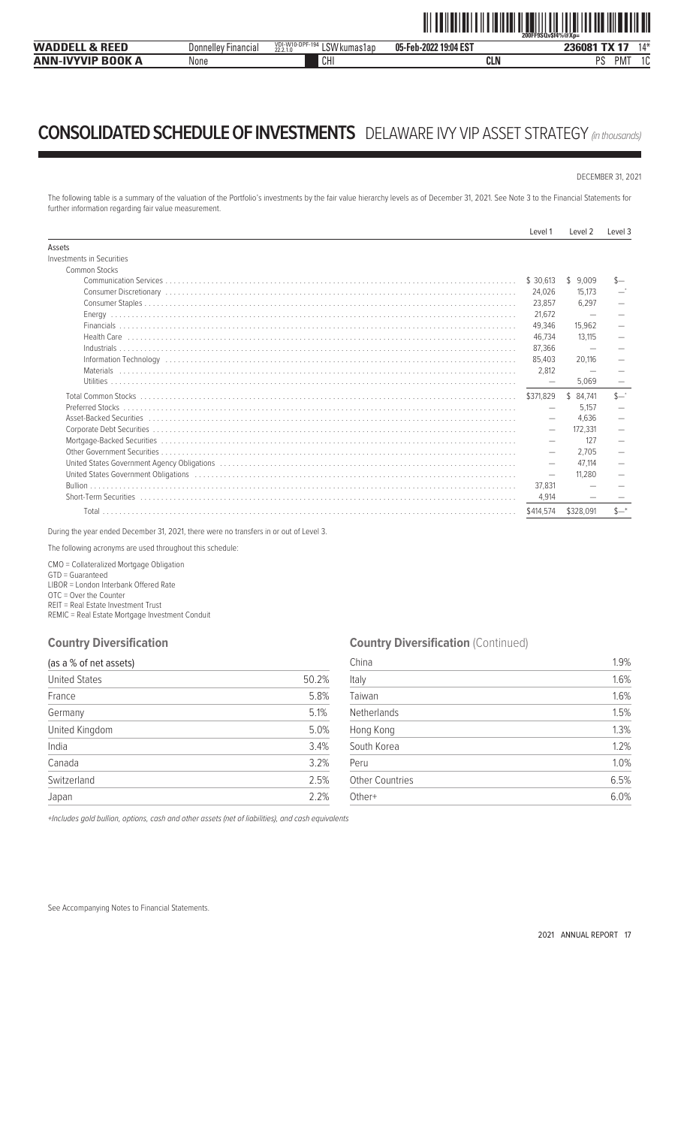|                           |                     |                                          | <b>TILL</b>           | ║║<br><b>TILLET IN THE</b><br>200FF9SQvSf4%@Xp= |
|---------------------------|---------------------|------------------------------------------|-----------------------|-------------------------------------------------|
| <b>WADDELL &amp; REED</b> | Donnelley Financial | VDI-W10-DPF-194 LSW kumas1ap<br>22.2.1.0 | 05-Feb-2022 19:04 EST | $14*$<br>236081 TX 17                           |
| <b>ANN-IVYVIP BOOK A</b>  | None                | CH                                       | <b>CLN</b>            | PS<br><b>PMT</b><br>1C                          |

DECEMBER 31, 2021

The following table is a summary of the valuation of the Portfolio's investments by the fair value hierarchy levels as of December 31, 2021. See Note 3 to the Financial Statements for further information regarding fair value measurement.

|                                                                                                                                                                                                                                | Level 1   | Level 2                | Level 3    |
|--------------------------------------------------------------------------------------------------------------------------------------------------------------------------------------------------------------------------------|-----------|------------------------|------------|
| Assets                                                                                                                                                                                                                         |           |                        |            |
| <b>Investments in Securities</b>                                                                                                                                                                                               |           |                        |            |
| <b>Common Stocks</b>                                                                                                                                                                                                           |           |                        |            |
|                                                                                                                                                                                                                                | \$30.613  | s.<br>9.009            |            |
|                                                                                                                                                                                                                                | 24.026    | 15.173                 |            |
|                                                                                                                                                                                                                                | 23.857    | 6.297                  |            |
|                                                                                                                                                                                                                                | 21,672    |                        |            |
|                                                                                                                                                                                                                                | 49.346    | 15.962                 |            |
| Health Care                                                                                                                                                                                                                    | 46.734    | 13.115                 |            |
|                                                                                                                                                                                                                                | 87,366    |                        |            |
| Information Technology (a) and a contract the control of the control of the control of the control of the control of the control of the control of the control of the control of the control of the control of the control of  | 85.403    | 20.116                 |            |
|                                                                                                                                                                                                                                | 2.812     |                        |            |
|                                                                                                                                                                                                                                |           | 5.069                  |            |
|                                                                                                                                                                                                                                | \$371,829 | $\mathbb{S}$<br>84.741 | $\uparrow$ |
| <b>Preferred Stocks</b>                                                                                                                                                                                                        |           | 5.157                  |            |
|                                                                                                                                                                                                                                |           | 4,636                  |            |
|                                                                                                                                                                                                                                |           | 172.331                |            |
|                                                                                                                                                                                                                                |           | 127                    |            |
|                                                                                                                                                                                                                                |           | 2,705                  |            |
| United States Government Agency Obligations (and the content of the content of the content of the content of the content of the content of the content of the content of the content of the content of the content of the cont |           | 47,114                 |            |
| United States Government Obligations (all contained according to the control of the contact of the contact of the contact of the contact of the contact of the contact of the contact of the contact of the contact of the con |           | 11.280                 |            |
|                                                                                                                                                                                                                                | 37,831    |                        |            |
|                                                                                                                                                                                                                                | 4,914     |                        |            |
|                                                                                                                                                                                                                                | \$414,574 | \$328,091              | $s^{-*}$   |

During the year ended December 31, 2021, there were no transfers in or out of Level 3.

The following acronyms are used throughout this schedule:

CMO = Collateralized Mortgage Obligation GTD = Guaranteed LIBOR = London Interbank Offered Rate

OTC = Over the Counter

REIT = Real Estate Investment Trust

REMIC = Real Estate Mortgage Investment Conduit

## **Country Diversification**

| (as a % of net assets)                                                        |  |
|-------------------------------------------------------------------------------|--|
| $\mathbf{1}$ $\mathbf{1}$ $\mathbf{2}$ $\mathbf{1}$ $\mathbf{3}$ $\mathbf{4}$ |  |

| <b>United States</b> | 50.2% |
|----------------------|-------|
| France               | 5.8%  |
| Germany              | 5.1%  |
| United Kingdom       | 5.0%  |
| India                | 3.4%  |
| Canada               | 3.2%  |
| Switzerland          | 2.5%  |
| Japan                | 2.2%  |
|                      |       |

## **Country Diversification** (Continued)

| China                  | 1.9% |
|------------------------|------|
| Italy                  | 1.6% |
| Taiwan                 | 1.6% |
| <b>Netherlands</b>     | 1.5% |
| Hong Kong              | 1.3% |
| South Korea            | 1.2% |
| Peru                   | 1.0% |
| <b>Other Countries</b> | 6.5% |
| Other+                 | 6.0% |

+Includes gold bullion, options, cash and other assets (net of liabilities), and cash equivalents

See Accompanying Notes to Financial Statements.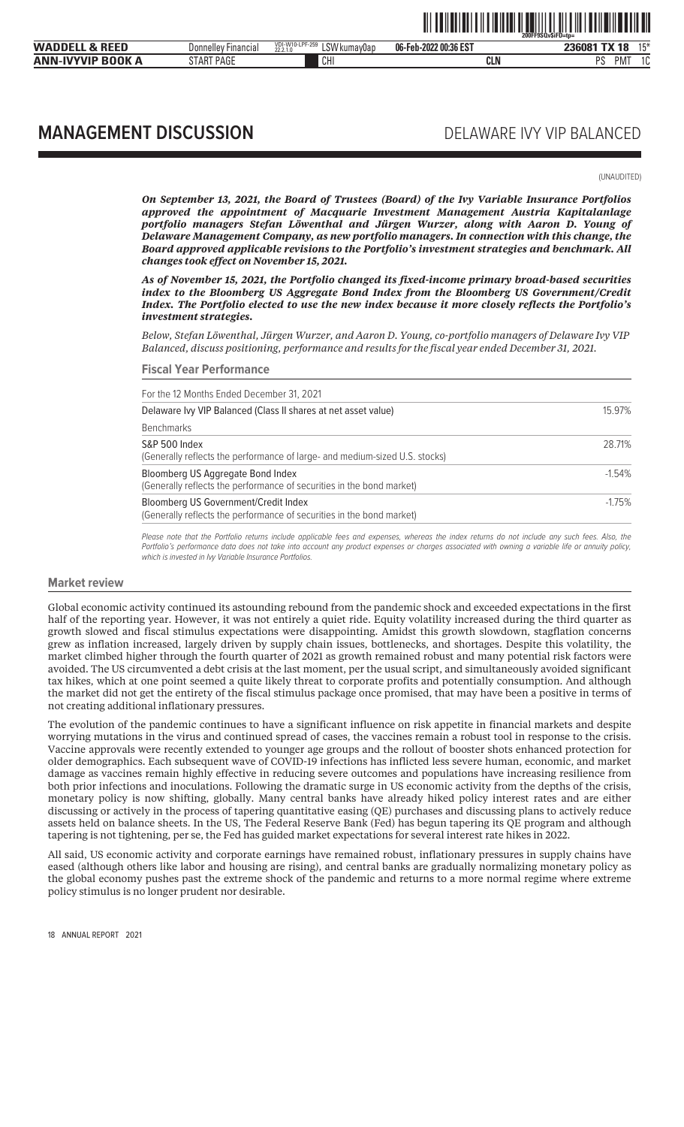|                                             |                               |                                                                        |                       | 200FF9SQvSiFD=tp=     |              |
|---------------------------------------------|-------------------------------|------------------------------------------------------------------------|-----------------------|-----------------------|--------------|
| DEED<br><b>WADDEI</b><br>$\sim$             | Donnelley<br><b>Financial</b> | VDI-W10-LPF-259<br>1011<br>- 2 J J<br>V kumavUap<br>−2 Mn.<br>22.2.1.0 | 06-Feb-2022 00:36 EST | <b>TIME</b><br>236081 | $15*$<br>ט ו |
| $\sim$ ROOK $\prime$<br><b>WVVIP</b><br>ANN | <b>START PAGE</b>             | 011<br>ыл                                                              | <b>CLN</b>            | DC<br>PM <sup>-</sup> | $\sim$       |

## **MANAGEMENT DISCUSSION** DELAWARE IVY VIP BALANCED

ˆ200FF9SQv\$iFD=tp=Š **200FF9SQv\$iFD=tp=**

(UNAUDITED)

*On September 13, 2021, the Board of Trustees (Board) of the Ivy Variable Insurance Portfolios approved the appointment of Macquarie Investment Management Austria Kapitalanlage portfolio managers Stefan Löwenthal and Jürgen Wurzer, along with Aaron D. Young of Delaware Management Company, as new portfolio managers. In connection with this change, the Board approved applicable revisions to the Portfolio's investment strategies and benchmark. All changes took effect on November 15, 2021.*

<span id="page-17-0"></span>*As of November 15, 2021, the Portfolio changed its fixed-income primary broad-based securities index to the Bloomberg US Aggregate Bond Index from the Bloomberg US Government/Credit Index. The Portfolio elected to use the new index because it more closely reflects the Portfolio's investment strategies.*

*Below, Stefan Löwenthal, Jürgen Wurzer, and Aaron D. Young, co-portfolio managers of Delaware Ivy VIP Balanced, discuss positioning, performance and results for the fiscal year ended December 31, 2021.*

**Fiscal Year Performance**

| For the 12 Months Ended December 31, 2021                                                                     |           |
|---------------------------------------------------------------------------------------------------------------|-----------|
| Delaware Ivy VIP Balanced (Class II shares at net asset value)                                                | 15.97%    |
| <b>Benchmarks</b>                                                                                             |           |
| S&P 500 Index<br>(Generally reflects the performance of large- and medium-sized U.S. stocks)                  | 28.71%    |
| Bloomberg US Aggregate Bond Index<br>(Generally reflects the performance of securities in the bond market)    | $-1.54\%$ |
| Bloomberg US Government/Credit Index<br>(Generally reflects the performance of securities in the bond market) | $-1.75%$  |

Please note that the Portfolio returns include applicable fees and expenses, whereas the index returns do not include any such fees. Also, the Portfolio's performance data does not take into account any product expenses or charges associated with owning a variable life or annuity policy, which is invested in Ivy Variable Insurance Portfolios.

### **Market review**

Global economic activity continued its astounding rebound from the pandemic shock and exceeded expectations in the first half of the reporting year. However, it was not entirely a quiet ride. Equity volatility increased during the third quarter as growth slowed and fiscal stimulus expectations were disappointing. Amidst this growth slowdown, stagflation concerns grew as inflation increased, largely driven by supply chain issues, bottlenecks, and shortages. Despite this volatility, the market climbed higher through the fourth quarter of 2021 as growth remained robust and many potential risk factors were avoided. The US circumvented a debt crisis at the last moment, per the usual script, and simultaneously avoided significant tax hikes, which at one point seemed a quite likely threat to corporate profits and potentially consumption. And although the market did not get the entirety of the fiscal stimulus package once promised, that may have been a positive in terms of not creating additional inflationary pressures.

The evolution of the pandemic continues to have a significant influence on risk appetite in financial markets and despite worrying mutations in the virus and continued spread of cases, the vaccines remain a robust tool in response to the crisis. Vaccine approvals were recently extended to younger age groups and the rollout of booster shots enhanced protection for older demographics. Each subsequent wave of COVID-19 infections has inflicted less severe human, economic, and market damage as vaccines remain highly effective in reducing severe outcomes and populations have increasing resilience from both prior infections and inoculations. Following the dramatic surge in US economic activity from the depths of the crisis, monetary policy is now shifting, globally. Many central banks have already hiked policy interest rates and are either discussing or actively in the process of tapering quantitative easing (QE) purchases and discussing plans to actively reduce assets held on balance sheets. In the US, The Federal Reserve Bank (Fed) has begun tapering its QE program and although tapering is not tightening, per se, the Fed has guided market expectations for several interest rate hikes in 2022.

All said, US economic activity and corporate earnings have remained robust, inflationary pressures in supply chains have eased (although others like labor and housing are rising), and central banks are gradually normalizing monetary policy as the global economy pushes past the extreme shock of the pandemic and returns to a more normal regime where extreme policy stimulus is no longer prudent nor desirable.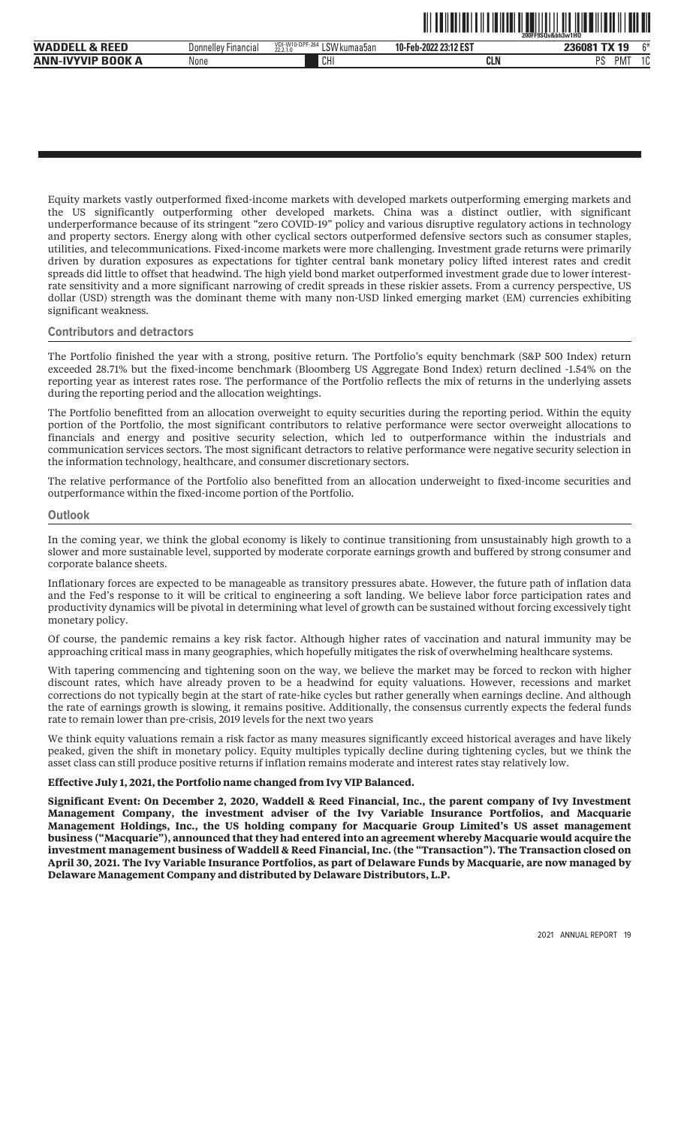|                                      |                        |                                                               | ------------------------ | 200FF9SOv&bh3w1HO       |              |
|--------------------------------------|------------------------|---------------------------------------------------------------|--------------------------|-------------------------|--------------|
| <b>REED</b><br><b>WADDEL</b>         | Donnelley<br>Financial | VDI-W10-DPF-264<br>LSW <sup>1</sup><br>/ kumaaban<br>22.2.1.0 | 10-Feb-2022 23:12 EST    | 236081<br>$T_{\rm{UV}}$ | $\sim$       |
| <b>LIVYVIP BOOK A</b><br><b>ANN-</b> | None                   | 0111<br>uпı                                                   | <b>CLN</b>               | nc<br><b>PMT</b>        | $\sim$<br>טו |

ˆ200FF9SQv&bh3w1HOŠ **200FF9SQv&bh3w1HO**

Equity markets vastly outperformed fixed-income markets with developed markets outperforming emerging markets and the US significantly outperforming other developed markets. China was a distinct outlier, with significant underperformance because of its stringent "zero COVID-19" policy and various disruptive regulatory actions in technology and property sectors. Energy along with other cyclical sectors outperformed defensive sectors such as consumer staples, utilities, and telecommunications. Fixed-income markets were more challenging. Investment grade returns were primarily driven by duration exposures as expectations for tighter central bank monetary policy lifted interest rates and credit spreads did little to offset that headwind. The high yield bond market outperformed investment grade due to lower interestrate sensitivity and a more significant narrowing of credit spreads in these riskier assets. From a currency perspective, US dollar (USD) strength was the dominant theme with many non-USD linked emerging market (EM) currencies exhibiting significant weakness.

### **Contributors and detractors**

The Portfolio finished the year with a strong, positive return. The Portfolio's equity benchmark (S&P 500 Index) return exceeded 28.71% but the fixed-income benchmark (Bloomberg US Aggregate Bond Index) return declined -1.54% on the reporting year as interest rates rose. The performance of the Portfolio reflects the mix of returns in the underlying assets during the reporting period and the allocation weightings.

The Portfolio benefitted from an allocation overweight to equity securities during the reporting period. Within the equity portion of the Portfolio, the most significant contributors to relative performance were sector overweight allocations to financials and energy and positive security selection, which led to outperformance within the industrials and communication services sectors. The most significant detractors to relative performance were negative security selection in the information technology, healthcare, and consumer discretionary sectors.

The relative performance of the Portfolio also benefitted from an allocation underweight to fixed-income securities and outperformance within the fixed-income portion of the Portfolio.

### **Outlook**

In the coming year, we think the global economy is likely to continue transitioning from unsustainably high growth to a slower and more sustainable level, supported by moderate corporate earnings growth and buffered by strong consumer and corporate balance sheets.

Inflationary forces are expected to be manageable as transitory pressures abate. However, the future path of inflation data and the Fed's response to it will be critical to engineering a soft landing. We believe labor force participation rates and productivity dynamics will be pivotal in determining what level of growth can be sustained without forcing excessively tight monetary policy.

Of course, the pandemic remains a key risk factor. Although higher rates of vaccination and natural immunity may be approaching critical mass in many geographies, which hopefully mitigates the risk of overwhelming healthcare systems.

With tapering commencing and tightening soon on the way, we believe the market may be forced to reckon with higher discount rates, which have already proven to be a headwind for equity valuations. However, recessions and market corrections do not typically begin at the start of rate-hike cycles but rather generally when earnings decline. And although the rate of earnings growth is slowing, it remains positive. Additionally, the consensus currently expects the federal funds rate to remain lower than pre-crisis, 2019 levels for the next two years

We think equity valuations remain a risk factor as many measures significantly exceed historical averages and have likely peaked, given the shift in monetary policy. Equity multiples typically decline during tightening cycles, but we think the asset class can still produce positive returns if inflation remains moderate and interest rates stay relatively low.

### **Effective July 1, 2021, the Portfolio name changed from Ivy VIP Balanced.**

**Significant Event: On December 2, 2020, Waddell & Reed Financial, Inc., the parent company of Ivy Investment Management Company, the investment adviser of the Ivy Variable Insurance Portfolios, and Macquarie Management Holdings, Inc., the US holding company for Macquarie Group Limited's US asset management business ("Macquarie"), announced that they had entered into an agreement whereby Macquarie would acquire the investment management business of Waddell & Reed Financial, Inc. (the "Transaction"). The Transaction closed on April 30, 2021. The Ivy Variable Insurance Portfolios, as part of Delaware Funds by Macquarie, are now managed by Delaware Management Company and distributed by Delaware Distributors, L.P.**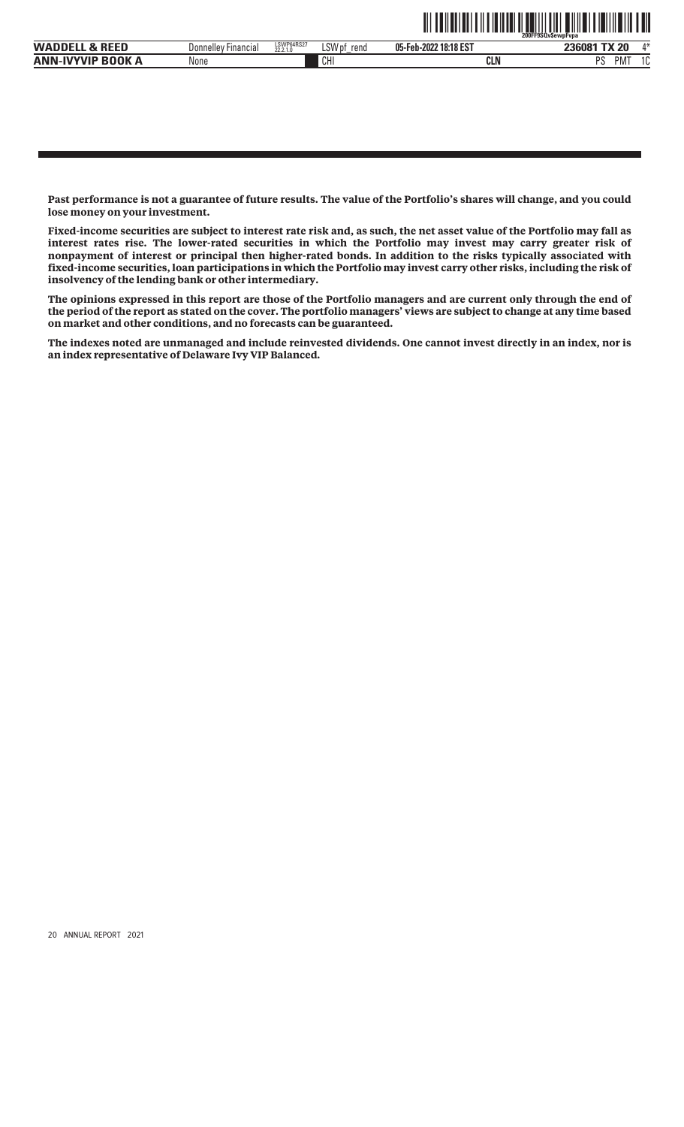|                                   |                                |                        |                |                           | 200FF9SQvSewpFvpa                 |              |
|-----------------------------------|--------------------------------|------------------------|----------------|---------------------------|-----------------------------------|--------------|
| <b>REED</b><br><b>WADDELL</b>     | Financial<br><b>Jonnelle</b> v | LSWP64RS27<br>22.2.1.0 | LSW pf<br>rend | 218:18 EST<br>05-Feb-2022 | חרי<br>236081                     | Л*           |
| <b>LIVYVIP ROOK</b><br><b>ANN</b> | None                           |                        | CH.            | <b>CLN</b>                | <sub>D</sub> e<br>PM <sup>-</sup> | $\sim$<br>ιu |

**TITE AND INSTITUTE IN A 19 YO FAST AND INSTITUTE IN A 19 YO F AND INSTITUTE IN** 

**Past performance is not a guarantee of future results. The value of the Portfolio's shares will change, and you could lose money on your investment.**

**Fixed-income securities are subject to interest rate risk and, as such, the net asset value of the Portfolio may fall as interest rates rise. The lower-rated securities in which the Portfolio may invest may carry greater risk of nonpayment of interest or principal then higher-rated bonds. In addition to the risks typically associated with fixed-income securities, loan participations in which the Portfolio may invest carry other risks, including the risk of insolvency of the lending bank or other intermediary.**

**The opinions expressed in this report are those of the Portfolio managers and are current only through the end of the period of the report as stated on the cover. The portfolio managers' views are subject to change at any time based on market and other conditions, and no forecasts can be guaranteed.**

**The indexes noted are unmanaged and include reinvested dividends. One cannot invest directly in an index, nor is an index representative of Delaware Ivy VIP Balanced***.*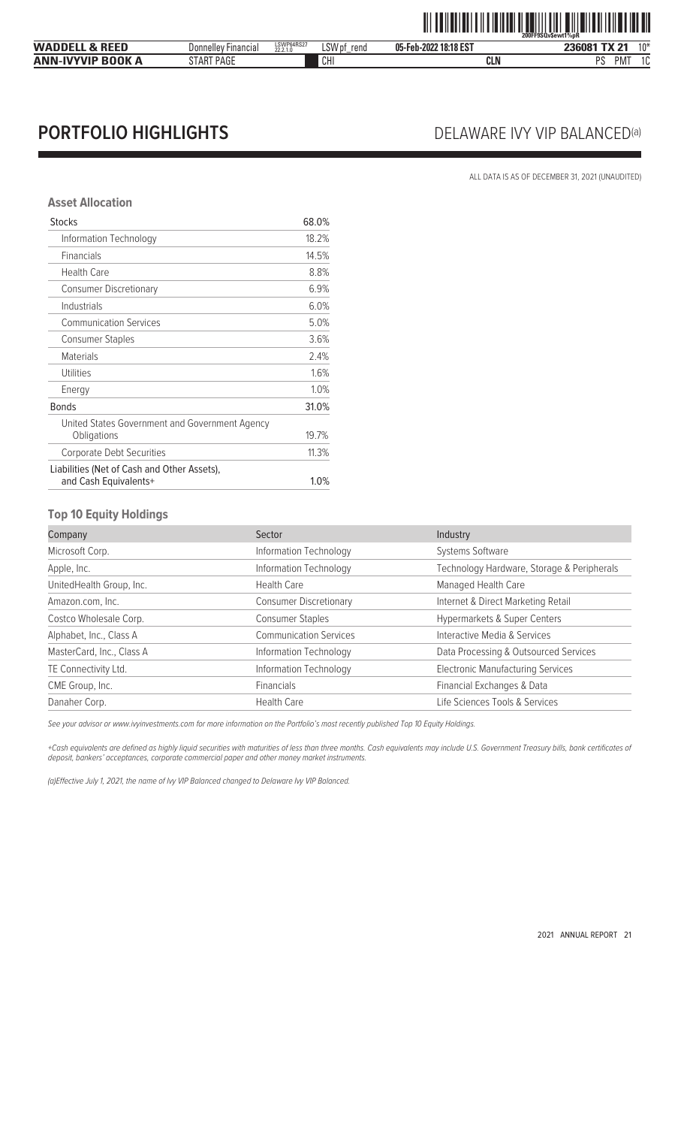|                           |                            |                        |                | <u> I din in III din III din III d</u><br>$\blacksquare$ | <b>TITULITI</b><br>200FF9SQvSewt1%pR     |
|---------------------------|----------------------------|------------------------|----------------|----------------------------------------------------------|------------------------------------------|
| <b>WADDELL &amp; REED</b> | <b>Donnelley Financial</b> | LSWP64RS27<br>22.2.1.0 | LSW pf<br>rend | 05-Feb-2022 18:18 EST                                    | $10*$<br>236081 TX 21                    |
| <b>ANN-IVYVIP BOOK A</b>  | START PAGE                 |                        | CHI            | CLN                                                      | 1 <sup>0</sup><br>PS<br><b>PMT</b><br>ΙU |
|                           |                            |                        |                |                                                          |                                          |

## **PORTFOLIO HIGHLIGHTS** DELAWARE IVY VIP BALANCED<sup>(a)</sup>

ALL DATA IS AS OF DECEMBER 31, 2021 (UNAUDITED)

## **Asset Allocation**

| <b>Stocks</b>                                                        | 68.0% |
|----------------------------------------------------------------------|-------|
| Information Technology                                               | 18.2% |
| <b>Financials</b>                                                    | 14.5% |
| <b>Health Care</b>                                                   | 8.8%  |
| <b>Consumer Discretionary</b>                                        | 6.9%  |
| Industrials                                                          | 6.0%  |
| <b>Communication Services</b>                                        | 5.0%  |
| <b>Consumer Staples</b>                                              | 3.6%  |
| <b>Materials</b>                                                     | 2.4%  |
| Utilities                                                            | 1.6%  |
| Energy                                                               | 1.0%  |
| <b>Bonds</b>                                                         | 31.0% |
| United States Government and Government Agency<br>Obligations        | 19.7% |
| <b>Corporate Debt Securities</b>                                     | 11.3% |
| Liabilities (Net of Cash and Other Assets),<br>and Cash Equivalents+ | 1.0%  |

## **Top 10 Equity Holdings**

| <b>Company</b>            | Sector                        | Industry                                   |
|---------------------------|-------------------------------|--------------------------------------------|
| Microsoft Corp.           | Information Technology        | Systems Software                           |
| Apple, Inc.               | Information Technology        | Technology Hardware, Storage & Peripherals |
| UnitedHealth Group, Inc.  | Health Care                   | Managed Health Care                        |
| Amazon.com, Inc.          | <b>Consumer Discretionary</b> | Internet & Direct Marketing Retail         |
| Costco Wholesale Corp.    | <b>Consumer Staples</b>       | Hypermarkets & Super Centers               |
| Alphabet, Inc., Class A   | <b>Communication Services</b> | Interactive Media & Services               |
| MasterCard, Inc., Class A | Information Technology        | Data Processing & Outsourced Services      |
| TE Connectivity Ltd.      | Information Technology        | Electronic Manufacturing Services          |
| CME Group, Inc.           | <b>Financials</b>             | Financial Exchanges & Data                 |
| Danaher Corp.             | <b>Health Care</b>            | Life Sciences Tools & Services             |

See your advisor or www.ivyinvestments.com for more information on the Portfolio's most recently published Top 10 Equity Holdings.

+Cash equivalents are defined as highly liquid securities with maturities of less than three months. Cash equivalents may include U.S. Government Treasury bills, bank certificates of deposit, bankers' acceptances, corporate commercial paper and other money market instruments.

(a)Effective July 1, 2021, the name of Ivy VIP Balanced changed to Delaware Ivy VIP Balanced.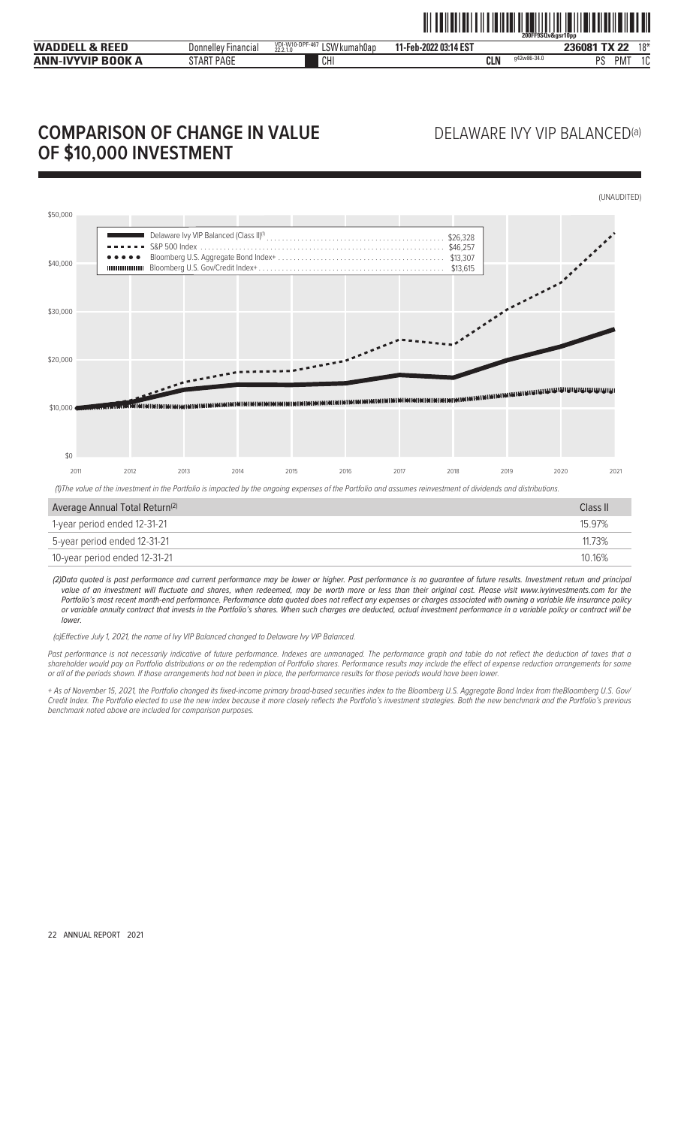|                           |                        |                                             |                       |     | 200FF9SQv&asr10pp |                                   |       |
|---------------------------|------------------------|---------------------------------------------|-----------------------|-----|-------------------|-----------------------------------|-------|
| <b>WADDELL &amp; REED</b> | Donnelley<br>⊦ınancıal | VDI-W10-DPF-467<br>LSW kumah0ap<br>22.2.1.0 | 11-Feb-2022 03:14 EST |     |                   | 236081 TX<br>ົາງ                  | $18*$ |
| <b>ANN-IVYVIP BOOK A</b>  | START PAGE             | CHI                                         |                       | CLN | a42w86-34.0       | <sub>D</sub> e<br>PM <sup>-</sup> | 10    |
|                           |                        |                                             |                       |     |                   |                                   |       |

## **COMPARISON OF CHANGE IN VALUE OF \$10,000 INVESTMENT**

## DELAWARE IVY VIP BALANCED<sup>(a)</sup>

<u>oli toiloitati liitustaa liennä valittiin loittoistaa lieliostall</u>



| Average Annual Total Return <sup>(2)</sup> | Class II |
|--------------------------------------------|----------|
| 1-year period ended 12-31-21               | 15.97%   |
| 5-year period ended 12-31-21               | 11 7 3%  |
| 10-year period ended 12-31-21              | 10.16%   |

(2)Data quoted is past performance and current performance may be lower or higher. Past performance is no guarantee of future results. Investment return and principal value of an investment will fluctuate and shares, when redeemed, may be worth more or less than their original cost. Please visit www.ivyinvestments.com for the Portfolio's most recent month-end performance. Performance data quoted does not reflect any expenses or charges associated with owning a variable life insurance policy or variable annuity contract that invests in the Portfolio's shares. When such charges are deducted, actual investment performance in a variable policy or contract will be lower.

(a)Effective July 1, 2021, the name of Ivy VIP Balanced changed to Delaware Ivy VIP Balanced.

Past performance is not necessarily indicative of future performance. Indexes are unmanaged. The performance graph and table do not reflect the deduction of taxes that a shareholder would pay on Portfolio distributions or on the redemption of Portfolio shares. Performance results may include the effect of expense reduction arrangements for some or all of the periods shown. If those arrangements had not been in place, the performance results for those periods would have been lower.

As of November 15, 2021, the Portfolio changed its fixed-income primary broad-based securities index to the Bloomberg U.S. Aggregate Bond Index from theBloomberg U.S. Gov/ Credit Index. The Portfolio elected to use the new index because it more closely reflects the Portfolio's investment strategies. Both the new benchmark and the Portfolio's previous benchmark noted above are included for comparison purposes.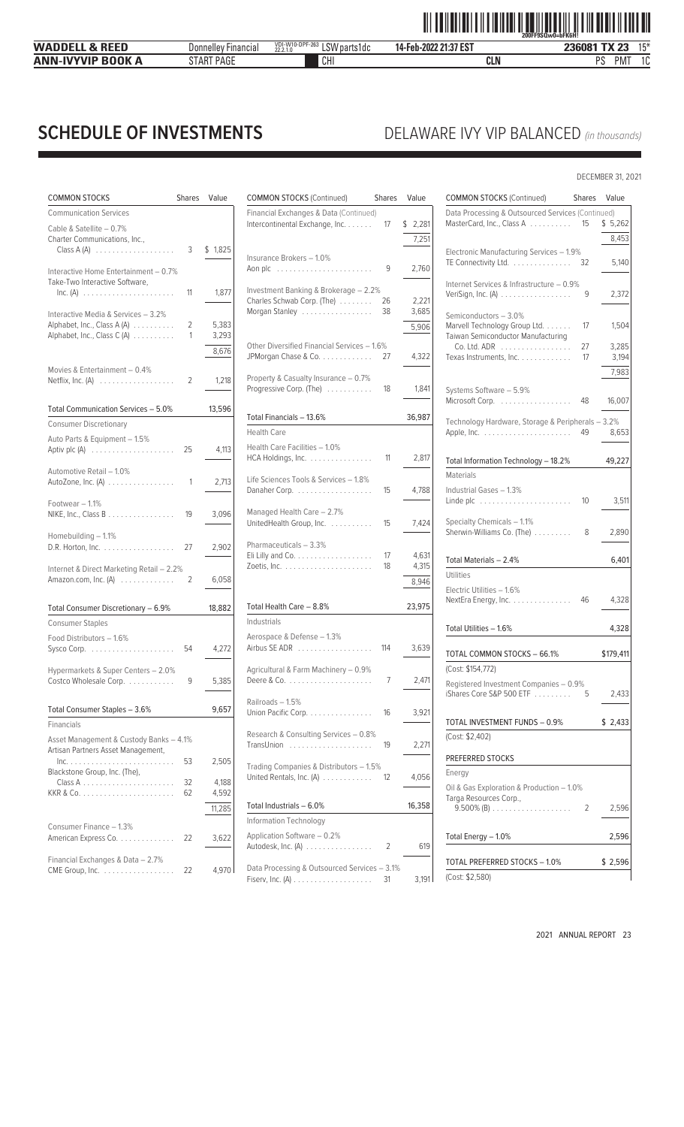|                                    |                     |                                                           |                       | <b>LUULI JJUUVU-DI KUII:</b>       |
|------------------------------------|---------------------|-----------------------------------------------------------|-----------------------|------------------------------------|
| <b>REED</b><br>WADDELL<br>. .      | Donnelley Financial | VDI-W10-DPF-263<br>$.$ $\sim$<br>LSW parts1dc<br>22.2.1.0 | 14-Feb-2022 21:37 EST | $15*$<br>. ne<br>236081<br>1 J     |
| <b>IVYVIP BOOK A</b><br><b>ANN</b> | ART PAGE<br>I AK I  | 011<br>U⊓I                                                | <b>CLN</b>            | DC<br>PM <sup>-</sup><br>م م<br>ΙU |
|                                    |                     |                                                           |                       |                                    |

## COMMON STOCKS Shares Value Communication Services Cable & Satellite – 0.7% Charter Communications, Inc., Class A (A) ................... 3 \$ 1,825 Interactive Home Entertainment – 0.7% Take-Two Interactive Software, Inc. (A) . . . . . . . . . . . . . . . . . . . . . . 11 1,877 Interactive Media & Services – 3.2% Alphabet, Inc., Class A (A) .......... 2 5,383 Alphabet, Inc., Class C (A) .......... 1 3,293 8,676 Movies & Entertainment – 0.4% Netflix, Inc. (A) .................. 2 1,218 Total Communication Services – 5.0% 13,596 Consumer Discretionary Auto Parts & Equipment – 1.5% Aptiv plc (A) . . . . . . . . . . . . . . . . . . . . 25 4,113 Automotive Retail – 1.0% AutoZone, Inc. (A) ................ 1 2,713 Footwear – 1.1% NIKE, Inc., Class B . . . . . . . . . . . . . . . . 19 3,096 Homebuilding – 1.1% D.R. Horton, Inc. . . . . . . . . . . . . . . . . . 27 2,902 Internet & Direct Marketing Retail – 2.2% Amazon.com, Inc. (A) ............. 2 6,058 Total Consumer Discretionary – 6.9% 18,882 Consumer Staples Food Distributors – 1.6% Sysco Corp. . . . . . . . . . . . . . . . . . . . . 54 4,272 Hypermarkets & Super Centers – 2.0% Costco Wholesale Corp. . . . . . . . . . . 9 5,385 Total Consumer Staples – 3.6% 9,657 Financials Asset Management & Custody Banks – 4.1% Artisan Partners Asset Management,  $\ldots \ldots \ldots$  53 2,505 Blackstone Group, Inc. (The), Class A . . . . . . . . . . . . . . . . . . . . . . 32 4,188 KKR & Co. . . . . . . . . . . . . . . . . . . . . . . 62 4,592 11,285 Consumer Finance – 1.3% American Express Co. . . . . . . . . . . . . 22 3,622 Financial Exchanges & Data – 2.7% CME Group, Inc. . . . . . . . . . . . . . . . . 22 4,970

| <b>COMMON STOCKS (Continued)</b>                                           | <b>Shares</b> | Value          |
|----------------------------------------------------------------------------|---------------|----------------|
| Financial Exchanges & Data (Continued)<br>Intercontinental Exchange, Inc.  | 17            | \$<br>2,281    |
|                                                                            |               | 7,251          |
| Insurance Brokers - 1.0%<br>Aon plc                                        | 9             | 2,760          |
| Investment Banking & Brokerage - 2.2%                                      |               |                |
| Charles Schwab Corp. (The)                                                 | 26            | 2,221          |
| Morgan Stanley                                                             | 38            | 3,685<br>5,906 |
| Other Diversified Financial Services - 1.6%                                |               |                |
| JPMorgan Chase & Co.                                                       | 27            | 4,322          |
| Property & Casualty Insurance - 0.7%<br>Progressive Corp. (The)            | 18            | 1,841          |
|                                                                            |               |                |
| Total Financials - 13.6%                                                   |               | 36,987         |
| <b>Health Care</b><br>Health Care Facilities - 1.0%                        |               |                |
| $HCA$ Holdings, Inc. $\ldots \ldots \ldots \ldots$                         | 11            | 2,817          |
| Life Sciences Tools & Services - 1.8%<br>Danaher Corp.                     | 15            | 4,788          |
| Managed Health Care - 2.7%<br>UnitedHealth Group, Inc.                     | 15            | 7,424          |
| Pharmaceuticals - 3.3%                                                     |               |                |
|                                                                            | 17<br>18      | 4,631<br>4,315 |
|                                                                            |               | 8,946          |
| Total Health Care - 8.8%                                                   |               | 23,975         |
| Industrials                                                                |               |                |
| Aerospace & Defense - 1.3%<br>Airbus SE ADR                                | 114           | 3,639          |
| Agricultural & Farm Machinery - 0.9%<br>Deere & Co.                        | 7             | 2,471          |
| Railroads-1.5%                                                             |               |                |
| Union Pacific Corp.                                                        | 16            | 3,921          |
| Research & Consulting Services - 0.8%<br>TransUnion<br>1.1.1.1<br>$\ldots$ | 19            | 2,271          |
| Trading Companies & Distributors - 1.5%<br>United Rentals, Inc. (A)        | 12            | 4,056          |
| Total Industrials - 6.0%                                                   |               | 16,358         |
| Information Technology                                                     |               |                |
| Application Software - 0.2%<br>Autodesk, Inc. (A)                          | 2             | 619            |
| Data Processing & Outsourced Services - 3.1%                               | 31            | 3,191          |

ˆ200FF9SQw0=bFK6H!Š **200FF9SQw0=bFK6H!**

DECEMBER 31, 2021

| <b>COMMON STOCKS (Continued)</b>                      | <b>Shares</b> | Value     |
|-------------------------------------------------------|---------------|-----------|
| Data Processing & Outsourced Services (Continued)     |               |           |
| MasterCard, Inc., Class A                             | 15            | \$5,262   |
|                                                       |               | 8,453     |
| Electronic Manufacturing Services - 1.9%              |               |           |
| TE Connectivity Ltd.                                  | 32            | 5,140     |
|                                                       |               |           |
| Internet Services & Infrastructure - 0.9%             |               |           |
| VeriSign, Inc. (A)                                    | 9             | 2,372     |
| Semiconductors - 3.0%                                 |               |           |
| Marvell Technology Group Ltd.                         | 17            | 1,504     |
| Taiwan Semiconductor Manufacturing                    |               |           |
| Co. Ltd. ADR                                          | 27            | 3,285     |
| Texas Instruments, Inc.                               | 17            | 3,194     |
|                                                       |               | 7,983     |
|                                                       |               |           |
| Systems Software - 5.9%                               |               |           |
| Microsoft Corp.                                       | 48            | 16,007    |
| Technology Hardware, Storage & Peripherals - 3.2%     |               |           |
|                                                       | 49            | 8,653     |
|                                                       |               |           |
|                                                       |               |           |
| Total Information Technology - 18.2%                  |               | 49,227    |
| <b>Materials</b>                                      |               |           |
| Industrial Gases - 1.3%                               |               |           |
| Linde plc $\ldots \ldots \ldots \ldots \ldots \ldots$ | 10            | 3,511     |
|                                                       |               |           |
| Specialty Chemicals - 1.1%                            |               |           |
| Sherwin-Williams Co. (The)                            | 8             | 2,890     |
|                                                       |               |           |
| Total Materials - 2.4%                                |               | 6,401     |
| <b>Utilities</b>                                      |               |           |
| Electric Utilities - 1.6%                             |               |           |
| NextEra Energy, Inc.                                  | 46            | 4,328     |
|                                                       |               |           |
|                                                       |               |           |
| Total Utilities - 1.6%                                |               | 4,328     |
|                                                       |               |           |
|                                                       |               |           |
| TOTAL COMMON STOCKS - 66.1%                           |               | \$179,411 |
| (Cost: \$154,772)                                     |               |           |
| Registered Investment Companies - 0.9%                |               |           |
| iShares Core S&P 500 ETF                              | 5             | 2,433     |
|                                                       |               |           |
|                                                       |               |           |
| TOTAL INVESTMENT FUNDS - 0.9%                         |               | \$2,433   |
| (Cost: \$2,402)                                       |               |           |
|                                                       |               |           |
| PREFERRED STOCKS                                      |               |           |
| Energy                                                |               |           |
| Oil & Gas Exploration & Production - 1.0%             |               |           |
| Targa Resources Corp.,                                |               |           |
|                                                       | 2             | 2,596     |
|                                                       |               |           |
| Total Energy - 1.0%                                   |               | 2,596     |
|                                                       |               |           |
| TOTAL PREFERRED STOCKS - 1.0%                         |               | \$2,596   |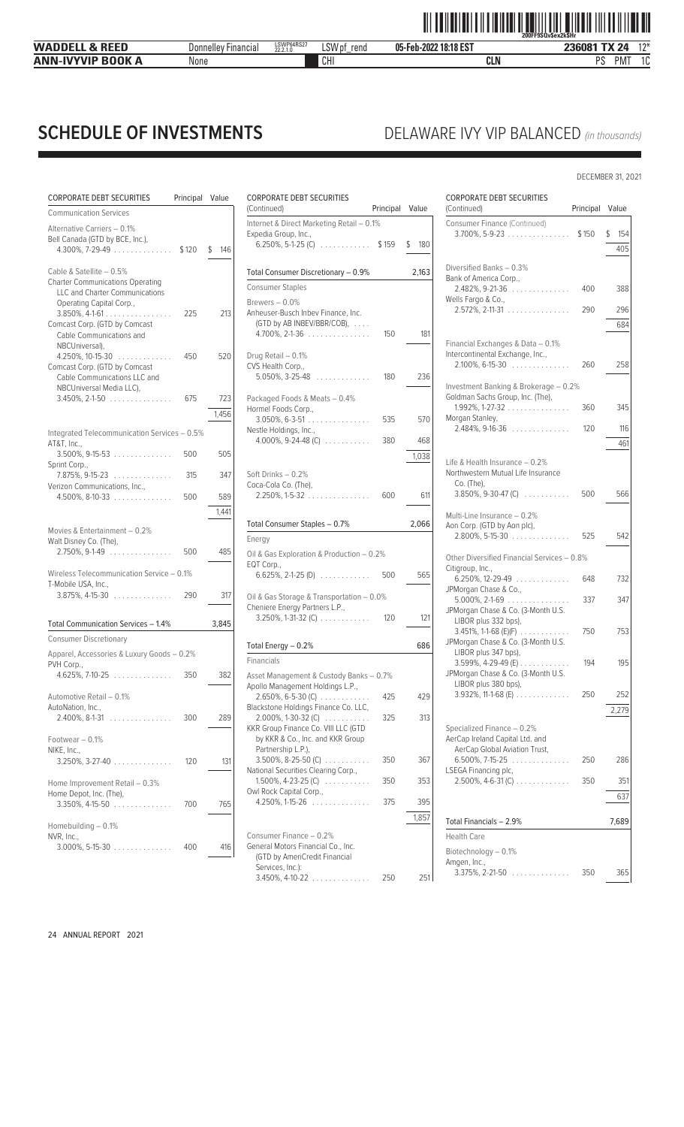|                           |                     |                        |                | IIIIII<br>WINDI<br>$\ \ $ | I III<br>200FF9SQvSex2kSHr          |
|---------------------------|---------------------|------------------------|----------------|---------------------------|-------------------------------------|
| <b>WADDELL &amp; REED</b> | Donnelley Financial | LSWP64RS27<br>22.2.1.0 | LSW pf<br>rend | 05-Feb-2022 18:18 EST     | 236081 TX 24<br>$12*$               |
| <b>ANN-IVYVIP BOOK A</b>  | None                |                        | CHI            | CLN                       | <b>PMT</b><br>$1^\circ$<br>PS<br>ιu |
|                           |                     |                        |                |                           |                                     |

| <b>CORPORATE DEBT SECURITIES</b>                                                                                                    | Principal | Value        |  |
|-------------------------------------------------------------------------------------------------------------------------------------|-----------|--------------|--|
| <b>Communication Services</b>                                                                                                       |           |              |  |
| Alternative Carriers - 0.1%<br>Bell Canada (GTD by BCE, Inc.),<br>$4.300\%$ , 7-29-49,                                              | \$120     | \$<br>146    |  |
| Cable & Satellite - 0.5%<br><b>Charter Communications Operating</b><br>LLC and Charter Communications<br>Operating Capital Corp.,   |           |              |  |
| $3.850\%$ , 4-1-61<br>Comcast Corp. (GTD by Comcast<br>Cable Communications and                                                     | 225       | 213          |  |
| NBCUniversal),<br>$4.250\%$ , 10-15-30 $\dots\dots\dots\dots\dots$<br>Comcast Corp. (GTD by Comcast<br>Cable Communications LLC and | 450       | 520          |  |
| NBCUniversal Media LLC),<br>$3.450\%$ , 2-1-50                                                                                      | 675       | 723<br>1.456 |  |
| Integrated Telecommunication Services - 0.5%                                                                                        |           |              |  |
| AT&T. Inc<br>$3.500\%$ , 9-15-53                                                                                                    | 500       | 505          |  |
| Sprint Corp.,<br>$7.875\%$ , 9-15-23<br>Verizon Communications, Inc.,                                                               | 315       | 347          |  |
| $4.500\%$ , $8-10-33$                                                                                                               | 500       | 589          |  |
|                                                                                                                                     |           | 1.441        |  |
| Movies & Entertainment - 0.2%                                                                                                       |           |              |  |
| Walt Disney Co. (The),<br>2.750%, 9-1-49                                                                                            | 500       | 485          |  |
| Wireless Telecommunication Service - 0.1%                                                                                           |           |              |  |
| T-Mobile USA, Inc.,<br>3.875%, 4-15-30.<br>.                                                                                        | 290       | 317          |  |
| Total Communication Services - 1.4%                                                                                                 |           | 3,845        |  |
| <b>Consumer Discretionary</b>                                                                                                       |           |              |  |
| Apparel, Accessories & Luxury Goods - 0.2%                                                                                          |           |              |  |
| PVH Corp.,<br>4.625%, 7-10-25                                                                                                       | 350       | 382          |  |
| Automotive Retail — 0.1%<br>AutoNation, Inc.,                                                                                       |           |              |  |
| 2.400%, 8-1-31<br>.                                                                                                                 | 300       | 289          |  |
| Footwear-0.1%                                                                                                                       |           |              |  |
| NIKE, Inc.,<br>$3.250\%$ , $3-27-40$                                                                                                | 120       | 131          |  |
| Home Improvement Retail - 0.3%<br>Home Depot, Inc. (The),<br>$3.350\%$ , 4-15-50                                                    | 700       | 765          |  |
| Homebuilding - 0.1%<br>NVR, Inc.,                                                                                                   |           |              |  |
| $3.000\%$ , 5-15-30                                                                                                                 | 400       | 416          |  |

| <b>CORPORATE DEBT SECURITIES</b><br>(Continued)                                                      | Principal | Value     |
|------------------------------------------------------------------------------------------------------|-----------|-----------|
| Internet & Direct Marketing Retail - 0.1%                                                            |           |           |
| Expedia Group, Inc.,<br>6.250%, 5-1-25 (C)<br>.                                                      | \$159     | \$<br>180 |
| Total Consumer Discretionary - 0.9%                                                                  |           | 2,163     |
| <b>Consumer Staples</b>                                                                              |           |           |
| Brewers - 0.0%<br>Anheuser-Busch Inbev Finance, Inc.<br>(GTD by AB INBEV/BBR/COB),<br>4.700%, 2-1-36 | 150       | 181       |
| Drug Retail - 0.1%                                                                                   |           |           |
| CVS Health Corp.,<br>5.050%, 3-25-48<br>.                                                            | 180       | 236       |
| Packaged Foods & Meats - 0.4%                                                                        |           |           |
| Hormel Foods Corp.,                                                                                  |           |           |
| $3.050\%$ , 6-3-51                                                                                   | 535       | 570       |
| Nestle Holdings, Inc.,<br>4.000%, $9-24-48$ (C)                                                      | 380       | 468       |
|                                                                                                      |           |           |
|                                                                                                      |           | 1,038     |
| Soft Drinks - 0.2%                                                                                   |           |           |
| Coca-Cola Co. (The),<br>$2.250\%$ , 1-5-32 $\dots$<br>1.1.1.1.1                                      | 600       | 611       |
| Total Consumer Staples - 0.7%                                                                        |           | 2,066     |
| Energy                                                                                               |           |           |
| Oil & Gas Exploration & Production - 0.2%                                                            |           |           |
| EQT Corp.,<br>6.625%, 2-1-25 (D) $\ldots$                                                            | 500       | 565       |
| Oil & Gas Storage & Transportation - 0.0%                                                            |           |           |
| Cheniere Energy Partners L.P.,<br>3.250%, 1-31-32 (C)                                                | 120       | 121       |
| Total Energy - 0.2%                                                                                  |           | 686       |
| Financials                                                                                           |           |           |
| Asset Management & Custody Banks - 0.7%<br>Apollo Management Holdings L.P.,                          |           |           |
| $2.650\%$ , 6-5-30 (C) $\ldots \ldots \ldots$                                                        | 425       | 429       |
| Blackstone Holdings Finance Co. LLC,<br>$2.000\%$ , 1-30-32 (C) $\ldots \ldots \ldots$               | 325       | 313       |
| KKR Group Finance Co. VIII LLC (GTD<br>by KKR & Co., Inc. and KKR Group                              |           |           |
| Partnership L.P.),                                                                                   |           |           |
| $3.500\%$ , $8-25-50$ (C)<br>National Securities Clearing Corp.,                                     | 350       | 367       |
| $1.500\%$ , 4-23-25 (C) $\ldots \ldots \ldots$                                                       | 350       | 353       |
| Owl Rock Capital Corp.,<br>$4.250\%$ , 1-15-26                                                       | 375       | 395       |
|                                                                                                      |           | 1.857     |
|                                                                                                      |           |           |
| Consumer Finance - 0.2%<br>General Motors Financial Co., Inc.<br>(GTD by AmeriCredit Financial       |           |           |
| Services, Inc.):                                                                                     |           |           |
| $3.450\%$ , 4-10-22                                                                                  | 250       | 251       |

### DECEMBER 31, 2021

| Consumer Finance (Continued)<br>$3.700\%$ , 5-9-23<br>\$150<br>\$<br>154<br>405<br>Diversified Banks - 0.3%<br>Bank of America Corp.,<br>$2.482\%$ , 9-21-36<br>400<br>388<br>Wells Fargo & Co.,<br>$2.572\%$ , 2-11-31<br>290<br>296<br>684<br>Financial Exchanges & Data - 0.1%<br>Intercontinental Exchange, Inc.,<br>$2.100\%$ , 6-15-30 $\dots\dots\dots\dots\dots$<br>260<br>258<br>Investment Banking & Brokerage - 0.2%<br>Goldman Sachs Group, Inc. (The),<br>345<br>$1.992\%$ , 1-27-32<br>360<br>Morgan Stanley,<br>$2.484\%$ , 9-16-36<br>120<br>116<br>461<br>Life & Health Insurance - 0.2%<br>Northwestern Mutual Life Insurance<br>Co. (The),<br>$3.850\%$ , 9-30-47 (C) $\ldots \ldots \ldots$<br>500<br>566<br>Multi-Line Insurance - 0.2%<br>Aon Corp. (GTD by Aon plc),<br>$2.800\%$ , 5-15-30<br>525<br>542<br>Other Diversified Financial Services - 0.8%<br>Citigroup, Inc.,<br>$6.250\%$ , 12-29-49 $\dots\dots\dots\dots\dots$<br>732<br>648<br>JPMorgan Chase & Co.,<br>$5.000\%$ , 2-1-69<br>337<br>347<br>JPMorgan Chase & Co. (3-Month U.S.<br>LIBOR plus 332 bps),<br>$3.451\%, 1-1-68$ (E)(F) $\ldots \ldots \ldots$<br>750<br>753<br>JPMorgan Chase & Co. (3-Month U.S.<br>LIBOR plus 347 bps),<br>$3.599\%$ , 4-29-49 (E)<br>194<br>195<br>JPMorgan Chase & Co. (3-Month U.S.<br>LIBOR plus 380 bps),<br>3.932%, 11-1-68 (E)<br>250<br>252<br>$\mathbb{Z}^2$ is a set of $\mathbb{Z}^2$<br>$\ldots$ .<br>2,279<br>Specialized Finance - 0.2%<br>AerCap Ireland Capital Ltd. and<br>AerCap Global Aviation Trust,<br>$6.500\%$ , 7-15-25<br>250<br>286<br>LSEGA Financing plc,<br>$2.500\%$ , 4-6-31 (C) $\ldots \ldots \ldots \ldots$<br>350<br>351<br>637<br>Total Financials - 2.9%<br>7,689<br><b>Health Care</b><br>Biotechnology - 0.1%<br>Amgen, Inc.,<br>3.375%, 2-21-50<br>350<br>365<br>. | CORPORATE DEBT SECURITIES<br>(Continued) | Principal Value |  |
|-------------------------------------------------------------------------------------------------------------------------------------------------------------------------------------------------------------------------------------------------------------------------------------------------------------------------------------------------------------------------------------------------------------------------------------------------------------------------------------------------------------------------------------------------------------------------------------------------------------------------------------------------------------------------------------------------------------------------------------------------------------------------------------------------------------------------------------------------------------------------------------------------------------------------------------------------------------------------------------------------------------------------------------------------------------------------------------------------------------------------------------------------------------------------------------------------------------------------------------------------------------------------------------------------------------------------------------------------------------------------------------------------------------------------------------------------------------------------------------------------------------------------------------------------------------------------------------------------------------------------------------------------------------------------------------------------------------------------------------------------------------------------------------------------------------------------------------|------------------------------------------|-----------------|--|
|                                                                                                                                                                                                                                                                                                                                                                                                                                                                                                                                                                                                                                                                                                                                                                                                                                                                                                                                                                                                                                                                                                                                                                                                                                                                                                                                                                                                                                                                                                                                                                                                                                                                                                                                                                                                                                     |                                          |                 |  |
|                                                                                                                                                                                                                                                                                                                                                                                                                                                                                                                                                                                                                                                                                                                                                                                                                                                                                                                                                                                                                                                                                                                                                                                                                                                                                                                                                                                                                                                                                                                                                                                                                                                                                                                                                                                                                                     |                                          |                 |  |
|                                                                                                                                                                                                                                                                                                                                                                                                                                                                                                                                                                                                                                                                                                                                                                                                                                                                                                                                                                                                                                                                                                                                                                                                                                                                                                                                                                                                                                                                                                                                                                                                                                                                                                                                                                                                                                     |                                          |                 |  |
|                                                                                                                                                                                                                                                                                                                                                                                                                                                                                                                                                                                                                                                                                                                                                                                                                                                                                                                                                                                                                                                                                                                                                                                                                                                                                                                                                                                                                                                                                                                                                                                                                                                                                                                                                                                                                                     |                                          |                 |  |
|                                                                                                                                                                                                                                                                                                                                                                                                                                                                                                                                                                                                                                                                                                                                                                                                                                                                                                                                                                                                                                                                                                                                                                                                                                                                                                                                                                                                                                                                                                                                                                                                                                                                                                                                                                                                                                     |                                          |                 |  |
|                                                                                                                                                                                                                                                                                                                                                                                                                                                                                                                                                                                                                                                                                                                                                                                                                                                                                                                                                                                                                                                                                                                                                                                                                                                                                                                                                                                                                                                                                                                                                                                                                                                                                                                                                                                                                                     |                                          |                 |  |
|                                                                                                                                                                                                                                                                                                                                                                                                                                                                                                                                                                                                                                                                                                                                                                                                                                                                                                                                                                                                                                                                                                                                                                                                                                                                                                                                                                                                                                                                                                                                                                                                                                                                                                                                                                                                                                     |                                          |                 |  |
|                                                                                                                                                                                                                                                                                                                                                                                                                                                                                                                                                                                                                                                                                                                                                                                                                                                                                                                                                                                                                                                                                                                                                                                                                                                                                                                                                                                                                                                                                                                                                                                                                                                                                                                                                                                                                                     |                                          |                 |  |
|                                                                                                                                                                                                                                                                                                                                                                                                                                                                                                                                                                                                                                                                                                                                                                                                                                                                                                                                                                                                                                                                                                                                                                                                                                                                                                                                                                                                                                                                                                                                                                                                                                                                                                                                                                                                                                     |                                          |                 |  |
|                                                                                                                                                                                                                                                                                                                                                                                                                                                                                                                                                                                                                                                                                                                                                                                                                                                                                                                                                                                                                                                                                                                                                                                                                                                                                                                                                                                                                                                                                                                                                                                                                                                                                                                                                                                                                                     |                                          |                 |  |
|                                                                                                                                                                                                                                                                                                                                                                                                                                                                                                                                                                                                                                                                                                                                                                                                                                                                                                                                                                                                                                                                                                                                                                                                                                                                                                                                                                                                                                                                                                                                                                                                                                                                                                                                                                                                                                     |                                          |                 |  |
|                                                                                                                                                                                                                                                                                                                                                                                                                                                                                                                                                                                                                                                                                                                                                                                                                                                                                                                                                                                                                                                                                                                                                                                                                                                                                                                                                                                                                                                                                                                                                                                                                                                                                                                                                                                                                                     |                                          |                 |  |
|                                                                                                                                                                                                                                                                                                                                                                                                                                                                                                                                                                                                                                                                                                                                                                                                                                                                                                                                                                                                                                                                                                                                                                                                                                                                                                                                                                                                                                                                                                                                                                                                                                                                                                                                                                                                                                     |                                          |                 |  |
|                                                                                                                                                                                                                                                                                                                                                                                                                                                                                                                                                                                                                                                                                                                                                                                                                                                                                                                                                                                                                                                                                                                                                                                                                                                                                                                                                                                                                                                                                                                                                                                                                                                                                                                                                                                                                                     |                                          |                 |  |
|                                                                                                                                                                                                                                                                                                                                                                                                                                                                                                                                                                                                                                                                                                                                                                                                                                                                                                                                                                                                                                                                                                                                                                                                                                                                                                                                                                                                                                                                                                                                                                                                                                                                                                                                                                                                                                     |                                          |                 |  |
|                                                                                                                                                                                                                                                                                                                                                                                                                                                                                                                                                                                                                                                                                                                                                                                                                                                                                                                                                                                                                                                                                                                                                                                                                                                                                                                                                                                                                                                                                                                                                                                                                                                                                                                                                                                                                                     |                                          |                 |  |
|                                                                                                                                                                                                                                                                                                                                                                                                                                                                                                                                                                                                                                                                                                                                                                                                                                                                                                                                                                                                                                                                                                                                                                                                                                                                                                                                                                                                                                                                                                                                                                                                                                                                                                                                                                                                                                     |                                          |                 |  |
|                                                                                                                                                                                                                                                                                                                                                                                                                                                                                                                                                                                                                                                                                                                                                                                                                                                                                                                                                                                                                                                                                                                                                                                                                                                                                                                                                                                                                                                                                                                                                                                                                                                                                                                                                                                                                                     |                                          |                 |  |
|                                                                                                                                                                                                                                                                                                                                                                                                                                                                                                                                                                                                                                                                                                                                                                                                                                                                                                                                                                                                                                                                                                                                                                                                                                                                                                                                                                                                                                                                                                                                                                                                                                                                                                                                                                                                                                     |                                          |                 |  |
|                                                                                                                                                                                                                                                                                                                                                                                                                                                                                                                                                                                                                                                                                                                                                                                                                                                                                                                                                                                                                                                                                                                                                                                                                                                                                                                                                                                                                                                                                                                                                                                                                                                                                                                                                                                                                                     |                                          |                 |  |
|                                                                                                                                                                                                                                                                                                                                                                                                                                                                                                                                                                                                                                                                                                                                                                                                                                                                                                                                                                                                                                                                                                                                                                                                                                                                                                                                                                                                                                                                                                                                                                                                                                                                                                                                                                                                                                     |                                          |                 |  |
|                                                                                                                                                                                                                                                                                                                                                                                                                                                                                                                                                                                                                                                                                                                                                                                                                                                                                                                                                                                                                                                                                                                                                                                                                                                                                                                                                                                                                                                                                                                                                                                                                                                                                                                                                                                                                                     |                                          |                 |  |
|                                                                                                                                                                                                                                                                                                                                                                                                                                                                                                                                                                                                                                                                                                                                                                                                                                                                                                                                                                                                                                                                                                                                                                                                                                                                                                                                                                                                                                                                                                                                                                                                                                                                                                                                                                                                                                     |                                          |                 |  |
|                                                                                                                                                                                                                                                                                                                                                                                                                                                                                                                                                                                                                                                                                                                                                                                                                                                                                                                                                                                                                                                                                                                                                                                                                                                                                                                                                                                                                                                                                                                                                                                                                                                                                                                                                                                                                                     |                                          |                 |  |
|                                                                                                                                                                                                                                                                                                                                                                                                                                                                                                                                                                                                                                                                                                                                                                                                                                                                                                                                                                                                                                                                                                                                                                                                                                                                                                                                                                                                                                                                                                                                                                                                                                                                                                                                                                                                                                     |                                          |                 |  |
|                                                                                                                                                                                                                                                                                                                                                                                                                                                                                                                                                                                                                                                                                                                                                                                                                                                                                                                                                                                                                                                                                                                                                                                                                                                                                                                                                                                                                                                                                                                                                                                                                                                                                                                                                                                                                                     |                                          |                 |  |
|                                                                                                                                                                                                                                                                                                                                                                                                                                                                                                                                                                                                                                                                                                                                                                                                                                                                                                                                                                                                                                                                                                                                                                                                                                                                                                                                                                                                                                                                                                                                                                                                                                                                                                                                                                                                                                     |                                          |                 |  |
|                                                                                                                                                                                                                                                                                                                                                                                                                                                                                                                                                                                                                                                                                                                                                                                                                                                                                                                                                                                                                                                                                                                                                                                                                                                                                                                                                                                                                                                                                                                                                                                                                                                                                                                                                                                                                                     |                                          |                 |  |
|                                                                                                                                                                                                                                                                                                                                                                                                                                                                                                                                                                                                                                                                                                                                                                                                                                                                                                                                                                                                                                                                                                                                                                                                                                                                                                                                                                                                                                                                                                                                                                                                                                                                                                                                                                                                                                     |                                          |                 |  |
|                                                                                                                                                                                                                                                                                                                                                                                                                                                                                                                                                                                                                                                                                                                                                                                                                                                                                                                                                                                                                                                                                                                                                                                                                                                                                                                                                                                                                                                                                                                                                                                                                                                                                                                                                                                                                                     |                                          |                 |  |
|                                                                                                                                                                                                                                                                                                                                                                                                                                                                                                                                                                                                                                                                                                                                                                                                                                                                                                                                                                                                                                                                                                                                                                                                                                                                                                                                                                                                                                                                                                                                                                                                                                                                                                                                                                                                                                     |                                          |                 |  |
|                                                                                                                                                                                                                                                                                                                                                                                                                                                                                                                                                                                                                                                                                                                                                                                                                                                                                                                                                                                                                                                                                                                                                                                                                                                                                                                                                                                                                                                                                                                                                                                                                                                                                                                                                                                                                                     |                                          |                 |  |
|                                                                                                                                                                                                                                                                                                                                                                                                                                                                                                                                                                                                                                                                                                                                                                                                                                                                                                                                                                                                                                                                                                                                                                                                                                                                                                                                                                                                                                                                                                                                                                                                                                                                                                                                                                                                                                     |                                          |                 |  |
|                                                                                                                                                                                                                                                                                                                                                                                                                                                                                                                                                                                                                                                                                                                                                                                                                                                                                                                                                                                                                                                                                                                                                                                                                                                                                                                                                                                                                                                                                                                                                                                                                                                                                                                                                                                                                                     |                                          |                 |  |
|                                                                                                                                                                                                                                                                                                                                                                                                                                                                                                                                                                                                                                                                                                                                                                                                                                                                                                                                                                                                                                                                                                                                                                                                                                                                                                                                                                                                                                                                                                                                                                                                                                                                                                                                                                                                                                     |                                          |                 |  |
|                                                                                                                                                                                                                                                                                                                                                                                                                                                                                                                                                                                                                                                                                                                                                                                                                                                                                                                                                                                                                                                                                                                                                                                                                                                                                                                                                                                                                                                                                                                                                                                                                                                                                                                                                                                                                                     |                                          |                 |  |
|                                                                                                                                                                                                                                                                                                                                                                                                                                                                                                                                                                                                                                                                                                                                                                                                                                                                                                                                                                                                                                                                                                                                                                                                                                                                                                                                                                                                                                                                                                                                                                                                                                                                                                                                                                                                                                     |                                          |                 |  |
|                                                                                                                                                                                                                                                                                                                                                                                                                                                                                                                                                                                                                                                                                                                                                                                                                                                                                                                                                                                                                                                                                                                                                                                                                                                                                                                                                                                                                                                                                                                                                                                                                                                                                                                                                                                                                                     |                                          |                 |  |
|                                                                                                                                                                                                                                                                                                                                                                                                                                                                                                                                                                                                                                                                                                                                                                                                                                                                                                                                                                                                                                                                                                                                                                                                                                                                                                                                                                                                                                                                                                                                                                                                                                                                                                                                                                                                                                     |                                          |                 |  |
|                                                                                                                                                                                                                                                                                                                                                                                                                                                                                                                                                                                                                                                                                                                                                                                                                                                                                                                                                                                                                                                                                                                                                                                                                                                                                                                                                                                                                                                                                                                                                                                                                                                                                                                                                                                                                                     |                                          |                 |  |
|                                                                                                                                                                                                                                                                                                                                                                                                                                                                                                                                                                                                                                                                                                                                                                                                                                                                                                                                                                                                                                                                                                                                                                                                                                                                                                                                                                                                                                                                                                                                                                                                                                                                                                                                                                                                                                     |                                          |                 |  |
|                                                                                                                                                                                                                                                                                                                                                                                                                                                                                                                                                                                                                                                                                                                                                                                                                                                                                                                                                                                                                                                                                                                                                                                                                                                                                                                                                                                                                                                                                                                                                                                                                                                                                                                                                                                                                                     |                                          |                 |  |
|                                                                                                                                                                                                                                                                                                                                                                                                                                                                                                                                                                                                                                                                                                                                                                                                                                                                                                                                                                                                                                                                                                                                                                                                                                                                                                                                                                                                                                                                                                                                                                                                                                                                                                                                                                                                                                     |                                          |                 |  |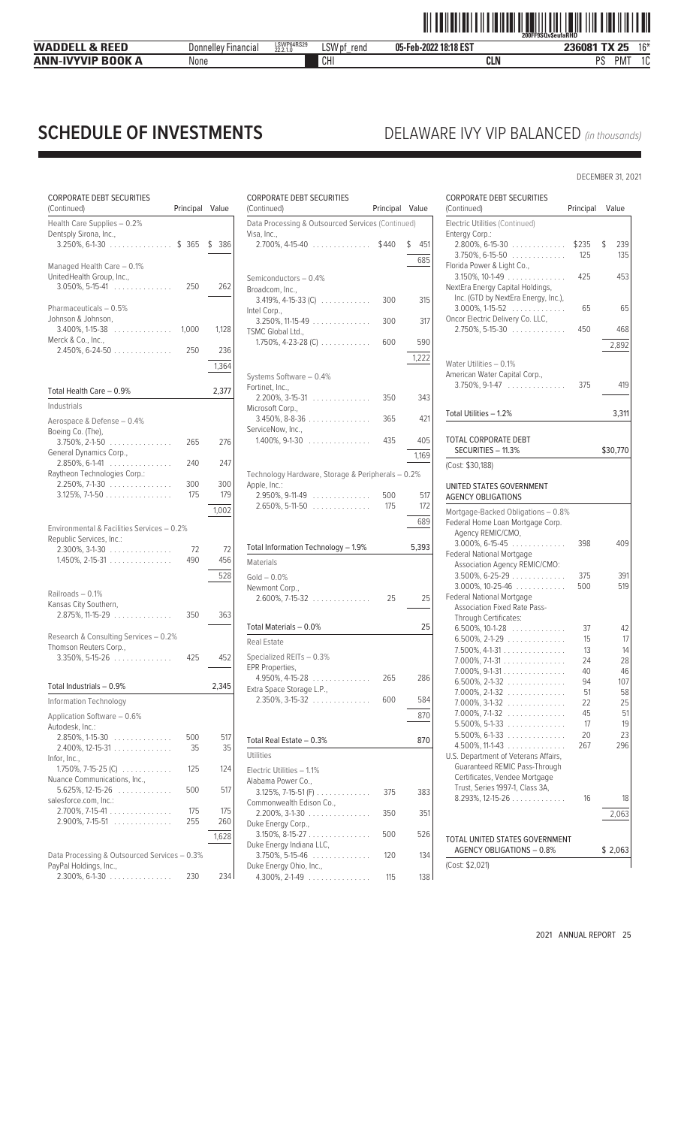|                                         |                            |                      |                |                          | ZUUFFYSUVSeutaKHD          |       |
|-----------------------------------------|----------------------------|----------------------|----------------|--------------------------|----------------------------|-------|
| <b>REED</b><br><b>WADI</b><br>. .       | <b>Donnelley Financial</b> | LSWP64RS29<br>22.2.1 | LSW pf<br>rend | 18:18 EST<br>05-Feb-2022 | --<br>ומ<br>236094         | $16*$ |
| <b>BOOK A</b><br><b>ANN</b><br>WID<br>w | None                       |                      | 011<br>ιлι     | <b>CLN</b>               | DC<br>PM <sup>-</sup><br>ັ | م م   |
|                                         |                            |                      |                |                          |                            |       |

ˆ200FF9SQv\$eufaRHDŠ **200FF9SQv\$eufaRHD**

### CORPORATE DEBT SECURITIES (Continued) Principal Value Health Care Supplies – 0.2% Dentsply Sirona, Inc., 3.250%, 6-1-30 . . . . . . . . . . . . . . . \$ 365 \$ 386 Managed Health Care – 0.1% UnitedHealth Group, Inc., 3.050%, 5-15-41 . . . . . . . . . . . . . . 250 262 Pharmaceuticals – 0.5% Johnson & Johnson, 3.400%, 1-15-38 .............. 1,000 1,128  $Merck & Co$ , Inc. 2.450%, 6-24-50 . . . . . . . . . . . . . . 250 236 1,364 Total Health Care – 0.9% 2,377 Industrials Aerospace & Defense – 0.4% Boeing Co. (The),<br>3.750%, 2-1-50 3.750%, 2-1-50 . . . . . . . . . . . . . . . 265 276 General Dynamics Corp., 2.850%, 6-1-41 . . . . . . . . . . . . . . . 240 247 Raytheon Technologies Corp.: 2.250%, 7-1-30 . . . . . . . . . . . . . . . 300 300  $3.125\%, 7-1-50... \dots ... \dots ...$ 1,002 Environmental & Facilities Services – 0.2% Republic Services, Inc.: 2.300%, 3-1-30 . . . . . . . . . . . . . . . 72 72 1.450%, 2-15-31 . . . . . . . . . . . . . . . 490 456 528 Railroads – 0.1% Kansas City Southern,<br>2.875%, 11-15-29. 2.875%, 11-15-29 . . . . . . . . . . . . . . 350 363 Research & Consulting Services – 0.2% Thomson Reuters Corp., 3.350%, 5-15-26 . . . . . . . . . . . . . . 425 452 Total Industrials – 0.9% 2,345 Information Technology Application Software – 0.6% Autodesk, Inc.: 2.850%, 1-15-30 . . . . . . . . . . . . . . 500 517<br>2.400%, 12-15-31 . . . . . . . . . . . . . . . . 35 35  $2.400\%$ , 12-15-31 . . . . . . . . . . . . . . Infor, Inc., 1.750%, 7-15-25 (C) . . . . . . . . . . . . 125 124 Nuance Communications, Inc., 5.625%, 12-15-26 . . . . . . . . . . . . . 500 517 salesforce.com, Inc.: 2.700%, 7-15-41 . . . . . . . . . . . . . . . 175 175 2.900%, 7-15-51 . . . . . . . . . . . . . . 255 260 1,628 Data Processing & Outsourced Services – 0.3% PayPal Holdings, Inc., 2.300%, 6-1-30 . . . . . . . . . . . . . . . . 230 234

| <b>CORPORATE DEBT SECURITIES</b><br>(Continued)                                                        | Principal  | Value            |
|--------------------------------------------------------------------------------------------------------|------------|------------------|
| Data Processing & Outsourced Services (Continued)                                                      |            |                  |
| Visa, Inc.,<br>2.700%, 4-15-40                                                                         | \$440      | \$<br>451<br>685 |
| Semiconductors - 0.4%<br>Broadcom, Inc.,<br>$3.419\%$ , 4-15-33 (C)                                    |            | 315              |
| Intel Corp.,                                                                                           | 300        |                  |
| 3.250%, 11-15-49<br>.<br>TSMC Global Ltd.,                                                             | 300        | 317              |
| $1.750\%$ , 4-23-28 (C)                                                                                | 600        | 590<br>1,222     |
| Systems Software - 0.4%<br>Fortinet, Inc.,                                                             |            |                  |
| 2.200%, 3-15-31<br>.<br>Microsoft Corp.,                                                               | 350        | 343              |
| $3.450\%$ , $8-8-36$<br>ServiceNow, Inc.,                                                              | 365        | 421              |
| 1.400%, 9-1-30<br>.                                                                                    | 435        | 405              |
|                                                                                                        |            | 1,169            |
| Technology Hardware, Storage & Peripherals - 0.2%<br>Apple, Inc.:                                      |            |                  |
| 2.950%, 9-11-49<br>.<br>2.650%, 5-11-50                                                                | 500<br>175 | 517<br>172       |
|                                                                                                        |            | 689              |
|                                                                                                        |            |                  |
| Total Information Technology - 1.9%                                                                    |            | 5,393            |
| <b>Materials</b>                                                                                       |            |                  |
| $Gold - 0.0\%$<br>Newmont Corp.,<br>2.600%, 7-15-32                                                    | 25         | 25               |
|                                                                                                        |            |                  |
| Total Materials - 0.0%                                                                                 |            | 25               |
| <b>Real Estate</b><br>Specialized REITs - 0.3%                                                         |            |                  |
| EPR Properties,<br>4.950%, 4-15-28<br>.                                                                | 265        | 286              |
| Extra Space Storage L.P.,<br>2.350%, 3-15-32                                                           | 600        | 584              |
|                                                                                                        |            | 870              |
| Total Real Estate - 0.3%                                                                               |            | 870              |
| Utilities                                                                                              |            |                  |
| Electric Utilities - 1.1%                                                                              |            |                  |
| Alabama Power Co.,<br>$3.125\%$ , 7-15-51 (F)                                                          | 375        | 383              |
| Commonwealth Edison Co.,<br>$2.200\%$ , 3-1-30 $\dots\dots\dots\dots\dots\dots$                        | 350        | 351              |
| Duke Energy Corp.,<br>$3.150\%$ , $8-15-27$                                                            | 500        | 526              |
| Duke Energy Indiana LLC,<br>$3.750\%$ , 5-15-46 $\dots\dots\dots\dots\dots$<br>Duke Energy Ohio, Inc., | 120        | 134              |

### DECEMBER 31, 2021

| Principal                             | Value                                                                                   |
|---------------------------------------|-----------------------------------------------------------------------------------------|
|                                       |                                                                                         |
|                                       |                                                                                         |
| \$235                                 | \$<br>239                                                                               |
| 125                                   | 135                                                                                     |
|                                       |                                                                                         |
|                                       | 453                                                                                     |
|                                       |                                                                                         |
|                                       |                                                                                         |
|                                       | 65                                                                                      |
|                                       | 468                                                                                     |
|                                       |                                                                                         |
|                                       | 2,892                                                                                   |
|                                       |                                                                                         |
|                                       |                                                                                         |
|                                       | 419                                                                                     |
|                                       |                                                                                         |
|                                       |                                                                                         |
|                                       | 3,311                                                                                   |
|                                       |                                                                                         |
|                                       | \$30,770                                                                                |
|                                       |                                                                                         |
|                                       |                                                                                         |
|                                       |                                                                                         |
|                                       |                                                                                         |
|                                       |                                                                                         |
|                                       |                                                                                         |
| 398                                   | 409                                                                                     |
|                                       |                                                                                         |
|                                       |                                                                                         |
|                                       | 391                                                                                     |
|                                       | 519                                                                                     |
|                                       |                                                                                         |
|                                       |                                                                                         |
|                                       |                                                                                         |
|                                       | 42<br>17                                                                                |
|                                       |                                                                                         |
|                                       |                                                                                         |
| 13                                    | 14                                                                                      |
| 24                                    | 28                                                                                      |
| 40                                    | 46                                                                                      |
| 94                                    | 107                                                                                     |
| 51                                    | 58                                                                                      |
| 22                                    | 25                                                                                      |
| 45                                    | 51                                                                                      |
| 17                                    | 19                                                                                      |
| 20                                    | 23                                                                                      |
| 267                                   | 296                                                                                     |
|                                       |                                                                                         |
|                                       |                                                                                         |
|                                       |                                                                                         |
| 16                                    | 18                                                                                      |
|                                       |                                                                                         |
|                                       | 2,063                                                                                   |
| <b>TOTAL UNITED STATES GOVERNMENT</b> |                                                                                         |
|                                       | 425<br>65<br>450<br>375<br>Mortgage-Backed Obligations - 0.8%<br>375<br>500<br>37<br>15 |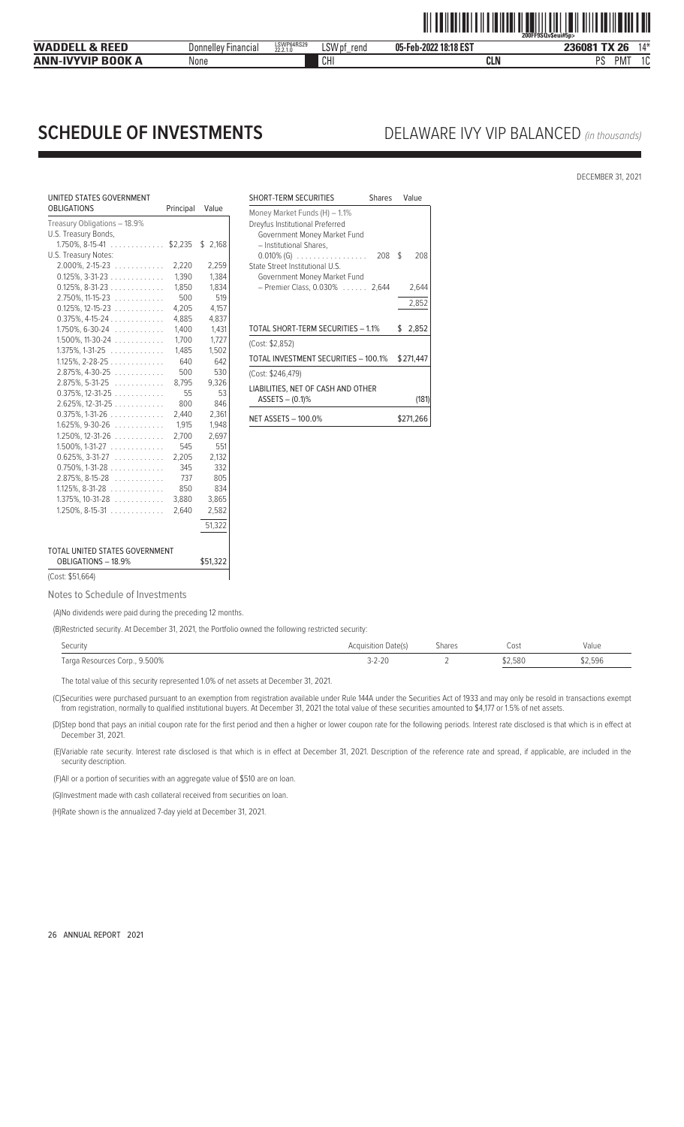|                           |                            |                        |                |                       | <b>TITLE THE THEFT</b><br>$\parallel$<br>200FF9SQvSeui#5p> |
|---------------------------|----------------------------|------------------------|----------------|-----------------------|------------------------------------------------------------|
| <b>WADDELL &amp; REED</b> | <b>Donnelley Financial</b> | LSWP64RS29<br>22.2.1.0 | LSW pf<br>rend | 05-Feb-2022 18:18 EST | $14*$<br>236081 TX 26                                      |
| <b>ANN-IVYVIP BOOK A</b>  | None                       |                        | CH             | <b>CLN</b>            | <b>PMT</b><br>PS<br>10                                     |
|                           |                            |                        |                |                       |                                                            |

DECEMBER 31, 2021

| UNITED STATES GOVERNMENT     |           |             |
|------------------------------|-----------|-------------|
| OBLIGATIONS                  | Principal | Value       |
| Treasury Obligations - 18.9% |           |             |
| U.S. Treasury Bonds,         |           |             |
| 1.750%, 8-15-41<br>.         | \$2,235   | \$<br>2,168 |
| U.S. Treasury Notes:         |           |             |
| 2.000%, 2-15-23<br>.         | 2,220     | 2,259       |
| 0.125%, 3-31-23.<br>.        | 1.390     | 1.384       |
| 0.125%, 8-31-23.<br>.        | 1.850     | 1.834       |
| 2.750%, 11-15-23<br>.        | 500       | 519         |
| $0.125\%$ , 12-15-23         | 4,205     | 4,157       |
| 0.375%, 4-15-24.<br>.        | 4,885     | 4,837       |
| 1.750%, 6-30-24<br>.         | 1,400     | 1,431       |
| 1.500%, 11-30-24<br>.        | 1,700     | 1.727       |
| 1.375%, 1-31-25<br>.         | 1,485     | 1,502       |
| 1.125%, 2-28-25<br>.         | 640       | 642         |
| 2.875%, 4-30-25<br>.         | 500       | 530         |
| 2.875%, 5-31-25<br>.         | 8.795     | 9.326       |
| 0.375%, 12-31-25<br>.        | 55        | 53          |
| 2.625%, 12-31-25<br>.        | 800       | 846         |
| 0.375%, 1-31-26<br>.         | 2,440     | 2.361       |
| 1.625%, 9-30-26<br>.         | 1,915     | 1,948       |
| 1.250%, 12-31-26<br>.        | 2,700     | 2.697       |
| 1.500%, 1-31-27<br>.         | 545       | 551         |
| 0.625%, 3-31-27<br>.         | 2,205     | 2,132       |
| 0.750%, 1-31-28<br>.         | 345       | 332         |
| 2.875%, 8-15-28<br>.         | 737       | 805         |
| 1.125%, 8-31-28<br>.         | 850       | 834         |
| 1.375%, 10-31-28<br>.        | 3.880     | 3.865       |
| 1.250%, 8-15-31<br>.         | 2,640     | 2,582       |
|                              |           | 51.322      |

| <b>SHORT-TERM SECURITIES</b>                                                                                                                                                      | Shares |      | Value          |
|-----------------------------------------------------------------------------------------------------------------------------------------------------------------------------------|--------|------|----------------|
| Money Market Funds (H) - 1.1%<br>Dreyfus Institutional Preferred<br>Government Money Market Fund<br>- Institutional Shares,<br>$0.010\%$ (G) $\ldots \ldots \ldots \ldots \ldots$ | 208    | - \$ | 208            |
| State Street Institutional U.S.<br>Government Money Market Fund<br>$-$ Premier Class, 0.030% $\ldots$ .                                                                           | 2.644  |      | 2,644<br>2,852 |
| TOTAL SHORT-TERM SECURITIES - 1.1%                                                                                                                                                |        | \$   | 2,852          |
| (Cost: \$2,852)                                                                                                                                                                   |        |      |                |
| TOTAL INVESTMENT SECURITIES - 100.1%                                                                                                                                              |        |      | \$271,447      |
| (Cost: \$246,479)                                                                                                                                                                 |        |      |                |
| LIABILITIES, NET OF CASH AND OTHER<br>$ASSETS - (0.1)\%$                                                                                                                          |        |      | (181           |
| <b>NET ASSETS - 100.0%</b>                                                                                                                                                        |        |      | \$271,266      |

### TOTAL UNITED STATES GOVERNMENT OBLIGATIONS – 18.9% \$51,322

(Cost: \$51,664)

Notes to Schedule of Investments

(A)No dividends were paid during the preceding 12 months.

(B)Restricted security. At December 31, 2021, the Portfolio owned the following restricted security:

| Security                      | <b>Acquisition Date(s)</b> | <b>Shares</b> | Cost<br>. | Value   |
|-------------------------------|----------------------------|---------------|-----------|---------|
| Targa Resources Corp., 9.500% |                            |               | \$2.580   | \$2.596 |

The total value of this security represented 1.0% of net assets at December 31, 2021.

(C)Securities were purchased pursuant to an exemption from registration available under Rule 144A under the Securities Act of 1933 and may only be resold in transactions exempt from registration, normally to qualified institutional buyers. At December 31, 2021 the total value of these securities amounted to \$4,177 or 1.5% of net assets.

(D)Step bond that pays an initial coupon rate for the first period and then a higher or lower coupon rate for the following periods. Interest rate disclosed is that which is in effect at December 31, 2021.

(E)Variable rate security. Interest rate disclosed is that which is in effect at December 31, 2021. Description of the reference rate and spread, if applicable, are included in the security description.

(F)All or a portion of securities with an aggregate value of \$510 are on loan.

(G)Investment made with cash collateral received from securities on loan.

(H)Rate shown is the annualized 7-day yield at December 31, 2021.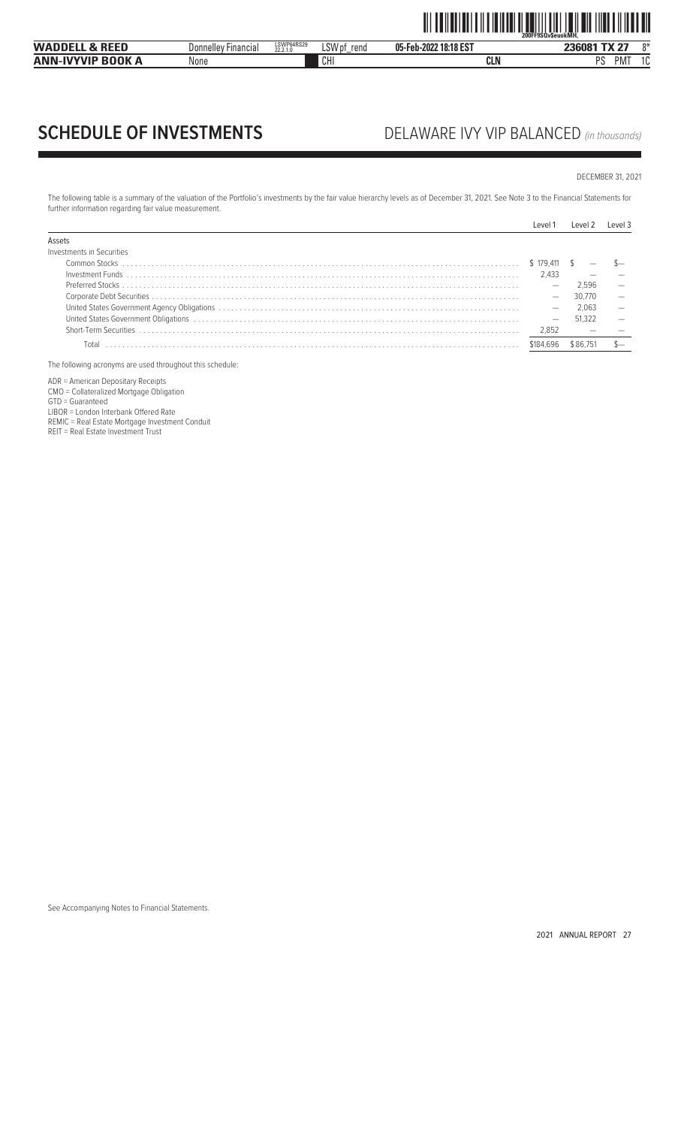|                           |                            |                        |                |                       | $\mathbb I$<br>WII<br>200FF9SQvSeuokMH. |
|---------------------------|----------------------------|------------------------|----------------|-----------------------|-----------------------------------------|
| <b>WADDELL &amp; REED</b> | <b>Donnelley Financial</b> | LSWP64RS29<br>22.2.1.0 | LSW pf<br>rend | 05-Feb-2022 18:18 EST | 236081 TX 27<br>8*                      |
| <b>ANN-IVYVIP BOOK A</b>  | None                       |                        | CHI            | <b>CLN</b>            | PMT<br>PS<br>1C                         |

DECEMBER 31, 2021

The following table is a summary of the valuation of the Portfolio's investments by the fair value hierarchy levels as of December 31, 2021. See Note 3 to the Financial Statements for further information regarding fair value measurement.

|                           |           |        | AVAI |
|---------------------------|-----------|--------|------|
| Assets                    |           |        |      |
| Investments in Securities |           |        |      |
|                           | \$179.411 |        |      |
|                           | 2.433     |        |      |
|                           |           | 2.596  |      |
|                           |           | 30.770 |      |
|                           |           | 2.063  |      |
|                           |           | 51.322 |      |
|                           | 2.852     |        |      |
| Total                     |           |        |      |

The following acronyms are used throughout this schedule:

ADR = American Depositary Receipts

CMO = Collateralized Mortgage Obligation GTD = Guaranteed

LIBOR = London Interbank Offered Rate

REMIC = Real Estate Mortgage Investment Conduit

REIT = Real Estate Investment Trust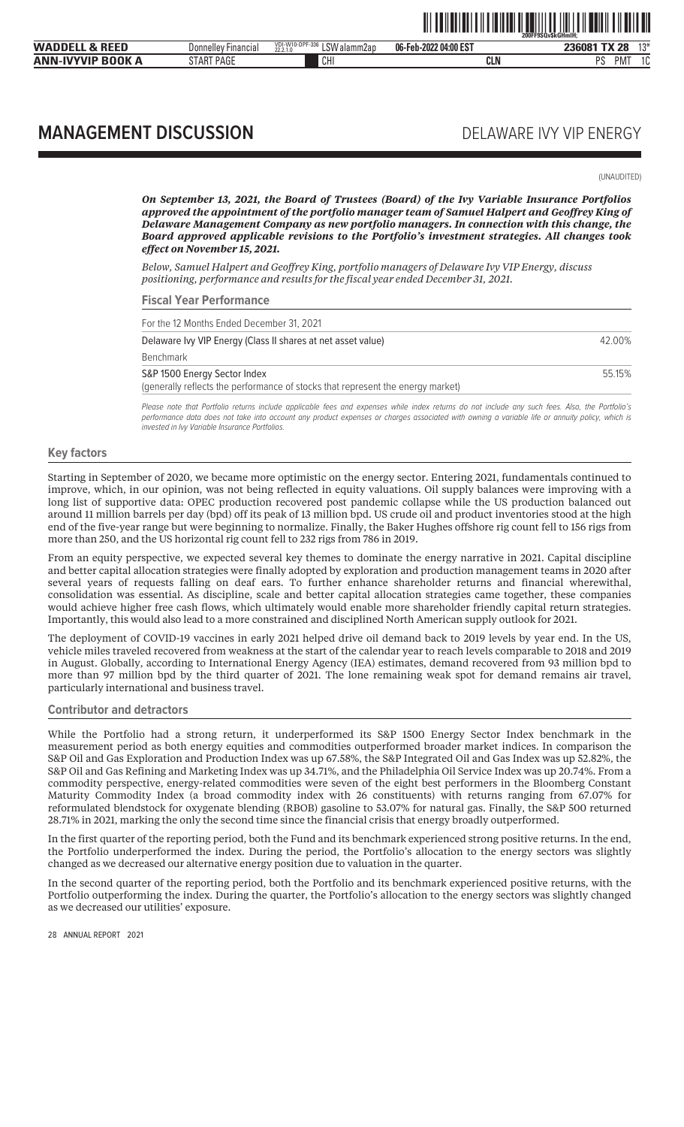|                                                       |                                      |                                                          |                           | ZUUFFYSUVSKGMMIH:     |                          |
|-------------------------------------------------------|--------------------------------------|----------------------------------------------------------|---------------------------|-----------------------|--------------------------|
| DEED<br>WAD                                           | <b>Donnelley</b><br><b>Financial</b> | -W10-DP<br>DDE 000<br>VD.<br>LSW<br>/ alamm2ap<br>22.2.1 | Feb-2022 04:00 EST<br>06- | TV 20<br>ZС           | 1.2 $\overline{Y}$<br>lυ |
| $\lambda$ ROOK $\lambda$<br>WVID.<br>ANN<br><b>VV</b> | START PAGE                           | CHI                                                      | <b>CLN</b>                | ne<br><b>PM</b><br>്പ | $\sim$<br>۰ч.            |
|                                                       |                                      |                                                          |                           |                       |                          |

## **MANAGEMENT DISCUSSION** DELAWARE IVY VIP ENERGY

**TITE IN IN THE LITTLE IN IN THE LITTLE IN IN IN THE LITTLE IN IN IN THE LITTLE IN IN IN** 

(UNAUDITED)

*On September 13, 2021, the Board of Trustees (Board) of the Ivy Variable Insurance Portfolios approved the appointment of the portfolio manager team of Samuel Halpert and Geoffrey King of Delaware Management Company as new portfolio managers. In connection with this change, the Board approved applicable revisions to the Portfolio's investment strategies. All changes took effect on November 15, 2021.*

<span id="page-27-0"></span>*Below, Samuel Halpert and Geoffrey King, portfolio managers of Delaware Ivy VIP Energy, discuss positioning, performance and results for the fiscal year ended December 31, 2021.*

**Fiscal Year Performance**

| 42.00% |
|--------|
|        |
| 55 15% |
|        |

Please note that Portfolio returns include applicable fees and expenses while index returns do not include any such fees. Also, the Portfolio's performance data does not take into account any product expenses or charges associated with owning a variable life or annuity policy, which is invested in Ivy Variable Insurance Portfolios.

### **Key factors**

Starting in September of 2020, we became more optimistic on the energy sector. Entering 2021, fundamentals continued to improve, which, in our opinion, was not being reflected in equity valuations. Oil supply balances were improving with a long list of supportive data: OPEC production recovered post pandemic collapse while the US production balanced out around 11 million barrels per day (bpd) off its peak of 13 million bpd. US crude oil and product inventories stood at the high end of the five-year range but were beginning to normalize. Finally, the Baker Hughes offshore rig count fell to 156 rigs from more than 250, and the US horizontal rig count fell to 232 rigs from 786 in 2019.

From an equity perspective, we expected several key themes to dominate the energy narrative in 2021. Capital discipline and better capital allocation strategies were finally adopted by exploration and production management teams in 2020 after several years of requests falling on deaf ears. To further enhance shareholder returns and financial wherewithal, consolidation was essential. As discipline, scale and better capital allocation strategies came together, these companies would achieve higher free cash flows, which ultimately would enable more shareholder friendly capital return strategies. Importantly, this would also lead to a more constrained and disciplined North American supply outlook for 2021.

The deployment of COVID-19 vaccines in early 2021 helped drive oil demand back to 2019 levels by year end. In the US, vehicle miles traveled recovered from weakness at the start of the calendar year to reach levels comparable to 2018 and 2019 in August. Globally, according to International Energy Agency (IEA) estimates, demand recovered from 93 million bpd to more than 97 million bpd by the third quarter of 2021. The lone remaining weak spot for demand remains air travel, particularly international and business travel.

### **Contributor and detractors**

While the Portfolio had a strong return, it underperformed its S&P 1500 Energy Sector Index benchmark in the measurement period as both energy equities and commodities outperformed broader market indices. In comparison the S&P Oil and Gas Exploration and Production Index was up 67.58%, the S&P Integrated Oil and Gas Index was up 52.82%, the S&P Oil and Gas Refining and Marketing Index was up 34.71%, and the Philadelphia Oil Service Index was up 20.74%. From a commodity perspective, energy-related commodities were seven of the eight best performers in the Bloomberg Constant Maturity Commodity Index (a broad commodity index with 26 constituents) with returns ranging from 67.07% for reformulated blendstock for oxygenate blending (RBOB) gasoline to 53.07% for natural gas. Finally, the S&P 500 returned 28.71% in 2021, marking the only the second time since the financial crisis that energy broadly outperformed.

In the first quarter of the reporting period, both the Fund and its benchmark experienced strong positive returns. In the end, the Portfolio underperformed the index. During the period, the Portfolio's allocation to the energy sectors was slightly changed as we decreased our alternative energy position due to valuation in the quarter.

In the second quarter of the reporting period, both the Portfolio and its benchmark experienced positive returns, with the Portfolio outperforming the index. During the quarter, the Portfolio's allocation to the energy sectors was slightly changed as we decreased our utilities' exposure.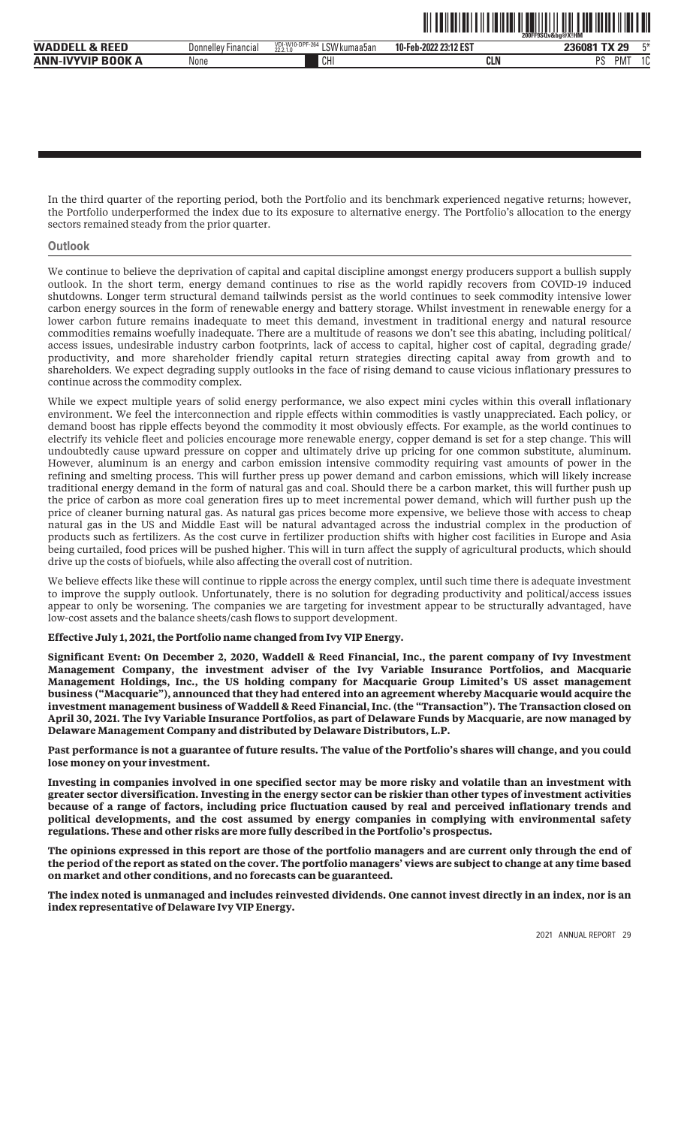|                                     |                               |                                                   |                       | 200FF9SQv&ba@X!HM                 |             |
|-------------------------------------|-------------------------------|---------------------------------------------------|-----------------------|-----------------------------------|-------------|
| <b>REED</b><br><b>WADDE</b><br>e    | ≻ınancıal<br><b>Donnelley</b> | vul-W10-DPF-2F*<br>LSW<br>/V kumaaban<br>22.2.1.0 | 10-Feb-2022 23:12 EST | ാറ<br>236081                      | $F*$        |
| <b>LIVYVIP ROOK</b> /<br><b>ANN</b> | None                          | CHI                                               | <b>CLN</b>            | <sub>D</sub> e<br>PM <sup>-</sup> | $\sim$<br>u |

TITE OF A STREET IN THE UNION OF BUILDING IT IN THE UNION OF A BIG

In the third quarter of the reporting period, both the Portfolio and its benchmark experienced negative returns; however, the Portfolio underperformed the index due to its exposure to alternative energy. The Portfolio's allocation to the energy sectors remained steady from the prior quarter.

### **Outlook**

We continue to believe the deprivation of capital and capital discipline amongst energy producers support a bullish supply outlook. In the short term, energy demand continues to rise as the world rapidly recovers from COVID-19 induced shutdowns. Longer term structural demand tailwinds persist as the world continues to seek commodity intensive lower carbon energy sources in the form of renewable energy and battery storage. Whilst investment in renewable energy for a lower carbon future remains inadequate to meet this demand, investment in traditional energy and natural resource commodities remains woefully inadequate. There are a multitude of reasons we don't see this abating, including political/ access issues, undesirable industry carbon footprints, lack of access to capital, higher cost of capital, degrading grade/ productivity, and more shareholder friendly capital return strategies directing capital away from growth and to shareholders. We expect degrading supply outlooks in the face of rising demand to cause vicious inflationary pressures to continue across the commodity complex.

While we expect multiple years of solid energy performance, we also expect mini cycles within this overall inflationary environment. We feel the interconnection and ripple effects within commodities is vastly unappreciated. Each policy, or demand boost has ripple effects beyond the commodity it most obviously effects. For example, as the world continues to electrify its vehicle fleet and policies encourage more renewable energy, copper demand is set for a step change. This will undoubtedly cause upward pressure on copper and ultimately drive up pricing for one common substitute, aluminum. However, aluminum is an energy and carbon emission intensive commodity requiring vast amounts of power in the refining and smelting process. This will further press up power demand and carbon emissions, which will likely increase traditional energy demand in the form of natural gas and coal. Should there be a carbon market, this will further push up the price of carbon as more coal generation fires up to meet incremental power demand, which will further push up the price of cleaner burning natural gas. As natural gas prices become more expensive, we believe those with access to cheap natural gas in the US and Middle East will be natural advantaged across the industrial complex in the production of products such as fertilizers. As the cost curve in fertilizer production shifts with higher cost facilities in Europe and Asia being curtailed, food prices will be pushed higher. This will in turn affect the supply of agricultural products, which should drive up the costs of biofuels, while also affecting the overall cost of nutrition.

We believe effects like these will continue to ripple across the energy complex, until such time there is adequate investment to improve the supply outlook. Unfortunately, there is no solution for degrading productivity and political/access issues appear to only be worsening. The companies we are targeting for investment appear to be structurally advantaged, have low-cost assets and the balance sheets/cash flows to support development.

### **Effective July 1, 2021, the Portfolio name changed from Ivy VIP Energy.**

**Significant Event: On December 2, 2020, Waddell & Reed Financial, Inc., the parent company of Ivy Investment Management Company, the investment adviser of the Ivy Variable Insurance Portfolios, and Macquarie Management Holdings, Inc., the US holding company for Macquarie Group Limited's US asset management business ("Macquarie"), announced that they had entered into an agreement whereby Macquarie would acquire the investment management business of Waddell & Reed Financial, Inc. (the "Transaction"). The Transaction closed on April 30, 2021. The Ivy Variable Insurance Portfolios, as part of Delaware Funds by Macquarie, are now managed by Delaware Management Company and distributed by Delaware Distributors, L.P.**

**Past performance is not a guarantee of future results. The value of the Portfolio's shares will change, and you could lose money on your investment.**

**Investing in companies involved in one specified sector may be more risky and volatile than an investment with greater sector diversification. Investing in the energy sector can be riskier than other types of investment activities because of a range of factors, including price fluctuation caused by real and perceived inflationary trends and political developments, and the cost assumed by energy companies in complying with environmental safety regulations. These and other risks are more fully described in the Portfolio's prospectus.**

**The opinions expressed in this report are those of the portfolio managers and are current only through the end of the period of the report as stated on the cover. The portfolio managers' views are subject to change at any time based on market and other conditions, and no forecasts can be guaranteed.**

**The index noted is unmanaged and includes reinvested dividends. One cannot invest directly in an index, nor is an index representative of Delaware Ivy VIP Energy.**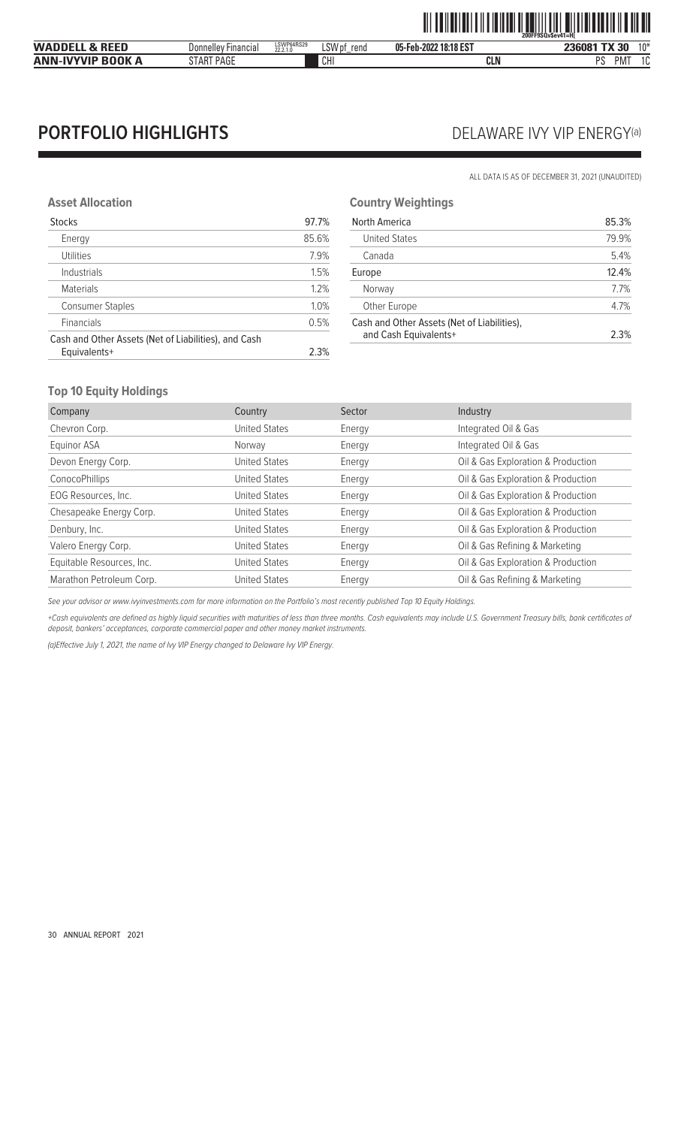| LSWP64RS29<br>22.2.1.0<br>LSW pf<br><b>WADDELL &amp; REED</b><br>05-Feb-2022 18:18 EST<br>236081 TX 30<br>Donnelley Financial<br>rend |                          |                   |     |            | III III<br>WIII).<br>200FF9SQvSev41=HI |
|---------------------------------------------------------------------------------------------------------------------------------------|--------------------------|-------------------|-----|------------|----------------------------------------|
|                                                                                                                                       |                          |                   |     |            | $10*$                                  |
|                                                                                                                                       | <b>ANN-IVYVIP BOOK A</b> | <b>START PAGE</b> | CHI | <b>CLN</b> | PS<br>PMT<br>10                        |

## **PORTFOLIO HIGHLIGHTS** DELAWARE IVY VIP ENERGY<sup>(a)</sup>

### **Asset Allocation**

| <b>Stocks</b>                                        | 97.7% |
|------------------------------------------------------|-------|
| Energy                                               | 85.6% |
| Utilities                                            | 7.9%  |
| Industrials                                          | 1.5%  |
| <b>Materials</b>                                     | 12%   |
| <b>Consumer Staples</b>                              | 1.0%  |
| <b>Financials</b>                                    | 0.5%  |
| Cash and Other Assets (Net of Liabilities), and Cash |       |
| Equivalents+                                         | 2.3%  |

## ALL DATA IS AS OF DECEMBER 31, 2021 (UNAUDITED)

## **Country Weightings**

| North America                                                        | 85.3% |
|----------------------------------------------------------------------|-------|
| United States                                                        | 79.9% |
| Canada                                                               | 5.4%  |
| Europe                                                               | 12.4% |
| Norway                                                               | 77%   |
| Other Europe                                                         | 47%   |
| Cash and Other Assets (Net of Liabilities),<br>and Cash Equivalents+ | 2.3%  |

## **Top 10 Equity Holdings**

| Company                   | Country              | Sector | Industry                           |
|---------------------------|----------------------|--------|------------------------------------|
| Chevron Corp.             | <b>United States</b> | Energy | Integrated Oil & Gas               |
| Equinor ASA               | Norway               | Energy | Integrated Oil & Gas               |
| Devon Energy Corp.        | United States        | Energy | Oil & Gas Exploration & Production |
| ConocoPhillips            | <b>United States</b> | Energy | Oil & Gas Exploration & Production |
| EOG Resources. Inc.       | <b>United States</b> | Energy | Oil & Gas Exploration & Production |
| Chesapeake Energy Corp.   | <b>United States</b> | Energy | Oil & Gas Exploration & Production |
| Denbury, Inc.             | <b>United States</b> | Energy | Oil & Gas Exploration & Production |
| Valero Energy Corp.       | <b>United States</b> | Energy | Oil & Gas Refining & Marketing     |
| Equitable Resources, Inc. | <b>United States</b> | Energy | Oil & Gas Exploration & Production |
| Marathon Petroleum Corp.  | <b>United States</b> | Energy | Oil & Gas Refining & Marketing     |

See your advisor or www.ivyinvestments.com for more information on the Portfolio's most recently published Top 10 Equity Holdings.

+Cash equivalents are defined as highly liquid securities with maturities of less than three months. Cash equivalents may include U.S. Government Treasury bills, bank certificates of deposit, bankers' acceptances, corporate commercial paper and other money market instruments.

(a)Effective July 1, 2021, the name of Ivy VIP Energy changed to Delaware Ivy VIP Energy.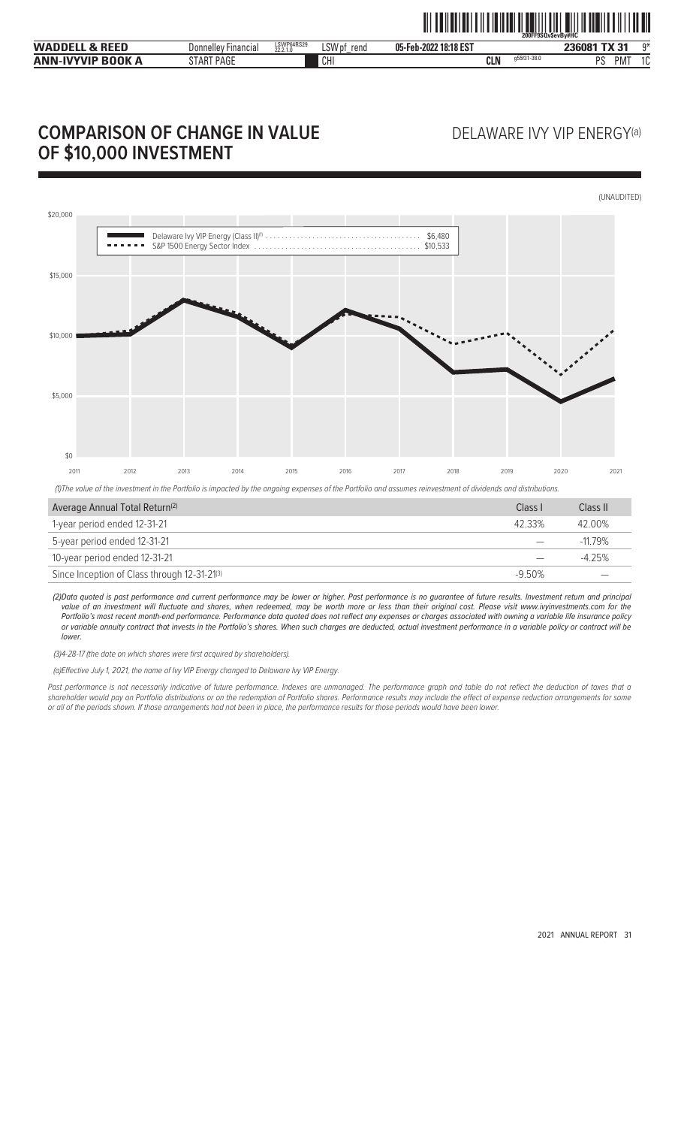|                            |                               |                        |                | ,,,,,,,,,,,,,,,,,,,,,,,,,,,,,,, |            | 200FF9SQvSevBv#HC | ,,,,,,,,,,,,,,,,,,,,,,,,,,,,,,,,,, |        |
|----------------------------|-------------------------------|------------------------|----------------|---------------------------------|------------|-------------------|------------------------------------|--------|
| <b>WADDELL</b><br>. & REED | Financial<br><b>Donnelley</b> | LSWP64RS29<br>22.2.1.0 | LSW pf<br>rend | 05-Feb-2022 18:18 EST           |            |                   | ר TV י<br>236081<br>J              | $0*$   |
| <b>ANN-IVYVIP BOOK A</b>   | START PAGE                    |                        | <b>CHI</b>     |                                 | <b>CLN</b> | a55f31-38.0       | <sub>D</sub> e<br>PM <sup>-</sup>  | $\sim$ |
|                            |                               |                        |                |                                 |            |                   |                                    |        |

**COMPARISON OF CHANGE IN VALUE OF \$10,000 INVESTMENT**

## DELAWARE IVY VIP ENERGY<sup>(a)</sup>

ˆ200FF9SQv\$evBy#HCŠ **200FF9SQv\$evBy#HC**



| Class I  | Class II  |
|----------|-----------|
| 42.33%   | 42.00%    |
|          | $-11.79%$ |
|          | $-4.25%$  |
| $-9.50%$ |           |
|          |           |

(2)Data quoted is past performance and current performance may be lower or higher. Past performance is no guarantee of future results. Investment return and principal value of an investment will fluctuate and shares, when redeemed, may be worth more or less than their original cost. Please visit www.ivyinvestments.com for the Portfolio's most recent month-end performance. Performance data quoted does not reflect any expenses or charges associated with owning a variable life insurance policy or variable annuity contract that invests in the Portfolio's shares. When such charges are deducted, actual investment performance in a variable policy or contract will be lower.

(3)4-28-17 (the date on which shares were first acquired by shareholders).

(a)Effective July 1, 2021, the name of Ivy VIP Energy changed to Delaware Ivy VIP Energy.

Past performance is not necessarily indicative of future performance. Indexes are unmanaged. The performance graph and table do not reflect the deduction of taxes that a shareholder would pay on Portfolio distributions or on the redemption of Portfolio shares. Performance results may include the effect of expense reduction arrangements for some or all of the periods shown. If those arrangements had not been in place, the performance results for those periods would have been lower.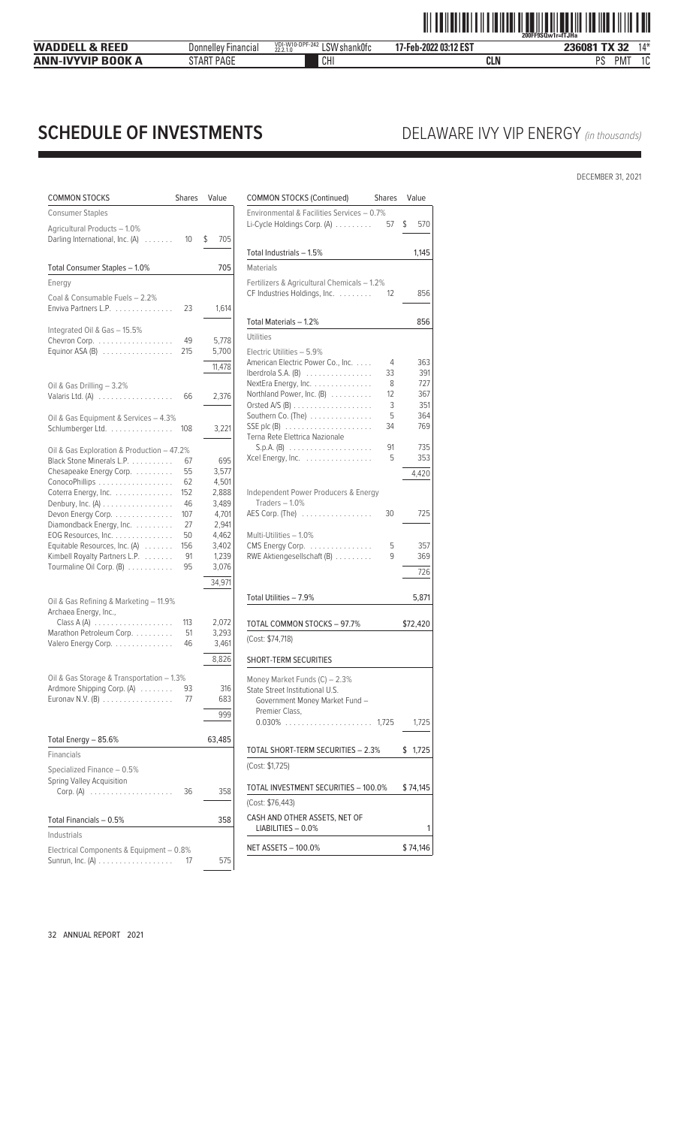|                          |                                                           |                                       | W<br>200FF9SOw1r=fTJHa | , III IIII <sup>j</sup> |                       |
|--------------------------|-----------------------------------------------------------|---------------------------------------|------------------------|-------------------------|-----------------------|
| WADDELL & REED           | VDI-W10-DPF-242<br>22.2.1.0<br><b>Donnelley Financial</b> | LSW shank0fc<br>17-Feb-2022 03:12 EST |                        | $14*$<br>236081 TX 32   |                       |
| <b>ANN-IVYVIP BOOK A</b> | START PAGE                                                | СHI                                   | CLN                    | <b>PMT</b><br>PS        | 10 <sup>1</sup><br>ΙU |

DECEMBER 31, 2021

| <b>COMMON STOCKS</b>                                                                                                                                                                                                                                                                                                                         | <b>Shares</b>                                                     | Value                                                                                                   |
|----------------------------------------------------------------------------------------------------------------------------------------------------------------------------------------------------------------------------------------------------------------------------------------------------------------------------------------------|-------------------------------------------------------------------|---------------------------------------------------------------------------------------------------------|
| <b>Consumer Staples</b>                                                                                                                                                                                                                                                                                                                      |                                                                   |                                                                                                         |
| Agricultural Products - 1.0%<br>Darling International, Inc. (A)                                                                                                                                                                                                                                                                              | 10                                                                | \$<br>705                                                                                               |
| Total Consumer Staples - 1.0%                                                                                                                                                                                                                                                                                                                |                                                                   | 705                                                                                                     |
| Energy                                                                                                                                                                                                                                                                                                                                       |                                                                   |                                                                                                         |
| Coal & Consumable Fuels - 2.2%<br>Enviva Partners L.P.                                                                                                                                                                                                                                                                                       | 23                                                                | 1,614                                                                                                   |
| Integrated Oil & Gas - 15.5%<br>Chevron Corp.<br>Equinor ASA $(B)$                                                                                                                                                                                                                                                                           | 49<br>215                                                         | 5,778<br>5,700                                                                                          |
| Oil & Gas Drilling $-3.2%$<br>Valaris Ltd. (A)<br>.                                                                                                                                                                                                                                                                                          | 66                                                                | 11,478<br>2,376                                                                                         |
| Oil & Gas Equipment & Services - 4.3%<br>Schlumberger Ltd.                                                                                                                                                                                                                                                                                   | 108                                                               | 3,221                                                                                                   |
| Oil & Gas Exploration & Production - 47.2%<br>Black Stone Minerals L.P.<br>Chesapeake Energy Corp.<br>ConocoPhillips<br>Coterra Energy, Inc.<br>Denbury, Inc. $(A)$<br>Devon Energy Corp.<br>Diamondback Energy, Inc.<br>EOG Resources, Inc.<br>Equitable Resources, Inc. (A)<br>Kimbell Royalty Partners L.P.<br>Tourmaline Oil Corp. $(B)$ | 67<br>55<br>62<br>152<br>46<br>107<br>27<br>50<br>156<br>91<br>95 | 695<br>3,577<br>4,501<br>2.888<br>3,489<br>4,701<br>2,941<br>4,462<br>3,402<br>1,239<br>3,076<br>34,971 |
| Oil & Gas Refining & Marketing - 11.9%<br>Archaea Energy, Inc.,<br>$Class A (A) \dots \dots \dots \dots \dots \dots \dots$<br>Marathon Petroleum Corp.<br>Valero Energy Corp.                                                                                                                                                                | 113<br>51<br>46                                                   | 2,072<br>3,293<br>3,461<br>8,826                                                                        |
| Oil & Gas Storage & Transportation - 1.3%<br>Ardmore Shipping Corp. (A)<br>.<br>Euronav N.V. (B)                                                                                                                                                                                                                                             | 93<br>77                                                          | 316<br>683<br>999                                                                                       |
| Total Energy - 85.6%                                                                                                                                                                                                                                                                                                                         |                                                                   | 63,485                                                                                                  |
| <b>Financials</b>                                                                                                                                                                                                                                                                                                                            |                                                                   |                                                                                                         |
| Specialized Finance - 0.5%<br>Spring Valley Acquisition<br>Corp. (A)<br>1.1.1.1.1                                                                                                                                                                                                                                                            | 36                                                                | 358                                                                                                     |
| Total Financials - 0.5%                                                                                                                                                                                                                                                                                                                      |                                                                   | 358                                                                                                     |
| Industrials                                                                                                                                                                                                                                                                                                                                  |                                                                   |                                                                                                         |
| Electrical Components & Equipment - 0.8%<br>Sunrun, Inc. $(A)$                                                                                                                                                                                                                                                                               | 17                                                                | 575                                                                                                     |

| <b>COMMON STOCKS (Continued)</b>                                                                                                                                                                                                                                                                                        | <b>Shares</b>                                 | Value                                                       |
|-------------------------------------------------------------------------------------------------------------------------------------------------------------------------------------------------------------------------------------------------------------------------------------------------------------------------|-----------------------------------------------|-------------------------------------------------------------|
| Environmental & Facilities Services - 0.7%<br>Li-Cycle Holdings Corp. (A)                                                                                                                                                                                                                                               | 57                                            | \$<br>570                                                   |
| Total Industrials - 1.5%                                                                                                                                                                                                                                                                                                |                                               | 1,145                                                       |
| <b>Materials</b>                                                                                                                                                                                                                                                                                                        |                                               |                                                             |
| Fertilizers & Agricultural Chemicals - 1.2%<br>CF Industries Holdings, Inc.                                                                                                                                                                                                                                             | 12                                            | 856                                                         |
| Total Materials - 1.2%                                                                                                                                                                                                                                                                                                  |                                               | 856                                                         |
| Utilities                                                                                                                                                                                                                                                                                                               |                                               |                                                             |
| Electric Utilities - 5.9%<br>American Electric Power Co., Inc.<br>$Iberdrola S.A. (B) \ldots \ldots \ldots \ldots$<br>NextEra Energy, Inc.<br>Northland Power, Inc. (B)<br>Orsted A/S $(B)$<br>Southern Co. (The) $\ldots \ldots \ldots \ldots$<br>SSE plc $(B)$<br>Terna Rete Elettrica Nazionale<br>Xcel Energy, Inc. | 4<br>33<br>8<br>12<br>3<br>5<br>34<br>91<br>5 | 363<br>391<br>727<br>367<br>351<br>364<br>769<br>735<br>353 |
|                                                                                                                                                                                                                                                                                                                         |                                               | 4,420                                                       |
| Independent Power Producers & Energy<br>Traders $-1.0%$<br>AES Corp. (The) $\ldots \ldots \ldots \ldots$<br>Multi-Utilities - 1.0%<br>CMS Energy Corp.<br>RWE Aktiengesellschaft (B)                                                                                                                                    | 30<br>5<br>9                                  | 725<br>357<br>369<br>726                                    |
| Total Utilities - 7.9%                                                                                                                                                                                                                                                                                                  |                                               | 5,871                                                       |
| TOTAL COMMON STOCKS - 97.7%<br>(Cost: \$74,718)                                                                                                                                                                                                                                                                         |                                               | \$72,420                                                    |
| SHORT-TERM SECURITIES                                                                                                                                                                                                                                                                                                   |                                               |                                                             |
| Money Market Funds $(C) - 2.3\%$<br>State Street Institutional U.S.<br>Government Money Market Fund -<br>Premier Class,<br>$0.030\%$                                                                                                                                                                                    | 1,725                                         | 1,725                                                       |
| TOTAL SHORT-TERM SECURITIES - 2.3%                                                                                                                                                                                                                                                                                      |                                               | \$<br>1,725                                                 |
| (Cost: \$1,725)                                                                                                                                                                                                                                                                                                         |                                               |                                                             |
| TOTAL INVESTMENT SECURITIES - 100.0%                                                                                                                                                                                                                                                                                    |                                               | \$74,145                                                    |
| (Cost: \$76,443)                                                                                                                                                                                                                                                                                                        |                                               |                                                             |
| CASH AND OTHER ASSETS, NET OF<br>LIABILITIES - 0.0%                                                                                                                                                                                                                                                                     |                                               | 1                                                           |
| <b>NET ASSETS - 100.0%</b>                                                                                                                                                                                                                                                                                              |                                               | \$74,146                                                    |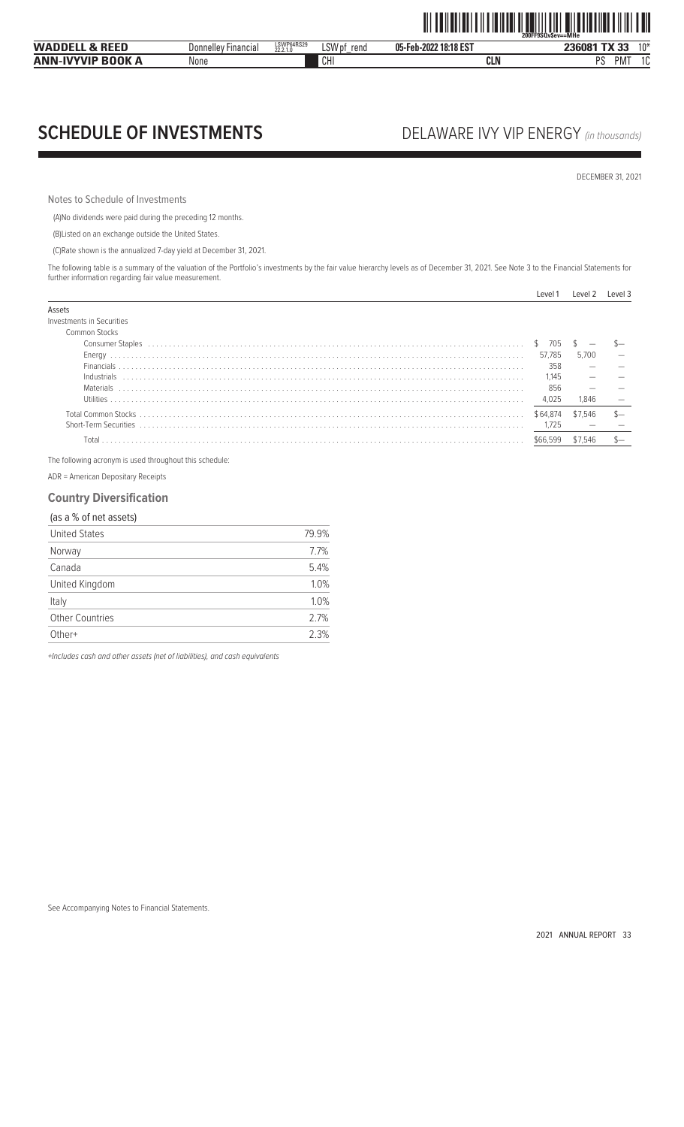|                           |                            |                        |                | III IIIII             | $\  \ $<br>200FF9SQvSev==MHe |
|---------------------------|----------------------------|------------------------|----------------|-----------------------|------------------------------|
| <b>WADDELL &amp; REED</b> | <b>Donnelley Financial</b> | LSWP64RS29<br>22.2.1.0 | LSW pf<br>rend | 05-Feb-2022 18:18 EST | $10*$<br>236081 TX 33        |
| <b>ANN-IVYVIP BOOK A</b>  | None                       |                        | CHI            | <b>CLN</b>            | 1C<br>PMT<br>PS              |

DECEMBER 31, 2021

Notes to Schedule of Investments

(A)No dividends were paid during the preceding 12 months.

(B)Listed on an exchange outside the United States.

(C)Rate shown is the annualized 7-day yield at December 31, 2021.

The following table is a summary of the valuation of the Portfolio's investments by the fair value hierarchy levels as of December 31, 2021. See Note 3 to the Financial Statements for further information regarding fair value measurement.

|                           | Level    |         | evel: |
|---------------------------|----------|---------|-------|
| Assets                    |          |         |       |
| Investments in Securities |          |         |       |
| Common Stocks             |          |         |       |
| <b>Consumer Staples</b>   | 705      |         |       |
| Energy                    | 57.785   | 5.700   |       |
|                           | 358      |         |       |
| Industrials               | 1.145    |         |       |
| Materials                 | 856      |         |       |
|                           | 4.025    | 1.846   |       |
|                           | \$64.874 | \$7.546 |       |
| Short-Term Securities     | 1.725    |         |       |
| Total                     |          |         |       |
|                           |          |         |       |

The following acronym is used throughout this schedule:

ADR = American Depositary Receipts

## **Country Diversification**

### (as a % of net assets)

| <b>United States</b>   | 79.9% |
|------------------------|-------|
| Norway                 | 7.7%  |
| Canada                 | 5.4%  |
| United Kingdom         | 1.0%  |
| Italy                  | 1.0%  |
| <b>Other Countries</b> | 2.7%  |
| Other+                 | 2.3%  |

+Includes cash and other assets (net of liabilities), and cash equivalents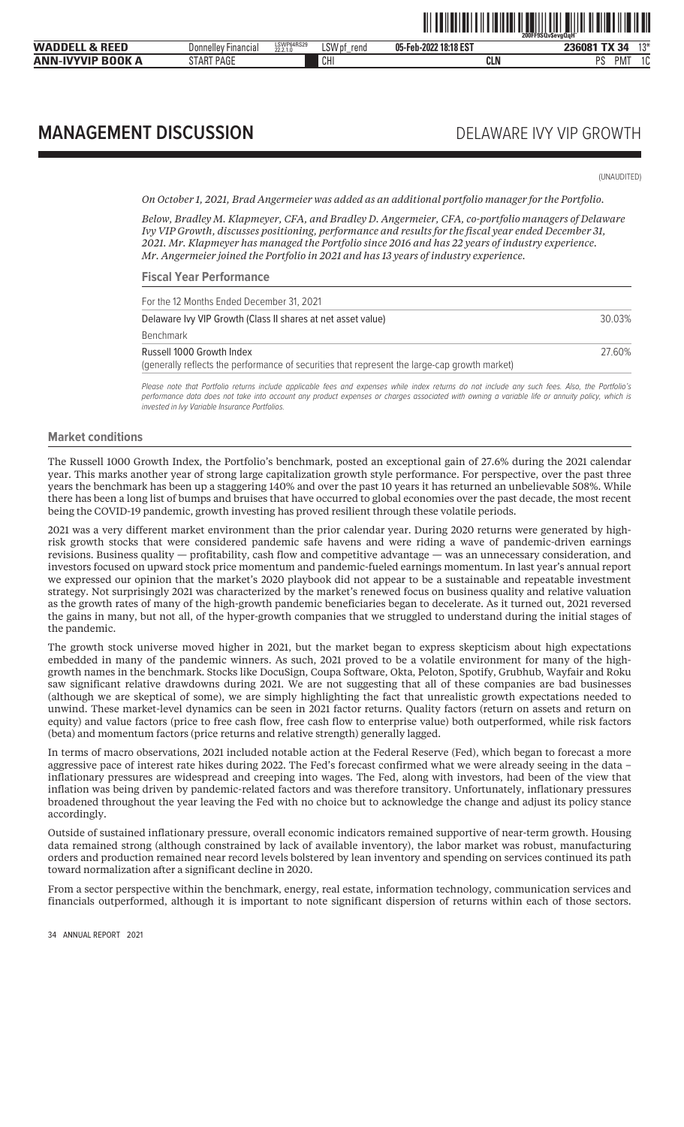|                                        |                        |                        |                |                          | ZUUFFJƏUVƏBVUUUN |              |
|----------------------------------------|------------------------|------------------------|----------------|--------------------------|------------------|--------------|
| <b>REED</b><br>WA[                     | Donnelley<br>Financial | LSWP64RS29<br>22.2.1.0 | LSW pf<br>rend | 18:18 EST<br>05-Feb-2022 | <b>TX 34</b>     | $12*$<br>ιυ  |
| <b>ROOK A</b><br><b>IVVVIP</b><br>ANN· | START PAGE             |                        | CHI            | <b>CLN</b>               | nc<br><b>PMT</b> | $\sim$<br>יט |
|                                        |                        |                        |                |                          |                  |              |

## **MANAGEMENT DISCUSSION** DELAWARE IVY VIP GROWTH

**∂11 FF9 OFF9 II OFF9 OFF9 II OFF9 III OFF9 III** OFF9 III OFF9 III OFF9 III OFF9 III OF

### (UNAUDITED)

### *On October 1, 2021, Brad Angermeier was added as an additional portfolio manager for the Portfolio.*

*Below, Bradley M. Klapmeyer, CFA, and Bradley D. Angermeier, CFA, co-portfolio managers of Delaware Ivy VIP Growth, discusses positioning, performance and results for the fiscal year ended December 31, 2021. Mr. Klapmeyer has managed the Portfolio since 2016 and has 22 years of industry experience. Mr. Angermeier joined the Portfolio in 2021 and has 13 years of industry experience.*

<span id="page-33-0"></span>**Fiscal Year Performance**

| 30 03% |
|--------|
|        |
| 27.60% |
|        |

Please note that Portfolio returns include applicable fees and expenses while index returns do not include any such fees. Also, the Portfolio's performance data does not take into account any product expenses or charges associated with owning a variable life or annuity policy, which is invested in Ivy Variable Insurance Portfolios.

### **Market conditions**

The Russell 1000 Growth Index, the Portfolio's benchmark, posted an exceptional gain of 27.6% during the 2021 calendar year. This marks another year of strong large capitalization growth style performance. For perspective, over the past three years the benchmark has been up a staggering 140% and over the past 10 years it has returned an unbelievable 508%. While there has been a long list of bumps and bruises that have occurred to global economies over the past decade, the most recent being the COVID-19 pandemic, growth investing has proved resilient through these volatile periods.

2021 was a very different market environment than the prior calendar year. During 2020 returns were generated by highrisk growth stocks that were considered pandemic safe havens and were riding a wave of pandemic-driven earnings revisions. Business quality — profitability, cash flow and competitive advantage — was an unnecessary consideration, and investors focused on upward stock price momentum and pandemic-fueled earnings momentum. In last year's annual report we expressed our opinion that the market's 2020 playbook did not appear to be a sustainable and repeatable investment strategy. Not surprisingly 2021 was characterized by the market's renewed focus on business quality and relative valuation as the growth rates of many of the high-growth pandemic beneficiaries began to decelerate. As it turned out, 2021 reversed the gains in many, but not all, of the hyper-growth companies that we struggled to understand during the initial stages of the pandemic.

The growth stock universe moved higher in 2021, but the market began to express skepticism about high expectations embedded in many of the pandemic winners. As such, 2021 proved to be a volatile environment for many of the highgrowth names in the benchmark. Stocks like DocuSign, Coupa Software, Okta, Peloton, Spotify, Grubhub, Wayfair and Roku saw significant relative drawdowns during 2021. We are not suggesting that all of these companies are bad businesses (although we are skeptical of some), we are simply highlighting the fact that unrealistic growth expectations needed to unwind. These market-level dynamics can be seen in 2021 factor returns. Quality factors (return on assets and return on equity) and value factors (price to free cash flow, free cash flow to enterprise value) both outperformed, while risk factors (beta) and momentum factors (price returns and relative strength) generally lagged.

In terms of macro observations, 2021 included notable action at the Federal Reserve (Fed), which began to forecast a more aggressive pace of interest rate hikes during 2022. The Fed's forecast confirmed what we were already seeing in the data – inflationary pressures are widespread and creeping into wages. The Fed, along with investors, had been of the view that inflation was being driven by pandemic-related factors and was therefore transitory. Unfortunately, inflationary pressures broadened throughout the year leaving the Fed with no choice but to acknowledge the change and adjust its policy stance accordingly.

Outside of sustained inflationary pressure, overall economic indicators remained supportive of near-term growth. Housing data remained strong (although constrained by lack of available inventory), the labor market was robust, manufacturing orders and production remained near record levels bolstered by lean inventory and spending on services continued its path toward normalization after a significant decline in 2020.

From a sector perspective within the benchmark, energy, real estate, information technology, communication services and financials outperformed, although it is important to note significant dispersion of returns within each of those sectors.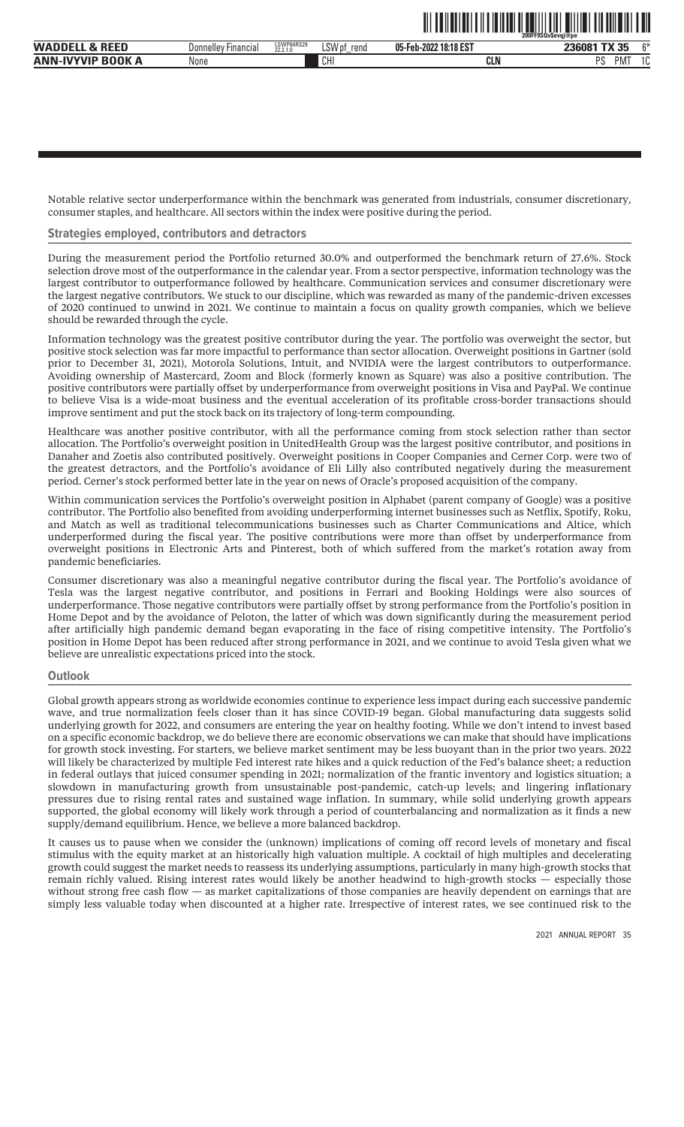|                                    |                               |                        |                | 200FF9SQvSevai@pe     |                                   |        |
|------------------------------------|-------------------------------|------------------------|----------------|-----------------------|-----------------------------------|--------|
| <b>REED</b><br><b>WAF</b><br>ึ     | Donnellev<br><b>Financial</b> | LSWP64RS29<br>22.2.1.0 | LSW pf<br>rena | 05-Feb-2022 18:18 EST | 0002001<br>הפ<br>--<br>w.         | $\sim$ |
| <b>IVYVIP BOOK A</b><br><b>ANN</b> | None                          |                        | CHI            | <b>CLN</b>            | <sub>D</sub> e<br>PM <sup>-</sup> | $\sim$ |
|                                    |                               |                        |                |                       |                                   |        |

ˆ200FF9SQv\$evqj@peŠ **200FF9SQv\$evqj@pe**

Notable relative sector underperformance within the benchmark was generated from industrials, consumer discretionary, consumer staples, and healthcare. All sectors within the index were positive during the period.

### **Strategies employed, contributors and detractors**

During the measurement period the Portfolio returned 30.0% and outperformed the benchmark return of 27.6%. Stock selection drove most of the outperformance in the calendar year. From a sector perspective, information technology was the largest contributor to outperformance followed by healthcare. Communication services and consumer discretionary were the largest negative contributors. We stuck to our discipline, which was rewarded as many of the pandemic-driven excesses of 2020 continued to unwind in 2021. We continue to maintain a focus on quality growth companies, which we believe should be rewarded through the cycle.

Information technology was the greatest positive contributor during the year. The portfolio was overweight the sector, but positive stock selection was far more impactful to performance than sector allocation. Overweight positions in Gartner (sold prior to December 31, 2021), Motorola Solutions, Intuit, and NVIDIA were the largest contributors to outperformance. Avoiding ownership of Mastercard, Zoom and Block (formerly known as Square) was also a positive contribution. The positive contributors were partially offset by underperformance from overweight positions in Visa and PayPal. We continue to believe Visa is a wide-moat business and the eventual acceleration of its profitable cross-border transactions should improve sentiment and put the stock back on its trajectory of long-term compounding.

Healthcare was another positive contributor, with all the performance coming from stock selection rather than sector allocation. The Portfolio's overweight position in UnitedHealth Group was the largest positive contributor, and positions in Danaher and Zoetis also contributed positively. Overweight positions in Cooper Companies and Cerner Corp. were two of the greatest detractors, and the Portfolio's avoidance of Eli Lilly also contributed negatively during the measurement period. Cerner's stock performed better late in the year on news of Oracle's proposed acquisition of the company.

Within communication services the Portfolio's overweight position in Alphabet (parent company of Google) was a positive contributor. The Portfolio also benefited from avoiding underperforming internet businesses such as Netflix, Spotify, Roku, and Match as well as traditional telecommunications businesses such as Charter Communications and Altice, which underperformed during the fiscal year. The positive contributions were more than offset by underperformance from overweight positions in Electronic Arts and Pinterest, both of which suffered from the market's rotation away from pandemic beneficiaries.

Consumer discretionary was also a meaningful negative contributor during the fiscal year. The Portfolio's avoidance of Tesla was the largest negative contributor, and positions in Ferrari and Booking Holdings were also sources of underperformance. Those negative contributors were partially offset by strong performance from the Portfolio's position in Home Depot and by the avoidance of Peloton, the latter of which was down significantly during the measurement period after artificially high pandemic demand began evaporating in the face of rising competitive intensity. The Portfolio's position in Home Depot has been reduced after strong performance in 2021, and we continue to avoid Tesla given what we believe are unrealistic expectations priced into the stock.

### **Outlook**

Global growth appears strong as worldwide economies continue to experience less impact during each successive pandemic wave, and true normalization feels closer than it has since COVID-19 began. Global manufacturing data suggests solid underlying growth for 2022, and consumers are entering the year on healthy footing. While we don't intend to invest based on a specific economic backdrop, we do believe there are economic observations we can make that should have implications for growth stock investing. For starters, we believe market sentiment may be less buoyant than in the prior two years. 2022 will likely be characterized by multiple Fed interest rate hikes and a quick reduction of the Fed's balance sheet; a reduction in federal outlays that juiced consumer spending in 2021; normalization of the frantic inventory and logistics situation; a slowdown in manufacturing growth from unsustainable post-pandemic, catch-up levels; and lingering inflationary pressures due to rising rental rates and sustained wage inflation. In summary, while solid underlying growth appears supported, the global economy will likely work through a period of counterbalancing and normalization as it finds a new supply/demand equilibrium. Hence, we believe a more balanced backdrop.

It causes us to pause when we consider the (unknown) implications of coming off record levels of monetary and fiscal stimulus with the equity market at an historically high valuation multiple. A cocktail of high multiples and decelerating growth could suggest the market needs to reassess its underlying assumptions, particularly in many high-growth stocks that remain richly valued. Rising interest rates would likely be another headwind to high-growth stocks — especially those without strong free cash flow — as market capitalizations of those companies are heavily dependent on earnings that are simply less valuable today when discounted at a higher rate. Irrespective of interest rates, we see continued risk to the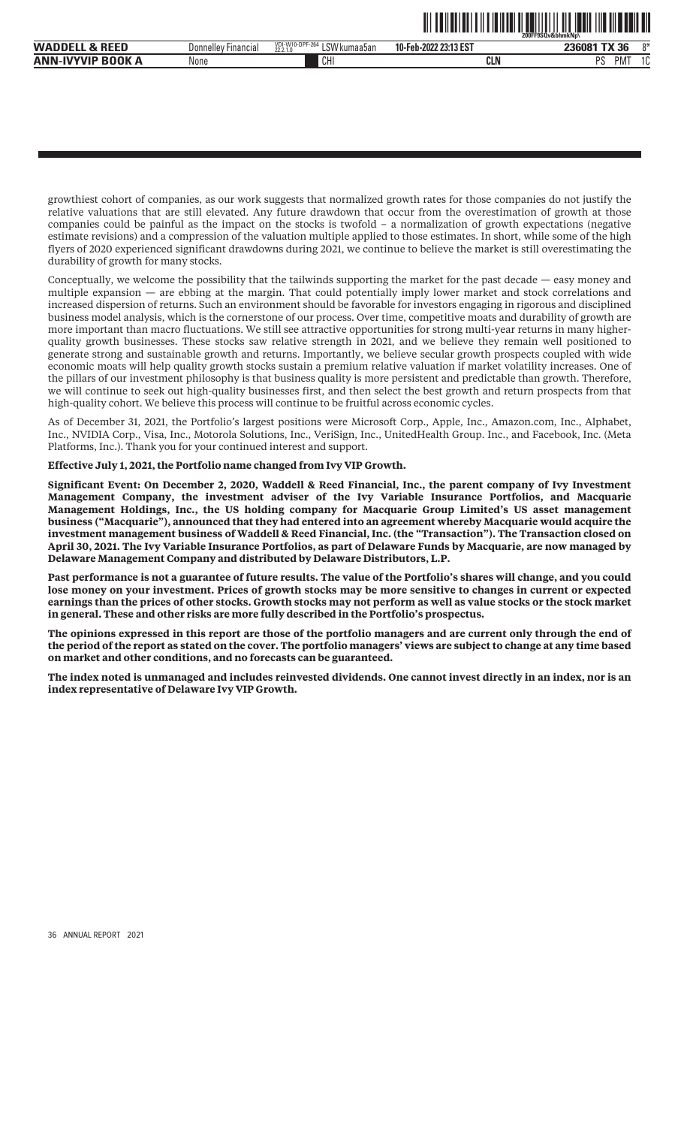| ----------------------------- |                               |                                                                  |                       | --- ----- --- --- ------ --<br>200FF9SQv&bhmkNp\ |              |  |
|-------------------------------|-------------------------------|------------------------------------------------------------------|-----------------------|--------------------------------------------------|--------------|--|
| <b>WADDELL</b><br>& REED      | <b>'Financia</b><br>Donnelle\ | VDI-W10-DPF-264<br>$\cdot$   CMI'<br>V kumaaban<br>22.2.1.0<br>ᄖ | 10-Feb-2022 23:13 EST | 36<br>236081                                     | $0*$         |  |
| <b>ANN-IVYVIP BOOK A</b>      | None                          | CHI                                                              | <b>CLN</b>            | nc<br>PM <sup>-</sup>                            | $\sim$<br>ΙU |  |

<u>oli toiluttuittiin luottai tien liittiin luottai liittiin oli oli</u>

growthiest cohort of companies, as our work suggests that normalized growth rates for those companies do not justify the relative valuations that are still elevated. Any future drawdown that occur from the overestimation of growth at those companies could be painful as the impact on the stocks is twofold – a normalization of growth expectations (negative estimate revisions) and a compression of the valuation multiple applied to those estimates. In short, while some of the high flyers of 2020 experienced significant drawdowns during 2021, we continue to believe the market is still overestimating the durability of growth for many stocks.

Conceptually, we welcome the possibility that the tailwinds supporting the market for the past decade — easy money and multiple expansion — are ebbing at the margin. That could potentially imply lower market and stock correlations and increased dispersion of returns. Such an environment should be favorable for investors engaging in rigorous and disciplined business model analysis, which is the cornerstone of our process. Over time, competitive moats and durability of growth are more important than macro fluctuations. We still see attractive opportunities for strong multi-year returns in many higherquality growth businesses. These stocks saw relative strength in 2021, and we believe they remain well positioned to generate strong and sustainable growth and returns. Importantly, we believe secular growth prospects coupled with wide economic moats will help quality growth stocks sustain a premium relative valuation if market volatility increases. One of the pillars of our investment philosophy is that business quality is more persistent and predictable than growth. Therefore, we will continue to seek out high-quality businesses first, and then select the best growth and return prospects from that high-quality cohort. We believe this process will continue to be fruitful across economic cycles.

As of December 31, 2021, the Portfolio's largest positions were Microsoft Corp., Apple, Inc., Amazon.com, Inc., Alphabet, Inc., NVIDIA Corp., Visa, Inc., Motorola Solutions, Inc., VeriSign, Inc., UnitedHealth Group. Inc., and Facebook, Inc. (Meta Platforms, Inc.). Thank you for your continued interest and support.

**Effective July 1, 2021, the Portfolio name changed from Ivy VIP Growth.**

**Significant Event: On December 2, 2020, Waddell & Reed Financial, Inc., the parent company of Ivy Investment Management Company, the investment adviser of the Ivy Variable Insurance Portfolios, and Macquarie Management Holdings, Inc., the US holding company for Macquarie Group Limited's US asset management business ("Macquarie"), announced that they had entered into an agreement whereby Macquarie would acquire the investment management business of Waddell & Reed Financial, Inc. (the "Transaction"). The Transaction closed on April 30, 2021. The Ivy Variable Insurance Portfolios, as part of Delaware Funds by Macquarie, are now managed by Delaware Management Company and distributed by Delaware Distributors, L.P.**

**Past performance is not a guarantee of future results. The value of the Portfolio's shares will change, and you could lose money on your investment. Prices of growth stocks may be more sensitive to changes in current or expected earnings than the prices of other stocks. Growth stocks may not perform as well as value stocks or the stock market in general. These and other risks are more fully described in the Portfolio's prospectus.**

**The opinions expressed in this report are those of the portfolio managers and are current only through the end of the period of the report as stated on the cover. The portfolio managers' views are subject to change at any time based on market and other conditions, and no forecasts can be guaranteed.**

**The index noted is unmanaged and includes reinvested dividends. One cannot invest directly in an index, nor is an index representative of Delaware Ivy VIP Growth.**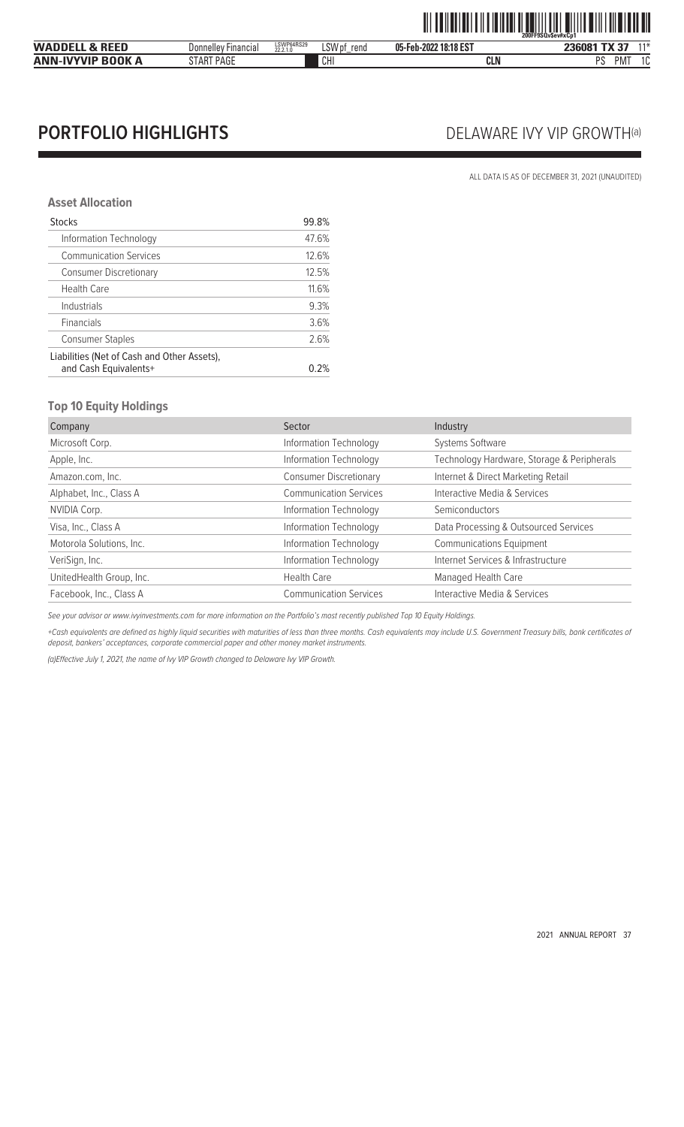|                           |                            |                        |                | IIII<br>$\ \ $        | <u> III II</u><br>200FF9SQvSev#xCp1 |
|---------------------------|----------------------------|------------------------|----------------|-----------------------|-------------------------------------|
| <b>WADDELL &amp; REED</b> | <b>Donnelley Financial</b> | LSWP64RS29<br>22.2.1.0 | LSW pf<br>rend | 05-Feb-2022 18:18 EST | $\sqrt{1}$ TX 37<br>$11*$<br>236081 |
| <b>ANN-IVYVIP BOOK A</b>  | <b>START PAGE</b>          |                        | CHI            | CLN                   | PMT<br>PS<br>$1^\circ$<br>ιu        |

# **PORTFOLIO HIGHLIGHTS** DELAWARE IVY VIP GROWTH(a)

ALL DATA IS AS OF DECEMBER 31, 2021 (UNAUDITED)

## **Asset Allocation**

| <b>Stocks</b>                                                        | 99.8% |
|----------------------------------------------------------------------|-------|
| Information Technology                                               | 47.6% |
| <b>Communication Services</b>                                        | 12.6% |
| <b>Consumer Discretionary</b>                                        | 12.5% |
| <b>Health Care</b>                                                   | 11.6% |
| Industrials                                                          | 9.3%  |
| <b>Financials</b>                                                    | 3.6%  |
| <b>Consumer Staples</b>                                              | 2.6%  |
| Liabilities (Net of Cash and Other Assets),<br>and Cash Equivalents+ | 2%    |

## **Top 10 Equity Holdings**

| Company                  | Sector                        | Industry                                   |
|--------------------------|-------------------------------|--------------------------------------------|
| Microsoft Corp.          | Information Technology        | Systems Software                           |
| Apple, Inc.              | Information Technology        | Technology Hardware, Storage & Peripherals |
| Amazon.com, Inc.         | <b>Consumer Discretionary</b> | Internet & Direct Marketing Retail         |
| Alphabet, Inc., Class A  | <b>Communication Services</b> | Interactive Media & Services               |
| NVIDIA Corp.             | Information Technology        | Semiconductors                             |
| Visa, Inc., Class A      | Information Technology        | Data Processing & Outsourced Services      |
| Motorola Solutions, Inc. | Information Technology        | <b>Communications Equipment</b>            |
| VeriSign, Inc.           | Information Technology        | Internet Services & Infrastructure         |
| UnitedHealth Group, Inc. | Health Care                   | Managed Health Care                        |
| Facebook, Inc., Class A  | <b>Communication Services</b> | Interactive Media & Services               |

See your advisor or www.ivyinvestments.com for more information on the Portfolio's most recently published Top 10 Equity Holdings.

+Cash equivalents are defined as highly liquid securities with maturities of less than three months. Cash equivalents may include U.S. Government Treasury bills, bank certificates of deposit, bankers' acceptances, corporate commercial paper and other money market instruments.

(a)Effective July 1, 2021, the name of Ivy VIP Growth changed to Delaware Ivy VIP Growth.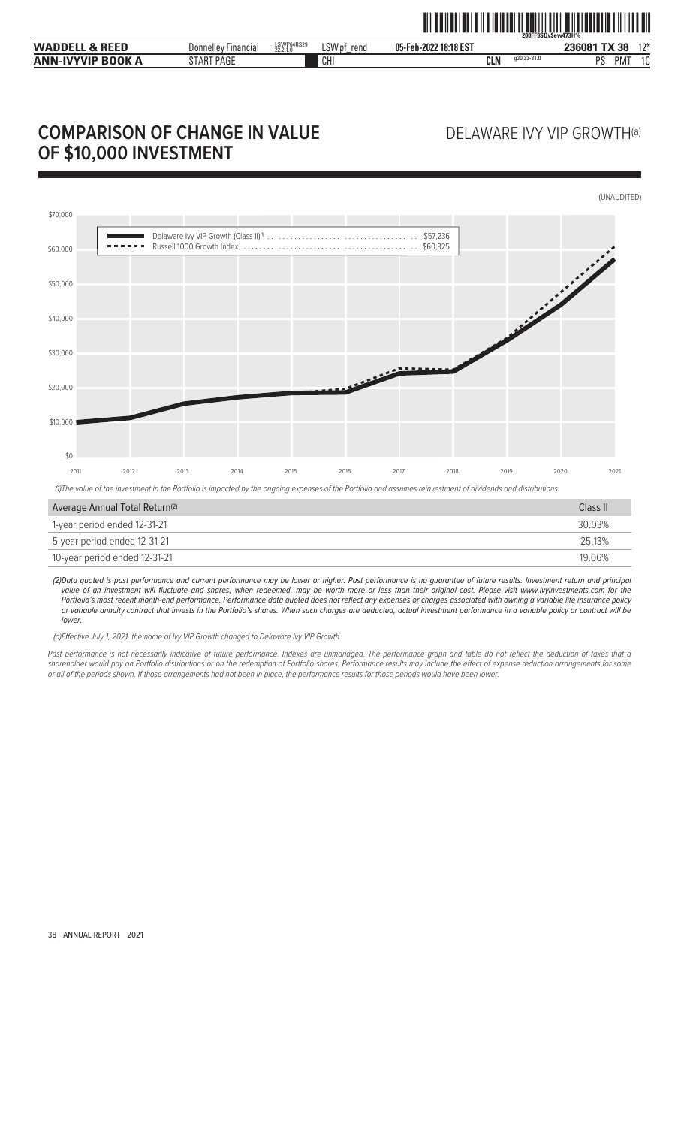|                            |                               |                        |                          |                       |            | 200FF9SQvSew473H% | ,,,,,,,,,,,,,,,,,,,,,,,,,,,,, |           |    |
|----------------------------|-------------------------------|------------------------|--------------------------|-----------------------|------------|-------------------|-------------------------------|-----------|----|
| <b>WADDELL</b><br>. & REED | Donnelley<br><b>Financial</b> | LSWP64RS29<br>22.2.1.0 | LSW <sub>p</sub><br>rend | 05-Feb-2022 18:18 EST |            |                   | <b>TX 38</b><br>236081        | 1 $2$ $*$ |    |
| <b>ANN-IVYVIP BOOK A</b>   | START PAGE                    |                        | CHI                      |                       | <b>CLN</b> | g30j33-31.0       | PMT<br><b>DC</b>              | $\sim$    | טו |
|                            |                               |                        |                          |                       |            |                   |                               |           |    |

**COMPARISON OF CHANGE IN VALUE OF \$10,000 INVESTMENT**

## DELAWARE IVY VIP GROWTH<sup>(a)</sup>

ˆ200FF9SQv\$ew473H%Š **200FF9SQv\$ew473H%**



| Average Annual Total Return <sup>(2)</sup> | Class II |
|--------------------------------------------|----------|
| 1-year period ended 12-31-21               | 30 03%   |
| 5-year period ended 12-31-21               | 25 13%   |
| 10-year period ended 12-31-21              | 19 06%   |

(2)Data quoted is past performance and current performance may be lower or higher. Past performance is no guarantee of future results. Investment return and principal value of an investment will fluctuate and shares, when redeemed, may be worth more or less than their original cost. Please visit www.ivyinvestments.com for the Portfolio's most recent month-end performance. Performance data quoted does not reflect any expenses or charges associated with owning a variable life insurance policy or variable annuity contract that invests in the Portfolio's shares. When such charges are deducted, actual investment performance in a variable policy or contract will be lower.

(a)Effective July 1, 2021, the name of Ivy VIP Growth changed to Delaware Ivy VIP Growth.

Past performance is not necessarily indicative of future performance. Indexes are unmanaged. The performance graph and table do not reflect the deduction of taxes that a shareholder would pay on Portfolio distributions or on the redemption of Portfolio shares. Performance results may include the effect of expense reduction arrangements for some or all of the periods shown. If those arrangements had not been in place, the performance results for those periods would have been lower.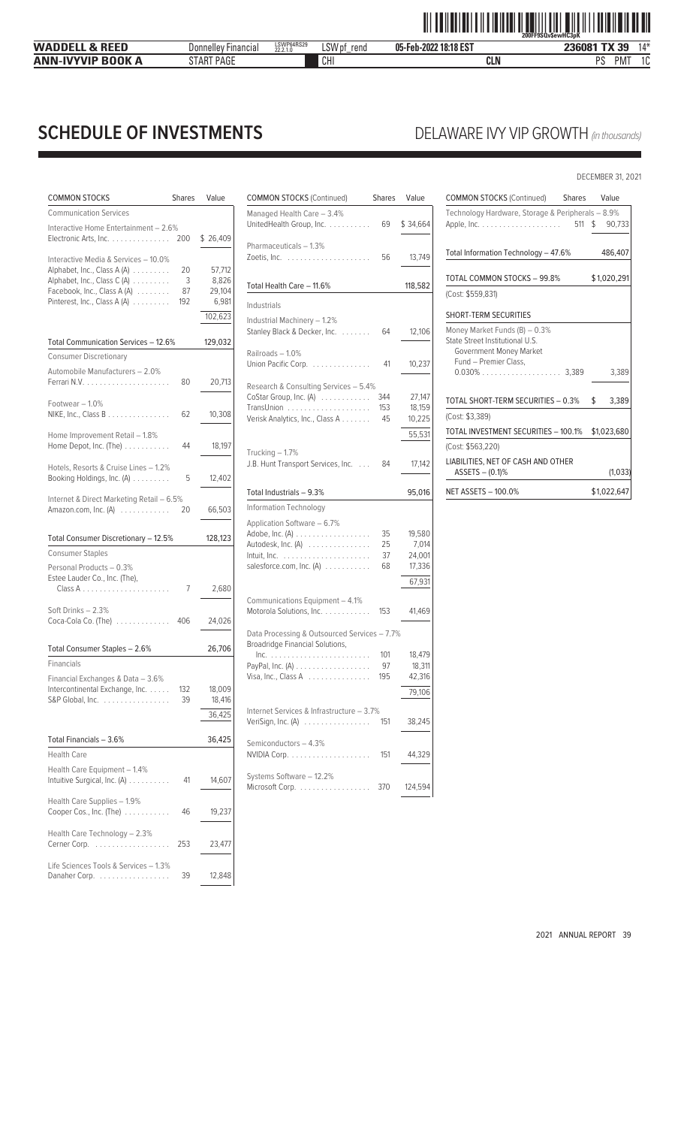|                           |                            |                        |                | <u> I an Ian an India</u><br>III | <b>THEFT</b><br>200FF9SQvSewHC3pK |
|---------------------------|----------------------------|------------------------|----------------|----------------------------------|-----------------------------------|
| <b>WADDELL &amp; REED</b> | <b>Donnelley Financial</b> | LSWP64RS29<br>22.2.1.0 | LSW pf<br>rend | 05-Feb-2022 18:18 EST            | $14*$<br>236081 TX 39             |
| <b>ANN-IVYVIP BOOK A</b>  | START PAGE                 |                        | CHI            | CLN                              | 10<br>PS<br><b>PMT</b>            |
|                           |                            |                        |                |                                  |                                   |

# **SCHEDULE OF INVESTMENTS** DELAWARE IVY VIP GROWTH (in thousands)

| <b>COMMON STOCKS</b>                                                                                                                                              | <b>Shares</b>        | Value                                         |
|-------------------------------------------------------------------------------------------------------------------------------------------------------------------|----------------------|-----------------------------------------------|
| <b>Communication Services</b>                                                                                                                                     |                      |                                               |
| Interactive Home Entertainment - 2.6%<br>Electronic Arts, Inc.                                                                                                    | 200                  | \$26,409                                      |
| Interactive Media & Services - 10.0%<br>Alphabet, Inc., Class A (A)<br>Alphabet, Inc., Class C (A)<br>Facebook, Inc., Class A (A)<br>Pinterest, Inc., Class A (A) | 20<br>3<br>87<br>192 | 57,712<br>8,826<br>29,104<br>6,981<br>102,623 |
| Total Communication Services - 12.6%                                                                                                                              |                      | 129,032                                       |
| <b>Consumer Discretionary</b>                                                                                                                                     |                      |                                               |
| Automobile Manufacturers - 2.0%                                                                                                                                   | 80                   | 20,713                                        |
| Footwear - 1.0%<br>NIKE, Inc., Class B                                                                                                                            | 62                   | 10,308                                        |
| Home Improvement Retail - 1.8%<br>Home Depot, Inc. (The)                                                                                                          | 44                   | 18,197                                        |
| Hotels, Resorts & Cruise Lines - 1.2%<br>Booking Holdings, Inc. (A)                                                                                               | 5                    | 12,402                                        |
| Internet & Direct Marketing Retail - 6.5%<br>Amazon.com, Inc. (A)                                                                                                 | 20                   | 66,503                                        |
| Total Consumer Discretionary - 12.5%                                                                                                                              |                      | 128,123                                       |
| <b>Consumer Staples</b>                                                                                                                                           |                      |                                               |
| Personal Products - 0.3%<br>Estee Lauder Co., Inc. (The),<br>Class A                                                                                              | 7                    | 2,680                                         |
| Soft Drinks - 2.3%<br>Coca-Cola Co. (The) $\ldots \ldots \ldots$                                                                                                  | 406                  | 24,026                                        |
| Total Consumer Staples - 2.6%                                                                                                                                     |                      | 26,706                                        |
| Financials                                                                                                                                                        |                      |                                               |
| Financial Exchanges & Data - 3.6%<br>Intercontinental Exchange, Inc.<br>S&P Global, Inc.                                                                          | 132<br>39            | 18,009<br>18,416<br>36,425                    |
| Total Financials - 3.6%                                                                                                                                           |                      | 36,425                                        |
| <b>Health Care</b>                                                                                                                                                |                      |                                               |
| Health Care Equipment - 1.4%<br>Intuitive Surgical, Inc. (A)                                                                                                      | 41                   | 14,607                                        |
| Health Care Supplies - 1.9%<br>Cooper Cos., Inc. (The) $\ldots \ldots \ldots$                                                                                     | 46                   | 19,237                                        |
| Health Care Technology - 2.3%<br>Cerner Corp.<br>1.1.1.1<br>$\ldots$ .                                                                                            | 253                  | 23,477                                        |
| Life Sciences Tools & Services - 1.3%<br>Danaher Corp                                                                                                             | 39                   | 12,848                                        |

| <b>COMMON STOCKS (Continued)</b>                                                                                 | <b>Shares</b>        | Value                                         |
|------------------------------------------------------------------------------------------------------------------|----------------------|-----------------------------------------------|
| Managed Health Care - 3.4%<br>UnitedHealth Group, Inc.                                                           | 69                   | \$34,664                                      |
| Pharmaceuticals - 1.3%<br>Zoetis, Inc.                                                                           | 56                   | 13,749                                        |
| Total Health Care - 11.6%                                                                                        |                      | 118,582                                       |
| Industrials                                                                                                      |                      |                                               |
| Industrial Machinery - 1.2%<br>Stanley Black & Decker, Inc.                                                      | 64                   | 12,106                                        |
| Railroads-1.0%<br>Union Pacific Corp.<br>.                                                                       | 41                   | 10,237                                        |
| Research & Consulting Services - 5.4%<br>CoStar Group, Inc. (A)<br>TransUnion<br>Verisk Analytics, Inc., Class A | 344<br>153<br>45     | 27,147<br>18,159<br>10,225<br>55,531          |
| Trucking $-1.7%$<br>J.B. Hunt Transport Services, Inc.                                                           | 84                   | 17,142                                        |
| Total Industrials - 9.3%                                                                                         |                      | 95,016                                        |
| Information Technology                                                                                           |                      |                                               |
| Application Software - 6.7%<br>Adobe, Inc. (A)<br>Autodesk, Inc. (A)<br>salesforce.com, Inc. $(A)$               | 35<br>25<br>37<br>68 | 19,580<br>7,014<br>24,001<br>17,336<br>67,931 |
| Communications Equipment - 4.1%<br>Motorola Solutions, Inc.                                                      | 153                  | 41,469                                        |
| Data Processing & Outsourced Services - 7.7%<br>Broadridge Financial Solutions,                                  |                      |                                               |
| PayPal, Inc. (A)<br>Visa, Inc., Class A                                                                          | 101<br>97<br>195     | 18,479<br>18,311<br>42,316<br>79,106          |
| Internet Services & Infrastructure - 3.7%<br>VeriSign, Inc. $(A)$                                                | 151                  | 38,245                                        |
| Semiconductors - 4.3%<br>NVIDIA Corp.                                                                            | 151                  | 44,329                                        |
| Systems Software - 12.2%<br>Microsoft Corp.                                                                      | 370                  | 124,594                                       |

## DECEMBER 31, 2021

| <b>COMMON STOCKS (Continued) Shares Value</b>                                                                        |       |               |             |
|----------------------------------------------------------------------------------------------------------------------|-------|---------------|-------------|
| Technology Hardware, Storage & Peripherals - 8.9%<br>Apple, Inc. $\ldots \ldots \ldots \ldots \ldots \ldots$         | 511   | $\mathcal{S}$ | 90,733      |
| Total Information Technology - 47.6%                                                                                 |       |               | 486,407     |
| TOTAL COMMON STOCKS - 99.8%                                                                                          |       |               | \$1,020,291 |
| (Cost: \$559,831)                                                                                                    |       |               |             |
| <b>SHORT-TERM SECURITIES</b>                                                                                         |       |               |             |
| Money Market Funds (B) - 0.3%<br>State Street Institutional U.S.<br>Government Money Market<br>Fund - Premier Class, | 3.389 |               | 3,389       |
| TOTAL SHORT-TERM SECURITIES - 0.3%                                                                                   |       | \$            | 3.389       |
| (Cost: \$3,389)                                                                                                      |       |               |             |
| TOTAL INVESTMENT SECURITIES - 100.1%                                                                                 |       |               | \$1,023,680 |
| (Cost: \$563,220)                                                                                                    |       |               |             |
| LIABILITIES, NET OF CASH AND OTHER<br>$ASSETS - (0.1)\%$                                                             |       |               | (1,033)     |
| <b>NET ASSETS - 100.0%</b>                                                                                           |       |               | \$1,022,647 |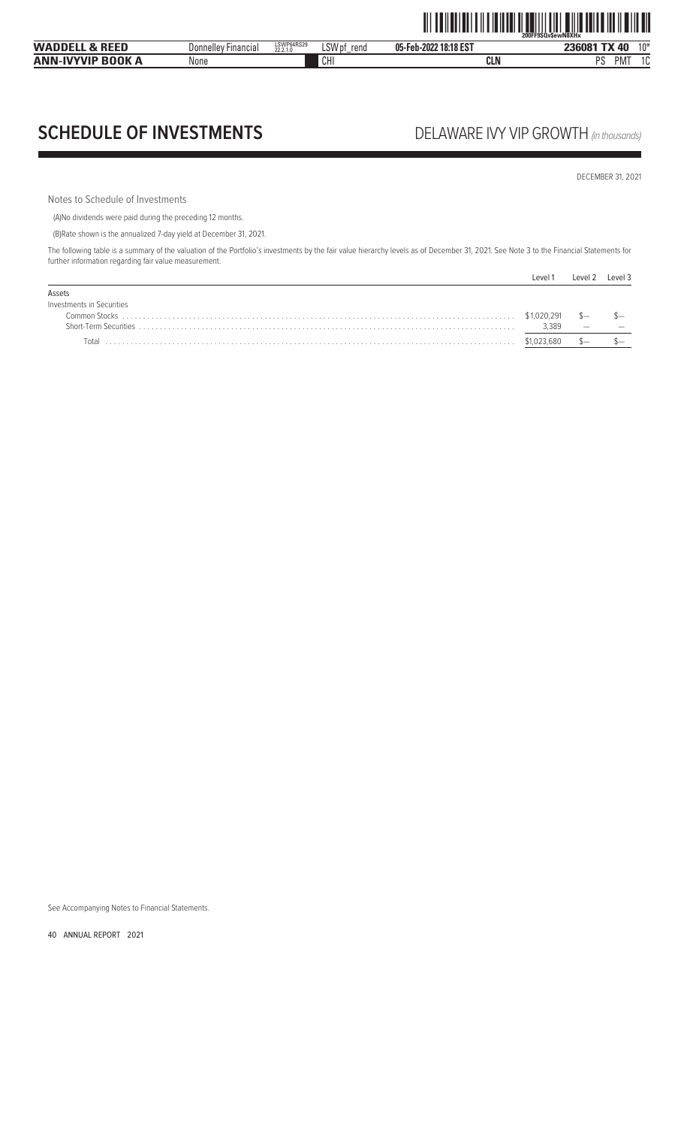|                           |                     |                        |                | III IIIII             | <b>TIIN INITE IN III</b><br>III III<br>200FF9SQvSewN8XHx |
|---------------------------|---------------------|------------------------|----------------|-----------------------|----------------------------------------------------------|
| <b>WADDELL &amp; REED</b> | Donnelley Financial | LSWP64RS29<br>22.2.1.0 | LSW pf<br>rend | 05-Feb-2022 18:18 EST | 236081 TX 40<br>$10*$                                    |
| <b>ANN-IVYVIP BOOK A</b>  | None                |                        | CHI            | <b>CLN</b>            | <b>PMT</b><br>10<br>PS                                   |
|                           |                     |                        |                |                       |                                                          |

# **SCHEDULE OF INVESTMENTS** DELAWARE IVY VIP GROWTH (in thousands)

DECEMBER 31, 2021

Notes to Schedule of Investments

(A)No dividends were paid during the preceding 12 months.

(B)Rate shown is the annualized 7-day yield at December 31, 2021.

The following table is a summary of the valuation of the Portfolio's investments by the fair value hierarchy levels as of December 31, 2021. See Note 3 to the Financial Statements for further information regarding fair value measurement.

|                           | Level 1     | l evel 2                 | E level |
|---------------------------|-------------|--------------------------|---------|
| Assets                    |             |                          |         |
| Investments in Securities |             |                          |         |
| Common Stocks             | \$1,020,291 |                          |         |
|                           | 3,389       | $\overline{\phantom{a}}$ |         |
| Total                     | 3 680       |                          |         |

See Accompanying Notes to Financial Statements.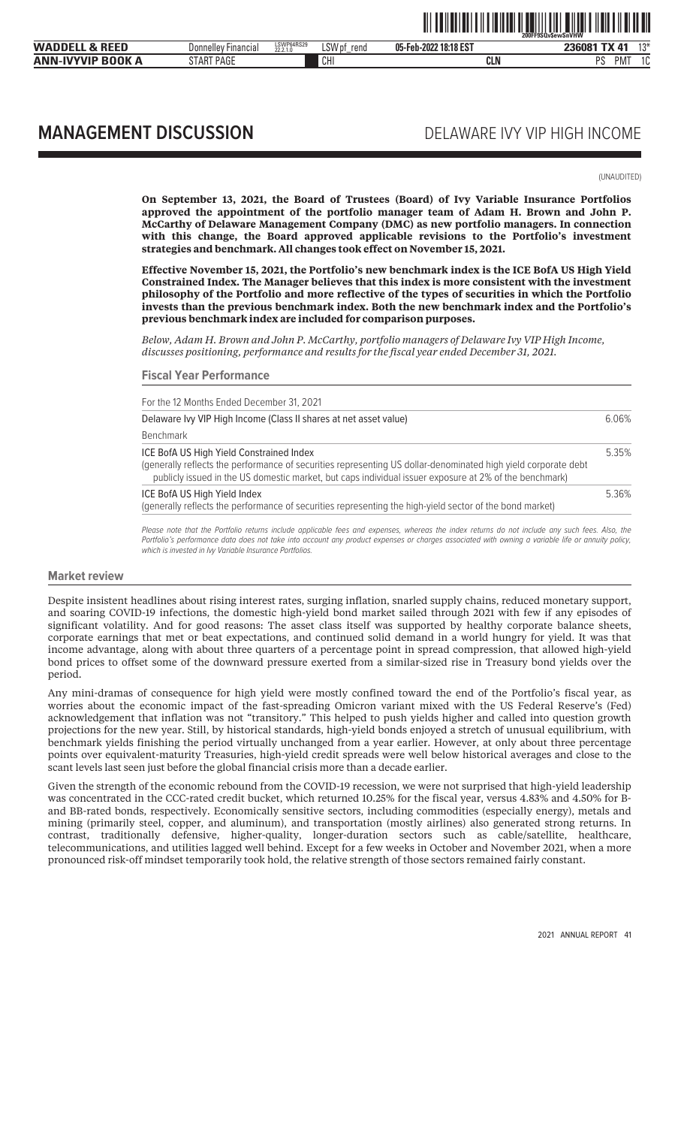|                                                     |                               |                        |                           |                          | ZUUFFYSUVSEWSNVHVV |           |             |
|-----------------------------------------------------|-------------------------------|------------------------|---------------------------|--------------------------|--------------------|-----------|-------------|
| nrrn<br>WAL                                         | <b>Financial</b><br>Donnellev | LSWP64RS29<br>22.2.1.0 | LSW <sub>pf</sub><br>rend | 18:18 EST<br>05-Feb-2022 | $-1$<br>226021     |           | $12*$<br>ιυ |
| $\overline{z}$ ROOK $\overline{z}$<br>ANN<br>v<br>. | <b>ART PAGE</b><br>'I AF      |                        | a 011°<br>ыı              | <b>CLN</b>               | DC                 | <b>PM</b> | م م         |
|                                                     |                               |                        |                           |                          |                    |           |             |

## **MANAGEMENT DISCUSSION** DELAWARE IVY VIP HIGH INCOME

ˆ200FF9SQv\$ewSnVHWŠ **200FF9SQv\$ewSnVHW**

(UNAUDITED)

**On September 13, 2021, the Board of Trustees (Board) of Ivy Variable Insurance Portfolios approved the appointment of the portfolio manager team of Adam H. Brown and John P. McCarthy of Delaware Management Company (DMC) as new portfolio managers. In connection with this change, the Board approved applicable revisions to the Portfolio's investment strategies and benchmark. All changes took effect on November 15, 2021.**

**Effective November 15, 2021, the Portfolio's new benchmark index is the ICE BofA US High Yield Constrained Index. The Manager believes that this index is more consistent with the investment philosophy of the Portfolio and more reflective of the types of securities in which the Portfolio invests than the previous benchmark index. Both the new benchmark index and the Portfolio's previous benchmark index are included for comparison purposes.**

*Below, Adam H. Brown and John P. McCarthy, portfolio managers of Delaware Ivy VIP High Income, discusses positioning, performance and results for the fiscal year ended December 31, 2021.*

**Fiscal Year Performance**

| For the 12 Months Ended December 31, 2021                                                                                                                                                                                                                            |       |
|----------------------------------------------------------------------------------------------------------------------------------------------------------------------------------------------------------------------------------------------------------------------|-------|
| Delaware Ivy VIP High Income (Class II shares at net asset value)                                                                                                                                                                                                    | 6.06% |
| <b>Benchmark</b>                                                                                                                                                                                                                                                     |       |
| ICE BofA US High Yield Constrained Index<br>(generally reflects the performance of securities representing US dollar-denominated high yield corporate debt<br>publicly issued in the US domestic market, but caps individual issuer exposure at 2% of the benchmark) | 535%  |
| ICE BofA US High Yield Index<br>(generally reflects the performance of securities representing the high-yield sector of the bond market)                                                                                                                             | 536%  |

Please note that the Portfolio returns include applicable fees and expenses, whereas the index returns do not include any such fees. Also, the Portfolio's performance data does not take into account any product expenses or charges associated with owning a variable life or annuity policy, which is invested in Ivy Variable Insurance Portfolios.

## **Market review**

Despite insistent headlines about rising interest rates, surging inflation, snarled supply chains, reduced monetary support, and soaring COVID-19 infections, the domestic high-yield bond market sailed through 2021 with few if any episodes of significant volatility. And for good reasons: The asset class itself was supported by healthy corporate balance sheets, corporate earnings that met or beat expectations, and continued solid demand in a world hungry for yield. It was that income advantage, along with about three quarters of a percentage point in spread compression, that allowed high-yield bond prices to offset some of the downward pressure exerted from a similar-sized rise in Treasury bond yields over the period.

Any mini-dramas of consequence for high yield were mostly confined toward the end of the Portfolio's fiscal year, as worries about the economic impact of the fast-spreading Omicron variant mixed with the US Federal Reserve's (Fed) acknowledgement that inflation was not "transitory." This helped to push yields higher and called into question growth projections for the new year. Still, by historical standards, high-yield bonds enjoyed a stretch of unusual equilibrium, with benchmark yields finishing the period virtually unchanged from a year earlier. However, at only about three percentage points over equivalent-maturity Treasuries, high-yield credit spreads were well below historical averages and close to the scant levels last seen just before the global financial crisis more than a decade earlier.

Given the strength of the economic rebound from the COVID-19 recession, we were not surprised that high-yield leadership was concentrated in the CCC-rated credit bucket, which returned 10.25% for the fiscal year, versus 4.83% and 4.50% for Band BB-rated bonds, respectively. Economically sensitive sectors, including commodities (especially energy), metals and mining (primarily steel, copper, and aluminum), and transportation (mostly airlines) also generated strong returns. In contrast, traditionally defensive, higher-quality, longer-duration sectors such as cable/satellite, healthcare, telecommunications, and utilities lagged well behind. Except for a few weeks in October and November 2021, when a more pronounced risk-off mindset temporarily took hold, the relative strength of those sectors remained fairly constant.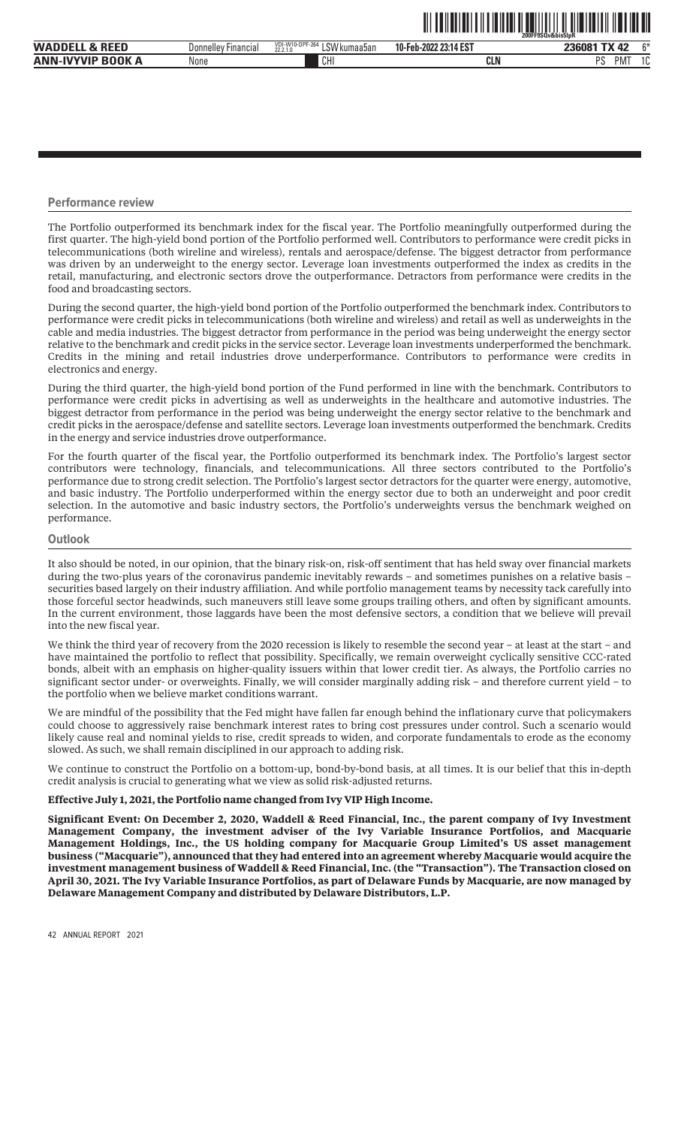|                                     |                            |                                                          |                       | 200FF9SQv&bis5lpR                            |        |
|-------------------------------------|----------------------------|----------------------------------------------------------|-----------------------|----------------------------------------------|--------|
| <b>REED</b><br><b>WA</b><br>ឹ<br>л. | <b>Donnelley Financial</b> | VDI-W10-DPF-264<br>C(M)<br>W kumaabar<br>22.2.1.0<br>ا ف | 10-Feb-2022 23:14 EST | TY 12                                        | $\sim$ |
| <b>LIVYVIP BOOK A</b><br><b>ANN</b> | None                       | CHI                                                      | <b>CLN</b>            | <sub>D</sub> <sub>C</sub><br>PM <sup>-</sup> | $\sim$ |

TIL TEILETI TILLITTI TEILETI TEILETI TILLITTI TILLITTI TILLITTI

## **Performance review**

The Portfolio outperformed its benchmark index for the fiscal year. The Portfolio meaningfully outperformed during the first quarter. The high-yield bond portion of the Portfolio performed well. Contributors to performance were credit picks in telecommunications (both wireline and wireless), rentals and aerospace/defense. The biggest detractor from performance was driven by an underweight to the energy sector. Leverage loan investments outperformed the index as credits in the retail, manufacturing, and electronic sectors drove the outperformance. Detractors from performance were credits in the food and broadcasting sectors.

During the second quarter, the high-yield bond portion of the Portfolio outperformed the benchmark index. Contributors to performance were credit picks in telecommunications (both wireline and wireless) and retail as well as underweights in the cable and media industries. The biggest detractor from performance in the period was being underweight the energy sector relative to the benchmark and credit picks in the service sector. Leverage loan investments underperformed the benchmark. Credits in the mining and retail industries drove underperformance. Contributors to performance were credits in electronics and energy.

During the third quarter, the high-yield bond portion of the Fund performed in line with the benchmark. Contributors to performance were credit picks in advertising as well as underweights in the healthcare and automotive industries. The biggest detractor from performance in the period was being underweight the energy sector relative to the benchmark and credit picks in the aerospace/defense and satellite sectors. Leverage loan investments outperformed the benchmark. Credits in the energy and service industries drove outperformance.

For the fourth quarter of the fiscal year, the Portfolio outperformed its benchmark index. The Portfolio's largest sector contributors were technology, financials, and telecommunications. All three sectors contributed to the Portfolio's performance due to strong credit selection. The Portfolio's largest sector detractors for the quarter were energy, automotive, and basic industry. The Portfolio underperformed within the energy sector due to both an underweight and poor credit selection. In the automotive and basic industry sectors, the Portfolio's underweights versus the benchmark weighed on performance.

### **Outlook**

It also should be noted, in our opinion, that the binary risk-on, risk-off sentiment that has held sway over financial markets during the two-plus years of the coronavirus pandemic inevitably rewards – and sometimes punishes on a relative basis – securities based largely on their industry affiliation. And while portfolio management teams by necessity tack carefully into those forceful sector headwinds, such maneuvers still leave some groups trailing others, and often by significant amounts. In the current environment, those laggards have been the most defensive sectors, a condition that we believe will prevail into the new fiscal year.

We think the third year of recovery from the 2020 recession is likely to resemble the second year – at least at the start – and have maintained the portfolio to reflect that possibility. Specifically, we remain overweight cyclically sensitive CCC-rated bonds, albeit with an emphasis on higher-quality issuers within that lower credit tier. As always, the Portfolio carries no significant sector under- or overweights. Finally, we will consider marginally adding risk – and therefore current yield – to the portfolio when we believe market conditions warrant.

We are mindful of the possibility that the Fed might have fallen far enough behind the inflationary curve that policymakers could choose to aggressively raise benchmark interest rates to bring cost pressures under control. Such a scenario would likely cause real and nominal yields to rise, credit spreads to widen, and corporate fundamentals to erode as the economy slowed. As such, we shall remain disciplined in our approach to adding risk.

We continue to construct the Portfolio on a bottom-up, bond-by-bond basis, at all times. It is our belief that this in-depth credit analysis is crucial to generating what we view as solid risk-adjusted returns.

## **Effective July 1, 2021, the Portfolio name changed from Ivy VIP High Income.**

**Significant Event: On December 2, 2020, Waddell & Reed Financial, Inc., the parent company of Ivy Investment Management Company, the investment adviser of the Ivy Variable Insurance Portfolios, and Macquarie Management Holdings, Inc., the US holding company for Macquarie Group Limited's US asset management business ("Macquarie"), announced that they had entered into an agreement whereby Macquarie would acquire the investment management business of Waddell & Reed Financial, Inc. (the "Transaction"). The Transaction closed on April 30, 2021. The Ivy Variable Insurance Portfolios, as part of Delaware Funds by Macquarie, are now managed by Delaware Management Company and distributed by Delaware Distributors, L.P.**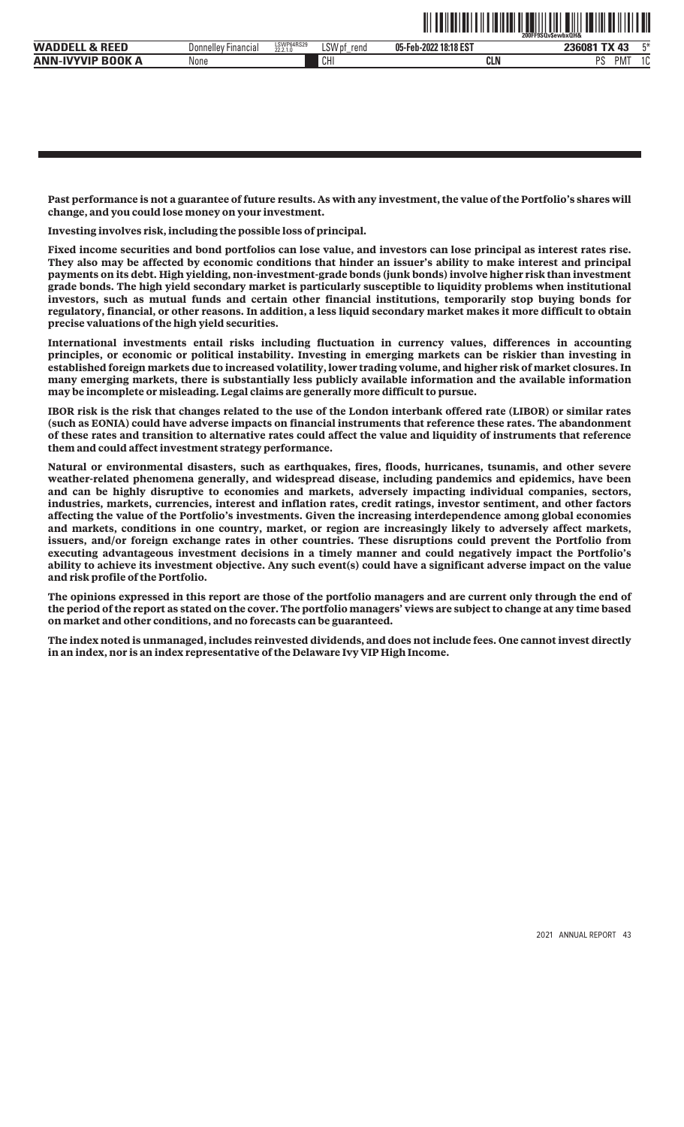|                                         |                               |                      |                          | - - -  -- . -- . -  -   - - | 200FF9SQvSewbxQH&<br>--------------------- |        |
|-----------------------------------------|-------------------------------|----------------------|--------------------------|-----------------------------|--------------------------------------------|--------|
| <b>REED</b><br><b>WAI</b><br>ឹ<br>----- | -inancial<br><b>Donnelley</b> | LSWP64RS29<br>22.2.1 | LSW <sub>p</sub><br>rend | 218:18 EST<br>05-Feb-2022   | TXA                                        | $F*$   |
| '-IVYVIP BOOK A<br><b>ANN</b>           | None                          |                      | CHI                      | <b>CLN</b>                  | <sub>DC</sub><br>PM <sup>-</sup>           | $\sim$ |
|                                         |                               |                      |                          |                             |                                            |        |

ˆ200FF9SQv\$ewbxQH&Š **200FF9SQv\$ewbxQH&**

**Past performance is not a guarantee of future results. As with any investment, the value of the Portfolio's shares will change, and you could lose money on your investment.**

**Investing involves risk, including the possible loss of principal.**

**Fixed income securities and bond portfolios can lose value, and investors can lose principal as interest rates rise. They also may be affected by economic conditions that hinder an issuer's ability to make interest and principal payments on its debt. High yielding, non-investment-grade bonds (junk bonds) involve higher risk than investment grade bonds. The high yield secondary market is particularly susceptible to liquidity problems when institutional investors, such as mutual funds and certain other financial institutions, temporarily stop buying bonds for regulatory, financial, or other reasons. In addition, a less liquid secondary market makes it more difficult to obtain precise valuations of the high yield securities.**

**International investments entail risks including fluctuation in currency values, differences in accounting principles, or economic or political instability. Investing in emerging markets can be riskier than investing in established foreign markets due to increased volatility, lower trading volume, and higher risk of market closures. In many emerging markets, there is substantially less publicly available information and the available information may be incomplete or misleading. Legal claims are generally more difficult to pursue.**

**IBOR risk is the risk that changes related to the use of the London interbank offered rate (LIBOR) or similar rates (such as EONIA) could have adverse impacts on financial instruments that reference these rates. The abandonment of these rates and transition to alternative rates could affect the value and liquidity of instruments that reference them and could affect investment strategy performance.**

**Natural or environmental disasters, such as earthquakes, fires, floods, hurricanes, tsunamis, and other severe weather-related phenomena generally, and widespread disease, including pandemics and epidemics, have been and can be highly disruptive to economies and markets, adversely impacting individual companies, sectors, industries, markets, currencies, interest and inflation rates, credit ratings, investor sentiment, and other factors affecting the value of the Portfolio's investments. Given the increasing interdependence among global economies and markets, conditions in one country, market, or region are increasingly likely to adversely affect markets, issuers, and/or foreign exchange rates in other countries. These disruptions could prevent the Portfolio from executing advantageous investment decisions in a timely manner and could negatively impact the Portfolio's ability to achieve its investment objective. Any such event(s) could have a significant adverse impact on the value and risk profile of the Portfolio.**

**The opinions expressed in this report are those of the portfolio managers and are current only through the end of the period of the report as stated on the cover. The portfolio managers' views are subject to change at any time based on market and other conditions, and no forecasts can be guaranteed.**

**The index noted is unmanaged, includes reinvested dividends, and does not include fees. One cannot invest directly in an index, nor is an index representative of the Delaware Ivy VIP High Income.**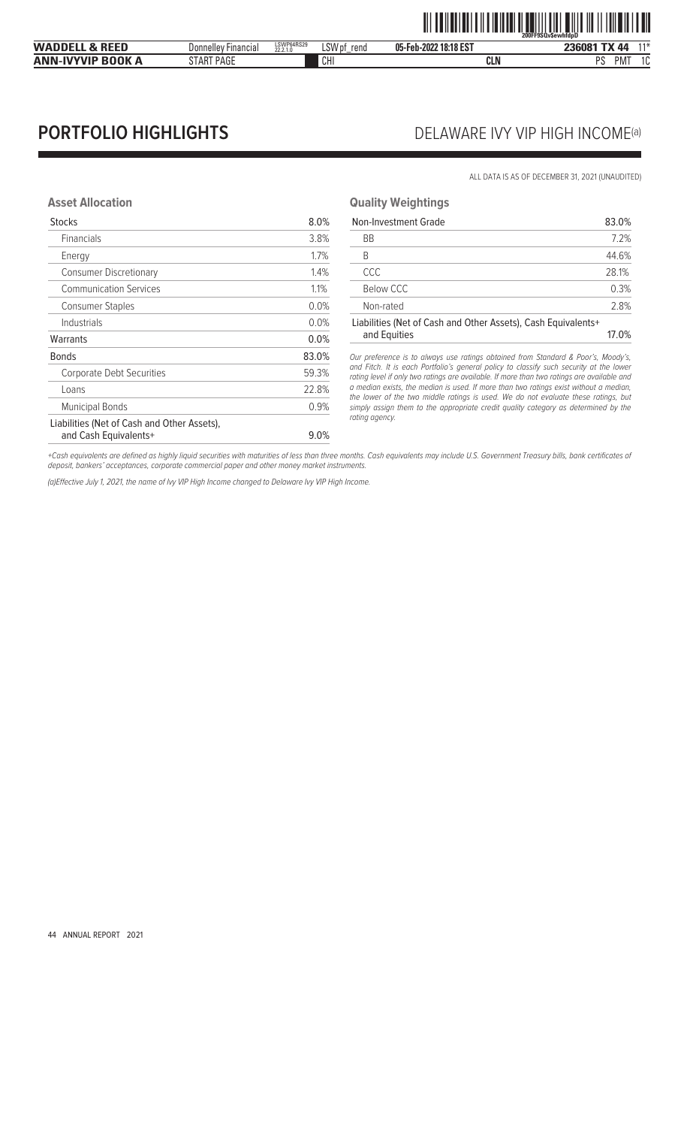|                           |                            |                        |                | $\  \ \ $             | 200FF9SQvSewhfdpD      |
|---------------------------|----------------------------|------------------------|----------------|-----------------------|------------------------|
| <b>WADDELL &amp; REED</b> | <b>Donnellev Financial</b> | LSWP64RS29<br>22.2.1.0 | LSW pf<br>rend | 05-Feb-2022 18:18 EST | $11*$<br>236081 TX 44  |
| <b>ANN-IVYVIP BOOK A</b>  | START PAGE                 |                        | CHI            | <b>CLN</b>            | <b>PMT</b><br>1C<br>PS |
|                           |                            |                        |                |                       |                        |

# **PORTFOLIO HIGHLIGHTS** DELAWARE IVY VIP HIGH INCOME<sup>(a)</sup>

## **Asset Allocation**

| <b>Stocks</b>                                                        | 8.0%  |
|----------------------------------------------------------------------|-------|
| Financials                                                           | 3.8%  |
| Energy                                                               | 1.7%  |
| <b>Consumer Discretionary</b>                                        | 1.4%  |
| <b>Communication Services</b>                                        | 1.1%  |
| <b>Consumer Staples</b>                                              | 0.0%  |
| Industrials                                                          | 0.0%  |
| Warrants                                                             | 0.0%  |
| <b>Bonds</b>                                                         | 83.0% |
| Corporate Debt Securities                                            | 59.3% |
| Loans                                                                | 22.8% |
| <b>Municipal Bonds</b>                                               | 0.9%  |
| Liabilities (Net of Cash and Other Assets).<br>and Cash Equivalents+ | 9.0%  |

ALL DATA IS AS OF DECEMBER 31, 2021 (UNAUDITED)

## **Quality Weightings**

| Non-Investment Grade                                          | 83.0% |
|---------------------------------------------------------------|-------|
| BB                                                            | 7 2%  |
| B                                                             | 44.6% |
| <b>CCC</b>                                                    | 28.1% |
| Below CCC                                                     | 0.3%  |
| Non-rated                                                     | 28%   |
| Liabilities (Net of Cash and Other Assets), Cash Equivalents+ |       |
| and Equities                                                  | 17 0% |

Our preference is to always use ratings obtained from Standard & Poor's, Moody's, and Fitch. It is each Portfolio's general policy to classify such security at the lower rating level if only two ratings are available. If more than two ratings are available and a median exists, the median is used. If more than two ratings exist without a median, the lower of the two middle ratings is used. We do not evaluate these ratings, but simply assign them to the appropriate credit quality category as determined by the rating agency.

+Cash equivalents are defined as highly liquid securities with maturities of less than three months. Cash equivalents may include U.S. Government Treasury bills, bank certificates of deposit, bankers' acceptances, corporate commercial paper and other money market instruments.

(a)Effective July 1, 2021, the name of Ivy VIP High Income changed to Delaware Ivy VIP High Income.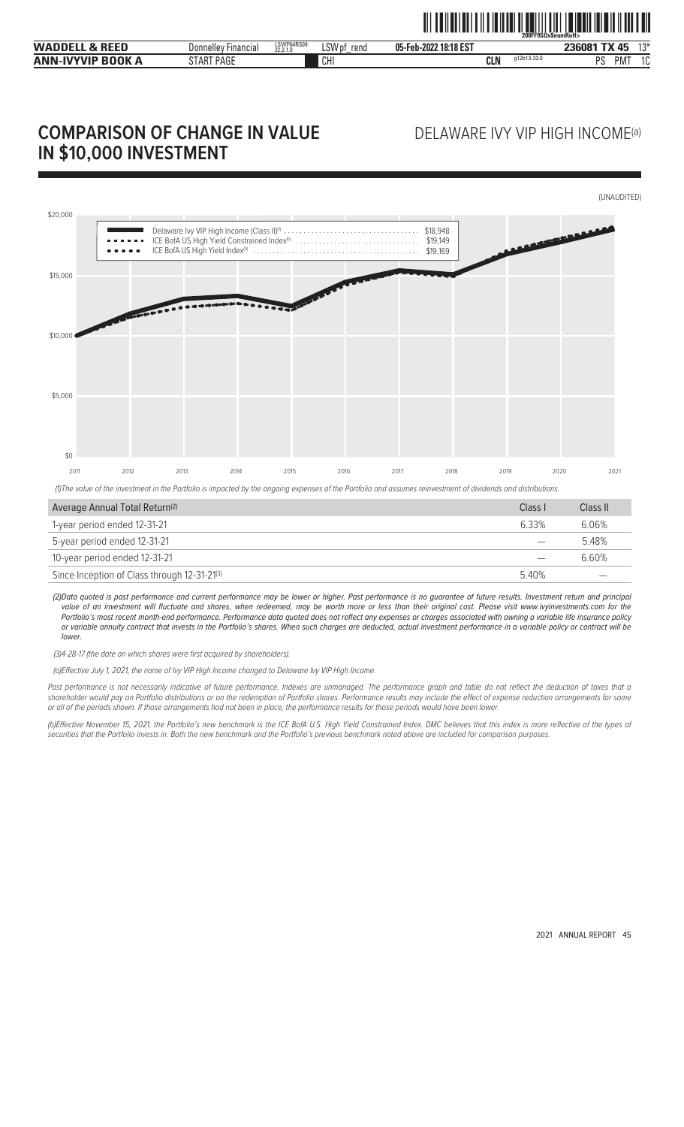|                                           |                                      |                        |                |                       |            | 200FF9SQvSeumRuH> |                                              |              |
|-------------------------------------------|--------------------------------------|------------------------|----------------|-----------------------|------------|-------------------|----------------------------------------------|--------------|
| <b>WADDELL &amp;</b><br><b>&amp; REED</b> | <b>Jonnellev</b><br><b>Financial</b> | LSWP64RS09<br>22.2.1.0 | LSW pf<br>rend | 05-Feb-2022 18:18 EST |            |                   | 236081<br>TX45                               | $12*$<br>ιυ. |
| <b>ANN-IVYVIP BOOK A</b>                  | START PAGE                           |                        | CHI            |                       | <b>CLN</b> | g12b13-33.0       | <sub>D</sub> <sub>C</sub><br>PM <sup>-</sup> | $\sim$<br>ιu |
|                                           |                                      |                        |                |                       |            |                   |                                              |              |

**COMPARISON OF CHANGE IN VALUE IN \$10,000 INVESTMENT**

## DELAWARE IVY VIP HIGH INCOME<sup>(a)</sup>

ˆ200FF9SQv\$eumRuH>Š **200FF9SQv\$eumRuH>**



| Average Annual Total Return <sup>(2)</sup>   | Class I | Class II |
|----------------------------------------------|---------|----------|
| 1-year period ended 12-31-21                 | 6.33%   | 6.06%    |
| 5-year period ended 12-31-21                 |         | 5.48%    |
| 10-year period ended 12-31-21                |         | 6.60%    |
| Since Inception of Class through 12-31-21(3) | 5.40%   |          |

(2)Data quoted is past performance and current performance may be lower or higher. Past performance is no guarantee of future results. Investment return and principal value of an investment will fluctuate and shares, when redeemed, may be worth more or less than their original cost. Please visit www.ivyinvestments.com for the Portfolio's most recent month-end performance. Performance data quoted does not reflect any expenses or charges associated with owning a variable life insurance policy or variable annuity contract that invests in the Portfolio's shares. When such charges are deducted, actual investment performance in a variable policy or contract will be lower.

(3)4-28-17 (the date on which shares were first acquired by shareholders).

(a)Effective July 1, 2021, the name of Ivy VIP High Income changed to Delaware Ivy VIP High Income.

Past performance is not necessarily indicative of future performance. Indexes are unmanaged. The performance graph and table do not reflect the deduction of taxes that a shareholder would pay on Portfolio distributions or on the redemption of Portfolio shares. Performance results may include the effect of expense reduction arrangements for some or all of the periods shown. If those arrangements had not been in place, the performance results for those periods would have been lower.

(b)Effective November 15, 2021, the Portfolio's new benchmark is the ICE BofA U.S. High Yield Constrained Index. DMC believes that this index is more reflective of the types of securities that the Portfolio invests in. Both the new benchmark and the Portfolio's previous benchmark noted above are included for comparison purposes.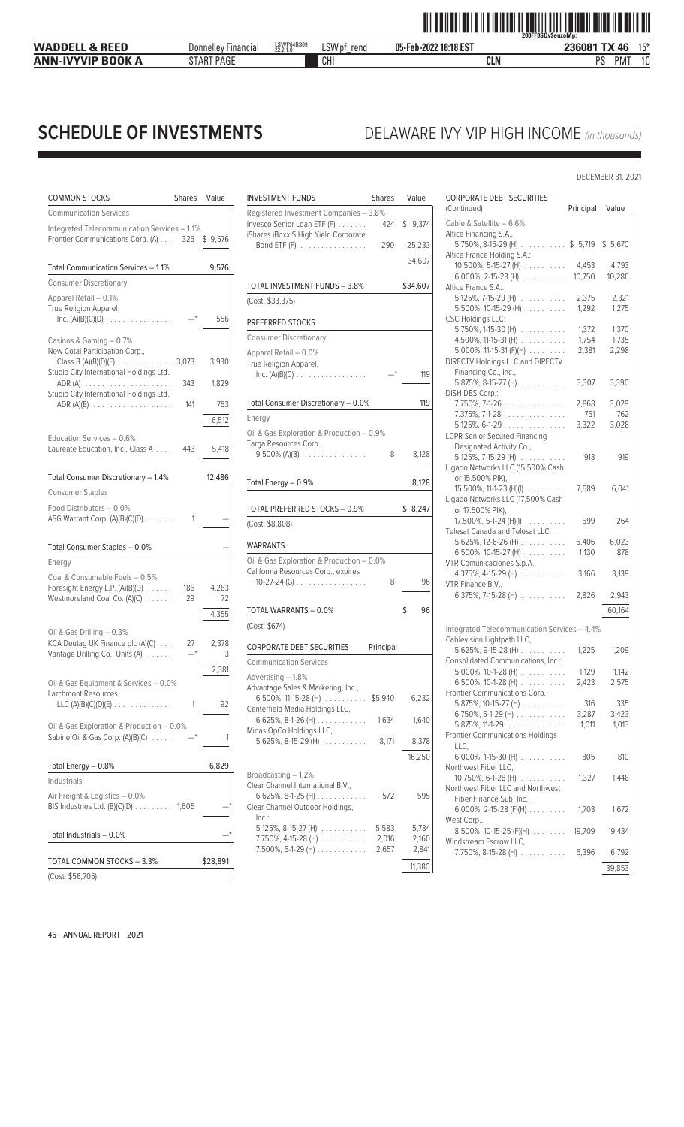|                                      |                               |                        |                          |                          | <u>LUULI JUQVUULUIIID.</u>       |              |
|--------------------------------------|-------------------------------|------------------------|--------------------------|--------------------------|----------------------------------|--------------|
| <b>REED</b><br><b>WADI</b>           | <b>Donnellev</b><br>≻ınancıal | LSWP64RS09<br>22.2.1.0 | LSW<br>rend<br>/ pt<br>- | 18:18 EST<br>05-Feb-2022 | 46                               | $1E*$<br>J J |
| <b>VID</b><br>, ROOK L<br><b>ANN</b> | RT PAGE)<br>.IAP              |                        | PIII<br>uпı              | <b>CLN</b>               | <sub>DC</sub><br>PM <sup>-</sup> | . .          |
|                                      |                               |                        |                          |                          |                                  |              |

ˆ200FF9SQv\$euzoMp;Š **200FF9SQv\$euzoMp;**

## COMMON STOCKS Shares Value Communication Services Integrated Telecommunication Servic Frontier Communications Corp. (A) . Total Communication Services - 1.1% Consumer Discretionary Apparel Retail – 0.1% True Religion Apparel,  $Inc. (A)(B)(C)(D) . . . . . . . . . . . .$ Casinos & Gaming – 0.7% New Cotai Participation Corp., Class B  $(A)(B)(D)(E)$ . Studio City International Holdings Ltd.  $ADR(A)$ . Studio City International Holdings Ltd.  $ADR (A)(B) \ldots \ldots \ldots$ 6,512 Education Services – 0.6% Laureate Education, Inc., Class A . . . Total Consumer Discretionary - 1.4% Consumer Staples Food Distributors – 0.0% ASG Warrant Corp.  $(A)(B)(C)(D) \ldots$ . Total Consumer Staples – 0.0% — Energy Coal & Consumable Fuels – 0.5% Foresight Energy L.P. (A)(B)(D) . . . . . . 186 4,283 Westmoreland Coal Co. (A)(C) . . . . . . 29 72 4,355 Oil & Gas Drilling – 0.3% KCA Deutag UK Finance plc (A)(C) ... Vantage Drilling Co., Units (A) . . . . . 2,381 Oil & Gas Equipment & Services - 0.0 Larchmont Resources LLC  $(A)(B)(C)(D)(E)$ . Oil & Gas Exploration & Production  $-$ Sabine Oil & Gas Corp.  $(A)(B)(C) \ldots$ . Total Energy  $-0.8\%$ Industrials Air Freight & Logistics – 0.0% BIS Industries Ltd.  $(B)(C)(D)$ ....... Total Industrials  $-0.0\%$ TOTAL COMMON STOCKS - 3.3% \$28,891

(Cost: \$56,705)

| ces – 1.1%<br>325 | \$9,576    | $\sim$ 3011101 LOUIT LTT $\mid$ 1 J $\cdot$<br>iShares iBoxx \$ High Yield Corporate     |
|-------------------|------------|------------------------------------------------------------------------------------------|
|                   |            | Bond ETF $(F)$<br>290                                                                    |
|                   | 9,576      |                                                                                          |
|                   |            | TOTAL INVESTMENT FUNDS - 3.8%                                                            |
|                   |            | (Cost: \$33,375)                                                                         |
|                   | 556        | PREFERRED STOCKS                                                                         |
|                   |            | <b>Consumer Discretionary</b>                                                            |
| 3,073             | 3,930      | Apparel Retail - 0.0%<br>True Religion Apparel,                                          |
| 343               | 1,829      | Inc. $(A)(B)(C)$                                                                         |
| 141               | 753        | Total Consumer Discretionary - 0.0%                                                      |
|                   | 6,512      | Energy                                                                                   |
|                   |            | Oil & Gas Exploration & Production - 0.9%<br>Targa Resources Corp.,                      |
| 443               | 5,418      | $9.500\%$ (A)(B)<br>8<br>.                                                               |
|                   | 12,486     | Total Energy - 0.9%                                                                      |
|                   |            |                                                                                          |
| 1                 |            | TOTAL PREFERRED STOCKS - 0.9%                                                            |
|                   |            | (Cost: \$8,808)                                                                          |
|                   |            | <b>WARRANTS</b>                                                                          |
|                   |            | Oil & Gas Exploration & Production - 0.0%<br>California Resources Corp., expires         |
| 186               | 4,283      | 10-27-24 (G) $\ldots \ldots \ldots \ldots \ldots$<br>8                                   |
| 29                | 72         |                                                                                          |
|                   | 4,355      | TOTAL WARRANTS - 0.0%                                                                    |
|                   |            | (Cost: \$674)                                                                            |
| 27                | 2,378<br>3 | <b>CORPORATE DEBT SECURITIES</b><br>Principal                                            |
|                   | 2,381      | <b>Communication Services</b>                                                            |
| )%                |            | Advertising - 1.8%<br>Advantage Sales & Marketing, Inc.,                                 |
| 1                 | 92         | $6.500\%$ , 11-15-28 (H) $\dots\dots\dots$<br>\$5,940<br>Centerfield Media Holdings LLC, |
| 0.0%              |            | 6.625%, 8-1-26 (H) $\dots\dots\dots\dots$<br>1,634                                       |
|                   | 1          | Midas OpCo Holdings LLC,<br>5.625%, 8-15-29 (H)<br>8,171                                 |
|                   |            |                                                                                          |
|                   | 6,829      | Broadcasting - 1.2%                                                                      |
|                   |            | Clear Channel International B.V.,<br>6.625%, 8-1-25 (H) $\ldots \ldots \ldots$<br>572    |
| 1,605             |            | Clear Channel Outdoor Holdings,                                                          |
|                   |            | Inc.:<br>5,583<br>$5.125\%$ , 8-15-27 (H) $\ldots \ldots \ldots$                         |
|                   |            | 7.750%, 4-15-28 (H)<br>2,016<br>a a a a a a a a                                          |

| Registered Investment Companies - 3.8%<br>Cable & Satellite $-6$<br>Invesco Senior Loan ETF (F)<br>424<br>\$9,374<br>Altice Financing S.A.<br>iShares iBoxx \$ High Yield Corporate<br>5.750%, 8-15-29 (<br>Bond ETF $(F)$<br>290<br>25,233<br>Altice France Holdin<br>34,607<br>10.500%, 5-15-27<br>6.000%, 2-15-28<br>TOTAL INVESTMENT FUNDS - 3.8%<br>\$34,607<br>Altice France S.A.:<br>5.125%, 7-15-29 (H<br>(Cost: \$33,375)<br>5.500%, 10-15-29<br>CSC Holdings LLC:<br>PREFERRED STOCKS<br>5.750%, 1-15-30 (<br><b>Consumer Discretionary</b><br>4.500%, 11-15-31 (<br>5.000%, 11-15-31 (<br>Apparel Retail - 0.0%<br><b>DIRECTV Holdings LI</b><br>True Religion Apparel,<br>Financing Co., Inc<br>119<br>Inc. (A)(B)(C)<br>5.875%, 8-15-27 (I<br>DISH DBS Corp.:<br>Total Consumer Discretionary - 0.0%<br>119<br>7.750%, 7-1-26<br>7.375%, 7-1-28<br>Energy<br>$5.125\%, 6-1-29$<br>Oil & Gas Exploration & Production - 0.9%<br><b>LCPR Senior Secured</b><br>Targa Resources Corp.,<br>Designated Activi<br>$9.500\%$ (A)(B)<br>8<br>8,128<br>5.125%, 7-15-29 (H<br>Ligado Networks LL<br>or 15.500% PIK),<br>Total Energy - 0.9%<br>8,128<br>15.500%, 11-1-23 (<br>Ligado Networks LL<br>\$8,247<br>TOTAL PREFERRED STOCKS - 0.9%<br>or 17.500% PIK),<br>17.500%, 5-1-24 (H<br>(Cost: \$8,808)<br>Telesat Canada and<br>5.625%, 12-6-26 (<br><b>WARRANTS</b><br>6.500%, 10-15-27<br>Oil & Gas Exploration & Production - 0.0%<br><b>VTR Comunicacione:</b><br>California Resources Corp., expires<br>4.375%, 4-15-29 (I<br>$10-27-24$ (G) $\ldots \ldots \ldots \ldots \ldots$<br>96<br>8<br>VTR Finance B.V.,<br>6.375%, 7-15-28 (I<br>\$<br>TOTAL WARRANTS - 0.0%<br>96<br>(Cost: \$674)<br>Integrated Telecom<br>Cablevision Lightpat<br><b>CORPORATE DEBT SECURITIES</b><br>Principal<br>5.625%, 9-15-28 (<br><b>Consolidated Comm</b><br><b>Communication Services</b><br>5.000%, 10-1-28 (<br>Advertising - 1.8%<br>6.500%, 10-1-28 (<br>Advantage Sales & Marketing, Inc.,<br>Frontier Communica<br>6.500%, 11-15-28 (H) $\ldots \ldots$<br>\$5,940<br>6,232<br>5.875%, 10-15-27<br>Centerfield Media Holdings LLC,<br>6.750%, 5-1-29 (H<br>$6.625\%$ , $8-1-26$ (H)<br>1,634<br>1,640<br>5.875%, 11-1-29.<br>Midas OpCo Holdings LLC,<br>Frontier Communica<br>$5.625\%$ , 8-15-29 (H)<br>8,171<br>8,378<br>LLC.<br>16,250<br>6.000%, 1-15-30 (<br>Northwest Fiber LLC<br>Broadcasting - 1.2%<br>10.750%, 6-1-28 (I<br>Clear Channel International B.V.,<br>Northwest Fiber LLC<br>$6.625\%$ , $8-1-25$ (H)<br>595<br>572<br><b>Fiber Finance Sub</b><br>Clear Channel Outdoor Holdings,<br>6.000%, 2-15-28<br>Inc.<br>West Corp.,<br>5.125%, 8-15-27 (H) $\ldots \ldots \ldots$<br>5,784<br>5,583<br>8.500%, 10-15-25<br>$7.750\%$ , 4-15-28 (H)<br>2,016<br>2,160<br>Windstream Escrow<br>$7.500\%$ , 6-1-29 (H)<br>2,657<br>2,841<br>7.750%, 8-15-28 (I<br>11,380 | <b>INVESTMENT FUNDS</b> | <b>Shares</b> | Value | <b>CORPORATE DEBT 9</b> |
|--------------------------------------------------------------------------------------------------------------------------------------------------------------------------------------------------------------------------------------------------------------------------------------------------------------------------------------------------------------------------------------------------------------------------------------------------------------------------------------------------------------------------------------------------------------------------------------------------------------------------------------------------------------------------------------------------------------------------------------------------------------------------------------------------------------------------------------------------------------------------------------------------------------------------------------------------------------------------------------------------------------------------------------------------------------------------------------------------------------------------------------------------------------------------------------------------------------------------------------------------------------------------------------------------------------------------------------------------------------------------------------------------------------------------------------------------------------------------------------------------------------------------------------------------------------------------------------------------------------------------------------------------------------------------------------------------------------------------------------------------------------------------------------------------------------------------------------------------------------------------------------------------------------------------------------------------------------------------------------------------------------------------------------------------------------------------------------------------------------------------------------------------------------------------------------------------------------------------------------------------------------------------------------------------------------------------------------------------------------------------------------------------------------------------------------------------------------------------------------------------------------------------------------------------------------------------------------------------------------------------------------------------------------------------------------------------------------------------------------------------------------------------------------------------------------------------------------------------------------------------------------------|-------------------------|---------------|-------|-------------------------|
|                                                                                                                                                                                                                                                                                                                                                                                                                                                                                                                                                                                                                                                                                                                                                                                                                                                                                                                                                                                                                                                                                                                                                                                                                                                                                                                                                                                                                                                                                                                                                                                                                                                                                                                                                                                                                                                                                                                                                                                                                                                                                                                                                                                                                                                                                                                                                                                                                                                                                                                                                                                                                                                                                                                                                                                                                                                                                            |                         |               |       | (Continued)             |
|                                                                                                                                                                                                                                                                                                                                                                                                                                                                                                                                                                                                                                                                                                                                                                                                                                                                                                                                                                                                                                                                                                                                                                                                                                                                                                                                                                                                                                                                                                                                                                                                                                                                                                                                                                                                                                                                                                                                                                                                                                                                                                                                                                                                                                                                                                                                                                                                                                                                                                                                                                                                                                                                                                                                                                                                                                                                                            |                         |               |       |                         |
|                                                                                                                                                                                                                                                                                                                                                                                                                                                                                                                                                                                                                                                                                                                                                                                                                                                                                                                                                                                                                                                                                                                                                                                                                                                                                                                                                                                                                                                                                                                                                                                                                                                                                                                                                                                                                                                                                                                                                                                                                                                                                                                                                                                                                                                                                                                                                                                                                                                                                                                                                                                                                                                                                                                                                                                                                                                                                            |                         |               |       |                         |
|                                                                                                                                                                                                                                                                                                                                                                                                                                                                                                                                                                                                                                                                                                                                                                                                                                                                                                                                                                                                                                                                                                                                                                                                                                                                                                                                                                                                                                                                                                                                                                                                                                                                                                                                                                                                                                                                                                                                                                                                                                                                                                                                                                                                                                                                                                                                                                                                                                                                                                                                                                                                                                                                                                                                                                                                                                                                                            |                         |               |       |                         |
|                                                                                                                                                                                                                                                                                                                                                                                                                                                                                                                                                                                                                                                                                                                                                                                                                                                                                                                                                                                                                                                                                                                                                                                                                                                                                                                                                                                                                                                                                                                                                                                                                                                                                                                                                                                                                                                                                                                                                                                                                                                                                                                                                                                                                                                                                                                                                                                                                                                                                                                                                                                                                                                                                                                                                                                                                                                                                            |                         |               |       |                         |
|                                                                                                                                                                                                                                                                                                                                                                                                                                                                                                                                                                                                                                                                                                                                                                                                                                                                                                                                                                                                                                                                                                                                                                                                                                                                                                                                                                                                                                                                                                                                                                                                                                                                                                                                                                                                                                                                                                                                                                                                                                                                                                                                                                                                                                                                                                                                                                                                                                                                                                                                                                                                                                                                                                                                                                                                                                                                                            |                         |               |       |                         |
|                                                                                                                                                                                                                                                                                                                                                                                                                                                                                                                                                                                                                                                                                                                                                                                                                                                                                                                                                                                                                                                                                                                                                                                                                                                                                                                                                                                                                                                                                                                                                                                                                                                                                                                                                                                                                                                                                                                                                                                                                                                                                                                                                                                                                                                                                                                                                                                                                                                                                                                                                                                                                                                                                                                                                                                                                                                                                            |                         |               |       |                         |
|                                                                                                                                                                                                                                                                                                                                                                                                                                                                                                                                                                                                                                                                                                                                                                                                                                                                                                                                                                                                                                                                                                                                                                                                                                                                                                                                                                                                                                                                                                                                                                                                                                                                                                                                                                                                                                                                                                                                                                                                                                                                                                                                                                                                                                                                                                                                                                                                                                                                                                                                                                                                                                                                                                                                                                                                                                                                                            |                         |               |       |                         |
|                                                                                                                                                                                                                                                                                                                                                                                                                                                                                                                                                                                                                                                                                                                                                                                                                                                                                                                                                                                                                                                                                                                                                                                                                                                                                                                                                                                                                                                                                                                                                                                                                                                                                                                                                                                                                                                                                                                                                                                                                                                                                                                                                                                                                                                                                                                                                                                                                                                                                                                                                                                                                                                                                                                                                                                                                                                                                            |                         |               |       |                         |
|                                                                                                                                                                                                                                                                                                                                                                                                                                                                                                                                                                                                                                                                                                                                                                                                                                                                                                                                                                                                                                                                                                                                                                                                                                                                                                                                                                                                                                                                                                                                                                                                                                                                                                                                                                                                                                                                                                                                                                                                                                                                                                                                                                                                                                                                                                                                                                                                                                                                                                                                                                                                                                                                                                                                                                                                                                                                                            |                         |               |       |                         |
|                                                                                                                                                                                                                                                                                                                                                                                                                                                                                                                                                                                                                                                                                                                                                                                                                                                                                                                                                                                                                                                                                                                                                                                                                                                                                                                                                                                                                                                                                                                                                                                                                                                                                                                                                                                                                                                                                                                                                                                                                                                                                                                                                                                                                                                                                                                                                                                                                                                                                                                                                                                                                                                                                                                                                                                                                                                                                            |                         |               |       |                         |
|                                                                                                                                                                                                                                                                                                                                                                                                                                                                                                                                                                                                                                                                                                                                                                                                                                                                                                                                                                                                                                                                                                                                                                                                                                                                                                                                                                                                                                                                                                                                                                                                                                                                                                                                                                                                                                                                                                                                                                                                                                                                                                                                                                                                                                                                                                                                                                                                                                                                                                                                                                                                                                                                                                                                                                                                                                                                                            |                         |               |       |                         |
|                                                                                                                                                                                                                                                                                                                                                                                                                                                                                                                                                                                                                                                                                                                                                                                                                                                                                                                                                                                                                                                                                                                                                                                                                                                                                                                                                                                                                                                                                                                                                                                                                                                                                                                                                                                                                                                                                                                                                                                                                                                                                                                                                                                                                                                                                                                                                                                                                                                                                                                                                                                                                                                                                                                                                                                                                                                                                            |                         |               |       |                         |
|                                                                                                                                                                                                                                                                                                                                                                                                                                                                                                                                                                                                                                                                                                                                                                                                                                                                                                                                                                                                                                                                                                                                                                                                                                                                                                                                                                                                                                                                                                                                                                                                                                                                                                                                                                                                                                                                                                                                                                                                                                                                                                                                                                                                                                                                                                                                                                                                                                                                                                                                                                                                                                                                                                                                                                                                                                                                                            |                         |               |       |                         |
|                                                                                                                                                                                                                                                                                                                                                                                                                                                                                                                                                                                                                                                                                                                                                                                                                                                                                                                                                                                                                                                                                                                                                                                                                                                                                                                                                                                                                                                                                                                                                                                                                                                                                                                                                                                                                                                                                                                                                                                                                                                                                                                                                                                                                                                                                                                                                                                                                                                                                                                                                                                                                                                                                                                                                                                                                                                                                            |                         |               |       |                         |
|                                                                                                                                                                                                                                                                                                                                                                                                                                                                                                                                                                                                                                                                                                                                                                                                                                                                                                                                                                                                                                                                                                                                                                                                                                                                                                                                                                                                                                                                                                                                                                                                                                                                                                                                                                                                                                                                                                                                                                                                                                                                                                                                                                                                                                                                                                                                                                                                                                                                                                                                                                                                                                                                                                                                                                                                                                                                                            |                         |               |       |                         |
|                                                                                                                                                                                                                                                                                                                                                                                                                                                                                                                                                                                                                                                                                                                                                                                                                                                                                                                                                                                                                                                                                                                                                                                                                                                                                                                                                                                                                                                                                                                                                                                                                                                                                                                                                                                                                                                                                                                                                                                                                                                                                                                                                                                                                                                                                                                                                                                                                                                                                                                                                                                                                                                                                                                                                                                                                                                                                            |                         |               |       |                         |
|                                                                                                                                                                                                                                                                                                                                                                                                                                                                                                                                                                                                                                                                                                                                                                                                                                                                                                                                                                                                                                                                                                                                                                                                                                                                                                                                                                                                                                                                                                                                                                                                                                                                                                                                                                                                                                                                                                                                                                                                                                                                                                                                                                                                                                                                                                                                                                                                                                                                                                                                                                                                                                                                                                                                                                                                                                                                                            |                         |               |       |                         |
|                                                                                                                                                                                                                                                                                                                                                                                                                                                                                                                                                                                                                                                                                                                                                                                                                                                                                                                                                                                                                                                                                                                                                                                                                                                                                                                                                                                                                                                                                                                                                                                                                                                                                                                                                                                                                                                                                                                                                                                                                                                                                                                                                                                                                                                                                                                                                                                                                                                                                                                                                                                                                                                                                                                                                                                                                                                                                            |                         |               |       |                         |
|                                                                                                                                                                                                                                                                                                                                                                                                                                                                                                                                                                                                                                                                                                                                                                                                                                                                                                                                                                                                                                                                                                                                                                                                                                                                                                                                                                                                                                                                                                                                                                                                                                                                                                                                                                                                                                                                                                                                                                                                                                                                                                                                                                                                                                                                                                                                                                                                                                                                                                                                                                                                                                                                                                                                                                                                                                                                                            |                         |               |       |                         |
|                                                                                                                                                                                                                                                                                                                                                                                                                                                                                                                                                                                                                                                                                                                                                                                                                                                                                                                                                                                                                                                                                                                                                                                                                                                                                                                                                                                                                                                                                                                                                                                                                                                                                                                                                                                                                                                                                                                                                                                                                                                                                                                                                                                                                                                                                                                                                                                                                                                                                                                                                                                                                                                                                                                                                                                                                                                                                            |                         |               |       |                         |
|                                                                                                                                                                                                                                                                                                                                                                                                                                                                                                                                                                                                                                                                                                                                                                                                                                                                                                                                                                                                                                                                                                                                                                                                                                                                                                                                                                                                                                                                                                                                                                                                                                                                                                                                                                                                                                                                                                                                                                                                                                                                                                                                                                                                                                                                                                                                                                                                                                                                                                                                                                                                                                                                                                                                                                                                                                                                                            |                         |               |       |                         |
|                                                                                                                                                                                                                                                                                                                                                                                                                                                                                                                                                                                                                                                                                                                                                                                                                                                                                                                                                                                                                                                                                                                                                                                                                                                                                                                                                                                                                                                                                                                                                                                                                                                                                                                                                                                                                                                                                                                                                                                                                                                                                                                                                                                                                                                                                                                                                                                                                                                                                                                                                                                                                                                                                                                                                                                                                                                                                            |                         |               |       |                         |
|                                                                                                                                                                                                                                                                                                                                                                                                                                                                                                                                                                                                                                                                                                                                                                                                                                                                                                                                                                                                                                                                                                                                                                                                                                                                                                                                                                                                                                                                                                                                                                                                                                                                                                                                                                                                                                                                                                                                                                                                                                                                                                                                                                                                                                                                                                                                                                                                                                                                                                                                                                                                                                                                                                                                                                                                                                                                                            |                         |               |       |                         |
|                                                                                                                                                                                                                                                                                                                                                                                                                                                                                                                                                                                                                                                                                                                                                                                                                                                                                                                                                                                                                                                                                                                                                                                                                                                                                                                                                                                                                                                                                                                                                                                                                                                                                                                                                                                                                                                                                                                                                                                                                                                                                                                                                                                                                                                                                                                                                                                                                                                                                                                                                                                                                                                                                                                                                                                                                                                                                            |                         |               |       |                         |
|                                                                                                                                                                                                                                                                                                                                                                                                                                                                                                                                                                                                                                                                                                                                                                                                                                                                                                                                                                                                                                                                                                                                                                                                                                                                                                                                                                                                                                                                                                                                                                                                                                                                                                                                                                                                                                                                                                                                                                                                                                                                                                                                                                                                                                                                                                                                                                                                                                                                                                                                                                                                                                                                                                                                                                                                                                                                                            |                         |               |       |                         |
|                                                                                                                                                                                                                                                                                                                                                                                                                                                                                                                                                                                                                                                                                                                                                                                                                                                                                                                                                                                                                                                                                                                                                                                                                                                                                                                                                                                                                                                                                                                                                                                                                                                                                                                                                                                                                                                                                                                                                                                                                                                                                                                                                                                                                                                                                                                                                                                                                                                                                                                                                                                                                                                                                                                                                                                                                                                                                            |                         |               |       |                         |
|                                                                                                                                                                                                                                                                                                                                                                                                                                                                                                                                                                                                                                                                                                                                                                                                                                                                                                                                                                                                                                                                                                                                                                                                                                                                                                                                                                                                                                                                                                                                                                                                                                                                                                                                                                                                                                                                                                                                                                                                                                                                                                                                                                                                                                                                                                                                                                                                                                                                                                                                                                                                                                                                                                                                                                                                                                                                                            |                         |               |       |                         |
|                                                                                                                                                                                                                                                                                                                                                                                                                                                                                                                                                                                                                                                                                                                                                                                                                                                                                                                                                                                                                                                                                                                                                                                                                                                                                                                                                                                                                                                                                                                                                                                                                                                                                                                                                                                                                                                                                                                                                                                                                                                                                                                                                                                                                                                                                                                                                                                                                                                                                                                                                                                                                                                                                                                                                                                                                                                                                            |                         |               |       |                         |
|                                                                                                                                                                                                                                                                                                                                                                                                                                                                                                                                                                                                                                                                                                                                                                                                                                                                                                                                                                                                                                                                                                                                                                                                                                                                                                                                                                                                                                                                                                                                                                                                                                                                                                                                                                                                                                                                                                                                                                                                                                                                                                                                                                                                                                                                                                                                                                                                                                                                                                                                                                                                                                                                                                                                                                                                                                                                                            |                         |               |       |                         |
|                                                                                                                                                                                                                                                                                                                                                                                                                                                                                                                                                                                                                                                                                                                                                                                                                                                                                                                                                                                                                                                                                                                                                                                                                                                                                                                                                                                                                                                                                                                                                                                                                                                                                                                                                                                                                                                                                                                                                                                                                                                                                                                                                                                                                                                                                                                                                                                                                                                                                                                                                                                                                                                                                                                                                                                                                                                                                            |                         |               |       |                         |
|                                                                                                                                                                                                                                                                                                                                                                                                                                                                                                                                                                                                                                                                                                                                                                                                                                                                                                                                                                                                                                                                                                                                                                                                                                                                                                                                                                                                                                                                                                                                                                                                                                                                                                                                                                                                                                                                                                                                                                                                                                                                                                                                                                                                                                                                                                                                                                                                                                                                                                                                                                                                                                                                                                                                                                                                                                                                                            |                         |               |       |                         |
|                                                                                                                                                                                                                                                                                                                                                                                                                                                                                                                                                                                                                                                                                                                                                                                                                                                                                                                                                                                                                                                                                                                                                                                                                                                                                                                                                                                                                                                                                                                                                                                                                                                                                                                                                                                                                                                                                                                                                                                                                                                                                                                                                                                                                                                                                                                                                                                                                                                                                                                                                                                                                                                                                                                                                                                                                                                                                            |                         |               |       |                         |
|                                                                                                                                                                                                                                                                                                                                                                                                                                                                                                                                                                                                                                                                                                                                                                                                                                                                                                                                                                                                                                                                                                                                                                                                                                                                                                                                                                                                                                                                                                                                                                                                                                                                                                                                                                                                                                                                                                                                                                                                                                                                                                                                                                                                                                                                                                                                                                                                                                                                                                                                                                                                                                                                                                                                                                                                                                                                                            |                         |               |       |                         |
|                                                                                                                                                                                                                                                                                                                                                                                                                                                                                                                                                                                                                                                                                                                                                                                                                                                                                                                                                                                                                                                                                                                                                                                                                                                                                                                                                                                                                                                                                                                                                                                                                                                                                                                                                                                                                                                                                                                                                                                                                                                                                                                                                                                                                                                                                                                                                                                                                                                                                                                                                                                                                                                                                                                                                                                                                                                                                            |                         |               |       |                         |
|                                                                                                                                                                                                                                                                                                                                                                                                                                                                                                                                                                                                                                                                                                                                                                                                                                                                                                                                                                                                                                                                                                                                                                                                                                                                                                                                                                                                                                                                                                                                                                                                                                                                                                                                                                                                                                                                                                                                                                                                                                                                                                                                                                                                                                                                                                                                                                                                                                                                                                                                                                                                                                                                                                                                                                                                                                                                                            |                         |               |       |                         |
|                                                                                                                                                                                                                                                                                                                                                                                                                                                                                                                                                                                                                                                                                                                                                                                                                                                                                                                                                                                                                                                                                                                                                                                                                                                                                                                                                                                                                                                                                                                                                                                                                                                                                                                                                                                                                                                                                                                                                                                                                                                                                                                                                                                                                                                                                                                                                                                                                                                                                                                                                                                                                                                                                                                                                                                                                                                                                            |                         |               |       |                         |
|                                                                                                                                                                                                                                                                                                                                                                                                                                                                                                                                                                                                                                                                                                                                                                                                                                                                                                                                                                                                                                                                                                                                                                                                                                                                                                                                                                                                                                                                                                                                                                                                                                                                                                                                                                                                                                                                                                                                                                                                                                                                                                                                                                                                                                                                                                                                                                                                                                                                                                                                                                                                                                                                                                                                                                                                                                                                                            |                         |               |       |                         |
|                                                                                                                                                                                                                                                                                                                                                                                                                                                                                                                                                                                                                                                                                                                                                                                                                                                                                                                                                                                                                                                                                                                                                                                                                                                                                                                                                                                                                                                                                                                                                                                                                                                                                                                                                                                                                                                                                                                                                                                                                                                                                                                                                                                                                                                                                                                                                                                                                                                                                                                                                                                                                                                                                                                                                                                                                                                                                            |                         |               |       |                         |
|                                                                                                                                                                                                                                                                                                                                                                                                                                                                                                                                                                                                                                                                                                                                                                                                                                                                                                                                                                                                                                                                                                                                                                                                                                                                                                                                                                                                                                                                                                                                                                                                                                                                                                                                                                                                                                                                                                                                                                                                                                                                                                                                                                                                                                                                                                                                                                                                                                                                                                                                                                                                                                                                                                                                                                                                                                                                                            |                         |               |       |                         |
|                                                                                                                                                                                                                                                                                                                                                                                                                                                                                                                                                                                                                                                                                                                                                                                                                                                                                                                                                                                                                                                                                                                                                                                                                                                                                                                                                                                                                                                                                                                                                                                                                                                                                                                                                                                                                                                                                                                                                                                                                                                                                                                                                                                                                                                                                                                                                                                                                                                                                                                                                                                                                                                                                                                                                                                                                                                                                            |                         |               |       |                         |
|                                                                                                                                                                                                                                                                                                                                                                                                                                                                                                                                                                                                                                                                                                                                                                                                                                                                                                                                                                                                                                                                                                                                                                                                                                                                                                                                                                                                                                                                                                                                                                                                                                                                                                                                                                                                                                                                                                                                                                                                                                                                                                                                                                                                                                                                                                                                                                                                                                                                                                                                                                                                                                                                                                                                                                                                                                                                                            |                         |               |       |                         |
|                                                                                                                                                                                                                                                                                                                                                                                                                                                                                                                                                                                                                                                                                                                                                                                                                                                                                                                                                                                                                                                                                                                                                                                                                                                                                                                                                                                                                                                                                                                                                                                                                                                                                                                                                                                                                                                                                                                                                                                                                                                                                                                                                                                                                                                                                                                                                                                                                                                                                                                                                                                                                                                                                                                                                                                                                                                                                            |                         |               |       |                         |
|                                                                                                                                                                                                                                                                                                                                                                                                                                                                                                                                                                                                                                                                                                                                                                                                                                                                                                                                                                                                                                                                                                                                                                                                                                                                                                                                                                                                                                                                                                                                                                                                                                                                                                                                                                                                                                                                                                                                                                                                                                                                                                                                                                                                                                                                                                                                                                                                                                                                                                                                                                                                                                                                                                                                                                                                                                                                                            |                         |               |       |                         |
|                                                                                                                                                                                                                                                                                                                                                                                                                                                                                                                                                                                                                                                                                                                                                                                                                                                                                                                                                                                                                                                                                                                                                                                                                                                                                                                                                                                                                                                                                                                                                                                                                                                                                                                                                                                                                                                                                                                                                                                                                                                                                                                                                                                                                                                                                                                                                                                                                                                                                                                                                                                                                                                                                                                                                                                                                                                                                            |                         |               |       |                         |
|                                                                                                                                                                                                                                                                                                                                                                                                                                                                                                                                                                                                                                                                                                                                                                                                                                                                                                                                                                                                                                                                                                                                                                                                                                                                                                                                                                                                                                                                                                                                                                                                                                                                                                                                                                                                                                                                                                                                                                                                                                                                                                                                                                                                                                                                                                                                                                                                                                                                                                                                                                                                                                                                                                                                                                                                                                                                                            |                         |               |       |                         |
|                                                                                                                                                                                                                                                                                                                                                                                                                                                                                                                                                                                                                                                                                                                                                                                                                                                                                                                                                                                                                                                                                                                                                                                                                                                                                                                                                                                                                                                                                                                                                                                                                                                                                                                                                                                                                                                                                                                                                                                                                                                                                                                                                                                                                                                                                                                                                                                                                                                                                                                                                                                                                                                                                                                                                                                                                                                                                            |                         |               |       |                         |

## DECEMBER 31, 2021

| <b>CORPORATE DEBT SECURITIES</b><br>(Continued)                                               | Principal | Value   |
|-----------------------------------------------------------------------------------------------|-----------|---------|
| Cable & Satellite - 6.6%                                                                      |           |         |
| Altice Financing S.A.,                                                                        |           |         |
| 5.750%, 8-15-29 (H) $\ldots \ldots \ldots$ \$ 5,719                                           |           | \$5,670 |
| Altice France Holding S.A.:<br>10.500%, 5-15-27 (H) $\ldots$                                  | 4,453     |         |
| 6.000%, 2-15-28 (H) $\ldots$                                                                  |           | 4,793   |
| Altice France S.A.:                                                                           | 10,750    | 10,286  |
|                                                                                               |           |         |
| 5.125%, 7-15-29 (H) $\ldots \ldots \ldots$<br>$5.500\%$ , 10-15-29 (H) $\ldots \ldots \ldots$ | 2,375     | 2,321   |
| <b>CSC Holdings LLC:</b>                                                                      | 1,292     | 1,275   |
| 5.750%, 1-15-30 (H) $\ldots \ldots \ldots$                                                    | 1,372     | 1,370   |
| $4.500\%$ , 11-15-31 (H)                                                                      | 1,754     | 1,735   |
| $5.000\%$ , 11-15-31 (F)(H) $\ldots \ldots$                                                   | 2,381     | 2,298   |
| DIRECTV Holdings LLC and DIRECTV                                                              |           |         |
| Financing Co., Inc.,                                                                          |           |         |
| 5.875%, 8-15-27 (H) $\ldots$                                                                  | 3,307     | 3,390   |
| DISH DBS Corp.:                                                                               |           |         |
| $7.750\%$ , $7-1-26$                                                                          | 2,868     | 3,029   |
| $7.375\%$ , $7-1-28$                                                                          | 751       | 762     |
| $5.125\%$ , 6-1-29                                                                            | 3,322     | 3,028   |
| <b>LCPR Senior Secured Financing</b>                                                          |           |         |
| Designated Activity Co.,                                                                      |           |         |
| $5.125\%$ , 7-15-29 (H) $\ldots \ldots \ldots$                                                | 913       | 919     |
| Ligado Networks LLC (15.500% Cash                                                             |           |         |
| or 15.500% PIK),                                                                              |           |         |
| $15.500\%$ , 11-1-23 (H)(I) $\ldots \ldots \ldots$                                            | 7,689     | 6,041   |
| Ligado Networks LLC (17.500% Cash                                                             |           |         |
| or 17.500% PIK),                                                                              |           |         |
| $17.500\%$ , 5-1-24 (H)(I)                                                                    | 599       | 264     |
| Telesat Canada and Telesat LLC:                                                               |           |         |
| $5.625\%$ , 12-6-26 (H) $\ldots$                                                              | 6,406     | 6,023   |
| 6.500%, 10-15-27 (H) $\ldots \ldots \ldots$                                                   | 1,130     | 878     |
| VTR Comunicaciones S.p.A.,                                                                    |           |         |
| $4.375\%$ , $4-15-29$ (H) $\ldots \ldots \ldots$                                              | 3,166     | 3,139   |
| VTR Finance B.V.,                                                                             |           |         |
| 6.375%, 7-15-28 (H) $\ldots \ldots \ldots$                                                    | 2,826     | 2,943   |
|                                                                                               |           | 60,164  |
|                                                                                               |           |         |
| Integrated Telecommunication Services - 4.4%                                                  |           |         |
| Cablevision Lightpath LLC.                                                                    |           |         |
| $5.625\%$ , 9-15-28 (H)                                                                       | 1,225     | 1,209   |
| Consolidated Communications, Inc.:                                                            |           |         |
| $5.000\%$ , 10-1-28 (H) $\dots\dots\dots\dots$                                                | 1,129     | 1,142   |
| 6.500%, 10-1-28 (H) $\ldots$                                                                  | 2,423     | 2,575   |
| Frontier Communications Corp.:                                                                |           |         |
| $5.875\%$ , 10-15-27 (H) $\ldots \ldots \ldots$                                               | 316       | 335     |
| 6.750%, 5-1-29 (H) $\ldots$                                                                   | 3,287     | 3,423   |
| $5.875\%$ , 11-1-29                                                                           | 1,011     | 1,013   |
| <b>Frontier Communications Holdings</b>                                                       |           |         |
| LLC.                                                                                          |           |         |
| 6.000%, 1-15-30 (H) $\ldots$                                                                  | 805       | 810     |
| Northwest Fiber LLC,                                                                          |           |         |
| $10.750\%$ , 6-1-28 (H) $\ldots$                                                              | 1,327     | 1,448   |
| Northwest Fiber LLC and Northwest                                                             |           |         |
| Fiber Finance Sub, Inc.,                                                                      |           |         |
| 6.000%, 2-15-28 (F)(H) $\ldots \ldots \ldots$                                                 | 1,703     | 1,672   |
| West Corp.,                                                                                   |           |         |
| 8.500%, 10-15-25 (F)(H) $\ldots \ldots$                                                       | 19,709    | 19,434  |
| Windstream Escrow LLC,                                                                        |           |         |
| 7.750%, 8-15-28 (H)                                                                           | 6,396     | 6,792   |
|                                                                                               |           | 39,853  |
|                                                                                               |           |         |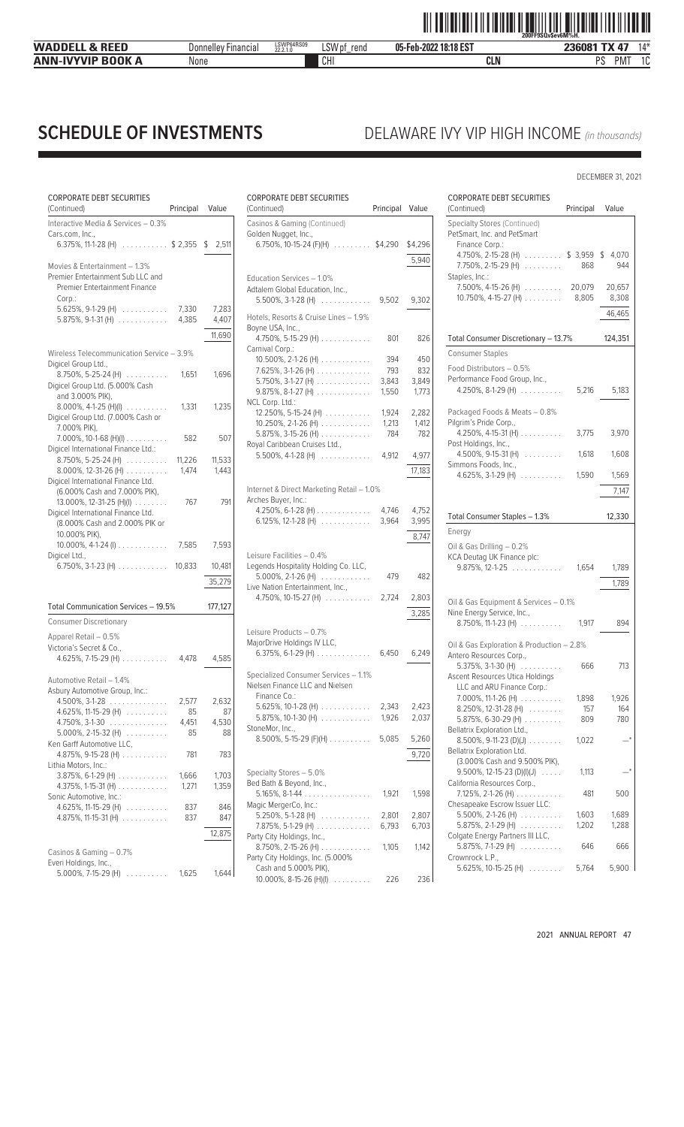|                                                     |                        |                       |                            |                                                   | ZUUFFYSUVSEVDIVI%H. |        |
|-----------------------------------------------------|------------------------|-----------------------|----------------------------|---------------------------------------------------|---------------------|--------|
| EED<br>WAI                                          | Jonnellev<br>Financia. | LSWP64RS09<br>22.2.1. | CIM<br>rend<br>/ D†<br>LJ' | <b>40.40 ECT</b><br>05-Feb-<br>-2022<br>10.10 E.S | 226001<br>$-1$      | $14*$  |
| <b>ROOK</b><br>$\bf{1}$<br>ANN<br>. .<br>$\sqrt{2}$ | None                   |                       | 0111<br>uпı                | <b>CLN</b>                                        | DC<br>PM.<br>ັ      | $\sim$ |
|                                                     |                        |                       |                            |                                                   |                     |        |

ˆ200FF9SQv\$ev6M%H.Š **200FF9SQv\$ev6M%H.**

DECEMBER 31, 2021

### CORPORATE DEBT SECURITIES (Continued) Principal Value Interactive Media & Services – 0.3% Cars.com, Inc. 6.375%, 11-1-28 (H)  $\ldots$ ........\$ 2,355 \$ 2,511 Movies & Entertainment – 1.3% Premier Entertainment Sub LLC and Premier Entertainment Finance Corp.: 5.625%, 9-1-29 (H) ........... 7,330 7,283 5.875%, 9-1-31 (H) ............ 4,385 4,407 11,690 Wireless Telecommunication Service – 3.9% Digicel Group Ltd., 8.750%, 5-25-24 (H) .......... 1,651 1,696 Digicel Group Ltd. (5.000% Cash and  $3.000\%$  PIK). 8.000%, 4-1-25 (H)(I) . . . . . . . . . . 1,331 1,235 Digicel Group Ltd. (7.000% Cash or 7.000% PIK), 7.000%, 10-1-68 (H)(I) . . . . . . . . . . 582 507 Digicel International Finance Ltd.: 8.750%, 5-25-24 (H) .......... 11,226 11,533 8.000%, 12-31-26 (H) . . . . . . . . . . 1,474 1,443 Digicel International Finance Ltd. (6.000% Cash and 7.000% PIK), 13.000%, 12-31-25 (H)(I) . . . . . . . . 767 791 Digicel International Finance Ltd. (8.000% Cash and 2.000% PIK or 10.000% PIK), 10.000%, 4-1-24 (I) ............ 7,585 7,593 Digicel Ltd., 6.750%, 3-1-23 (H) ............ 10,833 10,481 35,279 Total Communication Services – 19.5% 177,127 Consumer Discretionary Apparel Retail  $= 0.5\%$ Victoria's Secret & Co., 4.625%, 7-15-29 (H) ........... 4,478 4,585 Automotive Retail – 1.4% Asbury Automotive Group, Inc.: 4.500%, 3-1-28 .............. 2,577 2,632 4.625%, 11-15-29 (H) . . . . . . . . . . 85 87<br>4.750%, 3-1-30 . . . . . . . . . . . . . 4.451 4.530 4.750%, 3-1-30 .............. 4,451 4,530 5.000%, 2-15-32 (H) . . . . . . . . . . 85 88 Ken Garff Automotive LLC, 4.875%, 9-15-28 (H) . . . . . . . . . . . 781 783 Lithia Motors, Inc.: 3.875%, 6-1-29 (H) ............ 1,666 1,703 4.375%, 1-15-31 (H) . . . . . . . . . . . . 1,271 1,359 Sonic Automotive, Inc.: 4.625%, 11-15-29 (H) . . . . . . . . . . 837 846<br>4.875%, 11-15-31 (H) . . . . . . . . . . . 837 847 4.875%, 11-15-31  $(H)$  . . . . . . . . . . . 12,875 Casinos & Gaming – 0.7% Everi Holdings, Inc. 5.000%, 7-15-29 (H) .......... 1,625 1,644

| <b>CORPORATE DEBT SECURITIES</b><br>(Continued)                                         | Principal      | Value          |
|-----------------------------------------------------------------------------------------|----------------|----------------|
| Casinos & Gaming (Continued)                                                            |                |                |
| Golden Nugget, Inc.,<br>6.750%, 10-15-24 (F)(H)<br>$\ldots$ .                           | \$4,290        | \$4,296        |
|                                                                                         |                | 5,940          |
|                                                                                         |                |                |
| Education Services - 1.0%<br>Adtalem Global Education, Inc.,<br>5.500%, 3-1-28 (H)<br>. | 9,502          | 9,302          |
| Hotels, Resorts & Cruise Lines - 1.9%                                                   |                |                |
| Boyne USA, Inc.,<br>4.750%, 5-15-29 (H) $\ldots \ldots \ldots$                          | 801            | 826            |
| Carnival Corp.:                                                                         |                |                |
| 10.500%, 2-1-26 (H)<br>$7.625\%$ , 3-1-26 (H)                                           | 394<br>793     | 450<br>832     |
| 5.750%, 3-1-27 (H) $\ldots \ldots \ldots$                                               | 3,843          | 3,849          |
| $9.875\%, 8-1-27 (H) \dots \dots \dots$                                                 | 1,550          | 1,773          |
| NCL Corp. Ltd.:                                                                         |                |                |
| $12.250\%$ , 5-15-24 (H) $\ldots \ldots \ldots$<br>10.250%, 2-1-26 (H) $\dots$          | 1,924<br>1,213 | 2,282<br>1.412 |
| 5.875%, 3-15-26 (H) $\ldots$                                                            | 784            | 782            |
| Royal Caribbean Cruises Ltd.,<br>5.500%, 4-1-28 (H) $\ldots$                            | 4,912          | 4,977          |
|                                                                                         |                | 17,183         |
|                                                                                         |                |                |
| Internet & Direct Marketing Retail - 1.0%<br>Arches Buyer, Inc.:                        |                |                |
| 4.250%, 6-1-28 (H) $\dots \dots \dots$                                                  | 4,746          | 4,752          |
| 6.125%, 12-1-28 (H) $\ldots \ldots \ldots$                                              | 3,964          | 3,995          |
|                                                                                         |                | 8,747          |
| Leisure Facilities - 0.4%                                                               |                |                |
| Legends Hospitality Holding Co. LLC,                                                    |                |                |
| $5.000\%$ , 2-1-26 (H) $\ldots \ldots \ldots$                                           | 479            | 482            |
| Live Nation Entertainment, Inc.,                                                        |                |                |
| 4.750%, 10-15-27 (H)                                                                    | 2,724          | 2,803          |
|                                                                                         |                | 3,285          |
| Leisure Products - 0.7%                                                                 |                |                |
| MajorDrive Holdings IV LLC,                                                             |                |                |
| $6.375\%$ , 6-1-29 (H) $\ldots \ldots$                                                  | 6,450          | 6,249          |
|                                                                                         |                |                |
| Specialized Consumer Services - 1.1%<br>Nielsen Finance LLC and Nielsen<br>Finance Co.: |                |                |
| $5.625\%$ , 10-1-28 (H)                                                                 | 2,343          | 2,423          |
| $5.875\%$ , 10-1-30 (H) $\ldots \ldots \ldots$                                          | 1,926          | 2,037          |
| StoneMor, Inc.,<br>8.500%, 5-15-29 (F)(H) $\ldots \ldots \ldots$                        | 5,085          | 5,260          |
|                                                                                         |                | 9,720          |
|                                                                                         |                |                |
| Specialty Stores - 5.0%                                                                 |                |                |
| Bed Bath & Beyond, Inc.,<br>$5.165\%$ , 8-1-44                                          | 1,921          | 1,598          |
| Magic MergerCo, Inc.:                                                                   |                |                |
| 5.250%, 5-1-28 (H) $\ldots$                                                             | 2,801          | 2,807          |
| $7.875\%$ , 5-1-29 (H) $\ldots \ldots \ldots \ldots$                                    | 6,793          | 6,703          |
| Party City Holdings, Inc.,<br>$8.750\%$ , 2-15-26 (H)                                   | 1,105          | 1,142          |
| Party City Holdings, Inc. (5.000%                                                       |                |                |
| Cash and 5.000% PIK),<br>$10.000\%$ , 8-15-26 (H)(I) $\ldots \ldots$                    | 226            | 236            |
|                                                                                         |                |                |

| <b>CORPORATE DEBT SECURITIES</b><br>(Continued)                                                                         | Principal           | Value                     |
|-------------------------------------------------------------------------------------------------------------------------|---------------------|---------------------------|
| <b>Specialty Stores (Continued)</b><br>PetSmart, Inc. and PetSmart                                                      |                     |                           |
| Finance Corp.:<br>4.750%, 2-15-28 (H) $\ldots$<br>7.750%, 2-15-29 (H)<br>.<br>Staples, Inc.:                            | \$ 3,959<br>868     | \$4,070<br>944            |
| $7.500\%$ , 4-15-26 (H) $\ldots \ldots$<br>$10.750\%$ , 4-15-27 (H) $\ldots \ldots$                                     | 20,079<br>8,805     | 20,657<br>8,308<br>46,465 |
| Total Consumer Discretionary - 13.7%                                                                                    |                     | 124,351                   |
| <b>Consumer Staples</b>                                                                                                 |                     |                           |
| Food Distributors - 0.5%                                                                                                |                     |                           |
| Performance Food Group, Inc.,<br>$4.250\%$ , $8-1-29$ (H) $\ldots \ldots \ldots$                                        | 5,216               | 5,183                     |
| Packaged Foods & Meats - 0.8%                                                                                           |                     |                           |
| Pilgrim's Pride Corp.,<br>4.250%, 4-15-31 (H) $\ldots \ldots \ldots$                                                    | 3,775               | 3,970                     |
| Post Holdings, Inc.,<br>$4.500\%$ , 9-15-31 (H)                                                                         | 1,618               | 1,608                     |
| Simmons Foods, Inc.,<br>$4.625\%$ , 3-1-29 (H)                                                                          | 1,590               | 1,569                     |
|                                                                                                                         |                     | 7,147                     |
| Total Consumer Staples - 1.3%                                                                                           |                     | 12,330                    |
| Energy                                                                                                                  |                     |                           |
| Oil & Gas Drilling - 0.2%<br>KCA Deutag UK Finance plc:<br>9.875%, 12-1-25<br>.                                         | 1,654               | 1,789<br>1,789            |
| Oil & Gas Equipment & Services - 0.1%                                                                                   |                     |                           |
| Nine Energy Service, Inc.,<br>$8.750\%$ , 11-1-23 (H) $\ldots \ldots \ldots$                                            | 1,917               | 894                       |
| Oil & Gas Exploration & Production - 2.8%                                                                               |                     |                           |
| Antero Resources Corp.,<br>$5.375\%$ , 3-1-30 (H) $\ldots \ldots \ldots$<br>Ascent Resources Utica Holdings             | 666                 | 713                       |
| LLC and ARU Finance Corp.:<br>/.000%, 11-1-26 (H)<br>$8.250\%$ , 12-31-28 (H)<br>5.875%, 6-30-29 (H) $\ldots$           | 1,898<br>157<br>809 | 1,926<br>164<br>780       |
| Bellatrix Exploration Ltd.,<br>$8.500\%$ , 9-11-23 (D)(J) $\ldots \ldots$                                               | 1,022               |                           |
| Bellatrix Exploration Ltd.<br>(3.000% Cash and 9.500% PIK),<br>9.500%, 12-15-23 (D)(I)(J)<br>$\sim 1.1$ . $\sim$        | 1,113               |                           |
| California Resources Corp.,<br>7.125%, 2-1-26 (H)                                                                       | 481                 | 500                       |
| Chesapeake Escrow Issuer LLC:                                                                                           |                     |                           |
| 5.500%, 2-1-26 (H) $\ldots \ldots$<br>$5.875\%$ , 2-1-29 (H) $\ldots \ldots \ldots$<br>Colgate Energy Partners III LLC, | 1,603<br>1,202      | 1,689<br>1,288            |
| 5.875%, 7-1-29 (H) $\ldots$                                                                                             | 646                 | 666                       |
| Crownrock L.P.,<br>5.625%, 10-15-25 (H) $\ldots \ldots$                                                                 | 5,764               | 5,900                     |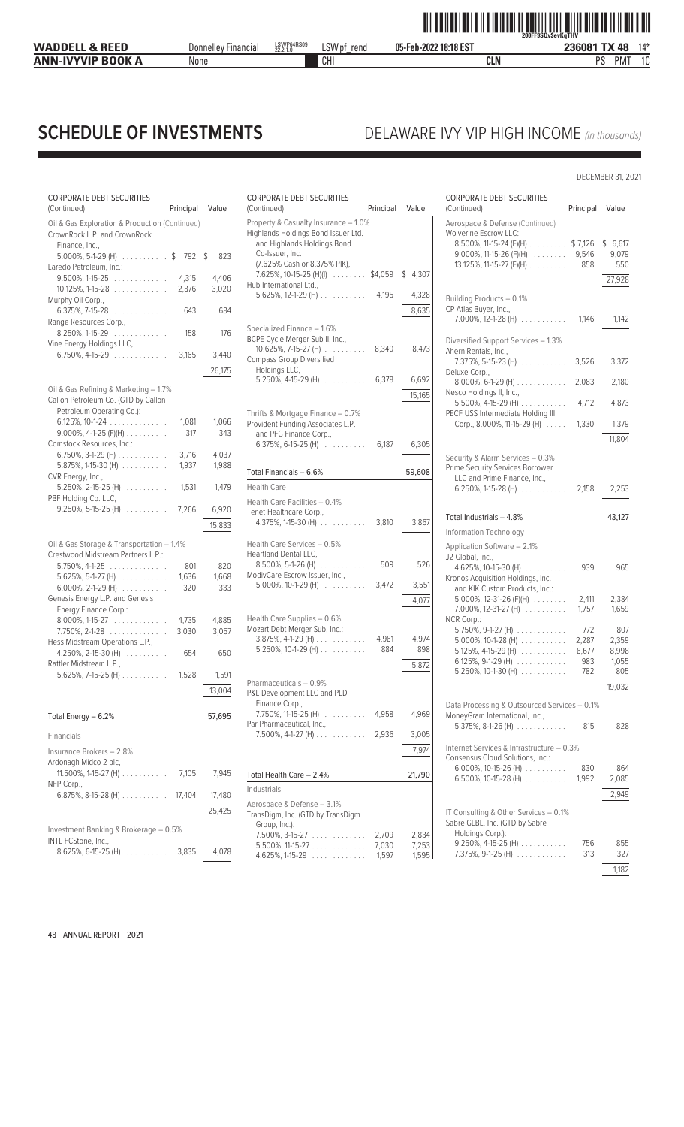|                                            |                               |                        |                                |                                     | 200FF9SQvSevKaTHV              |              |
|--------------------------------------------|-------------------------------|------------------------|--------------------------------|-------------------------------------|--------------------------------|--------------|
| <b>REED</b><br><b>WAD</b><br>.<br>ึ<br>. . | Financia.<br><b>Donnellev</b> | LSWP64RS09<br>22.2.1.0 | <b>CIA</b><br>rend<br>LS VV pt | 18:18 EST<br>05-<br><b>Feb-2022</b> | $T_{\rm V}$<br>$\overline{AB}$ | $14^{\circ}$ |
| <b>BOOK A</b><br><b>ANN</b><br>VVID<br>w   | None                          |                        | 011<br>ັ∪⊓∖                    | <b>CLN</b>                          | nc<br>$n \cdot$<br>'M          | $\sim$<br>טי |
|                                            |                               |                        |                                |                                     |                                |              |

CORPORATE DEBT SECURITIES

# **SCHEDULE OF INVESTMENTS** DELAWARE IVY VIP HIGH INCOME (in thousands)

DECEMBER 31, 2021

**TILE OF AN INDIANAL AN INDIANAL AN INDIANAL AN INDIANAL AN INDIANAL AN INDIANAL AN INDIANAL AN INDIANAL AN IND** 

### (Continued) Principal Value Oil & Gas Exploration & Production (Continued) CrownRock L.P. and CrownRock Finance, Inc., 5.000%, 5-1-29 (H) ........... \$ 792 \$ 823 Laredo Petroleum, Inc.: 9.500%, 1-15-25 ............. 4,315 4,406 10.125%, 1-15-28 ............. 2,876 3,020 Murphy Oil Corp., 6.375%, 7-15-28 ............. 643 684 Range Resources Corp., 8.250%, 1-15-29 ............. 158 176 Vine Energy Holdings LLC, 6.750%, 4-15-29 ............. 3,165 3,440 26,175 Oil & Gas Refining & Marketing – 1.7% Callon Petroleum Co. (GTD by Callon Petroleum Operating Co.): 6.125%, 10-1-24 .............. 1,081 1,066 9.000%, 4-1-25 (F)(H) . . . . . . . . . . 317 343 Comstock Resources, Inc.: 6.750%, 3-1-29 (H) . . . . . . . . . . . . . 3,716 4,037<br>5.875%, 1-15-30 (H) . . . . . . . . . . . . 1,937 1,988  $5.875\%$ , 1-15-30 (H)  $\ldots$ ........ CVR Energy, Inc., 5.250%, 2-15-25 (H) .......... 1,531 1,479 PBF Holding Co. LLC, 9.250%, 5-15-25 (H) .......... 7,266 6,920 15,833 Oil & Gas Storage & Transportation – 1.4% Crestwood Midstream Partners L.P.: 5.750%, 4-1-25 . . . . . . . . . . . . . . 801 820 5.625%, 5-1-27 (H) ............ 1,636 1,668  $6.000\%$ , 2-1-29 (H)  $\ldots$ ........ Genesis Energy L.P. and Genesis Energy Finance Corp.: 8.000%, 1-15-27 . . . . . . . . . . . . . 4,735 4,885<br>7.750%, 2-1-28 . . . . . . . . . . . . . 3,030 3,057  $7.750\%$ , 2-1-28  $\dots\dots\dots\dots$ Hess Midstream Operations L.P., 4.250%, 2-15-30 (H) . . . . . . . . . . . 654 650 Rattler Midstream L.P., 5.625%, 7-15-25 (H) ........... 1,528 1,591 13,004 Total Energy – 6.2% 57,695 Financials Insurance Brokers – 2.8% Ardonagh Midco 2 plc, 11.500%, 1-15-27 (H) ........... 7,105 7,945 NFP Corp., 6.875%, 8-15-28 (H) ........... 17,404 17,480 25,425 Investment Banking & Brokerage – 0.5% INTL FCStone, Inc., 8.625%, 6-15-25 (H) .......... 3,835 4,078

| <b>CORPORATE DEBT SECURITIES</b><br>(Continued)                                                                                                                       | Principal      | Value                 |
|-----------------------------------------------------------------------------------------------------------------------------------------------------------------------|----------------|-----------------------|
| Property & Casualty Insurance - 1.0%<br>Highlands Holdings Bond Issuer Ltd.<br>and Highlands Holdings Bond<br>Co-Issuer, Inc.                                         |                |                       |
| (7.625% Cash or 8.375% PIK),<br>$7.625\%$ , 10-15-25 (H)(I) $\ldots \ldots$ \$4,059<br>Hub International Ltd.,                                                        |                | \$<br>4,307           |
| $5.625\%$ , 12-1-29 (H) $\ldots$                                                                                                                                      | 4,195          | 4,328<br>8,635        |
| Specialized Finance - 1.6%<br>BCPE Cycle Merger Sub II, Inc.,<br>$10.625\%$ , 7-15-27 (H)<br><b>Compass Group Diversified</b><br>Holdings LLC,<br>5.250%, 4-15-29 (H) | 8,340          | 8,473                 |
| .                                                                                                                                                                     | 6,378          | 6,692<br>15,165       |
| Thrifts & Mortgage Finance - 0.7%<br>Provident Funding Associates L.P.<br>and PFG Finance Corp.,<br>6.375%, 6-15-25 (H) $\ldots$<br>.                                 | 6,187          | 6,305                 |
| Total Financials - 6.6%                                                                                                                                               |                | 59,608                |
| <b>Health Care</b>                                                                                                                                                    |                |                       |
| Health Care Facilities - 0.4%<br>Tenet Healthcare Corp.,<br>$4.375\%$ , 1-15-30 (H) $\ldots$                                                                          | 3,810          | 3,867                 |
| Health Care Services - 0.5%<br>Heartland Dental LLC,<br>$8.500\%$ , 5-1-26 (H)                                                                                        | 509            | 526                   |
| ModivCare Escrow Issuer, Inc.,<br>$5.000\%$ , 10-1-29 (H) $\ldots$                                                                                                    | 3,472          | 3,551                 |
|                                                                                                                                                                       |                | 4,077                 |
| Health Care Supplies - 0.6%<br>Mozart Debt Merger Sub, Inc.:<br>$3.875\%$ , 4-1-29 (H) $\ldots \ldots \ldots$<br>$5.250\%$ , 10-1-29 (H) $\ldots \ldots \ldots$       | 4,981<br>884   | 4.974<br>898<br>5,872 |
| Pharmaceuticals - 0.9%<br>P&L Development LLC and PLD<br>Finance Corp.,                                                                                               |                |                       |
| 7.750%, 11-15-25 (H)<br>in de la provincia de<br>Par Pharmaceutical, Inc.,                                                                                            | 4,958          | 4,969                 |
| $7.500\%$ , 4-1-27 (H)                                                                                                                                                | 2,936          | 3,005                 |
|                                                                                                                                                                       |                | 7,974                 |
| Total Health Care - 2.4%                                                                                                                                              |                | 21,790                |
| Industrials                                                                                                                                                           |                |                       |
| Aerospace & Defense - 3.1%<br>TransDigm, Inc. (GTD by TransDigm<br>Group, Inc.):<br>7.500%, 3-15-27<br>$5.500\%$ , 11-15-27 $\dots\dots\dots\dots\dots$               | 2,709<br>7,030 | 2,834<br>7,253        |
| 4.625%, 1-15-29<br>.                                                                                                                                                  | 1,597          | 1,595                 |

| CORPORATE DEBT SECURITIES<br>(Continued)                                                                                     | Principal             | Value                 |
|------------------------------------------------------------------------------------------------------------------------------|-----------------------|-----------------------|
| Aerospace & Defense (Continued)<br>Wolverine Escrow LLC:<br>$8.500\%$ , 11-15-24 (F)(H)                                      | \$7,126               | \$6,617               |
| $9.000\%$ , 11-15-26 (F)(H) $\ldots \ldots$<br>13.125%, 11-15-27 (F)(H) $\ldots \ldots \ldots$                               | 9,546<br>858          | 9,079<br>550          |
|                                                                                                                              |                       | 27,928                |
| Building Products - 0.1%<br>CP Atlas Buyer, Inc.,<br>7.000%, 12-1-28 (H)                                                     | 1,146                 | 1,142                 |
| Diversified Support Services - 1.3%<br>Ahern Rentals, Inc.,                                                                  |                       |                       |
| $7.375\%$ , 5-15-23 (H) $\ldots \ldots \ldots$<br>Deluxe Corp.,                                                              | 3,526                 | 3,372                 |
| $8.000\%$ , 6-1-29 (H)<br>Nesco Holdings II, Inc.,                                                                           | 2,083                 | 2,180                 |
| $5.500\%$ , 4-15-29 (H) $\dots\dots\dots\dots$<br>PECF USS Intermediate Holding III                                          | 4,712                 | 4,873                 |
| Corp., 8.000%, 11-15-29 (H)                                                                                                  | 1,330                 | 1,379                 |
|                                                                                                                              |                       | 11,804                |
| Security & Alarm Services - 0.3%<br>Prime Security Services Borrower<br>LLC and Prime Finance, Inc.,                         |                       |                       |
| $6.250\%$ , 1-15-28 (H) $\ldots \ldots \ldots$                                                                               | 2,158                 | 2,253                 |
| Total Industrials — 4.8%                                                                                                     |                       | 43,127                |
| Information Technology                                                                                                       |                       |                       |
| Application Software - 2.1%<br>J2 Global, Inc.,<br>4.625%, 10-15-30 (H)<br>Kronos Acquisition Holdings, Inc.                 | 939                   | 965                   |
| and KIK Custom Products, Inc.:<br>5.000%, 12-31-26 (F)(H) $\ldots \ldots$<br>$7.000\%$ , 12-31-27 (H) $\ldots \ldots \ldots$ | 2,411<br>1,757        | 2,384<br>1,659        |
| NCR Corp.:<br>$5.750\%$ , 9-1-27 (H)<br>$5.000\%$ , 10-1-28 (H)<br>$5.125\%$ , 4-15-29 (H) $\ldots \ldots \ldots$            | 772<br>2,287<br>8,677 | 807<br>2,359<br>8,998 |
| $6.125\%$ , 9-1-29 (H)<br>5.250%, 10-1-30 (H) $\ldots$                                                                       | 983<br>782            | 1,055<br>805          |
|                                                                                                                              |                       | 19,032                |
| Data Processing & Outsourced Services - 0.1%<br>MoneyGram International, Inc.,                                               |                       |                       |
| $5.375\%$ , 8-1-26 (H) $\ldots \ldots$                                                                                       | 815                   | 828                   |
| Internet Services & Infrastructure - 0.3%<br>Consensus Cloud Solutions, Inc.:                                                |                       |                       |
| $6.000\%$ , 10-15-26 (H) $\ldots \ldots \ldots$<br>$6.500\%$ , 10-15-28 (H) $\ldots \ldots$                                  | 830<br>1,992          | 864<br>2,085          |
|                                                                                                                              |                       | 2,949                 |
| IT Consulting & Other Services - 0.1%<br>Sabre GLBL, Inc. (GTD by Sabre<br>Holdings Corp.):                                  |                       |                       |
| $9.250\%$ , 4-15-25 (H)<br>7.375%, 9-1-25 (H)                                                                                | 756<br>313            | 855<br>327            |
|                                                                                                                              |                       | 1,182                 |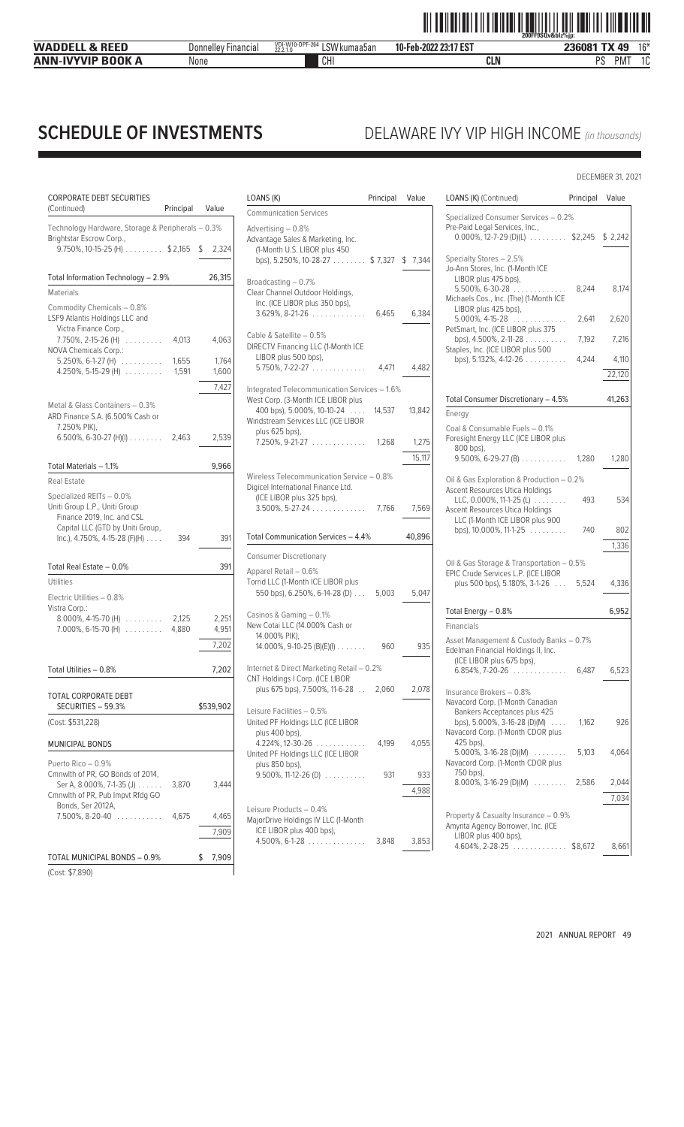|                           |                     |                                               |                       | IIII II<br>Ⅲ<br>$200$ $Ff9S0v8b1z%$ |
|---------------------------|---------------------|-----------------------------------------------|-----------------------|-------------------------------------|
| <b>WADDELL &amp; REED</b> | Donnelley Financial | VDI-W10-DPF-264  <br>LSW kumaa5an<br>22.2.1.0 | 10-Feb-2022 23:17 EST | $16*$<br>236081 TX 49               |
| <b>ANN-IVYVIP BOOK A</b>  | None                | CHI                                           | <b>CLN</b>            | <b>PMT</b><br>DС<br>1 <sup>0</sup>  |
|                           |                     |                                               |                       |                                     |

LOANS (K) Principal Value

# **SCHEDULE OF INVESTMENTS** DELAWARE IVY VIP HIGH INCOME (in thousands)

DECEMBER 31, 2021

## CORPORATE DEBT SECURITIES (Continued) Principal Value Technology Hardware, Storage & Peripherals – 0.3% Brightstar Escrow Corp.,  $9.750\%$ , 10-15-25 (H)  $\ldots$   $1.15 \times 10^{-15}$   $1.15 \times 10^{-15}$   $1.15 \times 10^{-15}$   $1.15 \times 10^{-15}$   $1.15 \times 10^{-15}$   $1.15 \times 10^{-15}$   $1.15 \times 10^{-15}$   $1.15 \times 10^{-15}$   $1.15 \times 10^{-15}$   $1.15 \times 10^{-15}$   $1.15 \times 10^{-15}$   $1.15 \times 10^{-15}$ Total Information Technology – 2.9% 26,315 Materials Commodity Chemicals – 0.8% LSF9 Atlantis Holdings LLC and Victra Finance Corp., 7.750%, 2-15-26 (H) ......... 4,013 4,063 NOVA Chemicals Corp.: 5.250%, 6-1-27 (H) .......... 1,655 1,764 4.250%, 5-15-29 (H) ......... 1,591 1,600 7,427 Metal & Glass Containers – 0.3% ARD Finance S.A. (6.500% Cash or 7.250% PIK), 6.500%, 6-30-27 (H)(I) ........ 2,463 2,539 Total Materials – 1.1% 9,966 Real Estate Specialized REITs – 0.0% Uniti Group L.P., Uniti Group Finance 2019, Inc. and CSL Capital LLC (GTD by Uniti Group, Inc.), 4.750%, 4-15-28 (F)(H) . . . . 394 391 Total Real Estate – 0.0% 391 Utilities Electric Utilities – 0.8% Vistra Corp.: 8.000%, 4-15-70 (H) ......... 2,125 2,251 7.000%, 6-15-70 (H) ......... 4,880 4,951 7,202 Total Utilities – 0.8% 7,202 TOTAL CORPORATE DEBT SECURITIES – 59.3% \$539,902 (Cost: \$531,228) MUNICIPAL BONDS Puerto Rico – 0.9% Cmnwlth of PR, GO Bonds of 2014, Ser A, 8.000%, 7-1-35 (J) . . . . . . 3,870 3,444 Cmnwlth of PR, Pub Impvt Rfdg GO Bonds, Ser 2012A, 7.500%, 8-20-40 ........... 4,675 4,465 7,909 TOTAL MUNICIPAL BONDS - 0.9% \$7,909

| <b>Communication Services</b>                                             |        |                 |
|---------------------------------------------------------------------------|--------|-----------------|
| Advertising - 0.8%                                                        |        |                 |
| Advantage Sales & Marketing, Inc.                                         |        |                 |
| (1-Month U.S. LIBOR plus 450                                              |        |                 |
| bps), 5.250%, 10-28-27 \$ 7,327 \$ 7,344                                  |        |                 |
| Broadcasting - 0.7%                                                       |        |                 |
| Clear Channel Outdoor Holdings,                                           |        |                 |
| Inc. (ICE LIBOR plus 350 bps),                                            |        |                 |
| $3.629\%$ , $8$ -21-26                                                    | 6,465  | 6,384           |
| Cable & Satellite - 0.5%                                                  |        |                 |
| DIRECTV Financing LLC (1-Month ICE                                        |        |                 |
| LIBOR plus 500 bps),                                                      |        |                 |
| $5.750\%$ , 7-22-27                                                       | 4,471  | 4,482           |
| Integrated Telecommunication Services - 1.6%                              |        |                 |
| West Corp. (3-Month ICE LIBOR plus                                        |        |                 |
| 400 bps), 5.000%, 10-10-24                                                | 14,537 | 13,842          |
| Windstream Services LLC (ICE LIBOR                                        |        |                 |
| plus 625 bps),<br>$7.250\%$ , 9-21-27                                     | 1,268  | 1,275           |
|                                                                           |        |                 |
|                                                                           |        | 15,117          |
| Wireless Telecommunication Service - 0.8%                                 |        |                 |
| Digicel International Finance Ltd.                                        |        |                 |
| (ICE LIBOR plus 325 bps),<br>$3.500\%$ , 5-27-24 7,766                    |        | 7,569           |
|                                                                           |        |                 |
| Total Communication Services - 4.4%                                       |        |                 |
|                                                                           |        |                 |
|                                                                           |        |                 |
| <b>Consumer Discretionary</b>                                             |        |                 |
| Apparel Retail - 0.6%                                                     |        |                 |
| Torrid LLC (1-Month ICE LIBOR plus<br>550 bps), 6.250%, 6-14-28 (D) 5,003 |        | 5,047           |
|                                                                           |        |                 |
| Casinos & Gaming - 0.1%                                                   |        |                 |
| New Cotai LLC (14.000% Cash or                                            |        |                 |
| 14.000% PIK),                                                             | 960    |                 |
| $14.000\%$ , 9-10-25 (B)(E)(I)                                            |        | 935             |
| Internet & Direct Marketing Retail - 0.2%                                 |        |                 |
| CNT Holdings I Corp. (ICE LIBOR                                           |        |                 |
| plus 675 bps), 7.500%, 11-6-28                                            | 2,060  |                 |
| Leisure Facilities - 0.5%                                                 |        |                 |
| United PF Holdings LLC (ICE LIBOR                                         |        |                 |
| plus 400 bps),                                                            |        |                 |
| $4.224\%$ , 12-30-26 $\dots\dots$<br>$\ldots$                             | 4,199  | 4,055           |
| United PF Holdings LLC (ICE LIBOR                                         |        |                 |
| plus 850 bps),<br>$9.500\%$ , 11-12-26 (D) $\dots \dots$                  | 931    | 933             |
|                                                                           |        | 40,896<br>2,078 |
|                                                                           |        | 4,988           |
| Leisure Products - 0.4%                                                   |        |                 |
| MajorDrive Holdings IV LLC (1-Month                                       |        |                 |
| ICE LIBOR plus 400 bps),<br>$4.500\%$ , 6-1-28                            | 3,848  | 3,853           |

| LOANS (K) (Continued)                                                                                                                                | Principal Value |                 |
|------------------------------------------------------------------------------------------------------------------------------------------------------|-----------------|-----------------|
| Specialized Consumer Services - 0.2%<br>Pre-Paid Legal Services, Inc.,                                                                               |                 |                 |
| $0.000\%$ , 12-7-29 (D)(L) $\ldots$ \$2,245 \$2,242                                                                                                  |                 |                 |
| Specialty Stores - 2.5%<br>Jo-Ann Stores, Inc. (1-Month ICE<br>LIBOR plus 475 bps),<br>$5.500\%$ , 6-30-28<br>Michaels Cos., Inc. (The) (1-Month ICE | 8,244           | 8,174           |
| LIBOR plus 425 bps),<br>$5.000\%$ , 4-15-28                                                                                                          | 2,641           | 2,620           |
| PetSmart, Inc. (ICE LIBOR plus 375<br>bps), 4.500%, 2-11-28                                                                                          | 7,192           | 7,216           |
| Staples, Inc. (ICE LIBOR plus 500<br>bps), $5.132\%$ , $4-12-26$                                                                                     | 4,244           | 4,110<br>22,120 |
| Total Consumer Discretionary - 4.5%                                                                                                                  |                 | 41,263          |
| Energy                                                                                                                                               |                 |                 |
| Coal & Consumable Fuels - 0.1%<br>Foresight Energy LLC (ICE LIBOR plus<br>800 bps),                                                                  |                 |                 |
| $9.500\%$ , 6-29-27 (B)                                                                                                                              | 1,280           | 1,280           |
| Oil & Gas Exploration & Production - 0.2%                                                                                                            |                 |                 |
| Ascent Resources Utica Holdings<br>LLC, 0.000%, 11-1-25 (L)<br>Ascent Resources Utica Holdings                                                       | 493             | 534             |
| LLC (1-Month ICE LIBOR plus 900<br>bps), $10.000\%$ , $11-1-25$                                                                                      | 740             | 802<br>1,336    |
| Oil & Gas Storage & Transportation - 0.5%<br>EPIC Crude Services L.P. (ICE LIBOR<br>plus 500 bps), 5.180%, 3-1-26                                    | 5,524           | 4,336           |
| Total Energy - 0.8%                                                                                                                                  |                 | 6,952           |
| Financials                                                                                                                                           |                 |                 |
| Asset Management & Custody Banks - 0.7%<br>Edelman Financial Holdings II, Inc.<br>(ICE LIBOR plus 675 bps),                                          |                 |                 |
| 6.854%, 7-20-26<br>.                                                                                                                                 | 6,487           | 6,523           |
| Insurance Brokers - 0.8%<br>Navacord Corp. (1-Month Canadian<br>Bankers Acceptances plus 425                                                         |                 |                 |
| bps), 5.000%, 3-16-28 (D)(M)<br>.<br>Navacord Corp. (1-Month CDOR plus<br>425 bps),                                                                  | 1,162           | 926             |
| $5.000\%$ , 3-16-28 (D)(M) $\ldots \ldots$<br>Navacord Corp. (1-Month CDOR plus<br>750 bps).                                                         | 5,103           | 4,064           |
| $8.000\%$ , 3-16-29 (D)(M)                                                                                                                           | 2,586           | 2,044           |
|                                                                                                                                                      |                 | 7,034           |
| Property & Casualty Insurance - 0.9%<br>Amynta Agency Borrower, Inc. (ICE<br>LIBOR plus 400 bps),                                                    |                 |                 |
| $4.604\%$ , 2-28-25 \$8,672                                                                                                                          |                 | 8,661           |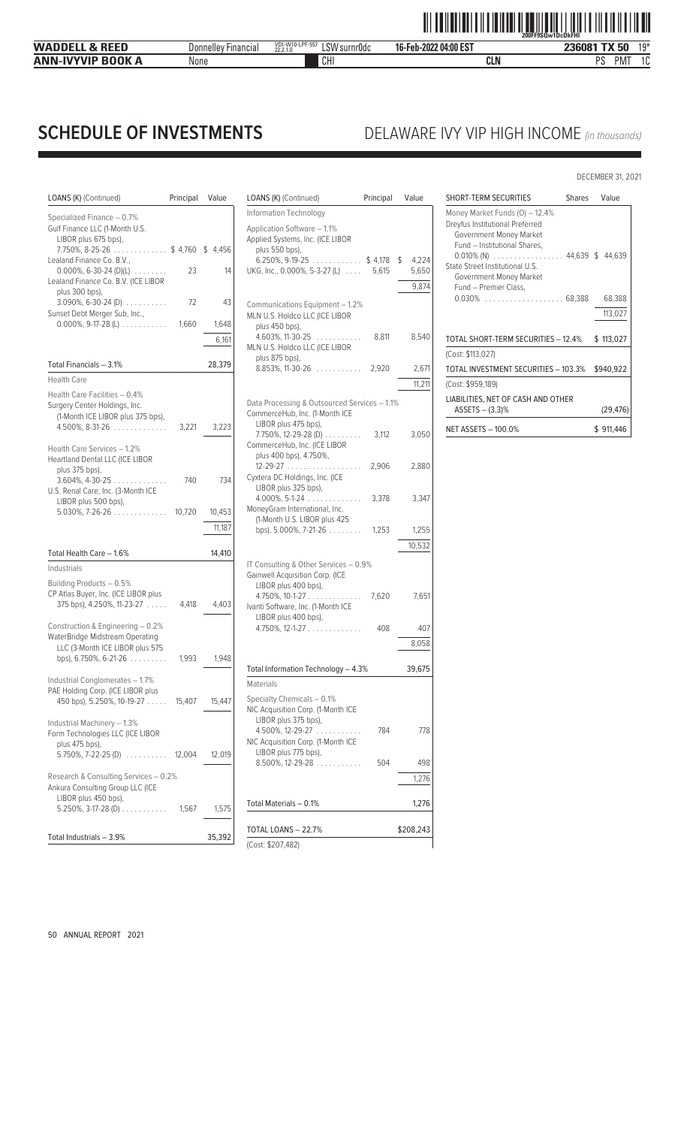|                           |                            |                                             | IIIIIII               | $\  \ $<br>$\parallel$<br>$\parallel$<br>IIII<br>200FF9SQw1DcDkFHI |
|---------------------------|----------------------------|---------------------------------------------|-----------------------|--------------------------------------------------------------------|
| <b>WADDELL &amp; REED</b> | <b>Donnelley Financial</b> | VDI-W10-LPF-557<br>22.2.1.0<br>LSW surnr0dc | 16-Feb-2022 04:00 EST | <b>TX 50</b><br>$19*$<br>236081                                    |
| <b>ANN-IVYVIP BOOK A</b>  | None                       | CHI                                         | CLN                   | PS<br>PMT<br>10 <sup>1</sup><br>ΙU                                 |

| LOANS (K) (Continued)                                                                                                                                                                                                                                        | Principal     | Value          |
|--------------------------------------------------------------------------------------------------------------------------------------------------------------------------------------------------------------------------------------------------------------|---------------|----------------|
| Specialized Finance - 0.7%<br>Gulf Finance LLC (1-Month U.S.<br>LIBOR plus 675 bps),<br>$7.750\%$ , 8-25-26 \$ 4,760 \$ 4,456<br>Lealand Finance Co. B.V.,<br>$0.000\%$ , 6-30-24 (D)(L) $\ldots$ .<br>Lealand Finance Co. B.V. (ICE LIBOR<br>plus 300 bps), | 23            | 14             |
| $3.090\%$ , 6-30-24 (D) $\ldots \ldots \ldots$<br>Sunset Debt Merger Sub, Inc.,                                                                                                                                                                              | 72            | 43             |
| $0.000\%$ , 9-17-28 (L)                                                                                                                                                                                                                                      | 1,660         | 1,648<br>6,161 |
|                                                                                                                                                                                                                                                              |               |                |
| Total Financials - 3.1%                                                                                                                                                                                                                                      |               | 28,379         |
| <b>Health Care</b><br>Health Care Facilities - 0.4%<br>Surgery Center Holdings, Inc.<br>(1-Month ICE LIBOR plus 375 bps),<br>$4.500\%$ , $8-31-26$                                                                                                           | 3,221         | 3,223          |
| Health Care Services - 1.2%<br>Heartland Dental LLC (ICE LIBOR<br>plus 375 bps),<br>$3.604\%$ , 4-30-25<br>U.S. Renal Care, Inc. (3-Month ICE<br>LIBOR plus 500 bps),<br>$5.030\%$ , 7-26-26                                                                 | 740<br>10,720 | 734<br>10,453  |
|                                                                                                                                                                                                                                                              |               | 11,187         |
| Total Health Care – 1.6%                                                                                                                                                                                                                                     |               | 14,410         |
| Industrials<br>Building Products - 0.5%<br>CP Atlas Buyer, Inc. (ICE LIBOR plus<br>375 bps), 4.250%, 11-23-27<br>Construction & Engineering - 0.2%                                                                                                           | 4,418         | 4,403          |
| WaterBridge Midstream Operating<br>LLC (3-Month ICE LIBOR plus 575<br>bps), $6.750\%$ , $6-21-26$                                                                                                                                                            | 1,993         | 1,948          |
| Industrial Conglomerates - 1.7%<br>PAE Holding Corp. (ICE LIBOR plus<br>450 bps), 5.250%, 10-19-27 15,407                                                                                                                                                    |               | 15,447         |
| Industrial Machinery - 1.3%<br>Form Technologies LLC (ICE LIBOR<br>plus 475 bps),<br>$5.750\%$ , $7-22-25$ (D) $\ldots$ 12,004<br>Research & Consulting Services - 0.2%                                                                                      |               | 12,019         |
| Ankura Consulting Group LLC (ICE<br>LIBOR plus 450 bps),<br>$5.250\%$ , $3-17-28$ (D)                                                                                                                                                                        | 1,567         | 1,575          |
| Total Industrials - 3.9%                                                                                                                                                                                                                                     |               | 35,392         |

| Information Technology<br>Application Software - 1.1%<br>Applied Systems, Inc. (ICE LIBOR<br>plus 550 bps),<br>$6.250\%$ , 9-19-25<br>\$4,178<br>\$<br>UKG, Inc., 0.000%, 5-3-27 (L)<br>5,615<br>Communications Equipment - 1.2%<br>MLN U.S. Holdco LLC (ICE LIBOR<br>plus 450 bps),<br>$4.603\%$ , 11-30-25<br>8,811<br>MLN U.S. Holdco LLC (ICE LIBOR<br>plus 875 bps),<br>8.853%, 11-30-26<br>2,920<br>.<br>11,211<br>Data Processing & Outsourced Services - 1.1%<br>CommerceHub, Inc. (1-Month ICE<br>LIBOR plus 475 bps),<br>$7.750\%$ , 12-29-28 (D) $\ldots$<br>3,112<br>CommerceHub, Inc. (ICE LIBOR<br>plus 400 bps), 4.750%,<br>$12 - 29 - 27$<br>2,906<br>.<br>Cyxtera DC Holdings, Inc. (ICE<br>LIBOR plus 325 bps),<br>$4.000\%$ , 5-1-24<br>3,378<br>MoneyGram International, Inc.<br>(1-Month U.S. LIBOR plus 425<br>bps), $5.000\%$ , $7-21-26$<br>1,253<br>10,532<br>IT Consulting & Other Services - 0.9%<br>Gainwell Acquisition Corp. (ICE<br>LIBOR plus 400 bps),<br>$4.750\%$ , 10-1-27<br>7,620<br>Ivanti Software, Inc. (1-Month ICE<br>LIBOR plus 400 bps),<br>$4.750\%$ , 12-1-27<br>408<br>Total Information Technology - 4.3%<br><b>Materials</b><br>Specialty Chemicals - 0.1%<br>NIC Acquisition Corp. (1-Month ICE<br>LIBOR plus 375 bps),<br>4.500%, 12-29-27<br>784<br>$\ddot{\phantom{0}}$<br>NIC Acquisition Corp. (1-Month ICE<br>LIBOR plus 775 bps),<br>$8.500\%$ , 12-29-28<br>504<br>Total Materials - 0.1%<br>TOTAL LOANS - 22.7% | LOANS (K) (Continued) | Principal | Value                   |
|-----------------------------------------------------------------------------------------------------------------------------------------------------------------------------------------------------------------------------------------------------------------------------------------------------------------------------------------------------------------------------------------------------------------------------------------------------------------------------------------------------------------------------------------------------------------------------------------------------------------------------------------------------------------------------------------------------------------------------------------------------------------------------------------------------------------------------------------------------------------------------------------------------------------------------------------------------------------------------------------------------------------------------------------------------------------------------------------------------------------------------------------------------------------------------------------------------------------------------------------------------------------------------------------------------------------------------------------------------------------------------------------------------------------------------------------------------------------------------|-----------------------|-----------|-------------------------|
|                                                                                                                                                                                                                                                                                                                                                                                                                                                                                                                                                                                                                                                                                                                                                                                                                                                                                                                                                                                                                                                                                                                                                                                                                                                                                                                                                                                                                                                                             |                       |           |                         |
|                                                                                                                                                                                                                                                                                                                                                                                                                                                                                                                                                                                                                                                                                                                                                                                                                                                                                                                                                                                                                                                                                                                                                                                                                                                                                                                                                                                                                                                                             |                       |           | 4,224<br>5,650<br>9,874 |
|                                                                                                                                                                                                                                                                                                                                                                                                                                                                                                                                                                                                                                                                                                                                                                                                                                                                                                                                                                                                                                                                                                                                                                                                                                                                                                                                                                                                                                                                             |                       |           |                         |
|                                                                                                                                                                                                                                                                                                                                                                                                                                                                                                                                                                                                                                                                                                                                                                                                                                                                                                                                                                                                                                                                                                                                                                                                                                                                                                                                                                                                                                                                             |                       |           | 8,540                   |
|                                                                                                                                                                                                                                                                                                                                                                                                                                                                                                                                                                                                                                                                                                                                                                                                                                                                                                                                                                                                                                                                                                                                                                                                                                                                                                                                                                                                                                                                             |                       |           | 2,671                   |
|                                                                                                                                                                                                                                                                                                                                                                                                                                                                                                                                                                                                                                                                                                                                                                                                                                                                                                                                                                                                                                                                                                                                                                                                                                                                                                                                                                                                                                                                             |                       |           |                         |
|                                                                                                                                                                                                                                                                                                                                                                                                                                                                                                                                                                                                                                                                                                                                                                                                                                                                                                                                                                                                                                                                                                                                                                                                                                                                                                                                                                                                                                                                             |                       |           |                         |
|                                                                                                                                                                                                                                                                                                                                                                                                                                                                                                                                                                                                                                                                                                                                                                                                                                                                                                                                                                                                                                                                                                                                                                                                                                                                                                                                                                                                                                                                             |                       |           | 3,050                   |
|                                                                                                                                                                                                                                                                                                                                                                                                                                                                                                                                                                                                                                                                                                                                                                                                                                                                                                                                                                                                                                                                                                                                                                                                                                                                                                                                                                                                                                                                             |                       |           | 2,880                   |
|                                                                                                                                                                                                                                                                                                                                                                                                                                                                                                                                                                                                                                                                                                                                                                                                                                                                                                                                                                                                                                                                                                                                                                                                                                                                                                                                                                                                                                                                             |                       |           | 3,347                   |
|                                                                                                                                                                                                                                                                                                                                                                                                                                                                                                                                                                                                                                                                                                                                                                                                                                                                                                                                                                                                                                                                                                                                                                                                                                                                                                                                                                                                                                                                             |                       |           | 1,255                   |
|                                                                                                                                                                                                                                                                                                                                                                                                                                                                                                                                                                                                                                                                                                                                                                                                                                                                                                                                                                                                                                                                                                                                                                                                                                                                                                                                                                                                                                                                             |                       |           | 7,651                   |
|                                                                                                                                                                                                                                                                                                                                                                                                                                                                                                                                                                                                                                                                                                                                                                                                                                                                                                                                                                                                                                                                                                                                                                                                                                                                                                                                                                                                                                                                             |                       |           | 407                     |
|                                                                                                                                                                                                                                                                                                                                                                                                                                                                                                                                                                                                                                                                                                                                                                                                                                                                                                                                                                                                                                                                                                                                                                                                                                                                                                                                                                                                                                                                             |                       |           | 8,058                   |
|                                                                                                                                                                                                                                                                                                                                                                                                                                                                                                                                                                                                                                                                                                                                                                                                                                                                                                                                                                                                                                                                                                                                                                                                                                                                                                                                                                                                                                                                             |                       |           | 39,675                  |
|                                                                                                                                                                                                                                                                                                                                                                                                                                                                                                                                                                                                                                                                                                                                                                                                                                                                                                                                                                                                                                                                                                                                                                                                                                                                                                                                                                                                                                                                             |                       |           |                         |
|                                                                                                                                                                                                                                                                                                                                                                                                                                                                                                                                                                                                                                                                                                                                                                                                                                                                                                                                                                                                                                                                                                                                                                                                                                                                                                                                                                                                                                                                             |                       |           | 778                     |
|                                                                                                                                                                                                                                                                                                                                                                                                                                                                                                                                                                                                                                                                                                                                                                                                                                                                                                                                                                                                                                                                                                                                                                                                                                                                                                                                                                                                                                                                             |                       |           | 498<br>1,276            |
|                                                                                                                                                                                                                                                                                                                                                                                                                                                                                                                                                                                                                                                                                                                                                                                                                                                                                                                                                                                                                                                                                                                                                                                                                                                                                                                                                                                                                                                                             |                       |           | 1,276                   |
|                                                                                                                                                                                                                                                                                                                                                                                                                                                                                                                                                                                                                                                                                                                                                                                                                                                                                                                                                                                                                                                                                                                                                                                                                                                                                                                                                                                                                                                                             |                       |           | \$208,243               |
|                                                                                                                                                                                                                                                                                                                                                                                                                                                                                                                                                                                                                                                                                                                                                                                                                                                                                                                                                                                                                                                                                                                                                                                                                                                                                                                                                                                                                                                                             | (Cost: \$207,482)     |           |                         |

| <b>SHORT-TERM SECURITIES</b>                                                                                                                                                                                                                                                           | <b>Shares</b> | Value                                |
|----------------------------------------------------------------------------------------------------------------------------------------------------------------------------------------------------------------------------------------------------------------------------------------|---------------|--------------------------------------|
| Money Market Funds (0) - 12.4%<br>Dreyfus Institutional Preferred<br>Government Money Market<br>Fund – Institutional Shares,<br>$0.010\%$ (N) $\ldots \ldots \ldots \ldots \ldots$<br>State Street Institutional U.S.<br>Government Money Market<br>Fund - Premier Class,<br>$0.030\%$ | 68.388        | 44,639 \$44,639<br>68,388<br>113,027 |
| TOTAL SHORT-TERM SECURITIES - 12.4%                                                                                                                                                                                                                                                    |               | \$113,027                            |
| (Cost: \$113,027)                                                                                                                                                                                                                                                                      |               |                                      |
| TOTAL INVESTMENT SECURITIES - 103.3%                                                                                                                                                                                                                                                   |               | \$940,922                            |
| (Cost: \$959,189)                                                                                                                                                                                                                                                                      |               |                                      |
| LIABILITIES, NET OF CASH AND OTHER<br>$ASSETS - (3.3)\%$                                                                                                                                                                                                                               |               | (29, 476)                            |
| <b>NET ASSETS - 100.0%</b>                                                                                                                                                                                                                                                             |               | \$911,446                            |

DECEMBER 31, 2021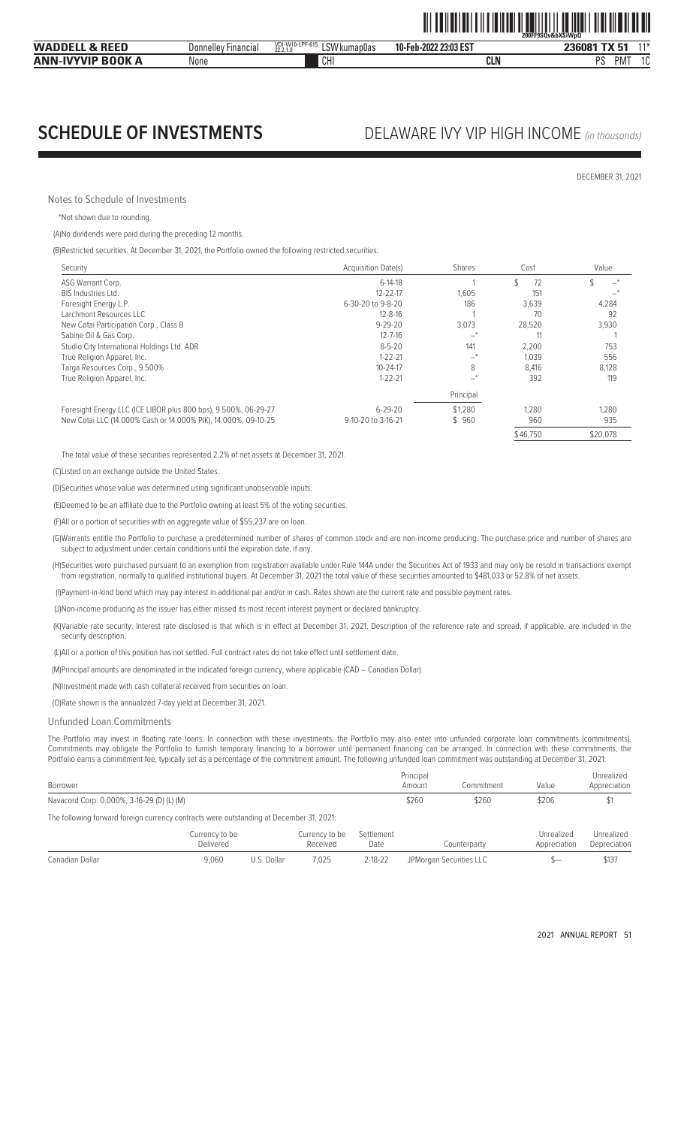DECEMBER 31, 2021

Notes to Schedule of Investments

\*Not shown due to rounding.

(A)No dividends were paid during the preceding 12 months.

(B)Restricted securities. At December 31, 2021, the Portfolio owned the following restricted securities:

| Security                                                        | <b>Acquisition Date(s)</b> | <b>Shares</b>                      | Cost      | Value    |
|-----------------------------------------------------------------|----------------------------|------------------------------------|-----------|----------|
| ASG Warrant Corp.                                               | $6-14-18$                  |                                    | 72<br>\$. | -        |
| <b>BIS Industries Ltd.</b>                                      | $12 - 22 - 17$             | 1,605                              | 151       |          |
| Foresight Energy L.P.                                           | 6-30-20 to 9-8-20          | 186                                | 3,639     | 4,284    |
| Larchmont Resources LLC                                         | $12 - 8 - 16$              |                                    | 70        | 92       |
| New Cotai Participation Corp., Class B                          | $9 - 29 - 20$              | 3.073                              | 28.520    | 3,930    |
| Sabine Oil & Gas Corp.                                          | $12 - 7 - 16$              | $\ast$<br>$\overline{\phantom{0}}$ | 11        |          |
| Studio City International Holdings Ltd. ADR                     | $8 - 5 - 20$               | 141                                | 2,200     | 753      |
| True Religion Apparel, Inc.                                     | $1 - 22 - 21$              | $-^\ast$                           | 1,039     | 556      |
| Targa Resources Corp., 9.500%                                   | $10-24-17$                 | 8                                  | 8,416     | 8,128    |
| True Religion Apparel, Inc.                                     | $1 - 22 - 21$              | $-^\ast$                           | 392       | 119      |
|                                                                 |                            | Principal                          |           |          |
| Foresight Energy LLC (ICE LIBOR plus 800 bps), 9.500%, 06-29-27 | $6 - 29 - 20$              | \$1.280                            | 1.280     | 1,280    |
| New Cotai LLC (14.000% Cash or 14.000% PIK), 14.000%, 09-10-25  | 9-10-20 to 3-16-21         | \$960                              | 960       | 935      |
|                                                                 |                            |                                    | \$46,750  | \$20,078 |

The total value of these securities represented 2.2% of net assets at December 31, 2021.

(C)Listed on an exchange outside the United States.

(D)Securities whose value was determined using significant unobservable inputs.

(E)Deemed to be an affiliate due to the Portfolio owning at least 5% of the voting securities.

(F)All or a portion of securities with an aggregate value of \$55,237 are on loan.

(G)Warrants entitle the Portfolio to purchase a predetermined number of shares of common stock and are non-income producing. The purchase price and number of shares are subject to adjustment under certain conditions until the expiration date, if any.

(H)Securities were purchased pursuant to an exemption from registration available under Rule 144A under the Securities Act of 1933 and may only be resold in transactions exempt from registration, normally to qualified institutional buyers. At December 31, 2021 the total value of these securities amounted to \$481,033 or 52.8% of net assets.

(I)Payment-in-kind bond which may pay interest in additional par and/or in cash. Rates shown are the current rate and possible payment rates.

(J)Non-income producing as the issuer has either missed its most recent interest payment or declared bankruptcy.

(K)Variable rate security. Interest rate disclosed is that which is in effect at December 31, 2021. Description of the reference rate and spread, if applicable, are included in the security description.

(L)All or a portion of this position has not settled. Full contract rates do not take effect until settlement date.

(M)Principal amounts are denominated in the indicated foreign currency, where applicable (CAD – Canadian Dollar).

(N)Investment made with cash collateral received from securities on loan.

(O)Rate shown is the annualized 7-day yield at December 31, 2021.

Unfunded Loan Commitments

The Portfolio may invest in floating rate loans. In connection with these investments, the Portfolio may also enter into unfunded corporate loan commitments (commitments). Commitments may obligate the Portfolio to furnish temporary financing to a borrower until permanent financing can be arranged. In connection with these commitments, the Portfolio earns a commitment fee, typically set as a percentage of the commitment amount. The following unfunded loan commitment was outstanding at December 31, 2021:

| Borrower                                                                                |                             |             |                            |                    | Principal<br>Amount | Commitment              | Value                      | Unrealized<br>Appreciation |
|-----------------------------------------------------------------------------------------|-----------------------------|-------------|----------------------------|--------------------|---------------------|-------------------------|----------------------------|----------------------------|
| Navacord Corp. 0.000%, 3-16-29 (D) (L) (M)                                              |                             |             |                            |                    | \$260               | \$260                   | \$206                      | \$1                        |
| The following forward foreign currency contracts were outstanding at December 31, 2021: |                             |             |                            |                    |                     |                         |                            |                            |
|                                                                                         | Currency to be<br>Delivered |             | Currency to be<br>Received | Settlement<br>Date |                     | Counterparty            | Unrealized<br>Appreciation | Unrealized<br>Depreciation |
| Canadian Dollar                                                                         | 9.060                       | U.S. Dollar | 7.025                      | $2 - 18 - 22$      |                     | JPMorgan Securities LLC | <b>`</b>                   | \$137                      |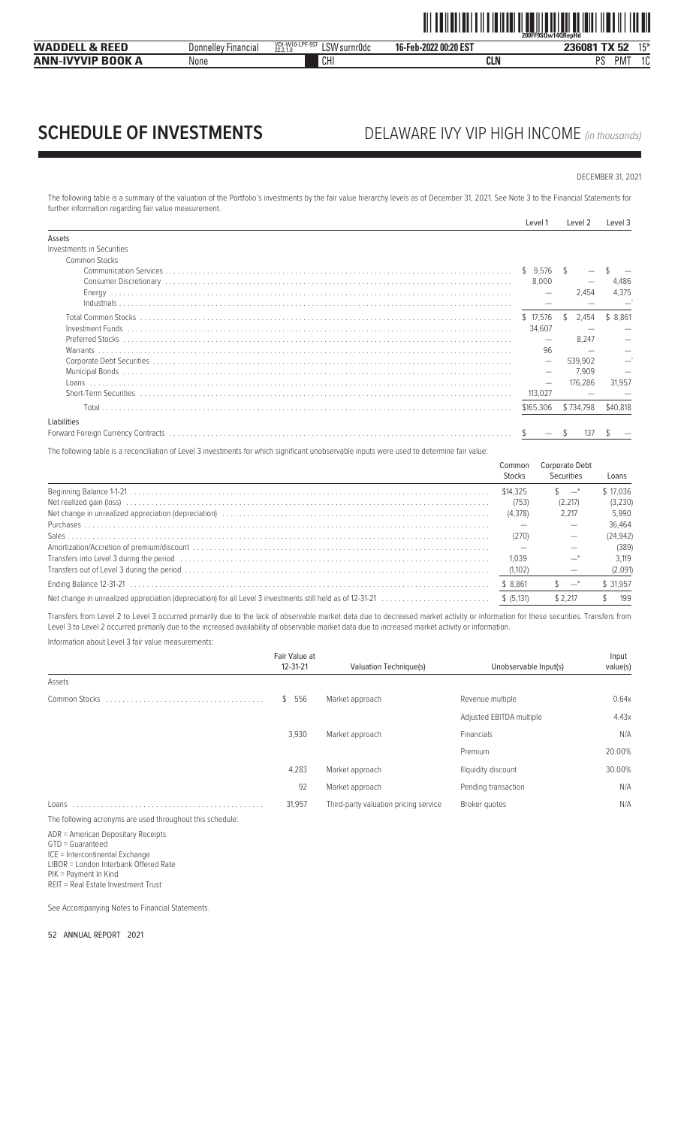DECEMBER 31, 2021

CHI **CLN** PS

The following table is a summary of the valuation of the Portfolio's investments by the fair value hierarchy levels as of December 31, 2021. See Note 3 to the Financial Statements for further information regarding fair value measurement.

|                           | Level 1   | Level 2   | Level 3  |
|---------------------------|-----------|-----------|----------|
| Assets                    |           |           |          |
| Investments in Securities |           |           |          |
| <b>Common Stocks</b>      |           |           |          |
|                           | \$9.576   |           |          |
|                           | 8.000     |           | 4.486    |
|                           |           | 2,454     | 4.375    |
|                           |           |           |          |
|                           | \$17.576  | 2.454     | \$8,861  |
|                           | 34.607    |           |          |
|                           |           | 8.247     |          |
|                           | 96        |           |          |
|                           |           | 539.902   |          |
|                           |           | 7.909     |          |
|                           |           | 176,286   | 31,957   |
|                           | 113,027   |           |          |
| Total                     | \$165,306 | \$734.798 | \$40,818 |
| Liabilities               |           |           |          |
|                           |           |           |          |

The following table is a reconciliation of Level 3 investments for which significant unobservable inputs were used to determine fair value:

|                                                                                                                                                                                                                                | Common<br>Stocks | <b>Corporate Debt</b><br>Securities | Loans     |
|--------------------------------------------------------------------------------------------------------------------------------------------------------------------------------------------------------------------------------|------------------|-------------------------------------|-----------|
|                                                                                                                                                                                                                                | \$14,325         | $\mathbb{S}$ $-$ *                  | \$17.036  |
|                                                                                                                                                                                                                                | (753)            | (2,217)                             | (3,230)   |
|                                                                                                                                                                                                                                | (4.378)          | 2.217                               | 5.990     |
|                                                                                                                                                                                                                                |                  |                                     | 36.464    |
|                                                                                                                                                                                                                                | (270)            |                                     | (24, 942) |
|                                                                                                                                                                                                                                |                  |                                     | (389)     |
| Transfers into Level 3 during the period (and the context of the context of the period) and the period (and the period) of the state of the period (and the period) and the period (and the period) and the period (and the pe | 1.039            |                                     | 3.119     |
|                                                                                                                                                                                                                                | (1,102)          |                                     | (2,091)   |
|                                                                                                                                                                                                                                | \$8.861          | $S^{-*}$                            | \$31,957  |
|                                                                                                                                                                                                                                | \$ (5,131)       | \$2.217                             | 199       |

Transfers from Level 2 to Level 3 occurred primarily due to the lack of observable market data due to decreased market activity or information for these securities. Transfers from Level 3 to Level 2 occurred primarily due to the increased availability of observable market data due to increased market activity or information.

Information about Level 3 fair value measurements:

|               | Fair Value at<br>12-31-21 | <b>Valuation Technique(s)</b>         | Unobservable Input(s)    | Input<br>value(s) |
|---------------|---------------------------|---------------------------------------|--------------------------|-------------------|
| Assets        |                           |                                       |                          |                   |
| Common Stocks | \$<br>556                 | Market approach                       | Revenue multiple         | 0.64x             |
|               |                           |                                       | Adjusted EBITDA multiple | 4.43x             |
|               | 3,930                     | Market approach                       | <b>Financials</b>        | N/A               |
|               |                           |                                       | Premium                  | 20.00%            |
|               | 4,283                     | Market approach                       | Illquidity discount      | 30.00%            |
|               | 92                        | Market approach                       | Pending transaction      | N/A               |
| Loans         | 31,957                    | Third-party valuation pricing service | Broker quotes            | N/A               |

The following acronyms are used throughout this schedule:

ADR = American Depositary Receipts

GTD = Guaranteed

ICE = Intercontinental Exchange LIBOR = London Interbank Offered Rate

PIK = Payment In Kind

REIT = Real Estate Investment Trust

See Accompanying Notes to Financial Statements.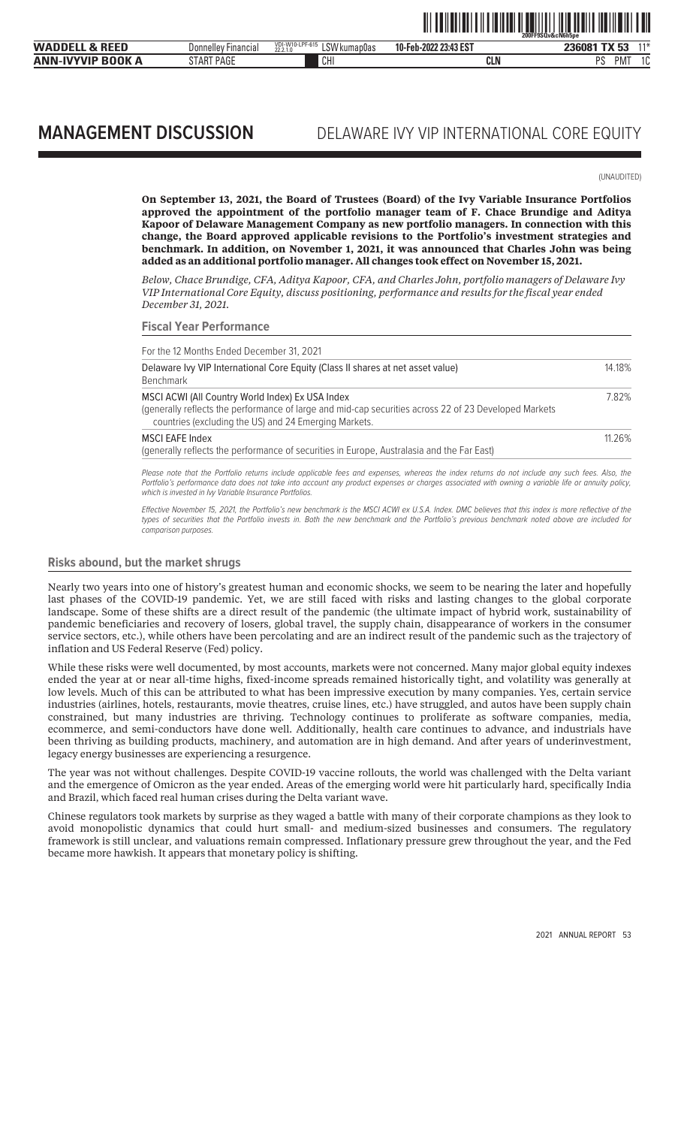|                                   |                            |                                                               |                       | <b><i>LUUL LUOUVOURURURUS</i></b> |                 |
|-----------------------------------|----------------------------|---------------------------------------------------------------|-----------------------|-----------------------------------|-----------------|
| <b>REED</b><br><b>WAF</b><br>- 63 | Donnelley F<br>' Financial | VDI-W10-LPF-615<br>LSW <sup>1</sup><br>V kumapUas<br>22.2.1.0 | 10-Feb-2022 23:43 EST | T1<br>236081<br>m                 | 11 <sup>2</sup> |
| IVVVIP RNNK A<br><b>ANN</b>       | <b>ART PAGE</b><br>ا ۱AR۱د | 011<br>Ն⊓ւ                                                    | <b>CLN</b>            | nc<br>$n \cdot$<br>۲M             | $\sim$<br>.     |
|                                   |                            |                                                               |                       |                                   |                 |

## **MANAGEMENT DISCUSSION** DELAWARE IVY VIP INTERNATIONAL CORE EQUITY

### (UNAUDITED)

**On September 13, 2021, the Board of Trustees (Board) of the Ivy Variable Insurance Portfolios approved the appointment of the portfolio manager team of F. Chace Brundige and Aditya Kapoor of Delaware Management Company as new portfolio managers. In connection with this change, the Board approved applicable revisions to the Portfolio's investment strategies and benchmark. In addition, on November 1, 2021, it was announced that Charles John was being added as an additional portfolio manager. All changes took effect on November 15, 2021.**

*Below, Chace Brundige, CFA, Aditya Kapoor, CFA, and Charles John, portfolio managers of Delaware Ivy VIP International Core Equity, discuss positioning, performance and results for the fiscal year ended December 31, 2021.*

**Fiscal Year Performance**

| Delaware Ivy VIP International Core Equity (Class II shares at net asset value)<br><b>Benchmark</b>                                                                                                                | 14 18%    |
|--------------------------------------------------------------------------------------------------------------------------------------------------------------------------------------------------------------------|-----------|
| MSCI ACWI (All Country World Index) Ex USA Index<br>(generally reflects the performance of large and mid-cap securities across 22 of 23 Developed Markets<br>countries (excluding the US) and 24 Emerging Markets. | 782%      |
| MSCI EAFE Index<br>(generally reflects the performance of securities in Europe, Australasia and the Far East)                                                                                                      | $11.26\%$ |

Please note that the Portfolio returns include applicable fees and expenses, whereas the index returns do not include any such fees. Also, the Portfolio's performance data does not take into account any product expenses or charges associated with owning a variable life or annuity policy, which is invested in Ivy Variable Insurance Portfolios.

Effective November 15, 2021, the Portfolio's new benchmark is the MSCI ACWI ex U.S.A. Index. DMC believes that this index is more reflective of the types of securities that the Portfolio invests in. Both the new benchmark and the Portfolio's previous benchmark noted above are included for comparison purposes.

### **Risks abound, but the market shrugs**

Nearly two years into one of history's greatest human and economic shocks, we seem to be nearing the later and hopefully last phases of the COVID-19 pandemic. Yet, we are still faced with risks and lasting changes to the global corporate landscape. Some of these shifts are a direct result of the pandemic (the ultimate impact of hybrid work, sustainability of pandemic beneficiaries and recovery of losers, global travel, the supply chain, disappearance of workers in the consumer service sectors, etc.), while others have been percolating and are an indirect result of the pandemic such as the trajectory of inflation and US Federal Reserve (Fed) policy.

While these risks were well documented, by most accounts, markets were not concerned. Many major global equity indexes ended the year at or near all-time highs, fixed-income spreads remained historically tight, and volatility was generally at low levels. Much of this can be attributed to what has been impressive execution by many companies. Yes, certain service industries (airlines, hotels, restaurants, movie theatres, cruise lines, etc.) have struggled, and autos have been supply chain constrained, but many industries are thriving. Technology continues to proliferate as software companies, media, ecommerce, and semi-conductors have done well. Additionally, health care continues to advance, and industrials have been thriving as building products, machinery, and automation are in high demand. And after years of underinvestment, legacy energy businesses are experiencing a resurgence.

The year was not without challenges. Despite COVID-19 vaccine rollouts, the world was challenged with the Delta variant and the emergence of Omicron as the year ended. Areas of the emerging world were hit particularly hard, specifically India and Brazil, which faced real human crises during the Delta variant wave.

Chinese regulators took markets by surprise as they waged a battle with many of their corporate champions as they look to avoid monopolistic dynamics that could hurt small- and medium-sized businesses and consumers. The regulatory framework is still unclear, and valuations remain compressed. Inflationary pressure grew throughout the year, and the Fed became more hawkish. It appears that monetary policy is shifting.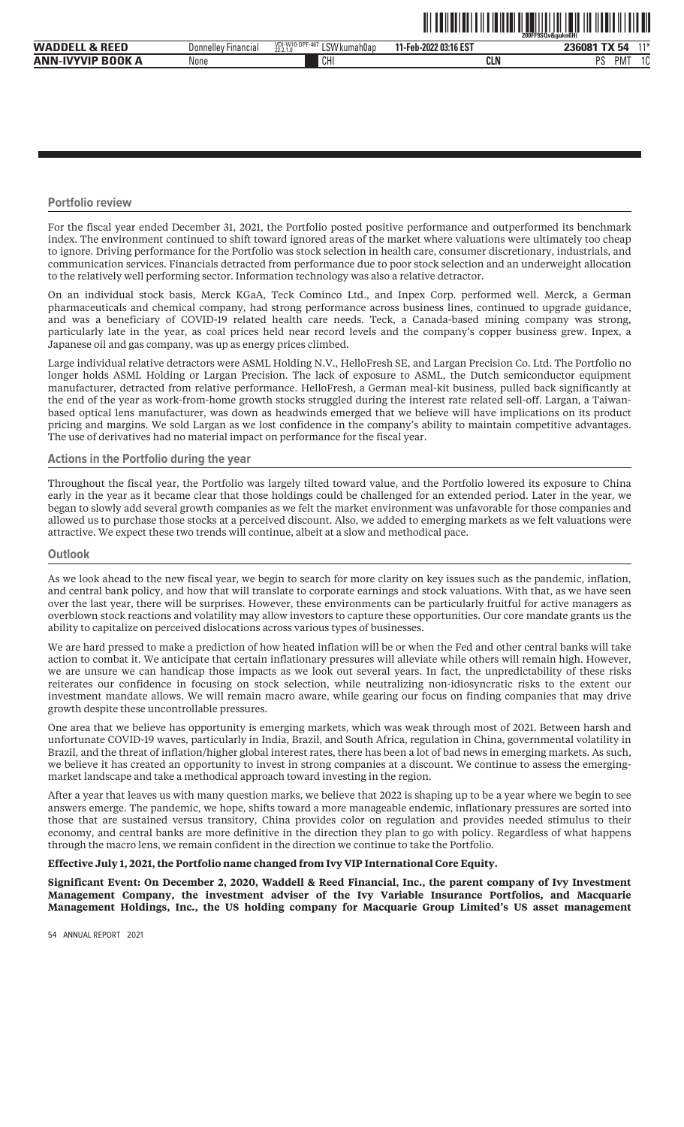|                                        |                            |                                                               |                             | 200FF9SQv&aukn6H(                            |             |
|----------------------------------------|----------------------------|---------------------------------------------------------------|-----------------------------|----------------------------------------------|-------------|
| <b>WADDEI</b><br><b>REED</b><br>ึ<br>w | <b>Donnelley Financial</b> | v UI-W10-DPF-4F7<br>$.$ CIAI'<br>Wkumah0ap<br>22.2.1.0<br>∟ ∪ | 11-Feb-2022 03:16 EST<br>44 | <b>TX 54</b>                                 | $11*$       |
| <b>LIVYVIP ROOK</b><br><b>ANN</b>      | None                       | CHI                                                           | <b>CLN</b>                  | <sub>D</sub> <sub>C</sub><br>PM <sup>-</sup> | $\sim$<br>u |

ˆ200FF9SQv&gukn6H(Š **200FF9SQv&gukn6H(**

## **Portfolio review**

For the fiscal year ended December 31, 2021, the Portfolio posted positive performance and outperformed its benchmark index. The environment continued to shift toward ignored areas of the market where valuations were ultimately too cheap to ignore. Driving performance for the Portfolio was stock selection in health care, consumer discretionary, industrials, and communication services. Financials detracted from performance due to poor stock selection and an underweight allocation to the relatively well performing sector. Information technology was also a relative detractor.

On an individual stock basis, Merck KGaA, Teck Cominco Ltd., and Inpex Corp. performed well. Merck, a German pharmaceuticals and chemical company, had strong performance across business lines, continued to upgrade guidance, and was a beneficiary of COVID-19 related health care needs. Teck, a Canada-based mining company was strong, particularly late in the year, as coal prices held near record levels and the company's copper business grew. Inpex, a Japanese oil and gas company, was up as energy prices climbed.

Large individual relative detractors were ASML Holding N.V., HelloFresh SE, and Largan Precision Co. Ltd. The Portfolio no longer holds ASML Holding or Largan Precision. The lack of exposure to ASML, the Dutch semiconductor equipment manufacturer, detracted from relative performance. HelloFresh, a German meal-kit business, pulled back significantly at the end of the year as work-from-home growth stocks struggled during the interest rate related sell-off. Largan, a Taiwanbased optical lens manufacturer, was down as headwinds emerged that we believe will have implications on its product pricing and margins. We sold Largan as we lost confidence in the company's ability to maintain competitive advantages. The use of derivatives had no material impact on performance for the fiscal year.

## **Actions in the Portfolio during the year**

Throughout the fiscal year, the Portfolio was largely tilted toward value, and the Portfolio lowered its exposure to China early in the year as it became clear that those holdings could be challenged for an extended period. Later in the year, we began to slowly add several growth companies as we felt the market environment was unfavorable for those companies and allowed us to purchase those stocks at a perceived discount. Also, we added to emerging markets as we felt valuations were attractive. We expect these two trends will continue, albeit at a slow and methodical pace.

### **Outlook**

As we look ahead to the new fiscal year, we begin to search for more clarity on key issues such as the pandemic, inflation, and central bank policy, and how that will translate to corporate earnings and stock valuations. With that, as we have seen over the last year, there will be surprises. However, these environments can be particularly fruitful for active managers as overblown stock reactions and volatility may allow investors to capture these opportunities. Our core mandate grants us the ability to capitalize on perceived dislocations across various types of businesses.

We are hard pressed to make a prediction of how heated inflation will be or when the Fed and other central banks will take action to combat it. We anticipate that certain inflationary pressures will alleviate while others will remain high. However, we are unsure we can handicap those impacts as we look out several years. In fact, the unpredictability of these risks reiterates our confidence in focusing on stock selection, while neutralizing non-idiosyncratic risks to the extent our investment mandate allows. We will remain macro aware, while gearing our focus on finding companies that may drive growth despite these uncontrollable pressures.

One area that we believe has opportunity is emerging markets, which was weak through most of 2021. Between harsh and unfortunate COVID-19 waves, particularly in India, Brazil, and South Africa, regulation in China, governmental volatility in Brazil, and the threat of inflation/higher global interest rates, there has been a lot of bad news in emerging markets. As such, we believe it has created an opportunity to invest in strong companies at a discount. We continue to assess the emergingmarket landscape and take a methodical approach toward investing in the region.

After a year that leaves us with many question marks, we believe that 2022 is shaping up to be a year where we begin to see answers emerge. The pandemic, we hope, shifts toward a more manageable endemic, inflationary pressures are sorted into those that are sustained versus transitory, China provides color on regulation and provides needed stimulus to their economy, and central banks are more definitive in the direction they plan to go with policy. Regardless of what happens through the macro lens, we remain confident in the direction we continue to take the Portfolio.

## **Effective July 1, 2021, the Portfolio name changed from Ivy VIP International Core Equity.**

**Significant Event: On December 2, 2020, Waddell & Reed Financial, Inc., the parent company of Ivy Investment Management Company, the investment adviser of the Ivy Variable Insurance Portfolios, and Macquarie Management Holdings, Inc., the US holding company for Macquarie Group Limited's US asset management**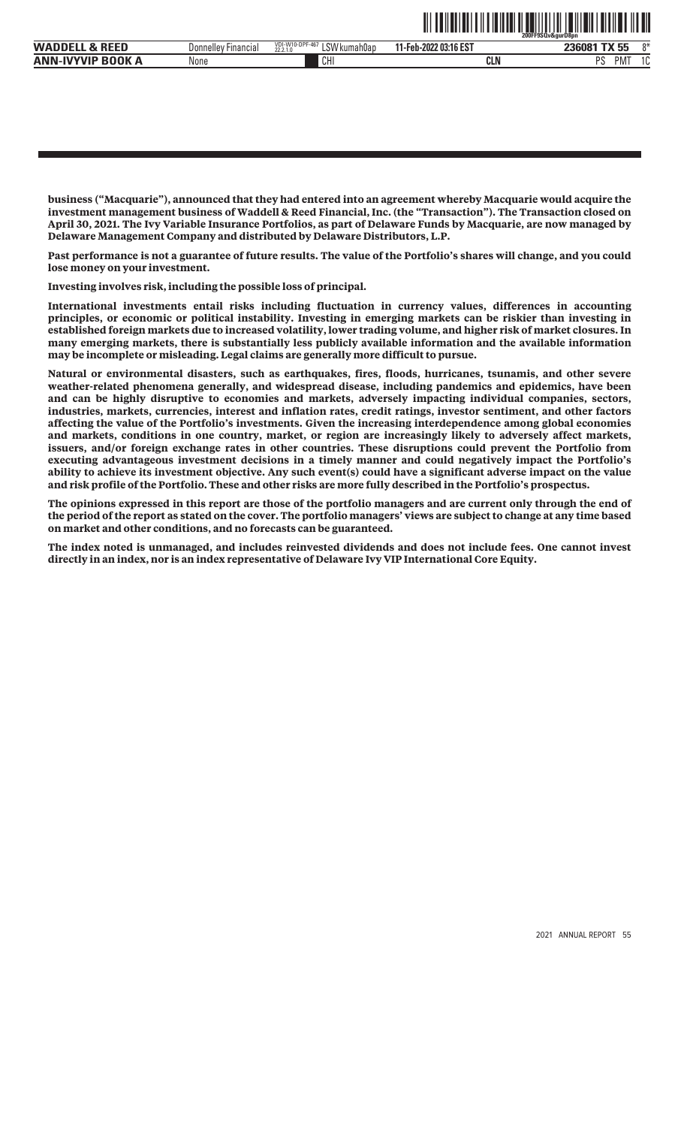|                               |                                      |                                                                  | ---------<br>------------ | 200FF9SQv&gurD8pn                        |                |
|-------------------------------|--------------------------------------|------------------------------------------------------------------|---------------------------|------------------------------------------|----------------|
| <b>REED</b><br><b>WA</b>      | <b>Financial</b><br><b>Jonnelley</b> | $0 - DPF - 467$<br>VDI-W<br>0111<br>/kumah0an<br>22.2.1.0<br>LU. | .1-Feb-2022 03:16 EST     | — <i>—</i><br>236081<br>m<br>– ט⊏<br>JJ. | 0 <sup>*</sup> |
| <b>ROOK</b><br><b>LIVVVIP</b> | None                                 | CHI                                                              | <b>CLN</b>                | <b>DC</b><br>PM <sup>-</sup>             | م م            |

ˆ200FF9SQv&gurD8pnŠ

**business ("Macquarie"), announced that they had entered into an agreement whereby Macquarie would acquire the investment management business of Waddell & Reed Financial, Inc. (the "Transaction"). The Transaction closed on April 30, 2021. The Ivy Variable Insurance Portfolios, as part of Delaware Funds by Macquarie, are now managed by Delaware Management Company and distributed by Delaware Distributors, L.P.**

**Past performance is not a guarantee of future results. The value of the Portfolio's shares will change, and you could lose money on your investment.**

**Investing involves risk, including the possible loss of principal.**

**International investments entail risks including fluctuation in currency values, differences in accounting principles, or economic or political instability. Investing in emerging markets can be riskier than investing in established foreign markets due to increased volatility, lower trading volume, and higher risk of market closures. In many emerging markets, there is substantially less publicly available information and the available information may be incomplete or misleading. Legal claims are generally more difficult to pursue.**

**Natural or environmental disasters, such as earthquakes, fires, floods, hurricanes, tsunamis, and other severe weather-related phenomena generally, and widespread disease, including pandemics and epidemics, have been and can be highly disruptive to economies and markets, adversely impacting individual companies, sectors, industries, markets, currencies, interest and inflation rates, credit ratings, investor sentiment, and other factors affecting the value of the Portfolio's investments. Given the increasing interdependence among global economies and markets, conditions in one country, market, or region are increasingly likely to adversely affect markets, issuers, and/or foreign exchange rates in other countries. These disruptions could prevent the Portfolio from executing advantageous investment decisions in a timely manner and could negatively impact the Portfolio's ability to achieve its investment objective. Any such event(s) could have a significant adverse impact on the value and risk profile of the Portfolio. These and other risks are more fully described in the Portfolio's prospectus.**

**The opinions expressed in this report are those of the portfolio managers and are current only through the end of the period of the report as stated on the cover. The portfolio managers' views are subject to change at any time based on market and other conditions, and no forecasts can be guaranteed.**

**The index noted is unmanaged, and includes reinvested dividends and does not include fees. One cannot invest directly in an index, nor is an index representative of Delaware Ivy VIP International Core Equity.**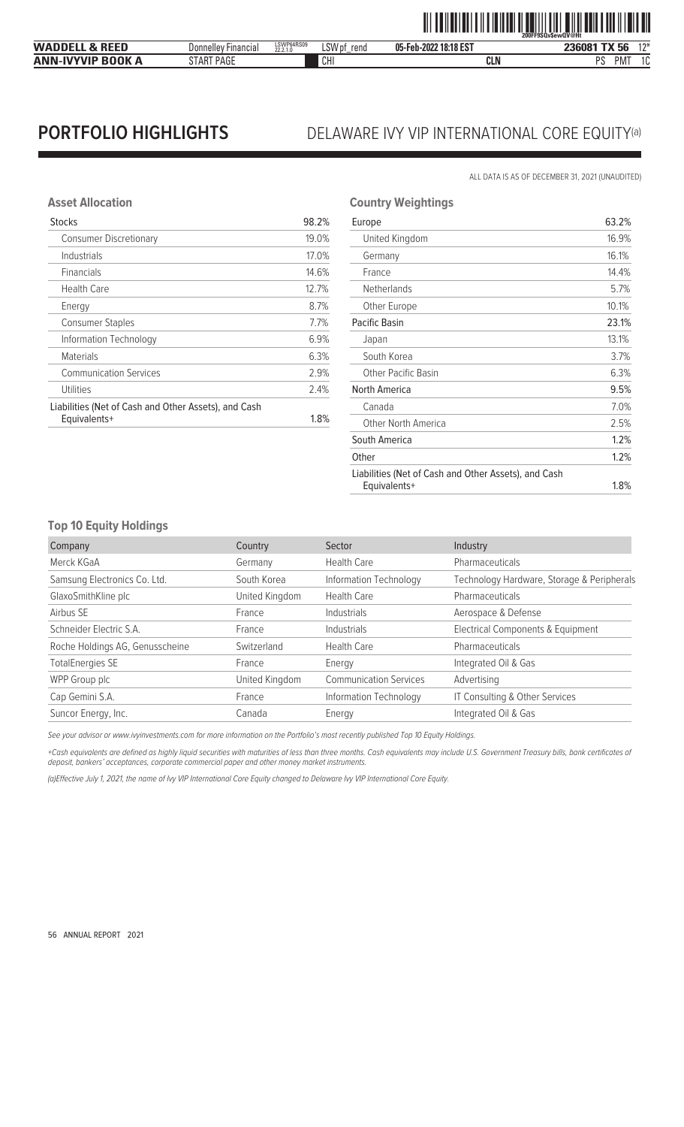|                           |                            |                        |                | III                   | $\  \ $<br><b>TIIII TIII</b><br>IIIII<br>200FF9SQvSewQV@Ht |
|---------------------------|----------------------------|------------------------|----------------|-----------------------|------------------------------------------------------------|
| <b>WADDELL &amp; REED</b> | <b>Donnelley Financial</b> | LSWP64RS09<br>22.2.1.0 | LSW pf<br>rend | 05-Feb-2022 18:18 EST | 236081 TX 56<br>$12*$                                      |
| <b>ANN-IVYVIP BOOK A</b>  | <b>START PAGE</b>          |                        | CHI            | CLN                   | <b>PMT</b><br>1 <sup>0</sup><br>PS<br>ΙU                   |
|                           |                            |                        |                |                       |                                                            |

# **PORTFOLIO HIGHLIGHTS** DELAWARE IVY VIP INTERNATIONAL CORE EQUITY<sup>(a)</sup>

## **Asset Allocation**

| <b>Stocks</b>                                                        | 98.2% |
|----------------------------------------------------------------------|-------|
| <b>Consumer Discretionary</b>                                        | 19.0% |
| Industrials                                                          | 17.0% |
| <b>Financials</b>                                                    | 14.6% |
| Health Care                                                          | 12.7% |
| Energy                                                               | 8.7%  |
| <b>Consumer Staples</b>                                              | 77%   |
| Information Technology                                               | 6.9%  |
| <b>Materials</b>                                                     | 6.3%  |
| <b>Communication Services</b>                                        | 2.9%  |
| Utilities                                                            | 2.4%  |
| Liabilities (Net of Cash and Other Assets), and Cash<br>Equivalents+ | 1.8%  |
|                                                                      |       |

ALL DATA IS AS OF DECEMBER 31, 2021 (UNAUDITED)

## **Country Weightings**

| Europe                                               | 63.2% |
|------------------------------------------------------|-------|
| United Kingdom                                       | 16.9% |
| Germany                                              | 16.1% |
| France                                               | 14.4% |
| <b>Netherlands</b>                                   | 5.7%  |
| Other Europe                                         | 10.1% |
| Pacific Basin                                        | 23.1% |
| Japan                                                | 13.1% |
| South Korea                                          | 3.7%  |
| Other Pacific Basin                                  | 6.3%  |
| North America                                        | 9.5%  |
| Canada                                               | 7.0%  |
| Other North America                                  | 2.5%  |
| South America                                        | 1.2%  |
| Other                                                | 1.2%  |
| Liabilities (Net of Cash and Other Assets), and Cash |       |
| Equivalents+                                         | 1.8%  |

## **Top 10 Equity Holdings**

| Company                         | Country        | Sector                        | Industry                                   |
|---------------------------------|----------------|-------------------------------|--------------------------------------------|
| Merck KGaA                      | Germany        | Health Care                   | <b>Pharmaceuticals</b>                     |
| Samsung Electronics Co. Ltd.    | South Korea    | Information Technology        | Technology Hardware, Storage & Peripherals |
| GlaxoSmithKline plc             | United Kingdom | Health Care                   | <b>Pharmaceuticals</b>                     |
| Airbus SE                       | France         | <b>Industrials</b>            | Aerospace & Defense                        |
| Schneider Electric S.A.         | <b>France</b>  | <b>Industrials</b>            | Electrical Components & Equipment          |
| Roche Holdings AG, Genusscheine | Switzerland    | <b>Health Care</b>            | <b>Pharmaceuticals</b>                     |
| TotalEnergies SE                | France         | Energy                        | Integrated Oil & Gas                       |
| WPP Group plc                   | United Kingdom | <b>Communication Services</b> | Advertising                                |
| Cap Gemini S.A.                 | France         | Information Technology        | IT Consulting & Other Services             |
| Suncor Energy, Inc.             | Canada         | Energy                        | Integrated Oil & Gas                       |

See your advisor or www.ivyinvestments.com for more information on the Portfolio's most recently published Top 10 Equity Holdings.

+Cash equivalents are defined as highly liquid securities with maturities of less than three months. Cash equivalents may include U.S. Government Treasury bills, bank certificates of deposit, bankers' acceptances, corporate commercial paper and other money market instruments.

(a)Effective July 1, 2021, the name of Ivy VIP International Core Equity changed to Delaware Ivy VIP International Core Equity.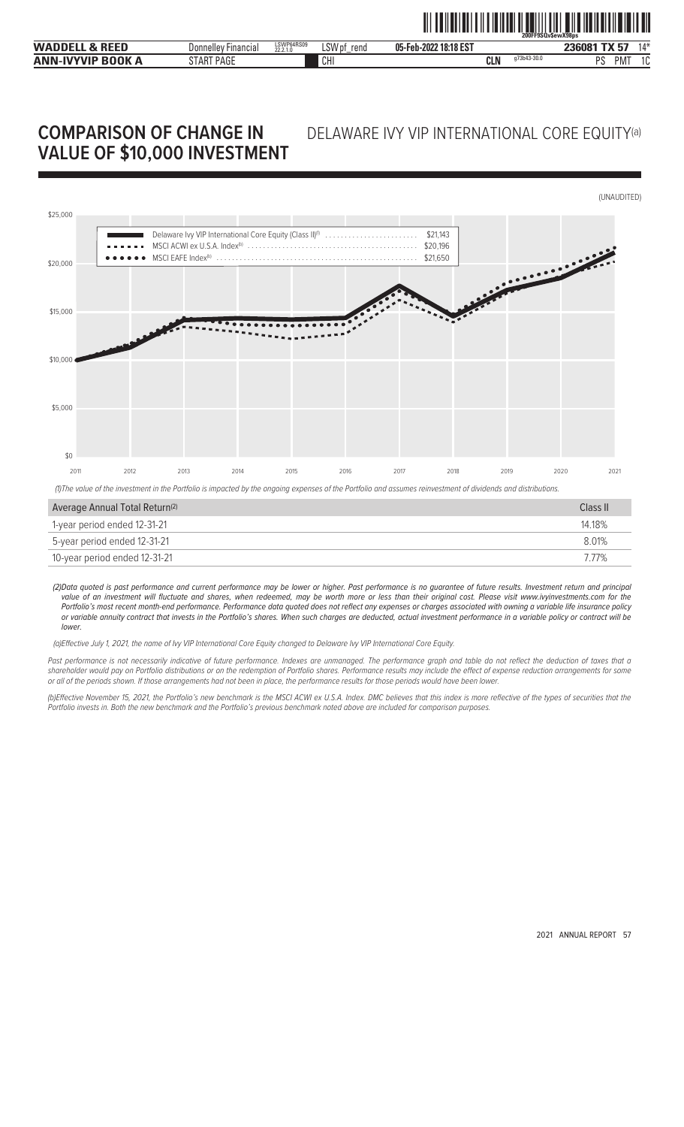|                           |                     |                        |                 |                       |            | 'III.<br>200FF9SQvSewX98ps | I <b>din na mata</b> |    |                 |       |
|---------------------------|---------------------|------------------------|-----------------|-----------------------|------------|----------------------------|----------------------|----|-----------------|-------|
| <b>WADDELL &amp; REED</b> | Donnelley Financial | LSWP64RS09<br>22.2.1.0 | LSW pf<br>rend  | 05-Feb-2022 18:18 EST |            |                            | 236081 TX 57         |    |                 | $14*$ |
| <b>ANN-IVYVIP BOOK A</b>  | <b>START PAGE</b>   |                        | CH <sub>i</sub> |                       | <b>CLN</b> | q73b43-30.0                |                      | DС | PM <sup>-</sup> | 10    |

**COMPARISON OF CHANGE IN VALUE OF \$10,000 INVESTMENT**

# DELAWARE IVY VIP INTERNATIONAL CORE EQUITY<sup>(a)</sup>



| Average Annual Total Return <sup>(2)</sup> | Class II |
|--------------------------------------------|----------|
| 1-year period ended 12-31-21               | 14.18%   |
| 5-year period ended 12-31-21               | 8 01%    |
| 10-year period ended 12-31-21              | 777%     |
|                                            |          |

(2)Data quoted is past performance and current performance may be lower or higher. Past performance is no guarantee of future results. Investment return and principal value of an investment will fluctuate and shares, when redeemed, may be worth more or less than their original cost. Please visit www.ivyinvestments.com for the Portfolio's most recent month-end performance. Performance data quoted does not reflect any expenses or charges associated with owning a variable life insurance policy or variable annuity contract that invests in the Portfolio's shares. When such charges are deducted, actual investment performance in a variable policy or contract will be lower.

(a)Effective July 1, 2021, the name of Ivy VIP International Core Equity changed to Delaware Ivy VIP International Core Equity.

Past performance is not necessarily indicative of future performance. Indexes are unmanaged. The performance graph and table do not reflect the deduction of taxes that a shareholder would pay on Portfolio distributions or on the redemption of Portfolio shares. Performance results may include the effect of expense reduction arrangements for some or all of the periods shown. If those arrangements had not been in place, the performance results for those periods would have been lower.

(b)Effective November 15, 2021, the Portfolio's new benchmark is the MSCI ACWI ex U.S.A. Index. DMC believes that this index is more reflective of the types of securities that the Portfolio invests in. Both the new benchmark and the Portfolio's previous benchmark noted above are included for comparison purposes.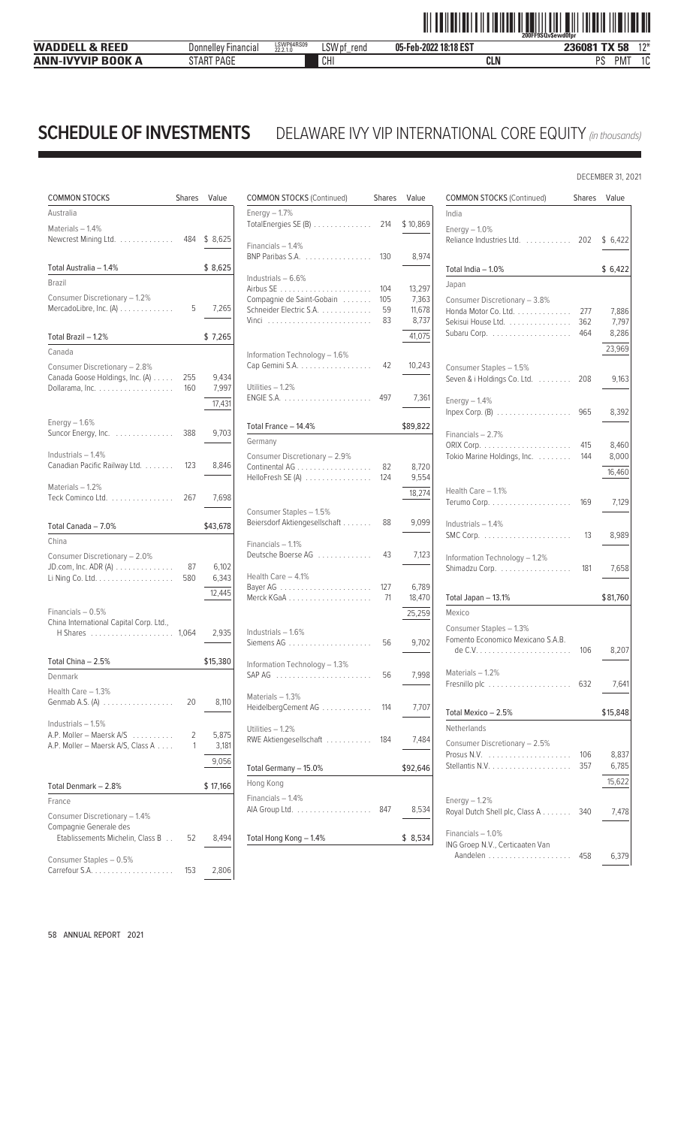|                           |                            |                        |                | <b>TILLIUMIN AL</b>   | III<br>W<br>$\parallel$<br>I<br>200FF9SQvSewd0fpr |
|---------------------------|----------------------------|------------------------|----------------|-----------------------|---------------------------------------------------|
| <b>WADDELL &amp; REED</b> | <b>Donnelley Financial</b> | LSWP64RS09<br>22.2.1.0 | LSW pf<br>rend | 05-Feb-2022 18:18 EST | 236081 TX 58<br>$12*$                             |
| <b>ANN-IVYVIP BOOK A</b>  | <b>START PAGE</b>          |                        | CH             | CLN                   | <b>PMT</b><br>10<br>PS                            |
|                           |                            |                        |                |                       |                                                   |

# **SCHEDULE OF INVESTMENTS** DELAWARE IVY VIP INTERNATIONAL CORE EQUITY (in thousands)

| <b>COMMON STOCKS</b>                                                                        | Shares     | Value          |
|---------------------------------------------------------------------------------------------|------------|----------------|
| Australia                                                                                   |            |                |
| Materials - 1.4%<br>Newcrest Mining Ltd.                                                    | 484        | \$ 8,625       |
| Total Australia — 1.4%                                                                      |            | \$ 8,625       |
| <b>Brazil</b>                                                                               |            |                |
| Consumer Discretionary - 1.2%<br>MercadoLibre, Inc. $(A)$                                   | 5          | 7,265          |
| Total Brazil - 1.2%                                                                         |            | \$7,265        |
| Canada                                                                                      |            |                |
| Consumer Discretionary - 2.8%<br>Canada Goose Holdings, Inc. (A)<br>Dollarama, Inc.         | 255<br>160 | 9,434<br>7,997 |
|                                                                                             |            | 17.431         |
| Energy $-1.6%$<br>Suncor Energy, Inc.                                                       | 388        | 9,703          |
| Industrials - 1.4%<br>Canadian Pacific Railway Ltd.                                         | 123        | 8.846          |
| Materials - 1.2%<br>Teck Cominco Ltd.                                                       | 267        | 7,698          |
| Total Canada - 7.0%                                                                         |            | \$43,678       |
| China                                                                                       |            |                |
| Consumer Discretionary - 2.0%<br>JD.com, Inc. ADR $(A)$<br>Li Ning Co. Ltd.                 | 87<br>580  | 6,102<br>6,343 |
|                                                                                             |            | 12,445         |
| Financials - 0.5%<br>China International Capital Corp. Ltd.,<br>H Shares<br><b>Carlos</b>   | 1,064      | 2,935          |
| Total China - 2.5%                                                                          |            | \$15,380       |
| Denmark                                                                                     |            |                |
| Health Care - 1.3%<br>Genmab A.S. $(A)$                                                     | 20         | 8,110          |
| Industrials $-1.5%$<br>A.P. Moller - Maersk A/S<br>A.P. Moller - Maersk A/S, Class A        | 2<br>1     | 5,875<br>3,181 |
|                                                                                             |            | 9,056          |
| Total Denmark - 2.8%                                                                        |            | \$17,166       |
| France                                                                                      |            |                |
| Consumer Discretionary - 1.4%<br>Compagnie Generale des<br>Etablissements Michelin, Class B | 52         | 8,494          |
| Consumer Staples - 0.5%<br>Carrefour S.A.                                                   | 153        | 2,806          |

| <b>COMMON STOCKS (Continued)</b>           | <b>Shares</b> | Value       |
|--------------------------------------------|---------------|-------------|
| Energy $-1.7%$<br>TotalEnergies SE (B)     | 214           | \$10,869    |
| Financials - 1.4%<br>BNP Paribas S.A.<br>. | 130           | 8,974       |
| Industrials - 6.6%                         |               |             |
|                                            | 104           | 13,297      |
| Compagnie de Saint-Gobain                  | 105           | 7,363       |
| Schneider Electric S.A.                    | 59            | 11,678      |
| Vinci                                      | 83            | 8,737       |
|                                            |               | 41,075      |
| Information Technology - 1.6%              |               |             |
| Cap Gemini S.A.                            | 42            | 10,243      |
| Utilities - 1.2%                           |               |             |
| $ENGIE S.A.$<br>.                          | 497           | 7,361       |
| Total France - 14.4%                       |               | \$89,822    |
|                                            |               |             |
| Germany<br>Consumer Discretionary - 2.9%   |               |             |
| Continental AG                             | 82            | 8,720       |
| HelloFresh SE (A)                          | 124           | 9,554       |
|                                            |               |             |
|                                            |               | 18,274      |
| Consumer Staples - 1.5%                    |               |             |
| Beiersdorf Aktiengesellschaft              | 88            | 9,099       |
| Financials - 1.1%                          |               |             |
| Deutsche Boerse AG                         | 43            | 7,123       |
| Health Care - 4.1%                         |               |             |
|                                            | 127           | 6,789       |
|                                            | 71            | 18,470      |
|                                            |               | 25,259      |
| Industrials - 1.6%                         |               |             |
| Siemens AG                                 | 56            | 9,702       |
| Information Technology - 1.3%              |               |             |
| SAP AG<br>.                                | 56            | 7,998       |
| Materials - 1.3%                           |               |             |
| HeidelbergCement AG                        | 114           | 7,707       |
| Utilities $-1.2%$                          |               |             |
| RWE Aktiengesellschaft                     | 184           | 7,484       |
|                                            |               |             |
| Total Germany - 15.0%                      |               | \$92,646    |
| Hong Kong                                  |               |             |
| Financials - 1.4%                          |               |             |
| AIA Group Ltd.<br>$\mathbb{R}^2$           | 847           | 8,534       |
| Total Hong Kong - 1.4%                     |               | \$<br>8,534 |

| <b>COMMON STOCKS (Continued)</b>                                            | <b>Shares</b>     | Value                             |
|-----------------------------------------------------------------------------|-------------------|-----------------------------------|
| India                                                                       |                   |                                   |
| Energy $-1.0%$<br>Reliance Industries Ltd.                                  | 202               | \$6,422                           |
| Total India - 1.0%                                                          |                   | \$6,422                           |
| Japan                                                                       |                   |                                   |
| Consumer Discretionary - 3.8%<br>Honda Motor Co. Ltd.<br>Sekisui House Ltd. | 277<br>362<br>464 | 7,886<br>7,797<br>8,286<br>23,969 |
| Consumer Staples - 1.5%<br>Seven & i Holdings Co. Ltd.                      | 208               | 9,163                             |
| Energy $-1.4%$<br>Inpex Corp. $(B)$                                         | 965               | 8,392                             |
| Financials - 2.7%<br>Tokio Marine Holdings, Inc.                            | 415<br>144        | 8,460<br>8,000<br>16,460          |
| Health Care - 1.1%<br>Terumo Corp.                                          | 169               | 7,129                             |
| Industrials - 1.4%                                                          | 13                | 8,989                             |
| Information Technology - 1.2%<br>Shimadzu Corp.                             | 181               | 7,658                             |
| Total Japan - 13.1%                                                         |                   | \$81,760                          |
| Mexico                                                                      |                   |                                   |
| Consumer Staples - 1.3%<br>Fomento Economico Mexicano S.A.B.                | 106               | 8,207                             |
| Materials - 1.2%                                                            | 632               | 7,641                             |
| Total Mexico - 2.5%                                                         |                   | \$15,848                          |
| Netherlands                                                                 |                   |                                   |
| Consumer Discretionary - 2.5%                                               | 106<br>357        | 8,837<br>6,785<br>15,622          |
| Energy $-1.2%$<br>Royal Dutch Shell plc, Class A                            | 340               | 7,478                             |
| Financials - 1.0%<br>ING Groep N.V., Certicaaten Van<br>Aandelen            | 458               | 6,379                             |

DECEMBER 31, 2021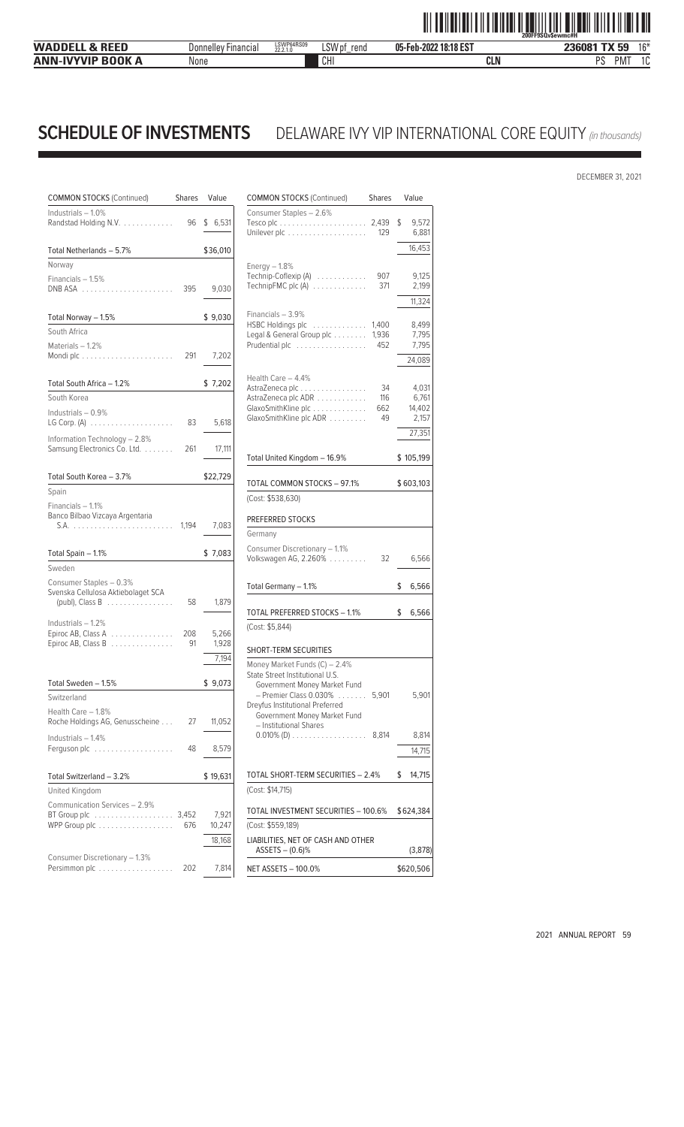|                                            |                            |                        |                             |                           | 200FF9SQvSewmc#H      |             |
|--------------------------------------------|----------------------------|------------------------|-----------------------------|---------------------------|-----------------------|-------------|
| <b>REED</b><br>WADDELL<br>ึ                | <b>Donnelley Financial</b> | LSWP64RS09<br>22.2.1.0 | <b>LSW</b><br>rend<br>∡ DT. | 218:18 EST<br>05-Feb-2022 | 59<br>$-1$<br>236081  | $16*$       |
| YVIP BOOK A<br><b>ANN</b><br>$\mathbf{IV}$ | None                       |                        | PIII<br>uпı                 | <b>CLN</b>                | DC<br>PM <sup>-</sup> | $\sim$<br>u |
|                                            |                            |                        |                             |                           |                       |             |

## **SCHEDULE OF INVESTMENTS** DELAWARE IVY VIP INTERNATIONAL CORE EQUITY (in thousands)

ˆ200FF9SQv\$ewmc#H‹Š **200FF9SQv\$ewmc#H**

COMMON STOCKS (Continued) Shares Value Industrials – 1.0% Randstad Holding N.V. . . . . . . . . . . . 96 \$ 6,531 Total Netherlands  $-5.7\%$   $$36,010$ Norway Financials – 1.5% DNB ASA . . . . . . . . . . . . . . . . . . . . . . 395 9,030 Total Norway – 1.5% \$ 9,030 South Africa Materials – 1.2% Mondi plc . . . . . . . . . . . . . . . . . . . . . . 291 7,202 Total South Africa – 1.2% \$7,202 South Korea Industrials – 0.9% LG Corp. (A) . . . . . . . . . . . . . . . . . . . . 83 5,618 Information Technology – 2.8% Samsung Electronics Co. Ltd. . . . . . . . 261 17,111 Total South Korea - 3.7% \$22,729 Spain Financials – 1.1% Banco Bilbao Vizcaya Argentaria S.A. ........................ 1,194 7,083 Total Spain – 1.1% \$ 7,083 Sweden Consumer Staples – 0.3% Svenska Cellulosa Aktiebolaget SCA (publ), Class B ................ 58 1,879 Industrials – 1.2% Epiroc AB, Class A . . . . . . . . . . . . . . . 208 5,266 Epiroc AB, Class B . . . . . . . . . . . . . . 91 1,928 7,194 Total Sweden – 1.5% \$ 9,073 Switzerland Health Care – 1.8% Roche Holdings AG, Genusscheine . . . 27 11,052 Industrials – 1.4% Ferguson plc . . . . . . . . . . . . . . . . . . 48 8,579 Total Switzerland  $-3.2\%$  \$ 19,631 United Kingdom Communication Services – 2.9% BT Group plc . . . . . . . . . . . . . . . . . 3,452 7,921 WPP Group plc . . . . . . . . . . . . . . . . . 676 10,247 18,168 Consumer Discretionary – 1.3% Persimmon plc . . . . . . . . . . . . . . . . . 202 7,814

| Consumer Staples - 2.6%<br>\$<br>9,572<br>Tesco plc $\dots \dots \dots \dots \dots \dots \dots \dots$<br>2,439<br>129<br>6,881<br>16,453<br>Energy $-1.8%$<br>Technip-Coflexip $(A)$<br>907<br>9,125<br>TechnipFMC plc (A)<br>2,199<br>371<br>.<br>11,324<br>Financials - 3.9%<br><b>HSBC Holdings plc</b><br>1,400<br>8,499<br>.<br>Legal & General Group plc<br>1,936<br>7,795<br>Prudential plc<br>452<br>7,795<br>24,089<br>Health Care - 4.4%<br>34<br>4,031<br>AstraZeneca plc<br>AstraZeneca plc ADR<br>116<br>6,761<br>GlaxoSmithKline plc<br>14,402<br>662<br>GlaxoSmithKline plc ADR<br>49<br>2,157<br>27,351<br>Total United Kingdom - 16.9%<br>\$105,199<br>TOTAL COMMON STOCKS - 97.1%<br>\$603,103<br>(Cost: \$538,630)<br>PREFERRED STOCKS<br>Germany<br>Consumer Discretionary - 1.1%<br>Volkswagen AG, 2.260%<br>32<br>6,566<br>\$<br>Total Germany - 1.1%<br>6,566<br>TOTAL PREFERRED STOCKS - 1.1%<br>\$<br>6,566<br>(Cost: \$5,844)<br>SHORT-TERM SECURITIES<br>Money Market Funds (C) - 2.4%<br>State Street Institutional U.S.<br>Government Money Market Fund<br>Premier Class 0.030%<br>5,901<br>5,901<br>Dreyfus Institutional Preferred<br>Government Money Market Fund<br>- Institutional Shares<br>$0.010\%$ (D) $\ldots \ldots \ldots \ldots \ldots$<br>8,814<br>8,814<br>14,715<br>\$<br>TOTAL SHORT-TERM SECURITIES - 2.4%<br>14,715<br>(Cost: \$14,715)<br>\$624,384<br>TOTAL INVESTMENT SECURITIES - 100.6%<br>(Cost: \$559,189)<br>LIABILITIES, NET OF CASH AND OTHER<br>$ASSETS - (0.6)\%$<br>(3,878) | <b>COMMON STOCKS (Continued)</b> | <b>Shares</b> | Value     |
|------------------------------------------------------------------------------------------------------------------------------------------------------------------------------------------------------------------------------------------------------------------------------------------------------------------------------------------------------------------------------------------------------------------------------------------------------------------------------------------------------------------------------------------------------------------------------------------------------------------------------------------------------------------------------------------------------------------------------------------------------------------------------------------------------------------------------------------------------------------------------------------------------------------------------------------------------------------------------------------------------------------------------------------------------------------------------------------------------------------------------------------------------------------------------------------------------------------------------------------------------------------------------------------------------------------------------------------------------------------------------------------------------------------------------------------------------------------------------------------------------------------------------------------|----------------------------------|---------------|-----------|
|                                                                                                                                                                                                                                                                                                                                                                                                                                                                                                                                                                                                                                                                                                                                                                                                                                                                                                                                                                                                                                                                                                                                                                                                                                                                                                                                                                                                                                                                                                                                          |                                  |               |           |
|                                                                                                                                                                                                                                                                                                                                                                                                                                                                                                                                                                                                                                                                                                                                                                                                                                                                                                                                                                                                                                                                                                                                                                                                                                                                                                                                                                                                                                                                                                                                          |                                  |               |           |
|                                                                                                                                                                                                                                                                                                                                                                                                                                                                                                                                                                                                                                                                                                                                                                                                                                                                                                                                                                                                                                                                                                                                                                                                                                                                                                                                                                                                                                                                                                                                          |                                  |               |           |
|                                                                                                                                                                                                                                                                                                                                                                                                                                                                                                                                                                                                                                                                                                                                                                                                                                                                                                                                                                                                                                                                                                                                                                                                                                                                                                                                                                                                                                                                                                                                          |                                  |               |           |
|                                                                                                                                                                                                                                                                                                                                                                                                                                                                                                                                                                                                                                                                                                                                                                                                                                                                                                                                                                                                                                                                                                                                                                                                                                                                                                                                                                                                                                                                                                                                          |                                  |               |           |
|                                                                                                                                                                                                                                                                                                                                                                                                                                                                                                                                                                                                                                                                                                                                                                                                                                                                                                                                                                                                                                                                                                                                                                                                                                                                                                                                                                                                                                                                                                                                          |                                  |               |           |
|                                                                                                                                                                                                                                                                                                                                                                                                                                                                                                                                                                                                                                                                                                                                                                                                                                                                                                                                                                                                                                                                                                                                                                                                                                                                                                                                                                                                                                                                                                                                          |                                  |               |           |
|                                                                                                                                                                                                                                                                                                                                                                                                                                                                                                                                                                                                                                                                                                                                                                                                                                                                                                                                                                                                                                                                                                                                                                                                                                                                                                                                                                                                                                                                                                                                          |                                  |               |           |
|                                                                                                                                                                                                                                                                                                                                                                                                                                                                                                                                                                                                                                                                                                                                                                                                                                                                                                                                                                                                                                                                                                                                                                                                                                                                                                                                                                                                                                                                                                                                          |                                  |               |           |
|                                                                                                                                                                                                                                                                                                                                                                                                                                                                                                                                                                                                                                                                                                                                                                                                                                                                                                                                                                                                                                                                                                                                                                                                                                                                                                                                                                                                                                                                                                                                          |                                  |               |           |
|                                                                                                                                                                                                                                                                                                                                                                                                                                                                                                                                                                                                                                                                                                                                                                                                                                                                                                                                                                                                                                                                                                                                                                                                                                                                                                                                                                                                                                                                                                                                          |                                  |               |           |
|                                                                                                                                                                                                                                                                                                                                                                                                                                                                                                                                                                                                                                                                                                                                                                                                                                                                                                                                                                                                                                                                                                                                                                                                                                                                                                                                                                                                                                                                                                                                          |                                  |               |           |
|                                                                                                                                                                                                                                                                                                                                                                                                                                                                                                                                                                                                                                                                                                                                                                                                                                                                                                                                                                                                                                                                                                                                                                                                                                                                                                                                                                                                                                                                                                                                          |                                  |               |           |
|                                                                                                                                                                                                                                                                                                                                                                                                                                                                                                                                                                                                                                                                                                                                                                                                                                                                                                                                                                                                                                                                                                                                                                                                                                                                                                                                                                                                                                                                                                                                          |                                  |               |           |
|                                                                                                                                                                                                                                                                                                                                                                                                                                                                                                                                                                                                                                                                                                                                                                                                                                                                                                                                                                                                                                                                                                                                                                                                                                                                                                                                                                                                                                                                                                                                          |                                  |               |           |
|                                                                                                                                                                                                                                                                                                                                                                                                                                                                                                                                                                                                                                                                                                                                                                                                                                                                                                                                                                                                                                                                                                                                                                                                                                                                                                                                                                                                                                                                                                                                          |                                  |               |           |
|                                                                                                                                                                                                                                                                                                                                                                                                                                                                                                                                                                                                                                                                                                                                                                                                                                                                                                                                                                                                                                                                                                                                                                                                                                                                                                                                                                                                                                                                                                                                          |                                  |               |           |
|                                                                                                                                                                                                                                                                                                                                                                                                                                                                                                                                                                                                                                                                                                                                                                                                                                                                                                                                                                                                                                                                                                                                                                                                                                                                                                                                                                                                                                                                                                                                          |                                  |               |           |
|                                                                                                                                                                                                                                                                                                                                                                                                                                                                                                                                                                                                                                                                                                                                                                                                                                                                                                                                                                                                                                                                                                                                                                                                                                                                                                                                                                                                                                                                                                                                          |                                  |               |           |
|                                                                                                                                                                                                                                                                                                                                                                                                                                                                                                                                                                                                                                                                                                                                                                                                                                                                                                                                                                                                                                                                                                                                                                                                                                                                                                                                                                                                                                                                                                                                          |                                  |               |           |
|                                                                                                                                                                                                                                                                                                                                                                                                                                                                                                                                                                                                                                                                                                                                                                                                                                                                                                                                                                                                                                                                                                                                                                                                                                                                                                                                                                                                                                                                                                                                          | <b>NET ASSETS - 100.0%</b>       |               | \$620,506 |

DECEMBER 31, 2021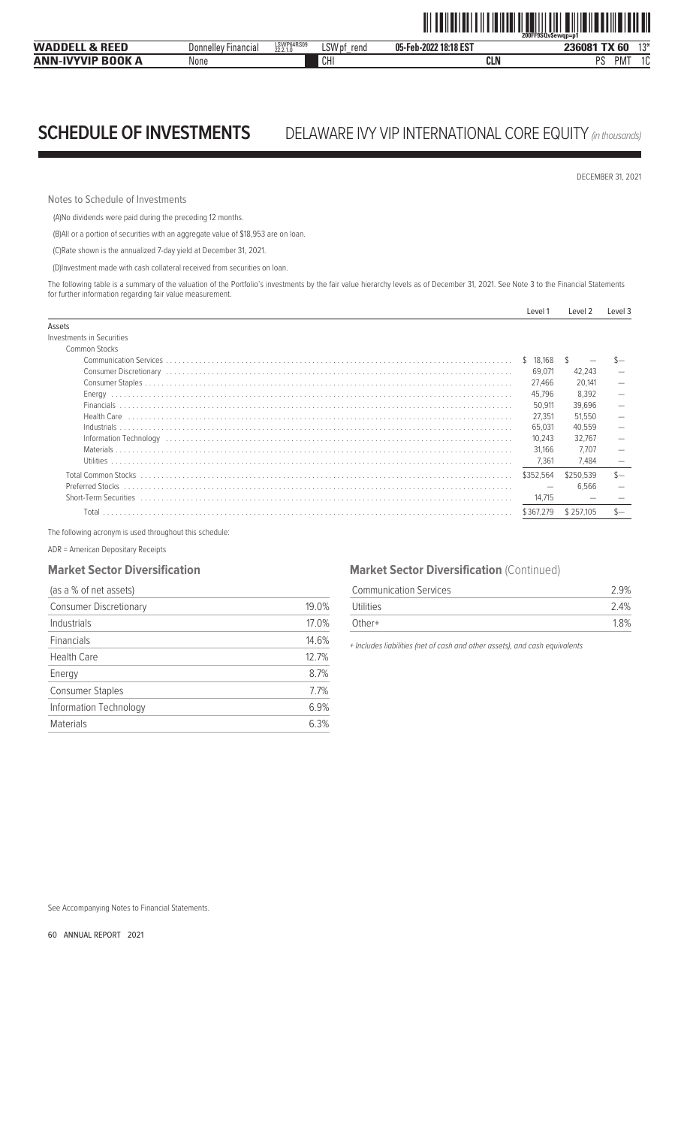|                           |                               |                       |                                     |                       | 200FF9SQvSewap=p1                            |        |
|---------------------------|-------------------------------|-----------------------|-------------------------------------|-----------------------|----------------------------------------------|--------|
| <b>WADDELL &amp; REED</b> | -inancial<br><b>Donnelley</b> | LSWP64RS09<br>22.2.11 | LSW <sub>pt</sub><br>rend<br>. UL - | 05-Feb-2022 18:18 EST | TX 60<br>236081                              | $12*$  |
| <b>ANN-IVYVIP BOOK A</b>  | None                          |                       | <b>CHI</b>                          | CLN                   | <sub>D</sub> <sub>C</sub><br>PM <sup>-</sup> | $\sim$ |
|                           |                               |                       |                                     |                       |                                              |        |

# **SCHEDULE OF INVESTMENTS** DELAWARE IVY VIP INTERNATIONAL CORE EQUITY (in thousands)

ˆ200FF9SQv\$ewqp=p1Š **200FF9SQv\$ewqp=p1**

DECEMBER 31, 2021

Notes to Schedule of Investments

(A)No dividends were paid during the preceding 12 months.

(B)All or a portion of securities with an aggregate value of \$18,953 are on loan.

(C)Rate shown is the annualized 7-day yield at December 31, 2021.

(D)Investment made with cash collateral received from securities on loan.

The following table is a summary of the valuation of the Portfolio's investments by the fair value hierarchy levels as of December 31, 2021. See Note 3 to the Financial Statements for further information regarding fair value measurement.

|                                                                                                                                                                                                                                | Level 1   | Level 2   | Level 3 |
|--------------------------------------------------------------------------------------------------------------------------------------------------------------------------------------------------------------------------------|-----------|-----------|---------|
| Assets                                                                                                                                                                                                                         |           |           |         |
| Investments in Securities                                                                                                                                                                                                      |           |           |         |
| Common Stocks                                                                                                                                                                                                                  |           |           |         |
| Communication Services                                                                                                                                                                                                         | 18.168    |           |         |
| Consumer Discretionary (1990) (1990) (1990) (1990) (1990) (1990) (1990) (1990) (1990) (1990) (1990) (1990) (19                                                                                                                 | 69.071    | 42.243    |         |
|                                                                                                                                                                                                                                | 27.466    | 20.141    |         |
|                                                                                                                                                                                                                                | 45.796    | 8.392     |         |
|                                                                                                                                                                                                                                | 50,911    | 39,696    |         |
|                                                                                                                                                                                                                                | 27.351    | 51.550    |         |
| Industrials                                                                                                                                                                                                                    | 65.031    | 40.559    |         |
| Information Technology (and according to the control of the control of the control of the control of the control of the control of the control of the control of the control of the control of the control of the control of t | 10.243    | 32.767    |         |
|                                                                                                                                                                                                                                | 31,166    | 7.707     |         |
|                                                                                                                                                                                                                                | 7,361     | 7.484     |         |
| <b>Total Common Stocks</b>                                                                                                                                                                                                     | \$352.564 | \$250.539 | $\zeta$ |
| Preferred Stocks                                                                                                                                                                                                               |           | 6.566     |         |
| Short-Term Securities                                                                                                                                                                                                          | 14.715    |           |         |
| Total                                                                                                                                                                                                                          | \$367.279 | \$257,105 |         |
|                                                                                                                                                                                                                                |           |           |         |

The following acronym is used throughout this schedule:

ADR = American Depositary Receipts

## **Market Sector Diversification**

## (as a % of net assets)

| <b>Consumer Discretionary</b> | 19.0% |
|-------------------------------|-------|
| <b>Industrials</b>            | 17.0% |
| <b>Financials</b>             | 14.6% |
| <b>Health Care</b>            | 12.7% |
| Energy                        | 8.7%  |
| <b>Consumer Staples</b>       | 77%   |
| Information Technology        | 6.9%  |
| <b>Materials</b>              | ჩ 3%  |

## **Market Sector Diversification** (Continued)

| <b>Communication Services</b> | - 2.9% |
|-------------------------------|--------|
| Utilities                     | 24%    |
| Other+                        | 18%    |

+ Includes liabilities (net of cash and other assets), and cash equivalents

See Accompanying Notes to Financial Statements.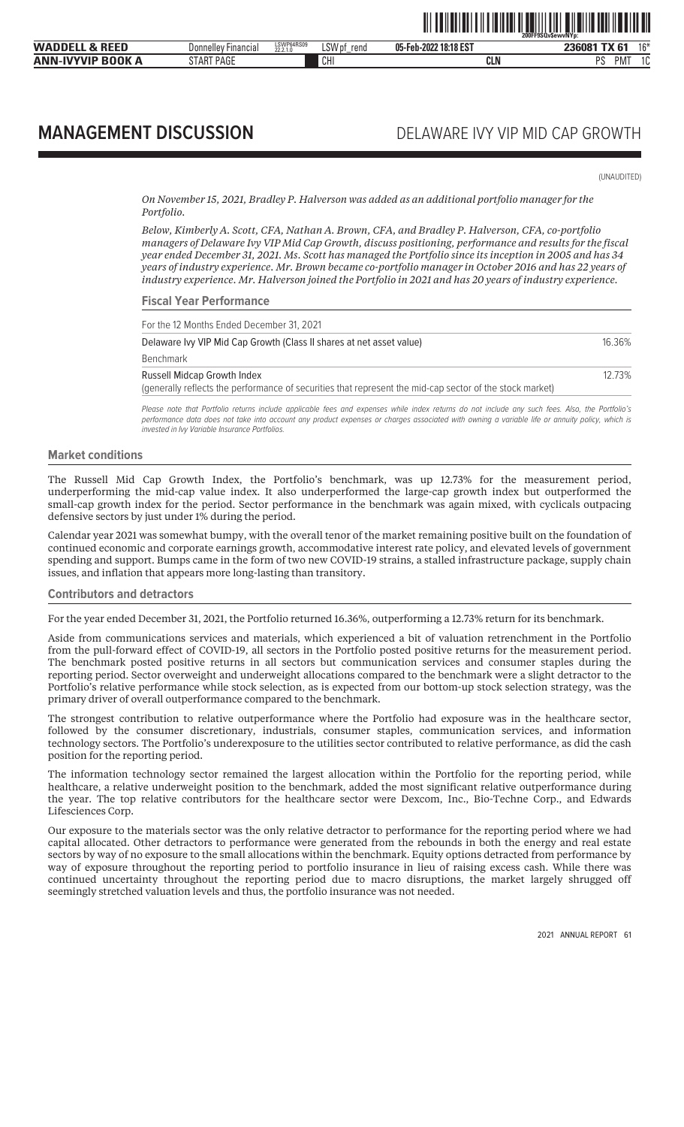|                                           |                               |                      |                |                                          | ZUUFFYSUVSEWVIN YD:                           |              |
|-------------------------------------------|-------------------------------|----------------------|----------------|------------------------------------------|-----------------------------------------------|--------------|
| DEEN<br>WAΓ                               | Donnelley<br><b>Financial</b> | LSWP64RS09<br>22.2.1 | LSW pf<br>rend | 18:18 EST<br>05-<br>Feb-202 <sup>2</sup> | C <sub>1</sub><br>$-1$<br>n                   | $16*$        |
| <b>RUUK V</b><br><b>WVIP</b><br>ANN<br>'W | <b>START PAGE</b>             |                      | CHI            | <b>CLN</b>                               | nc<br>דו חם<br>'M<br>$\overline{\phantom{a}}$ | $\sim$<br>ιu |
|                                           |                               |                      |                |                                          |                                               |              |

## **MANAGEMENT DISCUSSION** DELAWARE IVY VIP MID CAP GROWTH

ˆ200FF9SQv\$ewvNYp:Š **200FF9SQv\$ewvNYp:**

(UNAUDITED)

*On November 15, 2021, Bradley P. Halverson was added as an additional portfolio manager for the Portfolio.*

*Below, Kimberly A. Scott, CFA, Nathan A. Brown, CFA, and Bradley P. Halverson, CFA, co-portfolio managers of Delaware Ivy VIP Mid Cap Growth, discuss positioning, performance and results for the fiscal year ended December 31, 2021. Ms. Scott has managed the Portfolio since its inception in 2005 and has 34 years of industry experience. Mr. Brown became co-portfolio manager in October 2016 and has 22 years of industry experience. Mr. Halverson joined the Portfolio in 2021 and has 20 years of industry experience.*

**Fiscal Year Performance**

| For the 12 Months Ended December 31, 2021                                                                                                      |        |
|------------------------------------------------------------------------------------------------------------------------------------------------|--------|
| Delaware Ivy VIP Mid Cap Growth (Class II shares at net asset value)                                                                           | 16.36% |
| Benchmark                                                                                                                                      |        |
| <b>Russell Midcap Growth Index</b><br>(generally reflects the performance of securities that represent the mid-cap sector of the stock market) | 12 73% |

Please note that Portfolio returns include applicable fees and expenses while index returns do not include any such fees. Also, the Portfolio's performance data does not take into account any product expenses or charges associated with owning a variable life or annuity policy, which is invested in Ivy Variable Insurance Portfolios.

## **Market conditions**

The Russell Mid Cap Growth Index, the Portfolio's benchmark, was up 12.73% for the measurement period, underperforming the mid-cap value index. It also underperformed the large-cap growth index but outperformed the small-cap growth index for the period. Sector performance in the benchmark was again mixed, with cyclicals outpacing defensive sectors by just under 1% during the period.

Calendar year 2021 was somewhat bumpy, with the overall tenor of the market remaining positive built on the foundation of continued economic and corporate earnings growth, accommodative interest rate policy, and elevated levels of government spending and support. Bumps came in the form of two new COVID-19 strains, a stalled infrastructure package, supply chain issues, and inflation that appears more long-lasting than transitory.

### **Contributors and detractors**

For the year ended December 31, 2021, the Portfolio returned 16.36%, outperforming a 12.73% return for its benchmark.

Aside from communications services and materials, which experienced a bit of valuation retrenchment in the Portfolio from the pull-forward effect of COVID-19, all sectors in the Portfolio posted positive returns for the measurement period. The benchmark posted positive returns in all sectors but communication services and consumer staples during the reporting period. Sector overweight and underweight allocations compared to the benchmark were a slight detractor to the Portfolio's relative performance while stock selection, as is expected from our bottom-up stock selection strategy, was the primary driver of overall outperformance compared to the benchmark.

The strongest contribution to relative outperformance where the Portfolio had exposure was in the healthcare sector, followed by the consumer discretionary, industrials, consumer staples, communication services, and information technology sectors. The Portfolio's underexposure to the utilities sector contributed to relative performance, as did the cash position for the reporting period.

The information technology sector remained the largest allocation within the Portfolio for the reporting period, while healthcare, a relative underweight position to the benchmark, added the most significant relative outperformance during the year. The top relative contributors for the healthcare sector were Dexcom, Inc., Bio-Techne Corp., and Edwards Lifesciences Corp.

Our exposure to the materials sector was the only relative detractor to performance for the reporting period where we had capital allocated. Other detractors to performance were generated from the rebounds in both the energy and real estate sectors by way of no exposure to the small allocations within the benchmark. Equity options detracted from performance by way of exposure throughout the reporting period to portfolio insurance in lieu of raising excess cash. While there was continued uncertainty throughout the reporting period due to macro disruptions, the market largely shrugged off seemingly stretched valuation levels and thus, the portfolio insurance was not needed.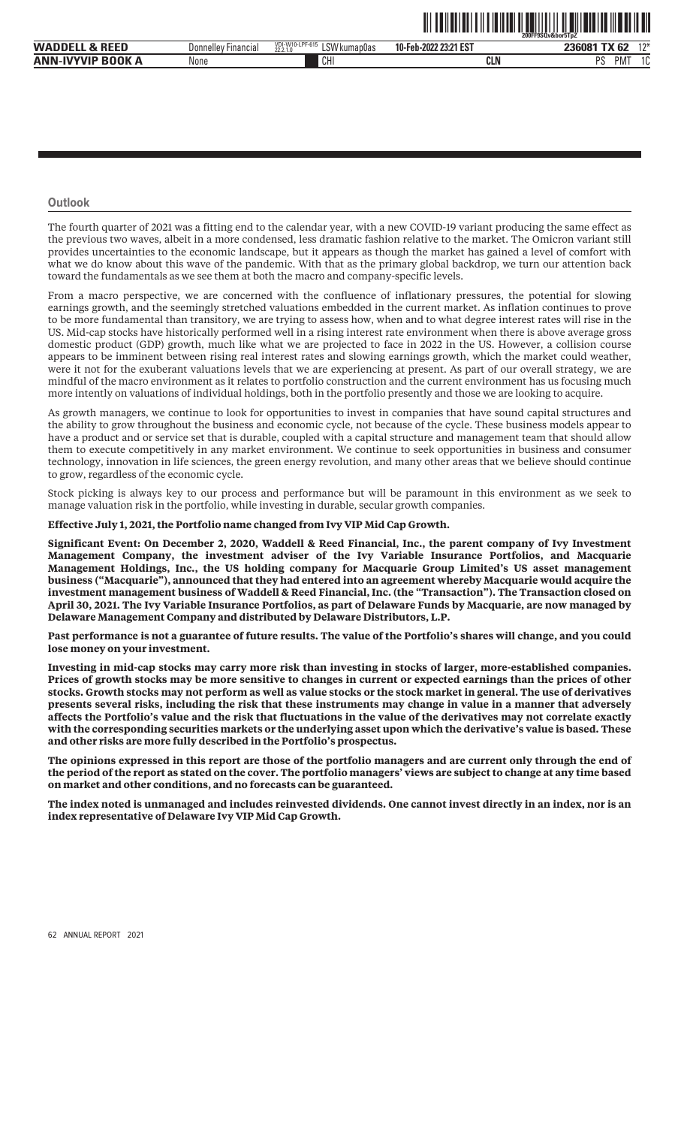|                                                       |                               |                                            | ------------------------------- | 200FF9SQv&bor5TpZ                            |              |
|-------------------------------------------------------|-------------------------------|--------------------------------------------|---------------------------------|----------------------------------------------|--------------|
| <b>REED</b><br><b>WADDELL</b><br>$\Omega$<br>$\alpha$ | <b>Jonnelley</b><br>-ınancıal | VDI-W10-LPF-615<br>LSW kumap0as<br>22.2.1. | 10-Feb-2022 23:21 EST           | 62<br>236081<br>$-11$                        | $12*$        |
| <b>ANN-IVYVIP BOOK A</b>                              | None                          | <b>CHI</b>                                 | <b>CLN</b>                      | <sub>D</sub> <sub>C</sub><br>PM <sup>-</sup> | $\sim$<br>ιu |

ˆ200FF9SQv&bor5TpZŠ

## **Outlook**

The fourth quarter of 2021 was a fitting end to the calendar year, with a new COVID-19 variant producing the same effect as the previous two waves, albeit in a more condensed, less dramatic fashion relative to the market. The Omicron variant still provides uncertainties to the economic landscape, but it appears as though the market has gained a level of comfort with what we do know about this wave of the pandemic. With that as the primary global backdrop, we turn our attention back toward the fundamentals as we see them at both the macro and company-specific levels.

From a macro perspective, we are concerned with the confluence of inflationary pressures, the potential for slowing earnings growth, and the seemingly stretched valuations embedded in the current market. As inflation continues to prove to be more fundamental than transitory, we are trying to assess how, when and to what degree interest rates will rise in the US. Mid-cap stocks have historically performed well in a rising interest rate environment when there is above average gross domestic product (GDP) growth, much like what we are projected to face in 2022 in the US. However, a collision course appears to be imminent between rising real interest rates and slowing earnings growth, which the market could weather, were it not for the exuberant valuations levels that we are experiencing at present. As part of our overall strategy, we are mindful of the macro environment as it relates to portfolio construction and the current environment has us focusing much more intently on valuations of individual holdings, both in the portfolio presently and those we are looking to acquire.

As growth managers, we continue to look for opportunities to invest in companies that have sound capital structures and the ability to grow throughout the business and economic cycle, not because of the cycle. These business models appear to have a product and or service set that is durable, coupled with a capital structure and management team that should allow them to execute competitively in any market environment. We continue to seek opportunities in business and consumer technology, innovation in life sciences, the green energy revolution, and many other areas that we believe should continue to grow, regardless of the economic cycle.

Stock picking is always key to our process and performance but will be paramount in this environment as we seek to manage valuation risk in the portfolio, while investing in durable, secular growth companies.

### **Effective July 1, 2021, the Portfolio name changed from Ivy VIP Mid Cap Growth.**

**Significant Event: On December 2, 2020, Waddell & Reed Financial, Inc., the parent company of Ivy Investment Management Company, the investment adviser of the Ivy Variable Insurance Portfolios, and Macquarie Management Holdings, Inc., the US holding company for Macquarie Group Limited's US asset management business ("Macquarie"), announced that they had entered into an agreement whereby Macquarie would acquire the investment management business of Waddell & Reed Financial, Inc. (the "Transaction"). The Transaction closed on April 30, 2021. The Ivy Variable Insurance Portfolios, as part of Delaware Funds by Macquarie, are now managed by Delaware Management Company and distributed by Delaware Distributors, L.P.**

**Past performance is not a guarantee of future results. The value of the Portfolio's shares will change, and you could lose money on your investment.**

**Investing in mid-cap stocks may carry more risk than investing in stocks of larger, more-established companies. Prices of growth stocks may be more sensitive to changes in current or expected earnings than the prices of other stocks. Growth stocks may not perform as well as value stocks or the stock market in general. The use of derivatives presents several risks, including the risk that these instruments may change in value in a manner that adversely affects the Portfolio's value and the risk that fluctuations in the value of the derivatives may not correlate exactly with the corresponding securities markets or the underlying asset upon which the derivative's value is based. These and other risks are more fully described in the Portfolio's prospectus.**

**The opinions expressed in this report are those of the portfolio managers and are current only through the end of the period of the report as stated on the cover. The portfolio managers' views are subject to change at any time based on market and other conditions, and no forecasts can be guaranteed.**

**The index noted is unmanaged and includes reinvested dividends. One cannot invest directly in an index, nor is an index representative of Delaware Ivy VIP Mid Cap Growth.**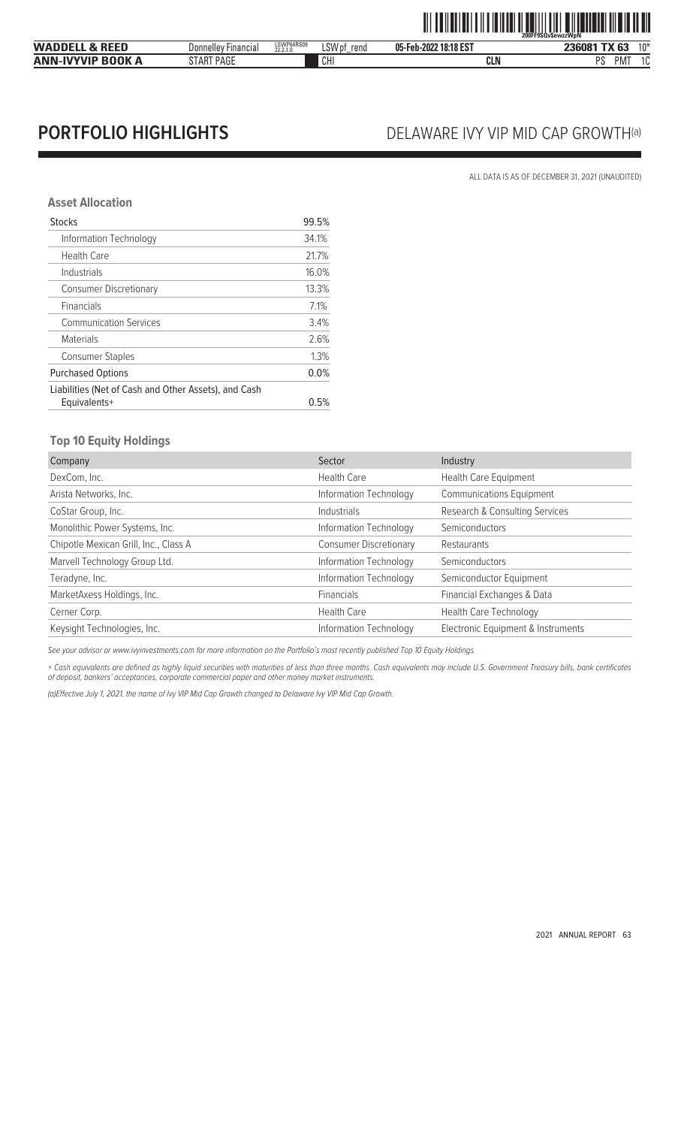|                           |                            |                        |                | III                   | III II III<br><b>TIITIITII</b><br>200FF9SQvSewzzWpN |
|---------------------------|----------------------------|------------------------|----------------|-----------------------|-----------------------------------------------------|
| <b>WADDELL &amp; REED</b> | <b>Donnelley Financial</b> | LSWP64RS09<br>22.2.1.0 | LSW pf<br>rend | 05-Feb-2022 18:18 EST | $10*$<br>236081 TX 63                               |
| <b>ANN-IVYVIP BOOK A</b>  | START PAGE                 |                        | CHI            | CLN                   | 10<br>PS<br><b>PMT</b>                              |
|                           |                            |                        |                |                       |                                                     |

# **PORTFOLIO HIGHLIGHTS** DELAWARE IVY VIP MID CAP GROWTH(a)

ALL DATA IS AS OF DECEMBER 31, 2021 (UNAUDITED)

## **Asset Allocation**

| <b>Stocks</b>                                        | 99.5%   |
|------------------------------------------------------|---------|
| Information Technology                               | 34.1%   |
| <b>Health Care</b>                                   | 217%    |
| Industrials                                          | 16.0%   |
| <b>Consumer Discretionary</b>                        | 13.3%   |
| <b>Financials</b>                                    | 71%     |
| <b>Communication Services</b>                        | 3.4%    |
| <b>Materials</b>                                     | 2.6%    |
| <b>Consumer Staples</b>                              | 1.3%    |
| <b>Purchased Options</b>                             | 0.0%    |
| Liabilities (Net of Cash and Other Assets), and Cash |         |
| Equivalents+                                         | $0.5\%$ |

## **Top 10 Equity Holdings**

| Company                               | Sector                        | Industry                           |
|---------------------------------------|-------------------------------|------------------------------------|
| DexCom, Inc.                          | <b>Health Care</b>            | Health Care Equipment              |
| Arista Networks, Inc.                 | Information Technology        | <b>Communications Equipment</b>    |
| CoStar Group, Inc.                    | <b>Industrials</b>            | Research & Consulting Services     |
| Monolithic Power Systems, Inc.        | Information Technology        | Semiconductors                     |
| Chipotle Mexican Grill, Inc., Class A | <b>Consumer Discretionary</b> | Restaurants                        |
| Marvell Technology Group Ltd.         | Information Technology        | Semiconductors                     |
| Teradyne, Inc.                        | Information Technology        | Semiconductor Equipment            |
| MarketAxess Holdings, Inc.            | <b>Financials</b>             | Financial Exchanges & Data         |
| Cerner Corp.                          | <b>Health Care</b>            | <b>Health Care Technology</b>      |
| Keysight Technologies, Inc.           | Information Technology        | Electronic Equipment & Instruments |

See your advisor or www.ivyinvestments.com for more information on the Portfolio's most recently published Top 10 Equity Holdings.

+ Cash equivalents are defined as highly liquid securities with maturities of less than three months. Cash equivalents may include U.S. Government Treasury bills, bank certificates of deposit, bankers' acceptances, corporate commercial paper and other money market instruments.

(a)Effective July 1, 2021, the name of Ivy VIP Mid Cap Growth changed to Delaware Ivy VIP Mid Cap Growth.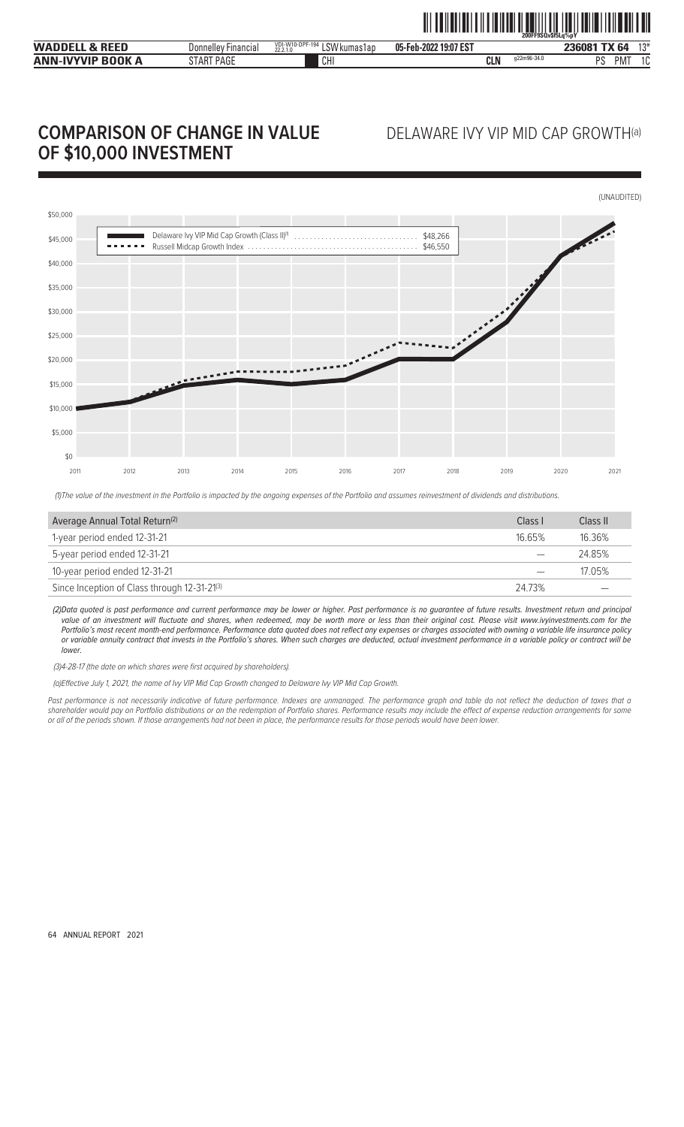|                           |                               |                                            |                       | 200FF9SQvSf5La%DY  |                                              |        |
|---------------------------|-------------------------------|--------------------------------------------|-----------------------|--------------------|----------------------------------------------|--------|
| <b>WADDELL &amp; REED</b> | <b>Donnelley</b><br>Financial | VDI-W10-DPF-194<br>LSW kumas1ap<br>22.2.1. | 05-Feb-2022 19:07 EST |                    | 236081 TX 64                                 | $13*$  |
| <b>ANN-IVYVIP BOOK A</b>  | START PAGE                    | CHI                                        |                       | g22m96-34.0<br>CLN | <sub>D</sub> <sub>C</sub><br>PM <sup>-</sup> | $\sim$ |
|                           |                               |                                            |                       |                    |                                              |        |

**COMPARISON OF CHANGE IN VALUE OF \$10,000 INVESTMENT**

## DELAWARE IVY VIP MID CAP GROWTH(a)

ˆ200FF9SQv\$f5Lq%pYŠ **200FF9SQv\$f5Lq%pY**



(1)The value of the investment in the Portfolio is impacted by the ongoing expenses of the Portfolio and assumes reinvestment of dividends and distributions.

| Average Annual Total Return <sup>(2)</sup>   | Class I | Class II |
|----------------------------------------------|---------|----------|
| 1-year period ended 12-31-21                 | 16 65%  | 16.36%   |
| 5-year period ended 12-31-21                 |         | 24.85%   |
| 10-year period ended 12-31-21                |         | 17.05%   |
| Since Inception of Class through 12-31-21(3) | 24 73%  |          |

(2)Data quoted is past performance and current performance may be lower or higher. Past performance is no guarantee of future results. Investment return and principal value of an investment will fluctuate and shares, when redeemed, may be worth more or less than their original cost. Please visit www.ivyinvestments.com for the Portfolio's most recent month-end performance. Performance data quoted does not reflect any expenses or charges associated with owning a variable life insurance policy or variable annuity contract that invests in the Portfolio's shares. When such charges are deducted, actual investment performance in a variable policy or contract will be lower.

(3)4-28-17 (the date on which shares were first acquired by shareholders).

(a)Effective July 1, 2021, the name of Ivy VIP Mid Cap Growth changed to Delaware Ivy VIP Mid Cap Growth.

Past performance is not necessarily indicative of future performance. Indexes are unmanaged. The performance graph and table do not reflect the deduction of taxes that a shareholder would pay on Portfolio distributions or on the redemption of Portfolio shares. Performance results may include the effect of expense reduction arrangements for some or all of the periods shown. If those arrangements had not been in place, the performance results for those periods would have been lower.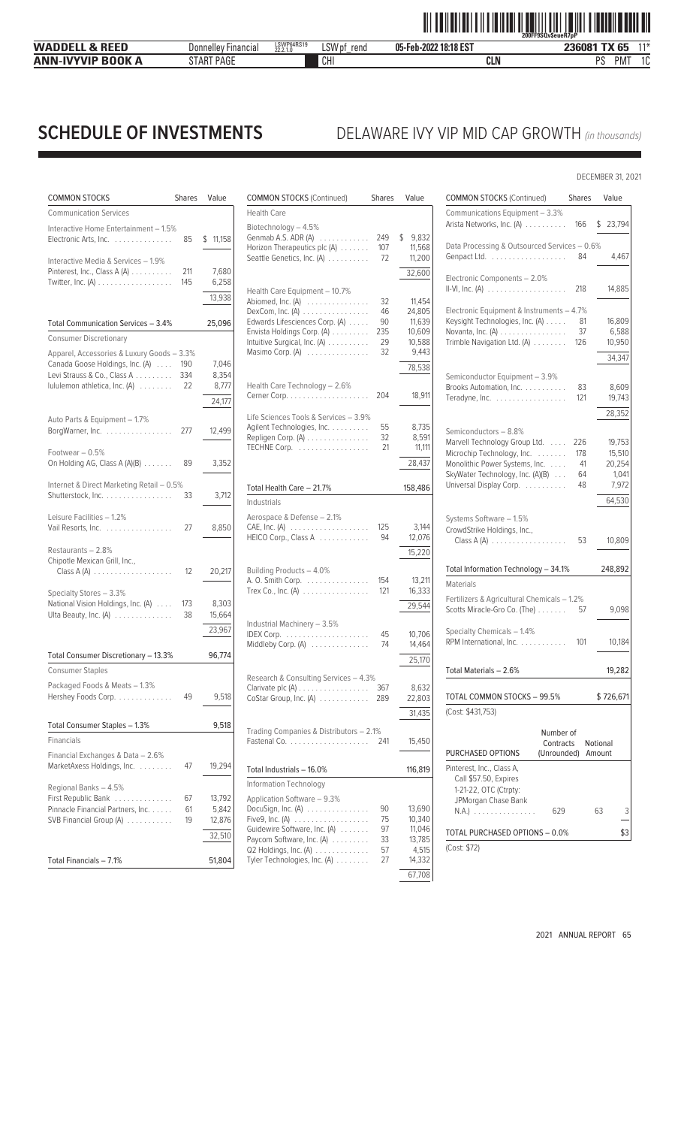|                                                                       |                           |                        |                     |                          | <b>LUUL LUULUUUUUULII UL</b>    |       |
|-----------------------------------------------------------------------|---------------------------|------------------------|---------------------|--------------------------|---------------------------------|-------|
| <b>REED</b><br><b>WAD</b><br>-----<br>$\overline{\phantom{a}}$<br>. . | Donnelley'<br>: Financial | LSWP64RS19<br>22.2.1.0 | LSW<br>rend<br>- 01 | 18:18 EST<br>05-Feb-2022 | $\sim$<br>23608*<br>$-11$<br>b: | $11*$ |
| <b>BOOK A</b><br>ANN<br><b>IVVVID</b>                                 | ART PAGE<br>' Ah          |                        | 0111<br>ιлι         | <b>CLN</b>               | DC<br>PM <sup>-</sup><br>◡      | . .   |
|                                                                       |                           |                        |                     |                          |                                 |       |

# **SCHEDULE OF INVESTMENTS** DELAWARE IVY VIP MID CAP GROWTH (in thousands)

ˆ200FF9SQv\$eueR7pPŠ **200FF9SQv\$eueR7pP**

## COMMON STOCKS Shares Value Communication Services Interactive Home Entertainment – 1.5% Electronic Arts, Inc. . . . . . . . . . . . . . . 85 \$ 11,158 Interactive Media & Services – 1.9% Pinterest, Inc., Class A (A) . . . . . . . . . 211 7,680 Twitter, Inc. (A) . . . . . . . . . . . . . . . . . 145 6,258 13,938 Total Communication Services – 3.4% 25,096 Consumer Discretionary Apparel, Accessories & Luxury Goods – 3.3% Canada Goose Holdings, Inc. (A) . . . . 190 7,046 Levi Strauss & Co., Class A . . . . . . . . 334 8,354 lululemon athletica, Inc. (A) . . . . . . . . 22 8,777 24,177 Auto Parts & Equipment – 1.7% BorgWarner, Inc. . . . . . . . . . . . . . . . . 277 12,499 Footwear – 0.5% On Holding AG, Class A (A)(B) . . . . . . . 89 3,352 Internet & Direct Marketing Retail – 0.5%<br>Shutterstock, Inc. . . . . . . . . . . . . . . . . 33 Shutterstock, Inc. . . . . . . . . . . . . . . . . 33 3,712 Leisure Facilities – 1.2% Vail Resorts, Inc. . . . . . . . . . . . . . . . . 27 8,850 Restaurants – 2.8% Chipotle Mexican Grill, Inc., Class A (A) ................... 12 20,217 Specialty Stores – 3.3% National Vision Holdings, Inc. (A) . . . . 173 8,303 Ulta Beauty, Inc. (A) . . . . . . . . . . . . . . 38 15,664 23,967 Total Consumer Discretionary - 13.3% 96,774 Consumer Staples Packaged Foods & Meats – 1.3% Hershey Foods Corp. . . . . . . . . . . . . 49 9,518 Total Consumer Staples – 1.3% 9,518 Financials Financial Exchanges & Data – 2.6% MarketAxess Holdings, Inc. . . . . . . . . 47 19,294 Regional Banks – 4.5% First Republic Bank . . . . . . . . . . . . . . 67 13,792 Pinnacle Financial Partners, Inc. . . . . . 61 5,842<br>SVB Financial Group (A) . . . . . . . . . . . 19 12,876 SVB Financial Group (A) . . . . . . . . . . . . 32,510 Total Financials  $-7.1\%$  51,804

| <b>COMMON STOCKS (Continued)</b>                                                                                                                                                                                                                                                                                    | <b>Shares</b>                     | Value                                                             |
|---------------------------------------------------------------------------------------------------------------------------------------------------------------------------------------------------------------------------------------------------------------------------------------------------------------------|-----------------------------------|-------------------------------------------------------------------|
| <b>Health Care</b>                                                                                                                                                                                                                                                                                                  |                                   |                                                                   |
| Biotechnology - 4.5%<br>Genmab A.S. ADR (A)<br>.<br>Horizon Therapeutics plc (A)<br>Seattle Genetics, Inc. (A)                                                                                                                                                                                                      | 249<br>107<br>72                  | \$<br>9,832<br>11,568<br>11,200<br>32,600                         |
| Health Care Equipment - 10.7%<br>Abiomed, Inc. $(A)$<br>DexCom, Inc. $(A)$<br>Edwards Lifesciences Corp. (A)<br>Envista Holdings Corp. (A)<br>Intuitive Surgical, Inc. (A)<br>Masimo Corp. $(A)$                                                                                                                    | 32<br>46<br>90<br>235<br>29<br>32 | 11,454<br>24,805<br>11,639<br>10,609<br>10,588<br>9,443<br>78,538 |
| Health Care Technology - 2.6%<br>Cerner Corp.                                                                                                                                                                                                                                                                       | 204                               | 18,911                                                            |
| Life Sciences Tools & Services - 3.9%<br>Agilent Technologies, Inc.<br>Repligen Corp. $(A)$<br>TECHNE Corp.                                                                                                                                                                                                         | 55<br>32<br>21                    | 8,735<br>8,591<br>11,111<br>28.437                                |
| Total Health Care - 21.7%                                                                                                                                                                                                                                                                                           |                                   | 158,486                                                           |
| Industrials                                                                                                                                                                                                                                                                                                         |                                   |                                                                   |
| Aerospace & Defense - 2.1%<br>$CAE$ , Inc. (A) $\ldots \ldots \ldots \ldots \ldots \ldots$<br>HEICO Corp., Class A                                                                                                                                                                                                  | 125<br>94                         | 3,144<br>12,076<br>15,220                                         |
| Building Products - 4.0%<br>A. O. Smith Corp.<br>Trex Co., Inc. (A) $\ldots \ldots \ldots \ldots \ldots$                                                                                                                                                                                                            | 154<br>121                        | 13,211<br>16,333<br>29,544                                        |
| Industrial Machinery - 3.5%<br>Middleby Corp. (A)                                                                                                                                                                                                                                                                   | 45<br>74                          | 10,706<br>14,464<br>25,170                                        |
| Research & Consulting Services - 4.3%<br>Clarivate plc (A)<br>CoStar Group, Inc. (A)                                                                                                                                                                                                                                | 367<br>289                        | 8,632<br>22,803<br>31,435                                         |
| Trading Companies & Distributors - 2.1%                                                                                                                                                                                                                                                                             | 241                               | 15,450                                                            |
| Total Industrials - 16.0%                                                                                                                                                                                                                                                                                           |                                   | 116,819                                                           |
| Information Technology<br>Application Software - 9.3%<br>DocuSign, Inc. (A) $\dots \dots \dots \dots$<br>Five9, Inc. (A) $\ldots \ldots \ldots \ldots \ldots$<br>Guidewire Software, Inc. (A)<br>Paycom Software, Inc. (A)<br>$Q2$ Holdings, Inc. (A) $\ldots \ldots \ldots \ldots$<br>Tyler Technologies, Inc. (A) | 90<br>75<br>97<br>33<br>57<br>27  | 13,690<br>10,340<br>11,046<br>13,785<br>4,515<br>14,332<br>67,708 |

|                                                                                                                                                                                       |                              | DECEMBER 31, 2021                                      |
|---------------------------------------------------------------------------------------------------------------------------------------------------------------------------------------|------------------------------|--------------------------------------------------------|
| <b>COMMON STOCKS (Continued)</b>                                                                                                                                                      | <b>Shares</b>                | Value                                                  |
| Communications Equipment - 3.3%<br>Arista Networks, Inc. (A)                                                                                                                          | 166                          | \$<br>23,794                                           |
| Data Processing & Outsourced Services - 0.6%<br>Genpact Ltd.<br>.                                                                                                                     | 84                           | 4,467                                                  |
| Electronic Components - 2.0%<br>II-VI, Inc. (A)                                                                                                                                       | 218                          | 14,885                                                 |
| Electronic Equipment & Instruments - 4.7%<br>Keysight Technologies, Inc. (A)<br>Novanta, Inc. $(A)$<br>Trimble Navigation Ltd. (A)                                                    | 81<br>37<br>126              | 16,809<br>6,588<br>10,950<br>34,347                    |
| Semiconductor Equipment - 3.9%<br>Brooks Automation, Inc.<br>Teradyne, Inc.                                                                                                           | 83<br>121                    | 8,609<br>19,743<br>28,352                              |
| Semiconductors - 8.8%<br>Marvell Technology Group Ltd.<br>Microchip Technology, Inc.<br>Monolithic Power Systems, Inc.<br>SkyWater Technology, Inc. (A)(B)<br>Universal Display Corp. | 226<br>178<br>41<br>64<br>48 | 19,753<br>15,510<br>20,254<br>1,041<br>7,972<br>64,530 |
| Systems Software - 1.5%<br>CrowdStrike Holdings, Inc.,<br>$Class A (A) \ldots \ldots \ldots$                                                                                          | 53                           | 10,809                                                 |
| Total Information Technology - 34.1%                                                                                                                                                  |                              | 248,892                                                |
| Materials                                                                                                                                                                             |                              |                                                        |
| Fertilizers & Agricultural Chemicals - 1.2%<br>Scotts Miracle-Gro Co. (The)                                                                                                           | 57                           | 9,098                                                  |
| Specialty Chemicals - 1.4%<br>RPM International, Inc.                                                                                                                                 | 101                          | 10,184                                                 |
| Total Materials - 2.6%                                                                                                                                                                |                              | 19,282                                                 |
| TOTAL COMMON STOCKS - 99.5%                                                                                                                                                           |                              | \$726,671                                              |
| (Cost: \$431,753)                                                                                                                                                                     |                              |                                                        |
|                                                                                                                                                                                       |                              |                                                        |
| Number of<br>Contracts                                                                                                                                                                |                              | Notional                                               |
| PURCHASED OPTIONS<br>(Unrounded)<br>Pinterest, Inc., Class A,<br>Call \$57.50, Expires<br>1-21-22, OTC (Ctrpty:<br>JPMorgan Chase Bank<br>N.A.)<br>629                                |                              | Amount<br>63<br>3                                      |
| TOTAL PURCHASED OPTIONS - 0.0%                                                                                                                                                        |                              | \$3                                                    |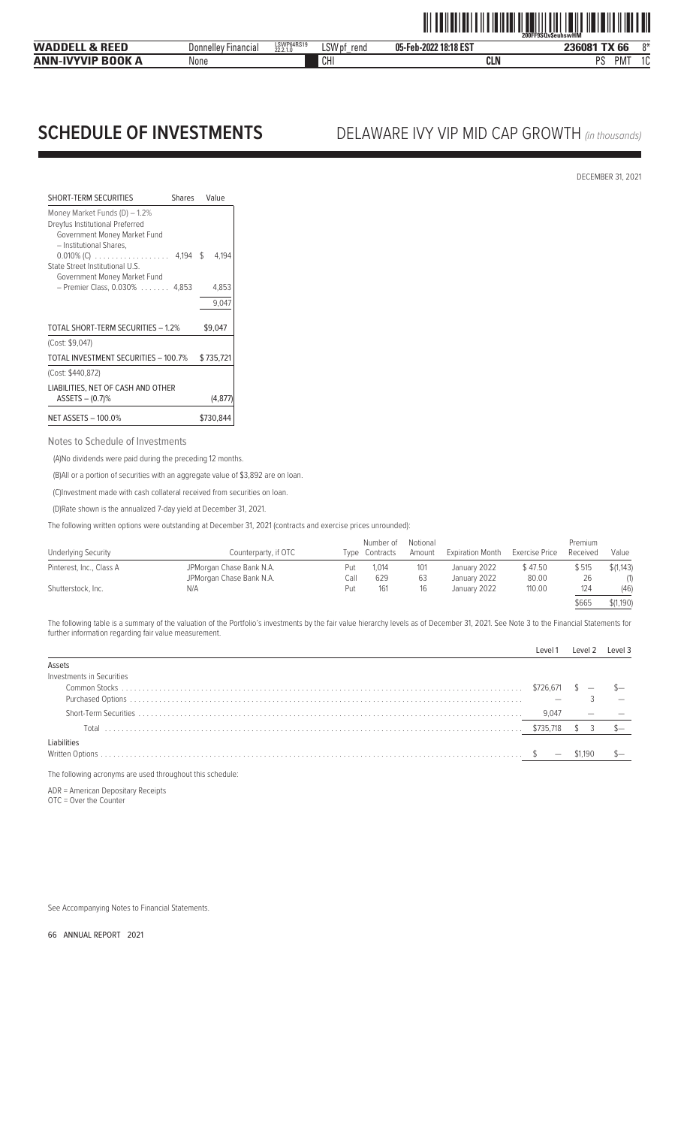|                                     |                               |                        |                       | ---------------------------- | 200FF9SQvSeuhswHM                 |                |
|-------------------------------------|-------------------------------|------------------------|-----------------------|------------------------------|-----------------------------------|----------------|
| <b>WADDELL</b><br><b>REED</b><br>െ  | <b>Financial</b><br>Donnellev | LSWP64RS19<br>22.2.1.0 | LSW pf<br>rend<br>$-$ | 05-Feb-2022 18:18 EST        | 66<br>220001<br>$-1$              | 0 <sup>*</sup> |
| <b>-IVYVIP BOOK A</b><br><b>ANN</b> | None                          |                        | CHI                   | <b>CLN</b>                   | <sub>D</sub> e<br>PM <sup>-</sup> | $\sim$         |
|                                     |                               |                        |                       |                              |                                   |                |

# **SCHEDULE OF INVESTMENTS** DELAWARE IVY VIP MID CAP GROWTH (in thousands)

ˆ200FF9SQv\$euhswHMŠ **200FF9SQv\$euhswHM**

DECEMBER 31, 2021

| SHORT-TERM SECURITIES                                                                                                                                                                                                                                       | Shares   | Value     |
|-------------------------------------------------------------------------------------------------------------------------------------------------------------------------------------------------------------------------------------------------------------|----------|-----------|
| Money Market Funds (D) - 1.2%<br>Dreyfus Institutional Preferred<br>Government Money Market Fund<br>- Institutional Shares,<br>$0.010\%$ (C) $\ldots \ldots \ldots \ldots \ldots \ldots$<br>State Street Institutional U.S.<br>Government Money Market Fund | 4,194 \$ | 4,194     |
| $-$ Premier Class, 0.030% $\ldots$                                                                                                                                                                                                                          | 4,853    | 4,853     |
|                                                                                                                                                                                                                                                             |          | 9.047     |
| TOTAL SHORT-TERM SECURITIES - 1.2%                                                                                                                                                                                                                          | \$9,047  |           |
| (Cost: \$9,047)                                                                                                                                                                                                                                             |          |           |
| TOTAL INVESTMENT SECURITIES - 100.7%                                                                                                                                                                                                                        |          | \$735,721 |
| (Cost: \$440,872)                                                                                                                                                                                                                                           |          |           |
| LIABILITIES, NET OF CASH AND OTHER<br>$ASSETS - (0.7)%$                                                                                                                                                                                                     |          | (4, 87)   |
| <b>NET ASSETS - 100.0%</b>                                                                                                                                                                                                                                  |          | \$730,844 |

Notes to Schedule of Investments

(A)No dividends were paid during the preceding 12 months.

(B)All or a portion of securities with an aggregate value of \$3,892 are on loan.

(C)Investment made with cash collateral received from securities on loan.

(D)Rate shown is the annualized 7-day yield at December 31, 2021.

The following written options were outstanding at December 31, 2021 (contracts and exercise prices unrounded):

|                          |                          | Number of<br>Notional |                |        |                         |                | Premium  |           |
|--------------------------|--------------------------|-----------------------|----------------|--------|-------------------------|----------------|----------|-----------|
| Underlying Security      | Counterparty, if OTC     |                       | Type Contracts | Amount | <b>Expiration Month</b> | Exercise Price | Received | Value     |
| Pinterest, Inc., Class A | JPMorgan Chase Bank N.A. | Put                   | 1.014          | 101    | January 2022            | \$47.50        | \$515    | \$(1,143) |
|                          | JPMorgan Chase Bank N.A. | Call                  | 629            | 63     | January 2022            | 80.00          | 26       |           |
| Shutterstock, Inc.       | N/A                      | Put                   | 161            | 16     | January 2022            | 110.00         | 124      | (46)      |
|                          |                          |                       |                |        |                         |                | \$665    | \$(1,190) |

The following table is a summary of the valuation of the Portfolio's investments by the fair value hierarchy levels as of December 31, 2021. See Note 3 to the Financial Statements for further information regarding fair value measurement.

|                           | _evel     | PVA |
|---------------------------|-----------|-----|
| Assets                    |           |     |
| Investments in Securities |           |     |
|                           | \$726.671 |     |
|                           |           |     |
|                           | 9.047     |     |
| Total                     | \$735,718 |     |
| Liabilities               |           |     |
|                           |           |     |
|                           |           |     |

The following acronyms are used throughout this schedule:

ADR = American Depositary Receipts

OTC = Over the Counter

See Accompanying Notes to Financial Statements.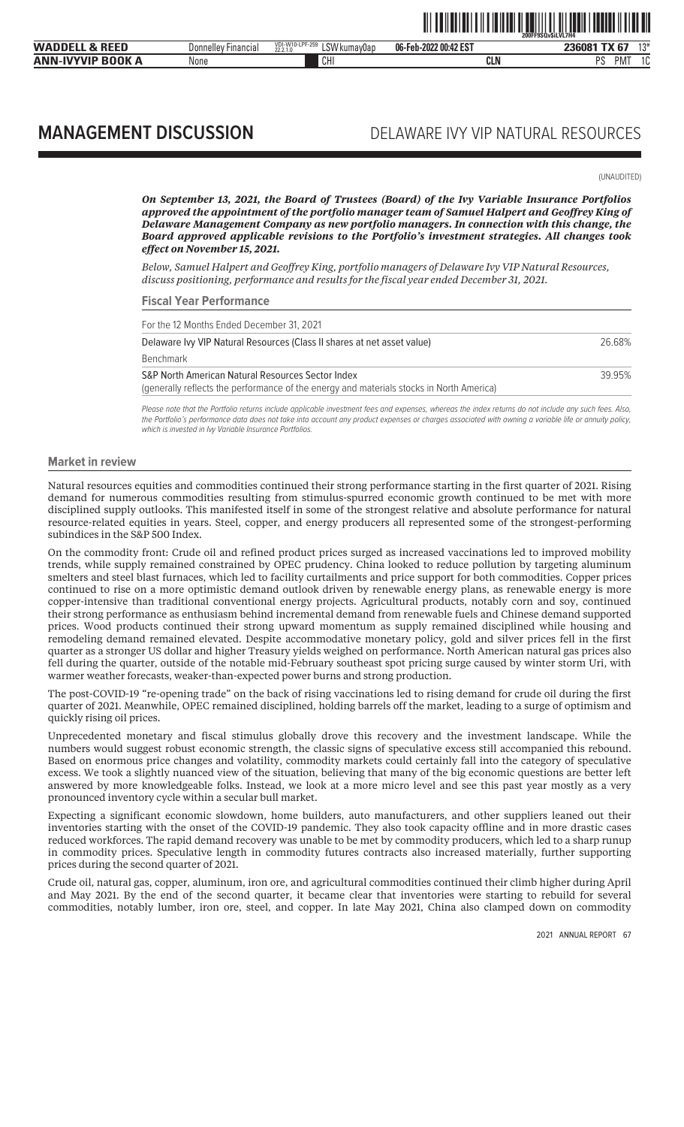|                                |                                      |                                                     |                       | 200FF9SQvSilvl7H4 |              |
|--------------------------------|--------------------------------------|-----------------------------------------------------|-----------------------|-------------------|--------------|
| DEEN<br>WAD                    | <b>Donnelley</b><br><b>Financial</b> | -W10-LPF-259<br>VD<br>LSW'<br>'kumav0ar<br>22.2.1.0 | 06-Feb-2022 00:42 EST | TV C7<br>n        | $12*$<br>ıυ  |
| ROOK A<br><b>IVVVIP</b><br>ANN | None                                 | CHI                                                 | <b>CLN</b>            | nc<br>D11<br>۲M   | $\sim$<br>יש |
|                                |                                      |                                                     |                       |                   |              |

## **MANAGEMENT DISCUSSION** DELAWARE IVY VIP NATURAL RESOURCES

**TIL TO HOLLON FRIHAGIN IN DONIN IN DIE 1990FF9 SQV** 

(UNAUDITED)

*On September 13, 2021, the Board of Trustees (Board) of the Ivy Variable Insurance Portfolios approved the appointment of the portfolio manager team of Samuel Halpert and Geoffrey King of Delaware Management Company as new portfolio managers. In connection with this change, the Board approved applicable revisions to the Portfolio's investment strategies. All changes took effect on November 15, 2021.*

*Below, Samuel Halpert and Geoffrey King, portfolio managers of Delaware Ivy VIP Natural Resources, discuss positioning, performance and results for the fiscal year ended December 31, 2021.*

**Fiscal Year Performance**

| For the 12 Months Ended December 31, 2021                                                                                                     |        |
|-----------------------------------------------------------------------------------------------------------------------------------------------|--------|
| Delaware Ivy VIP Natural Resources (Class II shares at net asset value)                                                                       | 26 68% |
| Benchmark                                                                                                                                     |        |
| S&P North American Natural Resources Sector Index<br>(generally reflects the performance of the energy and materials stocks in North America) | 39 95% |
|                                                                                                                                               |        |

Please note that the Portfolio returns include applicable investment fees and expenses, whereas the index returns do not include any such fees. Also, the Portfolio's performance data does not take into account any product expenses or charges associated with owning a variable life or annuity policy, which is invested in Ivy Variable Insurance Portfolios.

## **Market in review**

Natural resources equities and commodities continued their strong performance starting in the first quarter of 2021. Rising demand for numerous commodities resulting from stimulus-spurred economic growth continued to be met with more disciplined supply outlooks. This manifested itself in some of the strongest relative and absolute performance for natural resource-related equities in years. Steel, copper, and energy producers all represented some of the strongest-performing subindices in the S&P 500 Index.

On the commodity front: Crude oil and refined product prices surged as increased vaccinations led to improved mobility trends, while supply remained constrained by OPEC prudency. China looked to reduce pollution by targeting aluminum smelters and steel blast furnaces, which led to facility curtailments and price support for both commodities. Copper prices continued to rise on a more optimistic demand outlook driven by renewable energy plans, as renewable energy is more copper-intensive than traditional conventional energy projects. Agricultural products, notably corn and soy, continued their strong performance as enthusiasm behind incremental demand from renewable fuels and Chinese demand supported prices. Wood products continued their strong upward momentum as supply remained disciplined while housing and remodeling demand remained elevated. Despite accommodative monetary policy, gold and silver prices fell in the first quarter as a stronger US dollar and higher Treasury yields weighed on performance. North American natural gas prices also fell during the quarter, outside of the notable mid-February southeast spot pricing surge caused by winter storm Uri, with warmer weather forecasts, weaker-than-expected power burns and strong production.

The post-COVID-19 "re-opening trade" on the back of rising vaccinations led to rising demand for crude oil during the first quarter of 2021. Meanwhile, OPEC remained disciplined, holding barrels off the market, leading to a surge of optimism and quickly rising oil prices.

Unprecedented monetary and fiscal stimulus globally drove this recovery and the investment landscape. While the numbers would suggest robust economic strength, the classic signs of speculative excess still accompanied this rebound. Based on enormous price changes and volatility, commodity markets could certainly fall into the category of speculative excess. We took a slightly nuanced view of the situation, believing that many of the big economic questions are better left answered by more knowledgeable folks. Instead, we look at a more micro level and see this past year mostly as a very pronounced inventory cycle within a secular bull market.

Expecting a significant economic slowdown, home builders, auto manufacturers, and other suppliers leaned out their inventories starting with the onset of the COVID-19 pandemic. They also took capacity offline and in more drastic cases reduced workforces. The rapid demand recovery was unable to be met by commodity producers, which led to a sharp runup in commodity prices. Speculative length in commodity futures contracts also increased materially, further supporting prices during the second quarter of 2021.

Crude oil, natural gas, copper, aluminum, iron ore, and agricultural commodities continued their climb higher during April and May 2021. By the end of the second quarter, it became clear that inventories were starting to rebuild for several commodities, notably lumber, iron ore, steel, and copper. In late May 2021, China also clamped down on commodity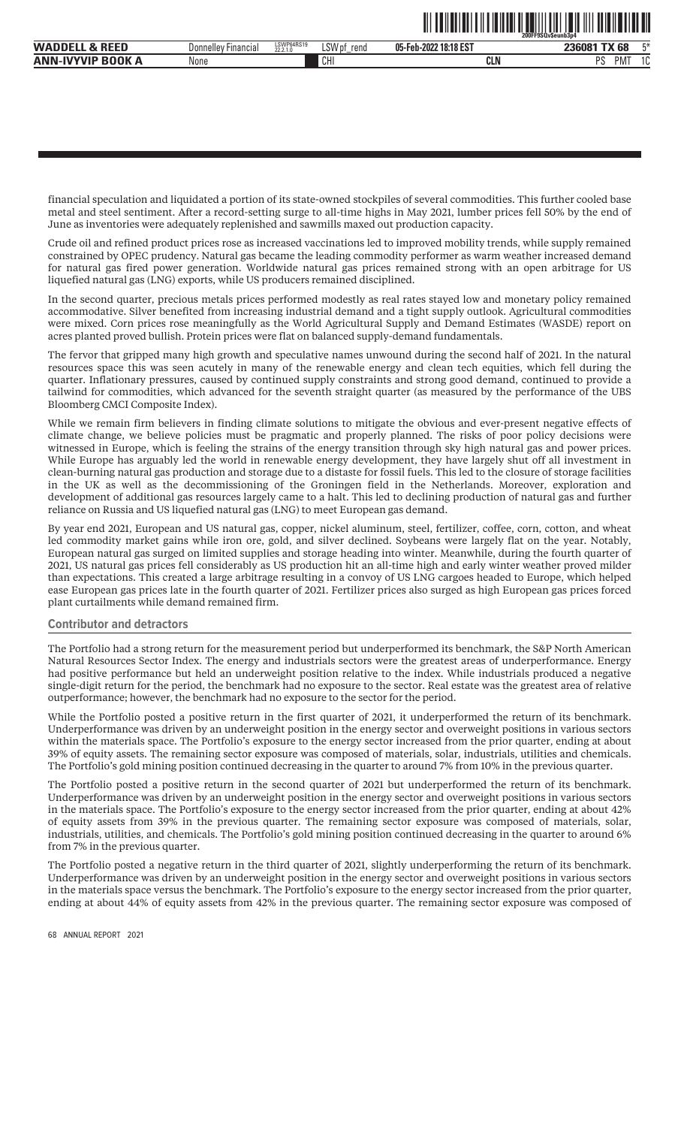|                                     |                        |                        |                | 200FF9SQvSeunb3p4                      |                                  |        |
|-------------------------------------|------------------------|------------------------|----------------|----------------------------------------|----------------------------------|--------|
| DEED<br><b>WAF</b><br>- 63<br>ᄔᄔ    | Financial<br>Donnelley | LSWP64RS19<br>22.2.1.0 | LSW pf<br>rena | 218:18 EST<br>$05-$<br><b>Feb-2022</b> | 68<br>--                         | $F^*$  |
| <b>DOOK</b><br>$\bf{1}$<br>ANN<br>w | None                   |                        | CHI            | <b>CLN</b>                             | <sub>DC</sub><br>PM <sup>-</sup> | $\sim$ |
|                                     |                        |                        |                |                                        |                                  |        |

ˆ200FF9SQv\$eunb3p4Š **200FF9SQv\$eunb3p4**

financial speculation and liquidated a portion of its state-owned stockpiles of several commodities. This further cooled base metal and steel sentiment. After a record-setting surge to all-time highs in May 2021, lumber prices fell 50% by the end of June as inventories were adequately replenished and sawmills maxed out production capacity.

Crude oil and refined product prices rose as increased vaccinations led to improved mobility trends, while supply remained constrained by OPEC prudency. Natural gas became the leading commodity performer as warm weather increased demand for natural gas fired power generation. Worldwide natural gas prices remained strong with an open arbitrage for US liquefied natural gas (LNG) exports, while US producers remained disciplined.

In the second quarter, precious metals prices performed modestly as real rates stayed low and monetary policy remained accommodative. Silver benefited from increasing industrial demand and a tight supply outlook. Agricultural commodities were mixed. Corn prices rose meaningfully as the World Agricultural Supply and Demand Estimates (WASDE) report on acres planted proved bullish. Protein prices were flat on balanced supply-demand fundamentals.

The fervor that gripped many high growth and speculative names unwound during the second half of 2021. In the natural resources space this was seen acutely in many of the renewable energy and clean tech equities, which fell during the quarter. Inflationary pressures, caused by continued supply constraints and strong good demand, continued to provide a tailwind for commodities, which advanced for the seventh straight quarter (as measured by the performance of the UBS Bloomberg CMCI Composite Index).

While we remain firm believers in finding climate solutions to mitigate the obvious and ever-present negative effects of climate change, we believe policies must be pragmatic and properly planned. The risks of poor policy decisions were witnessed in Europe, which is feeling the strains of the energy transition through sky high natural gas and power prices. While Europe has arguably led the world in renewable energy development, they have largely shut off all investment in clean-burning natural gas production and storage due to a distaste for fossil fuels. This led to the closure of storage facilities in the UK as well as the decommissioning of the Groningen field in the Netherlands. Moreover, exploration and development of additional gas resources largely came to a halt. This led to declining production of natural gas and further reliance on Russia and US liquefied natural gas (LNG) to meet European gas demand.

By year end 2021, European and US natural gas, copper, nickel aluminum, steel, fertilizer, coffee, corn, cotton, and wheat led commodity market gains while iron ore, gold, and silver declined. Soybeans were largely flat on the year. Notably, European natural gas surged on limited supplies and storage heading into winter. Meanwhile, during the fourth quarter of 2021, US natural gas prices fell considerably as US production hit an all-time high and early winter weather proved milder than expectations. This created a large arbitrage resulting in a convoy of US LNG cargoes headed to Europe, which helped ease European gas prices late in the fourth quarter of 2021. Fertilizer prices also surged as high European gas prices forced plant curtailments while demand remained firm.

### **Contributor and detractors**

The Portfolio had a strong return for the measurement period but underperformed its benchmark, the S&P North American Natural Resources Sector Index. The energy and industrials sectors were the greatest areas of underperformance. Energy had positive performance but held an underweight position relative to the index. While industrials produced a negative single-digit return for the period, the benchmark had no exposure to the sector. Real estate was the greatest area of relative outperformance; however, the benchmark had no exposure to the sector for the period.

While the Portfolio posted a positive return in the first quarter of 2021, it underperformed the return of its benchmark. Underperformance was driven by an underweight position in the energy sector and overweight positions in various sectors within the materials space. The Portfolio's exposure to the energy sector increased from the prior quarter, ending at about 39% of equity assets. The remaining sector exposure was composed of materials, solar, industrials, utilities and chemicals. The Portfolio's gold mining position continued decreasing in the quarter to around 7% from 10% in the previous quarter.

The Portfolio posted a positive return in the second quarter of 2021 but underperformed the return of its benchmark. Underperformance was driven by an underweight position in the energy sector and overweight positions in various sectors in the materials space. The Portfolio's exposure to the energy sector increased from the prior quarter, ending at about 42% of equity assets from 39% in the previous quarter. The remaining sector exposure was composed of materials, solar, industrials, utilities, and chemicals. The Portfolio's gold mining position continued decreasing in the quarter to around 6% from 7% in the previous quarter.

The Portfolio posted a negative return in the third quarter of 2021, slightly underperforming the return of its benchmark. Underperformance was driven by an underweight position in the energy sector and overweight positions in various sectors in the materials space versus the benchmark. The Portfolio's exposure to the energy sector increased from the prior quarter, ending at about 44% of equity assets from 42% in the previous quarter. The remaining sector exposure was composed of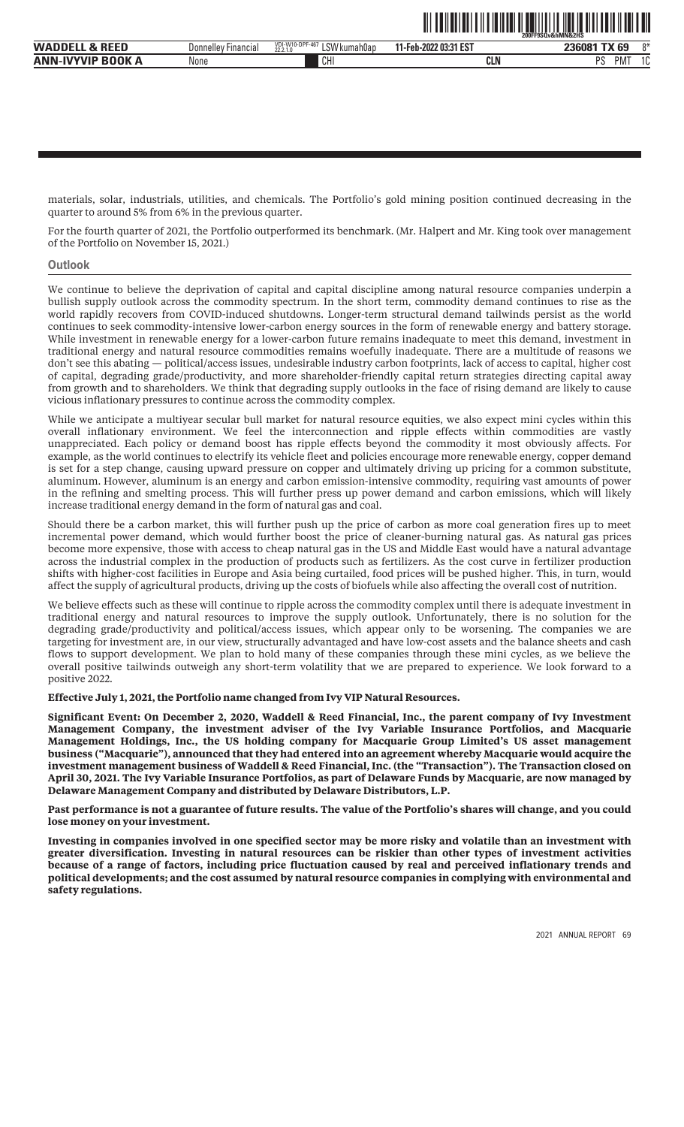|                               |                                           |                                                       |                                           | 200FF9SQv&hMN&2HS                            |                |  |  |
|-------------------------------|-------------------------------------------|-------------------------------------------------------|-------------------------------------------|----------------------------------------------|----------------|--|--|
| <b>REED</b><br><b>WADDELL</b> | $\cdots$<br>Financial<br><b>Donnellev</b> | VDI-W1<br>10-DPE-467<br>LSWI<br>/kumah0ap<br>22.2.1.0 | LOO OF FOT<br>1-Feb-2022<br>! บ.ร.ร1 ES I | 236081<br>69<br><b>TM</b>                    | 0 <sup>*</sup> |  |  |
| -IVYVIP ROOK<br>ANN           | None                                      | CH.                                                   | <b>CLN</b>                                | <sub>D</sub> <sub>C</sub><br>PM <sup>-</sup> | $\sim$<br>u    |  |  |
|                               |                                           |                                                       |                                           |                                              |                |  |  |

ˆ200FF9SQv&hMN&2HSŠ **200FF9SQv&hMN&2HS**

materials, solar, industrials, utilities, and chemicals. The Portfolio's gold mining position continued decreasing in the quarter to around 5% from 6% in the previous quarter.

For the fourth quarter of 2021, the Portfolio outperformed its benchmark. (Mr. Halpert and Mr. King took over management of the Portfolio on November 15, 2021.)

### **Outlook**

We continue to believe the deprivation of capital and capital discipline among natural resource companies underpin a bullish supply outlook across the commodity spectrum. In the short term, commodity demand continues to rise as the world rapidly recovers from COVID-induced shutdowns. Longer-term structural demand tailwinds persist as the world continues to seek commodity-intensive lower-carbon energy sources in the form of renewable energy and battery storage. While investment in renewable energy for a lower-carbon future remains inadequate to meet this demand, investment in traditional energy and natural resource commodities remains woefully inadequate. There are a multitude of reasons we don't see this abating — political/access issues, undesirable industry carbon footprints, lack of access to capital, higher cost of capital, degrading grade/productivity, and more shareholder-friendly capital return strategies directing capital away from growth and to shareholders. We think that degrading supply outlooks in the face of rising demand are likely to cause vicious inflationary pressures to continue across the commodity complex.

While we anticipate a multiyear secular bull market for natural resource equities, we also expect mini cycles within this overall inflationary environment. We feel the interconnection and ripple effects within commodities are vastly unappreciated. Each policy or demand boost has ripple effects beyond the commodity it most obviously affects. For example, as the world continues to electrify its vehicle fleet and policies encourage more renewable energy, copper demand is set for a step change, causing upward pressure on copper and ultimately driving up pricing for a common substitute, aluminum. However, aluminum is an energy and carbon emission-intensive commodity, requiring vast amounts of power in the refining and smelting process. This will further press up power demand and carbon emissions, which will likely increase traditional energy demand in the form of natural gas and coal.

Should there be a carbon market, this will further push up the price of carbon as more coal generation fires up to meet incremental power demand, which would further boost the price of cleaner-burning natural gas. As natural gas prices become more expensive, those with access to cheap natural gas in the US and Middle East would have a natural advantage across the industrial complex in the production of products such as fertilizers. As the cost curve in fertilizer production shifts with higher-cost facilities in Europe and Asia being curtailed, food prices will be pushed higher. This, in turn, would affect the supply of agricultural products, driving up the costs of biofuels while also affecting the overall cost of nutrition.

We believe effects such as these will continue to ripple across the commodity complex until there is adequate investment in traditional energy and natural resources to improve the supply outlook. Unfortunately, there is no solution for the degrading grade/productivity and political/access issues, which appear only to be worsening. The companies we are targeting for investment are, in our view, structurally advantaged and have low-cost assets and the balance sheets and cash flows to support development. We plan to hold many of these companies through these mini cycles, as we believe the overall positive tailwinds outweigh any short-term volatility that we are prepared to experience. We look forward to a positive 2022.

**Effective July 1, 2021, the Portfolio name changed from Ivy VIP Natural Resources.**

**Significant Event: On December 2, 2020, Waddell & Reed Financial, Inc., the parent company of Ivy Investment Management Company, the investment adviser of the Ivy Variable Insurance Portfolios, and Macquarie Management Holdings, Inc., the US holding company for Macquarie Group Limited's US asset management business ("Macquarie"), announced that they had entered into an agreement whereby Macquarie would acquire the investment management business of Waddell & Reed Financial, Inc. (the "Transaction"). The Transaction closed on April 30, 2021. The Ivy Variable Insurance Portfolios, as part of Delaware Funds by Macquarie, are now managed by Delaware Management Company and distributed by Delaware Distributors, L.P.**

**Past performance is not a guarantee of future results. The value of the Portfolio's shares will change, and you could lose money on your investment.**

**Investing in companies involved in one specified sector may be more risky and volatile than an investment with greater diversification. Investing in natural resources can be riskier than other types of investment activities because of a range of factors, including price fluctuation caused by real and perceived inflationary trends and political developments; and the cost assumed by natural resource companies in complying with environmental and safety regulations.**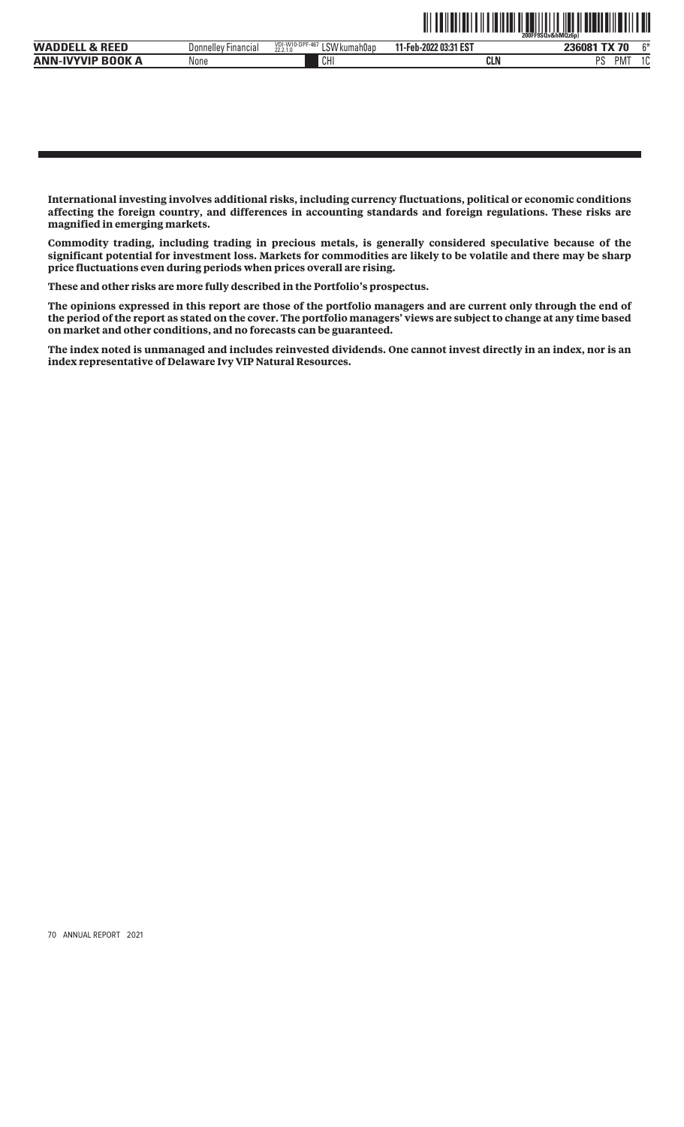|                                     |                              |                                             |                       | $\overline{200}$ FF9SQv&hMQz6n)              |           |
|-------------------------------------|------------------------------|---------------------------------------------|-----------------------|----------------------------------------------|-----------|
| <b>WADDELL &amp;</b><br><b>REED</b> | <b>Hinancia</b><br>Donnelley | VDI-W10-DPF-467<br>LSW kumah0ap<br>22.2.1.0 | 11-Feb-2022 03:31 EST | 70<br>236081<br><b>TM</b>                    | $^{\sim}$ |
| <b>ANN-IVYVIP BOOK A</b>            | None                         | CHI                                         | <b>CLN</b>            | <sub>D</sub> <sub>C</sub><br>PM <sup>-</sup> | $\sim$    |

ˆ200FF9SQv&hMQz6p)Š **200FF9SQv&hMQz6p)**

**International investing involves additional risks, including currency fluctuations, political or economic conditions affecting the foreign country, and differences in accounting standards and foreign regulations. These risks are magnified in emerging markets.**

**Commodity trading, including trading in precious metals, is generally considered speculative because of the significant potential for investment loss. Markets for commodities are likely to be volatile and there may be sharp price fluctuations even during periods when prices overall are rising.**

**These and other risks are more fully described in the Portfolio's prospectus.**

**The opinions expressed in this report are those of the portfolio managers and are current only through the end of the period of the report as stated on the cover. The portfolio managers' views are subject to change at any time based on market and other conditions, and no forecasts can be guaranteed.**

**The index noted is unmanaged and includes reinvested dividends. One cannot invest directly in an index, nor is an index representative of Delaware Ivy VIP Natural Resources.**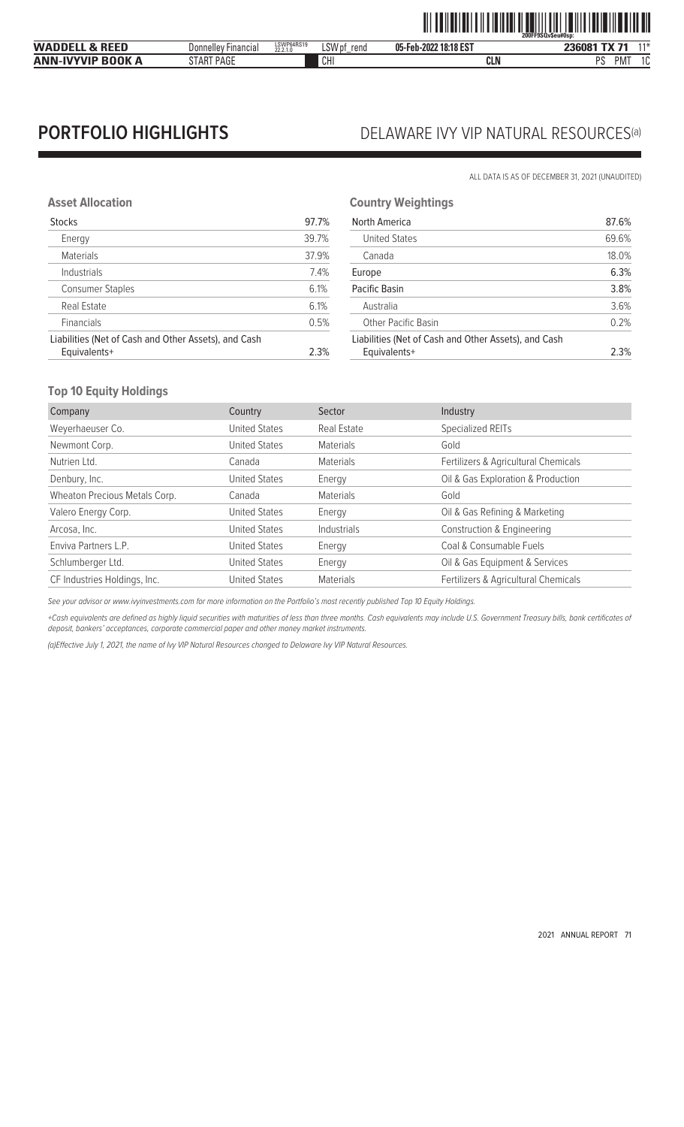|                   |                            |                        |                |                       | IIII<br>200FF9SQvSeu#0sp:    |
|-------------------|----------------------------|------------------------|----------------|-----------------------|------------------------------|
| WADDELL & REED    | <b>Donnelley Financial</b> | LSWP64RS19<br>22.2.1.0 | LSW pf<br>rend | 05-Feb-2022 18:18 EST | . TX 71<br>$11*$<br>236081   |
| ANN-IVYVIP BOOK A | START PAGE                 |                        | CH             | CLN                   | PMT<br>PS<br>$1^\circ$<br>ΙU |
|                   |                            |                        |                |                       |                              |

# **PORTFOLIO HIGHLIGHTS** DELAWARE IVY VIP NATURAL RESOURCES<sup>(a)</sup>

## **Asset Allocation**

| <b>Stocks</b>                                        | 97.7% |
|------------------------------------------------------|-------|
| Energy                                               | 39.7% |
| <b>Materials</b>                                     | 37.9% |
| Industrials                                          | 74%   |
| <b>Consumer Staples</b>                              | 6.1%  |
| Real Estate                                          | 6.1%  |
| <b>Financials</b>                                    | 0.5%  |
| Liabilities (Net of Cash and Other Assets), and Cash |       |
| Equivalents+                                         | 2.3%  |

ALL DATA IS AS OF DECEMBER 31, 2021 (UNAUDITED)

## **Country Weightings**

| North America                                        | 87.6% |
|------------------------------------------------------|-------|
| <b>United States</b>                                 | 69.6% |
| Canada                                               | 18.0% |
| Europe                                               | 6.3%  |
| Pacific Basin                                        | 3.8%  |
| Australia                                            | 3.6%  |
| Other Pacific Basin                                  | 0.2%  |
| Liabilities (Net of Cash and Other Assets), and Cash |       |
| Equivalents+                                         | 2.3%  |

## **Top 10 Equity Holdings**

| Company                       | <b>Country</b>       | Sector             | Industry                             |
|-------------------------------|----------------------|--------------------|--------------------------------------|
| Weyerhaeuser Co.              | <b>United States</b> | Real Estate        | Specialized REITs                    |
| Newmont Corp.                 | <b>United States</b> | <b>Materials</b>   | Gold                                 |
| Nutrien Ltd.                  | Canada               | <b>Materials</b>   | Fertilizers & Agricultural Chemicals |
| Denbury, Inc.                 | <b>United States</b> | Energy             | Oil & Gas Exploration & Production   |
| Wheaton Precious Metals Corp. | Canada               | <b>Materials</b>   | Gold                                 |
| Valero Energy Corp.           | <b>United States</b> | Energy             | Oil & Gas Refining & Marketing       |
| Arcosa, Inc.                  | <b>United States</b> | <b>Industrials</b> | Construction & Engineering           |
| Enviva Partners L.P.          | United States        | Energy             | Coal & Consumable Fuels              |
| Schlumberger Ltd.             | <b>United States</b> | Energy             | Oil & Gas Equipment & Services       |
| CF Industries Holdings, Inc.  | United States        | <b>Materials</b>   | Fertilizers & Agricultural Chemicals |

See your advisor or www.ivyinvestments.com for more information on the Portfolio's most recently published Top 10 Equity Holdings.

+Cash equivalents are defined as highly liquid securities with maturities of less than three months. Cash equivalents may include U.S. Government Treasury bills, bank certificates of deposit, bankers' acceptances, corporate commercial paper and other money market instruments.

(a)Effective July 1, 2021, the name of Ivy VIP Natural Resources changed to Delaware Ivy VIP Natural Resources.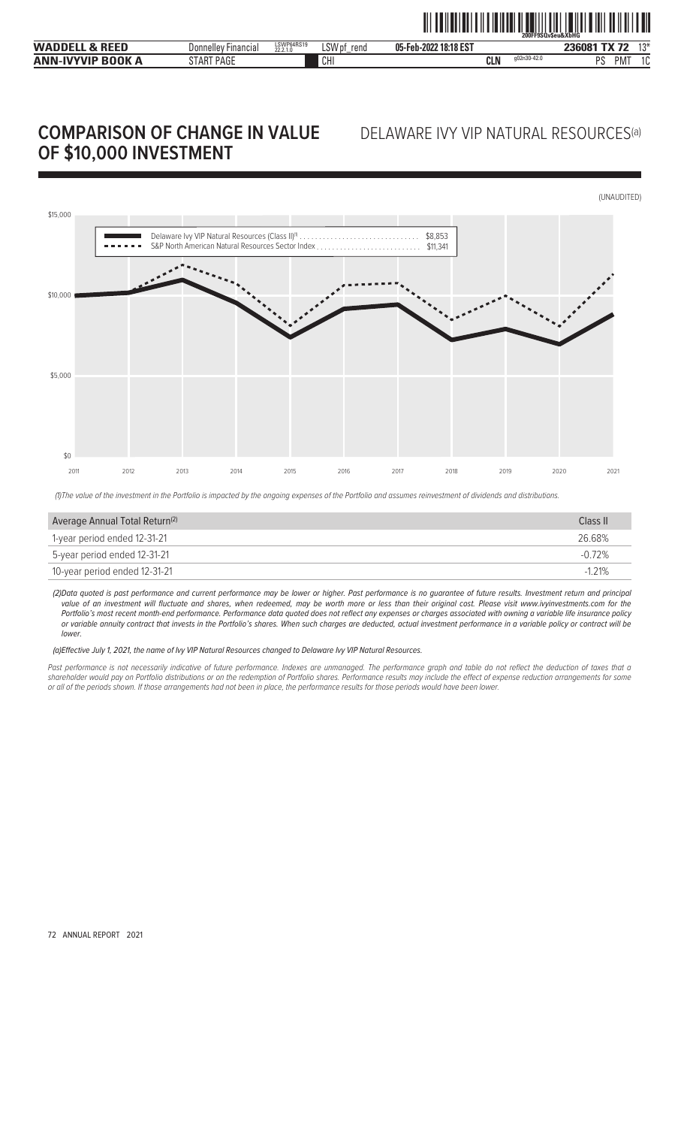**COMPARISON OF CHANGE IN VALUE OF \$10,000 INVESTMENT**

## DELAWARE IVY VIP NATURAL RESOURCES<sup>(a)</sup>



(1)The value of the investment in the Portfolio is impacted by the ongoing expenses of the Portfolio and assumes reinvestment of dividends and distributions.

| Average Annual Total Return <sup>(2)</sup> | Class II  |
|--------------------------------------------|-----------|
| 1-year period ended 12-31-21               | 26.68%    |
| 5-year period ended 12-31-21               | $-0.72\%$ |
| 10-year period ended 12-31-21              | $-1.21\%$ |

(2)Data quoted is past performance and current performance may be lower or higher. Past performance is no guarantee of future results. Investment return and principal value of an investment will fluctuate and shares, when redeemed, may be worth more or less than their original cost. Please visit www.ivyinvestments.com for the Portfolio's most recent month-end performance. Performance data quoted does not reflect any expenses or charges associated with owning a variable life insurance policy or variable annuity contract that invests in the Portfolio's shares. When such charges are deducted, actual investment performance in a variable policy or contract will be lower.

(a)Effective July 1, 2021, the name of Ivy VIP Natural Resources changed to Delaware Ivy VIP Natural Resources.

Past performance is not necessarily indicative of future performance. Indexes are unmanaged. The performance graph and table do not reflect the deduction of taxes that a shareholder would pay on Portfolio distributions or on the redemption of Portfolio shares. Performance results may include the effect of expense reduction arrangements for some or all of the periods shown. If those arrangements had not been in place, the performance results for those periods would have been lower.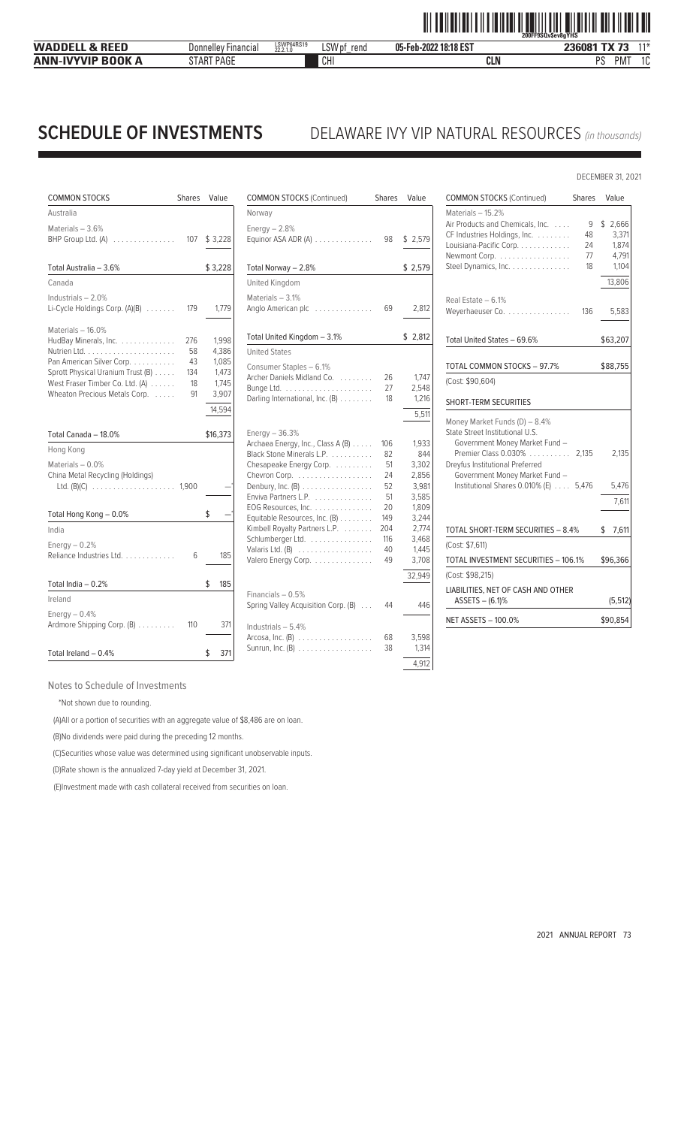|                                                   |                               |                        | ZUUFFJƏUVƏBVOU I NƏ |                          |                       |       |
|---------------------------------------------------|-------------------------------|------------------------|---------------------|--------------------------|-----------------------|-------|
| <b>REED</b><br><b>WADDELL</b><br>$\bullet$<br>. . | <b>Donnelley</b><br>Financial | LSWP64RS19<br>22.2.1.0 | LSW pf<br>rend<br>- | 18:18 EST<br>05-Feb-2022 |                       | $11*$ |
| 'VIP RNNK A<br>$_{-}$ IV/V<br><b>ANN</b>          | <b>START PAGE</b>             |                        | PIII<br>uпı         | <b>CLN</b>               | DC<br>PM <sup>-</sup> | م م   |
|                                                   |                               |                        |                     |                          |                       |       |

# **SCHEDULE OF INVESTMENTS** DELAWARE IVY VIP NATURAL RESOURCES (in thousands)

| <b>COMMON STOCKS</b>                                                                                                                                                             | <b>Shares</b>                      | Value                                                        |
|----------------------------------------------------------------------------------------------------------------------------------------------------------------------------------|------------------------------------|--------------------------------------------------------------|
| Australia                                                                                                                                                                        |                                    |                                                              |
| Materials - 3.6%<br>BHP Group Ltd. (A)<br>.                                                                                                                                      | 107                                | \$3,228                                                      |
| Total Australia - 3.6%                                                                                                                                                           |                                    | \$3,228                                                      |
| Canada                                                                                                                                                                           |                                    |                                                              |
| Industrials $-2.0\%$<br>Li-Cycle Holdings Corp. (A)(B)                                                                                                                           | 179                                | 1,779                                                        |
| Materials - 16.0%<br>HudBay Minerals, Inc.<br>Pan American Silver Corp.<br>Sprott Physical Uranium Trust (B)<br>West Fraser Timber Co. Ltd. (A)<br>Wheaton Precious Metals Corp. | 276<br>58<br>43<br>134<br>18<br>91 | 1,998<br>4,386<br>1,085<br>1,473<br>1,745<br>3,907<br>14,594 |
| Total Canada - 18.0%                                                                                                                                                             |                                    | \$16,373                                                     |
| Hong Kong                                                                                                                                                                        |                                    |                                                              |
| Materials $-0.0%$<br>China Metal Recycling (Holdings)                                                                                                                            | 1,900                              |                                                              |
| Total Hong Kong - 0.0%                                                                                                                                                           |                                    | \$                                                           |
| India                                                                                                                                                                            |                                    |                                                              |
| Energy $-0.2%$<br>Reliance Industries Ltd.                                                                                                                                       | 6                                  | 185                                                          |
| Total India - 0.2%                                                                                                                                                               |                                    | \$<br>185                                                    |
| Ireland                                                                                                                                                                          |                                    |                                                              |
| Energy $-0.4%$<br>Ardmore Shipping Corp. (B)                                                                                                                                     | 110                                | 371                                                          |
| Total Ireland - 0.4%                                                                                                                                                             |                                    | \$<br>371                                                    |

| <b>COMMON STOCKS (Continued)</b>                                                                                                                                                                                                                                                                                                      | <b>Shares</b>                                                            | Value                                                                                                            |
|---------------------------------------------------------------------------------------------------------------------------------------------------------------------------------------------------------------------------------------------------------------------------------------------------------------------------------------|--------------------------------------------------------------------------|------------------------------------------------------------------------------------------------------------------|
| Norway                                                                                                                                                                                                                                                                                                                                |                                                                          |                                                                                                                  |
| Energy $-2.8%$<br>Equinor ASA ADR $(A)$                                                                                                                                                                                                                                                                                               | 98                                                                       | \$2,579                                                                                                          |
| Total Norway - 2.8%                                                                                                                                                                                                                                                                                                                   |                                                                          | \$2,579                                                                                                          |
| United Kingdom                                                                                                                                                                                                                                                                                                                        |                                                                          |                                                                                                                  |
| Materials - 3.1%<br>Anglo American plc                                                                                                                                                                                                                                                                                                | 69                                                                       | 2,812                                                                                                            |
| Total United Kingdom - 3.1%                                                                                                                                                                                                                                                                                                           |                                                                          | \$<br>2,812                                                                                                      |
| <b>United States</b>                                                                                                                                                                                                                                                                                                                  |                                                                          |                                                                                                                  |
| Consumer Staples - 6.1%<br>Archer Daniels Midland Co.<br>Darling International, Inc. (B)                                                                                                                                                                                                                                              | 26<br>27<br>18                                                           | 1.747<br>2,548<br>1,216<br>5,511                                                                                 |
| Energy $-36.3%$<br>Archaea Energy, Inc., Class A (B)<br>Black Stone Minerals L.P.<br>Chesapeake Energy Corp.<br>Chevron Corp.<br>Denbury, Inc. $(B)$<br>Enviva Partners L.P.<br>EOG Resources, Inc.<br>Equitable Resources, Inc. (B)<br>Kimbell Royalty Partners L.P.<br>Schlumberger Ltd.<br>Valaris Ltd. (B)<br>Valero Energy Corp. | 106<br>82<br>51<br>24<br>52<br>51<br>20<br>149<br>204<br>116<br>40<br>49 | 1,933<br>844<br>3,302<br>2,856<br>3,981<br>3,585<br>1,809<br>3,244<br>2,774<br>3,468<br>1,445<br>3.708<br>32.949 |
| Financials - 0.5%<br>Spring Valley Acquisition Corp. (B)                                                                                                                                                                                                                                                                              | 44                                                                       | 446                                                                                                              |
| Industrials - 5.4%<br>$Arcosa, Inc. (B) \ldots \ldots \ldots \ldots \ldots$<br>Sunrun, Inc. (B)<br>.                                                                                                                                                                                                                                  | 68<br>38                                                                 | 3,598<br>1,314<br>4,912                                                                                          |

|                                                                                                                                                                                                                                    |                           | <b>DECEMBER 31, 2021</b>                              |
|------------------------------------------------------------------------------------------------------------------------------------------------------------------------------------------------------------------------------------|---------------------------|-------------------------------------------------------|
| <b>COMMON STOCKS (Continued)</b>                                                                                                                                                                                                   | <b>Shares</b>             | Value                                                 |
| Materials - 15.2%<br>Air Products and Chemicals, Inc.<br>CF Industries Holdings, Inc.<br>Louisiana-Pacific Corp.<br>Newmont Corp.<br>Steel Dynamics, Inc.                                                                          | 9<br>48<br>24<br>77<br>18 | \$2,666<br>3,371<br>1,874<br>4,791<br>1,104<br>13,806 |
| Real Estate $-6.1%$<br>Weyerhaeuser Co. .                                                                                                                                                                                          | 136                       | 5,583                                                 |
| Total United States - 69.6%                                                                                                                                                                                                        |                           | \$63,207                                              |
| TOTAL COMMON STOCKS - 97.7%<br>(Cost: \$90,604)<br>SHORT-TERM SECURITIES                                                                                                                                                           |                           | \$88,755                                              |
| Money Market Funds (D) - 8.4%<br>State Street Institutional U.S.<br>Government Money Market Fund -<br>Premier Class 0.030%<br>Dreyfus Institutional Preferred<br>Government Money Market Fund -<br>Institutional Shares 0.010% (E) | 2,135<br>5,476            | 2,135<br>5,476<br>7,611                               |
| TOTAL SHORT-TERM SECURITIES - 8.4%<br>(Cost: \$7,611)                                                                                                                                                                              |                           | \$<br>7,611                                           |
| TOTAL INVESTMENT SECURITIES - 106.1%                                                                                                                                                                                               |                           | \$96,366                                              |
| (Cost: \$98,215)                                                                                                                                                                                                                   |                           |                                                       |
|                                                                                                                                                                                                                                    |                           |                                                       |
| LIABILITIES, NET OF CASH AND OTHER<br>$ASSETS - (6.1)\%$                                                                                                                                                                           |                           | (5, 512)                                              |

ˆ200FF9SQv\$ev8gYHSŠ **200FF9SQv\$ev8gYHS**

Notes to Schedule of Investments

\*Not shown due to rounding.

(A)All or a portion of securities with an aggregate value of \$8,486 are on loan.

(B)No dividends were paid during the preceding 12 months.

(C)Securities whose value was determined using significant unobservable inputs.

(D)Rate shown is the annualized 7-day yield at December 31, 2021.

(E)Investment made with cash collateral received from securities on loan.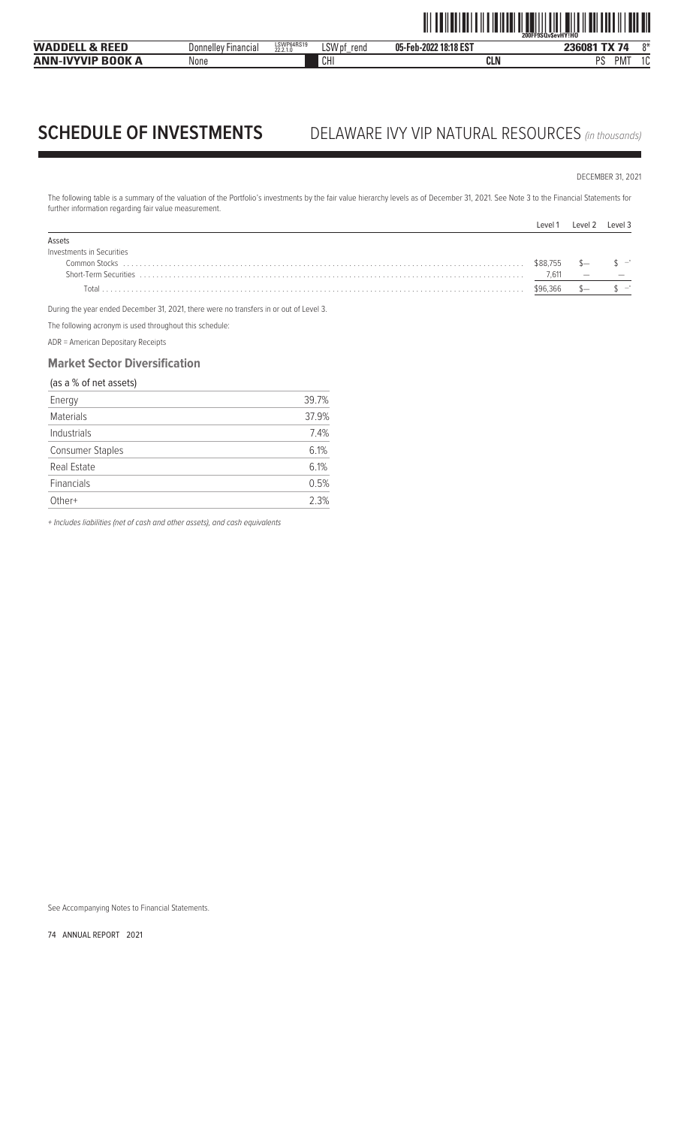|                           |                            |                        |                | <u>TII TII III II TII</u> | <b>THILLE</b><br>III III<br>200FF9SQvSevHY!HO |    |
|---------------------------|----------------------------|------------------------|----------------|---------------------------|-----------------------------------------------|----|
| <b>WADDELL &amp; REED</b> | <b>Donnelley Financial</b> | LSWP64RS19<br>22.2.1.0 | LSW pf<br>rend | 05-Feb-2022 18:18 EST     | 236081 TX 74                                  | Q* |
| <b>ANN-IVYVIP BOOK A</b>  | None                       |                        | CH             | <b>CLN</b>                | PS<br>PMT                                     | 10 |

# **SCHEDULE OF INVESTMENTS** DELAWARE IVY VIP NATURAL RESOURCES (in thousands)

DECEMBER 31, 2021

The following table is a summary of the valuation of the Portfolio's investments by the fair value hierarchy levels as of December 31, 2021. See Note 3 to the Financial Statements for further information regarding fair value measurement.

|                                  | Level 1  | Level 2 | Level 3 |
|----------------------------------|----------|---------|---------|
| Assets                           |          |         |         |
| <b>Investments in Securities</b> |          |         |         |
|                                  | \$88,755 | $S-$    |         |
|                                  | 7.611    |         |         |
| Total                            | \$96.366 |         |         |

During the year ended December 31, 2021, there were no transfers in or out of Level 3.

The following acronym is used throughout this schedule:

ADR = American Depositary Receipts

## **Market Sector Diversification**

## (as a % of net assets)

| Energy                  | 39.7% |
|-------------------------|-------|
| <b>Materials</b>        | 37.9% |
| <b>Industrials</b>      | 74%   |
| <b>Consumer Staples</b> | 6.1%  |
| Real Estate             | 6.1%  |
| Financials              | 0.5%  |
| Other+                  | 2.3%  |

+ Includes liabilities (net of cash and other assets), and cash equivalents

See Accompanying Notes to Financial Statements.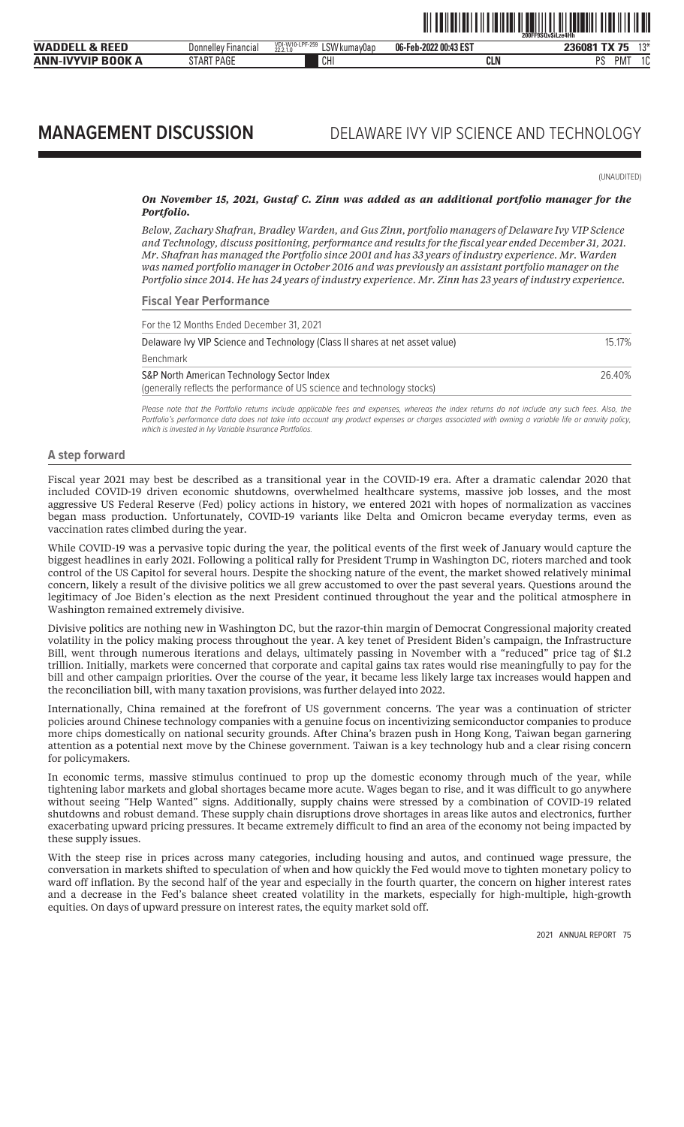| <b>DEED</b><br><b>WAD</b><br>$\tilde{\phantom{a}}$           | ' Financial<br><b>Donnelley</b> | VDI-W10-LPF-259<br>∟SW<br>√kumav0an<br>22.2.1.0 | 06-Feb-2022 00:43 EST | $12*$<br>ιυ.                            |
|--------------------------------------------------------------|---------------------------------|-------------------------------------------------|-----------------------|-----------------------------------------|
| $\cdot$ BOOK $\prime$<br><b>VIP</b><br><b>ANN</b><br>. I V V | <b>IART PACT</b>                | $\sim$<br>.                                     | <b>CLN</b>            | <sub>DC</sub><br>PM <sup>-</sup><br>. . |

## **MANAGEMENT DISCUSSION** DELAWARE IVY VIP SCIENCE AND TECHNOLOGY

### (UNAUDITED)

## *On November 15, 2021, Gustaf C. Zinn was added as an additional portfolio manager for the Portfolio.*

*Below, Zachary Shafran, Bradley Warden, and Gus Zinn, portfolio managers of Delaware Ivy VIP Science and Technology, discuss positioning, performance and results for the fiscal year ended December 31, 2021. Mr. Shafran has managed the Portfolio since 2001 and has 33 years of industry experience. Mr. Warden was named portfolio manager in October 2016 and was previously an assistant portfolio manager on the Portfolio since 2014. He has 24 years of industry experience. Mr. Zinn has 23 years of industry experience.*

**Fiscal Year Performance**

| 15 17% |
|--------|
|        |
| 26.40% |
|        |

Please note that the Portfolio returns include applicable fees and expenses, whereas the index returns do not include any such fees. Also, the Portfolio's performance data does not take into account any product expenses or charges associated with owning a variable life or annuity policy, which is invested in Ivy Variable Insurance Portfolios.

## **A step forward**

Fiscal year 2021 may best be described as a transitional year in the COVID-19 era. After a dramatic calendar 2020 that included COVID-19 driven economic shutdowns, overwhelmed healthcare systems, massive job losses, and the most aggressive US Federal Reserve (Fed) policy actions in history, we entered 2021 with hopes of normalization as vaccines began mass production. Unfortunately, COVID-19 variants like Delta and Omicron became everyday terms, even as vaccination rates climbed during the year.

While COVID-19 was a pervasive topic during the year, the political events of the first week of January would capture the biggest headlines in early 2021. Following a political rally for President Trump in Washington DC, rioters marched and took control of the US Capitol for several hours. Despite the shocking nature of the event, the market showed relatively minimal concern, likely a result of the divisive politics we all grew accustomed to over the past several years. Questions around the legitimacy of Joe Biden's election as the next President continued throughout the year and the political atmosphere in Washington remained extremely divisive.

Divisive politics are nothing new in Washington DC, but the razor-thin margin of Democrat Congressional majority created volatility in the policy making process throughout the year. A key tenet of President Biden's campaign, the Infrastructure Bill, went through numerous iterations and delays, ultimately passing in November with a "reduced" price tag of \$1.2 trillion. Initially, markets were concerned that corporate and capital gains tax rates would rise meaningfully to pay for the bill and other campaign priorities. Over the course of the year, it became less likely large tax increases would happen and the reconciliation bill, with many taxation provisions, was further delayed into 2022.

Internationally, China remained at the forefront of US government concerns. The year was a continuation of stricter policies around Chinese technology companies with a genuine focus on incentivizing semiconductor companies to produce more chips domestically on national security grounds. After China's brazen push in Hong Kong, Taiwan began garnering attention as a potential next move by the Chinese government. Taiwan is a key technology hub and a clear rising concern for policymakers.

In economic terms, massive stimulus continued to prop up the domestic economy through much of the year, while tightening labor markets and global shortages became more acute. Wages began to rise, and it was difficult to go anywhere without seeing "Help Wanted" signs. Additionally, supply chains were stressed by a combination of COVID-19 related shutdowns and robust demand. These supply chain disruptions drove shortages in areas like autos and electronics, further exacerbating upward pricing pressures. It became extremely difficult to find an area of the economy not being impacted by these supply issues.

With the steep rise in prices across many categories, including housing and autos, and continued wage pressure, the conversation in markets shifted to speculation of when and how quickly the Fed would move to tighten monetary policy to ward off inflation. By the second half of the year and especially in the fourth quarter, the concern on higher interest rates and a decrease in the Fed's balance sheet created volatility in the markets, especially for high-multiple, high-growth equities. On days of upward pressure on interest rates, the equity market sold off.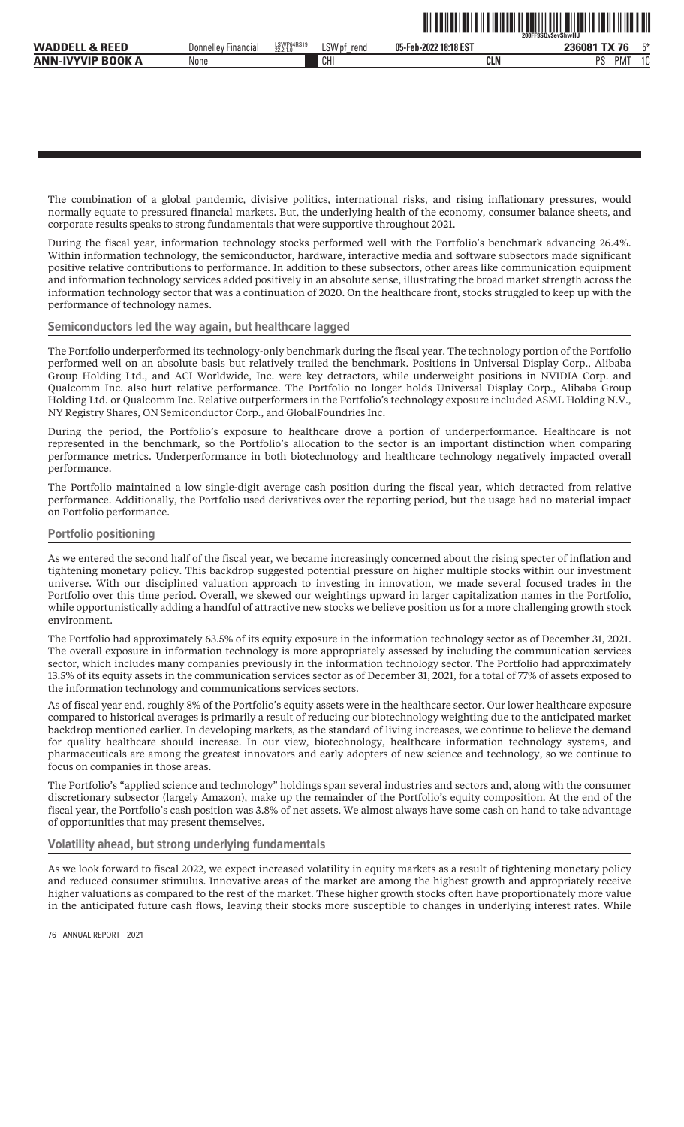|                                               |                                |                        |               |                       | 200FF9SQvSevShwHJ                            |             |
|-----------------------------------------------|--------------------------------|------------------------|---------------|-----------------------|----------------------------------------------|-------------|
| <b>REED</b><br><b>WAI</b><br>$\bullet$<br>--- | <b>Financial</b><br>Donnelley' | LSWP64RS19<br>22.2.1.0 | LSW r<br>rend | 05-Feb-2022 18:18 EST | $\mathbf{z}$<br>--                           | mж.         |
| <b>LIVYVIP ROOK</b><br><b>ANN</b>             | None                           |                        | CHI           | <b>CLN</b>            | <sub>D</sub> <sub>C</sub><br>PM <sup>-</sup> | $\sim$<br>u |

ˆ200FF9SQv\$evShwHJŠ **200FF9SQv\$evShwHJ**

The combination of a global pandemic, divisive politics, international risks, and rising inflationary pressures, would normally equate to pressured financial markets. But, the underlying health of the economy, consumer balance sheets, and corporate results speaks to strong fundamentals that were supportive throughout 2021.

During the fiscal year, information technology stocks performed well with the Portfolio's benchmark advancing 26.4%. Within information technology, the semiconductor, hardware, interactive media and software subsectors made significant positive relative contributions to performance. In addition to these subsectors, other areas like communication equipment and information technology services added positively in an absolute sense, illustrating the broad market strength across the information technology sector that was a continuation of 2020. On the healthcare front, stocks struggled to keep up with the performance of technology names.

### **Semiconductors led the way again, but healthcare lagged**

The Portfolio underperformed its technology-only benchmark during the fiscal year. The technology portion of the Portfolio performed well on an absolute basis but relatively trailed the benchmark. Positions in Universal Display Corp., Alibaba Group Holding Ltd., and ACI Worldwide, Inc. were key detractors, while underweight positions in NVIDIA Corp. and Qualcomm Inc. also hurt relative performance. The Portfolio no longer holds Universal Display Corp., Alibaba Group Holding Ltd. or Qualcomm Inc. Relative outperformers in the Portfolio's technology exposure included ASML Holding N.V., NY Registry Shares, ON Semiconductor Corp., and GlobalFoundries Inc.

During the period, the Portfolio's exposure to healthcare drove a portion of underperformance. Healthcare is not represented in the benchmark, so the Portfolio's allocation to the sector is an important distinction when comparing performance metrics. Underperformance in both biotechnology and healthcare technology negatively impacted overall performance.

The Portfolio maintained a low single-digit average cash position during the fiscal year, which detracted from relative performance. Additionally, the Portfolio used derivatives over the reporting period, but the usage had no material impact on Portfolio performance.

## **Portfolio positioning**

As we entered the second half of the fiscal year, we became increasingly concerned about the rising specter of inflation and tightening monetary policy. This backdrop suggested potential pressure on higher multiple stocks within our investment universe. With our disciplined valuation approach to investing in innovation, we made several focused trades in the Portfolio over this time period. Overall, we skewed our weightings upward in larger capitalization names in the Portfolio, while opportunistically adding a handful of attractive new stocks we believe position us for a more challenging growth stock environment.

The Portfolio had approximately 63.5% of its equity exposure in the information technology sector as of December 31, 2021. The overall exposure in information technology is more appropriately assessed by including the communication services sector, which includes many companies previously in the information technology sector. The Portfolio had approximately 13.5% of its equity assets in the communication services sector as of December 31, 2021, for a total of 77% of assets exposed to the information technology and communications services sectors.

As of fiscal year end, roughly 8% of the Portfolio's equity assets were in the healthcare sector. Our lower healthcare exposure compared to historical averages is primarily a result of reducing our biotechnology weighting due to the anticipated market backdrop mentioned earlier. In developing markets, as the standard of living increases, we continue to believe the demand for quality healthcare should increase. In our view, biotechnology, healthcare information technology systems, and pharmaceuticals are among the greatest innovators and early adopters of new science and technology, so we continue to focus on companies in those areas.

The Portfolio's "applied science and technology" holdings span several industries and sectors and, along with the consumer discretionary subsector (largely Amazon), make up the remainder of the Portfolio's equity composition. At the end of the fiscal year, the Portfolio's cash position was 3.8% of net assets. We almost always have some cash on hand to take advantage of opportunities that may present themselves.

### **Volatility ahead, but strong underlying fundamentals**

As we look forward to fiscal 2022, we expect increased volatility in equity markets as a result of tightening monetary policy and reduced consumer stimulus. Innovative areas of the market are among the highest growth and appropriately receive higher valuations as compared to the rest of the market. These higher growth stocks often have proportionately more value in the anticipated future cash flows, leaving their stocks more susceptible to changes in underlying interest rates. While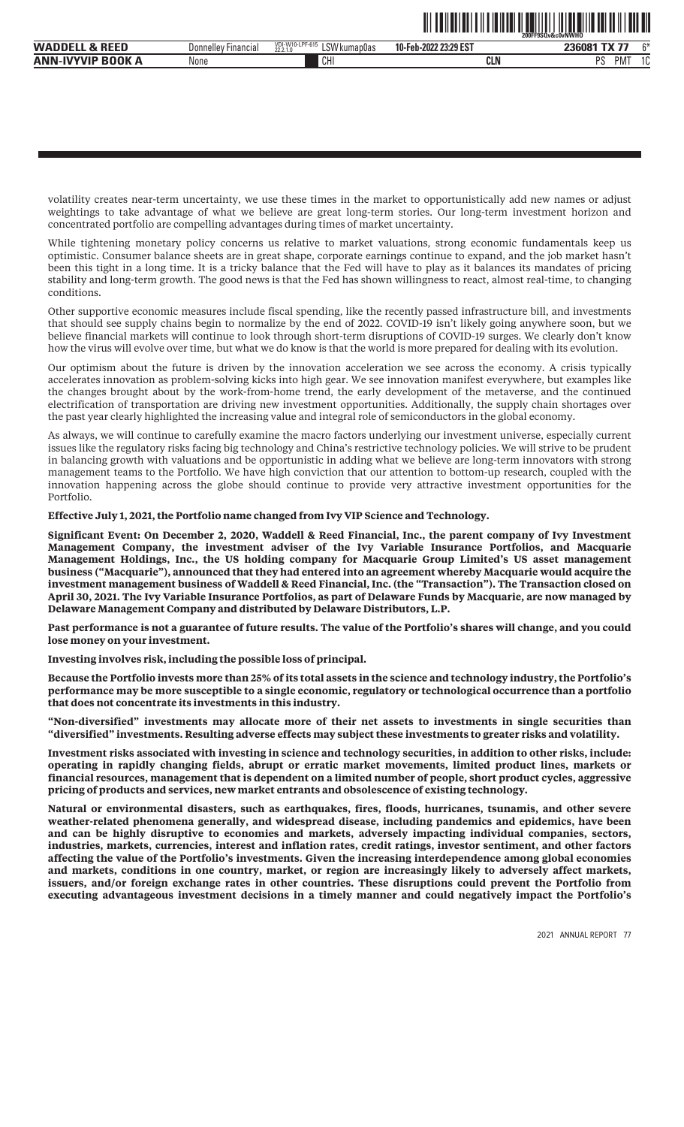|                                         |                        |                                                                    |                       | 200FF9SQv&c0vNWHO                            |        |
|-----------------------------------------|------------------------|--------------------------------------------------------------------|-----------------------|----------------------------------------------|--------|
| <b>REED</b><br><b>WADDI</b><br>ឹ<br>. . | -ınancıal<br>Donnelley | JOI-W10-LPF<br>0.007<br>1/51<br>LSW kumap0as<br>-- 015<br>22.2.1.0 | 10-Feb-2022 23:29 EST | IX                                           | $\sim$ |
| <b>'-IVYVIP BOOK A</b><br><b>ANN</b>    | None                   | CHI                                                                | <b>CLN</b>            | <sub>D</sub> <sub>C</sub><br>PM <sup>-</sup> | . .    |

ˆ200FF9SQv&c0vNWHOŠ **200FF9SQv&c0vNWHO**

volatility creates near-term uncertainty, we use these times in the market to opportunistically add new names or adjust weightings to take advantage of what we believe are great long-term stories. Our long-term investment horizon and concentrated portfolio are compelling advantages during times of market uncertainty.

While tightening monetary policy concerns us relative to market valuations, strong economic fundamentals keep us optimistic. Consumer balance sheets are in great shape, corporate earnings continue to expand, and the job market hasn't been this tight in a long time. It is a tricky balance that the Fed will have to play as it balances its mandates of pricing stability and long-term growth. The good news is that the Fed has shown willingness to react, almost real-time, to changing conditions.

Other supportive economic measures include fiscal spending, like the recently passed infrastructure bill, and investments that should see supply chains begin to normalize by the end of 2022. COVID-19 isn't likely going anywhere soon, but we believe financial markets will continue to look through short-term disruptions of COVID-19 surges. We clearly don't know how the virus will evolve over time, but what we do know is that the world is more prepared for dealing with its evolution.

Our optimism about the future is driven by the innovation acceleration we see across the economy. A crisis typically accelerates innovation as problem-solving kicks into high gear. We see innovation manifest everywhere, but examples like the changes brought about by the work-from-home trend, the early development of the metaverse, and the continued electrification of transportation are driving new investment opportunities. Additionally, the supply chain shortages over the past year clearly highlighted the increasing value and integral role of semiconductors in the global economy.

As always, we will continue to carefully examine the macro factors underlying our investment universe, especially current issues like the regulatory risks facing big technology and China's restrictive technology policies. We will strive to be prudent in balancing growth with valuations and be opportunistic in adding what we believe are long-term innovators with strong management teams to the Portfolio. We have high conviction that our attention to bottom-up research, coupled with the innovation happening across the globe should continue to provide very attractive investment opportunities for the Portfolio.

### **Effective July 1, 2021, the Portfolio name changed from Ivy VIP Science and Technology.**

**Significant Event: On December 2, 2020, Waddell & Reed Financial, Inc., the parent company of Ivy Investment Management Company, the investment adviser of the Ivy Variable Insurance Portfolios, and Macquarie Management Holdings, Inc., the US holding company for Macquarie Group Limited's US asset management business ("Macquarie"), announced that they had entered into an agreement whereby Macquarie would acquire the investment management business of Waddell & Reed Financial, Inc. (the "Transaction"). The Transaction closed on April 30, 2021. The Ivy Variable Insurance Portfolios, as part of Delaware Funds by Macquarie, are now managed by Delaware Management Company and distributed by Delaware Distributors, L.P.**

**Past performance is not a guarantee of future results. The value of the Portfolio's shares will change, and you could lose money on your investment.**

**Investing involves risk, including the possible loss of principal.**

**Because the Portfolio invests more than 25% of its total assets in the science and technology industry, the Portfolio's performance may be more susceptible to a single economic, regulatory or technological occurrence than a portfolio that does not concentrate its investments in this industry.**

**"Non-diversified" investments may allocate more of their net assets to investments in single securities than "diversified" investments. Resulting adverse effects may subject these investments to greater risks and volatility.**

**Investment risks associated with investing in science and technology securities, in addition to other risks, include: operating in rapidly changing fields, abrupt or erratic market movements, limited product lines, markets or financial resources, management that is dependent on a limited number of people, short product cycles, aggressive pricing of products and services, new market entrants and obsolescence of existing technology.**

**Natural or environmental disasters, such as earthquakes, fires, floods, hurricanes, tsunamis, and other severe weather-related phenomena generally, and widespread disease, including pandemics and epidemics, have been and can be highly disruptive to economies and markets, adversely impacting individual companies, sectors, industries, markets, currencies, interest and inflation rates, credit ratings, investor sentiment, and other factors affecting the value of the Portfolio's investments. Given the increasing interdependence among global economies and markets, conditions in one country, market, or region are increasingly likely to adversely affect markets, issuers, and/or foreign exchange rates in other countries. These disruptions could prevent the Portfolio from executing advantageous investment decisions in a timely manner and could negatively impact the Portfolio's**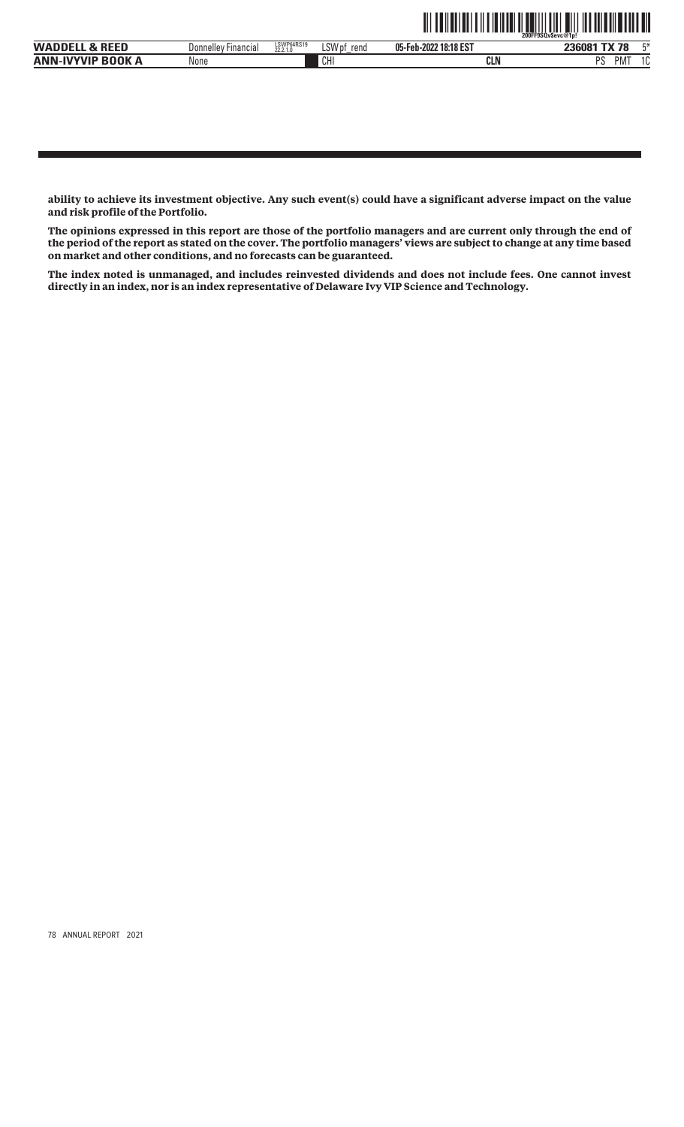|                                     |                        |                        |                | ----------------------------<br>.<br>.<br>200FF9SQvSevc@1p! |                                              |              |
|-------------------------------------|------------------------|------------------------|----------------|-------------------------------------------------------------|----------------------------------------------|--------------|
| <b>REED</b><br><b>WADDELL</b><br>х. | Financial<br>Donnellev | LSWP64RS19<br>22.2.1.0 | LSW pf<br>rend | 05-Feb-2022 18:18 EST                                       | 70<br>236081                                 | $F*$         |
| <b>A-IVYVIP BOOK</b><br><b>ANN</b>  | None                   |                        | CH             | <b>CLN</b>                                                  | <sub>D</sub> <sub>C</sub><br>PM <sup>-</sup> | $\sim$<br>ΙU |

ˆ200FF9SQv\$evc@1p!Š **200FF9SQv\$evc@1p!**

**ability to achieve its investment objective. Any such event(s) could have a significant adverse impact on the value and risk profile of the Portfolio.**

**The opinions expressed in this report are those of the portfolio managers and are current only through the end of the period of the report as stated on the cover. The portfolio managers' views are subject to change at any time based on market and other conditions, and no forecasts can be guaranteed.**

**The index noted is unmanaged, and includes reinvested dividends and does not include fees. One cannot invest directly in an index, nor is an index representative of Delaware Ivy VIP Science and Technology.**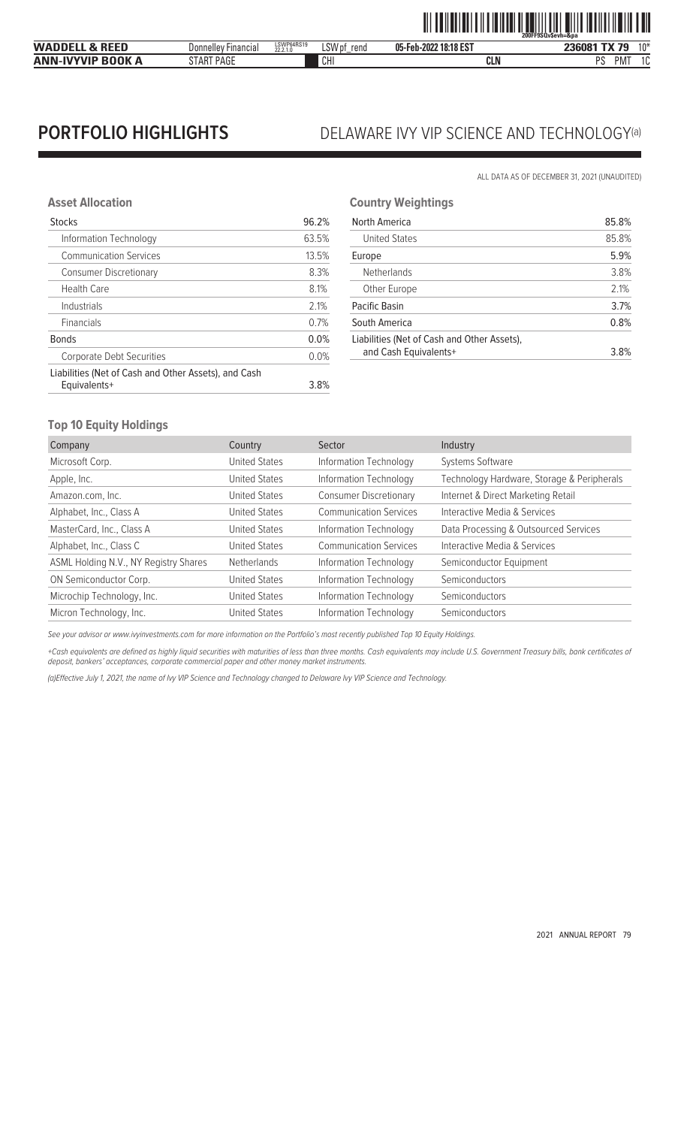|                                    |                            |                        |                |                       | 200FF9SQvSevh=&pa     |        |
|------------------------------------|----------------------------|------------------------|----------------|-----------------------|-----------------------|--------|
| <b>REED</b><br>WADDELL<br>ឹ<br>. . | <b>Donnelley Financial</b> | LSWP64RS19<br>22.2.1.0 | LSW pf<br>rend | 05-Feb-2022 18:18 EST | 236081<br>70<br>$-1$  | $10*$  |
| <b>IVYVIP BOOK A</b><br><b>ANN</b> | ART PAGE<br>'AK            |                        | PIII<br>uпı    | <b>CLN</b>            | DC<br>PM <sup>-</sup> | $\sim$ |
|                                    |                            |                        |                |                       |                       |        |

# **PORTFOLIO HIGHLIGHTS** DELAWARE IVY VIP SCIENCE AND TECHNOLOGY<sup>(a)</sup>

## **Asset Allocation**

| <b>Stocks</b>                                        | 96.2% |
|------------------------------------------------------|-------|
| Information Technology                               | 63.5% |
| <b>Communication Services</b>                        | 13.5% |
| Consumer Discretionary                               | 8.3%  |
| Health Care                                          | 8.1%  |
| Industrials                                          | 21%   |
| <b>Financials</b>                                    | 0.7%  |
| <b>Bonds</b>                                         | 0.0%  |
| Corporate Debt Securities                            | 0.0%  |
| Liabilities (Net of Cash and Other Assets), and Cash |       |
| Equivalents+                                         | 3.8%  |

ALL DATA AS OF DECEMBER 31, 2021 (UNAUDITED)

ˆ200FF9SQv\$evh=&paŠ **200FF9SQv\$evh=&pa**

## **Country Weightings**

| North America                                                        | 85.8% |
|----------------------------------------------------------------------|-------|
| <b>United States</b>                                                 | 85.8% |
| Europe                                                               | 5.9%  |
| <b>Netherlands</b>                                                   | 3.8%  |
| Other Europe                                                         | 21%   |
| Pacific Basin                                                        | 3.7%  |
| South America                                                        | 0.8%  |
| Liabilities (Net of Cash and Other Assets),<br>and Cash Equivalents+ | 3.8%  |

## **Top 10 Equity Holdings**

| Company                               | Country              | Sector                        | Industry                                   |
|---------------------------------------|----------------------|-------------------------------|--------------------------------------------|
| Microsoft Corp.                       | <b>United States</b> | Information Technology        | Systems Software                           |
| Apple, Inc.                           | <b>United States</b> | Information Technology        | Technology Hardware, Storage & Peripherals |
| Amazon.com, Inc.                      | <b>United States</b> | <b>Consumer Discretionary</b> | Internet & Direct Marketing Retail         |
| Alphabet, Inc., Class A               | <b>United States</b> | <b>Communication Services</b> | Interactive Media & Services               |
| MasterCard, Inc., Class A             | <b>United States</b> | Information Technology        | Data Processing & Outsourced Services      |
| Alphabet, Inc., Class C               | <b>United States</b> | <b>Communication Services</b> | Interactive Media & Services               |
| ASML Holding N.V., NY Registry Shares | <b>Netherlands</b>   | Information Technology        | Semiconductor Equipment                    |
| ON Semiconductor Corp.                | <b>United States</b> | Information Technology        | Semiconductors                             |
| Microchip Technology, Inc.            | <b>United States</b> | Information Technology        | Semiconductors                             |
| Micron Technology, Inc.               | <b>United States</b> | Information Technology        | Semiconductors                             |

See your advisor or www.ivyinvestments.com for more information on the Portfolio's most recently published Top 10 Equity Holdings.

+Cash equivalents are defined as highly liquid securities with maturities of less than three months. Cash equivalents may include U.S. Government Treasury bills, bank certificates of deposit, bankers' acceptances, corporate commercial paper and other money market instruments.

(a)Effective July 1, 2021, the name of Ivy VIP Science and Technology changed to Delaware Ivy VIP Science and Technology.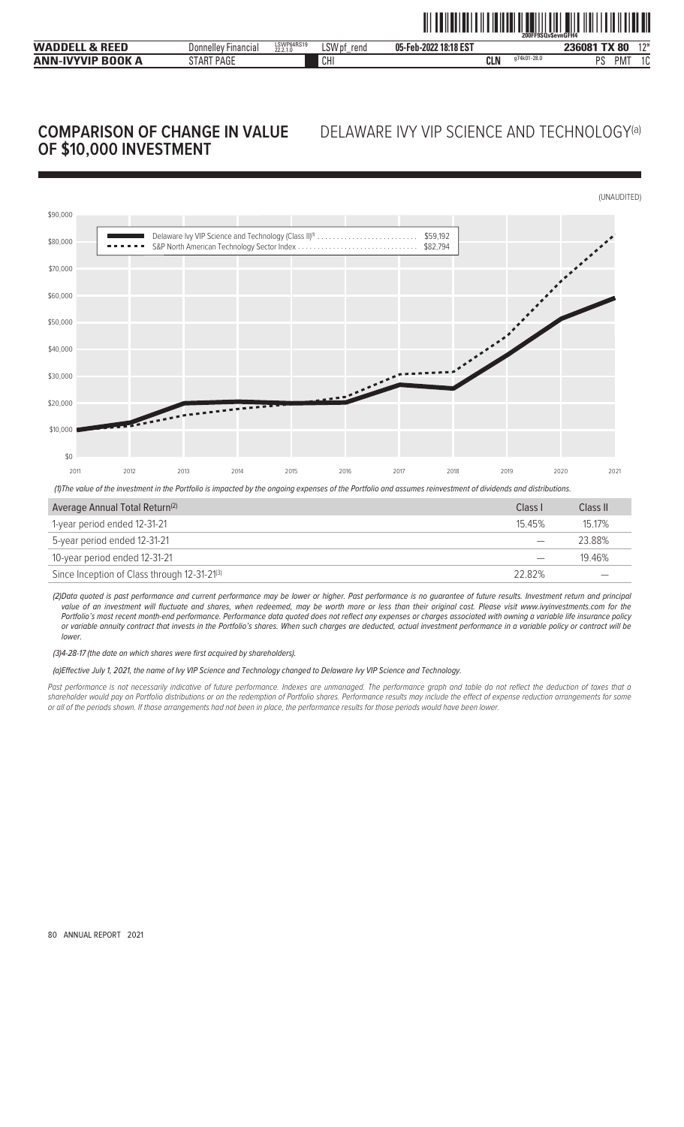| 80<br>TV.       | $12*$  |
|-----------------|--------|
| PM <sup>-</sup> | $\sim$ |
|                 |        |

**COMPARISON OF CHANGE IN VALUE OF \$10,000 INVESTMENT**

## DELAWARE IVY VIP SCIENCE AND TECHNOLOGY<sup>(a)</sup>

ˆ200FF9SQv\$evnGFH4Š **200FF9SQv\$evnGFH4**



| Average Annual Total Return <sup>(2)</sup>   | Class <sub>I</sub> | Class II |
|----------------------------------------------|--------------------|----------|
| 1-year period ended 12-31-21                 | 1545%              | 15.17%   |
| 5-year period ended 12-31-21                 |                    | 23.88%   |
| 10-year period ended 12-31-21                |                    | 19.46%   |
| Since Inception of Class through 12-31-21(3) | 2282%              |          |

(2)Data quoted is past performance and current performance may be lower or higher. Past performance is no guarantee of future results. Investment return and principal value of an investment will fluctuate and shares, when redeemed, may be worth more or less than their original cost. Please visit www.ivyinvestments.com for the Portfolio's most recent month-end performance. Performance data quoted does not reflect any expenses or charges associated with owning a variable life insurance policy or variable annuity contract that invests in the Portfolio's shares. When such charges are deducted, actual investment performance in a variable policy or contract will be lower.

(3)4-28-17 (the date on which shares were first acquired by shareholders).

### (a)Effective July 1, 2021, the name of Ivy VIP Science and Technology changed to Delaware Ivy VIP Science and Technology.

Past performance is not necessarily indicative of future performance. Indexes are unmanaged. The performance graph and table do not reflect the deduction of taxes that a shareholder would pay on Portfolio distributions or on the redemption of Portfolio shares. Performance results may include the effect of expense reduction arrangements for some or all of the periods shown. If those arrangements had not been in place, the performance results for those periods would have been lower.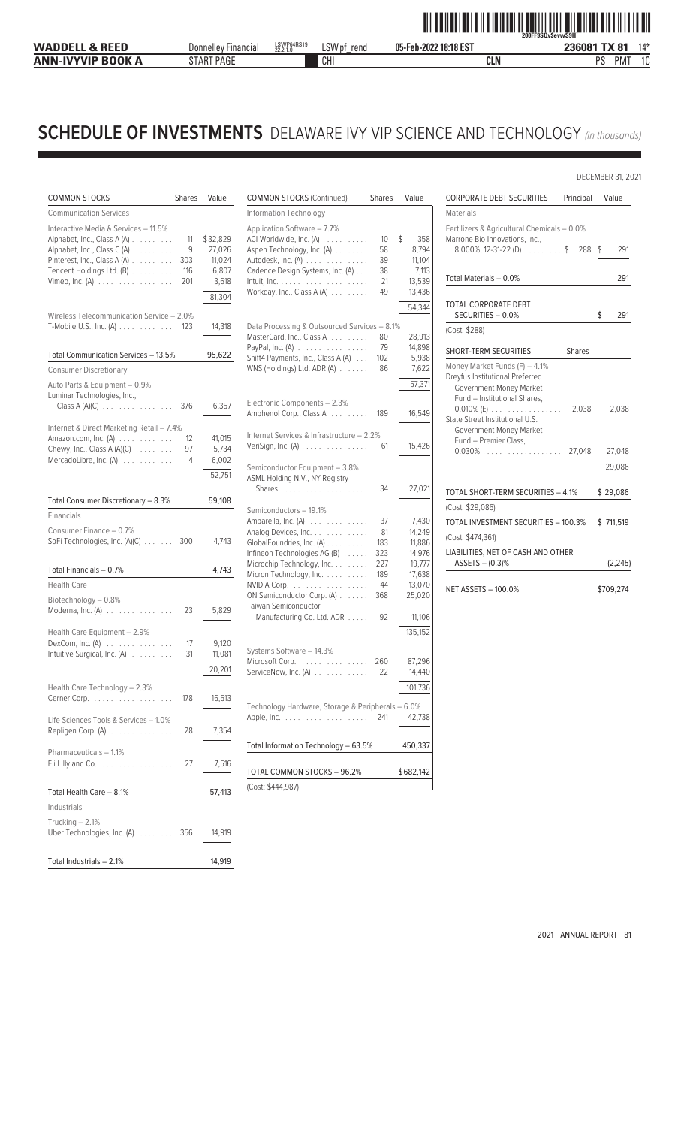| LSWP64RS19<br><b>WADDELL &amp; REED</b><br>LSW pf<br>236081 TX 81<br>05-Feb-2022 18:18 EST<br><b>Donnelley Financial</b><br>rend<br>22.2.1.0 |  |  | 200FF9SQvSevwS9H |  |
|----------------------------------------------------------------------------------------------------------------------------------------------|--|--|------------------|--|
|                                                                                                                                              |  |  | $14*$            |  |
| CHI<br>START PAGE<br><b>ANN-IVYVIP BOOK A</b><br><b>CLN</b><br>PS<br><b>PMT</b>                                                              |  |  | 10               |  |

# **SCHEDULE OF INVESTMENTS** DELAWARE IVY VIP SCIENCE AND TECHNOLOGY (in thousands)

| <b>COMMON STOCKS</b>                                                                                                                                                               | Shares                       | Value                                                    |
|------------------------------------------------------------------------------------------------------------------------------------------------------------------------------------|------------------------------|----------------------------------------------------------|
| <b>Communication Services</b>                                                                                                                                                      |                              |                                                          |
| Interactive Media & Services - 11.5%<br>Alphabet, Inc., Class A (A)<br>Alphabet, Inc., Class C (A)<br>Pinterest, Inc., Class A (A)<br>Tencent Holdings Ltd. (B)<br>Vimeo, Inc. (A) | 11<br>9<br>303<br>116<br>201 | \$32,829<br>27,026<br>11,024<br>6,807<br>3,618<br>81,304 |
| Wireless Telecommunication Service - 2.0%<br>T-Mobile U.S., Inc. (A) $\dots$                                                                                                       | 123                          | 14,318                                                   |
| Total Communication Services - 13.5%                                                                                                                                               |                              | 95,622                                                   |
| <b>Consumer Discretionary</b>                                                                                                                                                      |                              |                                                          |
| Auto Parts & Equipment — 0.9%<br>Luminar Technologies, Inc.,<br>Class A $(A)(C)$                                                                                                   | 376                          | 6,357                                                    |
| Internet & Direct Marketing Retail - 7.4%<br>Amazon.com, Inc. (A) $\ldots \ldots \ldots$<br>Chewy, Inc., Class A $(A)(C)$<br>MercadoLibre, Inc. $(A)$                              | 12<br>97<br>4                | 41,015<br>5,734<br>6,002<br>52,751                       |
| Total Consumer Discretionary - 8.3%                                                                                                                                                |                              | 59,108                                                   |
| <b>Financials</b>                                                                                                                                                                  |                              |                                                          |
| Consumer Finance - 0.7%<br>SoFi Technologies, Inc. (A)(C)                                                                                                                          | 300                          | 4,743                                                    |
| Total Financials - 0.7%                                                                                                                                                            |                              | 4,743                                                    |
| <b>Health Care</b>                                                                                                                                                                 |                              |                                                          |
| Biotechnology - 0.8%<br>Moderna, Inc. $(A)$                                                                                                                                        | 23                           | 5,829                                                    |
| Health Care Equipment - 2.9%<br>DexCom, Inc. $(A)$<br>Intuitive Surgical, Inc. $(A)$                                                                                               | 17<br>31                     | 9,120<br>11,081<br>20,201                                |
| Health Care Technology - 2.3%                                                                                                                                                      | 178                          | 16,513                                                   |
| Life Sciences Tools & Services - 1.0%<br>Repligen Corp. $(A)$                                                                                                                      | 28                           | 7,354                                                    |
| Pharmaceuticals - 1.1%<br>Eli Lilly and Co.                                                                                                                                        | 27                           | 7,516                                                    |
| Total Health Care - 8.1%                                                                                                                                                           |                              | 57,413                                                   |
| Industrials                                                                                                                                                                        |                              |                                                          |
| Trucking $-2.1%$<br>Uber Technologies, Inc. (A) 356                                                                                                                                |                              | 14,919                                                   |
| Total Industrials - 2.1%                                                                                                                                                           |                              | 14,919                                                   |

| <b>COMMON STOCKS (Continued)</b>                                                                                                                                                                                                                                                                  | <b>Shares</b>                                           | Value                                                                                 |
|---------------------------------------------------------------------------------------------------------------------------------------------------------------------------------------------------------------------------------------------------------------------------------------------------|---------------------------------------------------------|---------------------------------------------------------------------------------------|
| Information Technology                                                                                                                                                                                                                                                                            |                                                         |                                                                                       |
| Application Software - 7.7%<br>ACI Worldwide, Inc. (A)<br>Aspen Technology, Inc. (A)<br>Autodesk, Inc. $(A)$<br>Cadence Design Systems, Inc. (A)<br>Workday, Inc., Class A $(A)$                                                                                                                  | 10<br>58<br>39<br>38<br>21<br>49                        | \$<br>358<br>8,794<br>11,104<br>7,113<br>13,539<br>13,436                             |
|                                                                                                                                                                                                                                                                                                   |                                                         | 54,344                                                                                |
| Data Processing & Outsourced Services - 8.1%<br>MasterCard, Inc., Class A<br>PayPal, Inc. $(A)$<br>Shift4 Payments, Inc., Class A (A)<br>WNS (Holdings) Ltd. ADR (A)                                                                                                                              | 80<br>79<br>102<br>86                                   | 28,913<br>14,898<br>5,938<br>7,622<br>57,371                                          |
| Electronic Components - 2.3%<br>Amphenol Corp., Class A                                                                                                                                                                                                                                           | 189                                                     | 16,549                                                                                |
| Internet Services & Infrastructure - 2.2%<br>VeriSign, Inc. $(A)$                                                                                                                                                                                                                                 | 61                                                      | 15,426                                                                                |
| Semiconductor Equipment - 3.8%<br>ASML Holding N.V., NY Registry                                                                                                                                                                                                                                  | 34                                                      | 27,021                                                                                |
| Semiconductors - 19.1%<br>Ambarella, Inc. $(A)$<br>Analog Devices, Inc.<br>GlobalFoundries, Inc. (A)<br>Infineon Technologies AG (B)<br>Microchip Technology, Inc.<br>Micron Technology, Inc.<br>NVIDIA Corp.<br>ON Semiconductor Corp. (A)<br>Taiwan Semiconductor<br>Manufacturing Co. Ltd. ADR | 37<br>81<br>183<br>323<br>227<br>189<br>44<br>368<br>92 | 7,430<br>14,249<br>11,886<br>14,976<br>19,777<br>17,638<br>13,070<br>25,020<br>11,106 |
|                                                                                                                                                                                                                                                                                                   |                                                         | 135,152                                                                               |
| Systems Software - 14.3%<br>Microsoft Corp.<br>ServiceNow, Inc. (A)                                                                                                                                                                                                                               | 260<br>22                                               | 87,296<br>14,440<br>101,736                                                           |
| Technology Hardware, Storage & Peripherals - 6.0%<br>Apple, Inc. $\dots\dots\dots\dots\dots\dots\dots\dots$                                                                                                                                                                                       | 241                                                     | 42,738                                                                                |
| Total Information Technology - 63.5%                                                                                                                                                                                                                                                              |                                                         | 450,337                                                                               |
| TOTAL COMMON STOCKS - 96.2%<br>(Cost: \$444,987)                                                                                                                                                                                                                                                  |                                                         | \$682,142                                                                             |

| <b>CORPORATE DEBT SECURITIES</b>                                                                                                                                                                                                                           | Principal       | Value                     |
|------------------------------------------------------------------------------------------------------------------------------------------------------------------------------------------------------------------------------------------------------------|-----------------|---------------------------|
| Materials                                                                                                                                                                                                                                                  |                 |                           |
| Fertilizers & Agricultural Chemicals - 0.0%                                                                                                                                                                                                                |                 |                           |
| Marrone Bio Innovations, Inc.,<br>8.000%, 12-31-22 (D) $\ldots$ \$ 288                                                                                                                                                                                     |                 | \$<br>291                 |
|                                                                                                                                                                                                                                                            |                 |                           |
| Total Materials - 0.0%                                                                                                                                                                                                                                     |                 | 291                       |
|                                                                                                                                                                                                                                                            |                 |                           |
| <b>TOTAL CORPORATE DEBT</b><br>SECURITIES - 0.0%                                                                                                                                                                                                           |                 | \$<br>291                 |
|                                                                                                                                                                                                                                                            |                 |                           |
| (Cost: \$288)                                                                                                                                                                                                                                              |                 |                           |
| <b>SHORT-TERM SECURITIES</b>                                                                                                                                                                                                                               | <b>Shares</b>   |                           |
| Money Market Funds (F) - 4.1%<br>Dreyfus Institutional Preferred<br>Government Money Market<br>Fund - Institutional Shares,<br>$0.010\%$ (E)<br>State Street Institutional U.S.<br>Government Money Market<br>Fund - Premier Class,<br>$0.030\%$<br>$\sim$ | 2,038<br>27,048 | 2.038<br>27,048<br>29,086 |
| TOTAL SHORT-TERM SECURITIES - 4.1%                                                                                                                                                                                                                         |                 | \$29,086                  |
| (Cost: \$29,086)                                                                                                                                                                                                                                           |                 |                           |
| TOTAL INVESTMENT SECURITIES - 100.3%                                                                                                                                                                                                                       |                 | \$711,519                 |
| (Cost: \$474,361)                                                                                                                                                                                                                                          |                 |                           |
| LIABILITIES, NET OF CASH AND OTHER<br>$ASSETS - (0.3)\%$                                                                                                                                                                                                   |                 | (2, 245)                  |
| <b>NET ASSETS - 100.0%</b>                                                                                                                                                                                                                                 |                 | \$709.274                 |

DECEMBER 31, 2021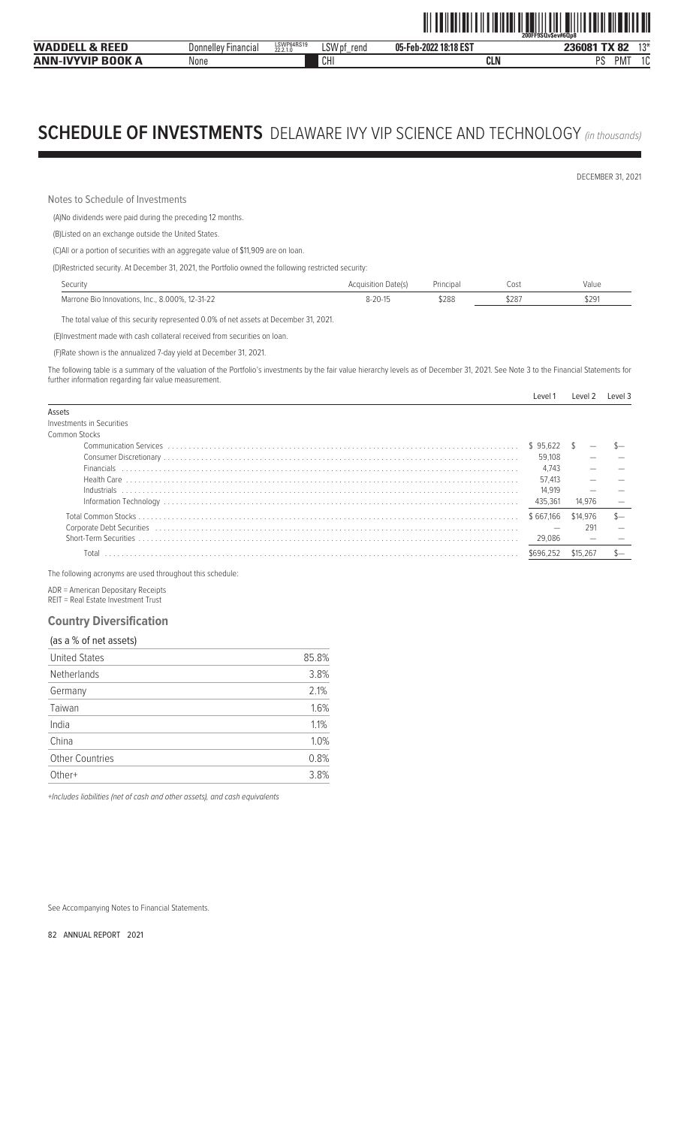|                           |                     |                        |                | $\  \ \ $             | III III<br><b>THULLER</b><br>200FF9SQvSev#6Qp8 |
|---------------------------|---------------------|------------------------|----------------|-----------------------|------------------------------------------------|
| <b>WADDELL &amp; REED</b> | Donnelley Financial | LSWP64RS19<br>22.2.1.0 | LSW pf<br>rend | 05-Feb-2022 18:18 EST | $12*$<br>236081 TX 82                          |
| <b>ANN-IVYVIP BOOK A</b>  | None                |                        | CHI            | <b>CLN</b>            | <b>PMT</b><br>PS<br>10                         |

# **SCHEDULE OF INVESTMENTS** DELAWARE IVY VIP SCIENCE AND TECHNOLOGY (in thousands)

|                                                                                                                                                                                                                                                              |                            |           |       |                     |          | DECEMBER 31, 2021 |
|--------------------------------------------------------------------------------------------------------------------------------------------------------------------------------------------------------------------------------------------------------------|----------------------------|-----------|-------|---------------------|----------|-------------------|
| Notes to Schedule of Investments                                                                                                                                                                                                                             |                            |           |       |                     |          |                   |
| (A)No dividends were paid during the preceding 12 months.                                                                                                                                                                                                    |                            |           |       |                     |          |                   |
| (B) Listed on an exchange outside the United States.                                                                                                                                                                                                         |                            |           |       |                     |          |                   |
| (C)All or a portion of securities with an aggregate value of \$11,909 are on loan.                                                                                                                                                                           |                            |           |       |                     |          |                   |
| (D)Restricted security. At December 31, 2021, the Portfolio owned the following restricted security:                                                                                                                                                         |                            |           |       |                     |          |                   |
| Security                                                                                                                                                                                                                                                     | <b>Acquisition Date(s)</b> | Principal | Cost  |                     | Value    |                   |
| Marrone Bio Innovations, Inc., 8.000%, 12-31-22                                                                                                                                                                                                              | $8 - 20 - 15$              | \$288     | \$287 |                     | \$291    |                   |
| The total value of this security represented 0.0% of net assets at December 31, 2021.                                                                                                                                                                        |                            |           |       |                     |          |                   |
| (E)Investment made with cash collateral received from securities on loan.                                                                                                                                                                                    |                            |           |       |                     |          |                   |
|                                                                                                                                                                                                                                                              |                            |           |       |                     |          |                   |
| (F)Rate shown is the annualized 7-day yield at December 31, 2021.<br>The following table is a summary of the valuation of the Portfolio's investments by the fair value hierarchy levels as of December 31, 2021. See Note 3 to the Financial Statements for |                            |           |       |                     |          |                   |
| further information regarding fair value measurement.                                                                                                                                                                                                        |                            |           |       | Level 1             | Level 2  |                   |
| Assets                                                                                                                                                                                                                                                       |                            |           |       |                     |          | Level 3           |
| Investments in Securities                                                                                                                                                                                                                                    |                            |           |       |                     |          |                   |
| Common Stocks                                                                                                                                                                                                                                                |                            |           |       | \$95.622            |          |                   |
|                                                                                                                                                                                                                                                              |                            |           |       | 59,108              |          |                   |
|                                                                                                                                                                                                                                                              |                            |           |       | 4,743               |          |                   |
|                                                                                                                                                                                                                                                              |                            |           |       | 57.413              |          |                   |
|                                                                                                                                                                                                                                                              |                            |           |       | 14,919              |          |                   |
|                                                                                                                                                                                                                                                              |                            |           |       | 435,361             | 14,976   |                   |
|                                                                                                                                                                                                                                                              |                            |           |       | \$667,166           | \$14,976 |                   |
|                                                                                                                                                                                                                                                              |                            |           |       |                     | 291      |                   |
| Short-Term Securities                                                                                                                                                                                                                                        |                            |           |       | 29.086<br>\$696,252 | \$15,267 |                   |

The following acronyms are used throughout this schedule:

ADR = American Depositary Receipts

REIT = Real Estate Investment Trust

## **Country Diversification**

| (as a % of net assets) |       |
|------------------------|-------|
| <b>United States</b>   | 85.8% |
| <b>Netherlands</b>     | 3.8%  |
| Germany                | 2.1%  |
| Taiwan                 | 1.6%  |
| India                  | 1.1%  |
| China                  | 1.0%  |
| <b>Other Countries</b> | 0.8%  |
| Other+                 | 3.8%  |
|                        |       |

+Includes liabilities (net of cash and other assets), and cash equivalents

See Accompanying Notes to Financial Statements.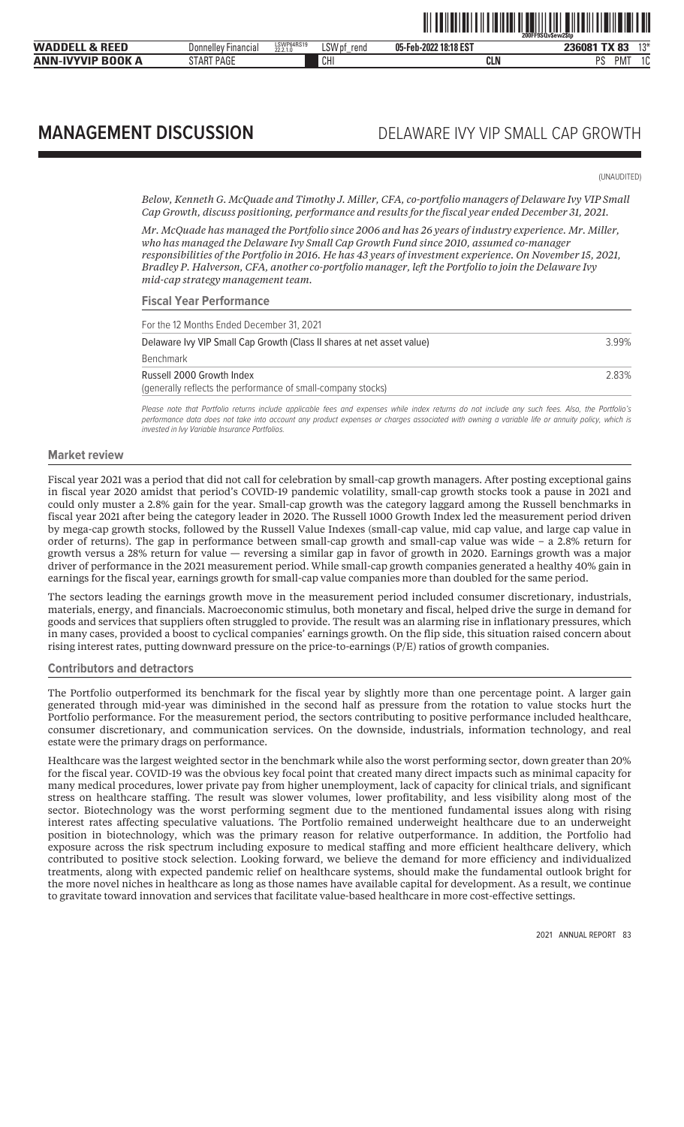| LSWP64RS19<br>LSW pf<br>18:18 EST<br><b>REED</b><br>WAL<br>$05-$<br><b>Feb-2022</b><br>Donnellev<br>rend<br>Financial<br>IDELI<br>22.2.1.0 |                         |              |
|--------------------------------------------------------------------------------------------------------------------------------------------|-------------------------|--------------|
|                                                                                                                                            | $12*$<br>TV 09<br>ıυ    |              |
| 011<br><b>CLN</b><br>TART PAGE<br>$\sqrt{R}$ ROOK $\sqrt{R}$<br>nc<br>ANN<br><b>IVVVIP</b><br>UП                                           | $D^{\text{max}}$<br>'NI | $\sim$<br>טי |

## **MANAGEMENT DISCUSSION** DELAWARE IVY VIP SMALL CAP GROWTH

ˆ200FF9SQv\$ew2\$tp‹Š **200FF9SQv\$ew2\$tp**

(UNAUDITED)

*Below, Kenneth G. McQuade and Timothy J. Miller, CFA, co-portfolio managers of Delaware Ivy VIP Small Cap Growth, discuss positioning, performance and results for the fiscal year ended December 31, 2021.*

*Mr. McQuade has managed the Portfolio since 2006 and has 26 years of industry experience. Mr. Miller, who has managed the Delaware Ivy Small Cap Growth Fund since 2010, assumed co-manager responsibilities of the Portfolio in 2016. He has 43 years of investment experience. On November 15, 2021, Bradley P. Halverson, CFA, another co-portfolio manager, left the Portfolio to join the Delaware Ivy mid-cap strategy management team.*

**Fiscal Year Performance**

| For the 12 Months Ended December 31, 2021                              |      |
|------------------------------------------------------------------------|------|
| Delaware Ivy VIP Small Cap Growth (Class II shares at net asset value) | 399% |
| Benchmark                                                              |      |
| Russell 2000 Growth Index                                              | 283% |
| (generally reflects the performance of small-company stocks)           |      |
|                                                                        |      |

Please note that Portfolio returns include applicable fees and expenses while index returns do not include any such fees. Also, the Portfolio's performance data does not take into account any product expenses or charges associated with owning a variable life or annuity policy, which is invested in Ivy Variable Insurance Portfolios.

### **Market review**

Fiscal year 2021 was a period that did not call for celebration by small-cap growth managers. After posting exceptional gains in fiscal year 2020 amidst that period's COVID-19 pandemic volatility, small-cap growth stocks took a pause in 2021 and could only muster a 2.8% gain for the year. Small-cap growth was the category laggard among the Russell benchmarks in fiscal year 2021 after being the category leader in 2020. The Russell 1000 Growth Index led the measurement period driven by mega-cap growth stocks, followed by the Russell Value Indexes (small-cap value, mid cap value, and large cap value in order of returns). The gap in performance between small-cap growth and small-cap value was wide – a 2.8% return for growth versus a 28% return for value — reversing a similar gap in favor of growth in 2020. Earnings growth was a major driver of performance in the 2021 measurement period. While small-cap growth companies generated a healthy 40% gain in earnings for the fiscal year, earnings growth for small-cap value companies more than doubled for the same period.

The sectors leading the earnings growth move in the measurement period included consumer discretionary, industrials, materials, energy, and financials. Macroeconomic stimulus, both monetary and fiscal, helped drive the surge in demand for goods and services that suppliers often struggled to provide. The result was an alarming rise in inflationary pressures, which in many cases, provided a boost to cyclical companies' earnings growth. On the flip side, this situation raised concern about rising interest rates, putting downward pressure on the price-to-earnings (P/E) ratios of growth companies.

### **Contributors and detractors**

The Portfolio outperformed its benchmark for the fiscal year by slightly more than one percentage point. A larger gain generated through mid-year was diminished in the second half as pressure from the rotation to value stocks hurt the Portfolio performance. For the measurement period, the sectors contributing to positive performance included healthcare, consumer discretionary, and communication services. On the downside, industrials, information technology, and real estate were the primary drags on performance.

Healthcare was the largest weighted sector in the benchmark while also the worst performing sector, down greater than 20% for the fiscal year. COVID-19 was the obvious key focal point that created many direct impacts such as minimal capacity for many medical procedures, lower private pay from higher unemployment, lack of capacity for clinical trials, and significant stress on healthcare staffing. The result was slower volumes, lower profitability, and less visibility along most of the sector. Biotechnology was the worst performing segment due to the mentioned fundamental issues along with rising interest rates affecting speculative valuations. The Portfolio remained underweight healthcare due to an underweight position in biotechnology, which was the primary reason for relative outperformance. In addition, the Portfolio had exposure across the risk spectrum including exposure to medical staffing and more efficient healthcare delivery, which contributed to positive stock selection. Looking forward, we believe the demand for more efficiency and individualized treatments, along with expected pandemic relief on healthcare systems, should make the fundamental outlook bright for the more novel niches in healthcare as long as those names have available capital for development. As a result, we continue to gravitate toward innovation and services that facilitate value-based healthcare in more cost-effective settings.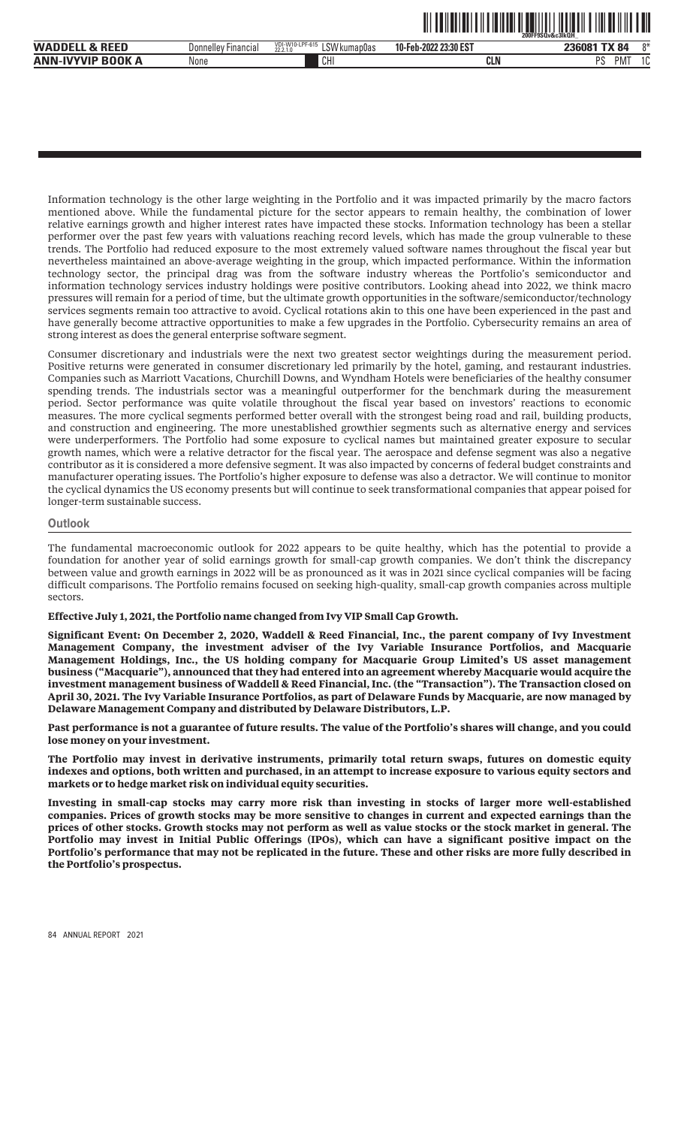|                                     |                                  |                                                  |                       | - 200FF9SQv&c31kQH                           |              |
|-------------------------------------|----------------------------------|--------------------------------------------------|-----------------------|----------------------------------------------|--------------|
| <b>REED</b><br><b>WADDELL</b><br>െ  | ' Financial<br><b>Donnelley!</b> | VDI-W10-LPF-615<br>LSW<br>V kumapüas<br>22.2.1.0 | 10-Feb-2022 23:30 EST | <b>TX 84</b><br>736081                       | $0*$         |
| <b>-IVYVIP BOOK A</b><br><b>ANN</b> | None                             | 011<br>ulll                                      | <b>CLN</b>            | <sub>D</sub> <sub>C</sub><br>PM <sup>-</sup> | $\sim$<br>ιu |

<u>oli od iloti od i oli od in od iloti oli od iloti od iloti od iloti od il</u>

Information technology is the other large weighting in the Portfolio and it was impacted primarily by the macro factors mentioned above. While the fundamental picture for the sector appears to remain healthy, the combination of lower relative earnings growth and higher interest rates have impacted these stocks. Information technology has been a stellar performer over the past few years with valuations reaching record levels, which has made the group vulnerable to these trends. The Portfolio had reduced exposure to the most extremely valued software names throughout the fiscal year but nevertheless maintained an above-average weighting in the group, which impacted performance. Within the information technology sector, the principal drag was from the software industry whereas the Portfolio's semiconductor and information technology services industry holdings were positive contributors. Looking ahead into 2022, we think macro pressures will remain for a period of time, but the ultimate growth opportunities in the software/semiconductor/technology services segments remain too attractive to avoid. Cyclical rotations akin to this one have been experienced in the past and have generally become attractive opportunities to make a few upgrades in the Portfolio. Cybersecurity remains an area of strong interest as does the general enterprise software segment.

Consumer discretionary and industrials were the next two greatest sector weightings during the measurement period. Positive returns were generated in consumer discretionary led primarily by the hotel, gaming, and restaurant industries. Companies such as Marriott Vacations, Churchill Downs, and Wyndham Hotels were beneficiaries of the healthy consumer spending trends. The industrials sector was a meaningful outperformer for the benchmark during the measurement period. Sector performance was quite volatile throughout the fiscal year based on investors' reactions to economic measures. The more cyclical segments performed better overall with the strongest being road and rail, building products, and construction and engineering. The more unestablished growthier segments such as alternative energy and services were underperformers. The Portfolio had some exposure to cyclical names but maintained greater exposure to secular growth names, which were a relative detractor for the fiscal year. The aerospace and defense segment was also a negative contributor as it is considered a more defensive segment. It was also impacted by concerns of federal budget constraints and manufacturer operating issues. The Portfolio's higher exposure to defense was also a detractor. We will continue to monitor the cyclical dynamics the US economy presents but will continue to seek transformational companies that appear poised for longer-term sustainable success.

### **Outlook**

The fundamental macroeconomic outlook for 2022 appears to be quite healthy, which has the potential to provide a foundation for another year of solid earnings growth for small-cap growth companies. We don't think the discrepancy between value and growth earnings in 2022 will be as pronounced as it was in 2021 since cyclical companies will be facing difficult comparisons. The Portfolio remains focused on seeking high-quality, small-cap growth companies across multiple sectors.

**Effective July 1, 2021, the Portfolio name changed from Ivy VIP Small Cap Growth.**

**Significant Event: On December 2, 2020, Waddell & Reed Financial, Inc., the parent company of Ivy Investment Management Company, the investment adviser of the Ivy Variable Insurance Portfolios, and Macquarie Management Holdings, Inc., the US holding company for Macquarie Group Limited's US asset management business ("Macquarie"), announced that they had entered into an agreement whereby Macquarie would acquire the investment management business of Waddell & Reed Financial, Inc. (the "Transaction"). The Transaction closed on April 30, 2021. The Ivy Variable Insurance Portfolios, as part of Delaware Funds by Macquarie, are now managed by Delaware Management Company and distributed by Delaware Distributors, L.P.**

**Past performance is not a guarantee of future results. The value of the Portfolio's shares will change, and you could lose money on your investment.**

**The Portfolio may invest in derivative instruments, primarily total return swaps, futures on domestic equity indexes and options, both written and purchased, in an attempt to increase exposure to various equity sectors and markets or to hedge market risk on individual equity securities.**

**Investing in small-cap stocks may carry more risk than investing in stocks of larger more well-established companies. Prices of growth stocks may be more sensitive to changes in current and expected earnings than the prices of other stocks. Growth stocks may not perform as well as value stocks or the stock market in general. The Portfolio may invest in Initial Public Offerings (IPOs), which can have a significant positive impact on the Portfolio's performance that may not be replicated in the future. These and other risks are more fully described in the Portfolio's prospectus.**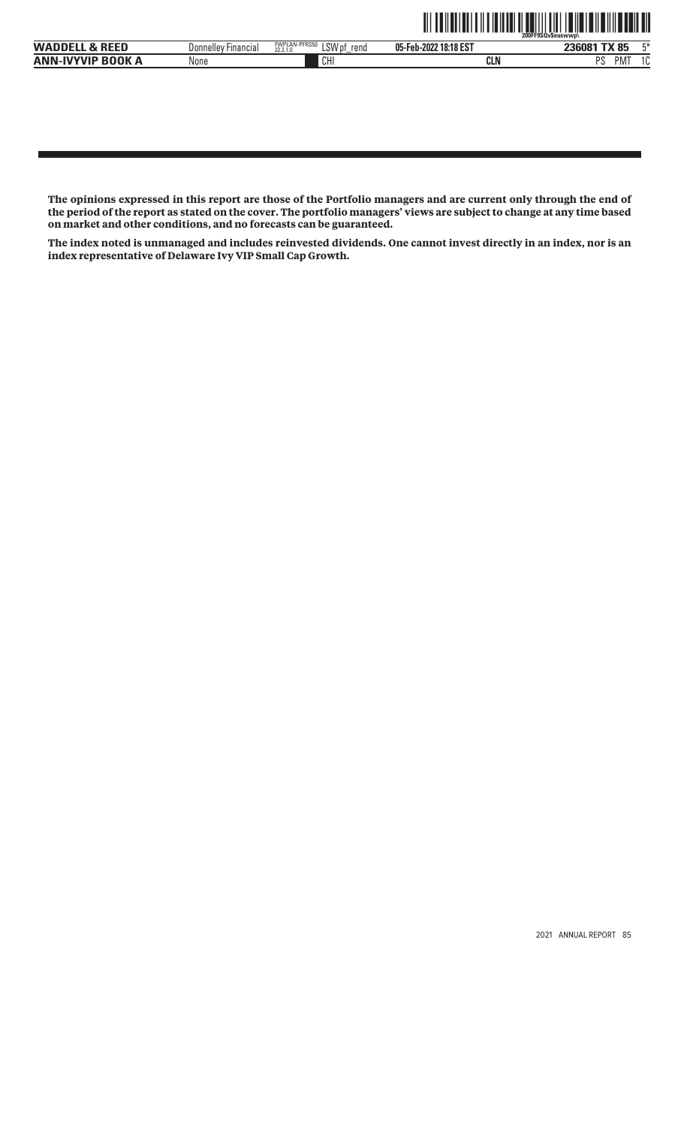|                           |                     |                                             | <b>INININI</b>        | III<br>III<br>$\mathbb{H}$<br>$\parallel \parallel \parallel$<br>200FF9SQvSeuswwp\ |
|---------------------------|---------------------|---------------------------------------------|-----------------------|------------------------------------------------------------------------------------|
| <b>WADDELL &amp; REED</b> | Donnelley Financial | FWPLAN-PFRS50<br>LSW pf<br>rend<br>22.2.1.0 | 05-Feb-2022 18:18 EST | <b>TX 85</b><br>$F^*$<br>236081                                                    |
| <b>ANN-IVYVIP BOOK A</b>  | None                | CHI                                         | <b>CLN</b>            | PMT<br>PS<br>10<br>ΙU                                                              |

**The opinions expressed in this report are those of the Portfolio managers and are current only through the end of the period of the report as stated on the cover. The portfolio managers' views are subject to change at any time based on market and other conditions, and no forecasts can be guaranteed.**

**The index noted is unmanaged and includes reinvested dividends. One cannot invest directly in an index, nor is an index representative of Delaware Ivy VIP Small Cap Growth***.*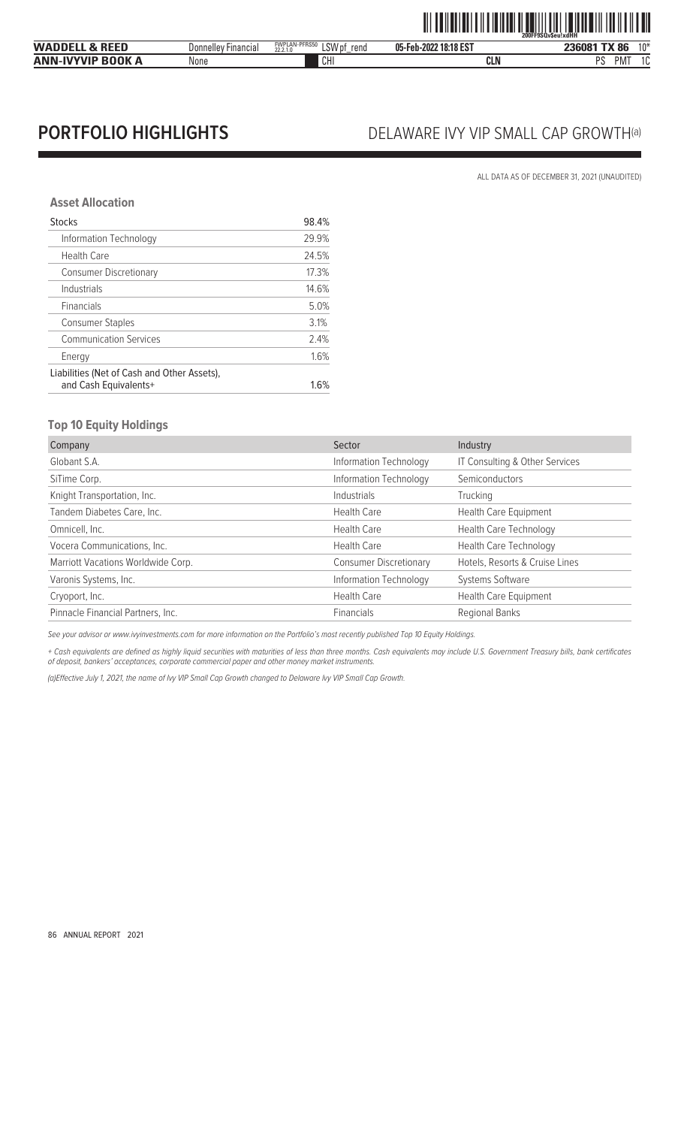|                                      |                     |                                                  |                       | .<br>200FF9SQvSeu!xdHH          |
|--------------------------------------|---------------------|--------------------------------------------------|-----------------------|---------------------------------|
| <b>REED</b><br><b>WADDELL</b><br>. . | Donnelley Financial | FWPLAN-PFRS50<br>LSW<br>rend<br>- 01<br>22.2.1.0 | 05-Feb-2022 18:18 EST | $10*$<br>86<br>236081           |
| <b>ANN-IVYVIP BOOK A</b>             | None                | 011<br>ιлι                                       | <b>CLN</b>            | DC<br><b>PM</b><br>$\sim$<br>ιu |
|                                      |                     |                                                  |                       |                                 |

# **PORTFOLIO HIGHLIGHTS** DELAWARE IVY VIP SMALL CAP GROWTH(a)

ˆ200FF9SQv\$eu!xdHHŠ **200FF9SQv\$eu!xdHH**

ALL DATA AS OF DECEMBER 31, 2021 (UNAUDITED)

## **Asset Allocation**

| <b>Stocks</b>                                                        | 98.4% |
|----------------------------------------------------------------------|-------|
| Information Technology                                               | 29.9% |
| <b>Health Care</b>                                                   | 24.5% |
| <b>Consumer Discretionary</b>                                        | 17.3% |
| Industrials                                                          | 14.6% |
| <b>Financials</b>                                                    | 5.0%  |
| <b>Consumer Staples</b>                                              | 3.1%  |
| <b>Communication Services</b>                                        | 2.4%  |
| Energy                                                               | 1.6%  |
| Liabilities (Net of Cash and Other Assets).<br>and Cash Equivalents+ | 1.6%  |

## **Top 10 Equity Holdings**

| Company                            | Sector                        | Industry                       |
|------------------------------------|-------------------------------|--------------------------------|
| Globant S.A.                       | Information Technology        | IT Consulting & Other Services |
| SiTime Corp.                       | Information Technology        | Semiconductors                 |
| Knight Transportation, Inc.        | Industrials                   | Trucking                       |
| Tandem Diabetes Care, Inc.         | <b>Health Care</b>            | Health Care Equipment          |
| Omnicell, Inc.                     | Health Care                   | Health Care Technology         |
| Vocera Communications, Inc.        | <b>Health Care</b>            | Health Care Technology         |
| Marriott Vacations Worldwide Corp. | <b>Consumer Discretionary</b> | Hotels, Resorts & Cruise Lines |
| Varonis Systems, Inc.              | Information Technology        | Systems Software               |
| Cryoport, Inc.                     | <b>Health Care</b>            | Health Care Equipment          |
| Pinnacle Financial Partners, Inc.  | Financials                    | Regional Banks                 |

See your advisor or www.ivyinvestments.com for more information on the Portfolio's most recently published Top 10 Equity Holdings.

+ Cash equivalents are defined as highly liquid securities with maturities of less than three months. Cash equivalents may include U.S. Government Treasury bills, bank certificates of deposit, bankers' acceptances, corporate commercial paper and other money market instruments.

(a)Effective July 1, 2021, the name of Ivy VIP Small Cap Growth changed to Delaware Ivy VIP Small Cap Growth.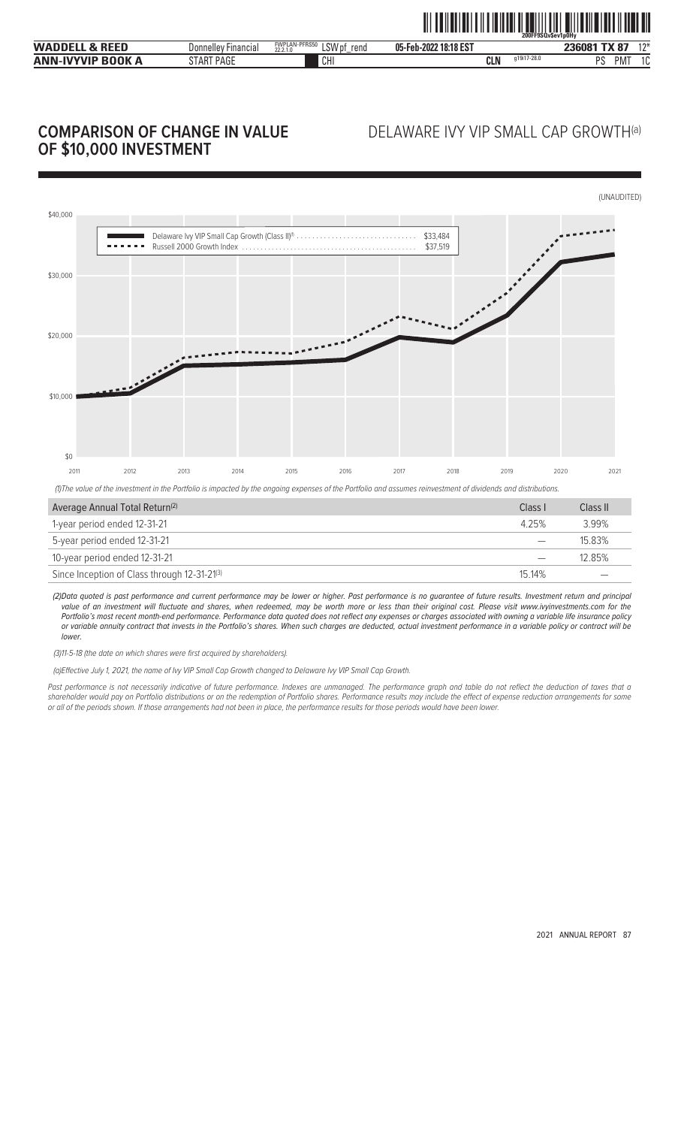|                           |                     |                                             | $\parallel$<br>III IIIIIIIIIII | 200FF9SQvSev1p0Hv         | I II III III<br>IIIIII |       |
|---------------------------|---------------------|---------------------------------------------|--------------------------------|---------------------------|------------------------|-------|
| <b>WADDELL &amp; REED</b> | Donnelley Financial | FWPLAN-PFRS50<br>LSW pf<br>rena<br>22.2.1.0 | 05-Feb-2022 18:18 EST          |                           | 236081 TX 87           | $12*$ |
| <b>ANN-IVYVIP BOOK A</b>  | START PAGE          | CHI                                         |                                | g19i17-28.0<br><b>CLN</b> | PMT<br>PS              | 1C    |

**COMPARISON OF CHANGE IN VALUE OF \$10,000 INVESTMENT**

## DELAWARE IVY VIP SMALL CAP GROWTH<sup>(a)</sup>



| Average Annual Total Return <sup>(2)</sup>   | Class I | Class II |
|----------------------------------------------|---------|----------|
| 1-year period ended 12-31-21                 | 4 25%   | 3.99%    |
| 5-year period ended 12-31-21                 |         | 15.83%   |
| 10-year period ended 12-31-21                | —       | 12.85%   |
| Since Inception of Class through 12-31-21(3) | 15.14%  |          |

(2)Data quoted is past performance and current performance may be lower or higher. Past performance is no guarantee of future results. Investment return and principal value of an investment will fluctuate and shares, when redeemed, may be worth more or less than their original cost. Please visit www.ivyinvestments.com for the Portfolio's most recent month-end performance. Performance data quoted does not reflect any expenses or charges associated with owning a variable life insurance policy or variable annuity contract that invests in the Portfolio's shares. When such charges are deducted, actual investment performance in a variable policy or contract will be lower.

(3)11-5-18 (the date on which shares were first acquired by shareholders).

(a)Effective July 1, 2021, the name of Ivy VIP Small Cap Growth changed to Delaware Ivy VIP Small Cap Growth.

Past performance is not necessarily indicative of future performance. Indexes are unmanaged. The performance graph and table do not reflect the deduction of taxes that a shareholder would pay on Portfolio distributions or on the redemption of Portfolio shares. Performance results may include the effect of expense reduction arrangements for some or all of the periods shown. If those arrangements had not been in place, the performance results for those periods would have been lower.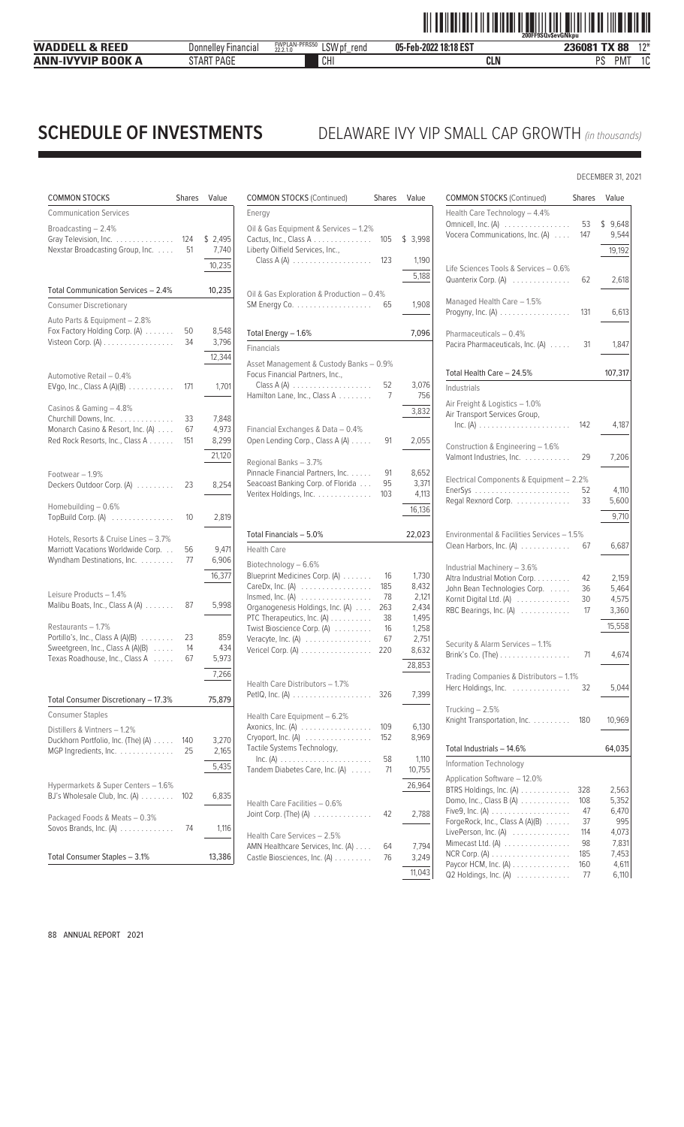|                           |                            |                                             | IIIIIII<br>$\blacksquare$ | $\parallel \parallel \parallel$<br>$\overline{\phantom{a}}$<br>200FF9SQvSevGNkpu |
|---------------------------|----------------------------|---------------------------------------------|---------------------------|----------------------------------------------------------------------------------|
| <b>WADDELL &amp; REED</b> | <b>Donnelley Financial</b> | FWPLAN-PFRS50<br>LSW pf<br>rend<br>22.2.1.0 | 05-Feb-2022 18:18 EST     | <b>TX 88</b><br>$12*$<br>236081                                                  |
| <b>ANN-IVYVIP BOOK A</b>  | START PAGE                 | CHI                                         | CLN                       | PMT<br>PS<br>10 <sup>1</sup><br>ιu                                               |
|                           |                            |                                             |                           |                                                                                  |

# **SCHEDULE OF INVESTMENTS** DELAWARE IVY VIP SMALL CAP GROWTH (in thousands)

| <b>COMMON STOCKS</b>                                                                                                                | <b>Shares</b>   | Value                             |
|-------------------------------------------------------------------------------------------------------------------------------------|-----------------|-----------------------------------|
| <b>Communication Services</b>                                                                                                       |                 |                                   |
| Broadcasting $-2.4%$<br>Gray Television, Inc.<br>Nexstar Broadcasting Group, Inc.                                                   | 124<br>51       | \$ 2,495<br>7,740<br>10,235       |
| Total Communication Services - 2.4%                                                                                                 |                 | 10,235                            |
| <b>Consumer Discretionary</b>                                                                                                       |                 |                                   |
| Auto Parts & Equipment - 2.8%<br>Fox Factory Holding Corp. (A)<br>Visteon Corp. $(A)$                                               | 50<br>34        | 8,548<br>3,796<br>12,344          |
| Automotive Retail - 0.4%<br>EVgo, Inc., Class A $(A)(B)$                                                                            | 171             | 1,701                             |
| Casinos & Gaming - 4.8%<br>Churchill Downs, Inc.<br>Monarch Casino & Resort, Inc. (A)<br>Red Rock Resorts, Inc., Class A            | 33<br>67<br>151 | 7,848<br>4,973<br>8,299<br>21,120 |
| Footwear-1.9%<br>Deckers Outdoor Corp. (A)                                                                                          | 23              | 8,254                             |
| Homebuilding $-0.6%$<br>TopBuild Corp. (A)<br>$\mathbb{R}^2$                                                                        | 10              | 2,819                             |
| Hotels, Resorts & Cruise Lines - 3.7%<br>Marriott Vacations Worldwide Corp.<br>Wyndham Destinations, Inc.                           | 56<br>77        | 9,471<br>6,906<br>16,377          |
| Leisure Products - 1.4%<br>Malibu Boats, Inc., Class A (A)                                                                          | 87              | 5,998                             |
| Restaurants - 1.7%<br>Portillo's, Inc., Class A $(A)(B)$<br>Sweetgreen, Inc., Class A (A)(B)<br>Texas Roadhouse, Inc., Class A<br>. | 23<br>14<br>67  | 859<br>434<br>5,973<br>7,266      |
| Total Consumer Discretionary - 17.3%                                                                                                |                 | 75,879                            |
| <b>Consumer Staples</b>                                                                                                             |                 |                                   |
| Distillers & Vintners - 1.2%<br>Duckhorn Portfolio, Inc. (The) (A)<br>MGP Ingredients, Inc.                                         | 140<br>25       | 3,270<br>2,165<br>5,435           |
| Hypermarkets & Super Centers - 1.6%<br>BJ's Wholesale Club, Inc. (A)                                                                | 102             | 6,835                             |
| Packaged Foods & Meats - 0.3%<br>Sovos Brands, Inc. $(A)$                                                                           | 74              | 1,116                             |
| Total Consumer Staples - 3.1%                                                                                                       |                 | 13,386                            |

| <b>COMMON STOCKS (Continued)</b>                                                                                                                                                                                                                                                                              | Shares                                          | Value                                                                          |
|---------------------------------------------------------------------------------------------------------------------------------------------------------------------------------------------------------------------------------------------------------------------------------------------------------------|-------------------------------------------------|--------------------------------------------------------------------------------|
| Energy                                                                                                                                                                                                                                                                                                        |                                                 |                                                                                |
| Oil & Gas Equipment & Services - 1.2%<br>Cactus, Inc., Class A<br>Liberty Oilfield Services, Inc.,                                                                                                                                                                                                            | 105                                             | \$<br>3,998                                                                    |
| Class $A(A)$                                                                                                                                                                                                                                                                                                  | 123                                             | 1,190                                                                          |
|                                                                                                                                                                                                                                                                                                               |                                                 | 5,188                                                                          |
| Oil & Gas Exploration & Production - 0.4%<br>SM Energy Co. $\ldots \ldots \ldots \ldots \ldots$                                                                                                                                                                                                               | 65                                              | 1,908                                                                          |
| Total Energy - 1.6%                                                                                                                                                                                                                                                                                           |                                                 | 7,096                                                                          |
| Financials                                                                                                                                                                                                                                                                                                    |                                                 |                                                                                |
| Asset Management & Custody Banks - 0.9%<br>Focus Financial Partners, Inc.,                                                                                                                                                                                                                                    |                                                 |                                                                                |
| Class $A(A)$<br>Hamilton Lane, Inc., Class A                                                                                                                                                                                                                                                                  | 52<br>7                                         | 3,076<br>756                                                                   |
|                                                                                                                                                                                                                                                                                                               |                                                 | 3,832                                                                          |
| Financial Exchanges & Data - 0.4%<br>Open Lending Corp., Class A (A)                                                                                                                                                                                                                                          | 91                                              | 2,055                                                                          |
| Regional Banks - 3.7%<br>Pinnacle Financial Partners, Inc.<br>Seacoast Banking Corp. of Florida<br>Veritex Holdings, Inc.                                                                                                                                                                                     | 91<br>95<br>103                                 | 8,652<br>3,371<br>4,113                                                        |
|                                                                                                                                                                                                                                                                                                               |                                                 | 16,136                                                                         |
| Total Financials - 5.0%                                                                                                                                                                                                                                                                                       |                                                 | 22,023                                                                         |
| <b>Health Care</b>                                                                                                                                                                                                                                                                                            |                                                 |                                                                                |
| Biotechnology - 6.6%<br>Blueprint Medicines Corp. (A)<br>CareDx, Inc. $(A)$<br>$In \mathsf{smed}, In \mathsf{c}. \mathsf{(A)} \dots \dots \dots \dots \dots \dots$<br>Organogenesis Holdings, Inc. (A)<br>PTC Therapeutics, Inc. (A)<br>Twist Bioscience Corp. (A)<br>Veracyte, Inc. (A)<br>Vericel Corp. (A) | 16<br>185<br>78<br>263<br>38<br>16<br>67<br>220 | 1,730<br>8,432<br>2,121<br>2,434<br>1,495<br>1,258<br>2,751<br>8,632<br>28,853 |
| Health Care Distributors - 1.7%<br>PetIQ, Inc. (A).                                                                                                                                                                                                                                                           | 326                                             | 7.399                                                                          |
| Health Care Equipment - 6.2%<br>Axonics, Inc. $(A)$<br>Cryoport, Inc. $(A)$<br>Tactile Systems Technology,                                                                                                                                                                                                    | 109<br>152                                      | 6,130<br>8,969                                                                 |
| $Inc. (A)$<br>Tandem Diabetes Care, Inc. (A)                                                                                                                                                                                                                                                                  | 58<br>71                                        | 1,110<br>10,755                                                                |
|                                                                                                                                                                                                                                                                                                               |                                                 | 26,964                                                                         |
| Health Care Facilities - 0.6%<br>Joint Corp. (The) $(A)$                                                                                                                                                                                                                                                      | 42                                              | 2,788                                                                          |
| Health Care Services - 2.5%<br>AMN Healthcare Services, Inc. (A)<br>Castle Biosciences, Inc. (A)                                                                                                                                                                                                              | 64<br>76                                        | 7,794<br>3,249                                                                 |
|                                                                                                                                                                                                                                                                                                               |                                                 | 11,043                                                                         |

|                                                                                     |               | DECEMBER 31, 2021 |  |
|-------------------------------------------------------------------------------------|---------------|-------------------|--|
| <b>COMMON STOCKS (Continued)</b>                                                    | <b>Shares</b> | Value             |  |
| Health Care Technology - 4.4%                                                       |               |                   |  |
| Omnicell, Inc. (A)                                                                  | 53            | \$<br>9,648       |  |
| Vocera Communications, Inc. (A)                                                     | 147           | 9,544             |  |
|                                                                                     |               | 19,192            |  |
| Life Sciences Tools & Services - 0.6%<br>Quanterix Corp. (A)                        | 62            | 2,618             |  |
| Managed Health Care - 1.5%<br>Progyny, Inc. $(A)$                                   | 131           | 6,613             |  |
| Pharmaceuticals - 0.4%<br>Pacira Pharmaceuticals, Inc. (A)                          | 31            | 1,847             |  |
| Total Health Care - 24.5%                                                           |               | 107,317           |  |
| Industrials                                                                         |               |                   |  |
| Air Freight & Logistics - 1.0%                                                      |               |                   |  |
| Air Transport Services Group,<br>$Inc. (A) \n \n \n \n \n \n$                       | 142           | 4,187             |  |
|                                                                                     |               |                   |  |
| Construction & Engineering - 1.6%<br>Valmont Industries, Inc.                       | 29            | 7,206             |  |
| Electrical Components & Equipment - 2.2%                                            |               |                   |  |
| EnerSys                                                                             | 52            | 4,110             |  |
| Regal Rexnord Corp.                                                                 | 33            | 5,600             |  |
|                                                                                     |               | 9,710             |  |
| Environmental & Facilities Services - 1.5%                                          |               |                   |  |
| Clean Harbors, Inc. (A)                                                             | 67            | 6,687             |  |
| Industrial Machinery - 3.6%                                                         |               |                   |  |
| Altra Industrial Motion Corp.                                                       | 42<br>36      | 2,159<br>5,464    |  |
| John Bean Technologies Corp.<br>Kornit Digital Ltd. (A)                             | 30            | 4,575             |  |
| RBC Bearings, Inc. (A)                                                              | 17            | 3,360             |  |
|                                                                                     |               | 15,558            |  |
| Security & Alarm Services - 1.1%                                                    |               |                   |  |
| Brink's Co. (The)                                                                   | 71            | 4,674             |  |
| Trading Companies & Distributors - 1.1%                                             |               |                   |  |
| Herc Holdings, Inc.<br>.                                                            | 32            | 5,044             |  |
| Trucking $-2.5%$                                                                    |               |                   |  |
| Knight Transportation, Inc.                                                         | 180           | 10,969            |  |
| Total Industrials - 14.6%                                                           |               | 64,035            |  |
| Information Technology                                                              |               |                   |  |
| Application Software - 12.0%                                                        |               |                   |  |
| BTRS Holdings, Inc. (A)                                                             | 328           | 2,563             |  |
| Domo, Inc., Class B $(A)$<br>Five 9, Inc. (A) $\dots \dots \dots \dots \dots \dots$ | 108<br>47     | 5,352             |  |
| ForgeRock, Inc., Class A (A)(B)                                                     | 37            | 6,470<br>995      |  |
| LivePerson, Inc. $(A)$                                                              | 114           | 4,073             |  |
| Mimecast Ltd. (A)                                                                   | 98            | 7,831             |  |
| NCR Corp. $(A)$                                                                     | 185           | 7,453             |  |
| Paycor HCM, Inc. (A)                                                                | 160           | 4,611             |  |
| $Q2$ Holdings, Inc. $(A)$                                                           | 77            | 6,110             |  |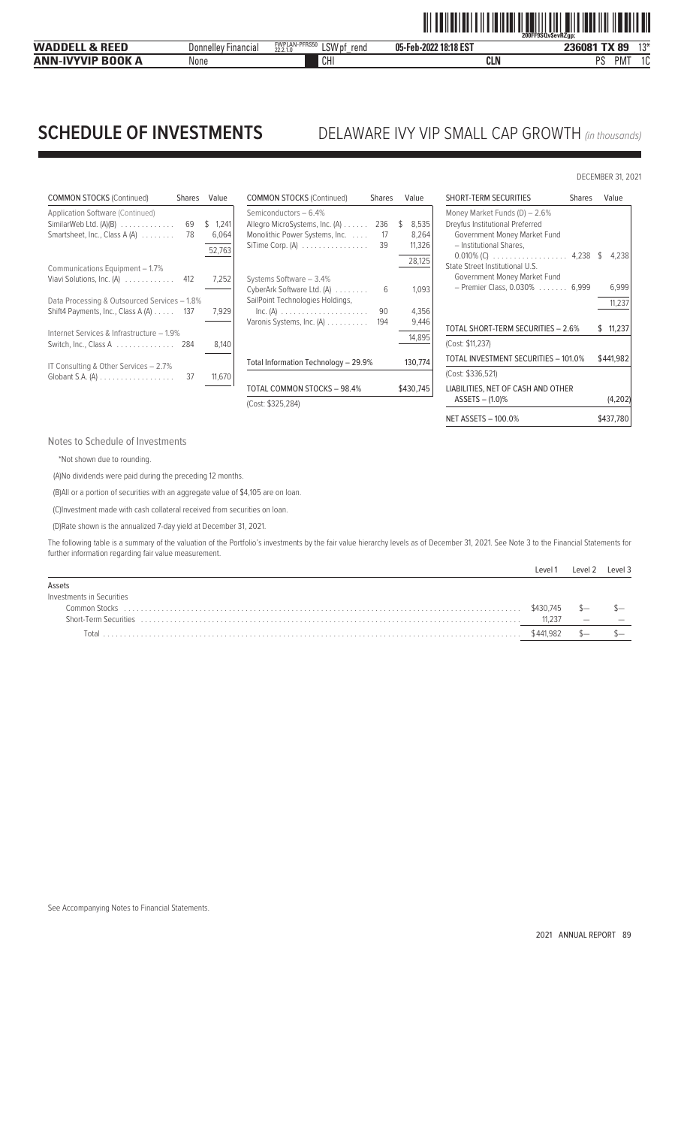|                                     |                            |                                                                  |                          | 200FF9SQvSevRZap:                     |              |
|-------------------------------------|----------------------------|------------------------------------------------------------------|--------------------------|---------------------------------------|--------------|
| <b>REED</b><br><b>WADDEL</b><br>. . | <b>Donnelley Financial</b> | <b>FWPLAN-PFRS5r</b><br>1.0111<br>/ nt<br>rend<br>22.2.1.<br>LJ' | 18:18 EST<br>05-Feb-2022 | 00<br>$-11$                           | 12<br>ιυ.    |
| -IVYVIP ROOK A<br><b>ANN</b>        | None                       | 0111<br>uпı                                                      | <b>CLN</b>               | <b>DC</b><br>$\mathbf{D}$<br>'N<br>്പ | $\sim$<br>טו |
|                                     |                            |                                                                  |                          |                                       |              |

# **SCHEDULE OF INVESTMENTS** DELAWARE IVY VIP SMALL CAP GROWTH (in thousands)

| <b>COMMON STOCKS (Continued)</b>                                                                     | <b>Shares</b> | Value                |
|------------------------------------------------------------------------------------------------------|---------------|----------------------|
| <b>Application Software (Continued)</b><br>SimilarWeb Ltd. $(A)(B)$<br>Smartsheet, Inc., Class A (A) | 69<br>78      | 1,241<br>\$<br>6,064 |
|                                                                                                      |               | 52,763               |
| Communications Equipment - 1.7%<br>Viavi Solutions, Inc. $(A)$                                       | 412           | 7,252                |
| Data Processing & Outsourced Services - 1.8%<br>Shift4 Payments, Inc., Class A (A)                   | 137           | 7,929                |
| Internet Services & Infrastructure - 1.9%<br>Switch, Inc., Class A                                   | 284           | 8.140                |
| IT Consulting & Other Services - 2.7%<br>Globant S.A. (A)                                            | 37            | 11.670               |

| <b>COMMON STOCKS (Continued)</b>                                                          | <b>Shares</b> | Value                |
|-------------------------------------------------------------------------------------------|---------------|----------------------|
| Semiconductors - 6.4%<br>Allegro MicroSystems, Inc. (A)<br>Monolithic Power Systems, Inc. | 236<br>17     | 8,535<br>\$<br>8,264 |
| SiTime Corp. $(A)$                                                                        | 39            | 11,326<br>28,125     |
| Systems Software - 3.4%<br>CyberArk Software Ltd. (A)<br>SailPoint Technologies Holdings, | 6             | 1,093                |
| $Inc. (A) \ldots \ldots \ldots \ldots \ldots \ldots$                                      | 90            | 4,356                |
| Varonis Systems, Inc. (A)                                                                 | 194           | 9,446                |
|                                                                                           |               | 14,895               |
| Total Information Technology - 29.9%                                                      |               | 130,774              |
| TOTAL COMMON STOCKS - 98.4%                                                               |               | \$430,745            |
| (Cost: \$325,284)                                                                         |               |                      |

| <b>SHORT-TERM SECURITIES</b>                                                                                                                 | Shares | Value           |
|----------------------------------------------------------------------------------------------------------------------------------------------|--------|-----------------|
| Money Market Funds (D) - 2.6%<br>Dreyfus Institutional Preferred<br>Government Money Market Fund<br>- Institutional Shares,<br>$0.010\%$ (C) | 4.238  | \$4.238         |
| State Street Institutional U.S.<br>Government Money Market Fund<br>$-$ Premier Class, 0.030% $\ldots$                                        | 6.999  | 6,999<br>11,237 |
| TOTAL SHORT-TERM SECURITIES - 2.6%                                                                                                           |        | \$<br>11,237    |
| (Cost: \$11,237)                                                                                                                             |        |                 |
| TOTAL INVESTMENT SECURITIES - 101.0%                                                                                                         |        | \$441,982       |
| (Cost: \$336,521)                                                                                                                            |        |                 |
| LIABILITIES, NET OF CASH AND OTHER<br>$ASSETS - (1.0)$ %                                                                                     |        | (4,202)         |
| <b>NET ASSETS - 100.0%</b>                                                                                                                   |        | \$437,780       |

DECEMBER 31, 2021

ˆ200FF9SQv\$evRZgp;Š **200FF9SQv\$evRZgp;**

Notes to Schedule of Investments

\*Not shown due to rounding.

(A)No dividends were paid during the preceding 12 months.

(B)All or a portion of securities with an aggregate value of \$4,105 are on loan.

(C)Investment made with cash collateral received from securities on loan.

(D)Rate shown is the annualized 7-day yield at December 31, 2021.

The following table is a summary of the valuation of the Portfolio's investments by the fair value hierarchy levels as of December 31, 2021. See Note 3 to the Financial Statements for further information regarding fair value measurement.

|                           | Level     | level | $P$ lavel |
|---------------------------|-----------|-------|-----------|
| Assets                    |           |       |           |
| Investments in Securities |           |       |           |
|                           | \$430.745 |       |           |
|                           | 11.237    |       |           |
| Tota                      | \$441.982 |       |           |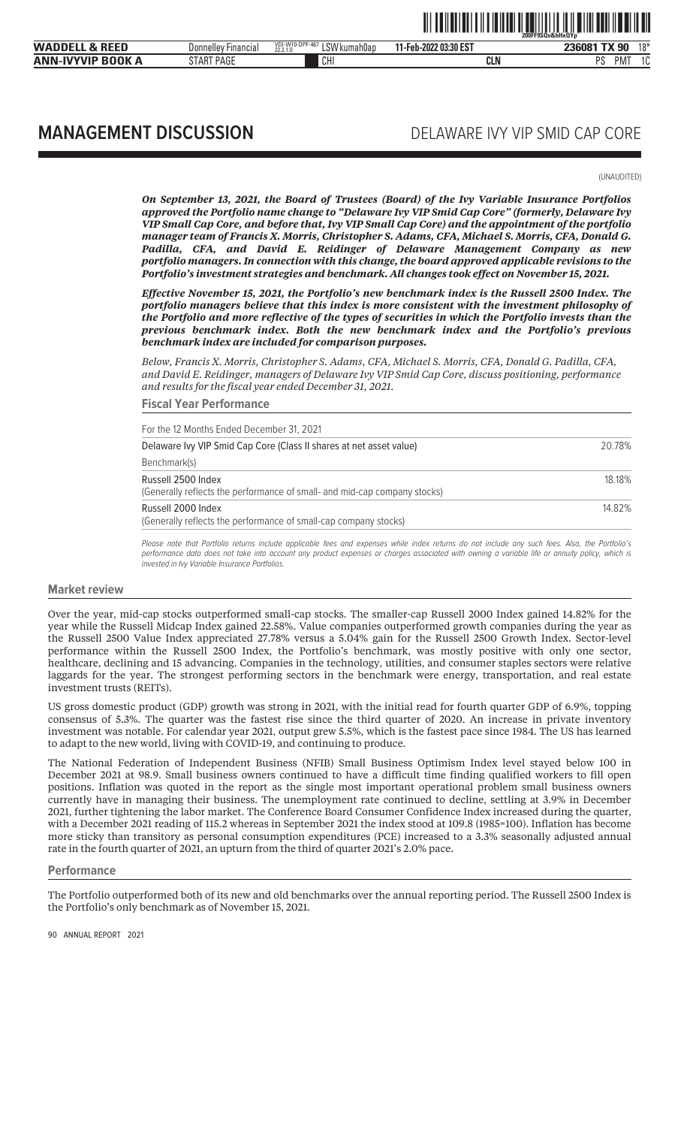|                   |                        |                                                                | ---------------------------- | 200FF9SQv&hHxQYp      |              |
|-------------------|------------------------|----------------------------------------------------------------|------------------------------|-----------------------|--------------|
| WADDELL           | Donnelley<br>Financial | VDI-W10-DPF-467<br>10111<br>LSW kumah0ar<br>' −40,<br>22.2.1.0 | 11-Feb-2022 03:30 EST        | 236081<br>90          | $18*$        |
| ANN-IVYVIP BOOK A | START PAGE             | 011<br>ыл                                                      | <b>CLN</b>                   | DC<br>PM <sup>-</sup> | $\sim$<br>ιu |

## **MANAGEMENT DISCUSSION** DELAWARE IVY VIP SMID CAP CORE

<u>oli toiluttuttu littuttuu toimillittuu littuuttuu lit</u>

(UNAUDITED)

*On September 13, 2021, the Board of Trustees (Board) of the Ivy Variable Insurance Portfolios approved the Portfolio name change to "Delaware Ivy VIP Smid Cap Core" (formerly, Delaware Ivy VIP Small Cap Core, and before that, Ivy VIP Small Cap Core) and the appointment of the portfolio manager team of Francis X. Morris, Christopher S. Adams, CFA, Michael S. Morris, CFA, Donald G. Padilla, CFA, and David E. Reidinger of Delaware Management Company as new portfolio managers. In connection with this change, the board approved applicable revisions to the Portfolio's investment strategies and benchmark. All changes took effect on November 15, 2021.*

*Effective November 15, 2021, the Portfolio's new benchmark index is the Russell 2500 Index. The portfolio managers believe that this index is more consistent with the investment philosophy of the Portfolio and more reflective of the types of securities in which the Portfolio invests than the previous benchmark index. Both the new benchmark index and the Portfolio's previous benchmark index are included for comparison purposes.*

*Below, Francis X. Morris, Christopher S. Adams, CFA, Michael S. Morris, CFA, Donald G. Padilla, CFA, and David E. Reidinger, managers of Delaware Ivy VIP Smid Cap Core, discuss positioning, performance and results for the fiscal year ended December 31, 2021.*

**Fiscal Year Performance**

| For the 12 Months Ended December 31, 2021                                                       |        |
|-------------------------------------------------------------------------------------------------|--------|
| Delaware Ivy VIP Smid Cap Core (Class II shares at net asset value)                             | 20 78% |
| Benchmark(s)                                                                                    |        |
| Russell 2500 Index<br>(Generally reflects the performance of small- and mid-cap company stocks) | 18 18% |
| Russell 2000 Index<br>(Generally reflects the performance of small-cap company stocks)          | 14 82% |

Please note that Portfolio returns include applicable fees and expenses while index returns do not include any such fees. Also, the Portfolio's performance data does not take into account any product expenses or charges associated with owning a variable life or annuity policy, which is .<br>invested in Ivy Variable Insurance Portfolios.

### **Market review**

Over the year, mid-cap stocks outperformed small-cap stocks. The smaller-cap Russell 2000 Index gained 14.82% for the year while the Russell Midcap Index gained 22.58%. Value companies outperformed growth companies during the year as the Russell 2500 Value Index appreciated 27.78% versus a 5.04% gain for the Russell 2500 Growth Index. Sector-level performance within the Russell 2500 Index, the Portfolio's benchmark, was mostly positive with only one sector, healthcare, declining and 15 advancing. Companies in the technology, utilities, and consumer staples sectors were relative laggards for the year. The strongest performing sectors in the benchmark were energy, transportation, and real estate investment trusts (REITs).

US gross domestic product (GDP) growth was strong in 2021, with the initial read for fourth quarter GDP of 6.9%, topping consensus of 5.3%. The quarter was the fastest rise since the third quarter of 2020. An increase in private inventory investment was notable. For calendar year 2021, output grew 5.5%, which is the fastest pace since 1984. The US has learned to adapt to the new world, living with COVID-19, and continuing to produce.

The National Federation of Independent Business (NFIB) Small Business Optimism Index level stayed below 100 in December 2021 at 98.9. Small business owners continued to have a difficult time finding qualified workers to fill open positions. Inflation was quoted in the report as the single most important operational problem small business owners currently have in managing their business. The unemployment rate continued to decline, settling at 3.9% in December 2021, further tightening the labor market. The Conference Board Consumer Confidence Index increased during the quarter, with a December 2021 reading of 115.2 whereas in September 2021 the index stood at 109.8 (1985=100). Inflation has become more sticky than transitory as personal consumption expenditures (PCE) increased to a 3.3% seasonally adjusted annual rate in the fourth quarter of 2021, an upturn from the third of quarter 2021's 2.0% pace.

### **Performance**

The Portfolio outperformed both of its new and old benchmarks over the annual reporting period. The Russell 2500 Index is the Portfolio's only benchmark as of November 15, 2021.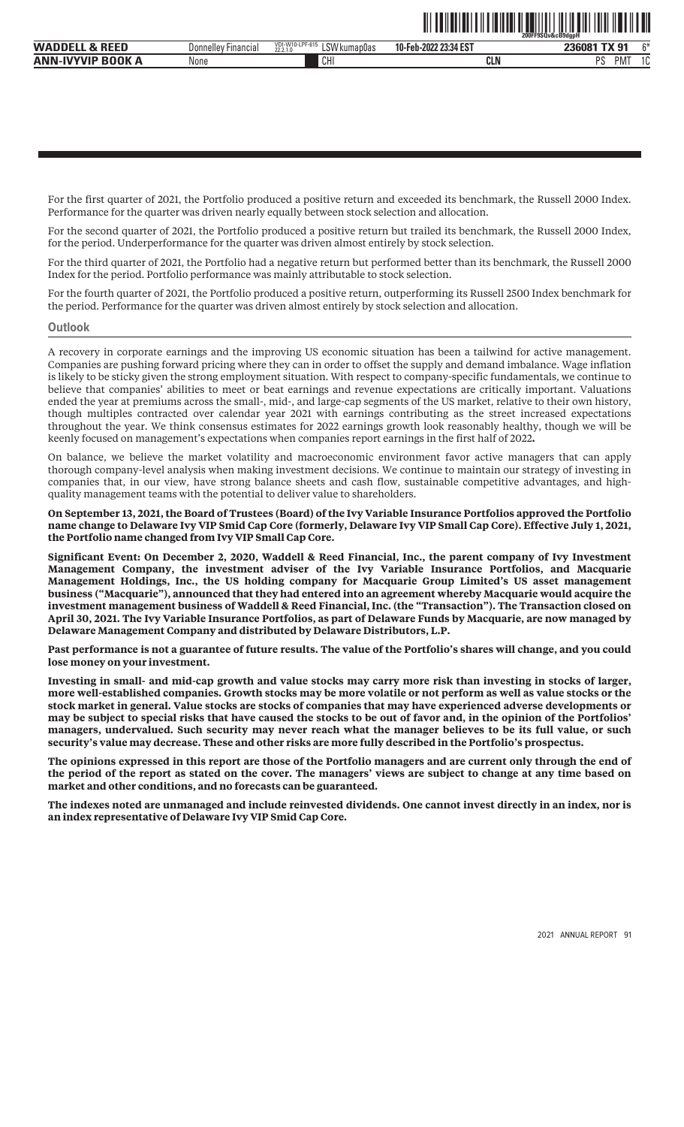|                                          |                                            |                                                               | ------                                       | 200FF9SQv&cB9dapH     |        |
|------------------------------------------|--------------------------------------------|---------------------------------------------------------------|----------------------------------------------|-----------------------|--------|
| <b>REED</b><br><b>WAD</b><br>ឹ           | <sup>.</sup> Financial<br><b>Donnellev</b> | VDI-W10-LPF-615<br>LSW <sup>1</sup><br>/ kumapUas<br>22.2.1.0 | <b>22.24 ECT</b><br>10-Feb-2022<br>2J.J4 E.J | $-$<br>$\mathbf{r}$   | $\sim$ |
| <b>/VIP ROOK A</b><br><b>ANN</b><br>-IVV | None                                       | $\bigcap$<br>UII.                                             | <b>CLN</b>                                   | DC<br>PM <sup>-</sup> | $\sim$ |
|                                          |                                            |                                                               |                                              |                       |        |

<u>oli original oli oli original oli oli original oli or</u>

For the first quarter of 2021, the Portfolio produced a positive return and exceeded its benchmark, the Russell 2000 Index. Performance for the quarter was driven nearly equally between stock selection and allocation.

For the second quarter of 2021, the Portfolio produced a positive return but trailed its benchmark, the Russell 2000 Index, for the period. Underperformance for the quarter was driven almost entirely by stock selection.

For the third quarter of 2021, the Portfolio had a negative return but performed better than its benchmark, the Russell 2000 Index for the period. Portfolio performance was mainly attributable to stock selection.

For the fourth quarter of 2021, the Portfolio produced a positive return, outperforming its Russell 2500 Index benchmark for the period. Performance for the quarter was driven almost entirely by stock selection and allocation.

### **Outlook**

A recovery in corporate earnings and the improving US economic situation has been a tailwind for active management. Companies are pushing forward pricing where they can in order to offset the supply and demand imbalance. Wage inflation is likely to be sticky given the strong employment situation. With respect to company-specific fundamentals, we continue to believe that companies' abilities to meet or beat earnings and revenue expectations are critically important. Valuations ended the year at premiums across the small-, mid-, and large-cap segments of the US market, relative to their own history, though multiples contracted over calendar year 2021 with earnings contributing as the street increased expectations throughout the year. We think consensus estimates for 2022 earnings growth look reasonably healthy, though we will be keenly focused on management's expectations when companies report earnings in the first half of 2022**.**

On balance, we believe the market volatility and macroeconomic environment favor active managers that can apply thorough company-level analysis when making investment decisions. We continue to maintain our strategy of investing in companies that, in our view, have strong balance sheets and cash flow, sustainable competitive advantages, and highquality management teams with the potential to deliver value to shareholders.

**On September 13, 2021, the Board of Trustees (Board) of the Ivy Variable Insurance Portfolios approved the Portfolio name change to Delaware Ivy VIP Smid Cap Core (formerly, Delaware Ivy VIP Small Cap Core). Effective July 1, 2021, the Portfolio name changed from Ivy VIP Small Cap Core.**

**Significant Event: On December 2, 2020, Waddell & Reed Financial, Inc., the parent company of Ivy Investment Management Company, the investment adviser of the Ivy Variable Insurance Portfolios, and Macquarie Management Holdings, Inc., the US holding company for Macquarie Group Limited's US asset management business ("Macquarie"), announced that they had entered into an agreement whereby Macquarie would acquire the investment management business of Waddell & Reed Financial, Inc. (the "Transaction"). The Transaction closed on April 30, 2021. The Ivy Variable Insurance Portfolios, as part of Delaware Funds by Macquarie, are now managed by Delaware Management Company and distributed by Delaware Distributors, L.P.**

**Past performance is not a guarantee of future results. The value of the Portfolio's shares will change, and you could lose money on your investment.**

**Investing in small- and mid-cap growth and value stocks may carry more risk than investing in stocks of larger, more well-established companies. Growth stocks may be more volatile or not perform as well as value stocks or the stock market in general. Value stocks are stocks of companies that may have experienced adverse developments or may be subject to special risks that have caused the stocks to be out of favor and, in the opinion of the Portfolios' managers, undervalued. Such security may never reach what the manager believes to be its full value, or such security's value may decrease. These and other risks are more fully described in the Portfolio's prospectus.**

**The opinions expressed in this report are those of the Portfolio managers and are current only through the end of the period of the report as stated on the cover. The managers' views are subject to change at any time based on market and other conditions, and no forecasts can be guaranteed.**

**The indexes noted are unmanaged and include reinvested dividends. One cannot invest directly in an index, nor is an index representative of Delaware Ivy VIP Smid Cap Core***.*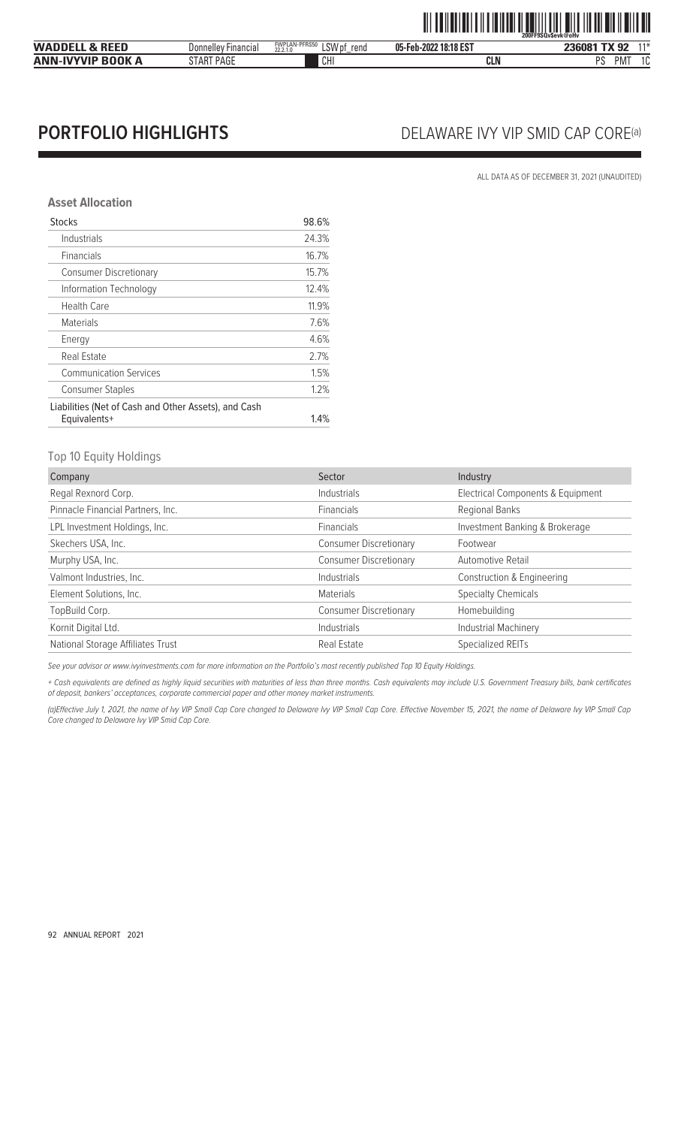|                   |                            |                                                    |                       | <b>TITLE</b><br>'(              <br>200FF9SOvSevk@oHv |
|-------------------|----------------------------|----------------------------------------------------|-----------------------|-------------------------------------------------------|
| WADDELL & REED    | <b>Donnelley Financial</b> | <b>FWPLAN-PFRS50</b><br>LSW pf<br>rend<br>22.2.1.0 | 05-Feb-2022 18:18 EST | $11*$<br>236081 TX 92                                 |
| ANN-IVYVIP BOOK A | START PAGE                 | CHI                                                | <b>CLN</b>            | PMT<br>PS<br>10                                       |
|                   |                            |                                                    |                       |                                                       |

## **PORTFOLIO HIGHLIGHTS** DELAWARE IVY VIP SMID CAP CORE<sup>(a)</sup>

ALL DATA AS OF DECEMBER 31, 2021 (UNAUDITED)

## **Asset Allocation**

| <b>Stocks</b>                                                        | 98.6% |
|----------------------------------------------------------------------|-------|
| Industrials                                                          | 24.3% |
| <b>Financials</b>                                                    | 16.7% |
| <b>Consumer Discretionary</b>                                        | 15.7% |
| Information Technology                                               | 12.4% |
| Health Care                                                          | 11.9% |
| <b>Materials</b>                                                     | 7.6%  |
| Energy                                                               | 4.6%  |
| Real Estate                                                          | 2.7%  |
| <b>Communication Services</b>                                        | 1.5%  |
| <b>Consumer Staples</b>                                              | 1.2%  |
| Liabilities (Net of Cash and Other Assets), and Cash<br>Equivalents+ | 1.4%  |

## Top 10 Equity Holdings

| Company                           | Sector                        | Industry                          |
|-----------------------------------|-------------------------------|-----------------------------------|
| Regal Rexnord Corp.               | <b>Industrials</b>            | Electrical Components & Equipment |
| Pinnacle Financial Partners, Inc. | <b>Financials</b>             | Regional Banks                    |
| LPL Investment Holdings, Inc.     | <b>Financials</b>             | Investment Banking & Brokerage    |
| Skechers USA, Inc.                | <b>Consumer Discretionary</b> | Footwear                          |
| Murphy USA, Inc.                  | <b>Consumer Discretionary</b> | Automotive Retail                 |
| Valmont Industries, Inc.          | <b>Industrials</b>            | Construction & Engineering        |
| Element Solutions, Inc.           | <b>Materials</b>              | <b>Specialty Chemicals</b>        |
| TopBuild Corp.                    | <b>Consumer Discretionary</b> | Homebuilding                      |
| Kornit Digital Ltd.               | Industrials                   | Industrial Machinery              |
| National Storage Affiliates Trust | Real Estate                   | Specialized REITs                 |

See your advisor or www.ivyinvestments.com for more information on the Portfolio's most recently published Top 10 Equity Holdings.

+ Cash equivalents are defined as highly liquid securities with maturities of less than three months. Cash equivalents may include U.S. Government Treasury bills, bank certificates of deposit, bankers' acceptances, corporate commercial paper and other money market instruments.

(a)Effective July 1, 2021, the name of Ivy VIP Small Cap Core changed to Delaware Ivy VIP Small Cap Core. Effective November 15, 2021, the name of Delaware Ivy VIP Small Cap Core changed to Delaware Ivy VIP Smid Cap Core.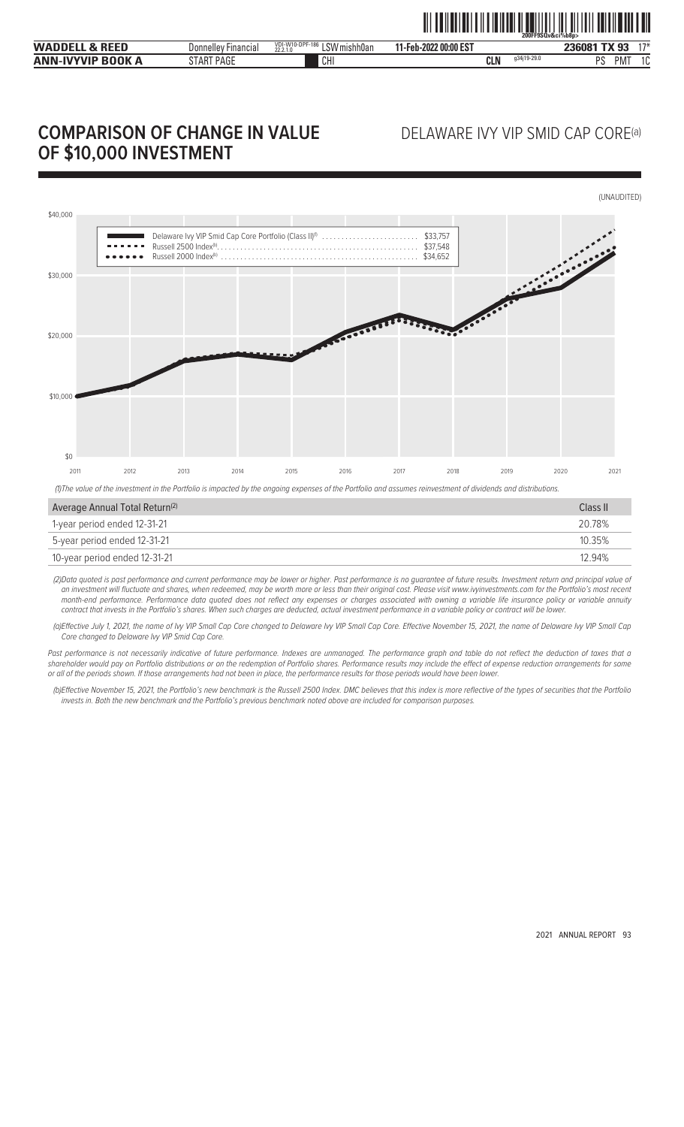|                           |                        |                                                  |                       |            | $200$ FF9SQv&ci%b8p> |                                              |       |
|---------------------------|------------------------|--------------------------------------------------|-----------------------|------------|----------------------|----------------------------------------------|-------|
| <b>WADDELL &amp; REED</b> | Donnelley<br>Financial | VDI-W10-DPF-186<br>LSW<br>V mishh0an<br>22.2.1.0 | 11-Feb-2022 00:00 EST |            |                      | 236081 TX 93                                 | $17*$ |
| <b>ANN-IVYVIP BOOK A</b>  | START PAGE             | CHI                                              |                       | <b>CLN</b> | g34j19-29.0          | <sub>D</sub> <sub>C</sub><br>PM <sup>-</sup> | 10    |
|                           |                        |                                                  |                       |            |                      |                                              |       |

**COMPARISON OF CHANGE IN VALUE OF \$10,000 INVESTMENT**

## DELAWARE IVY VIP SMID CAP CORE<sup>(a)</sup>

<u>oli ordinal ordin ilgibar olaradi ilgibar oli oli oli ordin adala</u>



| Average Annual Total Return <sup>(2)</sup> | Class II |
|--------------------------------------------|----------|
| 1-year period ended 12-31-21               | 20.78%   |
| 5-year period ended 12-31-21               | 10.35%   |
| 10-year period ended 12-31-21              | 12 94%   |

(2)Data quoted is past performance and current performance may be lower or higher. Past performance is no guarantee of future results. Investment return and principal value of an investment will fluctuate and shares, when redeemed, may be worth more or less than their original cost. Please visit www.ivyinvestments.com for the Portfolio's most recent month-end performance. Performance data quoted does not reflect any expenses or charges associated with owning a variable life insurance policy or variable annuity contract that invests in the Portfolio's shares. When such charges are deducted, actual investment performance in a variable policy or contract will be lower.

(a)Effective July 1, 2021, the name of Ivy VIP Small Cap Core changed to Delaware Ivy VIP Small Cap Core. Effective November 15, 2021, the name of Delaware Ivy VIP Small Cap Core changed to Delaware Ivy VIP Smid Cap Core.

Past performance is not necessarily indicative of future performance. Indexes are unmanaged. The performance graph and table do not reflect the deduction of taxes that a shareholder would pay on Portfolio distributions or on the redemption of Portfolio shares. Performance results may include the effect of expense reduction arrangements for some or all of the periods shown. If those arrangements had not been in place, the performance results for those periods would have been lower.

(b)Effective November 15, 2021, the Portfolio's new benchmark is the Russell 2500 Index. DMC believes that this index is more reflective of the types of securities that the Portfolio invests in. Both the new benchmark and the Portfolio's previous benchmark noted above are included for comparison purposes.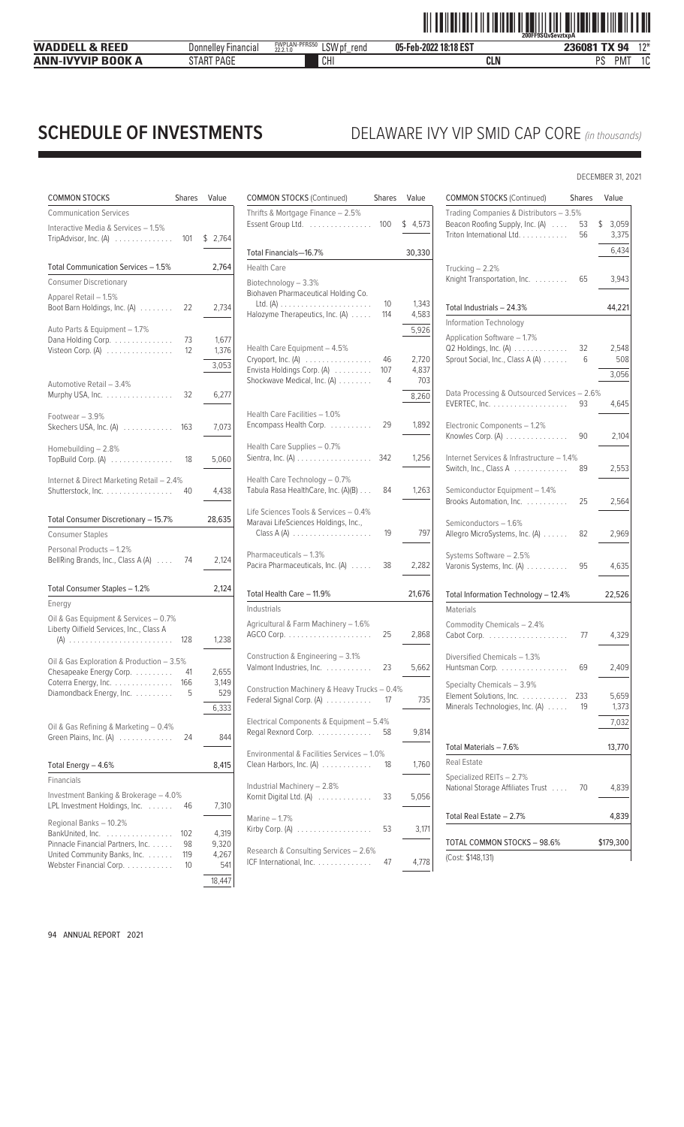| FWPLAN-PFRS50<br>22.2.1.0<br>LSW pf<br><b>WADDELL &amp; REED</b><br>236081 TX 94<br>05-Feb-2022 18:18 EST<br><b>Donnelley Financial</b><br>rend |                              |
|-------------------------------------------------------------------------------------------------------------------------------------------------|------------------------------|
|                                                                                                                                                 | $12*$                        |
| CHI<br><b>ANN-IVYVIP BOOK A</b><br>CLN<br>PS<br>START PAGE                                                                                      | PMT<br>10 <sup>1</sup><br>ΙU |

# **SCHEDULE OF INVESTMENTS** DELAWARE IVY VIP SMID CAP CORE (in thousands)

DECEMBER 31, 2021

| <b>COMMON STOCKS</b>                                                                                                                                              | <b>Shares</b>          | Value                                    |
|-------------------------------------------------------------------------------------------------------------------------------------------------------------------|------------------------|------------------------------------------|
| <b>Communication Services</b>                                                                                                                                     |                        |                                          |
| Interactive Media & Services - 1.5%<br>$TripAdvisor, Inc. (A) \dots \dots \dots$<br>1.1.1.1                                                                       | 101                    | \$2,764                                  |
| Total Communication Services - 1.5%                                                                                                                               |                        | 2,764                                    |
| <b>Consumer Discretionary</b>                                                                                                                                     |                        |                                          |
| Apparel Retail – 1.5%<br>Boot Barn Holdings, Inc. (A)                                                                                                             | 22                     | 2,734                                    |
| Auto Parts & Equipment - 1.7%<br>Dana Holding Corp.<br>Visteon Corp. $(A)$                                                                                        | 73<br>12               | 1,677<br>1,376<br>3,053                  |
| Automotive Retail - 3.4%<br>Murphy USA, Inc.                                                                                                                      | 32                     | 6,277                                    |
| Footwear - 3.9%<br>Skechers USA, Inc. $(A)$                                                                                                                       | 163                    | 7,073                                    |
| Homebuilding $-2.8%$<br>$TopBuild Corp. (A) \dots \dots \dots \dots$                                                                                              | 18                     | 5,060                                    |
| Internet & Direct Marketing Retail - 2.4%<br>Shutterstock, Inc.                                                                                                   | 40                     | 4,438                                    |
| Total Consumer Discretionary - 15.7%                                                                                                                              |                        | 28,635                                   |
| <b>Consumer Staples</b>                                                                                                                                           |                        |                                          |
| Personal Products - 1.2%<br>BellRing Brands, Inc., Class A (A)                                                                                                    | 74                     | 2,124                                    |
| Total Consumer Staples - 1.2%                                                                                                                                     |                        | 2,124                                    |
| Energy                                                                                                                                                            |                        |                                          |
| Oil & Gas Equipment & Services - 0.7%<br>Liberty Oilfield Services, Inc., Class A                                                                                 | 128                    | 1,238                                    |
|                                                                                                                                                                   |                        |                                          |
| Oil & Gas Exploration & Production - 3.5%<br>Chesapeake Energy Corp.<br>Coterra Energy, Inc.<br>Diamondback Energy, Inc.                                          | 41<br>166<br>- 5       | 2,655<br>3,149<br>529<br>6,333           |
| Oil & Gas Refining & Marketing - 0.4%<br>Green Plains, Inc. $(A)$                                                                                                 | 24                     | 844                                      |
| Total Energy - 4.6%                                                                                                                                               |                        | 8,415                                    |
| Financials                                                                                                                                                        |                        |                                          |
| Investment Banking & Brokerage - 4.0%<br>LPL Investment Holdings, Inc.                                                                                            | 46                     | 7,310                                    |
| Regional Banks - 10.2%<br>BankUnited, Inc.<br>$\overline{1}$<br>.<br>Pinnacle Financial Partners, Inc.<br>United Community Banks, Inc.<br>Webster Financial Corp. | 102<br>98<br>119<br>10 | 4,319<br>9,320<br>4,267<br>541<br>18,447 |
|                                                                                                                                                                   |                        |                                          |

| <b>COMMON STOCKS (Continued)</b>                                                                                                         | <b>Shares</b>  | Value                          |
|------------------------------------------------------------------------------------------------------------------------------------------|----------------|--------------------------------|
| Thrifts & Mortgage Finance - 2.5%<br>Essent Group Ltd.<br>.                                                                              | 100            | \$<br>4,573                    |
| Total Financials-16.7%                                                                                                                   |                | 30,330                         |
| <b>Health Care</b>                                                                                                                       |                |                                |
| Biotechnology - 3.3%<br>Biohaven Pharmaceutical Holding Co.<br>Halozyme Therapeutics, Inc. (A)                                           | 10<br>114      | 1,343<br>4,583<br>5,926        |
| Health Care Equipment - 4.5%<br>Cryoport, Inc. $(A)$<br>Envista Holdings Corp. (A)<br>Shockwave Medical, Inc. (A)                        | 46<br>107<br>4 | 2,720<br>4,837<br>703<br>8,260 |
| Health Care Facilities - 1.0%<br>Encompass Health Corp.                                                                                  | 29             | 1,892                          |
| Health Care Supplies - 0.7%<br>Sientra, Inc. $(A)$                                                                                       | 342            | 1,256                          |
| Health Care Technology - 0.7%<br>Tabula Rasa HealthCare, Inc. (A)(B)                                                                     | 84             | 1,263                          |
| Life Sciences Tools & Services - 0.4%<br>Maravai LifeSciences Holdings, Inc.,<br>$Class A (A) \ldots \ldots \ldots \ldots \ldots \ldots$ | 19             | 797                            |
| Pharmaceuticals - 1.3%<br>Pacira Pharmaceuticals, Inc. (A)                                                                               | 38             | 2,282                          |
| Total Health Care - 11.9%                                                                                                                |                | 21,676                         |
| Industrials                                                                                                                              |                |                                |
| Agricultural & Farm Machinery - 1.6%                                                                                                     | 25             | 2,868                          |
| Construction & Engineering - 3.1%<br>Valmont Industries, Inc.                                                                            | 23             | 5,662                          |
| Construction Machinery & Heavy Trucks - 0.4%<br>Federal Signal Corp. (A)                                                                 | 17             | 735                            |
| Electrical Components & Equipment - 5.4%<br>Regal Rexnord Corp.                                                                          | 58             | 9,814                          |
| Environmental & Facilities Services - 1.0%<br>Clean Harbors, Inc. (A)                                                                    | 18             | 1,760                          |
| Industrial Machinery - 2.8%<br>Kornit Digital Ltd. (A)                                                                                   | 33             | 5,056                          |
| Marine $-1.7%$<br>Kirby Corp. $(A)$                                                                                                      | 53             | 3,171                          |
| Research & Consulting Services - 2.6%<br>ICF International, Inc.                                                                         | 47             | 4,778                          |

| <b>COMMON STOCKS (Continued)</b>                                                                                         | <b>Shares</b> | Value                         |
|--------------------------------------------------------------------------------------------------------------------------|---------------|-------------------------------|
| Trading Companies & Distributors - 3.5%<br>Beacon Roofing Supply, Inc. (A)<br>Triton International Ltd.                  | 53<br>56      | \$<br>3,059<br>3,375<br>6,434 |
| Trucking $-2.2%$<br>Knight Transportation, Inc.                                                                          | 65            | 3,943                         |
| Total Industrials - 24.3%                                                                                                |               | 44,221                        |
| Information Technology                                                                                                   |               |                               |
| Application Software - 1.7%<br>$Q2$ Holdings, Inc. (A) $\ldots \ldots \ldots \ldots$<br>Sprout Social, Inc., Class A (A) | 32<br>6       | 2,548<br>508<br>3,056         |
| Data Processing & Outsourced Services - 2.6%<br>EVERTEC, Inc.                                                            | 93            | 4,645                         |
| Electronic Components - 1.2%<br>Knowles Corp. (A)                                                                        | 90            | 2,104                         |
| Internet Services & Infrastructure - 1.4%<br>Switch, Inc., Class A                                                       | 89            | 2,553                         |
| Semiconductor Equipment - 1.4%<br>Brooks Automation, Inc.                                                                | 25            | 2,564                         |
| Semiconductors - 1.6%<br>Allegro MicroSystems, Inc. (A)                                                                  | 82            | 2,969                         |
| Systems Software - 2.5%<br>Varonis Systems, Inc. (A)                                                                     | 95            | 4,635                         |
| Total Information Technology - 12.4%                                                                                     |               | 22,526                        |
| <b>Materials</b>                                                                                                         |               |                               |
| Commodity Chemicals - 2.4%                                                                                               | 77            | 4,329                         |
| Diversified Chemicals - 1.3%<br>Huntsman Corp.                                                                           | 69            | 2,409                         |
| Specialty Chemicals - 3.9%<br>Element Solutions, Inc.<br>Minerals Technologies, Inc. (A)                                 | 233<br>19     | 5,659<br>1,373<br>7,032       |
| Total Materials - 7.6%                                                                                                   |               | 13,770                        |
| <b>Real Estate</b>                                                                                                       |               |                               |
| Specialized REITs - 2.7%<br>National Storage Affiliates Trust                                                            | 70            | 4,839                         |
| Total Real Estate - 2.7%                                                                                                 |               | 4,839                         |
| TOTAL COMMON STOCKS - 98.6%<br>(Cost: \$148,131)                                                                         |               | \$179,300                     |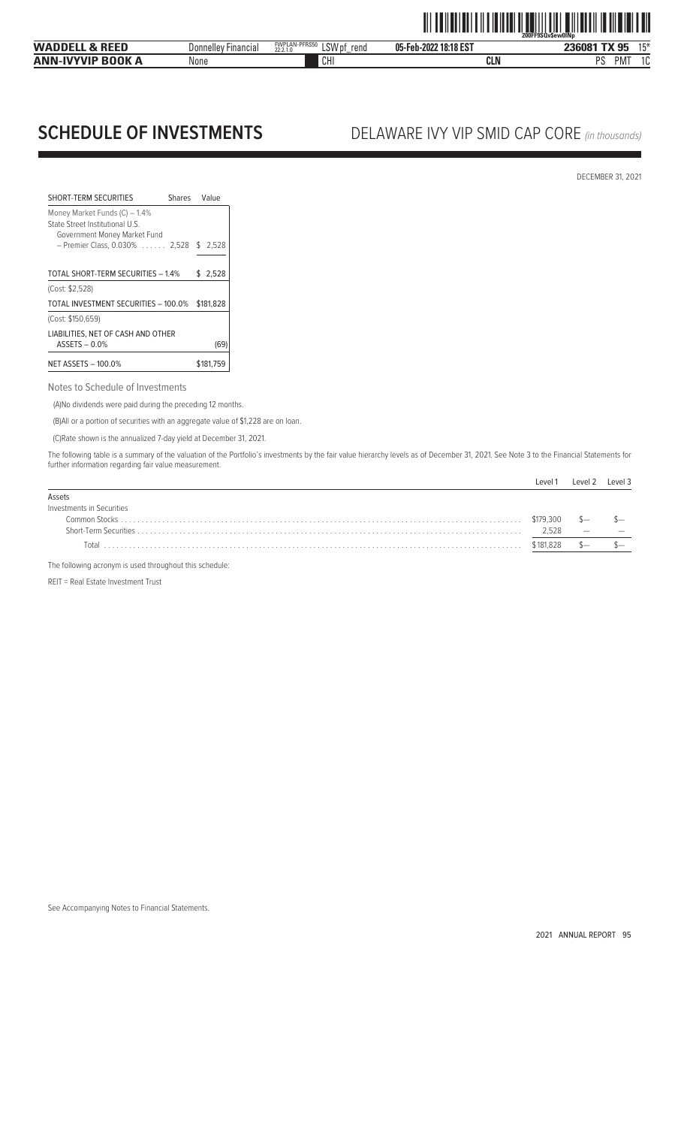|                           |                            |                                             | I II II II III II II III | W<br>200FF9SQvSew0INp |
|---------------------------|----------------------------|---------------------------------------------|--------------------------|-----------------------|
| <b>WADDELL &amp; REED</b> | <b>Donnelley Financial</b> | FWPLAN-PFRS50<br>22.2.1.0<br>LSW pf<br>rend | 05-Feb-2022 18:18 EST    | 236081 TX 95<br>$15*$ |
| <b>ANN-IVYVIP BOOK A</b>  | None                       | CHI                                         | <b>CLN</b>               | 1C<br>PS<br>PMT       |

# **SCHEDULE OF INVESTMENTS** DELAWARE IVY VIP SMID CAP CORE (in thousands)

DECEMBER 31, 2021

| SHORT-TERM SECURITIES                                                                                                             | Shares | Value     |
|-----------------------------------------------------------------------------------------------------------------------------------|--------|-----------|
| Money Market Funds (C) - 1.4%<br>State Street Institutional U.S.<br>Government Money Market Fund<br>- Premier Class, 0.030% 2,528 |        | \$2.528   |
| TOTAL SHORT-TERM SECURITIES - 1.4%                                                                                                |        | \$2,528   |
| (Cost: \$2,528)                                                                                                                   |        |           |
| TOTAL INVESTMENT SECURITIES - 100.0%                                                                                              |        | \$181,828 |
| (Cost: \$150,659)                                                                                                                 |        |           |
| LIABILITIES, NET OF CASH AND OTHER<br>$ASSETS - 0.0%$                                                                             |        | (69       |
| <b>NET ASSETS - 100.0%</b>                                                                                                        |        | \$181.759 |

Notes to Schedule of Investments

(A)No dividends were paid during the preceding 12 months.

(B)All or a portion of securities with an aggregate value of \$1,228 are on loan.

(C)Rate shown is the annualized 7-day yield at December 31, 2021.

The following table is a summary of the valuation of the Portfolio's investments by the fair value hierarchy levels as of December 31, 2021. See Note 3 to the Financial Statements for further information regarding fair value measurement.

|                           | Level 1   | l evel 2 | Level 3 |
|---------------------------|-----------|----------|---------|
| Assets                    |           |          |         |
| Investments in Securities |           |          |         |
|                           | \$179,300 |          |         |
|                           | 2.528     |          |         |
| Total                     | \$181.828 |          |         |
|                           |           |          |         |

The following acronym is used throughout this schedule:

REIT = Real Estate Investment Trust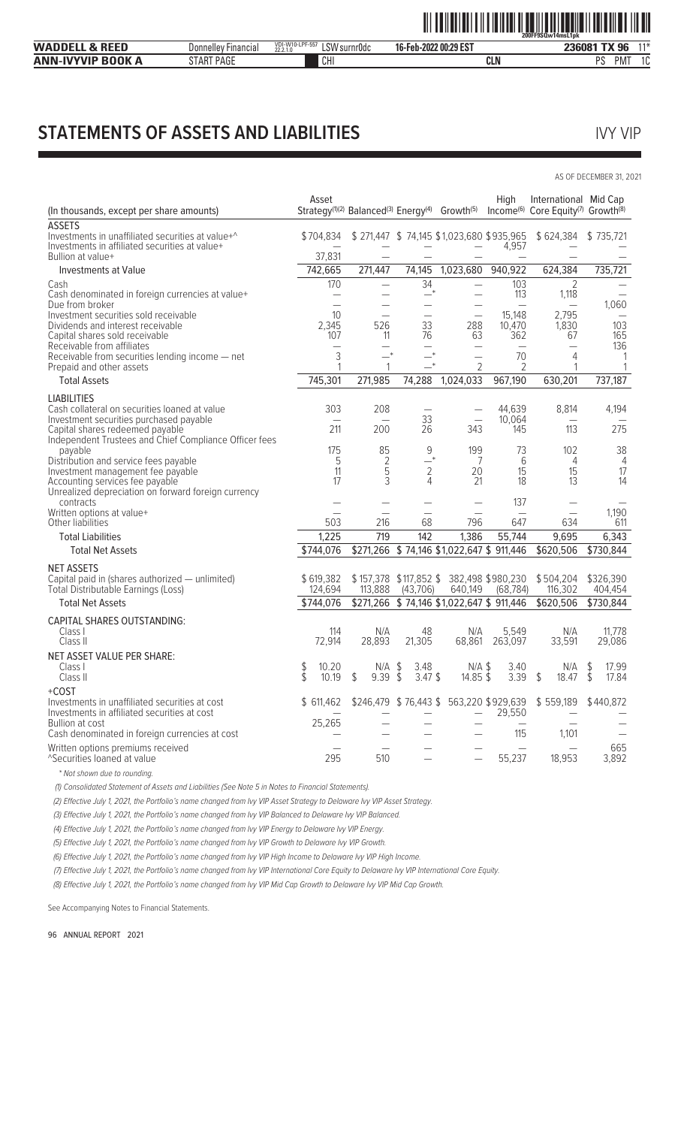|                           |                     |                                             |                       | 200FF9SQw14msL1pk      |
|---------------------------|---------------------|---------------------------------------------|-----------------------|------------------------|
| <b>WADDELL &amp; REED</b> | Donnelley Financial | VDI-W10-LPF-557<br>LSW surnr0dc<br>22.2.1.0 | 16-Feb-2022 00:29 EST | $11*$<br>236081 TX 96  |
| <b>ANN-IVYVIP BOOK A</b>  | START PAGE          | CH                                          | <b>CLN</b>            | DС<br><b>PMT</b><br>10 |

# **STATEMENTS OF ASSETS AND LIABILITIES** IVY VIP

| AS OF DECEMBER 31, 2021 |  |
|-------------------------|--|

| (In thousands, except per share amounts)                                                            | Asset                |                                        |                                |                                                      | High                           | International Mid Cap<br>Strategy <sup>(1)(2)</sup> Balanced <sup>(3)</sup> Energy <sup>(4)</sup> Growth <sup>(5)</sup> Income <sup>(6)</sup> Core Equity <sup>(7)</sup> Growth <sup>(8)</sup> |                      |
|-----------------------------------------------------------------------------------------------------|----------------------|----------------------------------------|--------------------------------|------------------------------------------------------|--------------------------------|------------------------------------------------------------------------------------------------------------------------------------------------------------------------------------------------|----------------------|
| <b>ASSETS</b>                                                                                       |                      |                                        |                                |                                                      |                                |                                                                                                                                                                                                |                      |
| Investments in unaffiliated securities at value+^<br>Investments in affiliated securities at value+ | \$704,834            |                                        |                                | \$271,447 \$74,145 \$1,023,680 \$935,965             | 4,957                          | \$624,384                                                                                                                                                                                      | \$735,721            |
| Bullion at value+                                                                                   | 37,831               |                                        |                                |                                                      |                                |                                                                                                                                                                                                |                      |
| Investments at Value                                                                                | 742,665              | 271,447                                | 74,145                         | 1,023,680                                            | 940,922                        | 624,384                                                                                                                                                                                        | 735,721              |
| Cash<br>Cash denominated in foreign currencies at value+                                            | 170                  | $\overline{\phantom{0}}$<br>—          | 34<br>$-^{\ast}$               | $\overline{\phantom{0}}$<br>$\overline{\phantom{0}}$ | 103<br>113                     | 2<br>1,118                                                                                                                                                                                     |                      |
| Due from broker                                                                                     |                      | $\overline{\phantom{0}}$               |                                | $\overline{\phantom{0}}$                             |                                | $\overline{\phantom{0}}$                                                                                                                                                                       | 1,060                |
| Investment securities sold receivable<br>Dividends and interest receivable                          | 10<br>2,345          | $\overbrace{\qquad \qquad }^{}$<br>526 | $\overline{\phantom{0}}$<br>33 | $\overline{\phantom{0}}$<br>288                      | 15,148<br>10,470               | 2,795<br>1,830                                                                                                                                                                                 | 103                  |
| Capital shares sold receivable<br>Receivable from affiliates                                        | 107                  | 11<br>$\overline{\phantom{0}}$         | 76                             | 63<br>$\overline{\phantom{0}}$                       | 362                            | 67                                                                                                                                                                                             | 165<br>136           |
| Receivable from securities lending income - net                                                     | 3                    | $\overline{\phantom{0}}^*$             | $-^*$                          |                                                      | 70                             | 4                                                                                                                                                                                              | 1                    |
| Prepaid and other assets                                                                            | 1<br>745,301         | 1                                      | $-$ *<br>74,288                | $\overline{2}$                                       | 2                              | 1<br>630,201                                                                                                                                                                                   | 1                    |
| <b>Total Assets</b>                                                                                 |                      | 271,985                                |                                | 1,024,033                                            | 967,190                        |                                                                                                                                                                                                | 737,187              |
| <b>LIABILITIES</b><br>Cash collateral on securities loaned at value                                 | 303                  | 208                                    |                                | $\overline{\phantom{0}}$                             | 44,639                         | 8,814                                                                                                                                                                                          | 4,194                |
| Investment securities purchased payable                                                             | 211                  | 200                                    | 33<br>26                       |                                                      | 10,064<br>145                  | 113                                                                                                                                                                                            | 275                  |
| Capital shares redeemed payable<br>Independent Trustees and Chief Compliance Officer fees           |                      |                                        |                                | 343                                                  |                                |                                                                                                                                                                                                |                      |
| payable<br>Distribution and service fees payable                                                    | 175<br>5             | 85<br>2                                | 9<br>$-$ *                     | 199<br>7                                             | 73<br>6                        | 102<br>4                                                                                                                                                                                       | 38<br>4              |
| Investment management fee payable                                                                   | 11                   | $\frac{5}{3}$                          | $\overline{2}$                 | 20                                                   | 15                             | 15                                                                                                                                                                                             | 17                   |
| Accounting services fee payable<br>Unrealized depreciation on forward foreign currency              | 17                   |                                        | $\overline{4}$                 | 21                                                   | 18                             | 13                                                                                                                                                                                             | 14                   |
| contracts                                                                                           |                      |                                        |                                |                                                      | 137                            |                                                                                                                                                                                                |                      |
| Written options at value+<br>Other liabilities                                                      | 503                  | 216                                    | 68                             | 796                                                  | 647                            | 634                                                                                                                                                                                            | 1,190<br>611         |
| <b>Total Liabilities</b>                                                                            | 1,225                | 719                                    | 142                            | 1,386                                                | 55,744                         | 9,695                                                                                                                                                                                          | 6,343                |
| <b>Total Net Assets</b>                                                                             | \$744,076            |                                        |                                | \$271,266 \$74,146 \$1,022,647 \$911,446             |                                | \$620,506                                                                                                                                                                                      | \$730,844            |
| <b>NET ASSETS</b>                                                                                   |                      |                                        |                                |                                                      |                                |                                                                                                                                                                                                |                      |
| Capital paid in (shares authorized - unlimited)<br>Total Distributable Earnings (Loss)              | \$619,382<br>124,694 | $$157,378$ $$117,852$ \$<br>113,888    | (43,706)                       | 640,149                                              | 382,498 \$980,230<br>(68, 784) | \$504,204<br>116,302                                                                                                                                                                           | \$326,390<br>404,454 |
| <b>Total Net Assets</b>                                                                             | \$744,076            |                                        |                                | \$271,266 \$74,146 \$1,022,647 \$911,446             |                                | \$620,506                                                                                                                                                                                      | \$730,844            |
| CAPITAL SHARES OUTSTANDING:                                                                         |                      |                                        |                                |                                                      |                                |                                                                                                                                                                                                |                      |
| Class I<br>Class II                                                                                 | 114<br>72,914        | N/A<br>28,893                          | 48<br>21,305                   | N/A<br>68,861                                        | 5,549<br>263,097               | N/A<br>33,591                                                                                                                                                                                  | 11,778<br>29,086     |
| NET ASSET VALUE PER SHARE:                                                                          |                      |                                        |                                |                                                      |                                |                                                                                                                                                                                                |                      |
| Class I                                                                                             | \$<br>\$<br>10.20    | N/A                                    | \$<br>3.48                     | $N/A$ \$                                             | 3.40                           | N/A                                                                                                                                                                                            | \$<br>\$<br>17.99    |
| Class II<br>+COST                                                                                   | 10.19                | \$<br>9.39                             | \$<br>$3.47$ \$                | 14.85 \$                                             | 3.39                           | \$<br>18.47                                                                                                                                                                                    | 17.84                |
| Investments in unaffiliated securities at cost                                                      | \$611,462            |                                        |                                | \$246,479 \$76,443 \$563,220 \$929,639               |                                | \$559,189                                                                                                                                                                                      | \$440,872            |
| Investments in affiliated securities at cost<br>Bullion at cost                                     | 25,265               |                                        |                                | $\overline{\phantom{0}}$                             | 29,550                         |                                                                                                                                                                                                |                      |
| Cash denominated in foreign currencies at cost                                                      |                      | $\overline{\phantom{0}}$               |                                |                                                      | 115                            | 1,101                                                                                                                                                                                          |                      |
| Written options premiums received                                                                   |                      | $\overline{\phantom{0}}$               |                                |                                                      |                                |                                                                                                                                                                                                | 665                  |
| ^Securities loaned at value                                                                         | 295                  | 510                                    |                                |                                                      | 55,237                         | 18,953                                                                                                                                                                                         | 3,892                |

\* Not shown due to rounding.

(1) Consolidated Statement of Assets and Liabilities (See Note 5 in Notes to Financial Statements).

(2) Effective July 1, 2021, the Portfolio's name changed from Ivy VIP Asset Strategy to Delaware Ivy VIP Asset Strategy.

(3) Effective July 1, 2021, the Portfolio's name changed from Ivy VIP Balanced to Delaware Ivy VIP Balanced.

(4) Effective July 1, 2021, the Portfolio's name changed from Ivy VIP Energy to Delaware Ivy VIP Energy.

(5) Effective July 1, 2021, the Portfolio's name changed from Ivy VIP Growth to Delaware Ivy VIP Growth.

(6) Effective July 1, 2021, the Portfolio's name changed from Ivy VIP High Income to Delaware Ivy VIP High Income.

(7) Effective July 1, 2021, the Portfolio's name changed from Ivy VIP International Core Equity to Delaware Ivy VIP International Core Equity.

(8) Effective July 1, 2021, the Portfolio's name changed from Ivy VIP Mid Cap Growth to Delaware Ivy VIP Mid Cap Growth.

See Accompanying Notes to Financial Statements.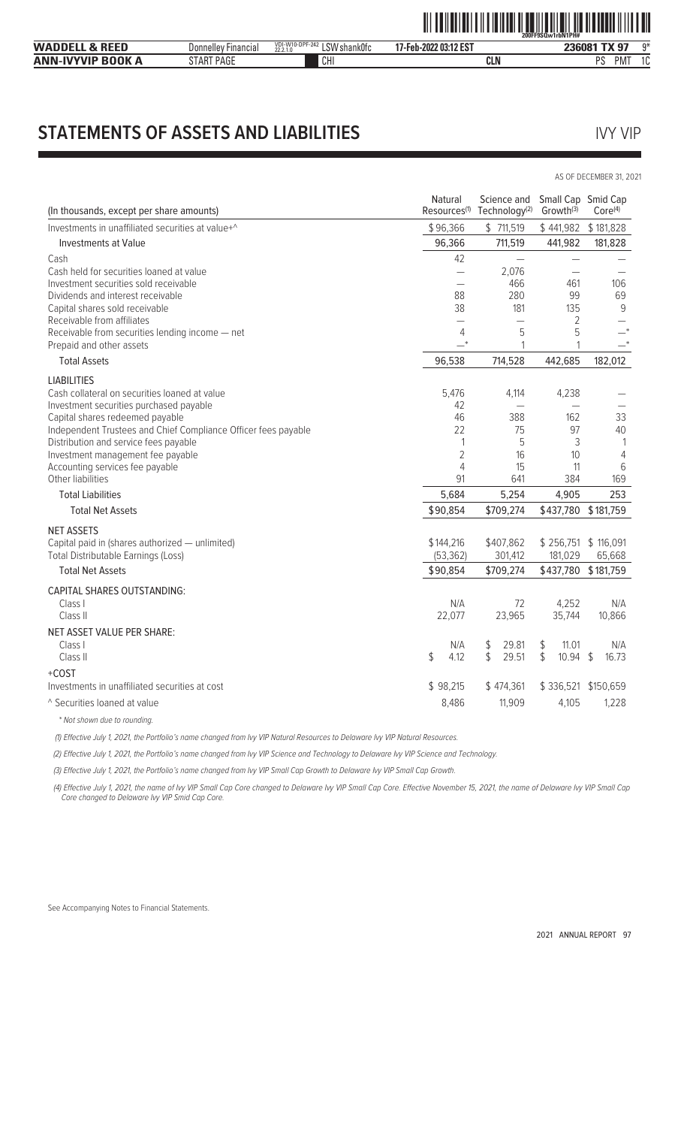|                           |                            |                                          | I II <b>I II II III II II III III III</b> III | ║║║<br>IIII<br>200FF9SOw1rbN1PH# |
|---------------------------|----------------------------|------------------------------------------|-----------------------------------------------|----------------------------------|
| <b>WADDELL &amp; REED</b> | <b>Donnelley Financial</b> | VDI-W10-DPF-242 LSW shank0fc<br>22.2.1.0 | 17-Feb-2022 03:12 EST                         | 236081 TX 97<br>0*               |
| <b>ANN-IVYVIP BOOK A</b>  | <b>START PAGE</b>          | CHI                                      | <b>CLN</b>                                    | PS<br>PMT<br>1C                  |

# **STATEMENTS OF ASSETS AND LIABILITIES IVY VIP**

AS OF DECEMBER 31, 2021

| (In thousands, except per share amounts)                                                          | <b>Natural</b>           | Science and<br>Resources <sup>(1)</sup> Technology <sup>(2)</sup> | Small Cap Smid Cap<br>Growth <sup>(3)</sup> | Core <sup>(4)</sup>                 |
|---------------------------------------------------------------------------------------------------|--------------------------|-------------------------------------------------------------------|---------------------------------------------|-------------------------------------|
| Investments in unaffiliated securities at value+^                                                 | \$96,366                 | \$711,519                                                         | \$441,982                                   | \$181,828                           |
| Investments at Value                                                                              | 96,366                   | 711,519                                                           | 441,982                                     | 181,828                             |
| Cash                                                                                              | 42                       |                                                                   |                                             |                                     |
| Cash held for securities loaned at value<br>Investment securities sold receivable                 |                          | 2,076                                                             | $\overline{\phantom{0}}$<br>461             |                                     |
| Dividends and interest receivable                                                                 | 88                       | 466<br>280                                                        | 99                                          | 106<br>69                           |
| Capital shares sold receivable                                                                    | 38                       | 181                                                               | 135                                         | 9                                   |
| Receivable from affiliates                                                                        | $\overline{\phantom{0}}$ | $\overline{\phantom{0}}$                                          | 2                                           | $\overline{\phantom{0}}$            |
| Receivable from securities lending income - net<br>Prepaid and other assets                       | 4<br>$-$ *               | 5<br>1                                                            | 5                                           | $\overline{\phantom{0}}^*$<br>$-$ * |
| <b>Total Assets</b>                                                                               | 96,538                   | 714,528                                                           | 442,685                                     | 182,012                             |
| <b>LIABILITIES</b>                                                                                |                          |                                                                   |                                             |                                     |
| Cash collateral on securities loaned at value                                                     | 5,476                    | 4,114                                                             | 4,238                                       |                                     |
| Investment securities purchased payable                                                           | 42                       | $\overline{\phantom{0}}$                                          |                                             |                                     |
| Capital shares redeemed payable<br>Independent Trustees and Chief Compliance Officer fees payable | 46<br>22                 | 388<br>75                                                         | 162<br>97                                   | 33<br>40                            |
| Distribution and service fees payable                                                             | 1                        | 5                                                                 | 3                                           | $\mathbf{1}$                        |
| Investment management fee payable                                                                 | $\overline{2}$           | 16                                                                | 10                                          | 4                                   |
| Accounting services fee payable                                                                   | $\overline{4}$           | 15                                                                | 11                                          | 6                                   |
| Other liabilities                                                                                 | 91                       | 641                                                               | 384                                         | 169                                 |
| <b>Total Liabilities</b>                                                                          | 5,684                    | 5,254                                                             | 4,905                                       | 253                                 |
| <b>Total Net Assets</b>                                                                           | \$90,854                 | \$709,274                                                         | \$437,780                                   | \$181,759                           |
| <b>NET ASSETS</b>                                                                                 |                          |                                                                   |                                             |                                     |
| Capital paid in (shares authorized - unlimited)                                                   | \$144,216                | \$407,862                                                         | \$256,751                                   | \$116,091                           |
| <b>Total Distributable Earnings (Loss)</b>                                                        | (53, 362)                | 301,412                                                           | 181,029                                     | 65,668                              |
| <b>Total Net Assets</b>                                                                           | \$90,854                 | \$709,274                                                         | \$437,780                                   | \$181,759                           |
| CAPITAL SHARES OUTSTANDING:                                                                       |                          |                                                                   |                                             |                                     |
| Class I<br>Class II                                                                               | N/A<br>22,077            | 72<br>23,965                                                      | 4,252<br>35,744                             | N/A<br>10,866                       |
|                                                                                                   |                          |                                                                   |                                             |                                     |
| NET ASSET VALUE PER SHARE:<br>Class I                                                             | N/A                      | \$<br>29.81                                                       | \$<br>11.01                                 | N/A                                 |
| Class II                                                                                          | \$<br>4.12               | \$<br>29.51                                                       | \$<br>10.94                                 | \$<br>16.73                         |
| +COST                                                                                             |                          |                                                                   |                                             |                                     |
| Investments in unaffiliated securities at cost                                                    | \$98,215                 | \$474,361                                                         | \$336,521 \$150,659                         |                                     |
| ^ Securities loaned at value                                                                      | 8,486                    | 11,909                                                            | 4,105                                       | 1,228                               |
| * Not shown due to rounding.                                                                      |                          |                                                                   |                                             |                                     |

(1) Effective July 1, 2021, the Portfolio's name changed from Ivy VIP Natural Resources to Delaware Ivy VIP Natural Resources.

(2) Effective July 1, 2021, the Portfolio's name changed from Ivy VIP Science and Technology to Delaware Ivy VIP Science and Technology.

(3) Effective July 1, 2021, the Portfolio's name changed from Ivy VIP Small Cap Growth to Delaware Ivy VIP Small Cap Growth.

(4) Effective July 1, 2021, the name of Ivy VIP Small Cap Core changed to Delaware Ivy VIP Small Cap Core. Effective November 15, 2021, the name of Delaware Ivy VIP Small Cap Core changed to Delaware Ivy VIP Smid Cap Core.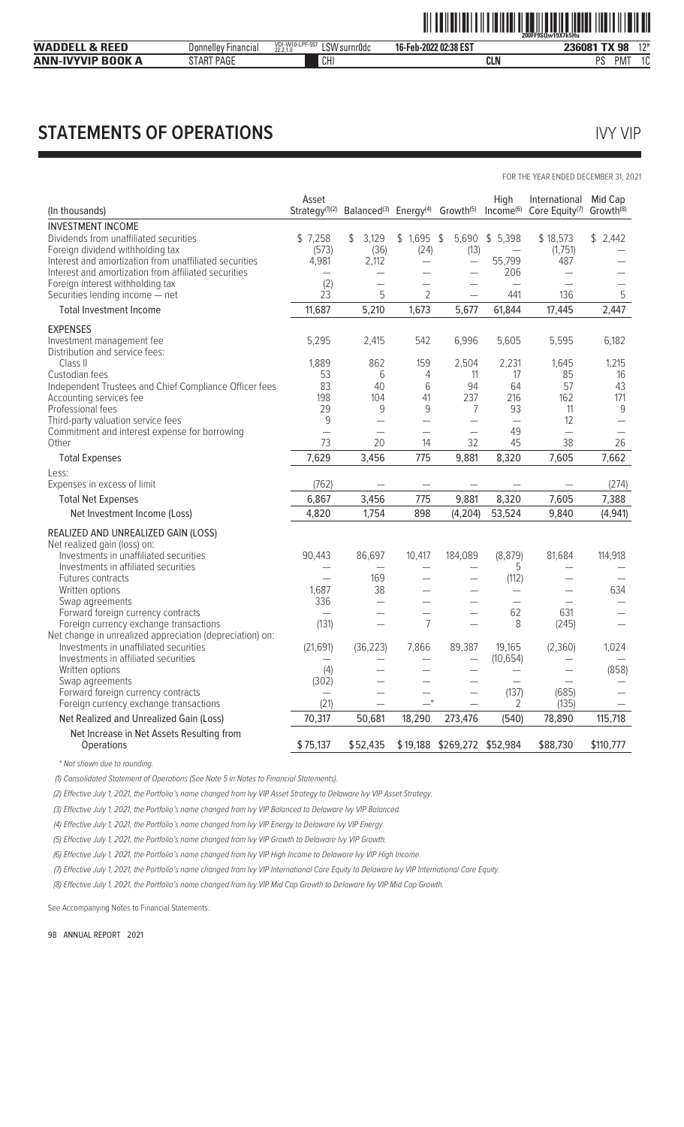|                          |                        |                                                                |                                   | <u>ZUULLJUUVIJAINJIIU</u> |     |
|--------------------------|------------------------|----------------------------------------------------------------|-----------------------------------|---------------------------|-----|
| nrrn<br>WAI              | Financial<br>Donnellev | VDI-W10-LPF-557<br>$^{\sim}$<br>/ surnr0dc<br>22.2.1.0<br>∟ວ∨⊻ | -2022 02:38 EST<br><b>16-Feb-</b> | 98<br>236081              | 12  |
| $R$ RNOK $R$<br>ANN<br>v | ART PAGE<br>5 I AH     | a nur<br>ыı                                                    | <b>CLN</b>                        | DC<br><b>PM</b>           | . . |
|                          |                        |                                                                |                                   |                           |     |

## **STATEMENTS OF OPERATIONS IVY VIP**

ˆ200FF9SQw19X7k5HuŠ **200FF9SQw19X7k5Hu**

|                                                                                                                                                                                                                                                              |                                     |                                                          |                            |                                           |                                               | FOR THE YEAR ENDED DECEMBER 31, 2021                                                                                                  |                                  |
|--------------------------------------------------------------------------------------------------------------------------------------------------------------------------------------------------------------------------------------------------------------|-------------------------------------|----------------------------------------------------------|----------------------------|-------------------------------------------|-----------------------------------------------|---------------------------------------------------------------------------------------------------------------------------------------|----------------------------------|
| (In thousands)                                                                                                                                                                                                                                               | Asset<br>Strategy <sup>(1)(2)</sup> |                                                          |                            |                                           | High                                          | International<br>Balanced <sup>(3)</sup> Energy <sup>(4)</sup> Growth <sup>(5)</sup> Income <sup>(6)</sup> Core Equity <sup>(7)</sup> | Mid Cap<br>Growth <sup>(8)</sup> |
| <b>INVESTMENT INCOME</b><br>Dividends from unaffiliated securities<br>Foreign dividend withholding tax<br>Interest and amortization from unaffiliated securities<br>Interest and amortization from affiliated securities<br>Foreign interest withholding tax | \$7,258<br>(573)<br>4,981<br>(2)    | \$<br>3,129<br>(36)<br>2,112<br>$\overline{\phantom{0}}$ | $$1,695$ \$<br>(24)        | 5,690<br>(13)<br>$\overline{\phantom{m}}$ | \$5,398<br>55,799<br>206<br>$\qquad \qquad -$ | \$18,573<br>(1,751)<br>487<br>$\overline{\phantom{0}}$                                                                                | \$2,442                          |
| Securities lending income - net<br><b>Total Investment Income</b>                                                                                                                                                                                            | 23<br>11,687                        | 5<br>5,210                                               | $\overline{2}$<br>1,673    | 5,677                                     | 441<br>61,844                                 | 136<br>17,445                                                                                                                         | 5<br>2,447                       |
|                                                                                                                                                                                                                                                              |                                     |                                                          |                            |                                           |                                               |                                                                                                                                       |                                  |
| <b>EXPENSES</b><br>Investment management fee<br>Distribution and service fees:                                                                                                                                                                               | 5,295                               | 2,415                                                    | 542                        | 6,996                                     | 5,605                                         | 5,595                                                                                                                                 | 6,182                            |
| Class II<br>Custodian fees                                                                                                                                                                                                                                   | 1,889<br>53                         | 862<br>6                                                 | 159<br>4                   | 2,504<br>11                               | 2,231<br>17                                   | 1,645<br>85                                                                                                                           | 1,215<br>16                      |
| Independent Trustees and Chief Compliance Officer fees                                                                                                                                                                                                       | 83                                  | 40                                                       | 6                          | 94                                        | 64                                            | 57                                                                                                                                    | 43                               |
| Accounting services fee                                                                                                                                                                                                                                      | 198                                 | 104                                                      | 41                         | 237                                       | 216                                           | 162                                                                                                                                   | 171                              |
| Professional fees                                                                                                                                                                                                                                            | 29                                  | 9                                                        | $\mathsf 9$                | 7                                         | 93                                            | 11                                                                                                                                    | $\overline{9}$                   |
| Third-party valuation service fees<br>Commitment and interest expense for borrowing                                                                                                                                                                          | $\overline{9}$                      | $\overline{\phantom{0}}$                                 |                            |                                           | 49                                            | 12                                                                                                                                    |                                  |
| Other                                                                                                                                                                                                                                                        | $\overline{\phantom{0}}$<br>73      | 20                                                       | 14                         | 32                                        | 45                                            | $\overline{\phantom{0}}$<br>38                                                                                                        | 26                               |
| <b>Total Expenses</b>                                                                                                                                                                                                                                        | 7,629                               | 3,456                                                    | 775                        | 9,881                                     | 8,320                                         | 7,605                                                                                                                                 | 7,662                            |
| Less:                                                                                                                                                                                                                                                        |                                     |                                                          |                            |                                           |                                               |                                                                                                                                       |                                  |
| Expenses in excess of limit                                                                                                                                                                                                                                  | (762)                               |                                                          |                            |                                           |                                               |                                                                                                                                       | (274)                            |
| <b>Total Net Expenses</b>                                                                                                                                                                                                                                    | 6,867                               | 3,456                                                    | 775                        | 9,881                                     | 8,320                                         | 7,605                                                                                                                                 | 7,388                            |
| Net Investment Income (Loss)                                                                                                                                                                                                                                 | 4,820                               | 1,754                                                    | 898                        | (4, 204)                                  | 53,524                                        | 9,840                                                                                                                                 | (4, 941)                         |
| REALIZED AND UNREALIZED GAIN (LOSS)<br>Net realized gain (loss) on:                                                                                                                                                                                          |                                     |                                                          |                            |                                           |                                               |                                                                                                                                       |                                  |
| Investments in unaffiliated securities                                                                                                                                                                                                                       | 90,443                              | 86,697                                                   | 10,417                     | 184,089                                   | (8, 879)                                      | 81,684                                                                                                                                | 114,918                          |
| Investments in affiliated securities<br>Futures contracts                                                                                                                                                                                                    |                                     | 169                                                      |                            |                                           | 5<br>(112)                                    |                                                                                                                                       |                                  |
| Written options                                                                                                                                                                                                                                              | 1,687                               | 38                                                       |                            | $\overbrace{\phantom{12322111}}$          | $\qquad \qquad -$                             |                                                                                                                                       | 634                              |
| Swap agreements                                                                                                                                                                                                                                              | 336                                 |                                                          |                            |                                           |                                               |                                                                                                                                       |                                  |
| Forward foreign currency contracts                                                                                                                                                                                                                           | $\overline{\phantom{m}}$            |                                                          |                            |                                           | 62                                            | 631                                                                                                                                   |                                  |
| Foreign currency exchange transactions<br>Net change in unrealized appreciation (depreciation) on:                                                                                                                                                           | (131)                               |                                                          | 7                          |                                           | 8                                             | (245)                                                                                                                                 |                                  |
| Investments in unaffiliated securities<br>Investments in affiliated securities                                                                                                                                                                               | (21, 691)                           | (36, 223)                                                | 7,866                      | 89,387                                    | 19,165<br>(10, 654)                           | (2,360)                                                                                                                               | 1,024                            |
| Written options                                                                                                                                                                                                                                              | (4)                                 |                                                          |                            |                                           | $\hspace{0.1mm}-\hspace{0.1mm}$               |                                                                                                                                       | (858)                            |
| Swap agreements                                                                                                                                                                                                                                              | (302)                               |                                                          |                            |                                           |                                               |                                                                                                                                       |                                  |
| Forward foreign currency contracts<br>Foreign currency exchange transactions                                                                                                                                                                                 | (21)                                |                                                          | $\overline{\phantom{0}}^*$ |                                           | (137)<br>2                                    | (685)<br>(135)                                                                                                                        |                                  |
| Net Realized and Unrealized Gain (Loss)                                                                                                                                                                                                                      | 70,317                              | 50,681                                                   | 18,290                     | 273,476                                   | (540)                                         | 78,890                                                                                                                                | 115,718                          |
| Net Increase in Net Assets Resulting from                                                                                                                                                                                                                    |                                     |                                                          |                            |                                           |                                               |                                                                                                                                       |                                  |
| Operations                                                                                                                                                                                                                                                   | \$75,137                            | \$52,435                                                 |                            | \$19,188 \$269,272 \$52,984               |                                               | \$88,730                                                                                                                              | \$110,777                        |

\* Not shown due to rounding.

(1) Consolidated Statement of Operations (See Note 5 in Notes to Financial Statements).

(2) Effective July 1, 2021, the Portfolio's name changed from Ivy VIP Asset Strategy to Delaware Ivy VIP Asset Strategy.

(3) Effective July 1, 2021, the Portfolio's name changed from Ivy VIP Balanced to Delaware Ivy VIP Balanced.

(4) Effective July 1, 2021, the Portfolio's name changed from Ivy VIP Energy to Delaware Ivy VIP Energy.

(5) Effective July 1, 2021, the Portfolio's name changed from Ivy VIP Growth to Delaware Ivy VIP Growth.

(6) Effective July 1, 2021, the Portfolio's name changed from Ivy VIP High Income to Delaware Ivy VIP High Income.

(7) Effective July 1, 2021, the Portfolio's name changed from Ivy VIP International Core Equity to Delaware Ivy VIP International Core Equity.

(8) Effective July 1, 2021, the Portfolio's name changed from Ivy VIP Mid Cap Growth to Delaware Ivy VIP Mid Cap Growth.

See Accompanying Notes to Financial Statements.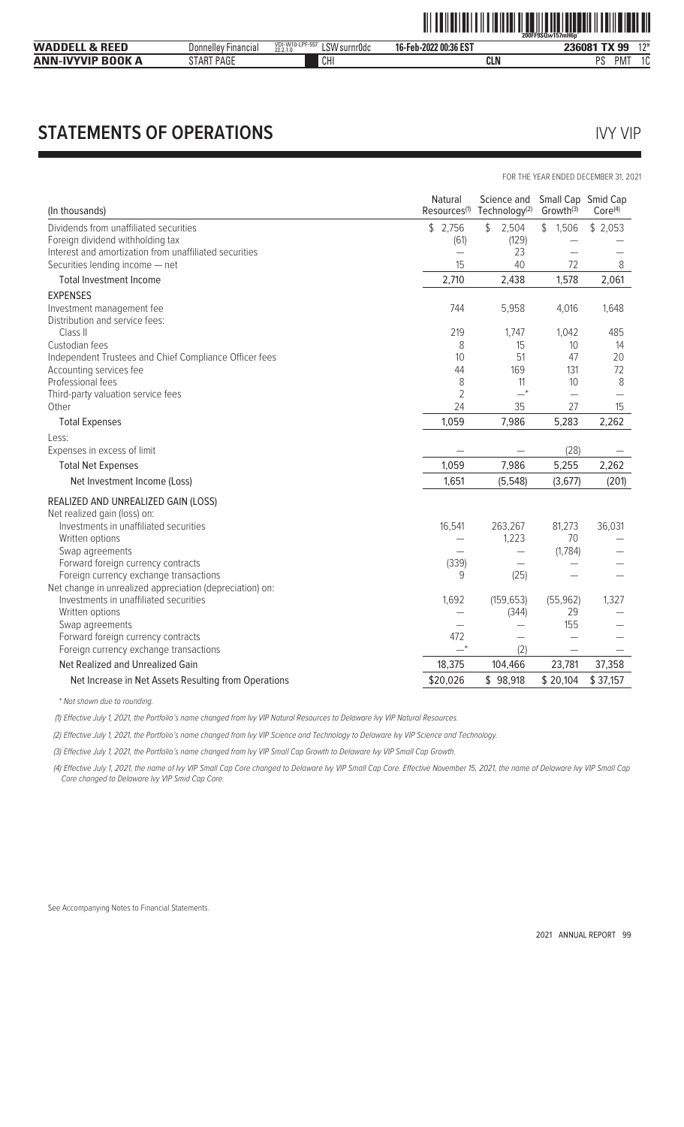|                           |                            |                                             | IIIIIIIIII            | <u>TII TIENIN TEIJII TIENIN TEITII T</u><br>200FF9SQw157mH6p |
|---------------------------|----------------------------|---------------------------------------------|-----------------------|--------------------------------------------------------------|
| <b>WADDELL &amp; REED</b> | <b>Donnelley Financial</b> | VDI-W10-LPF-557<br>LSW surnr0dc<br>22.2.1.0 | 16-Feb-2022 00:36 EST | $12*$<br>236081 TX 99                                        |
| <b>ANN-IVYVIP BOOK A</b>  | START PAGE                 | CHI                                         | <b>CLN</b>            | PS<br>10<br>PMT                                              |

# **STATEMENTS OF OPERATIONS IVY VIP**

FOR THE YEAR ENDED DECEMBER 31, 2021

| $\sqrt{2}$<br>\$2,053<br>Dividends from unaffiliated securities<br>\$2,756<br>2,504<br>\$<br>1,506<br>Foreign dividend withholding tax<br>(129)<br>(61)<br>$\qquad \qquad -$<br>Interest and amortization from unaffiliated securities<br>23<br>15<br>40<br>72<br>8<br>Securities lending income - net<br>2,710<br>2,438<br>1,578<br>2,061<br><b>Total Investment Income</b><br><b>EXPENSES</b><br>744<br>5,958<br>Investment management fee<br>4,016<br>1.648<br>Distribution and service fees:<br>Class II<br>219<br>1.747<br>1.042<br>485<br>8<br>15<br>Custodian fees<br>10<br>14<br>51<br>Independent Trustees and Chief Compliance Officer fees<br>10<br>47<br>20<br>169<br>131<br>72<br>Accounting services fee<br>44<br>Professional fees<br>8<br>11<br>10<br>8<br>$\overline{2}$<br>$-$ *<br>Third-party valuation service fees<br>$\overline{\phantom{0}}$<br>27<br>Other<br>24<br>35<br>15<br>1,059<br>7,986<br>5,283<br>2,262<br><b>Total Expenses</b><br>Less:<br>(28)<br>Expenses in excess of limit<br>1,059<br>2,262<br>7,986<br>5,255<br><b>Total Net Expenses</b><br>1,651<br>(201)<br>Net Investment Income (Loss)<br>(5, 548)<br>(3,677)<br>REALIZED AND UNREALIZED GAIN (LOSS)<br>Net realized gain (loss) on:<br>Investments in unaffiliated securities<br>16,541<br>263,267<br>81,273<br>36,031<br>Written options<br>1,223<br>70<br>(1,784)<br>Swap agreements<br>÷,<br>Forward foreign currency contracts<br>(339)<br>$\qquad \qquad$<br>Foreign currency exchange transactions<br>(25)<br>9<br>Net change in unrealized appreciation (depreciation) on:<br>Investments in unaffiliated securities<br>1,692<br>(159, 653)<br>(55, 962)<br>1.327<br>(344)<br>29<br>Written options<br>Swap agreements<br>155<br>$\overline{\phantom{0}}$<br>Forward foreign currency contracts<br>472<br>$-$ *<br>Foreign currency exchange transactions<br>(2)<br>Net Realized and Unrealized Gain<br>18,375<br>23,781<br>37,358<br>104,466<br>\$98,918<br>\$20,026<br>\$20,104<br>\$37,157<br>Net Increase in Net Assets Resulting from Operations | (In thousands) | Natural | Science and<br>Resources <sup>(1)</sup> Technology <sup>(2)</sup> | Growth <sup>(3)</sup> | Small Cap Smid Cap<br>Core <sup>(4)</sup> |
|--------------------------------------------------------------------------------------------------------------------------------------------------------------------------------------------------------------------------------------------------------------------------------------------------------------------------------------------------------------------------------------------------------------------------------------------------------------------------------------------------------------------------------------------------------------------------------------------------------------------------------------------------------------------------------------------------------------------------------------------------------------------------------------------------------------------------------------------------------------------------------------------------------------------------------------------------------------------------------------------------------------------------------------------------------------------------------------------------------------------------------------------------------------------------------------------------------------------------------------------------------------------------------------------------------------------------------------------------------------------------------------------------------------------------------------------------------------------------------------------------------------------------------------------------------------------------------------------------------------------------------------------------------------------------------------------------------------------------------------------------------------------------------------------------------------------------------------------------------------------------------------------------------------------------------------------------------------------------------------------------------------------------------------------------------------|----------------|---------|-------------------------------------------------------------------|-----------------------|-------------------------------------------|
|                                                                                                                                                                                                                                                                                                                                                                                                                                                                                                                                                                                                                                                                                                                                                                                                                                                                                                                                                                                                                                                                                                                                                                                                                                                                                                                                                                                                                                                                                                                                                                                                                                                                                                                                                                                                                                                                                                                                                                                                                                                              |                |         |                                                                   |                       |                                           |
|                                                                                                                                                                                                                                                                                                                                                                                                                                                                                                                                                                                                                                                                                                                                                                                                                                                                                                                                                                                                                                                                                                                                                                                                                                                                                                                                                                                                                                                                                                                                                                                                                                                                                                                                                                                                                                                                                                                                                                                                                                                              |                |         |                                                                   |                       |                                           |
|                                                                                                                                                                                                                                                                                                                                                                                                                                                                                                                                                                                                                                                                                                                                                                                                                                                                                                                                                                                                                                                                                                                                                                                                                                                                                                                                                                                                                                                                                                                                                                                                                                                                                                                                                                                                                                                                                                                                                                                                                                                              |                |         |                                                                   |                       |                                           |
|                                                                                                                                                                                                                                                                                                                                                                                                                                                                                                                                                                                                                                                                                                                                                                                                                                                                                                                                                                                                                                                                                                                                                                                                                                                                                                                                                                                                                                                                                                                                                                                                                                                                                                                                                                                                                                                                                                                                                                                                                                                              |                |         |                                                                   |                       |                                           |
|                                                                                                                                                                                                                                                                                                                                                                                                                                                                                                                                                                                                                                                                                                                                                                                                                                                                                                                                                                                                                                                                                                                                                                                                                                                                                                                                                                                                                                                                                                                                                                                                                                                                                                                                                                                                                                                                                                                                                                                                                                                              |                |         |                                                                   |                       |                                           |
|                                                                                                                                                                                                                                                                                                                                                                                                                                                                                                                                                                                                                                                                                                                                                                                                                                                                                                                                                                                                                                                                                                                                                                                                                                                                                                                                                                                                                                                                                                                                                                                                                                                                                                                                                                                                                                                                                                                                                                                                                                                              |                |         |                                                                   |                       |                                           |
|                                                                                                                                                                                                                                                                                                                                                                                                                                                                                                                                                                                                                                                                                                                                                                                                                                                                                                                                                                                                                                                                                                                                                                                                                                                                                                                                                                                                                                                                                                                                                                                                                                                                                                                                                                                                                                                                                                                                                                                                                                                              |                |         |                                                                   |                       |                                           |
|                                                                                                                                                                                                                                                                                                                                                                                                                                                                                                                                                                                                                                                                                                                                                                                                                                                                                                                                                                                                                                                                                                                                                                                                                                                                                                                                                                                                                                                                                                                                                                                                                                                                                                                                                                                                                                                                                                                                                                                                                                                              |                |         |                                                                   |                       |                                           |
|                                                                                                                                                                                                                                                                                                                                                                                                                                                                                                                                                                                                                                                                                                                                                                                                                                                                                                                                                                                                                                                                                                                                                                                                                                                                                                                                                                                                                                                                                                                                                                                                                                                                                                                                                                                                                                                                                                                                                                                                                                                              |                |         |                                                                   |                       |                                           |
|                                                                                                                                                                                                                                                                                                                                                                                                                                                                                                                                                                                                                                                                                                                                                                                                                                                                                                                                                                                                                                                                                                                                                                                                                                                                                                                                                                                                                                                                                                                                                                                                                                                                                                                                                                                                                                                                                                                                                                                                                                                              |                |         |                                                                   |                       |                                           |
|                                                                                                                                                                                                                                                                                                                                                                                                                                                                                                                                                                                                                                                                                                                                                                                                                                                                                                                                                                                                                                                                                                                                                                                                                                                                                                                                                                                                                                                                                                                                                                                                                                                                                                                                                                                                                                                                                                                                                                                                                                                              |                |         |                                                                   |                       |                                           |
|                                                                                                                                                                                                                                                                                                                                                                                                                                                                                                                                                                                                                                                                                                                                                                                                                                                                                                                                                                                                                                                                                                                                                                                                                                                                                                                                                                                                                                                                                                                                                                                                                                                                                                                                                                                                                                                                                                                                                                                                                                                              |                |         |                                                                   |                       |                                           |
|                                                                                                                                                                                                                                                                                                                                                                                                                                                                                                                                                                                                                                                                                                                                                                                                                                                                                                                                                                                                                                                                                                                                                                                                                                                                                                                                                                                                                                                                                                                                                                                                                                                                                                                                                                                                                                                                                                                                                                                                                                                              |                |         |                                                                   |                       |                                           |
|                                                                                                                                                                                                                                                                                                                                                                                                                                                                                                                                                                                                                                                                                                                                                                                                                                                                                                                                                                                                                                                                                                                                                                                                                                                                                                                                                                                                                                                                                                                                                                                                                                                                                                                                                                                                                                                                                                                                                                                                                                                              |                |         |                                                                   |                       |                                           |
|                                                                                                                                                                                                                                                                                                                                                                                                                                                                                                                                                                                                                                                                                                                                                                                                                                                                                                                                                                                                                                                                                                                                                                                                                                                                                                                                                                                                                                                                                                                                                                                                                                                                                                                                                                                                                                                                                                                                                                                                                                                              |                |         |                                                                   |                       |                                           |
|                                                                                                                                                                                                                                                                                                                                                                                                                                                                                                                                                                                                                                                                                                                                                                                                                                                                                                                                                                                                                                                                                                                                                                                                                                                                                                                                                                                                                                                                                                                                                                                                                                                                                                                                                                                                                                                                                                                                                                                                                                                              |                |         |                                                                   |                       |                                           |
|                                                                                                                                                                                                                                                                                                                                                                                                                                                                                                                                                                                                                                                                                                                                                                                                                                                                                                                                                                                                                                                                                                                                                                                                                                                                                                                                                                                                                                                                                                                                                                                                                                                                                                                                                                                                                                                                                                                                                                                                                                                              |                |         |                                                                   |                       |                                           |
|                                                                                                                                                                                                                                                                                                                                                                                                                                                                                                                                                                                                                                                                                                                                                                                                                                                                                                                                                                                                                                                                                                                                                                                                                                                                                                                                                                                                                                                                                                                                                                                                                                                                                                                                                                                                                                                                                                                                                                                                                                                              |                |         |                                                                   |                       |                                           |
|                                                                                                                                                                                                                                                                                                                                                                                                                                                                                                                                                                                                                                                                                                                                                                                                                                                                                                                                                                                                                                                                                                                                                                                                                                                                                                                                                                                                                                                                                                                                                                                                                                                                                                                                                                                                                                                                                                                                                                                                                                                              |                |         |                                                                   |                       |                                           |
|                                                                                                                                                                                                                                                                                                                                                                                                                                                                                                                                                                                                                                                                                                                                                                                                                                                                                                                                                                                                                                                                                                                                                                                                                                                                                                                                                                                                                                                                                                                                                                                                                                                                                                                                                                                                                                                                                                                                                                                                                                                              |                |         |                                                                   |                       |                                           |
|                                                                                                                                                                                                                                                                                                                                                                                                                                                                                                                                                                                                                                                                                                                                                                                                                                                                                                                                                                                                                                                                                                                                                                                                                                                                                                                                                                                                                                                                                                                                                                                                                                                                                                                                                                                                                                                                                                                                                                                                                                                              |                |         |                                                                   |                       |                                           |
|                                                                                                                                                                                                                                                                                                                                                                                                                                                                                                                                                                                                                                                                                                                                                                                                                                                                                                                                                                                                                                                                                                                                                                                                                                                                                                                                                                                                                                                                                                                                                                                                                                                                                                                                                                                                                                                                                                                                                                                                                                                              |                |         |                                                                   |                       |                                           |
|                                                                                                                                                                                                                                                                                                                                                                                                                                                                                                                                                                                                                                                                                                                                                                                                                                                                                                                                                                                                                                                                                                                                                                                                                                                                                                                                                                                                                                                                                                                                                                                                                                                                                                                                                                                                                                                                                                                                                                                                                                                              |                |         |                                                                   |                       |                                           |
|                                                                                                                                                                                                                                                                                                                                                                                                                                                                                                                                                                                                                                                                                                                                                                                                                                                                                                                                                                                                                                                                                                                                                                                                                                                                                                                                                                                                                                                                                                                                                                                                                                                                                                                                                                                                                                                                                                                                                                                                                                                              |                |         |                                                                   |                       |                                           |
|                                                                                                                                                                                                                                                                                                                                                                                                                                                                                                                                                                                                                                                                                                                                                                                                                                                                                                                                                                                                                                                                                                                                                                                                                                                                                                                                                                                                                                                                                                                                                                                                                                                                                                                                                                                                                                                                                                                                                                                                                                                              |                |         |                                                                   |                       |                                           |
|                                                                                                                                                                                                                                                                                                                                                                                                                                                                                                                                                                                                                                                                                                                                                                                                                                                                                                                                                                                                                                                                                                                                                                                                                                                                                                                                                                                                                                                                                                                                                                                                                                                                                                                                                                                                                                                                                                                                                                                                                                                              |                |         |                                                                   |                       |                                           |
|                                                                                                                                                                                                                                                                                                                                                                                                                                                                                                                                                                                                                                                                                                                                                                                                                                                                                                                                                                                                                                                                                                                                                                                                                                                                                                                                                                                                                                                                                                                                                                                                                                                                                                                                                                                                                                                                                                                                                                                                                                                              |                |         |                                                                   |                       |                                           |
|                                                                                                                                                                                                                                                                                                                                                                                                                                                                                                                                                                                                                                                                                                                                                                                                                                                                                                                                                                                                                                                                                                                                                                                                                                                                                                                                                                                                                                                                                                                                                                                                                                                                                                                                                                                                                                                                                                                                                                                                                                                              |                |         |                                                                   |                       |                                           |
|                                                                                                                                                                                                                                                                                                                                                                                                                                                                                                                                                                                                                                                                                                                                                                                                                                                                                                                                                                                                                                                                                                                                                                                                                                                                                                                                                                                                                                                                                                                                                                                                                                                                                                                                                                                                                                                                                                                                                                                                                                                              |                |         |                                                                   |                       |                                           |
|                                                                                                                                                                                                                                                                                                                                                                                                                                                                                                                                                                                                                                                                                                                                                                                                                                                                                                                                                                                                                                                                                                                                                                                                                                                                                                                                                                                                                                                                                                                                                                                                                                                                                                                                                                                                                                                                                                                                                                                                                                                              |                |         |                                                                   |                       |                                           |
|                                                                                                                                                                                                                                                                                                                                                                                                                                                                                                                                                                                                                                                                                                                                                                                                                                                                                                                                                                                                                                                                                                                                                                                                                                                                                                                                                                                                                                                                                                                                                                                                                                                                                                                                                                                                                                                                                                                                                                                                                                                              |                |         |                                                                   |                       |                                           |
|                                                                                                                                                                                                                                                                                                                                                                                                                                                                                                                                                                                                                                                                                                                                                                                                                                                                                                                                                                                                                                                                                                                                                                                                                                                                                                                                                                                                                                                                                                                                                                                                                                                                                                                                                                                                                                                                                                                                                                                                                                                              |                |         |                                                                   |                       |                                           |
|                                                                                                                                                                                                                                                                                                                                                                                                                                                                                                                                                                                                                                                                                                                                                                                                                                                                                                                                                                                                                                                                                                                                                                                                                                                                                                                                                                                                                                                                                                                                                                                                                                                                                                                                                                                                                                                                                                                                                                                                                                                              |                |         |                                                                   |                       |                                           |

\* Not shown due to rounding.

(1) Effective July 1, 2021, the Portfolio's name changed from Ivy VIP Natural Resources to Delaware Ivy VIP Natural Resources.

(2) Effective July 1, 2021, the Portfolio's name changed from Ivy VIP Science and Technology to Delaware Ivy VIP Science and Technology.

(3) Effective July 1, 2021, the Portfolio's name changed from Ivy VIP Small Cap Growth to Delaware Ivy VIP Small Cap Growth.

(4) Effective July 1, 2021, the name of Ivy VIP Small Cap Core changed to Delaware Ivy VIP Small Cap Core. Effective November 15, 2021, the name of Delaware Ivy VIP Small Cap Core changed to Delaware Ivy VIP Smid Cap Core.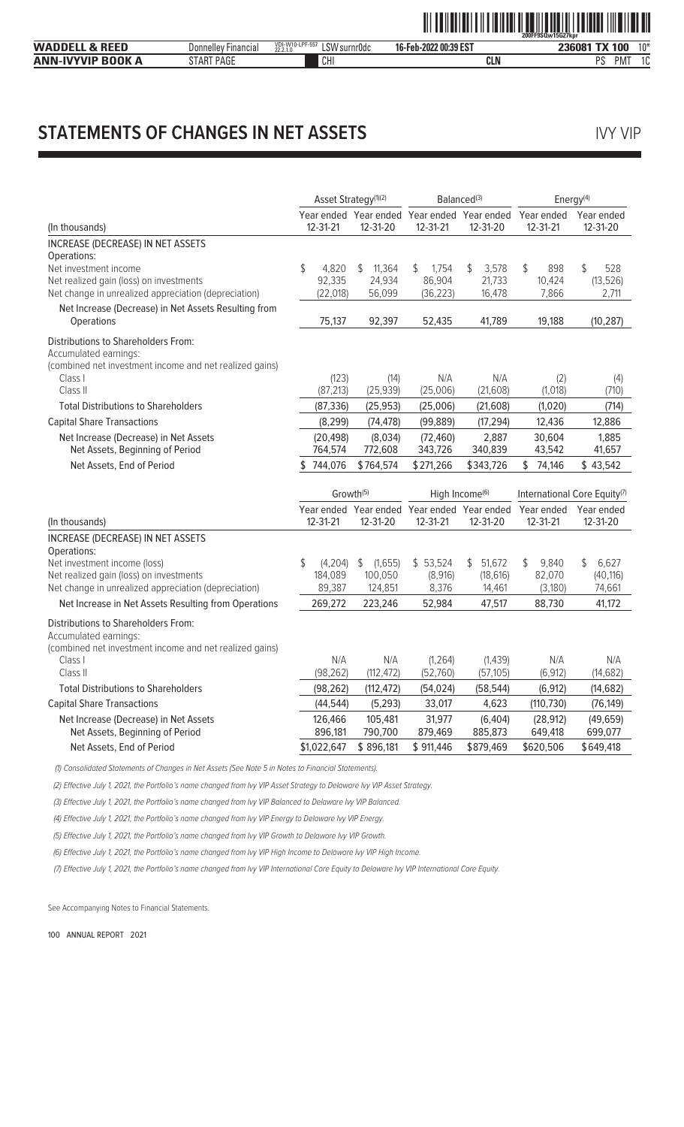|                           |                     |                                             |                       | 200FF9SQw15G27kpr      |
|---------------------------|---------------------|---------------------------------------------|-----------------------|------------------------|
| <b>WADDELL &amp; REED</b> | Donnelley Financial | VDI-W10-LPF-557<br>LSW surnr0dc<br>22.2.1.0 | 16-Feb-2022 00:39 EST | $10*$<br>236081 TX 100 |
| <b>ANN-IVYVIP BOOK A</b>  | START PAGE          | CH                                          | <b>CLN</b>            | DС<br><b>PMT</b><br>10 |

# **STATEMENTS OF CHANGES IN NET ASSETS IVY VIP**

|                                                                                                                                                                                     | Asset Strategy <sup>(1)(2)</sup>    |                                     |                                                                           | Balanced <sup>(3)</sup>                                 | Energy <sup>(4)</sup>                                  |                                    |  |
|-------------------------------------------------------------------------------------------------------------------------------------------------------------------------------------|-------------------------------------|-------------------------------------|---------------------------------------------------------------------------|---------------------------------------------------------|--------------------------------------------------------|------------------------------------|--|
| (In thousands)                                                                                                                                                                      | 12-31-21                            | 12-31-20                            | 12-31-21                                                                  | Year ended Year ended Year ended Year ended<br>12-31-20 | Year ended<br>12-31-21                                 | Year ended<br>12-31-20             |  |
| INCREASE (DECREASE) IN NET ASSETS                                                                                                                                                   |                                     |                                     |                                                                           |                                                         |                                                        |                                    |  |
| Operations:<br>Net investment income<br>Net realized gain (loss) on investments<br>Net change in unrealized appreciation (depreciation)                                             | \$<br>4,820<br>92,335<br>(22, 018)  | \$<br>11,364<br>24,934<br>56,099    | \$<br>1,754<br>86,904<br>(36, 223)                                        | 3,578<br>\$<br>21,733<br>16,478                         | \$<br>898<br>10,424<br>7,866                           | \$<br>528<br>(13, 526)<br>2,711    |  |
| Net Increase (Decrease) in Net Assets Resulting from<br>Operations                                                                                                                  | 75,137                              | 92,397                              | 52,435                                                                    | 41,789                                                  | 19,188                                                 | (10, 287)                          |  |
| Distributions to Shareholders From:<br>Accumulated earnings:<br>(combined net investment income and net realized gains)<br>Class I<br>Class II                                      | (123)                               | (14)                                | N/A<br>(25,006)                                                           | N/A                                                     | (2)<br>(1,018)                                         | (4)                                |  |
| <b>Total Distributions to Shareholders</b>                                                                                                                                          | (87, 213)<br>(87, 336)              | (25, 939)<br>(25, 953)              | (25,006)                                                                  | (21,608)<br>(21,608)                                    | (1,020)                                                | (710)<br>(714)                     |  |
| <b>Capital Share Transactions</b>                                                                                                                                                   | (8, 299)                            | (74, 478)                           | (99, 889)                                                                 | (17, 294)                                               | 12,436                                                 | 12,886                             |  |
| Net Increase (Decrease) in Net Assets<br>Net Assets, Beginning of Period                                                                                                            | (20, 498)<br>764,574                | (8,034)<br>772,608                  | (72, 460)<br>343,726                                                      | 2,887<br>340,839                                        | 30,604<br>43,542                                       | 1,885<br>41,657                    |  |
| Net Assets, End of Period                                                                                                                                                           | 744,076                             | \$764,574                           | \$271,266                                                                 | \$343,726                                               | $\frac{1}{2}$<br>74,146                                | \$43,542                           |  |
|                                                                                                                                                                                     |                                     |                                     |                                                                           |                                                         |                                                        |                                    |  |
|                                                                                                                                                                                     | Growth <sup>(5)</sup>               |                                     | High Income <sup>(6)</sup><br>Year ended Year ended Year ended Year ended |                                                         | International Core Equity <sup>(7)</sup><br>Year ended | Year ended                         |  |
| (In thousands)                                                                                                                                                                      | 12-31-21                            | 12-31-20                            | 12-31-21                                                                  | 12-31-20                                                | 12-31-21                                               | 12-31-20                           |  |
| INCREASE (DECREASE) IN NET ASSETS<br>Operations:<br>Net investment income (loss)<br>Net realized gain (loss) on investments<br>Net change in unrealized appreciation (depreciation) | \$<br>(4, 204)<br>184,089<br>89,387 | \$<br>(1,655)<br>100,050<br>124,851 | \$53,524<br>(8,916)<br>8,376                                              | \$<br>51,672<br>(18, 616)<br>14,461                     | \$<br>9,840<br>82,070<br>(3, 180)                      | \$<br>6,627<br>(40, 116)<br>74,661 |  |
| Net Increase in Net Assets Resulting from Operations                                                                                                                                | 269,272                             | 223,246                             | 52,984                                                                    | 47,517                                                  | 88,730                                                 | 41,172                             |  |
| Distributions to Shareholders From:<br>Accumulated earnings:<br>(combined net investment income and net realized gains)<br>Class I<br>Class II                                      | N/A<br>(98, 262)                    | N/A<br>(112, 472)                   | (1, 264)<br>(52,760)                                                      | (1,439)<br>(57, 105)                                    | N/A<br>(6, 912)                                        | N/A<br>(14, 682)                   |  |
| <b>Total Distributions to Shareholders</b>                                                                                                                                          | (98, 262)                           | (112, 472)                          | (54, 024)                                                                 | (58, 544)                                               | (6, 912)                                               | (14, 682)                          |  |
| <b>Capital Share Transactions</b>                                                                                                                                                   | (44, 544)                           | (5, 293)                            | 33,017                                                                    | 4,623                                                   | (110, 730)                                             | (76, 149)                          |  |
| Net Increase (Decrease) in Net Assets<br>Net Assets, Beginning of Period                                                                                                            | 126,466<br>896,181                  | 105,481<br>790,700                  | 31,977<br>879,469                                                         | (6, 404)<br>885,873                                     | (28, 912)<br>649,418                                   | (49, 659)<br>699,077               |  |
| Net Assets, End of Period                                                                                                                                                           | \$1,022,647                         | \$896,181                           | \$911,446                                                                 | \$879,469                                               | \$620,506                                              | \$649,418                          |  |

(2) Effective July 1, 2021, the Portfolio's name changed from Ivy VIP Asset Strategy to Delaware Ivy VIP Asset Strategy.

(3) Effective July 1, 2021, the Portfolio's name changed from Ivy VIP Balanced to Delaware Ivy VIP Balanced.

(4) Effective July 1, 2021, the Portfolio's name changed from Ivy VIP Energy to Delaware Ivy VIP Energy.

(5) Effective July 1, 2021, the Portfolio's name changed from Ivy VIP Growth to Delaware Ivy VIP Growth.

(6) Effective July 1, 2021, the Portfolio's name changed from Ivy VIP High Income to Delaware Ivy VIP High Income.

(7) Effective July 1, 2021, the Portfolio's name changed from Ivy VIP International Core Equity to Delaware Ivy VIP International Core Equity.

See Accompanying Notes to Financial Statements.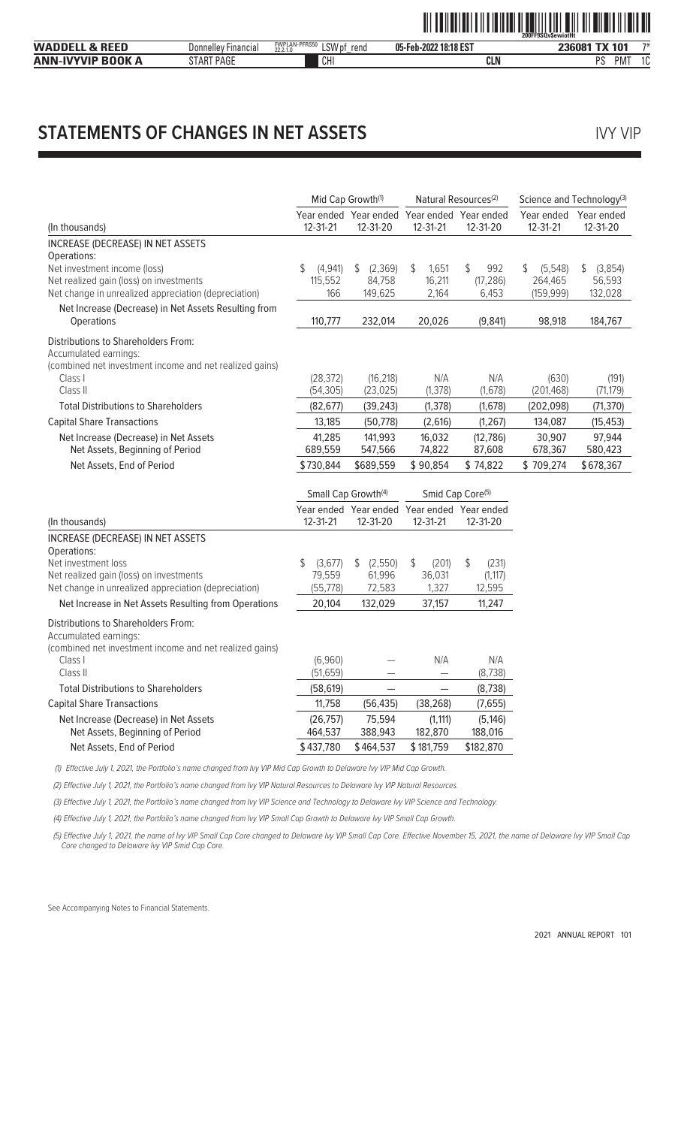|                           |                            |                                             |                       | <b>TILLI</b><br>$\  \  \ $<br>200FF9SQvSewiotHt |
|---------------------------|----------------------------|---------------------------------------------|-----------------------|-------------------------------------------------|
| <b>WADDELL &amp; REED</b> | <b>Donnelley Financial</b> | FWPLAN-PFRS50<br>LSW pf<br>rend<br>22.2.1.0 | 05-Feb-2022 18:18 EST | $7*$<br>236081 TX 101                           |
| <b>ANN-IVYVIP BOOK A</b>  | <b>START PAGE</b>          | CHI                                         | <b>CLN</b>            | PS<br>10<br>PMT                                 |

# **STATEMENTS OF CHANGES IN NET ASSETS IVY VIP**

|                                                                                                                          | Mid Cap Growth <sup>(1)</sup> |                                             | Natural Resources <sup>(2)</sup> |                     | Science and Technology <sup>(3)</sup> |                   |  |
|--------------------------------------------------------------------------------------------------------------------------|-------------------------------|---------------------------------------------|----------------------------------|---------------------|---------------------------------------|-------------------|--|
|                                                                                                                          |                               | Year ended Year ended Year ended Year ended |                                  |                     | Year ended Year ended                 |                   |  |
| (In thousands)<br>INCREASE (DECREASE) IN NET ASSETS                                                                      | 12-31-21                      | 12-31-20                                    | 12-31-21                         | 12-31-20            | 12-31-21                              | 12-31-20          |  |
| Operations:                                                                                                              |                               |                                             |                                  |                     |                                       |                   |  |
| Net investment income (loss)                                                                                             | \$<br>(4, 941)                | \$<br>(2,369)                               | \$<br>1,651                      | \$<br>992           | \$<br>(5,548)                         | \$<br>(3,854)     |  |
| Net realized gain (loss) on investments<br>Net change in unrealized appreciation (depreciation)                          | 115,552<br>166                | 84,758<br>149,625                           | 16,211<br>2,164                  | (17, 286)<br>6,453  | 264,465<br>(159, 999)                 | 56,593<br>132,028 |  |
| Net Increase (Decrease) in Net Assets Resulting from                                                                     |                               |                                             |                                  |                     |                                       |                   |  |
| Operations                                                                                                               | 110,777                       | 232,014                                     | 20,026                           | (9, 841)            | 98,918                                | 184,767           |  |
| Distributions to Shareholders From:                                                                                      |                               |                                             |                                  |                     |                                       |                   |  |
| Accumulated earnings:                                                                                                    |                               |                                             |                                  |                     |                                       |                   |  |
| (combined net investment income and net realized gains)<br>Class I                                                       | (28, 372)                     | (16, 218)                                   | N/A                              | N/A                 | (630)                                 | (191)             |  |
| Class II                                                                                                                 | (54, 305)                     | (23, 025)                                   | (1, 378)                         | (1,678)             | (201, 468)                            | (71, 179)         |  |
| <b>Total Distributions to Shareholders</b>                                                                               | (82, 677)                     | (39, 243)                                   | (1, 378)                         | (1,678)             | (202,098)                             | (71, 370)         |  |
| <b>Capital Share Transactions</b>                                                                                        | 13,185                        | (50, 778)                                   | (2,616)                          | (1, 267)            | 134,087                               | (15, 453)         |  |
| Net Increase (Decrease) in Net Assets                                                                                    | 41,285                        | 141,993                                     | 16,032                           | (12, 786)           | 30,907                                | 97,944            |  |
| Net Assets, Beginning of Period                                                                                          | 689,559                       | 547,566                                     | 74,822                           | 87,608              | 678,367                               | 580,423           |  |
| Net Assets, End of Period                                                                                                | \$730,844                     | \$689,559                                   | \$90,854                         | \$74,822            | \$709,274                             | \$678,367         |  |
|                                                                                                                          |                               | Small Cap Growth <sup>(4)</sup>             | Smid Cap Core(5)                 |                     |                                       |                   |  |
|                                                                                                                          |                               | Year ended Year ended Year ended Year ended |                                  |                     |                                       |                   |  |
| (In thousands)                                                                                                           | 12-31-21                      | 12-31-20                                    | 12-31-21                         | 12-31-20            |                                       |                   |  |
| INCREASE (DECREASE) IN NET ASSETS<br>Operations:                                                                         |                               |                                             |                                  |                     |                                       |                   |  |
| Net investment loss                                                                                                      | (3,677)<br>\$                 | \$<br>(2,550)                               | \$<br>(201)                      | \$<br>(231)         |                                       |                   |  |
| Net realized gain (loss) on investments                                                                                  | 79,559                        | 61,996                                      | 36,031                           | (1, 117)            |                                       |                   |  |
| Net change in unrealized appreciation (depreciation)                                                                     | (55, 778)                     | 72,583                                      | 1,327                            | 12,595              |                                       |                   |  |
| Net Increase in Net Assets Resulting from Operations                                                                     | 20,104                        | 132,029                                     | 37,157                           | 11,247              |                                       |                   |  |
| Distributions to Shareholders From:                                                                                      |                               |                                             |                                  |                     |                                       |                   |  |
| Accumulated earnings:<br>(combined net investment income and net realized gains)                                         |                               |                                             |                                  |                     |                                       |                   |  |
| Class I                                                                                                                  | (6,960)                       |                                             | N/A                              | N/A                 |                                       |                   |  |
| Class II                                                                                                                 | (51, 659)                     |                                             |                                  | (8, 738)            |                                       |                   |  |
| <b>Total Distributions to Shareholders</b>                                                                               | (58, 619)                     |                                             |                                  | (8, 738)            |                                       |                   |  |
| <b>Capital Share Transactions</b>                                                                                        | 11,758                        | (56, 435)                                   | (38, 268)                        | (7,655)             |                                       |                   |  |
| Net Increase (Decrease) in Net Assets<br>Net Assets, Beginning of Period                                                 | (26, 757)<br>464,537          | 75,594<br>388,943                           | (1, 111)<br>182,870              | (5, 146)<br>188,016 |                                       |                   |  |
| Net Assets, End of Period                                                                                                | \$437,780                     | \$464,537                                   | \$181,759                        | \$182,870           |                                       |                   |  |
| (1) Effective July 1, 2021, the Portfolio's name changed from Ivy VIP Mid Cap Growth to Delaware Ivy VIP Mid Cap Growth. |                               |                                             |                                  |                     |                                       |                   |  |

(2) Effective July 1, 2021, the Portfolio's name changed from Ivy VIP Natural Resources to Delaware Ivy VIP Natural Resources.

(3) Effective July 1, 2021, the Portfolio's name changed from Ivy VIP Science and Technology to Delaware Ivy VIP Science and Technology.

(4) Effective July 1, 2021, the Portfolio's name changed from Ivy VIP Small Cap Growth to Delaware Ivy VIP Small Cap Growth.

(5) Effective July 1, 2021, the name of Ivy VIP Small Cap Core changed to Delaware Ivy VIP Small Cap Core. Effective November 15, 2021, the name of Delaware Ivy VIP Small Cap Core changed to Delaware Ivy VIP Smid Cap Core.

See Accompanying Notes to Financial Statements.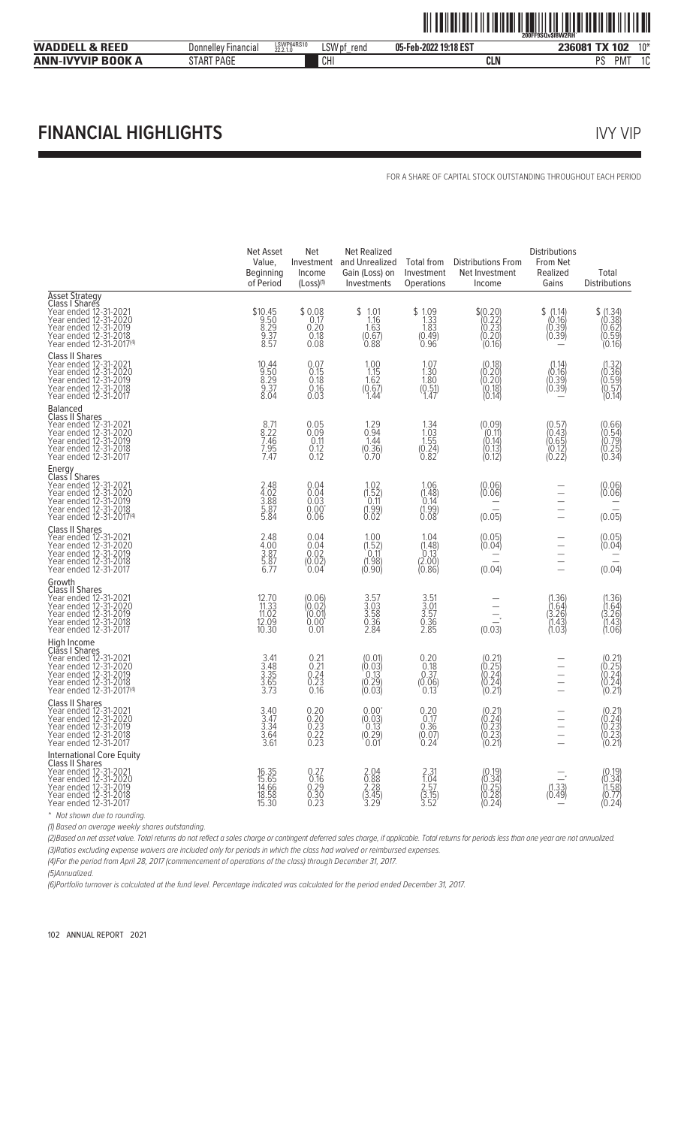|                           |                            |                        |                | III                   | 200FF9SOvSf8W2RH       |                 |
|---------------------------|----------------------------|------------------------|----------------|-----------------------|------------------------|-----------------|
| <b>WADDELL &amp; REED</b> | <b>Donnelley Financial</b> | LSWP64RS10<br>22.2.1.0 | LSW pf<br>rend | 05-Feb-2022 19:18 EST | $10*$<br>236081 TX 102 |                 |
| <b>ANN-IVYVIP BOOK A</b>  | START PAGE                 |                        | CHI            | <b>CLN</b>            | PS<br><b>PMT</b>       | $1^\circ$<br>ΙU |

## **FINANCIAL HIGHLIGHTS** IVY VIP

FOR A SHARE OF CAPITAL STOCK OUTSTANDING THROUGHOUT EACH PERIOD

|                                                                                                                                                                                                           | Net Asset<br>Value,<br>Beginning<br>of Period | <b>Net</b><br>Investment<br>Income<br>$(Loss)$ <sup>(1)</sup>           | Net Realized<br>and Unrealized<br>Gain (Loss) on<br>Investments               | Total from<br>Investment<br>Operations                                    | <b>Distributions From</b><br>Net Investment<br>Income          | Distributions<br>From Net<br>Realized<br>Gains                                   | Total<br>Distributions                                   |
|-----------------------------------------------------------------------------------------------------------------------------------------------------------------------------------------------------------|-----------------------------------------------|-------------------------------------------------------------------------|-------------------------------------------------------------------------------|---------------------------------------------------------------------------|----------------------------------------------------------------|----------------------------------------------------------------------------------|----------------------------------------------------------|
| <b>Asset Strategy<br/>Class I Shares</b><br>Year ended 12-31-2021<br>Year ended 12-31-2020<br>Year ended 12-31-2018<br>Year ended 12-31-2018<br>Year ended 12-31-2017(4)                                  | \$10.45<br>9.50<br>8.29<br>9.37<br>8.57       | \$ 0.08<br>0.17<br>0.20<br>$0.18$<br>$0.08$                             | \$<br>1.01<br>1.16<br>1.63<br>$(0.67)$<br>$0.88$                              | \$<br>1.09<br>1.33<br>1.83<br>(0.49)<br>0.96                              | $$^{(0.20)}_{0.22}$<br>$$^{(0.22)}_{0.23}$<br>(0.20)<br>(0.16) | \$<br>(1.14)<br>(0.16)<br>(0.39)<br>(0.39)                                       | \$ (1.34)<br>(0.38)<br>(0.62)<br>(0.59)<br>(0.16)        |
| <b>Class II Shares</b><br><b>Criss in Sine 12-31-2021</b><br>Year ended 12-31-2020<br>Year ended 12-31-2019<br>Year ended 12-31-2018<br>Year ended 12-31-2017                                             | 10.44<br>9.50<br>8.29<br>9.37<br>8.04         | 0.07<br>$0.15$<br>$0.18$<br>$0.16$<br>$0.03$                            | 1.00<br>$\frac{1.15}{1.62}$<br>(0.67)<br>1.44                                 | 1.07<br>1.30<br>1.80<br>(0.51)<br>1.47                                    | $(0.18)$<br>$(0.20)$<br>$(0.20)$<br>(0.18)<br>(0.14)           | (1.14)<br>(0.16)<br>(0.39)<br>(0.39)                                             | $(1.32)$<br>$(0.36)$<br>$(0.59)$<br>$(0.57)$<br>(0.14)   |
| Balanced<br>Class II Shares<br><b>Criss in Sine 12-31-2021</b><br>Year ended 12-31-2020<br>Year ended 12-31-2019<br>Year ended 12-31-2018<br>Year ended 12-31-2017                                        | $8.71$<br>$8.22$<br>$7.46$<br>7.95<br>7.47    | $0.05$<br>$0.09$<br>0.11<br>0.12<br>0.12                                | $1.29$<br>$0.94$<br>1.44<br>$(0.36)$<br>0.70                                  | 1.34<br>1.03<br>1.55<br>(0.24)<br>0.82                                    | $(0.09)$<br>$(0.11)$<br>(0.14)<br>(0.13)<br>(0.12)             | $(0.57)$<br>$(0.43)$<br>$(0.65)$<br>(0.12)<br>(0.22)                             | $(0.66)$<br>$(0.54)$<br>$(0.79)$<br>$(0.25)$<br>$(0.34)$ |
| <b>Energy<br/>Class I Shares</b><br>Year ended 12-31-2021<br>Year ended 12-31-2020<br>Year ended 12-31-2018<br>Year ended 12-31-2018<br>Year ended 12-31-2017 <sup>(4)</sup>                              | 2.48<br>4.02<br>3.88<br>5.87<br>5.84          | 0.04<br>0.04<br>0.00<br>0.06                                            | $\begin{array}{c} 1.02 \\ (1.52) \\ 0.11 \end{array}$<br>$(1.99)$<br>$0.02$   | 1.06<br>$(1.48)$<br>0.14<br>$(1.99)$<br>$0.08$                            | (0.06)<br>(0.06)<br>(0.05)                                     | $\overline{\phantom{0}}$<br>$\overline{\phantom{0}}$                             | (0.06)<br>(0.05)                                         |
| Class II Shares<br>Year ended 12-31-2021<br>Year ended 12-31-2020<br>Year ended 12-31-2019<br>Year ended 12-31-2018<br>Year ended 12-31-2017                                                              | 2.48<br>4.00<br>3.87<br>5.87<br>6.77          | $0.04$<br>$0.04$<br>$\begin{array}{c} 0.02 \\ 0.02 \\ 0.04 \end{array}$ | $\begin{array}{c} 1.00 \\ (1.52) \\ 0.11 \end{array}$<br>$(1.98)$<br>$(0.90)$ | $\begin{array}{c} 1.04 \\ (1.48) \\ 0.13 \end{array}$<br>(2.00)<br>(0.86) | $(0.05)$<br>$(0.04)$<br>(0.04)                                 | $\overline{\phantom{0}}$<br>$\equiv$                                             | $(0.05)$<br>$(0.04)$<br>(0.04)                           |
| Growth<br><b>Class II Shares</b><br><b>Class II Strated 12-31-2021</b><br>Year ended 12-31-2020<br>Year ended 12-31-2019<br>Year ended 12-31-2018<br>Year ended 12-31-2017                                | 12.70<br>11.33<br>11.02<br>12.09<br>10.30     | $(0.06)$<br>$(0.02)$<br>(0.01)<br>0.00<br>0.01                          | 3.57<br>3.03<br>3.58<br>0.36<br>2.84                                          | $3.51$<br>$3.01$<br>3.57<br>0.36<br>2.85                                  | (0.03)                                                         | $(1.36)$<br>$(1.64)$<br>(3.26)<br>`(1.43)<br>(1.03)                              | $(1.36)$<br>$(1.64)$<br>(3.26)<br>`(1.43)<br>(1.06)      |
| <b>High Income<br/>Class I Shares</b><br>Year ended 12-31-2021<br>Year ended 12-31-2020<br>Year ended 12-31-2018<br>Year ended 12-31-2018<br>Year ended 12-31-2017                                        | 3.41<br>3.48<br>3.35<br>3.65<br>3.65<br>3.73  | 0.21<br>$0.21$<br>$0.24$<br>$0.23$<br>$0.16$                            | (0.01)<br>$(0.03)$<br>$0.13$<br>$(0.29)$<br>$(0.03)$                          | 0.20<br>$0.18$<br>$0.37$<br>(0.06)<br>0.13                                | $(0.21)$<br>$(0.25)$<br>$(0.24)$<br>(0.24)<br>(0.21)           | $\overline{\phantom{0}}$<br>$\overline{\phantom{0}}$<br>$\overline{\phantom{0}}$ | $(0.21)$<br>$(0.25)$<br>$(0.24)$<br>(0.24)<br>(0.21)     |
| <b>Class II Shares</b><br>Vear ended 12-31-2021<br>Year ended 12-31-2020<br>Year ended 12-31-2019<br>Year ended 12-31-2018<br>Year ended 12-31-2017                                                       | 3.40<br>3.47<br>3.34<br>3.64<br>3.61          | 0.20<br>0.20<br>0.23<br>0.22<br>0.22<br>0.23                            | $0.00^{\circ}$<br>$(0.03)$<br>0.13<br>$(0.29)$<br>0.01                        | $0.20$<br>$0.17$<br>$\overset{0.36}{\underset{(0.07)}{0.36}}$<br>0.24     | (0.21)<br>$(0.24)$<br>$(0.23)$<br>$(0.23)$<br>$(0.21)$         | $\overline{\phantom{0}}$                                                         | (0.21)<br>(0.24)<br>(0.23)<br>(0.23)<br>(0.21)           |
|                                                                                                                                                                                                           | 16.35<br>15.65<br>14.66<br>18.58<br>15.30     | 0.27<br>$0.16$<br>$0.29$<br>$0.30$<br>$0.23$                            | 2.04<br>0.88<br>2.28<br>$\binom{5.45}{3.29}$                                  | 2.31<br>1.04<br>2.57<br>(3.15)<br>3.52                                    | (0.19)<br>$(0.34)$<br>$(0.25)$<br>$(0.28)$<br>0.24             | $(1.33)$<br>$(0.49)$                                                             | (0.19)<br>$(0.34)$<br>$(1.58)$<br>$(0.77)$<br>(0.24)     |
| International Core Equity<br>Class II Shares<br>Year ended 12-31-2021<br>Year ended 12-31-2020<br>Year ended 12-31-2019<br>Year ended 12-31-2018<br>Year ended 12-31-2018<br>* Not shown due to rounding. |                                               |                                                                         |                                                                               |                                                                           |                                                                |                                                                                  |                                                          |

(1) Based on average weekly shares outstanding.

(2)Based on net asset value. Total returns do not reflect a sales charge or contingent deferred sales charge, if applicable. Total returns for periodsless than one year are not annualized. (3)Ratios excluding expense waivers are included only for periods in which the class had waived or reimbursed expenses.

(4)For the period from April 28, 2017 (commencement of operations of the class) through December 31, 2017.

(5)Annualized.

(6)Portfolio turnover is calculated at the fund level. Percentage indicated was calculated for the period ended December 31, 2017.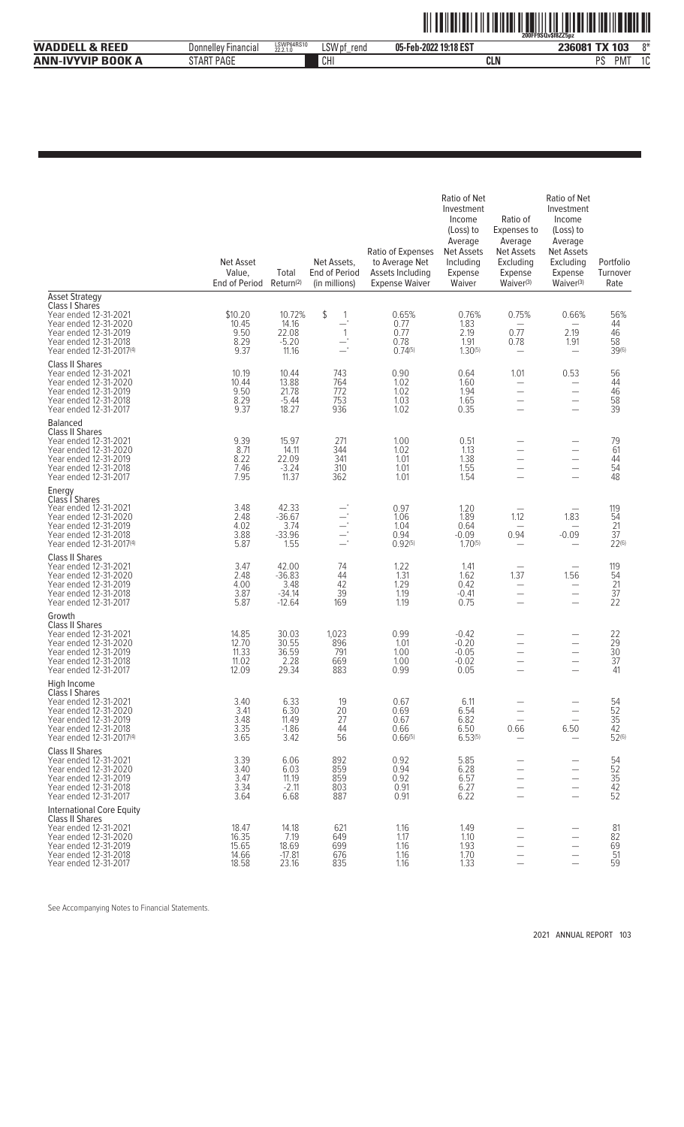|                   |                     |                        |             | <u>                                  </u><br>III TIITIIN | 200FF9SQvSf8ZZ5pz |      |
|-------------------|---------------------|------------------------|-------------|----------------------------------------------------------|-------------------|------|
| WADDELL & REED    | Donnelley Financial | LSWP64RS10<br>22.2.1.0 | LSW pf rend | 05-Feb-2022 19:18 EST                                    | 236081 TX 103     | $8*$ |
| ANN-IVYVIP BOOK A | START PAGE          |                        | CHI         | CLN                                                      | PM.<br>PS         | 10   |

|                                                                                                                                                                                  | <b>Net Asset</b><br>Value,<br>End of Period | Total<br>Return <sup>(2)</sup>                    | Net Assets.<br><b>End of Period</b><br>(in millions)          | Ratio of Expenses<br>to Average Net<br>Assets Including<br><b>Expense Waiver</b> | Ratio of Net<br>Investment<br>Income<br>(Loss) to<br>Average<br>Net Assets<br>Including<br>Expense<br>Waiver | Ratio of<br>Expenses to<br>Average<br>Net Assets<br>Excluding<br>Expense<br>Waiver <sup>(3)</sup> | Ratio of Net<br>Investment<br>Income<br>(Loss) to<br>Average<br>Net Assets<br>Excluding<br>Expense<br>Waiver <sup>(3)</sup> | Portfolio<br>Turnover<br>Rate   |
|----------------------------------------------------------------------------------------------------------------------------------------------------------------------------------|---------------------------------------------|---------------------------------------------------|---------------------------------------------------------------|----------------------------------------------------------------------------------|--------------------------------------------------------------------------------------------------------------|---------------------------------------------------------------------------------------------------|-----------------------------------------------------------------------------------------------------------------------------|---------------------------------|
| <b>Asset Strategy</b><br><b>Class I Shares</b><br>Year ended 12-31-2021<br>Year ended 12-31-2020<br>Year ended 12-31-2019<br>Year ended 12-31-2018<br>Year ended 12-31-2017(4)   | \$10.20<br>10.45<br>9.50<br>8.29<br>9.37    | 10.72%<br>14.16<br>22.08<br>$-5.20$<br>11.16      | \$<br>1                                                       | 0.65%<br>0.77<br>0.77<br>0.78<br>0.74(5)                                         | 0.76%<br>1.83<br>2.19<br>1.91<br>$1.30^{(5)}$                                                                | 0.75%<br>$\overline{\phantom{0}}$<br>0.77<br>0.78<br>$\overline{\phantom{0}}$                     | 0.66%<br>2.19<br>1.91                                                                                                       | 56%<br>44<br>46<br>58<br>39(6)  |
| <b>Class II Shares</b><br>Year ended 12-31-2021<br>Year ended 12-31-2020<br>Year ended 12-31-2019<br>Year ended 12-31-2018<br>Year ended 12-31-2017                              | 10.19<br>10.44<br>9.50<br>8.29<br>9.37      | 10.44<br>13.88<br>21.78<br>$-5.44$<br>18.27       | 743<br>764<br>772<br>753<br>936                               | 0.90<br>1.02<br>1.02<br>1.03<br>1.02                                             | 0.64<br>1.60<br>1.94<br>1.65<br>0.35                                                                         | 1.01<br>$\overline{\phantom{0}}$<br>-<br>$\equiv$                                                 | 0.53<br>$\overline{\phantom{0}}$<br>$\qquad \qquad -$<br>$\equiv$                                                           | 56<br>44<br>46<br>58<br>39      |
| <b>Balanced</b><br><b>Class II Shares</b><br>Year ended 12-31-2021<br>Year ended 12-31-2020<br>Year ended 12-31-2019<br>Year ended 12-31-2018<br>Year ended 12-31-2017           | 9.39<br>8.71<br>8.22<br>7.46<br>7.95        | 15.97<br>14.11<br>22.09<br>$-3.24$<br>11.37       | 271<br>344<br>341<br>310<br>362                               | 1.00<br>1.02<br>1.01<br>1.01<br>1.01                                             | 0.51<br>1.13<br>1.38<br>1.55<br>1.54                                                                         | $\overline{\phantom{0}}$<br>$\overline{\phantom{0}}$                                              | $\qquad \qquad -$<br>$\overline{\phantom{0}}$<br>$\overline{\phantom{0}}$<br>$\overline{\phantom{m}}$<br>$\equiv$           | 79<br>61<br>44<br>54<br>48      |
| Energy<br><b>Class I Shares</b><br>Year ended 12-31-2021<br>Year ended 12-31-2020<br>Year ended 12-31-2019<br>Year ended 12-31-2018<br>Year ended 12-31-2017 <sup>(4)</sup>      | 3.48<br>2.48<br>4.02<br>3.88<br>5.87        | 42.33<br>$-36.67$<br>3.74<br>$-33.96$<br>1.55     | $\frac{1}{2}$ , $\frac{1}{2}$ , $\frac{1}{2}$ , $\frac{1}{2}$ | 0.97<br>1.06<br>1.04<br>0.94<br>0.92(5)                                          | 1.20<br>1.89<br>0.64<br>$-0.09$<br>$1.70^{(5)}$                                                              | 1.12<br>$\overline{\phantom{0}}$<br>0.94                                                          | 1.83<br>$-0.09$                                                                                                             | 119<br>54<br>21<br>37<br>22(6)  |
| <b>Class II Shares</b><br>Year ended 12-31-2021<br>Year ended 12-31-2020<br>Year ended 12-31-2019<br>Year ended 12-31-2018<br>Year ended 12-31-2017                              | 3.47<br>2.48<br>4.00<br>3.87<br>5.87        | 42.00<br>$-36.83$<br>3.48<br>$-34.14$<br>$-12.64$ | 74<br>44<br>42<br>39<br>169                                   | 1.22<br>1.31<br>1.29<br>1.19<br>1.19                                             | 1.41<br>1.62<br>0.42<br>$-0.41$<br>0.75                                                                      | 1.37<br>$\overline{\phantom{0}}$<br>$\overline{\phantom{0}}$                                      | $\overline{\phantom{0}}$<br>1.56<br>$\qquad \qquad -$<br>$\overline{\phantom{0}}$<br>$\overline{\phantom{0}}$               | 119<br>54<br>21<br>37<br>22     |
| Growth<br><b>Class II Shares</b><br>Year ended 12-31-2021<br>Year ended 12-31-2020<br>Year ended 12-31-2019<br>Year ended 12-31-2018<br>Year ended 12-31-2017                    | 14.85<br>12.70<br>11.33<br>11.02<br>12.09   | 30.03<br>30.55<br>36.59<br>2.28<br>29.34          | 1,023<br>896<br>791<br>669<br>883                             | 0.99<br>1.01<br>1.00<br>1.00<br>0.99                                             | $-0.42$<br>$-0.20$<br>$-0.05$<br>$-0.02$<br>0.05                                                             | $\overline{\phantom{0}}$<br>-                                                                     | $\overline{\phantom{0}}$<br>$\overline{\phantom{0}}$                                                                        | $^{22}_{29}$<br>30<br>37<br>41  |
| High Income<br>Class I Shares<br>Year ended 12-31-2021<br>Year ended 12-31-2020<br>Year ended 12-31-2019<br>Year ended 12-31-2018<br>Year ended 12-31-2017 <sup>(4)</sup>        | 3.40<br>3.41<br>3.48<br>3.35<br>3.65        | 6.33<br>6.30<br>11.49<br>$-1.86$<br>3.42          | $\begin{array}{c} 19 \\ 20 \end{array}$<br>27<br>44<br>56     | 0.67<br>0.69<br>0.67<br>0.66<br>0.66(5)                                          | 6.11<br>6.54<br>6.82<br>6.50<br>$6.53^{(5)}$                                                                 | 0.66                                                                                              | $\overline{\phantom{0}}$<br>6.50                                                                                            | 54<br>52<br>35<br>42<br>52(6)   |
| <b>Class II Shares</b><br>Year ended 12-31-2021<br>Year ended 12-31-2020<br>Year ended 12-31-2019<br>Year ended 12-31-2018<br>Year ended 12-31-2017                              | 3.39<br>3.40<br>3.47<br>3.34<br>3.64        | 6.06<br>6.03<br>11.19<br>$-2.11$<br>6.68          | 892<br>859<br>859<br>803<br>887                               | 0.92<br>0.94<br>0.92<br>0.91<br>0.91                                             | 5.85<br>6.28<br>6.57<br>6.27<br>6.22                                                                         | $\overline{\phantom{0}}$                                                                          | $\overline{\phantom{0}}$<br>$\overline{\phantom{0}}$<br>$\qquad \qquad -$<br>$\overline{\phantom{0}}$                       | 54<br>52<br>35<br>$rac{42}{52}$ |
| <b>International Core Equity</b><br>Class II Shares<br>Year ended 12-31-2021<br>Year ended 12-31-2020<br>Year ended 12-31-2019<br>Year ended 12-31-2018<br>Year ended 12-31-2017 | 18.47<br>16.35<br>15.65<br>14.66<br>18.58   | 14.18<br>7.19<br>18.69<br>$-17.81$<br>23.16       | 621<br>649<br>699<br>676<br>835                               | 1.16<br>1.17<br>1.16<br>1.16<br>1.16                                             | 1.49<br>1.10<br>1.93<br>1.70<br>1.33                                                                         | $\overline{\phantom{0}}$                                                                          | $\qquad \qquad -$<br>$\overline{\phantom{0}}$<br>$\overline{\phantom{0}}$<br>$\overline{\phantom{0}}$                       | 81<br>82<br>69<br>51<br>59      |

See Accompanying Notes to Financial Statements.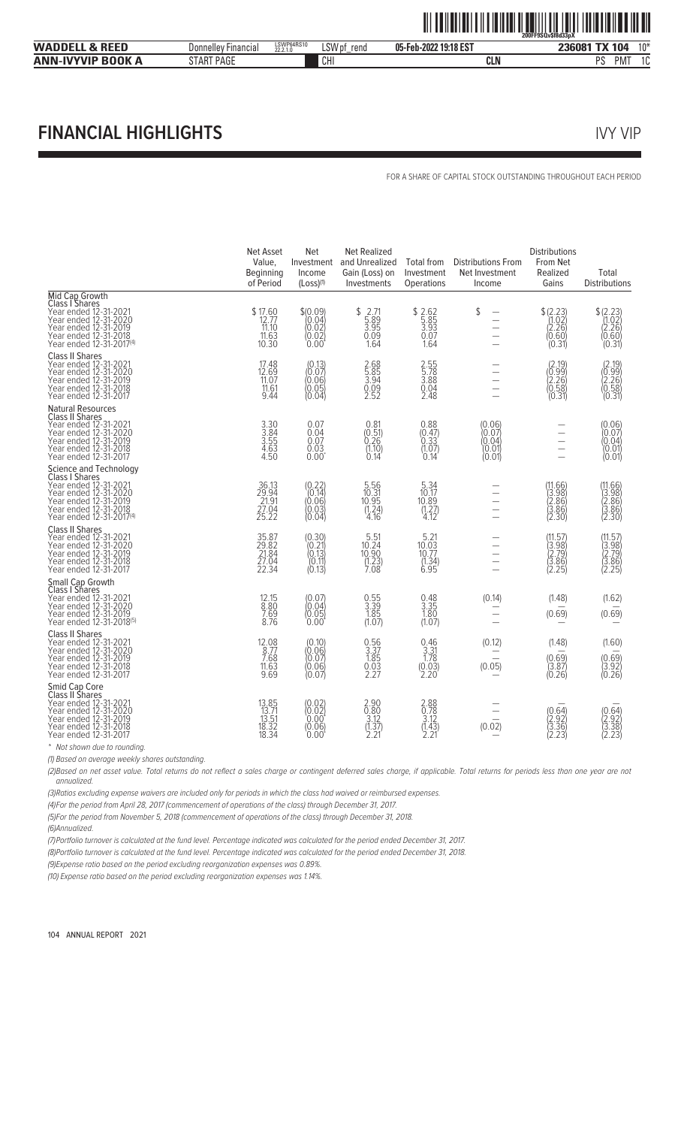| LSWP64RS10<br>CIM<br>05-Feb-2022 19:18 EST<br><b>REED</b><br>WADDELL<br>$\overline{\phantom{a}}$<br><b>TX 104</b><br>236081<br>rend<br>Donnellev<br>V D1<br>Financia,<br>∟ວ⊭<br>22.2.1.0 |       |
|------------------------------------------------------------------------------------------------------------------------------------------------------------------------------------------|-------|
|                                                                                                                                                                                          | $10*$ |
| PIII<br>DC<br><b>CLN</b><br>PM <sup>-</sup><br><b>BOOK A</b><br>IVVVIP.<br>ANN-IV<br>ا ۱AK<br>'Aul<br>uпı                                                                                | م م   |

## **FINANCIAL HIGHLIGHTS** IVY VIP

FOR A SHARE OF CAPITAL STOCK OUTSTANDING THROUGHOUT EACH PERIOD

ˆ200FF9SQv\$f8d33pXŠ **200FF9SQv\$f8d33pX**

|                                                                                                                                                                                      | <b>Net Asset</b><br>Value,<br>Beginning<br>of Period | <b>Net</b><br>Investment<br>Income<br>$(Loss)^{(1)}$              | <b>Net Realized</b><br>and Unrealized<br>Gain (Loss) on<br>Investments      | <b>Total from</b><br>Investment<br>Operations                           | <b>Distributions From</b><br>Net Investment<br>Income                                                        | <b>Distributions</b><br>From Net<br>Realized<br>Gains     | Total<br>Distributions                                    |
|--------------------------------------------------------------------------------------------------------------------------------------------------------------------------------------|------------------------------------------------------|-------------------------------------------------------------------|-----------------------------------------------------------------------------|-------------------------------------------------------------------------|--------------------------------------------------------------------------------------------------------------|-----------------------------------------------------------|-----------------------------------------------------------|
| <b>Mid Cap Growth<br/>Class I Shares</b><br>Year ended 12-31-2021<br>Year ended 12-31-2020<br>Year ended 12-31-2018<br>Year ended 12-31-2018<br>Year ended 12-31-2017 <sup>(4)</sup> | $$17.60$<br>12.77<br>11.10<br>11.63<br>10.30         | $$^{(0.09)}_{(0.04)}$$<br>(0.02)<br>0.00                          | \$<br>2.71<br>5.89<br>3.95<br>0.09<br>1.64                                  | 2.62<br>5.85<br>3.93<br>\$<br>0.07<br>1.64                              | \$<br>$\overline{\phantom{0}}$<br>$\overline{\phantom{0}}$<br>$\overline{\phantom{0}}$                       | $$(2.23)$<br>(1.02)<br>(2.26)<br>(0.60)<br>(0.31)         | $$(2.23)$<br>(1.02)<br>(2.26)<br>(0.60)<br>(0.31)         |
| Class II Shares<br>Year ended 12-31-2021<br>Year ended 12-31-2020<br>Year ended 12-31-2019<br>Year ended 12-31-2018<br>Year ended 12-31-2017                                         | 17.48<br>12.69<br>11.07<br>11.61<br>9.44             | $(0.13)$<br>$(0.07)$<br>$(0.06)$<br>$\binom{0.05}{0.04}$          | 2.68<br>5.85<br>5.94<br>3.94<br>0.09<br>2.52                                | $2.55$<br>$5.78$<br>3.88<br>0.04<br>2.48                                | $\overline{\phantom{0}}$<br>$\overline{\phantom{0}}$<br>$\overline{\phantom{0}}$                             | $(2.19)$<br>$(0.99)$<br>$(2.26)$<br>$(0.58)$<br>$(0.31)$  | $(2.19)$<br>$(0.99)$<br>$(2.26)$<br>$(0.58)$<br>$(0.31)$  |
| Natural Resources<br>Class II Shares<br>Vear ended 12-31-2021<br>Year ended 12-31-2020<br>Year ended 12-31-2019<br>Year ended 12-31-2018<br>Year ended 12-31-2017                    | 3.30<br>3.84<br>3.55<br>4.63<br>4.50                 | 0.07<br>0.04<br>0.07<br>0.03<br>$0.00^{\circ}$                    | $\begin{array}{c} 0.81 \\ (0.51) \\ 0.26 \\ (1.10) \\ 0.14 \end{array}$     | 0.88<br>$(0.47)$<br>0.33<br>(1.07)<br>0.14                              | (0.06)<br>(0.04)<br>(0.01)<br>(0.01)                                                                         | $\overline{\phantom{0}}$<br>$\overline{\phantom{0}}$      | $(0.06)$<br>$(0.07)$<br>$(0.04)$<br>(0.01)<br>(0.01)      |
| Science and Technology<br>Class I Shares<br>Year ended 12-31-2020<br>Year ended 12-31-2020<br>Year ended 12-31-2019<br>Year ended 12-31-2018<br>Year ended 12-31-2017(4)             | 36.13<br>29.94<br>21.91<br>27.04<br>25.22            | $(0.22)$<br>$(0.14)$<br>(0.06)<br>$\binom{0.03}{0.04}$            | $5.56$<br>$10.31$<br>$\begin{array}{c} 10.95 \\ (1.24) \\ 4.16 \end{array}$ | 5.34<br>10.17<br>$\begin{array}{c} 10.89 \\ (1.27) \\ 4.12 \end{array}$ | $\overline{\phantom{0}}$<br>$\overline{\phantom{0}}$<br>$\overline{\phantom{0}}$<br>$\overline{\phantom{0}}$ | $(11.66)$<br>$(3.98)$<br>$(2.86)$<br>$(3.86)$<br>$(2.30)$ | $(11.66)$<br>$(3.98)$<br>$(2.86)$<br>$(3.86)$<br>$(2.30)$ |
| Class II Shares<br>Year ended 12-31-2021<br>Year ended 12-31-2020<br>Year ended 12-31-2019<br>Year ended 12-31-2018<br>Year ended 12-31-2017                                         | 35.87<br>29.82<br>21.84<br>27.04<br>22.34            | $(0.30)$<br>$(0.21)$<br>$(0.13)$<br>(0.11)<br>(0.13)              | $5.51$<br>$10.24$<br>$\begin{array}{c} 10.90 \\ (1.23) \\ 7.08 \end{array}$ | 5.21<br>$10.03$<br>$10.77$<br>$(1.34)$<br>$6.95$                        | $\overline{\phantom{0}}$<br>$\overline{\phantom{0}}$                                                         | $(11.57)$<br>$(3.98)$<br>$(2.79)$<br>$(3.86)$<br>$(2.25)$ | $(11.57)$<br>$(3.98)$<br>$(2.79)$<br>$(3.86)$<br>$(2.25)$ |
| Small Cap Growth<br>Class I Shares<br>Year ended 12-31-2021<br>Year ended 12-31-2020<br>Year ended 12-31-2019<br>Year ended 12-31-2018(5)                                            | 12.15<br>8.80<br>7.69<br>8.76                        | $(0.07)$<br>$(0.04)$<br>(0.05)<br>0.00'                           | 0.55<br>3.39<br>1.85<br>(1.07)                                              | $0.48$<br>$3.35$<br>$1.80$<br>(1.07)                                    | (0.14)                                                                                                       | (1.48)<br>(0.69)                                          | (1.62)<br>(0.69)                                          |
| Class II Shares<br>Year ended 12-31-2021<br>Year ended 12-31-2020<br>Year ended 12-31-2019<br>Year ended 12-31-2018<br>Year ended 12-31-2017                                         | $\frac{12.08}{8.77}$<br>7.68<br>11.63<br>9.69        | $(0.10)$<br>$(0.06)$<br>$(0.07)$<br>(0.06)<br>(0.07)              | $0.56$<br>$3.37$<br>1.85<br>$0.03$<br>2.27                                  | 0.46<br>$\frac{3.31}{1.78}$<br>$(0.03)$<br>$2.20$                       | (0.12)<br>(0.05)                                                                                             | (1.48)<br>(0.69)<br>$(3.87)$<br>$(0.26)$                  | (1.60)<br>$(0.69)$<br>$(3.92)$<br>$(0.26)$                |
| Smid Cap Core<br>Class II Shares<br>Vear ended 12-31-2021<br>Year ended 12-31-2020<br>Year ended 12-31-2019<br>Year ended 12-31-2018<br>Year ended 12-31-2017                        | 13.85<br>13.71<br>13.51<br>18.32<br>18.34            | $(0.02)$<br>$(0.02)$<br>$0.00$<br>$(0.06)$<br>$0.00$ <sup>*</sup> | 2.90<br>$0.80$<br>3.12<br>$(1.37)$<br>2.21                                  | 2.88<br>$0.78$<br>$3.12$<br>$(1.43)$<br>$2.21$                          | (0.02)                                                                                                       | $(0.64)$<br>$(2.92)$<br>$(3.36)$<br>$(2.23)$              | $(0.64)$<br>$(2.92)$<br>$(3.38)$<br>$(2.23)$              |

\* Not shown due to rounding.

(1) Based on average weekly shares outstanding.

(2)Based on net asset value. Total returns do not reflect a sales charge or contingent deferred sales charge, if applicable. Total returns for periods less than one year are not annualized.

(3)Ratios excluding expense waivers are included only for periods in which the class had waived or reimbursed expenses.

(4)For the period from April 28, 2017 (commencement of operations of the class) through December 31, 2017.

(5)For the period from November 5, 2018 (commencement of operations of the class) through December 31, 2018.

(6)Annualized.

(7)Portfolio turnover is calculated at the fund level. Percentage indicated was calculated for the period ended December 31, 2017.

(8)Portfolio turnover is calculated at the fund level. Percentage indicated was calculated for the period ended December 31, 2018.

(9)Expense ratio based on the period excluding reorganization expenses was 0.89%.

(10) Expense ratio based on the period excluding reorganization expenses was 1.14%.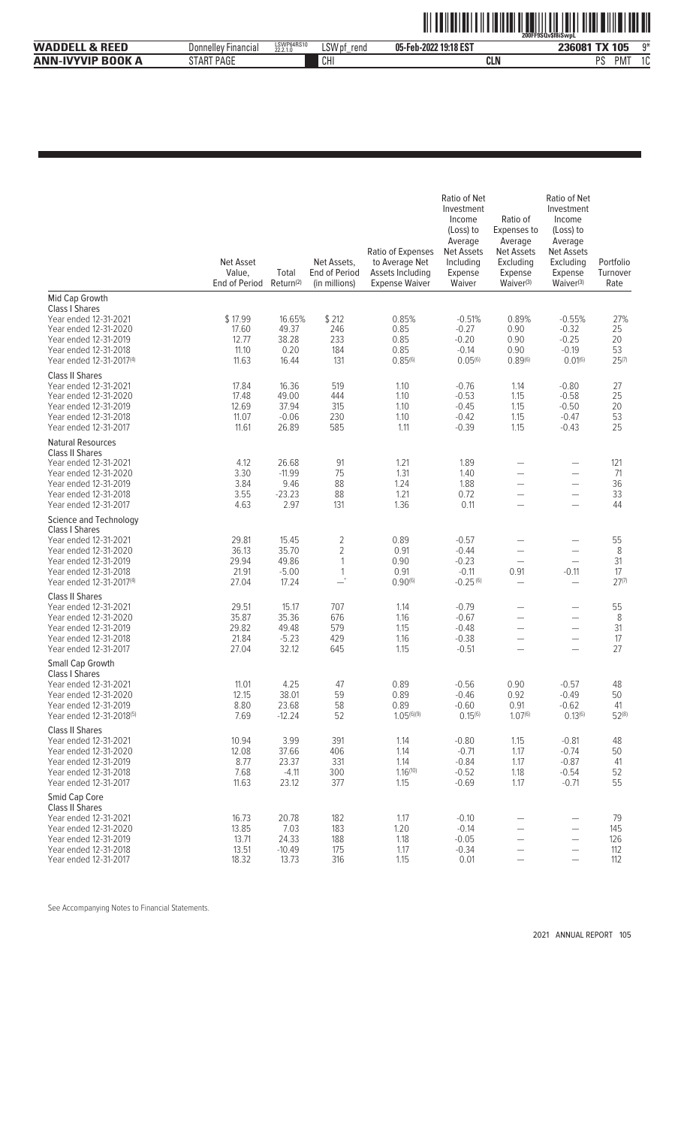|                           |                            |                        |                | <u> III IIIIIIIIIIIIIIIIIIIIII</u> | $\parallel$<br>200FF9SQvSf8iSwpL |
|---------------------------|----------------------------|------------------------|----------------|------------------------------------|----------------------------------|
| <b>WADDELL &amp; REED</b> | <b>Donnelley Financial</b> | LSWP64RS10<br>22.2.1.0 | LSW pf<br>rend | 05-Feb-2022 19:18 EST              | ወ*<br>236081 TX 105              |
| <b>ANN-IVYVIP BOOK A</b>  | <b>START PAGE</b>          |                        | CHI            | CLN                                | <b>PMT</b><br>PS<br>10           |

|                                                                                                                                                                                             | <b>Net Asset</b><br>Value,<br>End of Period | Total<br>Return <sup>(2)</sup>                | Net Assets,<br>End of Period<br>(in millions) | Ratio of Expenses<br>to Average Net<br>Assets Including<br><b>Expense Waiver</b> | Ratio of Net<br>Investment<br>Income<br>(Loss) to<br>Average<br><b>Net Assets</b><br>Including<br>Expense<br>Waiver | Ratio of<br>Expenses to<br>Average<br><b>Net Assets</b><br>Excluding<br>Expense<br>$W$ aiver $(3)$ | Ratio of Net<br>Investment<br>Income<br>(Loss) to<br>Average<br><b>Net Assets</b><br>Excluding<br>Expense<br>$W$ aiver $(3)$ | Portfolio<br>Turnover<br>Rate  |
|---------------------------------------------------------------------------------------------------------------------------------------------------------------------------------------------|---------------------------------------------|-----------------------------------------------|-----------------------------------------------|----------------------------------------------------------------------------------|---------------------------------------------------------------------------------------------------------------------|----------------------------------------------------------------------------------------------------|------------------------------------------------------------------------------------------------------------------------------|--------------------------------|
| Mid Cap Growth<br><b>Class I Shares</b><br>Year ended 12-31-2021<br>Year ended 12-31-2020<br>Year ended 12-31-2019<br>Year ended 12-31-2018<br>Year ended 12-31-2017 <sup>(4)</sup>         | \$17.99<br>17.60<br>12.77<br>11.10<br>11.63 | 16.65%<br>49.37<br>38.28<br>0.20<br>16.44     | \$212<br>246<br>233<br>184<br>131             | 0.85%<br>0.85<br>0.85<br>0.85<br>0.85(6)                                         | $-0.51%$<br>$-0.27$<br>$-0.20$<br>$-0.14$<br>0.05(6)                                                                | 0.89%<br>0.90<br>0.90<br>0.90<br>0.89(6)                                                           | $-0.55%$<br>$-0.32$<br>$-0.25$<br>$-0.19$<br>0.01(6)                                                                         | 27%<br>25<br>20<br>53<br>25(7) |
| <b>Class II Shares</b><br>Year ended 12-31-2021<br>Year ended 12-31-2020<br>Year ended 12-31-2019<br>Year ended 12-31-2018<br>Year ended 12-31-2017                                         | 17.84<br>17.48<br>12.69<br>11.07<br>11.61   | 16.36<br>49.00<br>37.94<br>$-0.06$<br>26.89   | 519<br>444<br>315<br>230<br>585               | 1.10<br>1.10<br>1.10<br>1.10<br>1.11                                             | $-0.76$<br>$-0.53$<br>$-0.45$<br>$-0.42$<br>$-0.39$                                                                 | 1.14<br>1.15<br>1.15<br>1.15<br>1.15                                                               | $-0.80$<br>$-0.58$<br>$-0.50$<br>$-0.47$<br>$-0.43$                                                                          | 27<br>25<br>20<br>53<br>25     |
| <b>Natural Resources</b><br><b>Class II Shares</b><br>Year ended 12-31-2021<br>Year ended 12-31-2020<br>Year ended 12-31-2019<br>Year ended 12-31-2018<br>Year ended 12-31-2017             | 4.12<br>3.30<br>3.84<br>3.55<br>4.63        | 26.68<br>$-11.99$<br>9.46<br>$-23.23$<br>2.97 | 91<br>75<br>88<br>88<br>131                   | 1.21<br>1.31<br>1.24<br>1.21<br>1.36                                             | 1.89<br>1.40<br>1.88<br>0.72<br>0.11                                                                                | $\overline{\phantom{0}}$<br>$\overline{\phantom{0}}$<br>$\equiv$<br>$\overline{\phantom{0}}$       | $\qquad \qquad -$<br>$\equiv$<br>$\overline{\phantom{0}}$<br>$\overline{\phantom{0}}$                                        | 121<br>71<br>36<br>33<br>44    |
| Science and Technology<br><b>Class I Shares</b><br>Year ended 12-31-2021<br>Year ended 12-31-2020<br>Year ended 12-31-2019<br>Year ended 12-31-2018<br>Year ended 12-31-2017 <sup>(4)</sup> | 29.81<br>36.13<br>29.94<br>21.91<br>27.04   | 15.45<br>35.70<br>49.86<br>$-5.00$<br>17.24   | 2<br>2<br>1<br>1<br>$\equiv^*$                | 0.89<br>0.91<br>0.90<br>0.91<br>0.90(6)                                          | $-0.57$<br>$-0.44$<br>$-0.23$<br>$-0.11$<br>$-0.25(6)$                                                              | $\overline{\phantom{0}}$<br>$\overline{\phantom{0}}$<br>0.91                                       | $\qquad \qquad -$<br>$\overline{\phantom{0}}$<br>$-0.11$<br>$\overline{\phantom{0}}$                                         | 55<br>8<br>31<br>17<br>27(7)   |
| <b>Class II Shares</b><br>Year ended 12-31-2021<br>Year ended 12-31-2020<br>Year ended 12-31-2019<br>Year ended 12-31-2018<br>Year ended 12-31-2017                                         | 29.51<br>35.87<br>29.82<br>21.84<br>27.04   | 15.17<br>35.36<br>49.48<br>$-5.23$<br>32.12   | 707<br>676<br>579<br>429<br>645               | 1.14<br>1.16<br>1.15<br>1.16<br>1.15                                             | $-0.79$<br>$-0.67$<br>$-0.48$<br>$-0.38$<br>$-0.51$                                                                 | $\equiv$<br>$\equiv$<br>$\overline{\phantom{0}}$<br>$\equiv$                                       | $\qquad \qquad -$<br>$\equiv$<br>$\overline{\phantom{0}}$<br>$\overline{\phantom{0}}$<br>$\equiv$                            | 55<br>8<br>31<br>17<br>27      |
| Small Cap Growth<br><b>Class I Shares</b><br>Year ended 12-31-2021<br>Year ended 12-31-2020<br>Year ended 12-31-2019<br>Year ended 12-31-2018(5)                                            | 11.01<br>12.15<br>8.80<br>7.69              | 4.25<br>38.01<br>23.68<br>$-12.24$            | 47<br>59<br>58<br>52                          | 0.89<br>0.89<br>0.89<br>$1.05^{(6)(9)}$                                          | $-0.56$<br>$-0.46$<br>$-0.60$<br>0.15(6)                                                                            | 0.90<br>0.92<br>0.91<br>1.07(6)                                                                    | $-0.57$<br>$-0.49$<br>$-0.62$<br>0.13(6)                                                                                     | 48<br>50<br>41<br>52(8)        |
| Class II Shares<br>Year ended 12-31-2021<br>Year ended 12-31-2020<br>Year ended 12-31-2019<br>Year ended 12-31-2018<br>Year ended 12-31-2017                                                | 10.94<br>12.08<br>8.77<br>7.68<br>11.63     | 3.99<br>37.66<br>23.37<br>$-4.11$<br>23.12    | 391<br>406<br>331<br>300<br>377               | 1.14<br>1.14<br>1.14<br>1.16(10)<br>1.15                                         | $-0.80$<br>$-0.71$<br>$-0.84$<br>$-0.52$<br>$-0.69$                                                                 | 1.15<br>1.17<br>1.17<br>1.18<br>1.17                                                               | $-0.81$<br>$-0.74$<br>$-0.87$<br>$-0.54$<br>$-0.71$                                                                          | 48<br>50<br>41<br>52<br>55     |
| Smid Cap Core<br><b>Class II Shares</b><br>Year ended 12-31-2021<br>Year ended 12-31-2020<br>Year ended 12-31-2019<br>Year ended 12-31-2018<br>Year ended 12-31-2017                        | 16.73<br>13.85<br>13.71<br>13.51<br>18.32   | 20.78<br>7.03<br>24.33<br>$-10.49$<br>13.73   | 182<br>183<br>188<br>175<br>316               | 1.17<br>1.20<br>1.18<br>1.17<br>1.15                                             | $-0.10$<br>$-0.14$<br>$-0.05$<br>$-0.34$<br>0.01                                                                    |                                                                                                    | $\qquad \qquad -$<br>$\overline{\phantom{0}}$<br>$\qquad \qquad -$<br>$\overline{\phantom{0}}$<br>$\overline{\phantom{0}}$   | 79<br>145<br>126<br>112<br>112 |

See Accompanying Notes to Financial Statements.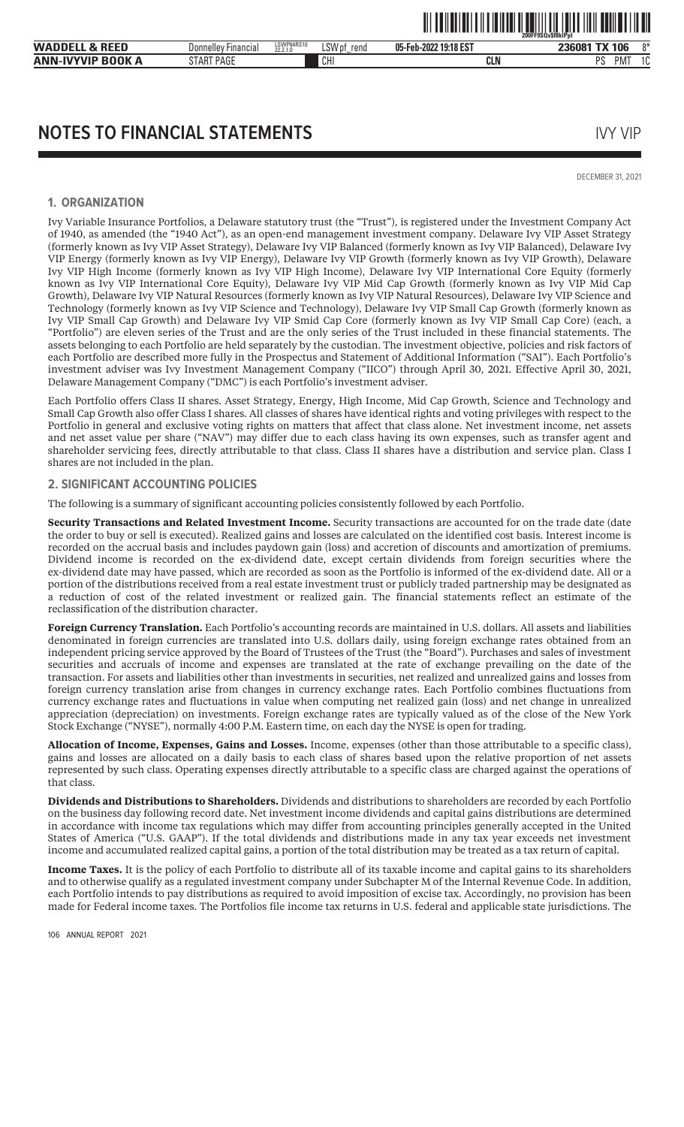|                         |                                      |                        |                |                                 | <b>ZUUFFYSLIVSIÖKIPDI</b> |        |
|-------------------------|--------------------------------------|------------------------|----------------|---------------------------------|---------------------------|--------|
| nrrn<br>WAF             | <b>Donnelley</b><br><b>Financial</b> | LSWP64RS10<br>22.2.1.0 | LSW pf<br>rend | 19:18 EST<br>05-Feb-<br>$-2022$ | 106<br>236081             | $0*$   |
| <b>ROOK</b><br>ANN<br>v | ART PAGE<br>IAF                      |                        | a nur<br>UП    | <b>CLN</b>                      | DC<br>PM <sup>-</sup>     | $\sim$ |
|                         |                                      |                        |                |                                 |                           |        |

## **NOTES TO FINANCIAL STATEMENTS IVY VIP**

**TITE OF A SERVE AND A SERVE ASSESS** 

DECEMBER 31, 2021

## **1. ORGANIZATION**

Ivy Variable Insurance Portfolios, a Delaware statutory trust (the "Trust"), is registered under the Investment Company Act of 1940, as amended (the "1940 Act"), as an open-end management investment company. Delaware Ivy VIP Asset Strategy (formerly known as Ivy VIP Asset Strategy), Delaware Ivy VIP Balanced (formerly known as Ivy VIP Balanced), Delaware Ivy VIP Energy (formerly known as Ivy VIP Energy), Delaware Ivy VIP Growth (formerly known as Ivy VIP Growth), Delaware Ivy VIP High Income (formerly known as Ivy VIP High Income), Delaware Ivy VIP International Core Equity (formerly known as Ivy VIP International Core Equity), Delaware Ivy VIP Mid Cap Growth (formerly known as Ivy VIP Mid Cap Growth), Delaware Ivy VIP Natural Resources (formerly known as Ivy VIP Natural Resources), Delaware Ivy VIP Science and Technology (formerly known as Ivy VIP Science and Technology), Delaware Ivy VIP Small Cap Growth (formerly known as Ivy VIP Small Cap Growth) and Delaware Ivy VIP Smid Cap Core (formerly known as Ivy VIP Small Cap Core) (each, a "Portfolio") are eleven series of the Trust and are the only series of the Trust included in these financial statements. The assets belonging to each Portfolio are held separately by the custodian. The investment objective, policies and risk factors of each Portfolio are described more fully in the Prospectus and Statement of Additional Information ("SAI"). Each Portfolio's investment adviser was Ivy Investment Management Company ("IICO") through April 30, 2021. Effective April 30, 2021, Delaware Management Company ("DMC") is each Portfolio's investment adviser.

Each Portfolio offers Class II shares. Asset Strategy, Energy, High Income, Mid Cap Growth, Science and Technology and Small Cap Growth also offer Class I shares. All classes of shares have identical rights and voting privileges with respect to the Portfolio in general and exclusive voting rights on matters that affect that class alone. Net investment income, net assets and net asset value per share ("NAV") may differ due to each class having its own expenses, such as transfer agent and shareholder servicing fees, directly attributable to that class. Class II shares have a distribution and service plan. Class I shares are not included in the plan.

## **2. SIGNIFICANT ACCOUNTING POLICIES**

The following is a summary of significant accounting policies consistently followed by each Portfolio.

**Security Transactions and Related Investment Income.** Security transactions are accounted for on the trade date (date the order to buy or sell is executed). Realized gains and losses are calculated on the identified cost basis. Interest income is recorded on the accrual basis and includes paydown gain (loss) and accretion of discounts and amortization of premiums. Dividend income is recorded on the ex-dividend date, except certain dividends from foreign securities where the ex-dividend date may have passed, which are recorded as soon as the Portfolio is informed of the ex-dividend date. All or a portion of the distributions received from a real estate investment trust or publicly traded partnership may be designated as a reduction of cost of the related investment or realized gain. The financial statements reflect an estimate of the reclassification of the distribution character.

**Foreign Currency Translation.** Each Portfolio's accounting records are maintained in U.S. dollars. All assets and liabilities denominated in foreign currencies are translated into U.S. dollars daily, using foreign exchange rates obtained from an independent pricing service approved by the Board of Trustees of the Trust (the "Board"). Purchases and sales of investment securities and accruals of income and expenses are translated at the rate of exchange prevailing on the date of the transaction. For assets and liabilities other than investments in securities, net realized and unrealized gains and losses from foreign currency translation arise from changes in currency exchange rates. Each Portfolio combines fluctuations from currency exchange rates and fluctuations in value when computing net realized gain (loss) and net change in unrealized appreciation (depreciation) on investments. Foreign exchange rates are typically valued as of the close of the New York Stock Exchange ("NYSE"), normally 4:00 P.M. Eastern time, on each day the NYSE is open for trading.

**Allocation of Income, Expenses, Gains and Losses.** Income, expenses (other than those attributable to a specific class), gains and losses are allocated on a daily basis to each class of shares based upon the relative proportion of net assets represented by such class. Operating expenses directly attributable to a specific class are charged against the operations of that class.

**Dividends and Distributions to Shareholders.** Dividends and distributions to shareholders are recorded by each Portfolio on the business day following record date. Net investment income dividends and capital gains distributions are determined in accordance with income tax regulations which may differ from accounting principles generally accepted in the United States of America ("U.S. GAAP"). If the total dividends and distributions made in any tax year exceeds net investment income and accumulated realized capital gains, a portion of the total distribution may be treated as a tax return of capital.

**Income Taxes.** It is the policy of each Portfolio to distribute all of its taxable income and capital gains to its shareholders and to otherwise qualify as a regulated investment company under Subchapter M of the Internal Revenue Code. In addition, each Portfolio intends to pay distributions as required to avoid imposition of excise tax. Accordingly, no provision has been made for Federal income taxes. The Portfolios file income tax returns in U.S. federal and applicable state jurisdictions. The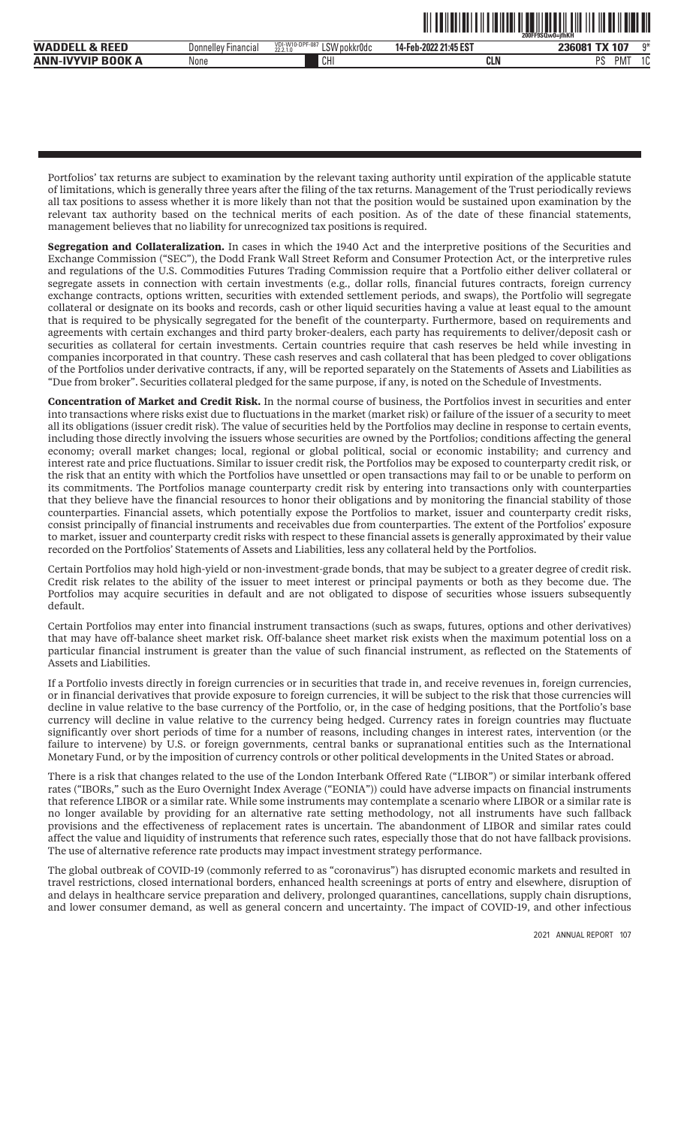|                                               |                                      |                                                             |                       | THE REPORT OF REAL PROPERTY AND RELEASED OF THE REAL PROPERTY OF REAL PROPERTY OF REAL PROPERTY OF REAL PROPERTY. |
|-----------------------------------------------|--------------------------------------|-------------------------------------------------------------|-----------------------|-------------------------------------------------------------------------------------------------------------------|
| <b>WADDELL</b><br><b>REED</b><br>$\mathbf{g}$ | <b>Donnelley</b><br><b>Financial</b> | VDI-W10-DPF-087<br>$\sim$<br>V pokkr0dc<br>22.2.1.0<br>⊽ ت∟ | 14-Feb-2022 21:45 EST | n*<br><b>TX 107</b><br>236081                                                                                     |
| <b>ANN-IVYVIP BOOK A</b>                      | None                                 | PIII<br>uпı                                                 | <b>CLN</b>            | DC<br>$\Delta$<br>PMT<br>ΙU                                                                                       |

<u>oli od iloti od i oli i in i od iloti od od iloti od iloti od iloti od oli od od </u>

Portfolios' tax returns are subject to examination by the relevant taxing authority until expiration of the applicable statute of limitations, which is generally three years after the filing of the tax returns. Management of the Trust periodically reviews all tax positions to assess whether it is more likely than not that the position would be sustained upon examination by the relevant tax authority based on the technical merits of each position. As of the date of these financial statements, management believes that no liability for unrecognized tax positions is required.

**Segregation and Collateralization.** In cases in which the 1940 Act and the interpretive positions of the Securities and Exchange Commission ("SEC"), the Dodd Frank Wall Street Reform and Consumer Protection Act, or the interpretive rules and regulations of the U.S. Commodities Futures Trading Commission require that a Portfolio either deliver collateral or segregate assets in connection with certain investments (e.g., dollar rolls, financial futures contracts, foreign currency exchange contracts, options written, securities with extended settlement periods, and swaps), the Portfolio will segregate collateral or designate on its books and records, cash or other liquid securities having a value at least equal to the amount that is required to be physically segregated for the benefit of the counterparty. Furthermore, based on requirements and agreements with certain exchanges and third party broker-dealers, each party has requirements to deliver/deposit cash or securities as collateral for certain investments. Certain countries require that cash reserves be held while investing in companies incorporated in that country. These cash reserves and cash collateral that has been pledged to cover obligations of the Portfolios under derivative contracts, if any, will be reported separately on the Statements of Assets and Liabilities as "Due from broker". Securities collateral pledged for the same purpose, if any, is noted on the Schedule of Investments.

**Concentration of Market and Credit Risk.** In the normal course of business, the Portfolios invest in securities and enter into transactions where risks exist due to fluctuations in the market (market risk) or failure of the issuer of a security to meet all its obligations (issuer credit risk). The value of securities held by the Portfolios may decline in response to certain events, including those directly involving the issuers whose securities are owned by the Portfolios; conditions affecting the general economy; overall market changes; local, regional or global political, social or economic instability; and currency and interest rate and price fluctuations. Similar to issuer credit risk, the Portfolios may be exposed to counterparty credit risk, or the risk that an entity with which the Portfolios have unsettled or open transactions may fail to or be unable to perform on its commitments. The Portfolios manage counterparty credit risk by entering into transactions only with counterparties that they believe have the financial resources to honor their obligations and by monitoring the financial stability of those counterparties. Financial assets, which potentially expose the Portfolios to market, issuer and counterparty credit risks, consist principally of financial instruments and receivables due from counterparties. The extent of the Portfolios' exposure to market, issuer and counterparty credit risks with respect to these financial assets is generally approximated by their value recorded on the Portfolios' Statements of Assets and Liabilities, less any collateral held by the Portfolios.

Certain Portfolios may hold high-yield or non-investment-grade bonds, that may be subject to a greater degree of credit risk. Credit risk relates to the ability of the issuer to meet interest or principal payments or both as they become due. The Portfolios may acquire securities in default and are not obligated to dispose of securities whose issuers subsequently default.

Certain Portfolios may enter into financial instrument transactions (such as swaps, futures, options and other derivatives) that may have off-balance sheet market risk. Off-balance sheet market risk exists when the maximum potential loss on a particular financial instrument is greater than the value of such financial instrument, as reflected on the Statements of Assets and Liabilities.

If a Portfolio invests directly in foreign currencies or in securities that trade in, and receive revenues in, foreign currencies, or in financial derivatives that provide exposure to foreign currencies, it will be subject to the risk that those currencies will decline in value relative to the base currency of the Portfolio, or, in the case of hedging positions, that the Portfolio's base currency will decline in value relative to the currency being hedged. Currency rates in foreign countries may fluctuate significantly over short periods of time for a number of reasons, including changes in interest rates, intervention (or the failure to intervene) by U.S. or foreign governments, central banks or supranational entities such as the International Monetary Fund, or by the imposition of currency controls or other political developments in the United States or abroad.

There is a risk that changes related to the use of the London Interbank Offered Rate ("LIBOR") or similar interbank offered rates ("IBORs," such as the Euro Overnight Index Average ("EONIA")) could have adverse impacts on financial instruments that reference LIBOR or a similar rate. While some instruments may contemplate a scenario where LIBOR or a similar rate is no longer available by providing for an alternative rate setting methodology, not all instruments have such fallback provisions and the effectiveness of replacement rates is uncertain. The abandonment of LIBOR and similar rates could affect the value and liquidity of instruments that reference such rates, especially those that do not have fallback provisions. The use of alternative reference rate products may impact investment strategy performance.

The global outbreak of COVID-19 (commonly referred to as "coronavirus") has disrupted economic markets and resulted in travel restrictions, closed international borders, enhanced health screenings at ports of entry and elsewhere, disruption of and delays in healthcare service preparation and delivery, prolonged quarantines, cancellations, supply chain disruptions, and lower consumer demand, as well as general concern and uncertainty. The impact of COVID-19, and other infectious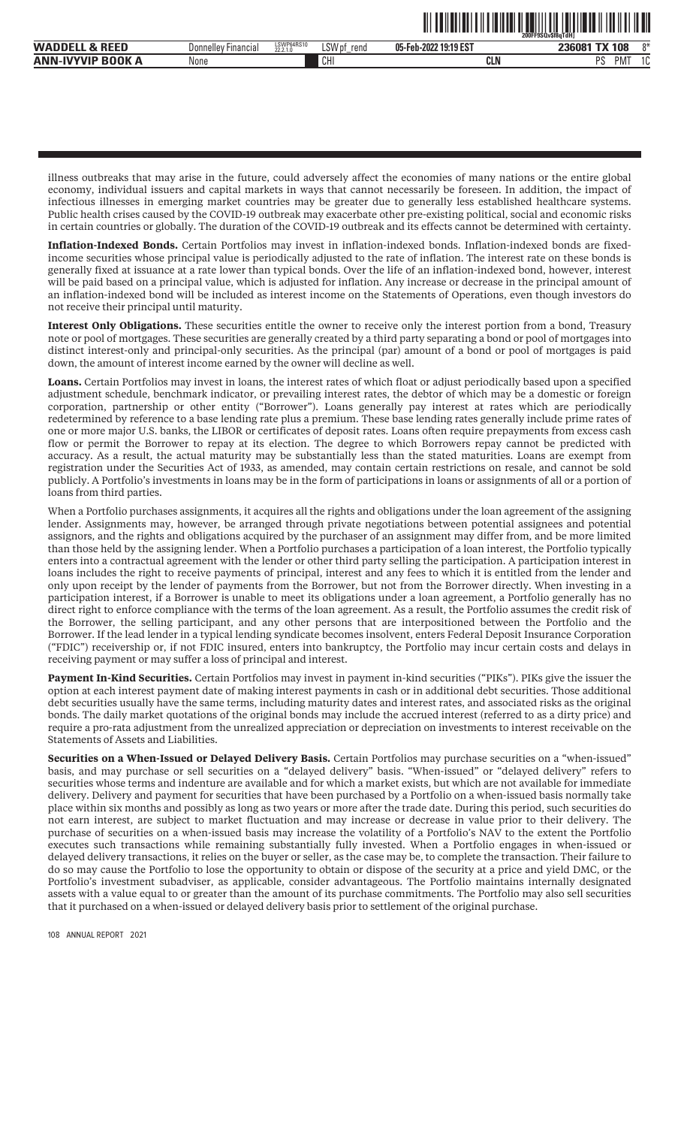|                                     |                               |                        |                    | ------------------------ |                          |               |
|-------------------------------------|-------------------------------|------------------------|--------------------|--------------------------|--------------------------|---------------|
| <b>REED</b><br><b>WAI</b><br>ึ      | <b>Financial</b><br>Donnelley | LSWP64RS10<br>22.2.1.0 | LSW pf<br>rena     | 19:19 EST<br>05-Feb-2022 | -36<br>108<br>236081     | ∩¥            |
| <b>LIVYVIP ROOK A</b><br><b>ANN</b> | None                          |                        | $\bigcap$<br>∵ ∪п. | <b>CLN</b>               | nc<br>$n \cdot r$<br>'NI | $\sim$<br>ט ו |

ˆ200FF9SQv\$f8qTdH]Š **200FF9SQv\$f8qTdH]**

illness outbreaks that may arise in the future, could adversely affect the economies of many nations or the entire global economy, individual issuers and capital markets in ways that cannot necessarily be foreseen. In addition, the impact of infectious illnesses in emerging market countries may be greater due to generally less established healthcare systems. Public health crises caused by the COVID-19 outbreak may exacerbate other pre-existing political, social and economic risks in certain countries or globally. The duration of the COVID-19 outbreak and its effects cannot be determined with certainty.

**Inflation-Indexed Bonds.** Certain Portfolios may invest in inflation-indexed bonds. Inflation-indexed bonds are fixedincome securities whose principal value is periodically adjusted to the rate of inflation. The interest rate on these bonds is generally fixed at issuance at a rate lower than typical bonds. Over the life of an inflation-indexed bond, however, interest will be paid based on a principal value, which is adjusted for inflation. Any increase or decrease in the principal amount of an inflation-indexed bond will be included as interest income on the Statements of Operations, even though investors do not receive their principal until maturity.

**Interest Only Obligations.** These securities entitle the owner to receive only the interest portion from a bond, Treasury note or pool of mortgages. These securities are generally created by a third party separating a bond or pool of mortgages into distinct interest-only and principal-only securities. As the principal (par) amount of a bond or pool of mortgages is paid down, the amount of interest income earned by the owner will decline as well.

**Loans.** Certain Portfolios may invest in loans, the interest rates of which float or adjust periodically based upon a specified adjustment schedule, benchmark indicator, or prevailing interest rates, the debtor of which may be a domestic or foreign corporation, partnership or other entity ("Borrower"). Loans generally pay interest at rates which are periodically redetermined by reference to a base lending rate plus a premium. These base lending rates generally include prime rates of one or more major U.S. banks, the LIBOR or certificates of deposit rates. Loans often require prepayments from excess cash flow or permit the Borrower to repay at its election. The degree to which Borrowers repay cannot be predicted with accuracy. As a result, the actual maturity may be substantially less than the stated maturities. Loans are exempt from registration under the Securities Act of 1933, as amended, may contain certain restrictions on resale, and cannot be sold publicly. A Portfolio's investments in loans may be in the form of participations in loans or assignments of all or a portion of loans from third parties.

When a Portfolio purchases assignments, it acquires all the rights and obligations under the loan agreement of the assigning lender. Assignments may, however, be arranged through private negotiations between potential assignees and potential assignors, and the rights and obligations acquired by the purchaser of an assignment may differ from, and be more limited than those held by the assigning lender. When a Portfolio purchases a participation of a loan interest, the Portfolio typically enters into a contractual agreement with the lender or other third party selling the participation. A participation interest in loans includes the right to receive payments of principal, interest and any fees to which it is entitled from the lender and only upon receipt by the lender of payments from the Borrower, but not from the Borrower directly. When investing in a participation interest, if a Borrower is unable to meet its obligations under a loan agreement, a Portfolio generally has no direct right to enforce compliance with the terms of the loan agreement. As a result, the Portfolio assumes the credit risk of the Borrower, the selling participant, and any other persons that are interpositioned between the Portfolio and the Borrower. If the lead lender in a typical lending syndicate becomes insolvent, enters Federal Deposit Insurance Corporation ("FDIC") receivership or, if not FDIC insured, enters into bankruptcy, the Portfolio may incur certain costs and delays in receiving payment or may suffer a loss of principal and interest.

**Payment In-Kind Securities.** Certain Portfolios may invest in payment in-kind securities ("PIKs"). PIKs give the issuer the option at each interest payment date of making interest payments in cash or in additional debt securities. Those additional debt securities usually have the same terms, including maturity dates and interest rates, and associated risks as the original bonds. The daily market quotations of the original bonds may include the accrued interest (referred to as a dirty price) and require a pro-rata adjustment from the unrealized appreciation or depreciation on investments to interest receivable on the Statements of Assets and Liabilities.

**Securities on a When-Issued or Delayed Delivery Basis.** Certain Portfolios may purchase securities on a "when-issued" basis, and may purchase or sell securities on a "delayed delivery" basis. "When-issued" or "delayed delivery" refers to securities whose terms and indenture are available and for which a market exists, but which are not available for immediate delivery. Delivery and payment for securities that have been purchased by a Portfolio on a when-issued basis normally take place within six months and possibly as long as two years or more after the trade date. During this period, such securities do not earn interest, are subject to market fluctuation and may increase or decrease in value prior to their delivery. The purchase of securities on a when-issued basis may increase the volatility of a Portfolio's NAV to the extent the Portfolio executes such transactions while remaining substantially fully invested. When a Portfolio engages in when-issued or delayed delivery transactions, it relies on the buyer or seller, as the case may be, to complete the transaction. Their failure to do so may cause the Portfolio to lose the opportunity to obtain or dispose of the security at a price and yield DMC, or the Portfolio's investment subadviser, as applicable, consider advantageous. The Portfolio maintains internally designated assets with a value equal to or greater than the amount of its purchase commitments. The Portfolio may also sell securities that it purchased on a when-issued or delayed delivery basis prior to settlement of the original purchase.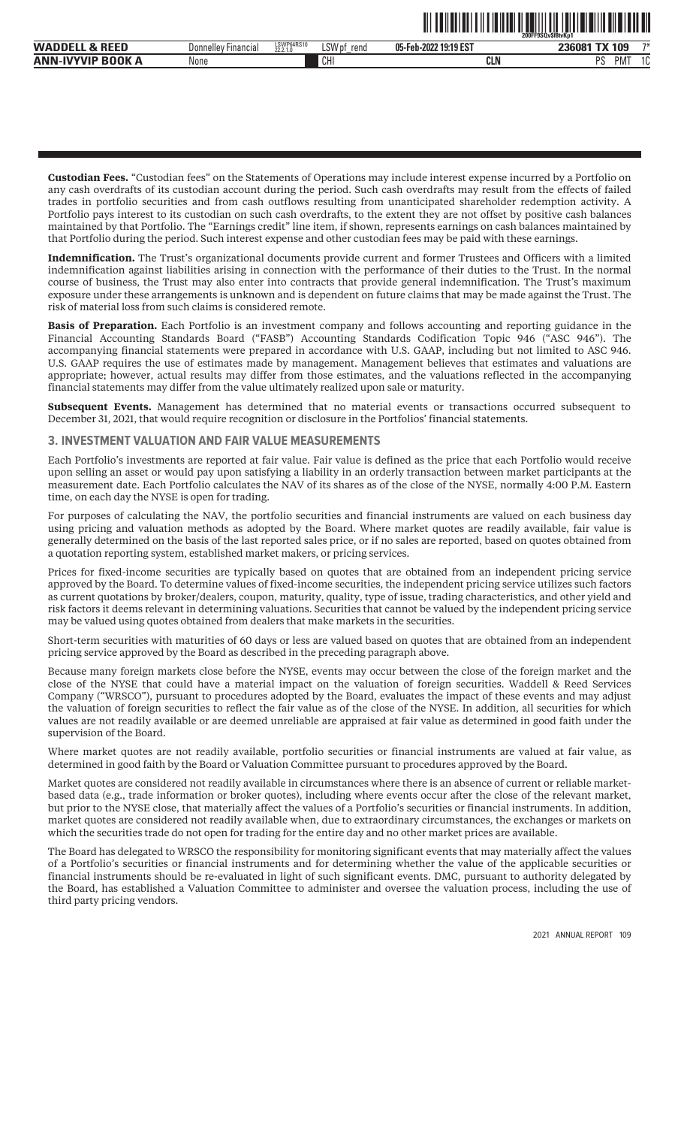|                                           |                               |                        |                   | - - -  - - . - - . -  - . - . - - -    | 200FF9SQvSf8tvKp1           |      |
|-------------------------------------------|-------------------------------|------------------------|-------------------|----------------------------------------|-----------------------------|------|
| <b>REED</b><br><b>WAF</b><br>o            | Financial<br><b>Donnelley</b> | LSWP64RS10<br>22.2.1.0 | LSW pf<br>rena    | 10-10 FST<br>05-Feb-2022<br>13. IS EST | 109<br>---<br>220001<br>יכ∠ | $7*$ |
| <b>ROOK</b><br>IVVVID.<br><b>ANN</b><br>v | None                          |                        | $\bigcap$<br>ulll | <b>CLN</b>                             | no.<br>PMT                  | د .  |

**TITE AND INSTITUTE IT IS A SERVED OF BUILT AT LATE AND INSTITUTE OF A SERVED OF A SERVED OF A SERVED OF A SER** 

**Custodian Fees.** "Custodian fees" on the Statements of Operations may include interest expense incurred by a Portfolio on any cash overdrafts of its custodian account during the period. Such cash overdrafts may result from the effects of failed trades in portfolio securities and from cash outflows resulting from unanticipated shareholder redemption activity. A Portfolio pays interest to its custodian on such cash overdrafts, to the extent they are not offset by positive cash balances maintained by that Portfolio. The "Earnings credit" line item, if shown, represents earnings on cash balances maintained by that Portfolio during the period. Such interest expense and other custodian fees may be paid with these earnings.

**Indemnification.** The Trust's organizational documents provide current and former Trustees and Officers with a limited indemnification against liabilities arising in connection with the performance of their duties to the Trust. In the normal course of business, the Trust may also enter into contracts that provide general indemnification. The Trust's maximum exposure under these arrangements is unknown and is dependent on future claims that may be made against the Trust. The risk of material loss from such claims is considered remote.

**Basis of Preparation.** Each Portfolio is an investment company and follows accounting and reporting guidance in the Financial Accounting Standards Board ("FASB") Accounting Standards Codification Topic 946 ("ASC 946"). The accompanying financial statements were prepared in accordance with U.S. GAAP, including but not limited to ASC 946. U.S. GAAP requires the use of estimates made by management. Management believes that estimates and valuations are appropriate; however, actual results may differ from those estimates, and the valuations reflected in the accompanying financial statements may differ from the value ultimately realized upon sale or maturity.

**Subsequent Events.** Management has determined that no material events or transactions occurred subsequent to December 31, 2021, that would require recognition or disclosure in the Portfolios' financial statements.

#### **3. INVESTMENT VALUATION AND FAIR VALUE MEASUREMENTS**

Each Portfolio's investments are reported at fair value. Fair value is defined as the price that each Portfolio would receive upon selling an asset or would pay upon satisfying a liability in an orderly transaction between market participants at the measurement date. Each Portfolio calculates the NAV of its shares as of the close of the NYSE, normally 4:00 P.M. Eastern time, on each day the NYSE is open for trading.

For purposes of calculating the NAV, the portfolio securities and financial instruments are valued on each business day using pricing and valuation methods as adopted by the Board. Where market quotes are readily available, fair value is generally determined on the basis of the last reported sales price, or if no sales are reported, based on quotes obtained from a quotation reporting system, established market makers, or pricing services.

Prices for fixed-income securities are typically based on quotes that are obtained from an independent pricing service approved by the Board. To determine values of fixed-income securities, the independent pricing service utilizes such factors as current quotations by broker/dealers, coupon, maturity, quality, type of issue, trading characteristics, and other yield and risk factors it deems relevant in determining valuations. Securities that cannot be valued by the independent pricing service may be valued using quotes obtained from dealers that make markets in the securities.

Short-term securities with maturities of 60 days or less are valued based on quotes that are obtained from an independent pricing service approved by the Board as described in the preceding paragraph above.

Because many foreign markets close before the NYSE, events may occur between the close of the foreign market and the close of the NYSE that could have a material impact on the valuation of foreign securities. Waddell & Reed Services Company ("WRSCO"), pursuant to procedures adopted by the Board, evaluates the impact of these events and may adjust the valuation of foreign securities to reflect the fair value as of the close of the NYSE. In addition, all securities for which values are not readily available or are deemed unreliable are appraised at fair value as determined in good faith under the supervision of the Board.

Where market quotes are not readily available, portfolio securities or financial instruments are valued at fair value, as determined in good faith by the Board or Valuation Committee pursuant to procedures approved by the Board.

Market quotes are considered not readily available in circumstances where there is an absence of current or reliable marketbased data (e.g., trade information or broker quotes), including where events occur after the close of the relevant market, but prior to the NYSE close, that materially affect the values of a Portfolio's securities or financial instruments. In addition, market quotes are considered not readily available when, due to extraordinary circumstances, the exchanges or markets on which the securities trade do not open for trading for the entire day and no other market prices are available.

The Board has delegated to WRSCO the responsibility for monitoring significant events that may materially affect the values of a Portfolio's securities or financial instruments and for determining whether the value of the applicable securities or financial instruments should be re-evaluated in light of such significant events. DMC, pursuant to authority delegated by the Board, has established a Valuation Committee to administer and oversee the valuation process, including the use of third party pricing vendors.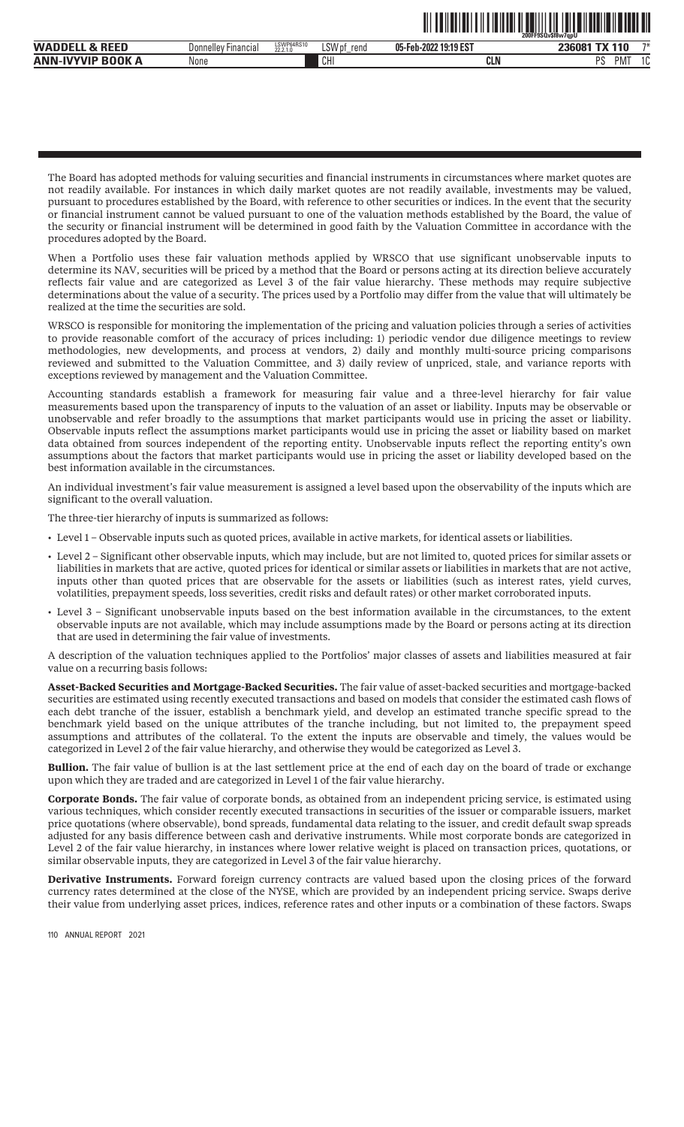|                                                            |                     |                        |                                | 200FF9SQvSf8w7apU        |                  |              |  |  |
|------------------------------------------------------------|---------------------|------------------------|--------------------------------|--------------------------|------------------|--------------|--|--|
| <b>REED</b><br><b>WADDELL</b><br>$\bullet$<br>$\mathbf{z}$ | Donnelley Financial | LSWP64RS10<br>22.2.1.0 | LSW <sub>pf</sub><br>rena<br>- | 19:19 ES1<br>05-Feb-2022 | TX 110<br>236081 | $7*$         |  |  |
| <b>ANN-IVYVIP BOOK A</b>                                   | None                |                        | CHI                            | <b>CLN</b>               | ne<br><b>PMT</b> | $\sim$<br>ιu |  |  |

**TILET IN SOLUTION IS A STRAIGHT OF A STRAIGHT OF A STRAIGHT OF A STRAIGHT OF A ST** 

The Board has adopted methods for valuing securities and financial instruments in circumstances where market quotes are not readily available. For instances in which daily market quotes are not readily available, investments may be valued, pursuant to procedures established by the Board, with reference to other securities or indices. In the event that the security or financial instrument cannot be valued pursuant to one of the valuation methods established by the Board, the value of the security or financial instrument will be determined in good faith by the Valuation Committee in accordance with the procedures adopted by the Board.

When a Portfolio uses these fair valuation methods applied by WRSCO that use significant unobservable inputs to determine its NAV, securities will be priced by a method that the Board or persons acting at its direction believe accurately reflects fair value and are categorized as Level 3 of the fair value hierarchy. These methods may require subjective determinations about the value of a security. The prices used by a Portfolio may differ from the value that will ultimately be realized at the time the securities are sold.

WRSCO is responsible for monitoring the implementation of the pricing and valuation policies through a series of activities to provide reasonable comfort of the accuracy of prices including: 1) periodic vendor due diligence meetings to review methodologies, new developments, and process at vendors, 2) daily and monthly multi-source pricing comparisons reviewed and submitted to the Valuation Committee, and 3) daily review of unpriced, stale, and variance reports with exceptions reviewed by management and the Valuation Committee.

Accounting standards establish a framework for measuring fair value and a three-level hierarchy for fair value measurements based upon the transparency of inputs to the valuation of an asset or liability. Inputs may be observable or unobservable and refer broadly to the assumptions that market participants would use in pricing the asset or liability. Observable inputs reflect the assumptions market participants would use in pricing the asset or liability based on market data obtained from sources independent of the reporting entity. Unobservable inputs reflect the reporting entity's own assumptions about the factors that market participants would use in pricing the asset or liability developed based on the best information available in the circumstances.

An individual investment's fair value measurement is assigned a level based upon the observability of the inputs which are significant to the overall valuation.

The three-tier hierarchy of inputs is summarized as follows:

- Level 1 Observable inputs such as quoted prices, available in active markets, for identical assets or liabilities.
- Level 2 Significant other observable inputs, which may include, but are not limited to, quoted prices for similar assets or liabilities in markets that are active, quoted prices for identical or similar assets or liabilities in markets that are not active, inputs other than quoted prices that are observable for the assets or liabilities (such as interest rates, yield curves, volatilities, prepayment speeds, loss severities, credit risks and default rates) or other market corroborated inputs.
- Level 3 Significant unobservable inputs based on the best information available in the circumstances, to the extent observable inputs are not available, which may include assumptions made by the Board or persons acting at its direction that are used in determining the fair value of investments.

A description of the valuation techniques applied to the Portfolios' major classes of assets and liabilities measured at fair value on a recurring basis follows:

**Asset-Backed Securities and Mortgage-Backed Securities.** The fair value of asset-backed securities and mortgage-backed securities are estimated using recently executed transactions and based on models that consider the estimated cash flows of each debt tranche of the issuer, establish a benchmark yield, and develop an estimated tranche specific spread to the benchmark yield based on the unique attributes of the tranche including, but not limited to, the prepayment speed assumptions and attributes of the collateral. To the extent the inputs are observable and timely, the values would be categorized in Level 2 of the fair value hierarchy, and otherwise they would be categorized as Level 3.

**Bullion.** The fair value of bullion is at the last settlement price at the end of each day on the board of trade or exchange upon which they are traded and are categorized in Level 1 of the fair value hierarchy.

**Corporate Bonds.** The fair value of corporate bonds, as obtained from an independent pricing service, is estimated using various techniques, which consider recently executed transactions in securities of the issuer or comparable issuers, market price quotations (where observable), bond spreads, fundamental data relating to the issuer, and credit default swap spreads adjusted for any basis difference between cash and derivative instruments. While most corporate bonds are categorized in Level 2 of the fair value hierarchy, in instances where lower relative weight is placed on transaction prices, quotations, or similar observable inputs, they are categorized in Level 3 of the fair value hierarchy.

**Derivative Instruments.** Forward foreign currency contracts are valued based upon the closing prices of the forward currency rates determined at the close of the NYSE, which are provided by an independent pricing service. Swaps derive their value from underlying asset prices, indices, reference rates and other inputs or a combination of these factors. Swaps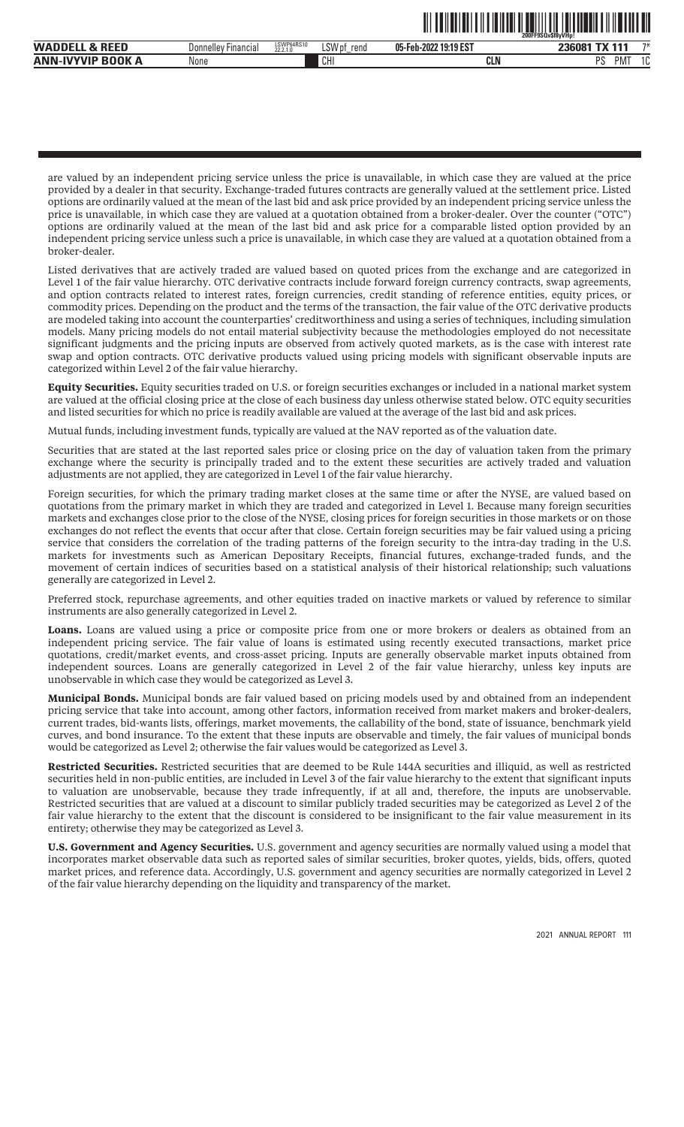|                                            |                           |                        |                | 200FF9SQvSf8vVHp!     |                |             |  |  |
|--------------------------------------------|---------------------------|------------------------|----------------|-----------------------|----------------|-------------|--|--|
| <b>REED</b><br><b>WADDELL</b><br>$\bullet$ | ' Financial<br>Donnelley' | LSWP64RS10<br>22.2.1.0 | LSW pf<br>rend | 05-Feb-2022 19:19 EST | <b>TV 114</b>  | $7*$        |  |  |
| <b>ANN-IVYVIP BOOK A</b>                   | None                      |                        | 011<br>י החי   | <b>CLN</b>            | nc<br>PMT<br>ı | $\sim$<br>τ |  |  |

**TII TUILUI III TII TII TII TII TII TUILUI TII TUILUI TII TII TII TII TII T** 

are valued by an independent pricing service unless the price is unavailable, in which case they are valued at the price provided by a dealer in that security. Exchange-traded futures contracts are generally valued at the settlement price. Listed options are ordinarily valued at the mean of the last bid and ask price provided by an independent pricing service unless the price is unavailable, in which case they are valued at a quotation obtained from a broker-dealer. Over the counter ("OTC") options are ordinarily valued at the mean of the last bid and ask price for a comparable listed option provided by an independent pricing service unless such a price is unavailable, in which case they are valued at a quotation obtained from a broker-dealer.

Listed derivatives that are actively traded are valued based on quoted prices from the exchange and are categorized in Level 1 of the fair value hierarchy. OTC derivative contracts include forward foreign currency contracts, swap agreements, and option contracts related to interest rates, foreign currencies, credit standing of reference entities, equity prices, or commodity prices. Depending on the product and the terms of the transaction, the fair value of the OTC derivative products are modeled taking into account the counterparties' creditworthiness and using a series of techniques, including simulation models. Many pricing models do not entail material subjectivity because the methodologies employed do not necessitate significant judgments and the pricing inputs are observed from actively quoted markets, as is the case with interest rate swap and option contracts. OTC derivative products valued using pricing models with significant observable inputs are categorized within Level 2 of the fair value hierarchy.

**Equity Securities.** Equity securities traded on U.S. or foreign securities exchanges or included in a national market system are valued at the official closing price at the close of each business day unless otherwise stated below. OTC equity securities and listed securities for which no price is readily available are valued at the average of the last bid and ask prices.

Mutual funds, including investment funds, typically are valued at the NAV reported as of the valuation date.

Securities that are stated at the last reported sales price or closing price on the day of valuation taken from the primary exchange where the security is principally traded and to the extent these securities are actively traded and valuation adjustments are not applied, they are categorized in Level 1 of the fair value hierarchy.

Foreign securities, for which the primary trading market closes at the same time or after the NYSE, are valued based on quotations from the primary market in which they are traded and categorized in Level 1. Because many foreign securities markets and exchanges close prior to the close of the NYSE, closing prices for foreign securities in those markets or on those exchanges do not reflect the events that occur after that close. Certain foreign securities may be fair valued using a pricing service that considers the correlation of the trading patterns of the foreign security to the intra-day trading in the U.S. markets for investments such as American Depositary Receipts, financial futures, exchange-traded funds, and the movement of certain indices of securities based on a statistical analysis of their historical relationship; such valuations generally are categorized in Level 2.

Preferred stock, repurchase agreements, and other equities traded on inactive markets or valued by reference to similar instruments are also generally categorized in Level 2.

**Loans.** Loans are valued using a price or composite price from one or more brokers or dealers as obtained from an independent pricing service. The fair value of loans is estimated using recently executed transactions, market price quotations, credit/market events, and cross-asset pricing. Inputs are generally observable market inputs obtained from independent sources. Loans are generally categorized in Level 2 of the fair value hierarchy, unless key inputs are unobservable in which case they would be categorized as Level 3.

**Municipal Bonds.** Municipal bonds are fair valued based on pricing models used by and obtained from an independent pricing service that take into account, among other factors, information received from market makers and broker-dealers, current trades, bid-wants lists, offerings, market movements, the callability of the bond, state of issuance, benchmark yield curves, and bond insurance. To the extent that these inputs are observable and timely, the fair values of municipal bonds would be categorized as Level 2; otherwise the fair values would be categorized as Level 3.

**Restricted Securities.** Restricted securities that are deemed to be Rule 144A securities and illiquid, as well as restricted securities held in non-public entities, are included in Level 3 of the fair value hierarchy to the extent that significant inputs to valuation are unobservable, because they trade infrequently, if at all and, therefore, the inputs are unobservable. Restricted securities that are valued at a discount to similar publicly traded securities may be categorized as Level 2 of the fair value hierarchy to the extent that the discount is considered to be insignificant to the fair value measurement in its entirety; otherwise they may be categorized as Level 3.

**U.S. Government and Agency Securities.** U.S. government and agency securities are normally valued using a model that incorporates market observable data such as reported sales of similar securities, broker quotes, yields, bids, offers, quoted market prices, and reference data. Accordingly, U.S. government and agency securities are normally categorized in Level 2 of the fair value hierarchy depending on the liquidity and transparency of the market.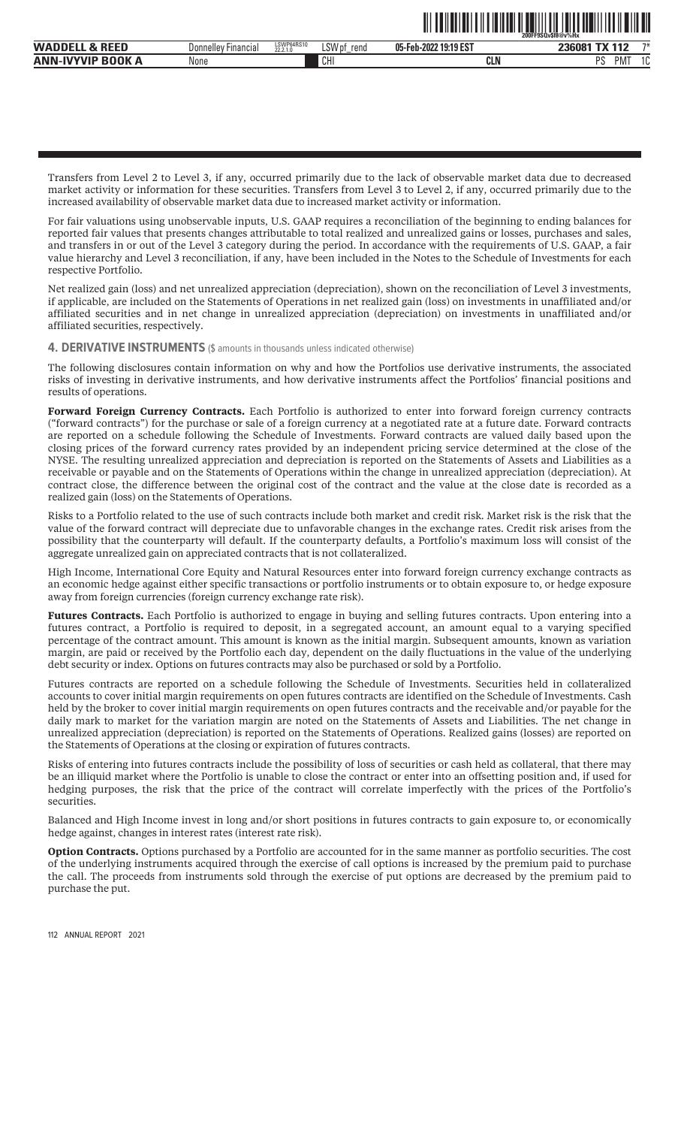|                                      |                                        |                               |                          |                                                   | 200FF9SQvSf8@v%Hx                |        |
|--------------------------------------|----------------------------------------|-------------------------------|--------------------------|---------------------------------------------------|----------------------------------|--------|
| <b>REED</b><br><b>WA</b><br>ึ        | Financia,<br><b>Donnelley</b><br>۱۱۵۷. | LSWP64RS10<br>00011<br>LL.L.1 | LSW <sub>r</sub><br>rend | 10.10 FCT<br>05-<br><b>Feb-2022</b><br>19. IY EDI | TVAAA<br>าวตกคร                  | 74     |
| <b>ROOK</b><br>.IVVVID<br><b>ANN</b> | None                                   |                               | CHI                      | <b>CLN</b>                                        | <sub>DC</sub><br>PM <sup>-</sup> | $\sim$ |

**TITE AND AND IN THE UNION OF BELIEVE AND IN THE UNION OF A SECOND PROPERTY AND IN** 

Transfers from Level 2 to Level 3, if any, occurred primarily due to the lack of observable market data due to decreased market activity or information for these securities. Transfers from Level 3 to Level 2, if any, occurred primarily due to the increased availability of observable market data due to increased market activity or information.

For fair valuations using unobservable inputs, U.S. GAAP requires a reconciliation of the beginning to ending balances for reported fair values that presents changes attributable to total realized and unrealized gains or losses, purchases and sales, and transfers in or out of the Level 3 category during the period. In accordance with the requirements of U.S. GAAP, a fair value hierarchy and Level 3 reconciliation, if any, have been included in the Notes to the Schedule of Investments for each respective Portfolio.

Net realized gain (loss) and net unrealized appreciation (depreciation), shown on the reconciliation of Level 3 investments, if applicable, are included on the Statements of Operations in net realized gain (loss) on investments in unaffiliated and/or affiliated securities and in net change in unrealized appreciation (depreciation) on investments in unaffiliated and/or affiliated securities, respectively.

#### **4. DERIVATIVE INSTRUMENTS** (\$ amounts in thousands unless indicated otherwise)

The following disclosures contain information on why and how the Portfolios use derivative instruments, the associated risks of investing in derivative instruments, and how derivative instruments affect the Portfolios' financial positions and results of operations.

**Forward Foreign Currency Contracts.** Each Portfolio is authorized to enter into forward foreign currency contracts ("forward contracts") for the purchase or sale of a foreign currency at a negotiated rate at a future date. Forward contracts are reported on a schedule following the Schedule of Investments. Forward contracts are valued daily based upon the closing prices of the forward currency rates provided by an independent pricing service determined at the close of the NYSE. The resulting unrealized appreciation and depreciation is reported on the Statements of Assets and Liabilities as a receivable or payable and on the Statements of Operations within the change in unrealized appreciation (depreciation). At contract close, the difference between the original cost of the contract and the value at the close date is recorded as a realized gain (loss) on the Statements of Operations.

Risks to a Portfolio related to the use of such contracts include both market and credit risk. Market risk is the risk that the value of the forward contract will depreciate due to unfavorable changes in the exchange rates. Credit risk arises from the possibility that the counterparty will default. If the counterparty defaults, a Portfolio's maximum loss will consist of the aggregate unrealized gain on appreciated contracts that is not collateralized.

High Income, International Core Equity and Natural Resources enter into forward foreign currency exchange contracts as an economic hedge against either specific transactions or portfolio instruments or to obtain exposure to, or hedge exposure away from foreign currencies (foreign currency exchange rate risk).

**Futures Contracts.** Each Portfolio is authorized to engage in buying and selling futures contracts. Upon entering into a futures contract, a Portfolio is required to deposit, in a segregated account, an amount equal to a varying specified percentage of the contract amount. This amount is known as the initial margin. Subsequent amounts, known as variation margin, are paid or received by the Portfolio each day, dependent on the daily fluctuations in the value of the underlying debt security or index. Options on futures contracts may also be purchased or sold by a Portfolio.

Futures contracts are reported on a schedule following the Schedule of Investments. Securities held in collateralized accounts to cover initial margin requirements on open futures contracts are identified on the Schedule of Investments. Cash held by the broker to cover initial margin requirements on open futures contracts and the receivable and/or payable for the daily mark to market for the variation margin are noted on the Statements of Assets and Liabilities. The net change in unrealized appreciation (depreciation) is reported on the Statements of Operations. Realized gains (losses) are reported on the Statements of Operations at the closing or expiration of futures contracts.

Risks of entering into futures contracts include the possibility of loss of securities or cash held as collateral, that there may be an illiquid market where the Portfolio is unable to close the contract or enter into an offsetting position and, if used for hedging purposes, the risk that the price of the contract will correlate imperfectly with the prices of the Portfolio's securities.

Balanced and High Income invest in long and/or short positions in futures contracts to gain exposure to, or economically hedge against, changes in interest rates (interest rate risk).

**Option Contracts.** Options purchased by a Portfolio are accounted for in the same manner as portfolio securities. The cost of the underlying instruments acquired through the exercise of call options is increased by the premium paid to purchase the call. The proceeds from instruments sold through the exercise of put options are decreased by the premium paid to purchase the put.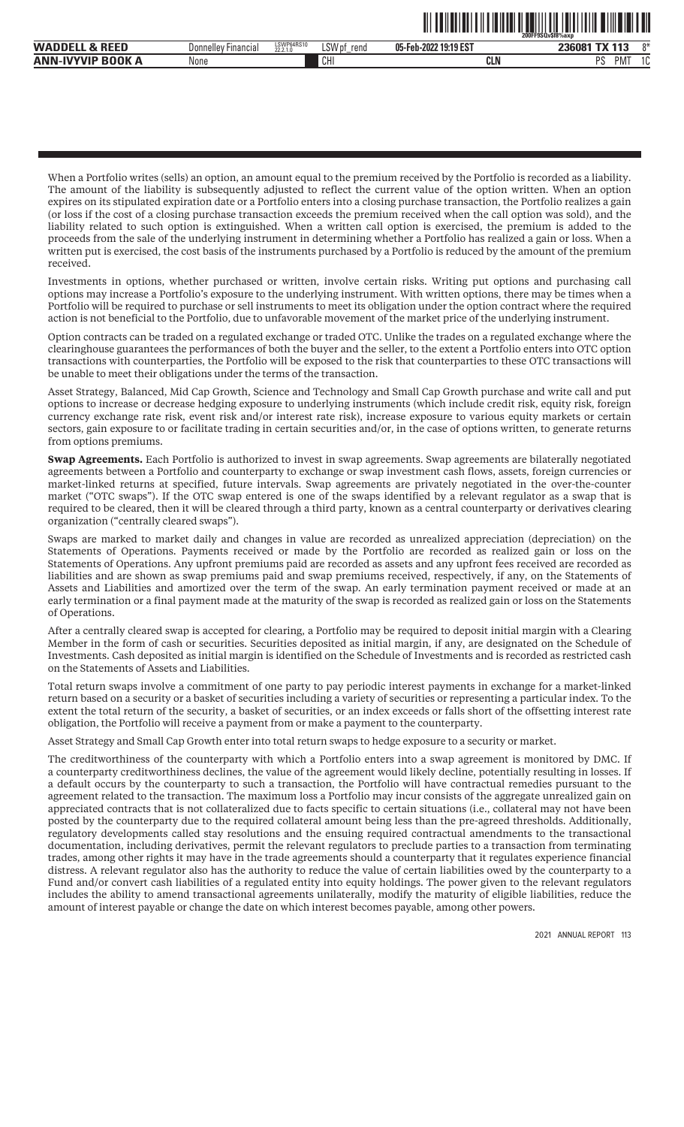|                                               |                            |                        |                |                          | .<br>200FF9SQvSf8%axp       |              |
|-----------------------------------------------|----------------------------|------------------------|----------------|--------------------------|-----------------------------|--------------|
| <b>REED</b><br><b>WAI</b><br>ึ<br>DELL<br>. . | : Financial<br>Donnelley I | LSWP64RS10<br>22.2.1.0 | LSW pf<br>reno | 19:19 EST<br>05-Feb-2022 | -77<br>449<br>236081<br>. . | n*           |
| '-IVYVIP BOOK A<br><b>ANN</b>                 | None                       |                        | CHI            | <b>CLN</b>               | ne<br>$n \cdot r$<br>۲M     | $\sim$<br>טו |

ˆ200FF9SQv\$f8%axp‹Š **200FF9SQv\$f8%axp**

When a Portfolio writes (sells) an option, an amount equal to the premium received by the Portfolio is recorded as a liability. The amount of the liability is subsequently adjusted to reflect the current value of the option written. When an option expires on its stipulated expiration date or a Portfolio enters into a closing purchase transaction, the Portfolio realizes a gain (or loss if the cost of a closing purchase transaction exceeds the premium received when the call option was sold), and the liability related to such option is extinguished. When a written call option is exercised, the premium is added to the proceeds from the sale of the underlying instrument in determining whether a Portfolio has realized a gain or loss. When a written put is exercised, the cost basis of the instruments purchased by a Portfolio is reduced by the amount of the premium received.

Investments in options, whether purchased or written, involve certain risks. Writing put options and purchasing call options may increase a Portfolio's exposure to the underlying instrument. With written options, there may be times when a Portfolio will be required to purchase or sell instruments to meet its obligation under the option contract where the required action is not beneficial to the Portfolio, due to unfavorable movement of the market price of the underlying instrument.

Option contracts can be traded on a regulated exchange or traded OTC. Unlike the trades on a regulated exchange where the clearinghouse guarantees the performances of both the buyer and the seller, to the extent a Portfolio enters into OTC option transactions with counterparties, the Portfolio will be exposed to the risk that counterparties to these OTC transactions will be unable to meet their obligations under the terms of the transaction.

Asset Strategy, Balanced, Mid Cap Growth, Science and Technology and Small Cap Growth purchase and write call and put options to increase or decrease hedging exposure to underlying instruments (which include credit risk, equity risk, foreign currency exchange rate risk, event risk and/or interest rate risk), increase exposure to various equity markets or certain sectors, gain exposure to or facilitate trading in certain securities and/or, in the case of options written, to generate returns from options premiums.

**Swap Agreements.** Each Portfolio is authorized to invest in swap agreements. Swap agreements are bilaterally negotiated agreements between a Portfolio and counterparty to exchange or swap investment cash flows, assets, foreign currencies or market-linked returns at specified, future intervals. Swap agreements are privately negotiated in the over-the-counter market ("OTC swaps"). If the OTC swap entered is one of the swaps identified by a relevant regulator as a swap that is required to be cleared, then it will be cleared through a third party, known as a central counterparty or derivatives clearing organization ("centrally cleared swaps").

Swaps are marked to market daily and changes in value are recorded as unrealized appreciation (depreciation) on the Statements of Operations. Payments received or made by the Portfolio are recorded as realized gain or loss on the Statements of Operations. Any upfront premiums paid are recorded as assets and any upfront fees received are recorded as liabilities and are shown as swap premiums paid and swap premiums received, respectively, if any, on the Statements of Assets and Liabilities and amortized over the term of the swap. An early termination payment received or made at an early termination or a final payment made at the maturity of the swap is recorded as realized gain or loss on the Statements of Operations.

After a centrally cleared swap is accepted for clearing, a Portfolio may be required to deposit initial margin with a Clearing Member in the form of cash or securities. Securities deposited as initial margin, if any, are designated on the Schedule of Investments. Cash deposited as initial margin is identified on the Schedule of Investments and is recorded as restricted cash on the Statements of Assets and Liabilities.

Total return swaps involve a commitment of one party to pay periodic interest payments in exchange for a market-linked return based on a security or a basket of securities including a variety of securities or representing a particular index. To the extent the total return of the security, a basket of securities, or an index exceeds or falls short of the offsetting interest rate obligation, the Portfolio will receive a payment from or make a payment to the counterparty.

Asset Strategy and Small Cap Growth enter into total return swaps to hedge exposure to a security or market.

The creditworthiness of the counterparty with which a Portfolio enters into a swap agreement is monitored by DMC. If a counterparty creditworthiness declines, the value of the agreement would likely decline, potentially resulting in losses. If a default occurs by the counterparty to such a transaction, the Portfolio will have contractual remedies pursuant to the agreement related to the transaction. The maximum loss a Portfolio may incur consists of the aggregate unrealized gain on appreciated contracts that is not collateralized due to facts specific to certain situations (i.e., collateral may not have been posted by the counterparty due to the required collateral amount being less than the pre-agreed thresholds. Additionally, regulatory developments called stay resolutions and the ensuing required contractual amendments to the transactional documentation, including derivatives, permit the relevant regulators to preclude parties to a transaction from terminating trades, among other rights it may have in the trade agreements should a counterparty that it regulates experience financial distress. A relevant regulator also has the authority to reduce the value of certain liabilities owed by the counterparty to a Fund and/or convert cash liabilities of a regulated entity into equity holdings. The power given to the relevant regulators includes the ability to amend transactional agreements unilaterally, modify the maturity of eligible liabilities, reduce the amount of interest payable or change the date on which interest becomes payable, among other powers.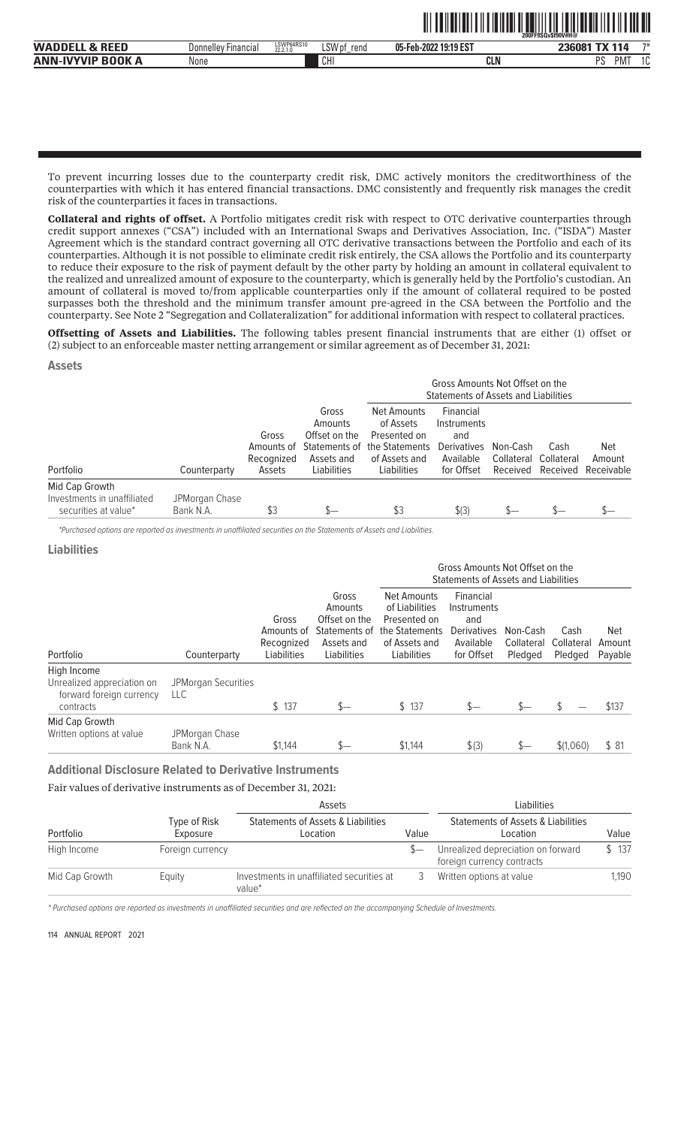|                                                  |                        |                      |                                  | ----------------------------- | 200FF9SQvSf90V#H@    |              |
|--------------------------------------------------|------------------------|----------------------|----------------------------------|-------------------------------|----------------------|--------------|
| <b>REED</b><br><b>WADDI</b><br>$\bullet$<br>DELL | `ınancıaı<br>Donnelley | LSWP64RS10<br>22.2.1 | $\sqrt{\rm CMn}$<br>rend<br>″ ت∟ | 05-Feb-2022 19:19 EST         | 114<br>236081<br>ZJT | $7*$         |
| <b>N-IVYVIP BOOK A</b><br><b>ANN</b>             | None                   |                      | CHI                              | <b>CLN</b>                    | <b>DC</b><br>PMT     | $\sim$<br>טו |
|                                                  |                        |                      |                                  |                               |                      |              |

ˆ200FF9SQv\$f90V#H@Š **200FF9SQv\$f90V#H@**

To prevent incurring losses due to the counterparty credit risk, DMC actively monitors the creditworthiness of the counterparties with which it has entered financial transactions. DMC consistently and frequently risk manages the credit risk of the counterparties it faces in transactions.

**Collateral and rights of offset.** A Portfolio mitigates credit risk with respect to OTC derivative counterparties through credit support annexes ("CSA") included with an International Swaps and Derivatives Association, Inc. ("ISDA") Master Agreement which is the standard contract governing all OTC derivative transactions between the Portfolio and each of its counterparties. Although it is not possible to eliminate credit risk entirely, the CSA allows the Portfolio and its counterparty to reduce their exposure to the risk of payment default by the other party by holding an amount in collateral equivalent to the realized and unrealized amount of exposure to the counterparty, which is generally held by the Portfolio's custodian. An amount of collateral is moved to/from applicable counterparties only if the amount of collateral required to be posted surpasses both the threshold and the minimum transfer amount pre-agreed in the CSA between the Portfolio and the counterparty. See Note 2 "Segregation and Collateralization" for additional information with respect to collateral practices.

**Offsetting of Assets and Liabilities.** The following tables present financial instruments that are either (1) offset or (2) subject to an enforceable master netting arrangement or similar agreement as of December 31, 2021:

#### **Assets**

|                                               |                |            |                                   | Gross Amounts Not Offset on the<br><b>Statements of Assets and Liabilities</b> |                                 |                       |          |            |
|-----------------------------------------------|----------------|------------|-----------------------------------|--------------------------------------------------------------------------------|---------------------------------|-----------------------|----------|------------|
|                                               |                | Gross      | Gross<br>Amounts<br>Offset on the | Net Amounts<br>of Assets<br>Presented on                                       | Financial<br>Instruments<br>and |                       |          |            |
|                                               |                | Amounts of |                                   | Statements of the Statements                                                   | Derivatives                     | Non-Cash              | Cash     | <b>Net</b> |
|                                               |                | Recognized | Assets and                        | of Assets and                                                                  | Available                       | Collateral Collateral |          | Amount     |
| Portfolio                                     | Counterparty   | Assets     | Liabilities                       | Liabilities                                                                    | for Offset                      | Received              | Received | Receivable |
| Mid Cap Growth<br>Investments in unaffiliated | JPMorgan Chase |            |                                   |                                                                                |                                 |                       |          |            |
| securities at value*                          | Bank N.A.      | \$3        | $S-$                              | \$3                                                                            | $$^{(3)}$                       | $S-$                  | $S-$     | `\—        |

\*Purchased options are reported as investments in unaffiliated securities on the Statements of Assets and Liabilities.

#### **Liabilities**

|                                                                                    |                                   |                                                  |                                                                                 | Gross Amounts Not Offset on the<br><b>Statements of Assets and Liabilities</b>                         |                                                                           |                                   |                               |                                 |
|------------------------------------------------------------------------------------|-----------------------------------|--------------------------------------------------|---------------------------------------------------------------------------------|--------------------------------------------------------------------------------------------------------|---------------------------------------------------------------------------|-----------------------------------|-------------------------------|---------------------------------|
| Portfolio                                                                          | Counterparty                      | Gross<br>Amounts of<br>Recognized<br>Liabilities | Gross<br>Amounts<br>Offset on the<br>Statements of<br>Assets and<br>Liabilities | <b>Net Amounts</b><br>of Liabilities<br>Presented on<br>the Statements<br>of Assets and<br>Liabilities | Financial<br>Instruments<br>and<br>Derivatives<br>Available<br>for Offset | Non-Cash<br>Collateral<br>Pledged | Cash<br>Collateral<br>Pledged | <b>Net</b><br>Amount<br>Payable |
| High Income<br>Unrealized appreciation on<br>forward foreign currency<br>contracts | JPMorgan Securities<br><b>LLC</b> | \$137                                            | $s-$                                                                            | \$137                                                                                                  | $s-$                                                                      | $\frac{1}{2}$                     |                               | \$137                           |
| Mid Cap Growth<br>Written options at value                                         | JPMorgan Chase<br>Bank N.A.       | \$1,144                                          | \$—                                                                             | \$1,144                                                                                                | \$(3)                                                                     | \$—                               | \$(1,060)                     | \$81                            |

### **Additional Disclosure Related to Derivative Instruments**

#### Fair values of derivative instruments as of December 31, 2021:

|                |                          | Assets                                              | Liabilities |                                                                  |       |  |
|----------------|--------------------------|-----------------------------------------------------|-------------|------------------------------------------------------------------|-------|--|
| Portfolio      | Type of Risk<br>Exposure | Statements of Assets & Liabilities<br>Location      | Value       | Statements of Assets & Liabilities<br>Location                   | Value |  |
| High Income    | Foreign currency         |                                                     |             | Unrealized depreciation on forward<br>foreign currency contracts | \$137 |  |
| Mid Cap Growth | Equity                   | Investments in unaffiliated securities at<br>value* |             | Written options at value                                         | 1.190 |  |

\* Purchased options are reported as investments in unaffiliated securities and are reflected on the accompanying Schedule of Investments.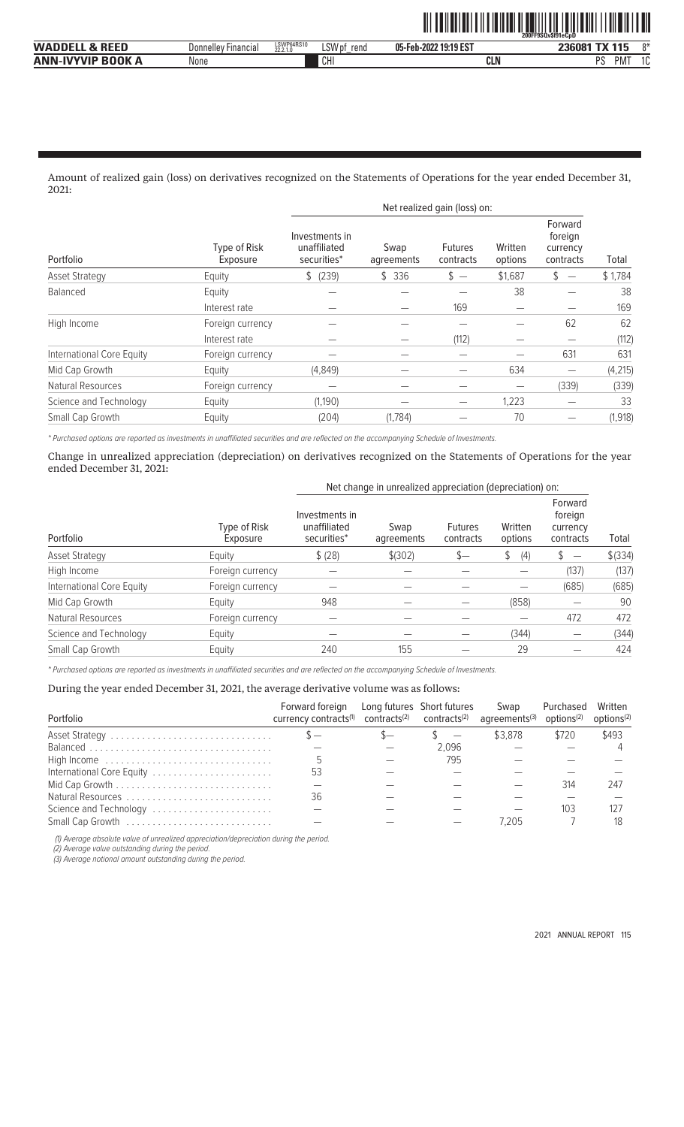|                           |                            |                        |                | IIIIII<br>$\blacksquare$ | 200FF9SQvSf91eCpD            |
|---------------------------|----------------------------|------------------------|----------------|--------------------------|------------------------------|
| <b>WADDELL &amp; REED</b> | <b>Donnelley Financial</b> | LSWP64RS10<br>22.2.1.0 | LSW pf<br>rend | 05-Feb-2022 19:19 EST    | $8*$<br>236081 TX 115        |
| <b>ANN-IVYVIP BOOK A</b>  | None                       |                        | CHI            | CLN                      | PS<br>PMT<br>$1^\circ$<br>ΙU |

#### Amount of realized gain (loss) on derivatives recognized on the Statements of Operations for the year ended December 31, 2021:

|                           |                          |                                               |                    | Net realized gain (loss) on: |                    |       |          |
|---------------------------|--------------------------|-----------------------------------------------|--------------------|------------------------------|--------------------|-------|----------|
| Portfolio                 | Type of Risk<br>Exposure | Investments in<br>unaffiliated<br>securities* | Swap<br>agreements | <b>Futures</b><br>contracts  | Written<br>options |       | Total    |
| <b>Asset Strategy</b>     | Equity                   | (239)<br>\$                                   | \$336              | $$-$                         | \$1,687            | \$.   | \$1,784  |
| Balanced                  | Equity                   |                                               |                    |                              | 38                 |       | 38       |
|                           | Interest rate            |                                               |                    | 169                          |                    |       | 169      |
| High Income               | Foreign currency         |                                               |                    |                              |                    | 62    | 62       |
|                           | Interest rate            |                                               |                    | (112)                        |                    |       | (112)    |
| International Core Equity | Foreign currency         |                                               |                    |                              |                    | 631   | 631      |
| Mid Cap Growth            | Equity                   | (4, 849)                                      |                    |                              | 634                |       | (4, 215) |
| Natural Resources         | Foreign currency         |                                               |                    |                              |                    | (339) | (339)    |
| Science and Technology    | Equity                   | (1,190)                                       |                    |                              | 1,223              |       | 33       |
| Small Cap Growth          | Equity                   | (204)                                         | (1,784)            |                              | 70                 |       | (1, 918) |

\* Purchased options are reported as investments in unaffiliated securities and are reflected on the accompanying Schedule of Investments.

Change in unrealized appreciation (depreciation) on derivatives recognized on the Statements of Operations for the year ended December 31, 2021:

#### Net change in unrealized appreciation (depreciation) on:

| Portfolio                 | Type of Risk<br>Exposure | Investments in<br>unaffiliated<br>securities* | Swap<br>agreements | <b>Futures</b><br>contracts | Written<br>options | Forward<br>foreign<br>currency<br>contracts | Total     |
|---------------------------|--------------------------|-----------------------------------------------|--------------------|-----------------------------|--------------------|---------------------------------------------|-----------|
| <b>Asset Strategy</b>     | Equity                   | \$ (28)                                       | $$$ (302)          |                             | (4)<br>I           | $\overline{\phantom{m}}$                    | $$$ (334) |
| High Income               | Foreign currency         |                                               |                    |                             |                    | (137)                                       | (137)     |
| International Core Equity | Foreign currency         |                                               |                    |                             |                    | (685)                                       | (685)     |
| Mid Cap Growth            | Equity                   | 948                                           |                    |                             | (858)              |                                             | 90        |
| Natural Resources         | Foreign currency         |                                               |                    |                             |                    | 472                                         | 472       |
| Science and Technology    | Equity                   |                                               |                    |                             | (344)              |                                             | (344)     |
| Small Cap Growth          | Equity                   | 240                                           | 155                |                             | 29                 |                                             | 424       |

\* Purchased options are reported as investments in unaffiliated securities and are reflected on the accompanying Schedule of Investments.

#### During the year ended December 31, 2021, the average derivative volume was as follows:

| Portfolio                 | Forward foreign Long futures Short futures Swap Purchased Written<br>currency contracts <sup>(1)</sup> contracts <sup>(2)</sup> contracts <sup>(2)</sup> agreements <sup>(3)</sup> options <sup>(2)</sup> options <sup>(2)</sup> |       |         |       |       |
|---------------------------|----------------------------------------------------------------------------------------------------------------------------------------------------------------------------------------------------------------------------------|-------|---------|-------|-------|
| Asset Strategy            |                                                                                                                                                                                                                                  |       | \$3.878 | \$720 | \$493 |
|                           |                                                                                                                                                                                                                                  | 2.096 |         |       |       |
|                           |                                                                                                                                                                                                                                  | 795   |         |       |       |
| International Core Equity | 53                                                                                                                                                                                                                               |       |         |       |       |
|                           |                                                                                                                                                                                                                                  |       |         | 314   | 741   |
|                           | 36                                                                                                                                                                                                                               |       |         |       |       |
| Science and Technology    |                                                                                                                                                                                                                                  |       |         | 10.3  |       |
| Small Cap Growth          |                                                                                                                                                                                                                                  |       | 205     |       |       |

(1) Average absolute value of unrealized appreciation/depreciation during the period.

(2) Average value outstanding during the period.

(3) Average notional amount outstanding during the period.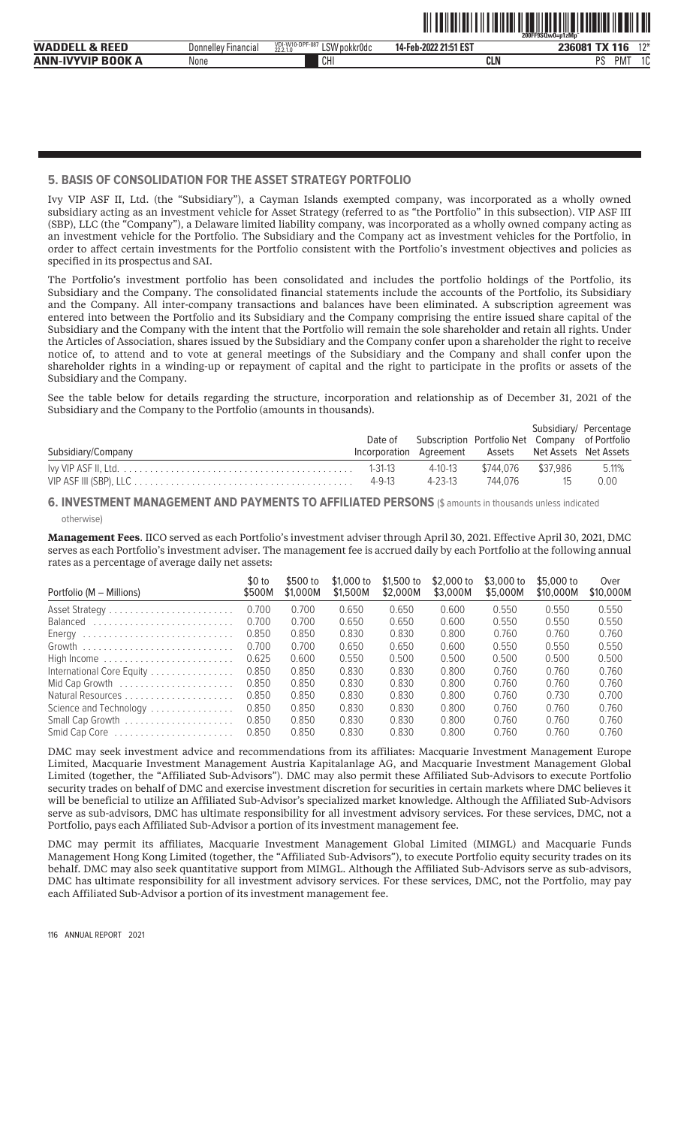|                                                 |                     |                                                         |                       | 200FF9SQw0=p1zMp                             |              |
|-------------------------------------------------|---------------------|---------------------------------------------------------|-----------------------|----------------------------------------------|--------------|
| <b>REED</b><br><b>WADDELL</b><br>$\bullet$<br>α | Donnelley Financial | VDI-W10-DPF-087<br>' ° W pokkr0dc<br>™F-087<br>22.2.1.0 | 14-Feb-2022 21:51 EST | 12<br><b>TX 116</b><br>236081                |              |
| <b>I-IVYVIP BOOK A</b><br><b>ANN</b>            | None                | CHI                                                     | <b>CLN</b>            | <sub>D</sub> <sub>C</sub><br>PM <sup>-</sup> | $\sim$<br>ιu |
|                                                 |                     |                                                         |                       |                                              |              |

ˆ200FF9SQw0=p1zMpÅŠ

#### **5. BASIS OF CONSOLIDATION FOR THE ASSET STRATEGY PORTFOLIO**

Ivy VIP ASF II, Ltd. (the "Subsidiary"), a Cayman Islands exempted company, was incorporated as a wholly owned subsidiary acting as an investment vehicle for Asset Strategy (referred to as "the Portfolio" in this subsection). VIP ASF III (SBP), LLC (the "Company"), a Delaware limited liability company, was incorporated as a wholly owned company acting as an investment vehicle for the Portfolio. The Subsidiary and the Company act as investment vehicles for the Portfolio, in order to affect certain investments for the Portfolio consistent with the Portfolio's investment objectives and policies as specified in its prospectus and SAI.

The Portfolio's investment portfolio has been consolidated and includes the portfolio holdings of the Portfolio, its Subsidiary and the Company. The consolidated financial statements include the accounts of the Portfolio, its Subsidiary and the Company. All inter-company transactions and balances have been eliminated. A subscription agreement was entered into between the Portfolio and its Subsidiary and the Company comprising the entire issued share capital of the Subsidiary and the Company with the intent that the Portfolio will remain the sole shareholder and retain all rights. Under the Articles of Association, shares issued by the Subsidiary and the Company confer upon a shareholder the right to receive notice of, to attend and to vote at general meetings of the Subsidiary and the Company and shall confer upon the shareholder rights in a winding-up or repayment of capital and the right to participate in the profits or assets of the Subsidiary and the Company.

See the table below for details regarding the structure, incorporation and relationship as of December 31, 2021 of the Subsidiary and the Company to the Portfolio (amounts in thousands).

| Subsidiary/Company | Date of<br>Incorporation Agreement Assets Net Assets Net Assets |                    | Subscription Portfolio Net Company of Portfolio |           | Subsidiary/ Percentage |
|--------------------|-----------------------------------------------------------------|--------------------|-------------------------------------------------|-----------|------------------------|
|                    |                                                                 | 4-10-13<br>4-23-13 | \$744,076 \$37,986<br>744 076                   | $\sim$ 15 | 5.11%<br>0.00          |

#### **6. INVESTMENT MANAGEMENT AND PAYMENTS TO AFFILIATED PERSONS** (\$ amounts in thousands unless indicated otherwise)

**Management Fees**. IICO served as each Portfolio's investment adviser through April 30, 2021. Effective April 30, 2021, DMC serves as each Portfolio's investment adviser. The management fee is accrued daily by each Portfolio at the following annual rates as a percentage of average daily net assets:

| Portfolio (M – Millions)  | \$0 to<br>\$500M | \$500 to<br>\$1,000M | $$1,000$ to<br>\$1,500M | \$1.500 to<br>\$2,000M | \$2,000 to<br>\$3,000M | \$3,000 to<br>\$5,000M | \$5,000 to<br>\$10,000M | Over<br>\$10,000M |
|---------------------------|------------------|----------------------|-------------------------|------------------------|------------------------|------------------------|-------------------------|-------------------|
|                           | 0.700            | 0.700                | 0.650                   | 0.650                  | 0.600                  | 0.550                  | 0.550                   | 0.550             |
| Balanced                  | 0.700            | 0.700                | 0.650                   | 0.650                  | 0.600                  | 0.550                  | 0.550                   | 0.550             |
| Energy                    | 0.850            | 0.850                | 0.830                   | 0.830                  | 0.800                  | 0.760                  | 0.760                   | 0.760             |
|                           | 0.700            | 0700                 | 0.650                   | 0.650                  | 0.600                  | 0.550                  | 0.550                   | 0.550             |
|                           | 0.625            | 0.600                | 0.550                   | 0.500                  | 0.500                  | 0.500                  | 0.500                   | 0.500             |
| International Core Equity | 0.850            | 0.850                | 0.830                   | 0.830                  | 0.800                  | 0.760                  | 0.760                   | 0.760             |
| Mid Cap Growth            | 0.850            | 0.850                | 0.830                   | 0.830                  | 0.800                  | 0.760                  | 0.760                   | 0.760             |
|                           | 0.850            | 0.850                | 0.830                   | 0.830                  | 0.800                  | 0.760                  | 0.730                   | 0.700             |
| Science and Technology    | 0.850            | 0.850                | 0.830                   | 0.830                  | 0.800                  | 0.760                  | 0.760                   | 0.760             |
| Small Cap Growth          | 0.850            | 0.850                | 0.830                   | 0.830                  | 0.800                  | 0.760                  | 0.760                   | 0.760             |
| Smid Cap Core             | 0.850            | 0.850                | 0.830                   | 0.830                  | 0.800                  | 0.760                  | 0.760                   | 0.760             |

DMC may seek investment advice and recommendations from its affiliates: Macquarie Investment Management Europe Limited, Macquarie Investment Management Austria Kapitalanlage AG, and Macquarie Investment Management Global Limited (together, the "Affiliated Sub-Advisors"). DMC may also permit these Affiliated Sub-Advisors to execute Portfolio security trades on behalf of DMC and exercise investment discretion for securities in certain markets where DMC believes it will be beneficial to utilize an Affiliated Sub-Advisor's specialized market knowledge. Although the Affiliated Sub-Advisors serve as sub-advisors, DMC has ultimate responsibility for all investment advisory services. For these services, DMC, not a Portfolio, pays each Affiliated Sub-Advisor a portion of its investment management fee.

DMC may permit its affiliates, Macquarie Investment Management Global Limited (MIMGL) and Macquarie Funds Management Hong Kong Limited (together, the "Affiliated Sub-Advisors"), to execute Portfolio equity security trades on its behalf. DMC may also seek quantitative support from MIMGL. Although the Affiliated Sub-Advisors serve as sub-advisors, DMC has ultimate responsibility for all investment advisory services. For these services, DMC, not the Portfolio, may pay each Affiliated Sub-Advisor a portion of its investment management fee.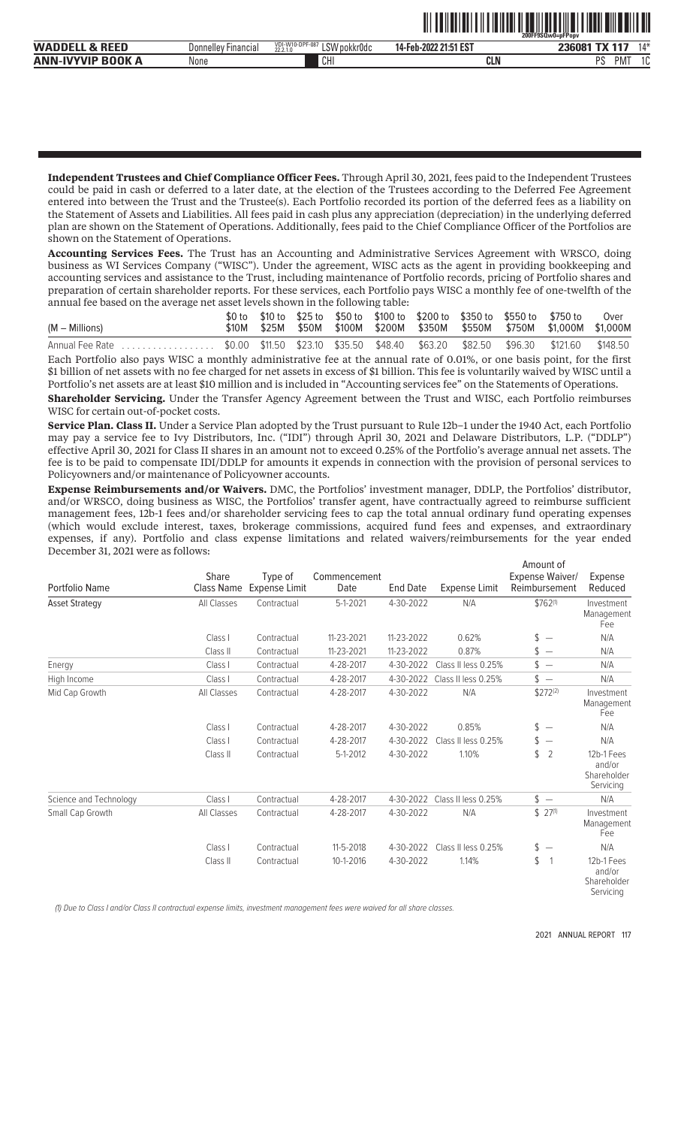|                                     |                            |                                                 | 200FF9SQw0=pFPopy     |                      |              |  |  |  |
|-------------------------------------|----------------------------|-------------------------------------------------|-----------------------|----------------------|--------------|--|--|--|
| <b>REED</b><br><b>WADDELL &amp;</b> | ' Financial<br>Donnelley F | VDI-W10-DPF-087<br>۲SW<br>V pokkr0dc<br>22.2.1. | 14-Feb-2022 21:51 EST | TVIAA<br>236081      | $14*$        |  |  |  |
| <b>-IVYVIP BOOK A</b><br><b>ANN</b> | None                       | PII<br>uпı                                      | <b>CLN</b>            | nc<br>$n \sim$<br>'M | $\sim$<br>טי |  |  |  |

ˆ200FF9SQw0=pFPopvŠ

**Independent Trustees and Chief Compliance Officer Fees.** Through April 30, 2021, fees paid to the Independent Trustees could be paid in cash or deferred to a later date, at the election of the Trustees according to the Deferred Fee Agreement entered into between the Trust and the Trustee(s). Each Portfolio recorded its portion of the deferred fees as a liability on the Statement of Assets and Liabilities. All fees paid in cash plus any appreciation (depreciation) in the underlying deferred plan are shown on the Statement of Operations. Additionally, fees paid to the Chief Compliance Officer of the Portfolios are shown on the Statement of Operations.

**Accounting Services Fees.** The Trust has an Accounting and Administrative Services Agreement with WRSCO, doing business as WI Services Company ("WISC"). Under the agreement, WISC acts as the agent in providing bookkeeping and accounting services and assistance to the Trust, including maintenance of Portfolio records, pricing of Portfolio shares and preparation of certain shareholder reports. For these services, each Portfolio pays WISC a monthly fee of one-twelfth of the annual fee based on the average net asset levels shown in the following table:

|                  |  |  |  |  | \$0 to \$10 to \$25 to \$50 to \$100 to \$200 to \$350 to \$550 to \$750 to                | Over |
|------------------|--|--|--|--|--------------------------------------------------------------------------------------------|------|
| $(M -$ Millions) |  |  |  |  | \$10M \$25M \$50M \$100M \$200M \$350M \$550M \$750M \$1.000M \$1.000M                     |      |
| Annual Fee Rate  |  |  |  |  | $$0.00$ $$11.50$ $$23.10$ $$35.50$ $$48.40$ $$63.20$ $$82.50$ $$96.30$ $$121.60$ $$148.50$ |      |

Each Portfolio also pays WISC a monthly administrative fee at the annual rate of 0.01%, or one basis point, for the first \$1 billion of net assets with no fee charged for net assets in excess of \$1 billion. This fee is voluntarily waived by WISC until a Portfolio's net assets are at least \$10 million and is included in "Accounting services fee" on the Statements of Operations.

**Shareholder Servicing.** Under the Transfer Agency Agreement between the Trust and WISC, each Portfolio reimburses WISC for certain out-of-pocket costs.

**Service Plan. Class II.** Under a Service Plan adopted by the Trust pursuant to Rule 12b–1 under the 1940 Act, each Portfolio may pay a service fee to Ivy Distributors, Inc. ("IDI") through April 30, 2021 and Delaware Distributors, L.P. ("DDLP") effective April 30, 2021 for Class II shares in an amount not to exceed 0.25% of the Portfolio's average annual net assets. The fee is to be paid to compensate IDI/DDLP for amounts it expends in connection with the provision of personal services to Policyowners and/or maintenance of Policyowner accounts.

**Expense Reimbursements and/or Waivers.** DMC, the Portfolios' investment manager, DDLP, the Portfolios' distributor, and/or WRSCO, doing business as WISC, the Portfolios' transfer agent, have contractually agreed to reimburse sufficient management fees, 12b-1 fees and/or shareholder servicing fees to cap the total annual ordinary fund operating expenses (which would exclude interest, taxes, brokerage commissions, acquired fund fees and expenses, and extraordinary expenses, if any). Portfolio and class expense limitations and related waivers/reimbursements for the year ended December 31, 2021 were as follows: Amount of

| Portfolio Name         | <b>Share</b><br>Class Name | Type of<br>Expense Limit | Commencement<br>Date | <b>End Date</b> | Expense Limit       | Allivullt VI<br>Expense Waiver/<br>Reimbursement | Expense<br>Reduced                               |
|------------------------|----------------------------|--------------------------|----------------------|-----------------|---------------------|--------------------------------------------------|--------------------------------------------------|
| <b>Asset Strategy</b>  | All Classes                | Contractual              | 5-1-2021             | 4-30-2022       | N/A                 | \$762(1)                                         | Investment<br>Management<br>Fee                  |
|                        | Class I                    | Contractual              | 11-23-2021           | 11-23-2022      | 0.62%               | \$<br>$\hspace{0.1mm}-\hspace{0.1mm}$            | N/A                                              |
|                        | Class II                   | Contractual              | 11-23-2021           | 11-23-2022      | 0.87%               | \$<br>$\overline{\phantom{a}}$                   | N/A                                              |
| Energy                 | Class I                    | Contractual              | 4-28-2017            | 4-30-2022       | Class II less 0.25% | \$<br>$\overline{\phantom{a}}$                   | N/A                                              |
| High Income            | Class I                    | Contractual              | 4-28-2017            | 4-30-2022       | Class II less 0.25% | $s -$                                            | N/A                                              |
| Mid Cap Growth         | All Classes                | Contractual              | 4-28-2017            | 4-30-2022       | N/A                 | $$272^{(2)}$                                     | Investment<br>Management<br>Fee                  |
|                        | Class I                    | Contractual              | 4-28-2017            | 4-30-2022       | 0.85%               | $$ -$                                            | N/A                                              |
|                        | Class I                    | Contractual              | 4-28-2017            | 4-30-2022       | Class II less 0.25% | $$-$                                             | N/A                                              |
|                        | Class II                   | Contractual              | 5-1-2012             | 4-30-2022       | 1.10%               | \$<br>$\overline{2}$                             | 12b-1 Fees<br>and/or<br>Shareholder<br>Servicing |
| Science and Technology | Class I                    | Contractual              | 4-28-2017            | 4-30-2022       | Class II less 0.25% | $$ -$                                            | N/A                                              |
| Small Cap Growth       | All Classes                | Contractual              | 4-28-2017            | 4-30-2022       | N/A                 | $$27^{(1)}$                                      | Investment<br>Management<br>Fee                  |
|                        | Class I                    | Contractual              | 11-5-2018            | 4-30-2022       | Class II less 0.25% | \$<br>$\hspace{0.1mm}-\hspace{0.1mm}$            | N/A                                              |
|                        | Class II                   | Contractual              | 10-1-2016            | 4-30-2022       | 1.14%               | \$                                               | 12b-1 Fees<br>and/or<br>Shareholder<br>Servicing |

(1) Due to Class I and/or Class II contractual expense limits, investment management fees were waived for all share classes.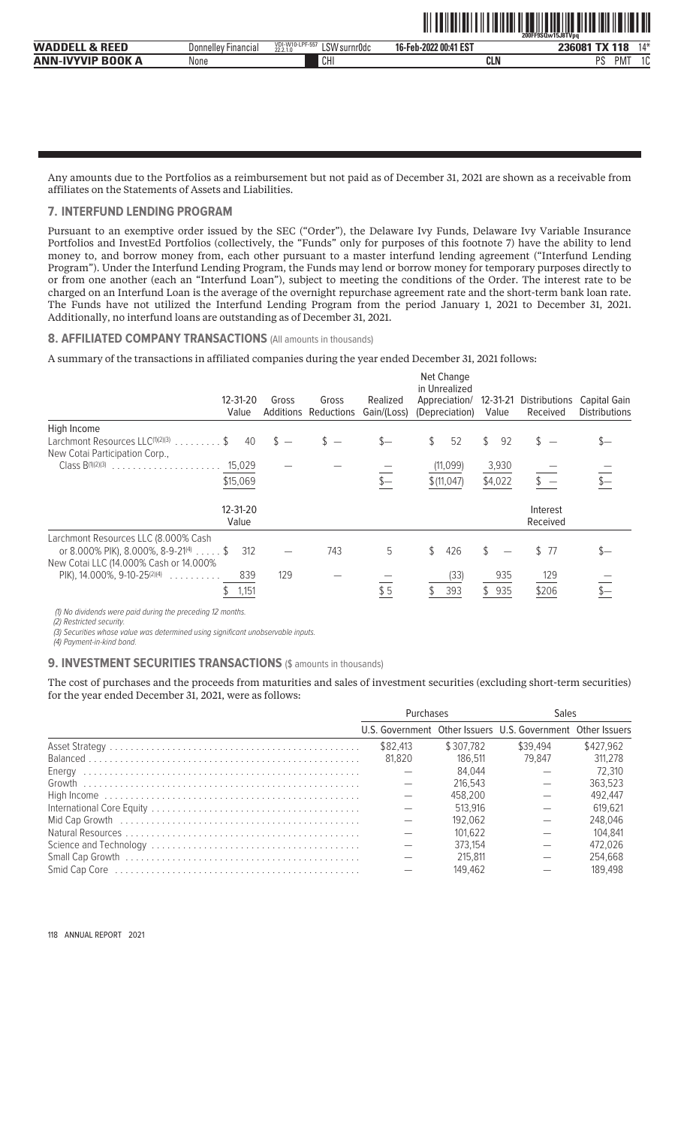|                                      |                     |                                             |                       | 200FF9SQw15J8TVpa                                            |
|--------------------------------------|---------------------|---------------------------------------------|-----------------------|--------------------------------------------------------------|
| <b>WAD</b><br><b>REED</b><br>ጹ       | Donnelley Financial | VDI-W10-LPF-557<br>LSW surnr0dc<br>22.2.1.0 | 16-Feb-2022 00:41 EST | $14*$<br><b>TV 440</b><br>236081                             |
| <b>I-IVYVIP BOOK A</b><br><b>ANN</b> | None                | CHI                                         | <b>CLN</b>            | <sub>D</sub> <sub>C</sub><br>PM <sup>-</sup><br>$\sim$<br>ΙU |
|                                      |                     |                                             |                       |                                                              |

TIT TO HOLD FOR THE INTEREST OF DESIGNATION OF THE INTERFERING

Any amounts due to the Portfolios as a reimbursement but not paid as of December 31, 2021 are shown as a receivable from affiliates on the Statements of Assets and Liabilities.

#### **7. INTERFUND LENDING PROGRAM**

Pursuant to an exemptive order issued by the SEC ("Order"), the Delaware Ivy Funds, Delaware Ivy Variable Insurance Portfolios and InvestEd Portfolios (collectively, the "Funds" only for purposes of this footnote 7) have the ability to lend money to, and borrow money from, each other pursuant to a master interfund lending agreement ("Interfund Lending Program"). Under the Interfund Lending Program, the Funds may lend or borrow money for temporary purposes directly to or from one another (each an "Interfund Loan"), subject to meeting the conditions of the Order. The interest rate to be charged on an Interfund Loan is the average of the overnight repurchase agreement rate and the short-term bank loan rate. The Funds have not utilized the Interfund Lending Program from the period January 1, 2021 to December 31, 2021. Additionally, no interfund loans are outstanding as of December 31, 2021.

#### **8. AFFILIATED COMPANY TRANSACTIONS** (All amounts in thousands)

A summary of the transactions in affiliated companies during the year ended December 31, 2021 follows:

|                                                                                                                                    | $12 - 31 - 20$<br>Value | Gross | Gross<br>Additions Reductions | Realized<br>Gain/(Loss) | Net Change<br>in Unrealized<br>Appreciation/ 12-31-21 Distributions Capital Gain<br>(Depreciation) | Value                | Received             | <b>Distributions</b> |
|------------------------------------------------------------------------------------------------------------------------------------|-------------------------|-------|-------------------------------|-------------------------|----------------------------------------------------------------------------------------------------|----------------------|----------------------|----------------------|
| High Income                                                                                                                        |                         |       |                               |                         |                                                                                                    |                      |                      |                      |
| Larchmont Resources LLC(1)(2)(3) \$                                                                                                | 40                      |       |                               |                         | 52<br>\$                                                                                           | $\mathfrak{L}$<br>92 |                      |                      |
| New Cotai Participation Corp.,                                                                                                     | \$15,069                |       |                               |                         | (11,099)<br>\$(11, 047)                                                                            | 3,930<br>\$4,022     |                      |                      |
|                                                                                                                                    | 12-31-20<br>Value       |       |                               |                         |                                                                                                    |                      | Interest<br>Received |                      |
| Larchmont Resources LLC (8.000% Cash<br>or 8.000% PIK), 8.000%, 8-9-21 <sup>(4)</sup> \$<br>New Cotai LLC (14.000% Cash or 14.000% | 312                     |       | 743                           | 5                       | \$<br>426                                                                                          | \$                   | 77<br>\$.            |                      |
| PIK), 14.000%, 9-10-25 <sup>(2)(4)</sup>                                                                                           | 839                     | 129   |                               |                         | (33)                                                                                               | 935                  | 129                  |                      |
|                                                                                                                                    | 1,151                   |       |                               | \$5                     | 393                                                                                                | \$935                | \$206                |                      |

(1) No dividends were paid during the preceding 12 months.

(2) Restricted security.

(3) Securities whose value was determined using significant unobservable inputs.

(4) Payment-in-kind bond.

#### **9. INVESTMENT SECURITIES TRANSACTIONS** (\$ amounts in thousands)

The cost of purchases and the proceeds from maturities and sales of investment securities (excluding short-term securities) for the year ended December 31, 2021, were as follows:

| Purchases |           | Sales                                                       |           |  |
|-----------|-----------|-------------------------------------------------------------|-----------|--|
|           |           | U.S. Government Other Issuers U.S. Government Other Issuers |           |  |
| \$82,413  | \$307.782 | \$39.494                                                    | \$427,962 |  |
| 81.820    | 186.511   | 79,847                                                      | 311.278   |  |
|           | 84.044    |                                                             | 72.310    |  |
|           | 216.543   |                                                             | 363,523   |  |
|           | 458.200   |                                                             | 492.447   |  |
|           | 513.916   |                                                             | 619.621   |  |
|           | 192.062   |                                                             | 248.046   |  |
|           | 101.622   |                                                             | 104.841   |  |
|           | 373.154   |                                                             | 472.026   |  |
|           | 215.811   |                                                             | 254.668   |  |
|           | 149.462   |                                                             | 189.498   |  |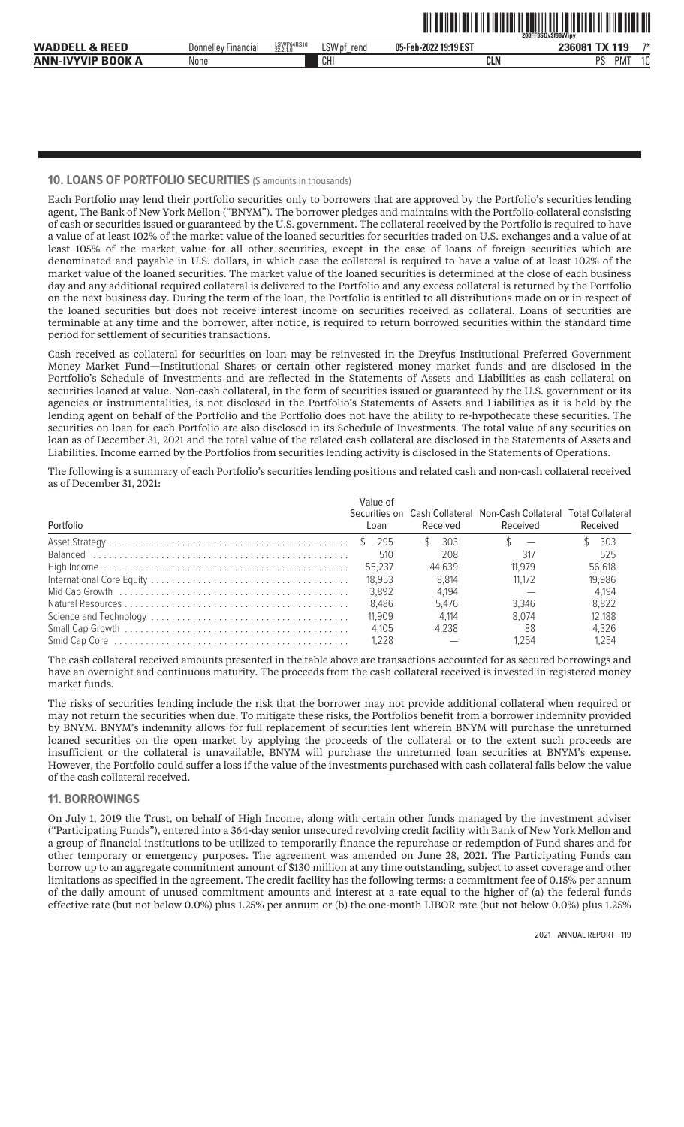|                                               |                        |                        |                          | --- ---------- - -- -- -- -- -- -- -- | 200FF9SQvSf98Wipv                            |              |
|-----------------------------------------------|------------------------|------------------------|--------------------------|---------------------------------------|----------------------------------------------|--------------|
| <b>WADDELL</b><br><b>REED</b><br>$\mathbf{z}$ | Donnelley<br>Financial | LSWP64RS10<br>22.2.1.0 | LSW <sub>p</sub><br>rend | 05-Feb-2022 19:19 EST                 | <b>TV 110</b><br>236081                      | $7*$         |
| <b>ANN-IVYVIP BOOK A</b>                      | None                   |                        | CHI                      | <b>CLN</b>                            | <sub>D</sub> <sub>C</sub><br>PM <sup>-</sup> | $\sim$<br>ιu |
|                                               |                        |                        |                          |                                       |                                              |              |

ˆ200FF9SQv\$f98WipyŠ **200FF9SQv\$f98Wipy**

#### **10. LOANS OF PORTFOLIO SECURITIES** (\$ amounts in thousands)

Each Portfolio may lend their portfolio securities only to borrowers that are approved by the Portfolio's securities lending agent, The Bank of New York Mellon ("BNYM"). The borrower pledges and maintains with the Portfolio collateral consisting of cash or securities issued or guaranteed by the U.S. government. The collateral received by the Portfolio is required to have a value of at least 102% of the market value of the loaned securities for securities traded on U.S. exchanges and a value of at least 105% of the market value for all other securities, except in the case of loans of foreign securities which are denominated and payable in U.S. dollars, in which case the collateral is required to have a value of at least 102% of the market value of the loaned securities. The market value of the loaned securities is determined at the close of each business day and any additional required collateral is delivered to the Portfolio and any excess collateral is returned by the Portfolio on the next business day. During the term of the loan, the Portfolio is entitled to all distributions made on or in respect of the loaned securities but does not receive interest income on securities received as collateral. Loans of securities are terminable at any time and the borrower, after notice, is required to return borrowed securities within the standard time period for settlement of securities transactions.

Cash received as collateral for securities on loan may be reinvested in the Dreyfus Institutional Preferred Government Money Market Fund—Institutional Shares or certain other registered money market funds and are disclosed in the Portfolio's Schedule of Investments and are reflected in the Statements of Assets and Liabilities as cash collateral on securities loaned at value. Non-cash collateral, in the form of securities issued or guaranteed by the U.S. government or its agencies or instrumentalities, is not disclosed in the Portfolio's Statements of Assets and Liabilities as it is held by the lending agent on behalf of the Portfolio and the Portfolio does not have the ability to re-hypothecate these securities. The securities on loan for each Portfolio are also disclosed in its Schedule of Investments. The total value of any securities on loan as of December 31, 2021 and the total value of the related cash collateral are disclosed in the Statements of Assets and Liabilities. Income earned by the Portfolios from securities lending activity is disclosed in the Statements of Operations.

The following is a summary of each Portfolio's securities lending positions and related cash and non-cash collateral received as of December 31, 2021:

|           | Value of |          |                                                                                |          |  |
|-----------|----------|----------|--------------------------------------------------------------------------------|----------|--|
| Portfolio | Loan     | Received | Securities on Cash Collateral Non-Cash Collateral Total Collateral<br>Received | Received |  |
|           | 295      | 303      |                                                                                | 303      |  |
|           | 510      | 208      | 317                                                                            | 525      |  |
|           | 55.237   | 44.639   | 11.979                                                                         | 56,618   |  |
|           | 18.953   | 8.814    | 11.172                                                                         | 19.986   |  |
|           | 3.892    | 4.194    |                                                                                | 4.194    |  |
|           | 8.486    | 5.476    | 3.346                                                                          | 8.822    |  |
|           | 11.909   | 4.114    | 8.074                                                                          | 12.188   |  |
|           | 4.105    | 4.238    | 88                                                                             | 4.326    |  |
|           | 1.228    |          | 1 254                                                                          | 1 254    |  |

The cash collateral received amounts presented in the table above are transactions accounted for as secured borrowings and have an overnight and continuous maturity. The proceeds from the cash collateral received is invested in registered money market funds.

The risks of securities lending include the risk that the borrower may not provide additional collateral when required or may not return the securities when due. To mitigate these risks, the Portfolios benefit from a borrower indemnity provided by BNYM. BNYM's indemnity allows for full replacement of securities lent wherein BNYM will purchase the unreturned loaned securities on the open market by applying the proceeds of the collateral or to the extent such proceeds are insufficient or the collateral is unavailable, BNYM will purchase the unreturned loan securities at BNYM's expense. However, the Portfolio could suffer a loss if the value of the investments purchased with cash collateral falls below the value of the cash collateral received.

#### **11. BORROWINGS**

On July 1, 2019 the Trust, on behalf of High Income, along with certain other funds managed by the investment adviser ("Participating Funds"), entered into a 364-day senior unsecured revolving credit facility with Bank of New York Mellon and a group of financial institutions to be utilized to temporarily finance the repurchase or redemption of Fund shares and for other temporary or emergency purposes. The agreement was amended on June 28, 2021. The Participating Funds can borrow up to an aggregate commitment amount of \$130 million at any time outstanding, subject to asset coverage and other limitations as specified in the agreement. The credit facility has the following terms: a commitment fee of 0.15% per annum of the daily amount of unused commitment amounts and interest at a rate equal to the higher of (a) the federal funds effective rate (but not below 0.0%) plus 1.25% per annum or (b) the one-month LIBOR rate (but not below 0.0%) plus 1.25%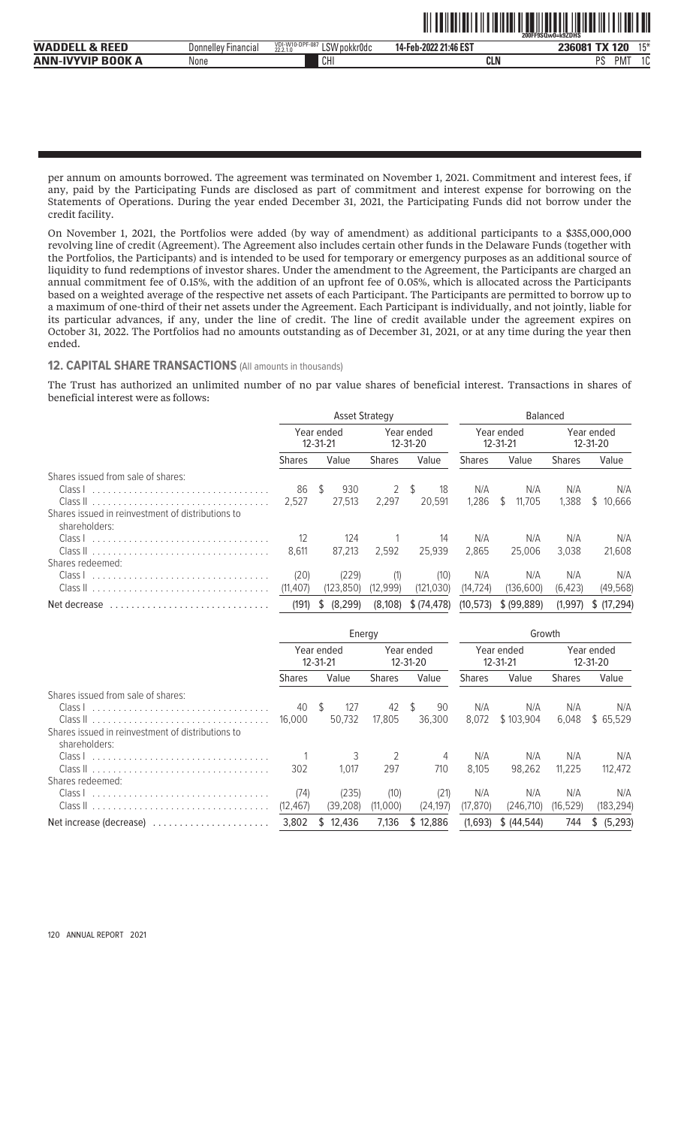| <b>WADDELL &amp; REED</b> | -ınancıal<br><b>Donnelley</b> | VDI-W10-DPF-087<br>LSW pokkr0dc<br>22.2.1.0 | 14-Feb-2022 21:46 EST | $15*$<br>120<br>236081                                 |
|---------------------------|-------------------------------|---------------------------------------------|-----------------------|--------------------------------------------------------|
| <b>ANN-IVYVIP BOOK A</b>  | None                          | CHI                                         | <b>CLN</b>            | <sub>D</sub> <sub>C</sub><br>PM <sup>-</sup><br>$\sim$ |
|                           |                               |                                             |                       |                                                        |

ˆ200FF9SQw0=k9ZDHSŠ **200FF9SQw0=k9ZDHS**

per annum on amounts borrowed. The agreement was terminated on November 1, 2021. Commitment and interest fees, if any, paid by the Participating Funds are disclosed as part of commitment and interest expense for borrowing on the Statements of Operations. During the year ended December 31, 2021, the Participating Funds did not borrow under the credit facility.

On November 1, 2021, the Portfolios were added (by way of amendment) as additional participants to a \$355,000,000 revolving line of credit (Agreement). The Agreement also includes certain other funds in the Delaware Funds (together with the Portfolios, the Participants) and is intended to be used for temporary or emergency purposes as an additional source of liquidity to fund redemptions of investor shares. Under the amendment to the Agreement, the Participants are charged an annual commitment fee of 0.15%, with the addition of an upfront fee of 0.05%, which is allocated across the Participants based on a weighted average of the respective net assets of each Participant. The Participants are permitted to borrow up to a maximum of one-third of their net assets under the Agreement. Each Participant is individually, and not jointly, liable for its particular advances, if any, under the line of credit. The line of credit available under the agreement expires on October 31, 2022. The Portfolios had no amounts outstanding as of December 31, 2021, or at any time during the year then ended.

#### **12. CAPITAL SHARE TRANSACTIONS** (All amounts in thousands)

The Trust has authorized an unlimited number of no par value shares of beneficial interest. Transactions in shares of beneficial interest were as follows:

|                                                                    | <b>Asset Strategy</b> |                              |               | <b>Balanced</b>              |               |                              |               |                              |
|--------------------------------------------------------------------|-----------------------|------------------------------|---------------|------------------------------|---------------|------------------------------|---------------|------------------------------|
|                                                                    |                       | Year ended<br>$12 - 31 - 21$ |               | Year ended<br>$12 - 31 - 20$ |               | Year ended<br>$12 - 31 - 21$ |               | Year ended<br>$12 - 31 - 20$ |
|                                                                    | <b>Shares</b>         | Value                        | <b>Shares</b> | Value                        | <b>Shares</b> | Value                        | <b>Shares</b> | Value                        |
| Shares issued from sale of shares:                                 |                       |                              |               |                              |               |                              |               |                              |
| Class L                                                            | 86                    | 930                          |               | 18<br><sup>S</sup>           | N/A           | N/A                          | N/A           | N/A                          |
|                                                                    | 2.527                 | 27,513                       | 2.297         | 20,591                       | 1.286         | 11.705<br>ፍ                  | 1,388         | \$10,666                     |
| Shares issued in reinvestment of distributions to<br>shareholders: |                       |                              |               |                              |               |                              |               |                              |
|                                                                    | 12                    | 124                          |               | 14                           | N/A           | N/A                          | N/A           | N/A                          |
|                                                                    | 8.611                 | 87.213                       | 2.592         | 25.939                       | 2.865         | 25.006                       | 3.038         | 21.608                       |
| Shares redeemed:                                                   |                       |                              |               |                              |               |                              |               |                              |
| Class L                                                            | (20)                  | (229)                        | (1)           | (10)                         | N/A           | N/A                          | N/A           | N/A                          |
|                                                                    | (11, 407)             | (123.850)                    | (12.999)      | (121, 030)                   | (14, 724)     | (136, 600)                   | (6, 423)      | (49, 568)                    |
| Net decrease                                                       | (191)                 | (8.299)                      | (8,108)       | \$ (74, 478)                 | (10, 573)     | \$ (99,889)                  | (1,997)       | \$(17.294)                   |

|                                                                    | Energy        |                |          |               |                | Growth    |               |                              |               |                        |
|--------------------------------------------------------------------|---------------|----------------|----------|---------------|----------------|-----------|---------------|------------------------------|---------------|------------------------|
|                                                                    | Year ended    | $12 - 31 - 21$ |          | Year ended    | $12 - 31 - 20$ |           |               | Year ended<br>$12 - 31 - 21$ |               | Year ended<br>12-31-20 |
|                                                                    | <b>Shares</b> |                | Value    | <b>Shares</b> |                | Value     | <b>Shares</b> | Value                        | <b>Shares</b> | Value                  |
| Shares issued from sale of shares:                                 |               |                |          |               |                |           |               |                              |               |                        |
| Class L                                                            | 40            |                | 127      | 42            |                | 90        | N/A           | N/A                          | N/A           | N/A                    |
|                                                                    | 16.000        |                | 50.732   | 17.805        |                | 36,300    | 8.072         | \$103.904                    | 6.048         | \$65,529               |
| Shares issued in reinvestment of distributions to<br>shareholders: |               |                |          |               |                |           |               |                              |               |                        |
|                                                                    |               |                |          |               |                |           | N/A           | N/A                          | N/A           | N/A                    |
|                                                                    | 302           |                | 1.017    | 297           |                | 710       | 8.105         | 98.262                       | 11.225        | 112.472                |
| Shares redeemed:                                                   |               |                |          |               |                |           |               |                              |               |                        |
| Class I                                                            | (74)          |                | (235)    | (10)          |                | (21)      | N/A           | N/A                          | N/A           | N/A                    |
|                                                                    | (12, 467)     |                | (39,208) | (11,000)      |                | (24, 197) | (17, 870)     | (246, 710)                   | (16, 529)     | (183, 294)             |
| Net increase (decrease)                                            | 3.802         | S.             | 12.436   | 7.136         |                | \$12.886  | (1,693)       | \$ (44.544)                  | 744           | \$ (5,293)             |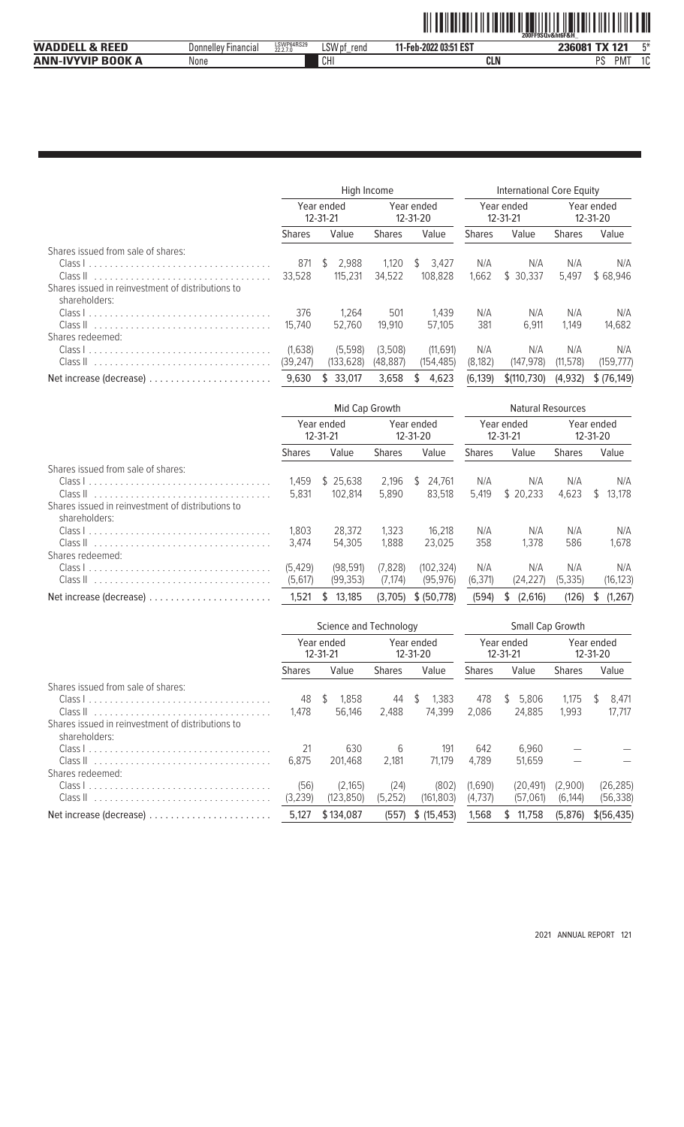|                           |                     |                        |                |                       | 200FF9SQv&ht6F&H             |
|---------------------------|---------------------|------------------------|----------------|-----------------------|------------------------------|
| <b>WADDELL &amp; REED</b> | Donnelley Financial | LSWP64RS29<br>22.2.7.0 | LSW pf<br>rend | 11-Feb-2022 03:51 EST | I TX 121<br>$F^*$<br>236081  |
| <b>ANN-IVYVIP BOOK A</b>  | None                |                        | CН             | <b>CLN</b>            | <b>PMT</b><br>PS<br>10<br>16 |

|                                                                    | High Income   |                              |               |                              | <b>International Core Equity</b> |             |               |                              |  |
|--------------------------------------------------------------------|---------------|------------------------------|---------------|------------------------------|----------------------------------|-------------|---------------|------------------------------|--|
|                                                                    |               | Year ended<br>$12 - 31 - 21$ |               | Year ended<br>$12 - 31 - 20$ | Year ended<br>$12 - 31 - 21$     |             |               | Year ended<br>$12 - 31 - 20$ |  |
|                                                                    | <b>Shares</b> | Value                        | <b>Shares</b> | Value                        | <b>Shares</b>                    | Value       | <b>Shares</b> | Value                        |  |
| Shares issued from sale of shares:                                 |               |                              |               |                              |                                  |             |               |                              |  |
|                                                                    | 871           | \$.<br>2.988                 | 1.120         | S.<br>3.427                  | N/A                              | N/A         | N/A           | N/A                          |  |
|                                                                    | 33.528        | 115.231                      | 34.522        | 108.828                      | 1.662                            | \$30.337    | 5.497         | \$68.946                     |  |
| Shares issued in reinvestment of distributions to<br>shareholders: |               |                              |               |                              |                                  |             |               |                              |  |
|                                                                    | 376           | 1.264                        | 501           | 1.439                        | N/A                              | N/A         | N/A           | N/A                          |  |
|                                                                    | 15.740        | 52.760                       | 19.910        | 57.105                       | 381                              | 6.911       | 1.149         | 14.682                       |  |
| Shares redeemed:                                                   |               |                              |               |                              |                                  |             |               |                              |  |
|                                                                    | (1,638)       | (5,598)                      | (3,508)       | (11,691)                     | N/A                              | N/A         | N/A           | N/A                          |  |
|                                                                    | (39, 247)     | (133,628)                    | (48.887)      | (154,485)                    | (8, 182)                         | (147, 978)  | (11, 578)     | (159, 777)                   |  |
| Net increase (decrease)                                            | 9.630         | 33,017<br>S.                 | 3.658         | 4.623                        | (6, 139)                         | \$(110.730) | (4,932)       | \$ (76, 149)                 |  |

|                                                                    | Mid Cap Growth               |               |               |                              | <b>Natural Resources</b> |                              |                              |              |  |
|--------------------------------------------------------------------|------------------------------|---------------|---------------|------------------------------|--------------------------|------------------------------|------------------------------|--------------|--|
|                                                                    | Year ended<br>$12 - 31 - 21$ |               |               | Year ended<br>$12 - 31 - 20$ |                          | Year ended<br>$12 - 31 - 21$ | Year ended<br>$12 - 31 - 20$ |              |  |
|                                                                    | <b>Shares</b>                | Value         | <b>Shares</b> | Value                        | <b>Shares</b>            | Value                        | <b>Shares</b>                | Value        |  |
| Shares issued from sale of shares:                                 |                              |               |               |                              |                          |                              |                              |              |  |
|                                                                    | 1.459                        | \$25.638      | 2.196         | 24.761<br><sup>\$</sup>      | N/A                      | N/A                          | N/A                          | N/A          |  |
|                                                                    | 5.831                        | 102.814       | 5.890         | 83.518                       | 5.419                    | \$20.233                     | 4.623                        | 13.178<br>S. |  |
| Shares issued in reinvestment of distributions to<br>shareholders: |                              |               |               |                              |                          |                              |                              |              |  |
|                                                                    | 1.803                        | 28.372        | 1.323         | 16.218                       | N/A                      | N/A                          | N/A                          | N/A          |  |
|                                                                    | 3.474                        | 54.305        | 1.888         | 23.025                       | 358                      | 1.378                        | 586                          | 1.678        |  |
| Shares redeemed:                                                   |                              |               |               |                              |                          |                              |                              |              |  |
|                                                                    | (5, 429)                     | (98, 591)     | (7, 828)      | (102, 324)                   | N/A                      | N/A                          | N/A                          | N/A          |  |
|                                                                    | (5,617)                      | (99, 353)     | (7, 174)      | (95, 976)                    | (6, 371)                 | (24, 227)                    | (5, 335)                     | (16, 123)    |  |
| Net increase (decrease)                                            | 1,521                        | 13.185<br>\$. | (3,705)       | \$ (50,778)                  | (594)                    | (2,616)                      | (126)                        | (1, 267)     |  |

|                                                                    | Science and Technology |                              |                  |                              | Small Cap Growth |                              |               |                              |
|--------------------------------------------------------------------|------------------------|------------------------------|------------------|------------------------------|------------------|------------------------------|---------------|------------------------------|
|                                                                    |                        | Year ended<br>$12 - 31 - 21$ |                  | Year ended<br>$12 - 31 - 20$ |                  | Year ended<br>$12 - 31 - 21$ |               | Year ended<br>$12 - 31 - 20$ |
|                                                                    | <b>Shares</b>          | Value                        | <b>Shares</b>    | Value                        | <b>Shares</b>    | Value                        | <b>Shares</b> | Value                        |
| Shares issued from sale of shares:                                 |                        |                              |                  |                              |                  |                              |               |                              |
|                                                                    | 48                     | 1.858<br>\$.                 | 44               | 1.383                        | 478              | 5.806<br><sup>\$</sup>       | 1.175         | 8,471                        |
|                                                                    | 1.478                  | 56.146                       | 2.488            | 74.399                       | 2.086            | 24.885                       | 1.993         | 17.717                       |
| Shares issued in reinvestment of distributions to<br>shareholders: |                        |                              |                  |                              |                  |                              |               |                              |
|                                                                    | -21                    | 630                          | $6 \overline{6}$ | 191                          | 642              | 6.960                        |               |                              |
|                                                                    | 6.875                  | 201.468                      | 2.181            | 71.179                       | 4.789            | 51.659                       |               |                              |
| Shares redeemed:                                                   |                        |                              |                  |                              |                  |                              |               |                              |
|                                                                    | (56)                   | (2,165)                      | (24)             | (802)                        | (1.690)          | (20, 491)                    | (2,900)       | (26, 285)                    |
|                                                                    | (3,239)                | (123, 850)                   | (5,252)          | (161, 803)                   | (4,737)          | (57,061)                     | (6, 144)      | (56, 338)                    |
| Net increase (decrease)                                            | 5,127                  | \$134,087                    | (557)            | $$$ (15,453)                 | 1,568            | 11,758                       | (5,876)       | \$ (56, 435)                 |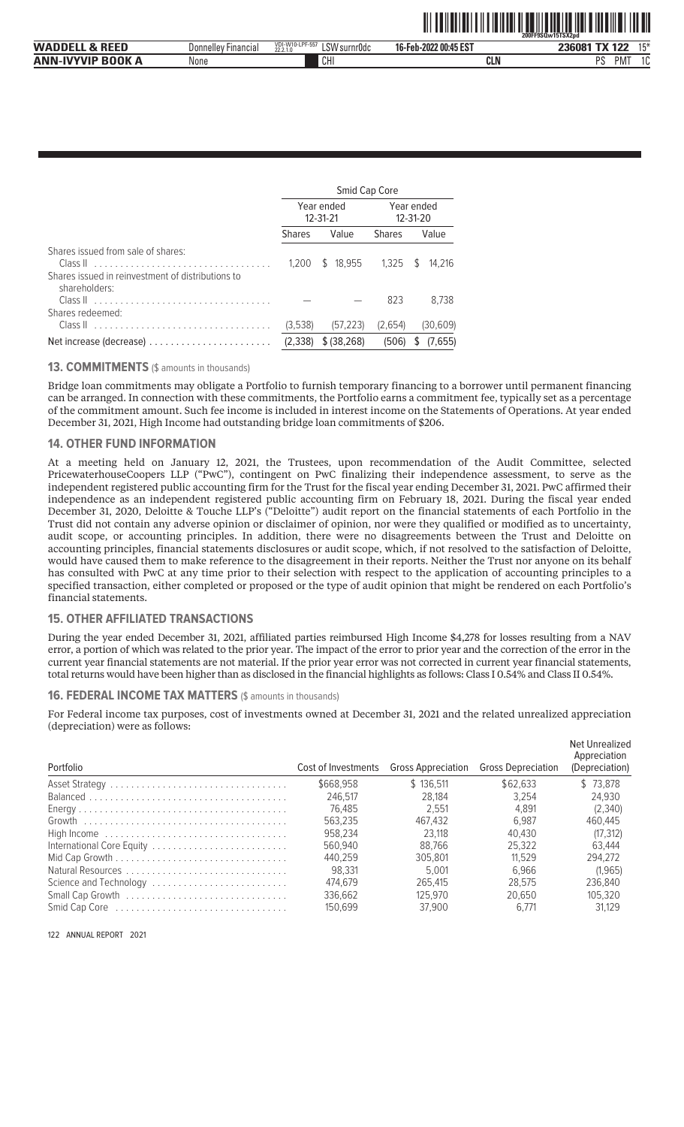|                                                     |                     |                                            |                       | 200FF9SQw15TSX2pd                                            |
|-----------------------------------------------------|---------------------|--------------------------------------------|-----------------------|--------------------------------------------------------------|
| <b>REED</b><br><b>WAI</b><br>$\bullet$<br>л.<br>cll | Donnelley Financial | vDI-W10-LPF-5FT<br>SW surnr0dc<br>22.2.1.0 | 16-Feb-2022 00:45 EST | $15*$<br>. A <sub>0</sub><br>$-11$<br>23CO01<br>וכב<br>. J   |
| <b>LIVYVIP BOOK A</b><br><b>ANN</b>                 | None                | CHI                                        | <b>CLN</b>            | <sub>D</sub> <sub>C</sub><br>PM <sup>-</sup><br>$\sim$<br>ιu |

ˆ200FF9SQw15TSX2pdŠ

|                                                                                         | Smid Cap Core |                              |                              |               |  |  |  |
|-----------------------------------------------------------------------------------------|---------------|------------------------------|------------------------------|---------------|--|--|--|
|                                                                                         |               | Year ended<br>$12 - 31 - 21$ | Year ended<br>$12 - 31 - 20$ |               |  |  |  |
|                                                                                         | <b>Shares</b> | Value                        | <b>Shares</b>                | Value         |  |  |  |
| Shares issued from sale of shares:<br>Shares issued in reinvestment of distributions to | 1.200         | $$18.955$ 1.325 \$           |                              | 14.216        |  |  |  |
| shareholders:                                                                           |               |                              | 823                          | 8.738         |  |  |  |
| Shares redeemed:                                                                        | (3,538)       | (57, 223)                    | (2,654)                      | (30,609)      |  |  |  |
| Net increase (decrease)                                                                 | (2, 338)      | \$ (38,268)                  | (506)                        | \$<br>(7,655) |  |  |  |

#### **13. COMMITMENTS** (\$ amounts in thousands)

Bridge loan commitments may obligate a Portfolio to furnish temporary financing to a borrower until permanent financing can be arranged. In connection with these commitments, the Portfolio earns a commitment fee, typically set as a percentage of the commitment amount. Such fee income is included in interest income on the Statements of Operations. At year ended December 31, 2021, High Income had outstanding bridge loan commitments of \$206.

#### **14. OTHER FUND INFORMATION**

At a meeting held on January 12, 2021, the Trustees, upon recommendation of the Audit Committee, selected PricewaterhouseCoopers LLP ("PwC"), contingent on PwC finalizing their independence assessment, to serve as the independent registered public accounting firm for the Trust for the fiscal year ending December 31, 2021. PwC affirmed their independence as an independent registered public accounting firm on February 18, 2021. During the fiscal year ended December 31, 2020, Deloitte & Touche LLP's ("Deloitte") audit report on the financial statements of each Portfolio in the Trust did not contain any adverse opinion or disclaimer of opinion, nor were they qualified or modified as to uncertainty, audit scope, or accounting principles. In addition, there were no disagreements between the Trust and Deloitte on accounting principles, financial statements disclosures or audit scope, which, if not resolved to the satisfaction of Deloitte, would have caused them to make reference to the disagreement in their reports. Neither the Trust nor anyone on its behalf has consulted with PwC at any time prior to their selection with respect to the application of accounting principles to a specified transaction, either completed or proposed or the type of audit opinion that might be rendered on each Portfolio's financial statements.

#### **15. OTHER AFFILIATED TRANSACTIONS**

During the year ended December 31, 2021, affiliated parties reimbursed High Income \$4,278 for losses resulting from a NAV error, a portion of which was related to the prior year. The impact of the error to prior year and the correction of the error in the current year financial statements are not material. If the prior year error was not corrected in current year financial statements, total returns would have been higher than as disclosed in the financial highlights as follows: Class I 0.54% and Class II 0.54%.

#### **16. FEDERAL INCOME TAX MATTERS** (\$ amounts in thousands)

For Federal income tax purposes, cost of investments owned at December 31, 2021 and the related unrealized appreciation (depreciation) were as follows:

| Portfolio              | Cost of Investments | <b>Gross Appreciation</b> | <b>Gross Depreciation</b> | Net Unrealized<br>Appreciation<br>(Depreciation) |
|------------------------|---------------------|---------------------------|---------------------------|--------------------------------------------------|
|                        | \$668.958           | \$136.511                 | \$62,633                  | \$73.878                                         |
|                        | 246.517             | 28.184                    | 3.254                     | 24.930                                           |
|                        | 76.485              | 2.551                     | 4.891                     | (2,340)                                          |
|                        | 563.235             | 467.432                   | 6.987                     | 460.445                                          |
|                        | 958.234             | 23.118                    | 40.430                    | (17, 312)                                        |
|                        | 560.940             | 88.766                    | 25.322                    | 63.444                                           |
|                        | 440.259             | 305.801                   | 11.529                    | 294.272                                          |
|                        | 98.331              | 5.001                     | 6.966                     | (1, 965)                                         |
| Science and Technology | 474.679             | 265.415                   | 28.575                    | 236,840                                          |
|                        | 336.662             | 125.970                   | 20.650                    | 105.320                                          |
|                        | 150.699             | 37.900                    | 6.771                     | 31.129                                           |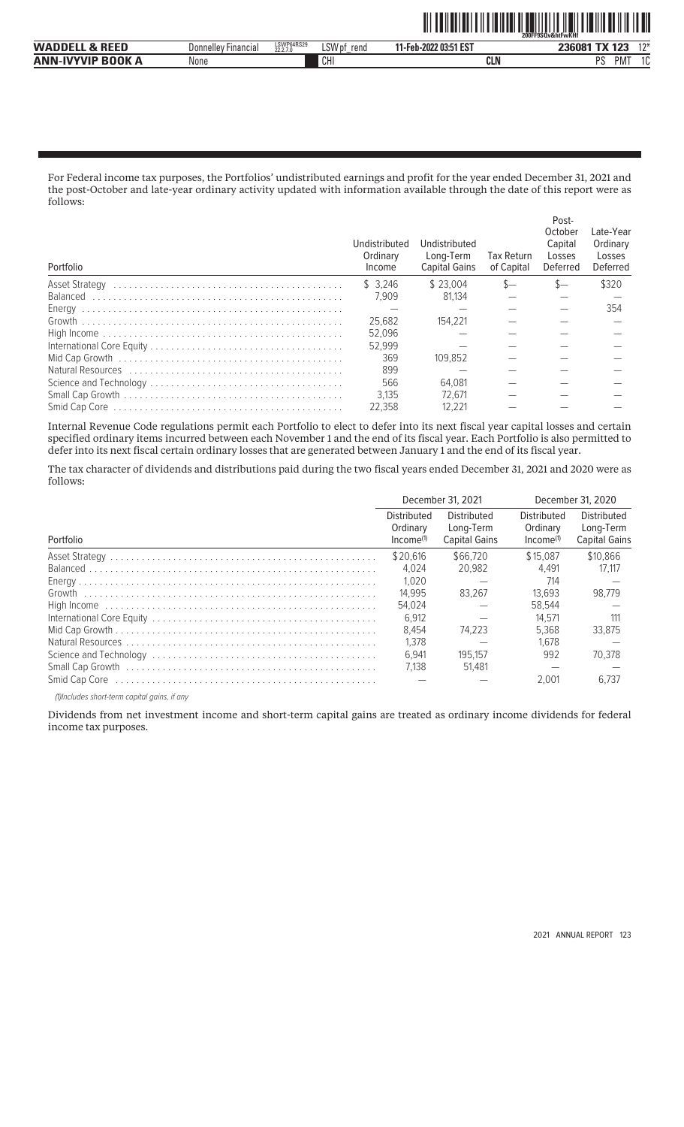|                                                 |                                      |                        |                                        |                       | 200FF9SQv&htFwKHf                            |                                 |
|-------------------------------------------------|--------------------------------------|------------------------|----------------------------------------|-----------------------|----------------------------------------------|---------------------------------|
| <b>REED</b><br><b>WAF</b><br>ึ                  | <b>Financial</b><br><b>Donnelley</b> | LSWP64RS29<br>22.2.7.0 | $.$ $011$<br>rend<br>√ n†<br>LO I<br>- | 11-Feb-2022 03:51 EST | 127<br>T1/400<br>nnrnng<br>∠טט∠<br>∼         |                                 |
| <b>BOOK</b><br><b>IVVVID</b><br><b>ANN</b><br>v | None                                 |                        | 0111<br>ъm                             | <b>CLN</b>            | <sub>D</sub> <sub>C</sub><br><b>PMT</b><br>u | $\overline{\phantom{0}}$<br>I L |

ˆ200FF9SQv&htFwKHfŠ **200FF9SQv&htFwKHf**

For Federal income tax purposes, the Portfolios' undistributed earnings and profit for the year ended December 31, 2021 and the post-October and late-year ordinary activity updated with information available through the date of this report were as follows:

| Portfolio | Undistributed<br>Ordinary<br>Income | Undistributed<br>Long-Term<br><b>Capital Gains</b> | <b>Tax Return</b><br>of Capital | Post-<br>October<br>Capital<br>Losses<br>Deferred | Late-Year<br>Ordinary<br>Losses<br>Deferred |
|-----------|-------------------------------------|----------------------------------------------------|---------------------------------|---------------------------------------------------|---------------------------------------------|
|           | \$3,246                             | \$23.004                                           |                                 |                                                   | \$320                                       |
|           | 7.909                               | 81.134                                             |                                 |                                                   |                                             |
|           |                                     |                                                    |                                 |                                                   | 354                                         |
|           | 25.682                              | 154.221                                            |                                 |                                                   |                                             |
|           | 52.096                              |                                                    |                                 |                                                   |                                             |
|           | 52.999                              |                                                    |                                 |                                                   |                                             |
|           | 369                                 | 109.852                                            |                                 |                                                   |                                             |
|           | 899                                 |                                                    |                                 |                                                   |                                             |
|           | 566                                 | 64.081                                             |                                 |                                                   |                                             |
|           | 3.135                               | 72.671                                             |                                 |                                                   |                                             |
|           | 22.358                              | 12.221                                             |                                 |                                                   |                                             |

Internal Revenue Code regulations permit each Portfolio to elect to defer into its next fiscal year capital losses and certain specified ordinary items incurred between each November 1 and the end of its fiscal year. Each Portfolio is also permitted to defer into its next fiscal certain ordinary losses that are generated between January 1 and the end of its fiscal year.

The tax character of dividends and distributions paid during the two fiscal years ended December 31, 2021 and 2020 were as follows:

|               |                                                  | December 31, 2021                                | December 31, 2020                                |                                                  |  |
|---------------|--------------------------------------------------|--------------------------------------------------|--------------------------------------------------|--------------------------------------------------|--|
| Portfolio     | Distributed<br>Ordinary<br>Income <sup>(1)</sup> | Distributed<br>Long-Term<br><b>Capital Gains</b> | Distributed<br>Ordinary<br>Income <sup>(1)</sup> | Distributed<br>Long-Term<br><b>Capital Gains</b> |  |
|               | \$20,616                                         | \$66,720                                         | \$15,087                                         | \$10,866                                         |  |
|               | 4.024                                            | 20.982                                           | 4.491                                            | 17.117                                           |  |
|               | 1.020                                            |                                                  | 714                                              |                                                  |  |
|               | 14.995                                           | 83.267                                           | 13.693                                           | 98.779                                           |  |
|               | 54.024                                           |                                                  | 58.544                                           |                                                  |  |
|               | 6.912                                            |                                                  | 14.571                                           | 111                                              |  |
|               | 8.454                                            | 74.223                                           | 5.368                                            | 33.875                                           |  |
|               | 1.378                                            |                                                  | 1.678                                            |                                                  |  |
|               | 6.941                                            | 195.157                                          | 992                                              | 70.378                                           |  |
|               | 7.138                                            | 51.481                                           |                                                  |                                                  |  |
| Smid Cap Core |                                                  |                                                  | 2.001                                            | 6.737                                            |  |

(1)Includes short-term capital gains, if any

Dividends from net investment income and short-term capital gains are treated as ordinary income dividends for federal income tax purposes.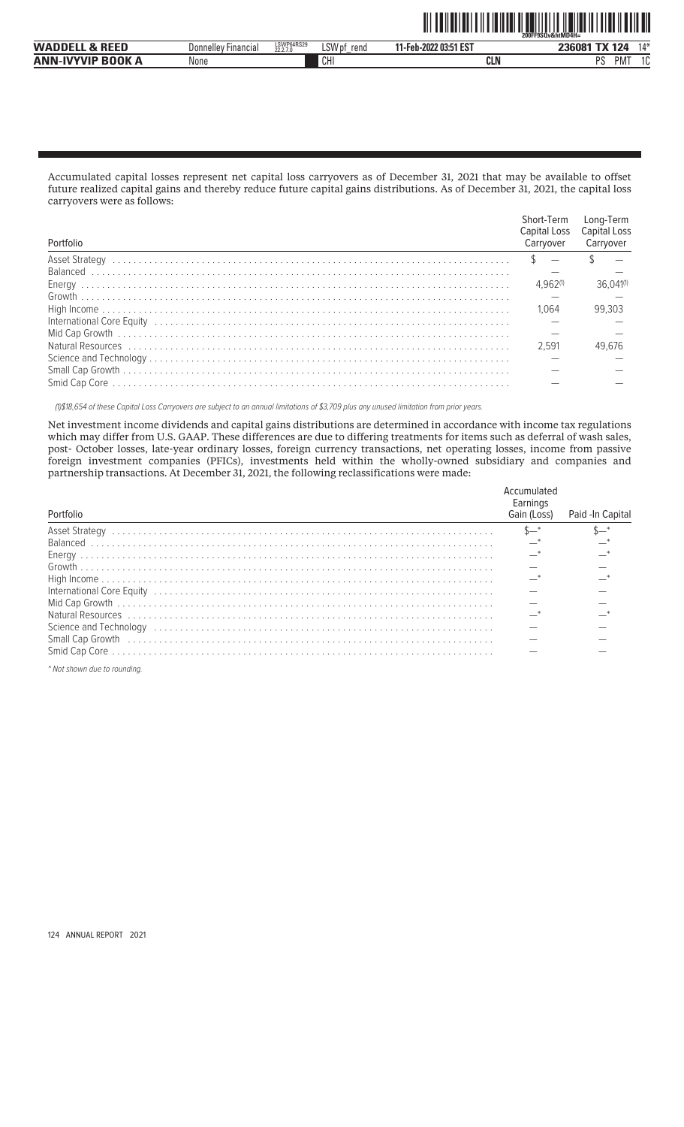|                                     |                          |                       |                          |                                             | 200FF9SQv&htMD4H=                         |
|-------------------------------------|--------------------------|-----------------------|--------------------------|---------------------------------------------|-------------------------------------------|
| DEED<br><b>WAF</b><br>o             | Financial<br>Donnelley F | LSWP64RS29<br>22.2.7. | LSW<br>rena<br>, dt<br>- | 203:51 EST<br>$-2022$<br>∴l-oh<br>.<br>.cu- | 12 <sub>4</sub><br>$1.1*$<br>-36<br>02001 |
| <b>DOOK</b><br><b>ANN</b><br>w<br>w | None                     |                       | 011<br>uпı               | <b>CLN</b>                                  | nc<br>$\sim$<br>5.57<br>'N<br>. .         |

ˆ200FF9SQv&htMD4H=Š **200FF9SQv&htMD4H=**

Accumulated capital losses represent net capital loss carryovers as of December 31, 2021 that may be available to offset future realized capital gains and thereby reduce future capital gains distributions. As of December 31, 2021, the capital loss carryovers were as follows:

| Portfolio                                                                                                                                                                                                                      | Short-Term<br>Carryover | Long-Term<br>Capital Loss Capital Loss<br>Carryover |
|--------------------------------------------------------------------------------------------------------------------------------------------------------------------------------------------------------------------------------|-------------------------|-----------------------------------------------------|
|                                                                                                                                                                                                                                |                         |                                                     |
|                                                                                                                                                                                                                                |                         |                                                     |
|                                                                                                                                                                                                                                | 4.962(1)                | 36.041(1)                                           |
|                                                                                                                                                                                                                                |                         |                                                     |
|                                                                                                                                                                                                                                | 1.064                   | 99.303                                              |
| International Core Equity (and according to the control of the control of the control of the control of the control of the control of the control of the control of the control of the control of the control of the control o |                         |                                                     |
|                                                                                                                                                                                                                                |                         |                                                     |
|                                                                                                                                                                                                                                | 2.591                   | 49.676                                              |
|                                                                                                                                                                                                                                |                         |                                                     |
|                                                                                                                                                                                                                                |                         |                                                     |
|                                                                                                                                                                                                                                |                         |                                                     |

(1)\$18,654 of these Capital Loss Carryovers are subject to an annual limitations of \$3,709 plus any unused limitation from prior years.

Net investment income dividends and capital gains distributions are determined in accordance with income tax regulations which may differ from U.S. GAAP. These differences are due to differing treatments for items such as deferral of wash sales, post- October losses, late-year ordinary losses, foreign currency transactions, net operating losses, income from passive foreign investment companies (PFICs), investments held within the wholly-owned subsidiary and companies and partnership transactions. At December 31, 2021, the following reclassifications were made:

| Portfolio                                                                                                                                                                                                                      | Accumulated<br>Earnings<br>Gain (Loss) | Paid - In Capital |
|--------------------------------------------------------------------------------------------------------------------------------------------------------------------------------------------------------------------------------|----------------------------------------|-------------------|
|                                                                                                                                                                                                                                |                                        |                   |
|                                                                                                                                                                                                                                |                                        |                   |
|                                                                                                                                                                                                                                |                                        |                   |
|                                                                                                                                                                                                                                |                                        |                   |
|                                                                                                                                                                                                                                |                                        |                   |
| International Core Equity (and according to the control of the control of the control of the control of the control of the control of the control of the control of the control of the control of the control of the control o |                                        |                   |
|                                                                                                                                                                                                                                |                                        |                   |
|                                                                                                                                                                                                                                |                                        |                   |
| Science and Technology (and accommodation of the control of the state of the state of the state of the state of the state of the state of the state of the state of the state of the state of the state of the state of the st |                                        |                   |
| Small Cap Growth (all contains and contained all contains and contains all cap Growth (all contains all contains and contains all contains and contains a set of the state of the state of the state of the state of the state |                                        |                   |
|                                                                                                                                                                                                                                |                                        |                   |
|                                                                                                                                                                                                                                |                                        |                   |

\* Not shown due to rounding.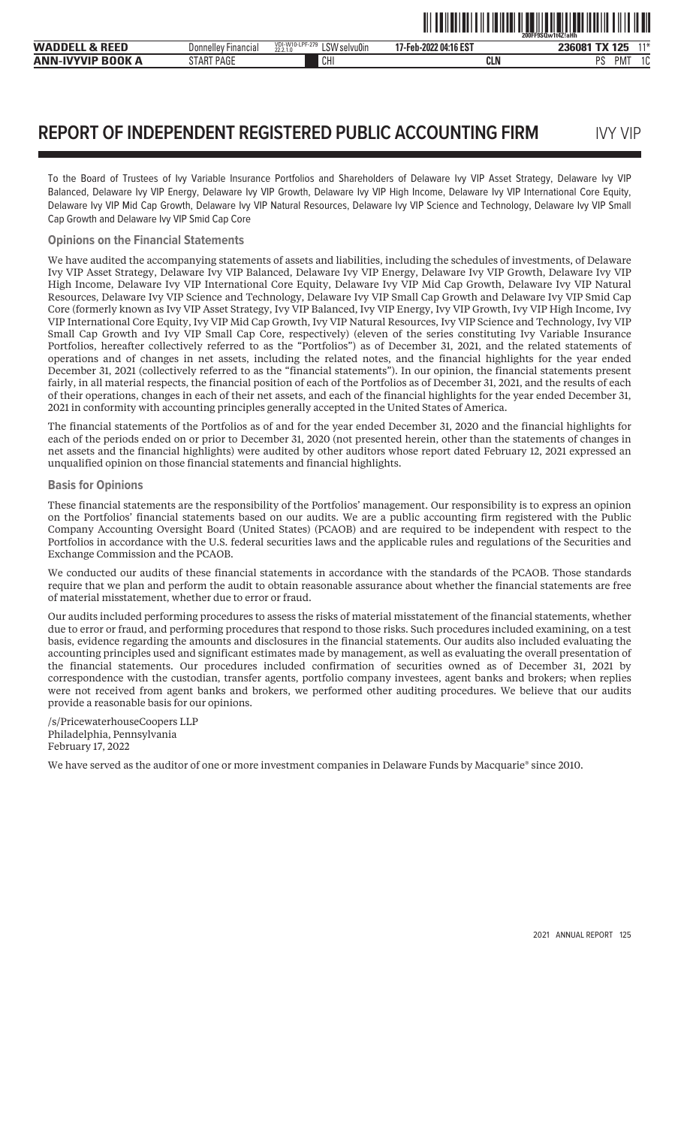|                                              |                     |                                                          |                      | 200FF9SOw1t42!aHh                                            |
|----------------------------------------------|---------------------|----------------------------------------------------------|----------------------|--------------------------------------------------------------|
| <b>WAI</b><br><b>REED</b><br>$\bullet$<br>ж. | Donnelley Financial | VDI-W10-LPF-279<br>' SW selvu0in<br>∵ PF-2/9<br>22.2.1.0 | 7-Feb-2022 04:16 EST | $11*$<br>12F<br>236081                                       |
| <b>I-IVYVIP ROOK A</b><br><b>ANN</b>         | START PAGE          | CHI                                                      | <b>CLN</b>           | <sub>D</sub> <sub>C</sub><br>$\sim$<br>PM <sup>-</sup><br>ιu |

### **REPORT OF INDEPENDENT REGISTERED PUBLIC ACCOUNTING FIRM THE THAT WAY VIP**

ˆ200FF9SQw1t4Z!aHhŠ **200FF9SQw1t4Z!aHh**

To the Board of Trustees of Ivy Variable Insurance Portfolios and Shareholders of Delaware Ivy VIP Asset Strategy, Delaware Ivy VIP Balanced, Delaware Ivy VIP Energy, Delaware Ivy VIP Growth, Delaware Ivy VIP High Income, Delaware Ivy VIP International Core Equity, Delaware Ivy VIP Mid Cap Growth, Delaware Ivy VIP Natural Resources, Delaware Ivy VIP Science and Technology, Delaware Ivy VIP Small Cap Growth and Delaware Ivy VIP Smid Cap Core

#### **Opinions on the Financial Statements**

We have audited the accompanying statements of assets and liabilities, including the schedules of investments, of Delaware Ivy VIP Asset Strategy, Delaware Ivy VIP Balanced, Delaware Ivy VIP Energy, Delaware Ivy VIP Growth, Delaware Ivy VIP High Income, Delaware Ivy VIP International Core Equity, Delaware Ivy VIP Mid Cap Growth, Delaware Ivy VIP Natural Resources, Delaware Ivy VIP Science and Technology, Delaware Ivy VIP Small Cap Growth and Delaware Ivy VIP Smid Cap Core (formerly known as Ivy VIP Asset Strategy, Ivy VIP Balanced, Ivy VIP Energy, Ivy VIP Growth, Ivy VIP High Income, Ivy VIP International Core Equity, Ivy VIP Mid Cap Growth, Ivy VIP Natural Resources, Ivy VIP Science and Technology, Ivy VIP Small Cap Growth and Ivy VIP Small Cap Core, respectively) (eleven of the series constituting Ivy Variable Insurance Portfolios, hereafter collectively referred to as the "Portfolios") as of December 31, 2021, and the related statements of operations and of changes in net assets, including the related notes, and the financial highlights for the year ended December 31, 2021 (collectively referred to as the "financial statements"). In our opinion, the financial statements present fairly, in all material respects, the financial position of each of the Portfolios as of December 31, 2021, and the results of each of their operations, changes in each of their net assets, and each of the financial highlights for the year ended December 31, 2021 in conformity with accounting principles generally accepted in the United States of America.

The financial statements of the Portfolios as of and for the year ended December 31, 2020 and the financial highlights for each of the periods ended on or prior to December 31, 2020 (not presented herein, other than the statements of changes in net assets and the financial highlights) were audited by other auditors whose report dated February 12, 2021 expressed an unqualified opinion on those financial statements and financial highlights.

#### **Basis for Opinions**

These financial statements are the responsibility of the Portfolios' management. Our responsibility is to express an opinion on the Portfolios' financial statements based on our audits. We are a public accounting firm registered with the Public Company Accounting Oversight Board (United States) (PCAOB) and are required to be independent with respect to the Portfolios in accordance with the U.S. federal securities laws and the applicable rules and regulations of the Securities and Exchange Commission and the PCAOB.

We conducted our audits of these financial statements in accordance with the standards of the PCAOB. Those standards require that we plan and perform the audit to obtain reasonable assurance about whether the financial statements are free of material misstatement, whether due to error or fraud.

Our audits included performing procedures to assess the risks of material misstatement of the financial statements, whether due to error or fraud, and performing procedures that respond to those risks. Such procedures included examining, on a test basis, evidence regarding the amounts and disclosures in the financial statements. Our audits also included evaluating the accounting principles used and significant estimates made by management, as well as evaluating the overall presentation of the financial statements. Our procedures included confirmation of securities owned as of December 31, 2021 by correspondence with the custodian, transfer agents, portfolio company investees, agent banks and brokers; when replies were not received from agent banks and brokers, we performed other auditing procedures. We believe that our audits provide a reasonable basis for our opinions.

/s/PricewaterhouseCoopers LLP Philadelphia, Pennsylvania February 17, 2022

We have served as the auditor of one or more investment companies in Delaware Funds by Macquarie® since 2010.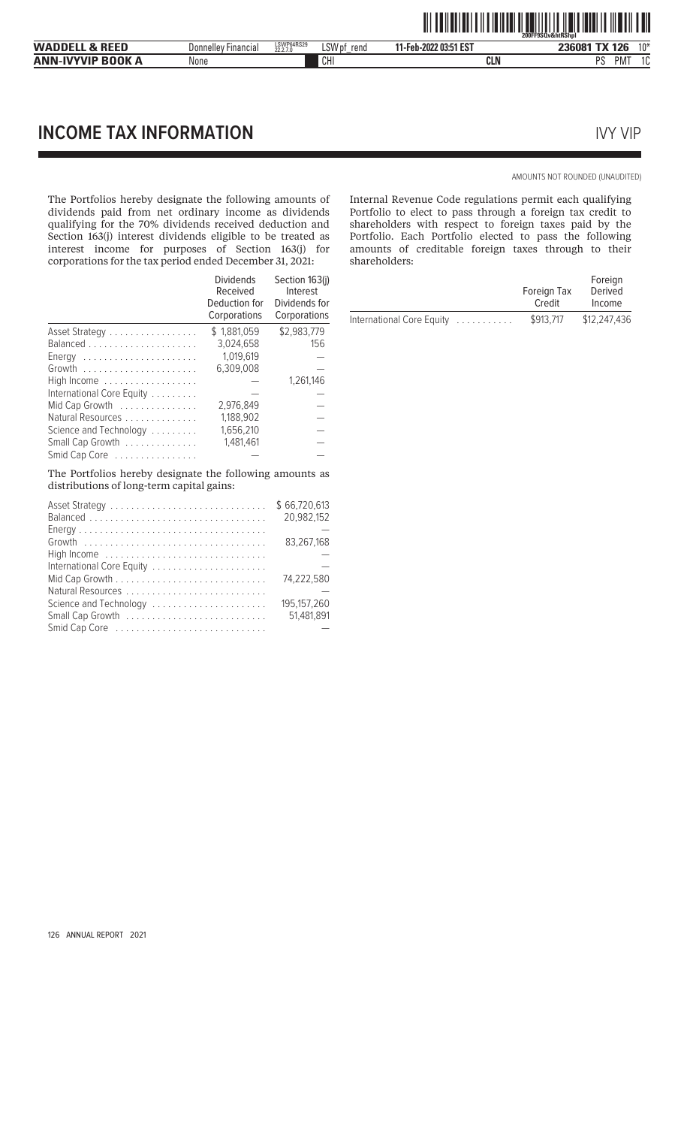|                           |                            |                        |                | <u> III IIIIIIIIIIIIIIIIIIIIIIII</u> | <u>               </u><br><u> III IIII III</u><br>200FF9SQv&htRShpl |       |
|---------------------------|----------------------------|------------------------|----------------|--------------------------------------|---------------------------------------------------------------------|-------|
| <b>WADDELL &amp; REED</b> | <b>Donnelley Financial</b> | LSWP64RS29<br>22.2.7.0 | LSW pf<br>rend | 11-Feb-2022 03:51 EST                | 236081 TX 126                                                       | $10*$ |
| ANN-IVYVIP BOOK A         | None                       |                        | CH             | <b>CLN</b>                           | PS<br><b>PMT</b>                                                    | 10    |
|                           |                            |                        |                |                                      |                                                                     |       |

### **INCOME TAX INFORMATION IVY VIP**

The Portfolios hereby designate the following amounts of dividends paid from net ordinary income as dividends qualifying for the 70% dividends received deduction and Section 163(j) interest dividends eligible to be treated as interest income for purposes of Section 163(j) for corporations for the tax period ended December 31, 2021:

|                           | <b>Dividends</b><br>Received<br>Deduction for<br>Corporations | Section 163(i)<br>Interest<br>Dividends for<br>Corporations |
|---------------------------|---------------------------------------------------------------|-------------------------------------------------------------|
| Asset Strategy            | \$1.881.059                                                   | \$2,983,779                                                 |
|                           | 3.024.658                                                     | 156                                                         |
| Energy                    | 1.019.619                                                     |                                                             |
|                           | 6,309,008                                                     |                                                             |
| High Income               |                                                               | 1,261,146                                                   |
| International Core Equity |                                                               |                                                             |
| Mid Cap Growth            | 2,976,849                                                     |                                                             |
| Natural Resources         | 1,188,902                                                     |                                                             |
| Science and Technology    | 1,656,210                                                     |                                                             |
| Small Cap Growth          | 1,481,461                                                     |                                                             |
| Smid Cap Core             |                                                               |                                                             |

The Portfolios hereby designate the following amounts as distributions of long-term capital gains:

| Asset Strategy            | \$66,720,613 |
|---------------------------|--------------|
|                           | 20,982,152   |
|                           |              |
|                           | 83.267.168   |
| High Income               |              |
| International Core Equity |              |
|                           | 74.222.580   |
| Natural Resources         |              |
| Science and Technology    | 195,157,260  |
| Small Cap Growth          | 51,481,891   |
| Smid Cap Core             |              |

#### AMOUNTS NOT ROUNDED (UNAUDITED)

Internal Revenue Code regulations permit each qualifying Portfolio to elect to pass through a foreign tax credit to shareholders with respect to foreign taxes paid by the Portfolio. Each Portfolio elected to pass the following amounts of creditable foreign taxes through to their shareholders:

|                           |             | Foreign      |
|---------------------------|-------------|--------------|
|                           | Foreign Tax | Derived      |
|                           | Credit      | Income       |
| International Core Equity | \$913,717   | \$12,247,436 |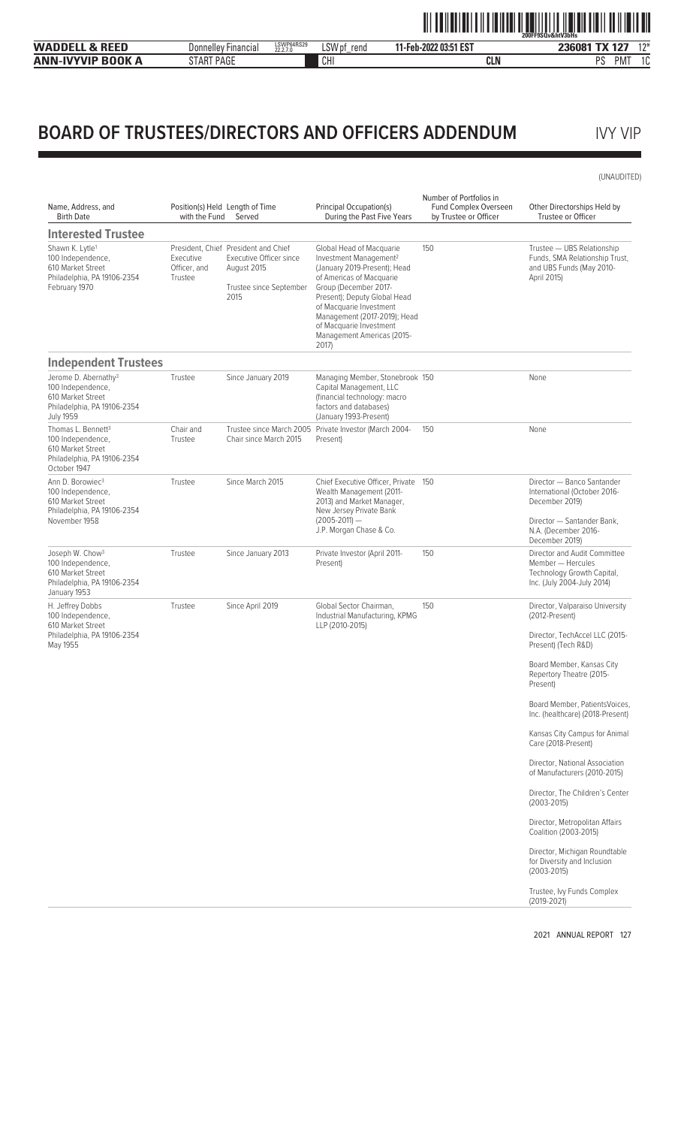|                           |                            |                        |                |                       | $\Vert \Vert$<br>200FF9SOv&htV3bHs |     |           |
|---------------------------|----------------------------|------------------------|----------------|-----------------------|------------------------------------|-----|-----------|
| <b>WADDELL &amp; REED</b> | <b>Donnelley Financial</b> | LSWP64RS29<br>22.2.7.0 | LSW pf<br>rend | 11-Feb-2022 03:51 EST | 236081 TX 127                      |     | $12*$     |
| <b>ANN-IVYVIP BOOK A</b>  | START PAGE                 |                        | CH             | CLN                   | PS                                 | PM. | $1^\circ$ |

### **BOARD OF TRUSTEES/DIRECTORS AND OFFICERS ADDENDUM IVY VIP**

|                                                                                                                               |                                      |                                                                                                                   |                                                                                                                                                                                                                                                                                                                 |                                                                                  | (UNAUDITED)                                                                                                                                                                                                                                                                                                                                                                                                                                                                                                                                                                                                                         |
|-------------------------------------------------------------------------------------------------------------------------------|--------------------------------------|-------------------------------------------------------------------------------------------------------------------|-----------------------------------------------------------------------------------------------------------------------------------------------------------------------------------------------------------------------------------------------------------------------------------------------------------------|----------------------------------------------------------------------------------|-------------------------------------------------------------------------------------------------------------------------------------------------------------------------------------------------------------------------------------------------------------------------------------------------------------------------------------------------------------------------------------------------------------------------------------------------------------------------------------------------------------------------------------------------------------------------------------------------------------------------------------|
| Name, Address, and<br><b>Birth Date</b>                                                                                       | with the Fund                        | Position(s) Held Length of Time<br>Served                                                                         | <b>Principal Occupation(s)</b><br>During the Past Five Years                                                                                                                                                                                                                                                    | Number of Portfolios in<br><b>Fund Complex Overseen</b><br>by Trustee or Officer | Other Directorships Held by<br>Trustee or Officer                                                                                                                                                                                                                                                                                                                                                                                                                                                                                                                                                                                   |
| <b>Interested Trustee</b>                                                                                                     |                                      |                                                                                                                   |                                                                                                                                                                                                                                                                                                                 |                                                                                  |                                                                                                                                                                                                                                                                                                                                                                                                                                                                                                                                                                                                                                     |
| Shawn K. Lytle <sup>1</sup><br>100 Independence,<br>610 Market Street<br>Philadelphia, PA 19106-2354<br>February 1970         | Executive<br>Officer, and<br>Trustee | President, Chief President and Chief<br>Executive Officer since<br>August 2015<br>Trustee since September<br>2015 | Global Head of Macquarie<br>Investment Management <sup>2</sup><br>(January 2019-Present); Head<br>of Americas of Macquarie<br>Group (December 2017-<br>Present); Deputy Global Head<br>of Macquarie Investment<br>Management (2017-2019); Head<br>of Macquarie Investment<br>Management Americas (2015-<br>2017 | 150                                                                              | Trustee - UBS Relationship<br>Funds, SMA Relationship Trust,<br>and UBS Funds (May 2010-<br>April 2015)                                                                                                                                                                                                                                                                                                                                                                                                                                                                                                                             |
| <b>Independent Trustees</b>                                                                                                   |                                      |                                                                                                                   |                                                                                                                                                                                                                                                                                                                 |                                                                                  |                                                                                                                                                                                                                                                                                                                                                                                                                                                                                                                                                                                                                                     |
| Jerome D. Abernathy <sup>3</sup><br>100 Independence,<br>610 Market Street<br>Philadelphia, PA 19106-2354<br><b>July 1959</b> | Trustee                              | Since January 2019                                                                                                | Managing Member, Stonebrook 150<br>Capital Management, LLC<br>(financial technology: macro<br>factors and databases)<br>(January 1993-Present)                                                                                                                                                                  |                                                                                  | None                                                                                                                                                                                                                                                                                                                                                                                                                                                                                                                                                                                                                                |
| Thomas L. Bennett <sup>3</sup><br>100 Independence,<br>610 Market Street<br>Philadelphia, PA 19106-2354<br>October 1947       | Chair and<br>Trustee                 | Chair since March 2015                                                                                            | Trustee since March 2005 Private Investor (March 2004-<br>Present)                                                                                                                                                                                                                                              | 150                                                                              | None                                                                                                                                                                                                                                                                                                                                                                                                                                                                                                                                                                                                                                |
| Ann D. Borowiec <sup>3</sup><br>100 Independence,<br>610 Market Street<br>Philadelphia, PA 19106-2354<br>November 1958        | Trustee                              | Since March 2015                                                                                                  | Chief Executive Officer, Private 150<br>Wealth Management (2011-<br>2013) and Market Manager,<br>New Jersey Private Bank<br>$(2005 - 2011)$ -<br>J.P. Morgan Chase & Co.                                                                                                                                        |                                                                                  | Director - Banco Santander<br>International (October 2016-<br>December 2019)<br>Director - Santander Bank,<br>N.A. (December 2016-<br>December 2019)                                                                                                                                                                                                                                                                                                                                                                                                                                                                                |
| Joseph W. Chow <sup>3</sup><br>100 Independence,<br>610 Market Street<br>Philadelphia, PA 19106-2354<br>January 1953          | Trustee                              | Since January 2013                                                                                                | Private Investor (April 2011-<br>Present)                                                                                                                                                                                                                                                                       | 150                                                                              | Director and Audit Committee<br>Member - Hercules<br>Technology Growth Capital,<br>Inc. (July 2004-July 2014)                                                                                                                                                                                                                                                                                                                                                                                                                                                                                                                       |
| H. Jeffrey Dobbs<br>100 Independence,<br>610 Market Street<br>Philadelphia, PA 19106-2354<br>May 1955                         | Trustee                              | Since April 2019                                                                                                  | Global Sector Chairman,<br>Industrial Manufacturing, KPMG<br>LLP (2010-2015)                                                                                                                                                                                                                                    | 150                                                                              | Director, Valparaiso University<br>(2012-Present)<br>Director, TechAccel LLC (2015-<br>Present) (Tech R&D)<br>Board Member, Kansas City<br>Repertory Theatre (2015-<br>Present)<br>Board Member, PatientsVoices,<br>Inc. (healthcare) (2018-Present)<br>Kansas City Campus for Animal<br>Care (2018-Present)<br>Director, National Association<br>of Manufacturers (2010-2015)<br>Director, The Children's Center<br>$(2003 - 2015)$<br>Director, Metropolitan Affairs<br>Coalition (2003-2015)<br>Director, Michigan Roundtable<br>for Diversity and Inclusion<br>$(2003 - 2015)$<br>Trustee, Ivy Funds Complex<br>$(2019 - 2021)$ |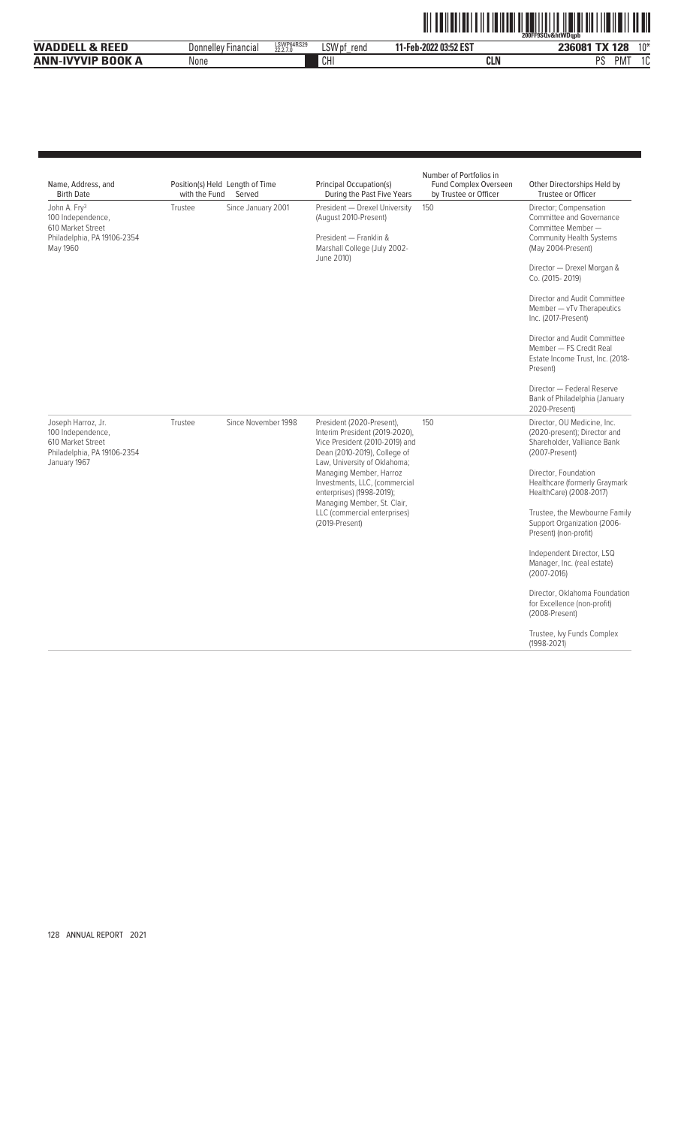|                           |                     |                        |                | <u> AN TEACHTAIN AN DEACHTAIN AN DEAC</u> | ║║║<br>200FF9SQv&htWDapb |
|---------------------------|---------------------|------------------------|----------------|-------------------------------------------|--------------------------|
| <b>WADDELL &amp; REED</b> | Donnelley Financial | LSWP64RS29<br>22.2.7.0 | LSW pf<br>rend | 11-Feb-2022 03:52 EST                     | $10*$<br>236081 TX 128   |
| <b>ANN-IVYVIP BOOK A</b>  | None                |                        | CHI            | <b>CLN</b>                                | DС<br><b>PMT</b><br>10   |

| Name, Address, and<br><b>Birth Date</b>                                                                       | with the Fund | Position(s) Held Length of Time<br>Served | <b>Principal Occupation(s)</b><br>During the Past Five Years                                                                                                                                                                                                                                                                            | Number of Portfolios in<br>Fund Complex Overseen<br>by Trustee or Officer | Other Directorships Held by<br>Trustee or Officer                                                                                                                                                                                                                                                                                                                                                                                                                                                           |
|---------------------------------------------------------------------------------------------------------------|---------------|-------------------------------------------|-----------------------------------------------------------------------------------------------------------------------------------------------------------------------------------------------------------------------------------------------------------------------------------------------------------------------------------------|---------------------------------------------------------------------------|-------------------------------------------------------------------------------------------------------------------------------------------------------------------------------------------------------------------------------------------------------------------------------------------------------------------------------------------------------------------------------------------------------------------------------------------------------------------------------------------------------------|
| John A. Fry <sup>3</sup><br>100 Independence,<br>610 Market Street<br>Philadelphia, PA 19106-2354<br>May 1960 | Trustee       | Since January 2001                        | President - Drexel University<br>(August 2010-Present)<br>President - Franklin &<br>Marshall College (July 2002-<br>June 2010)                                                                                                                                                                                                          | 150                                                                       | Director; Compensation<br>Committee and Governance<br>Committee Member-<br>Community Health Systems<br>(May 2004-Present)<br>Director - Drexel Morgan &<br>Co. (2015-2019)<br>Director and Audit Committee<br>Member - vTv Therapeutics<br>Inc. (2017-Present)<br>Director and Audit Committee<br>Member - FS Credit Real<br>Estate Income Trust, Inc. (2018-<br>Present)<br>Director - Federal Reserve<br>Bank of Philadelphia (January<br>2020-Present)                                                   |
| Joseph Harroz, Jr.<br>100 Independence,<br>610 Market Street<br>Philadelphia, PA 19106-2354<br>January 1967   | Trustee       | Since November 1998                       | President (2020-Present),<br>Interim President (2019-2020),<br>Vice President (2010-2019) and<br>Dean (2010-2019), College of<br>Law, University of Oklahoma;<br>Managing Member, Harroz<br>Investments, LLC, (commercial<br>enterprises) (1998-2019);<br>Managing Member, St. Clair,<br>LLC (commercial enterprises)<br>(2019-Present) | 150                                                                       | Director, OU Medicine, Inc.<br>(2020-present); Director and<br>Shareholder, Valliance Bank<br>(2007-Present)<br>Director, Foundation<br>Healthcare (formerly Graymark<br>HealthCare) (2008-2017)<br>Trustee, the Mewbourne Family<br>Support Organization (2006-<br>Present) (non-profit)<br>Independent Director, LSQ<br>Manager, Inc. (real estate)<br>$(2007 - 2016)$<br>Director, Oklahoma Foundation<br>for Excellence (non-profit)<br>(2008-Present)<br>Trustee, Ivy Funds Complex<br>$(1998 - 2021)$ |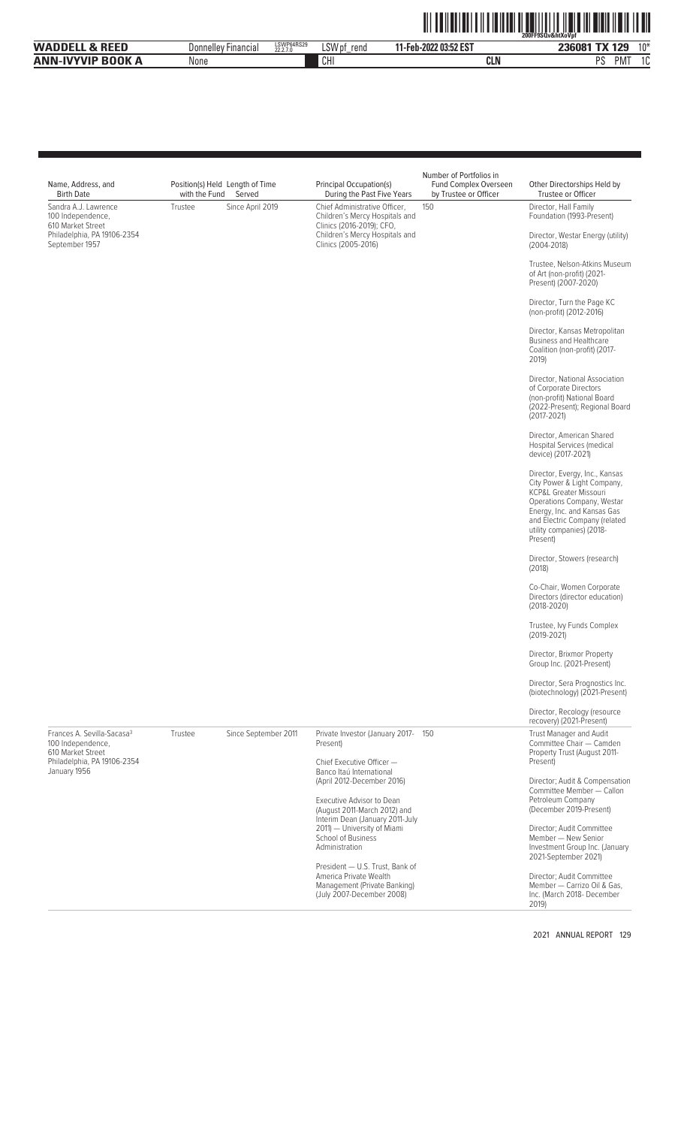|                                                  |                        |                |                       | <u> III II II III II III II II II II</u><br>200FF9SQv&htXoVpf |
|--------------------------------------------------|------------------------|----------------|-----------------------|---------------------------------------------------------------|
| <b>WADDELL &amp; REED</b><br>Donnelley Financial | LSWP64RS29<br>22.2.7.0 | LSW pf<br>rend | 11-Feb-2022 03:52 EST | $10*$<br>236081 TX 129                                        |
| <b>ANN-IVYVIP BOOK A</b><br>None                 |                        | CHI            | <b>CLN</b>            | DС<br>PM <sup>-</sup><br>10                                   |

| Name, Address, and<br><b>Birth Date</b>                                                                         | with the Fund | Position(s) Held Length of Time<br>Served | Principal Occupation(s)<br>During the Past Five Years                                                                                                                                                                         | Number of Portfolios in<br><b>Fund Complex Overseen</b><br>by Trustee or Officer                          | Other Directorships Held by<br>Trustee or Officer                                                                                                                                                                              |  |  |  |  |  |  |  |  |  |  |  |  |
|-----------------------------------------------------------------------------------------------------------------|---------------|-------------------------------------------|-------------------------------------------------------------------------------------------------------------------------------------------------------------------------------------------------------------------------------|-----------------------------------------------------------------------------------------------------------|--------------------------------------------------------------------------------------------------------------------------------------------------------------------------------------------------------------------------------|--|--|--|--|--|--|--|--|--|--|--|--|
| Sandra A.J. Lawrence<br>100 Independence.<br>610 Market Street                                                  | Trustee       | Since April 2019                          | Chief Administrative Officer,<br>Children's Mercy Hospitals and<br>Clinics (2016-2019); CFO,                                                                                                                                  | 150                                                                                                       | Director, Hall Family<br>Foundation (1993-Present)                                                                                                                                                                             |  |  |  |  |  |  |  |  |  |  |  |  |
| Philadelphia, PA 19106-2354<br>September 1957                                                                   |               |                                           | Children's Mercy Hospitals and<br>Clinics (2005-2016)                                                                                                                                                                         |                                                                                                           | Director, Westar Energy (utility)<br>$(2004 - 2018)$                                                                                                                                                                           |  |  |  |  |  |  |  |  |  |  |  |  |
|                                                                                                                 |               |                                           |                                                                                                                                                                                                                               |                                                                                                           | Trustee, Nelson-Atkins Museum<br>of Art (non-profit) (2021-<br>Present) (2007-2020)                                                                                                                                            |  |  |  |  |  |  |  |  |  |  |  |  |
|                                                                                                                 |               |                                           |                                                                                                                                                                                                                               |                                                                                                           | Director, Turn the Page KC<br>(non-profit) (2012-2016)                                                                                                                                                                         |  |  |  |  |  |  |  |  |  |  |  |  |
|                                                                                                                 |               |                                           |                                                                                                                                                                                                                               | Director, Kansas Metropolitan<br><b>Business and Healthcare</b><br>Coalition (non-profit) (2017-<br>2019) |                                                                                                                                                                                                                                |  |  |  |  |  |  |  |  |  |  |  |  |
|                                                                                                                 |               |                                           |                                                                                                                                                                                                                               |                                                                                                           | Director, National Association<br>of Corporate Directors<br>(non-profit) National Board<br>(2022-Present); Regional Board<br>$(2017 - 2021)$                                                                                   |  |  |  |  |  |  |  |  |  |  |  |  |
|                                                                                                                 |               |                                           |                                                                                                                                                                                                                               | Director, American Shared<br><b>Hospital Services (medical</b><br>device) (2017-2021)                     |                                                                                                                                                                                                                                |  |  |  |  |  |  |  |  |  |  |  |  |
|                                                                                                                 |               |                                           |                                                                                                                                                                                                                               |                                                                                                           | Director, Evergy, Inc., Kansas<br>City Power & Light Company,<br>KCP&L Greater Missouri<br>Operations Company, Westar<br>Energy, Inc. and Kansas Gas<br>and Electric Company (related<br>utility companies) (2018-<br>Present) |  |  |  |  |  |  |  |  |  |  |  |  |
|                                                                                                                 |               |                                           |                                                                                                                                                                                                                               | Director, Stowers (research)<br>(2018)                                                                    |                                                                                                                                                                                                                                |  |  |  |  |  |  |  |  |  |  |  |  |
|                                                                                                                 |               |                                           |                                                                                                                                                                                                                               |                                                                                                           | Co-Chair, Women Corporate<br>Directors (director education)<br>$(2018 - 2020)$                                                                                                                                                 |  |  |  |  |  |  |  |  |  |  |  |  |
|                                                                                                                 |               |                                           |                                                                                                                                                                                                                               |                                                                                                           | Trustee, Ivy Funds Complex<br>$(2019 - 2021)$                                                                                                                                                                                  |  |  |  |  |  |  |  |  |  |  |  |  |
|                                                                                                                 |               |                                           |                                                                                                                                                                                                                               |                                                                                                           |                                                                                                                                                                                                                                |  |  |  |  |  |  |  |  |  |  |  |  |
|                                                                                                                 |               |                                           |                                                                                                                                                                                                                               |                                                                                                           | Director, Sera Prognostics Inc.<br>(biotechnology) (2021-Present)                                                                                                                                                              |  |  |  |  |  |  |  |  |  |  |  |  |
|                                                                                                                 |               |                                           |                                                                                                                                                                                                                               |                                                                                                           | Director, Recology (resource<br>recovery) (2021-Present)                                                                                                                                                                       |  |  |  |  |  |  |  |  |  |  |  |  |
| Frances A. Sevilla-Sacasa <sup>3</sup><br>100 Independence,<br>610 Market Street<br>Philadelphia, PA 19106-2354 | Trustee       | Since September 2011                      | Private Investor (January 2017- 150<br>Present)<br>Chief Executive Officer -                                                                                                                                                  |                                                                                                           | Trust Manager and Audit<br>Committee Chair - Camden<br>Property Trust (August 2011-<br>Present)                                                                                                                                |  |  |  |  |  |  |  |  |  |  |  |  |
| January 1956                                                                                                    |               |                                           | Banco Itaú International<br>(April 2012-December 2016)<br>Executive Advisor to Dean<br>(August 2011-March 2012) and<br>Interim Dean (January 2011-July<br>2011) - University of Miami<br>School of Business<br>Administration |                                                                                                           | Director; Audit & Compensation<br>Committee Member - Callon<br>Petroleum Company<br>(December 2019-Present)                                                                                                                    |  |  |  |  |  |  |  |  |  |  |  |  |
|                                                                                                                 |               |                                           |                                                                                                                                                                                                                               |                                                                                                           | Director; Audit Committee<br>Member - New Senior<br>Investment Group Inc. (January<br>2021-September 2021)                                                                                                                     |  |  |  |  |  |  |  |  |  |  |  |  |
|                                                                                                                 |               |                                           | President - U.S. Trust, Bank of<br>America Private Wealth<br>Management (Private Banking)<br>(July 2007-December 2008)                                                                                                        |                                                                                                           | Director; Audit Committee<br>Member - Carrizo Oil & Gas,<br>Inc. (March 2018-December                                                                                                                                          |  |  |  |  |  |  |  |  |  |  |  |  |

2021 ANNUAL REPORT 129

2019)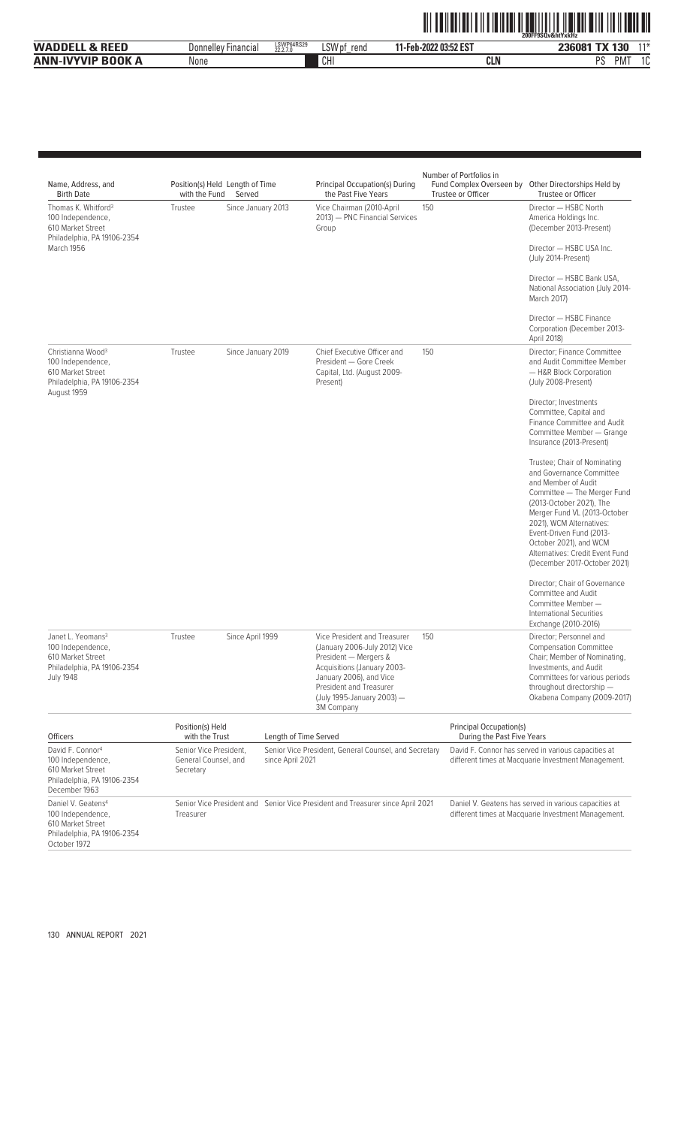|                           |                            |                        |                | ║║║                   | 200FF9SQv&htYxkHz |    | $\  \ \ $ | $\parallel \parallel \parallel$ |
|---------------------------|----------------------------|------------------------|----------------|-----------------------|-------------------|----|-----------|---------------------------------|
| <b>WADDELL &amp; REED</b> | <b>Donnelley Financial</b> | LSWP64RS29<br>22.2.7.0 | LSW pf<br>rend | 11-Feb-2022 03:52 EST | 236081 TX 130     |    |           | $11*$                           |
| <b>ANN-IVYVIP BOOK A</b>  | None                       |                        | CH             | CLN                   |                   | PS | PM.       | 10<br>v                         |

| Name, Address, and<br><b>Birth Date</b>                                                                                    | Position(s) Held Length of Time<br>with the Fund            | Served             |                       | Principal Occupation(s) During<br>the Past Five Years                                                                                                                                                                          |     | Number of Portfolios in<br>Trustee or Officer         | Fund Complex Overseen by Other Directorships Held by<br>Trustee or Officer                                                                                                                                                                                                                                                      |
|----------------------------------------------------------------------------------------------------------------------------|-------------------------------------------------------------|--------------------|-----------------------|--------------------------------------------------------------------------------------------------------------------------------------------------------------------------------------------------------------------------------|-----|-------------------------------------------------------|---------------------------------------------------------------------------------------------------------------------------------------------------------------------------------------------------------------------------------------------------------------------------------------------------------------------------------|
| Thomas K. Whitford <sup>3</sup><br>100 Independence,<br>610 Market Street                                                  | Trustee                                                     | Since January 2013 |                       | Vice Chairman (2010-April<br>2013) - PNC Financial Services<br>Group                                                                                                                                                           | 150 |                                                       | Director - HSBC North<br>America Holdings Inc.<br>(December 2013-Present)                                                                                                                                                                                                                                                       |
| Philadelphia, PA 19106-2354<br>March 1956                                                                                  |                                                             |                    |                       |                                                                                                                                                                                                                                |     |                                                       | Director - HSBC USA Inc.<br>(July 2014-Present)                                                                                                                                                                                                                                                                                 |
|                                                                                                                            |                                                             |                    |                       |                                                                                                                                                                                                                                |     |                                                       | Director - HSBC Bank USA,<br>National Association (July 2014-<br>March 2017)                                                                                                                                                                                                                                                    |
|                                                                                                                            |                                                             |                    |                       |                                                                                                                                                                                                                                |     |                                                       | Director - HSBC Finance<br>Corporation (December 2013-<br>April 2018)                                                                                                                                                                                                                                                           |
| Christianna Wood <sup>3</sup><br>100 Independence,<br>610 Market Street<br>Philadelphia, PA 19106-2354                     | Trustee                                                     | Since January 2019 |                       | Chief Executive Officer and<br>President - Gore Creek<br>Capital, Ltd. (August 2009-<br>Present)                                                                                                                               | 150 |                                                       | Director; Finance Committee<br>and Audit Committee Member<br>- H&R Block Corporation<br>(July 2008-Present)                                                                                                                                                                                                                     |
| August 1959                                                                                                                |                                                             |                    |                       |                                                                                                                                                                                                                                |     |                                                       | Director; Investments<br>Committee, Capital and<br>Finance Committee and Audit<br>Committee Member - Grange<br>Insurance (2013-Present)                                                                                                                                                                                         |
|                                                                                                                            |                                                             |                    |                       |                                                                                                                                                                                                                                |     |                                                       | Trustee; Chair of Nominating<br>and Governance Committee<br>and Member of Audit<br>Committee - The Merger Fund<br>(2013-October 2021), The<br>Merger Fund VL (2013-October<br>2021), WCM Alternatives:<br>Event-Driven Fund (2013-<br>October 2021), and WCM<br>Alternatives: Credit Event Fund<br>(December 2017-October 2021) |
|                                                                                                                            |                                                             |                    |                       |                                                                                                                                                                                                                                |     |                                                       | Director; Chair of Governance<br>Committee and Audit<br>Committee Member-<br><b>International Securities</b><br>Exchange (2010-2016)                                                                                                                                                                                            |
| Janet L. Yeomans <sup>3</sup><br>100 Independence,<br>610 Market Street<br>Philadelphia, PA 19106-2354<br><b>July 1948</b> | Trustee                                                     | Since April 1999   |                       | Vice President and Treasurer<br>(January 2006-July 2012) Vice<br>President - Mergers &<br>Acquisitions (January 2003-<br>January 2006), and Vice<br>President and Treasurer<br>(July 1995-January 2003) -<br><b>3M Company</b> | 150 |                                                       | Director; Personnel and<br><b>Compensation Committee</b><br>Chair; Member of Nominating,<br>Investments, and Audit<br>Committees for various periods<br>throughout directorship -<br>Okabena Company (2009-2017)                                                                                                                |
| Officers                                                                                                                   | Position(s) Held<br>with the Trust                          |                    | Length of Time Served |                                                                                                                                                                                                                                |     | Principal Occupation(s)<br>During the Past Five Years |                                                                                                                                                                                                                                                                                                                                 |
| David F. Connor <sup>4</sup><br>100 Independence,<br>610 Market Street<br>Philadelphia, PA 19106-2354<br>December 1963     | Senior Vice President,<br>General Counsel, and<br>Secretary |                    | since April 2021      | Senior Vice President, General Counsel, and Secretary                                                                                                                                                                          |     |                                                       | David F. Connor has served in various capacities at<br>different times at Macquarie Investment Management.                                                                                                                                                                                                                      |
| Daniel V. Geatens <sup>4</sup><br>100 Independence,<br>610 Market Street                                                   | Treasurer                                                   |                    |                       | Senior Vice President and Senior Vice President and Treasurer since April 2021                                                                                                                                                 |     |                                                       | Daniel V. Geatens has served in various capacities at<br>different times at Macquarie Investment Management.                                                                                                                                                                                                                    |

130 ANNUAL REPORT 2021

Philadelphia, PA 19106-2354

October 1972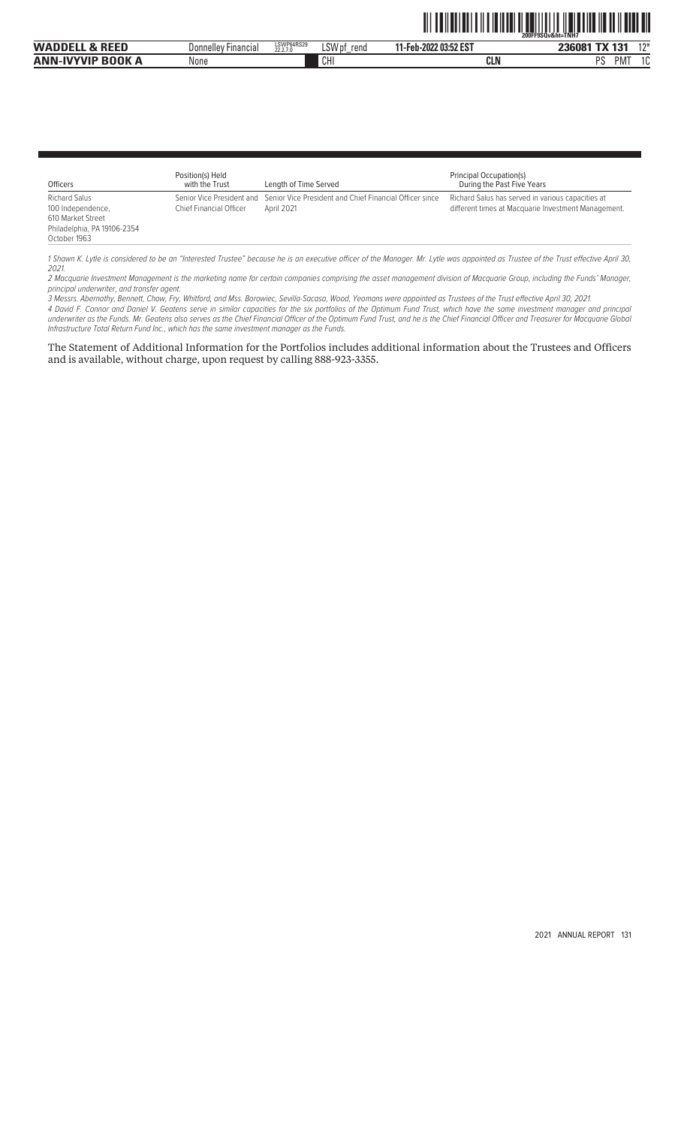|                                 |                                     |            |                     |                                  | 200FF9SQv&ht=TNH7 |                     |            |              |
|---------------------------------|-------------------------------------|------------|---------------------|----------------------------------|-------------------|---------------------|------------|--------------|
| <b>REED</b><br><b>WA</b>        | '-ınancıaı<br>Donnelley<br>22.2.7.0 | LSWP64RS29 | LSW pf<br>reno<br>- | -2022 03:52 EST<br>44<br>I1-Feb- | 236081            | $TVI$ 494           |            | 12           |
| .-IVYVIP<br><b>ROOK</b><br>ANN- | None                                |            | CHI                 |                                  | <b>CLN</b>        | <sub>D</sub> e<br>u | <b>PMT</b> | $\sim$<br>ιL |

**T**N FOR THE TNH FOR THE TNH FOR THE TNH FOR THE TNH FOR THE T

| <b>Officers</b>                                                                                        | Position(s) Held<br>with the Trust | Length of Time Served                                                                           | Principal Occupation(s)<br>During the Past Five Years                                                    |
|--------------------------------------------------------------------------------------------------------|------------------------------------|-------------------------------------------------------------------------------------------------|----------------------------------------------------------------------------------------------------------|
| Richard Salus<br>100 Independence,<br>610 Market Street<br>Philadelphia, PA 19106-2354<br>October 1963 | <b>Chief Financial Officer</b>     | Senior Vice President and Senior Vice President and Chief Financial Officer since<br>April 2021 | Richard Salus has served in various capacities at<br>different times at Macquarie Investment Management. |

1 Shawn K. Lytle is considered to be an "Interested Trustee" because he is an executive officer of the Manager. Mr. Lytle was appointed as Trustee of the Trust effective April 30, 2021.

2 Macquarie Investment Management is the marketing name for certain companies comprising the asset management division of Macquarie Group, including the Funds' Manager, principal underwriter, and transfer agent.

3 Messrs. Abernathy, Bennett, Chow, Fry, Whitford, and Mss. Borowiec, Sevilla-Sacasa, Wood, Yeomans were appointed as Trustees of the Trust effective April 30, 2021.

4 David F. Connor and Daniel V. Geatens serve in similar capacities for the six portfolios of the Optimum Fund Trust, which have the same investment manager and principal underwriter as the Funds. Mr. Geatens also serves as the Chief Financial Officer of the Optimum Fund Trust, and he is the Chief Financial Officer and Treasurer for Macquarie Global Infrastructure Total Return Fund Inc., which has the same investment manager as the Funds.

The Statement of Additional Information for the Portfolios includes additional information about the Trustees and Officers and is available, without charge, upon request by calling 888-923-3355.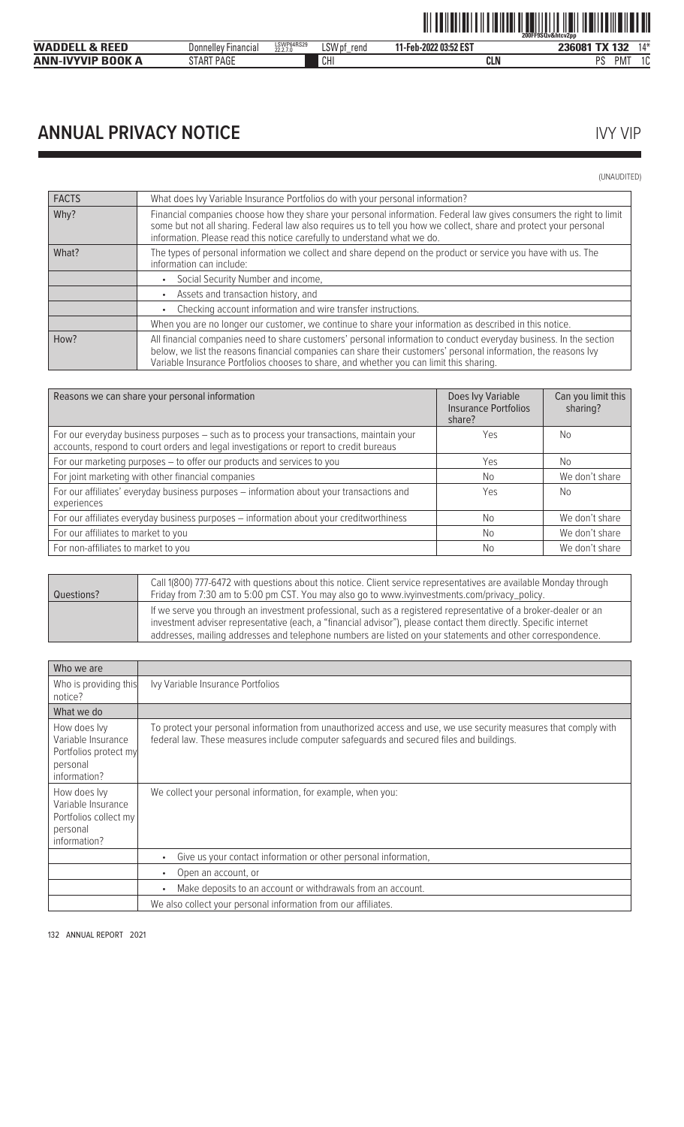|                   |                            |                        |                | <u>HIIIIIIIIIIII</u>  | ║║<br>Ш<br>200FF9SQv&htcv2pp |       |
|-------------------|----------------------------|------------------------|----------------|-----------------------|------------------------------|-------|
| WADDELL & REED    | <b>Donnelley Financial</b> | LSWP64RS29<br>22.2.7.0 | LSW pf<br>rend | 11-Feb-2022 03:52 EST | 236081 TX 132                | $14*$ |
| ANN-IVYVIP BOOK A | START PAGE                 |                        | CHI            | <b>CLN</b>            | <b>PMT</b><br>DC             | 10    |
|                   |                            |                        |                |                       |                              |       |

**ANNUAL PRIVACY NOTICE IVY VIP** 

|  |  | (UNAUDITED) |  |
|--|--|-------------|--|
|--|--|-------------|--|

| <b>FACTS</b> | What does Ivy Variable Insurance Portfolios do with your personal information?                                                                                                                                                                                                                                                   |
|--------------|----------------------------------------------------------------------------------------------------------------------------------------------------------------------------------------------------------------------------------------------------------------------------------------------------------------------------------|
| Why?         | Financial companies choose how they share your personal information. Federal law gives consumers the right to limit<br>some but not all sharing. Federal law also requires us to tell you how we collect, share and protect your personal<br>information. Please read this notice carefully to understand what we do.            |
| What?        | The types of personal information we collect and share depend on the product or service you have with us. The<br>information can include:                                                                                                                                                                                        |
|              | Social Security Number and income,                                                                                                                                                                                                                                                                                               |
|              | Assets and transaction history, and                                                                                                                                                                                                                                                                                              |
|              | Checking account information and wire transfer instructions.                                                                                                                                                                                                                                                                     |
|              | When you are no longer our customer, we continue to share your information as described in this notice.                                                                                                                                                                                                                          |
| How?         | All financial companies need to share customers' personal information to conduct everyday business. In the section<br>below, we list the reasons financial companies can share their customers' personal information, the reasons Ivy<br>Variable Insurance Portfolios chooses to share, and whether you can limit this sharing. |

| Reasons we can share your personal information                                                                                                                                     | Does Ivy Variable<br><b>Insurance Portfolios</b><br>share? | Can you limit this<br>sharing? |
|------------------------------------------------------------------------------------------------------------------------------------------------------------------------------------|------------------------------------------------------------|--------------------------------|
| For our everyday business purposes - such as to process your transactions, maintain your<br>accounts, respond to court orders and legal investigations or report to credit bureaus | Yes                                                        | N <sub>0</sub>                 |
| For our marketing purposes - to offer our products and services to you                                                                                                             | Yes                                                        | <b>No</b>                      |
| For joint marketing with other financial companies                                                                                                                                 | No.                                                        | We don't share                 |
| For our affiliates' everyday business purposes - information about your transactions and<br>experiences                                                                            | Yes                                                        | <b>No</b>                      |
| For our affiliates everyday business purposes - information about your creditworthiness                                                                                            | N <sub>0</sub>                                             | We don't share                 |
| For our affiliates to market to you                                                                                                                                                | N <sub>0</sub>                                             | We don't share                 |
| For non-affiliates to market to you                                                                                                                                                | No                                                         | We don't share                 |

| Questions? | Call 1(800) 777-6472 with questions about this notice. Client service representatives are available Monday through<br>Friday from 7:30 am to 5:00 pm CST. You may also go to www.ivyinvestments.com/privacy_policy.                                                                                                                                |
|------------|----------------------------------------------------------------------------------------------------------------------------------------------------------------------------------------------------------------------------------------------------------------------------------------------------------------------------------------------------|
|            | If we serve you through an investment professional, such as a registered representative of a broker-dealer or an<br>investment adviser representative (each, a "financial advisor"), please contact them directly. Specific internet<br>addresses, mailing addresses and telephone numbers are listed on your statements and other correspondence. |

| Who we are                                                                              |                                                                                                                                                                                                              |
|-----------------------------------------------------------------------------------------|--------------------------------------------------------------------------------------------------------------------------------------------------------------------------------------------------------------|
| Who is providing this<br>notice?                                                        | Ivy Variable Insurance Portfolios                                                                                                                                                                            |
| What we do                                                                              |                                                                                                                                                                                                              |
| How does lvy<br>Variable Insurance<br>Portfolios protect my<br>personal<br>information? | To protect your personal information from unauthorized access and use, we use security measures that comply with<br>federal law. These measures include computer safeguards and secured files and buildings. |
| How does lvy<br>Variable Insurance<br>Portfolios collect my<br>personal<br>information? | We collect your personal information, for example, when you:                                                                                                                                                 |
|                                                                                         | Give us your contact information or other personal information,                                                                                                                                              |
|                                                                                         | Open an account, or                                                                                                                                                                                          |
|                                                                                         | Make deposits to an account or withdrawals from an account.                                                                                                                                                  |
|                                                                                         | We also collect your personal information from our affiliates.                                                                                                                                               |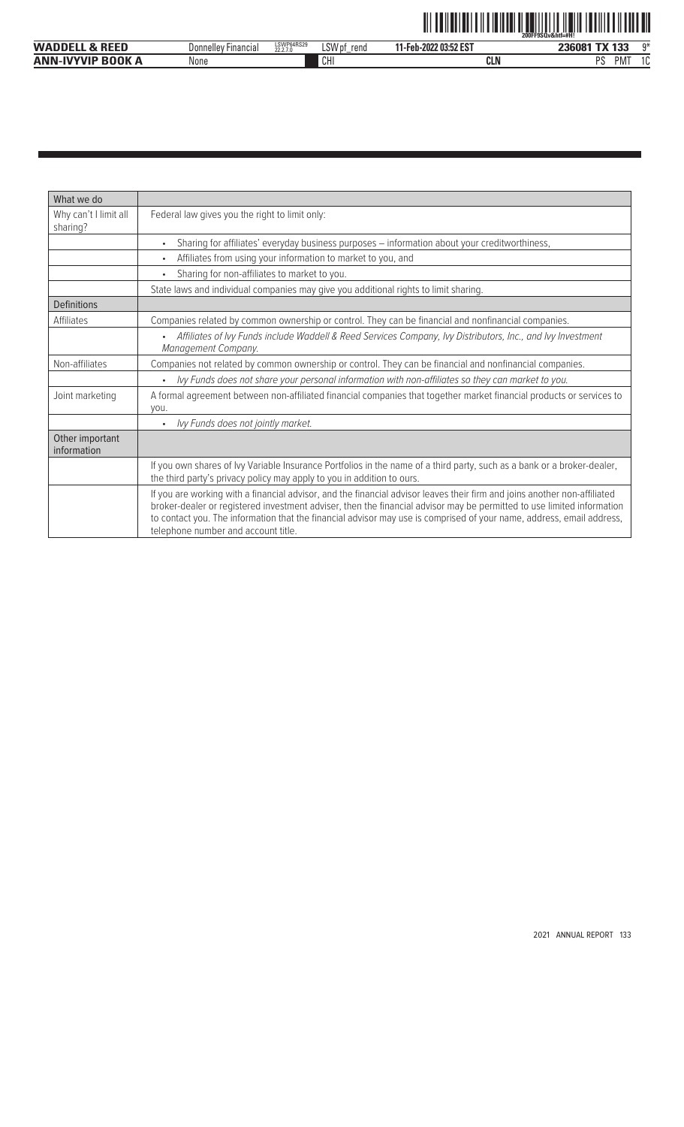|                           |                            |                        |                | <u> 111   111   111   111   111   111   111   111   111   111   111   111   111   11</u> | 200FF9SOv&htf=#H!     |    |
|---------------------------|----------------------------|------------------------|----------------|------------------------------------------------------------------------------------------|-----------------------|----|
| <b>WADDELL &amp; REED</b> | <b>Donnelley Financial</b> | LSWP64RS29<br>22.2.7.0 | LSW pf<br>rend | 11-Feb-2022 03:52 EST                                                                    | 236081 TX 133         | 0* |
| <b>ANN-IVYVIP BOOK A</b>  | None                       |                        | CHI            | <b>CLN</b>                                                                               | DС<br>PM <sup>-</sup> | 10 |

| What we do                        |                                                                                                                                                                                                                                                                                                                                                                                                                     |
|-----------------------------------|---------------------------------------------------------------------------------------------------------------------------------------------------------------------------------------------------------------------------------------------------------------------------------------------------------------------------------------------------------------------------------------------------------------------|
| Why can't I limit all<br>sharing? | Federal law gives you the right to limit only:                                                                                                                                                                                                                                                                                                                                                                      |
|                                   | Sharing for affiliates' everyday business purposes - information about your creditworthiness,                                                                                                                                                                                                                                                                                                                       |
|                                   | Affiliates from using your information to market to you, and                                                                                                                                                                                                                                                                                                                                                        |
|                                   | Sharing for non-affiliates to market to you.                                                                                                                                                                                                                                                                                                                                                                        |
|                                   | State laws and individual companies may give you additional rights to limit sharing.                                                                                                                                                                                                                                                                                                                                |
| <b>Definitions</b>                |                                                                                                                                                                                                                                                                                                                                                                                                                     |
| <b>Affiliates</b>                 | Companies related by common ownership or control. They can be financial and nonfinancial companies.                                                                                                                                                                                                                                                                                                                 |
|                                   | Affiliates of Ivy Funds include Waddell & Reed Services Company, Ivy Distributors, Inc., and Ivy Investment<br>Management Company.                                                                                                                                                                                                                                                                                  |
| Non-affiliates                    | Companies not related by common ownership or control. They can be financial and nonfinancial companies.                                                                                                                                                                                                                                                                                                             |
|                                   | Ivy Funds does not share your personal information with non-affiliates so they can market to you.                                                                                                                                                                                                                                                                                                                   |
| Joint marketing                   | A formal agreement between non-affiliated financial companies that together market financial products or services to<br>you.                                                                                                                                                                                                                                                                                        |
|                                   | Ivy Funds does not jointly market.                                                                                                                                                                                                                                                                                                                                                                                  |
| Other important<br>information    |                                                                                                                                                                                                                                                                                                                                                                                                                     |
|                                   | If you own shares of Ivy Variable Insurance Portfolios in the name of a third party, such as a bank or a broker-dealer,<br>the third party's privacy policy may apply to you in addition to ours.                                                                                                                                                                                                                   |
|                                   | If you are working with a financial advisor, and the financial advisor leaves their firm and joins another non-affiliated<br>broker-dealer or registered investment adviser, then the financial advisor may be permitted to use limited information<br>to contact you. The information that the financial advisor may use is comprised of your name, address, email address,<br>telephone number and account title. |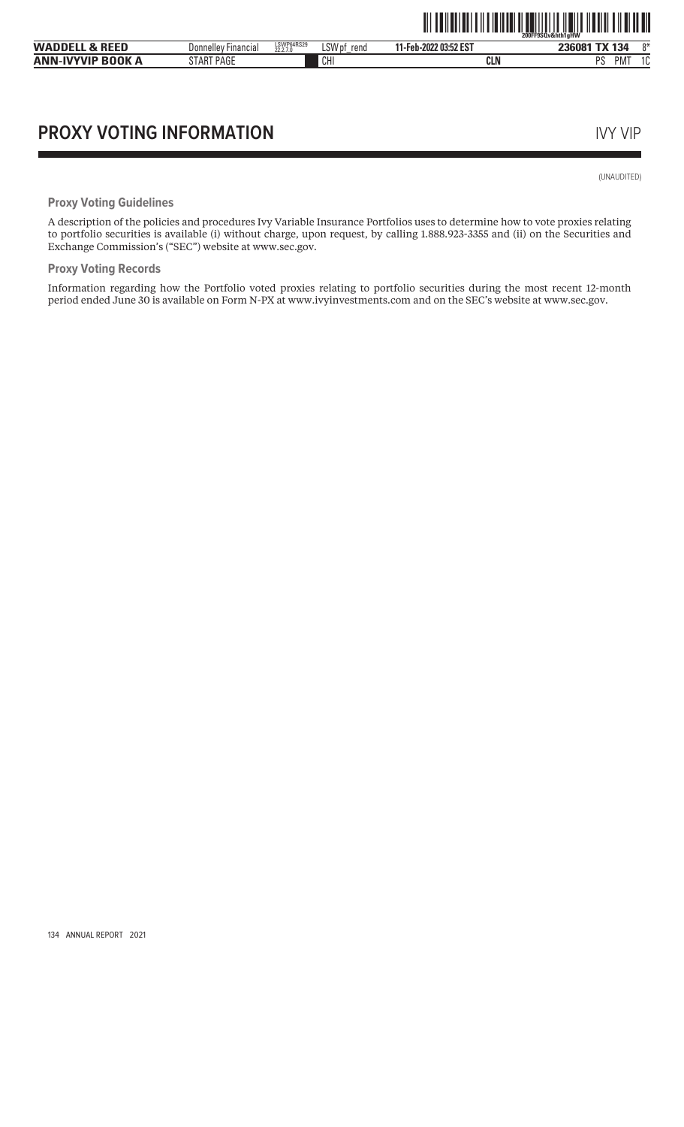|                                     |                                       |                        |                |                                  | "200FF9SQv&hth1aHW" ******************* |        |
|-------------------------------------|---------------------------------------|------------------------|----------------|----------------------------------|-----------------------------------------|--------|
| <b>WADDELL &amp;</b><br><b>REED</b> | Donnelley<br><b>Financial</b>         | LSWP64RS29<br>22.2.7.0 | LSW pf<br>rend | -Feb-2022 03:52 EST<br><b>44</b> | <b>TX 134</b><br>236081<br>יכ           | $0*$   |
| <b>-IVYVIP BOOK A</b><br><b>ANN</b> | $\sim$ $\sim$ $\sim$<br>PAGL<br>১। AK |                        | CHI            | <b>CLN</b>                       | <sub>D</sub> <sub>C</sub><br><b>PMT</b> | $\sim$ |

### **PROXY VOTING INFORMATION IVY VIP**

The annual and the control of the control of the control of the control of the control of the control of the control of the control of the control of the control of the control of the control of the control of the control

(UNAUDITED)

**Proxy Voting Guidelines**

A description of the policies and procedures Ivy Variable Insurance Portfolios uses to determine how to vote proxies relating to portfolio securities is available (i) without charge, upon request, by calling 1.888.923-3355 and (ii) on the Securities and Exchange Commission's ("SEC") website at www.sec.gov.

#### **Proxy Voting Records**

Information regarding how the Portfolio voted proxies relating to portfolio securities during the most recent 12-month period ended June 30 is available on Form N-PX at www.ivyinvestments.com and on the SEC's website at www.sec.gov.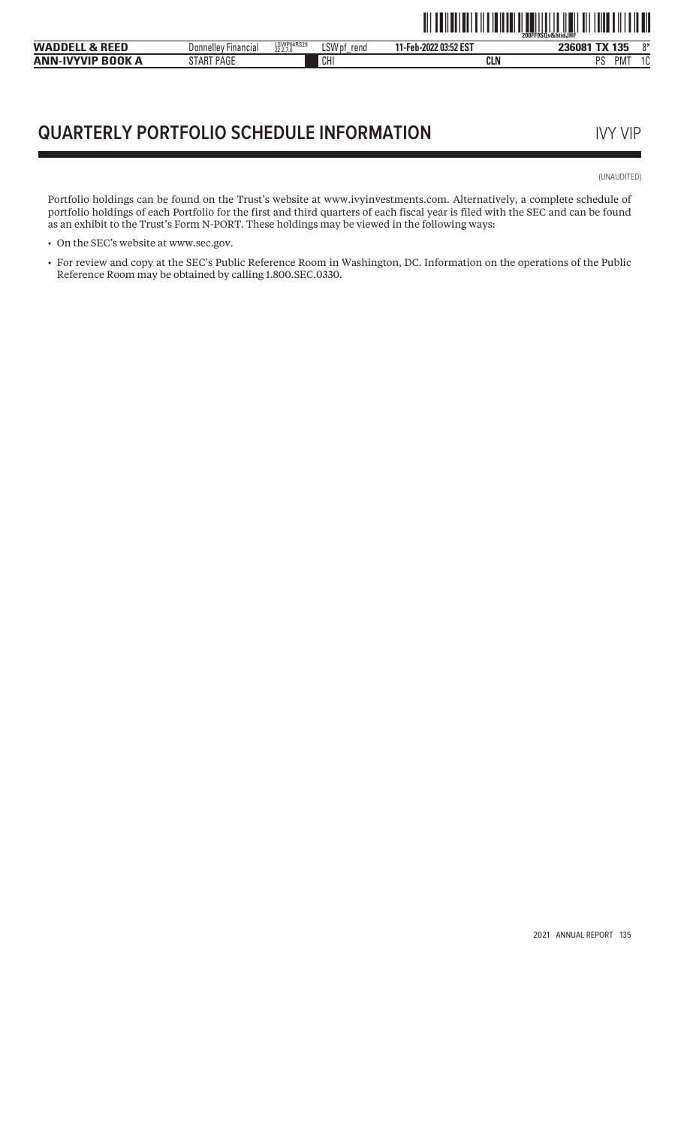|                                                        |                               |                       |                               |                       | 200FF9SQv&htidJHF                            |           |
|--------------------------------------------------------|-------------------------------|-----------------------|-------------------------------|-----------------------|----------------------------------------------|-----------|
| <b>REED</b><br><b>WADDELL</b><br>$\bullet$<br>JUELL (* | ≻ınancıal<br><b>Donnelley</b> | LSWP64RS29<br>22.2.7. | LSW <sub>p</sub><br>rend<br>_ | 11-Feb-2022 03:52 EST | 12E<br>236081<br>w                           | $0*$      |
| <b>ANN-IVYVIP BOOK A</b>                               | START PAGE                    |                       | CHI                           | <b>CLN</b>            | <sub>D</sub> <sub>C</sub><br>PM <sup>-</sup> | م م<br>ιu |
|                                                        |                               |                       |                               |                       |                                              |           |

## **QUARTERLY PORTFOLIO SCHEDULE INFORMATION IN A REALLY VIP**

(UNAUDITED)

ˆ200FF9SQv&htidJHFŠ **200FF9SQv&htidJHF**

Portfolio holdings can be found on the Trust's website at www.ivyinvestments.com. Alternatively, a complete schedule of portfolio holdings of each Portfolio for the first and third quarters of each fiscal year is filed with the SEC and can be found as an exhibit to the Trust's Form N-PORT. These holdings may be viewed in the following ways:

• On the SEC's website at www.sec.gov.

• For review and copy at the SEC's Public Reference Room in Washington, DC. Information on the operations of the Public Reference Room may be obtained by calling 1.800.SEC.0330.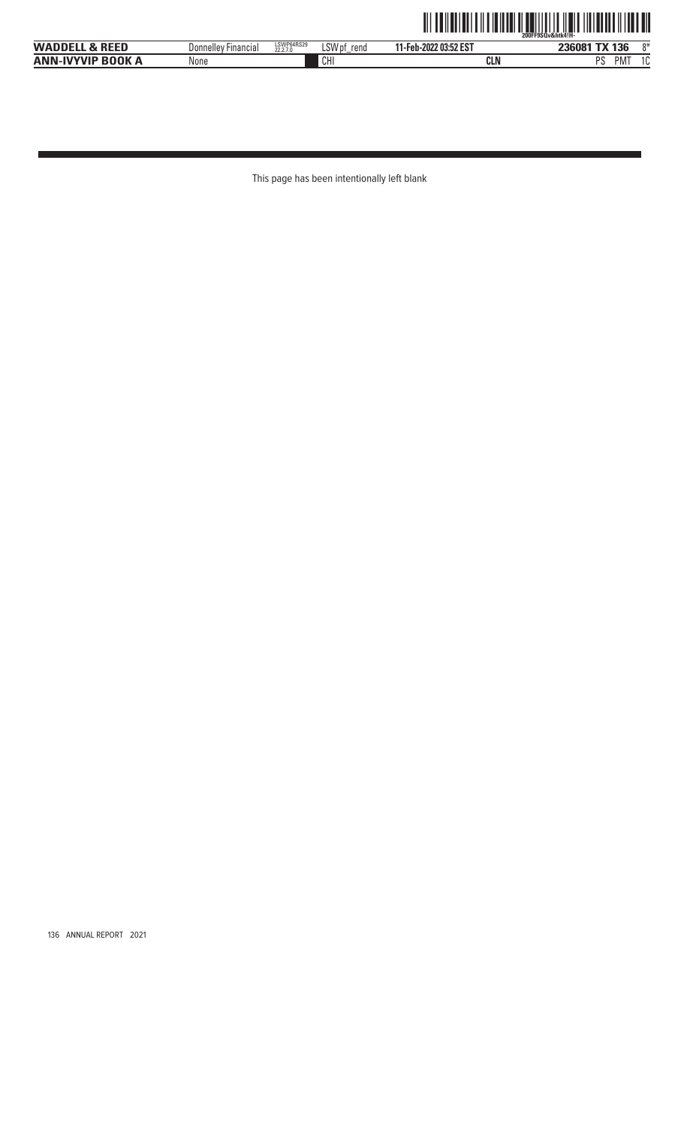|                           |                            |                        |                | $\parallel$<br>III IIIII | IIIIII<br>200FF9SOv&htk4!H- |            | $\  \ $         |
|---------------------------|----------------------------|------------------------|----------------|--------------------------|-----------------------------|------------|-----------------|
| <b>WADDELL &amp; REED</b> | <b>Donnelley Financial</b> | LSWP64RS29<br>22.2.7.0 | LSW pf<br>rend | 11-Feb-2022 03:52 EST    | 236081 TX 136               |            | $8*$            |
| <b>ANN-IVYVIP BOOK A</b>  | None                       |                        | CHI            | <b>CLN</b>               | PS                          | <b>PMT</b> | $1^\circ$<br>ΙU |

This page has been intentionally left blank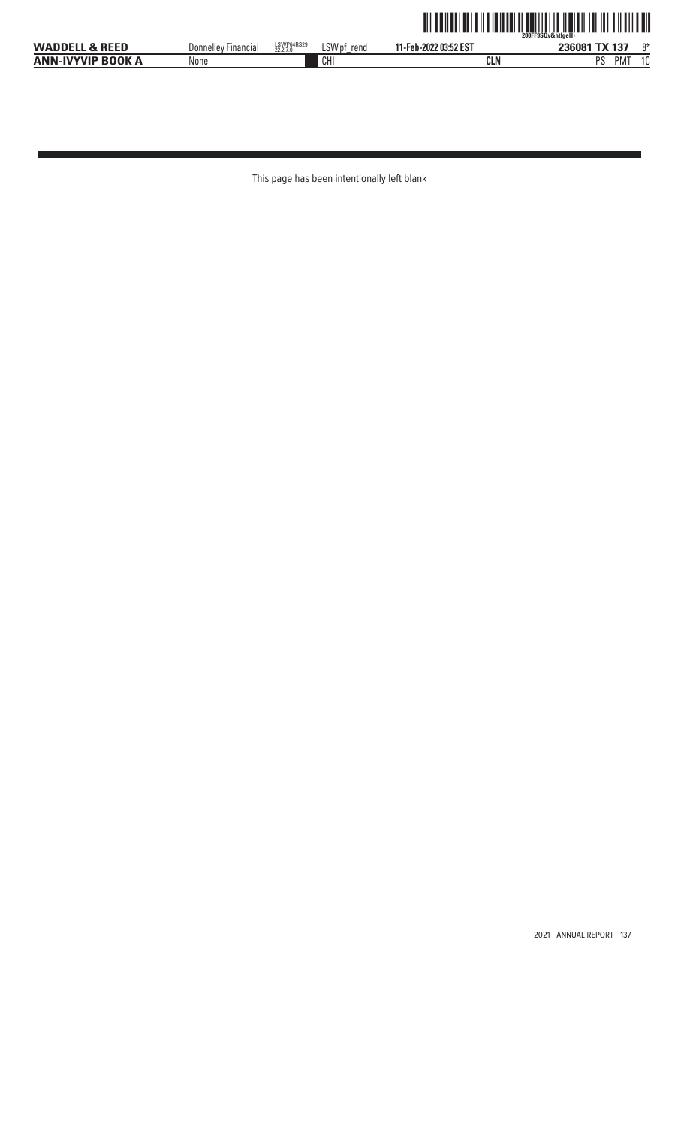|                           |                            |                        |                | $\parallel$<br>III IIIII | 200FF9SQv&htIgeH) |    |            |                 |
|---------------------------|----------------------------|------------------------|----------------|--------------------------|-------------------|----|------------|-----------------|
| <b>WADDELL &amp; REED</b> | <b>Donnelley Financial</b> | LSWP64RS29<br>22.2.7.0 | LSW pf<br>rend | 11-Feb-2022 03:52 EST    | 236081 TX 137     |    |            | $8*$            |
| <b>ANN-IVYVIP BOOK A</b>  | None                       |                        | CHI            | <b>CLN</b>               |                   | PS | <b>PMT</b> | $1^\circ$<br>ΙU |

This page has been intentionally left blank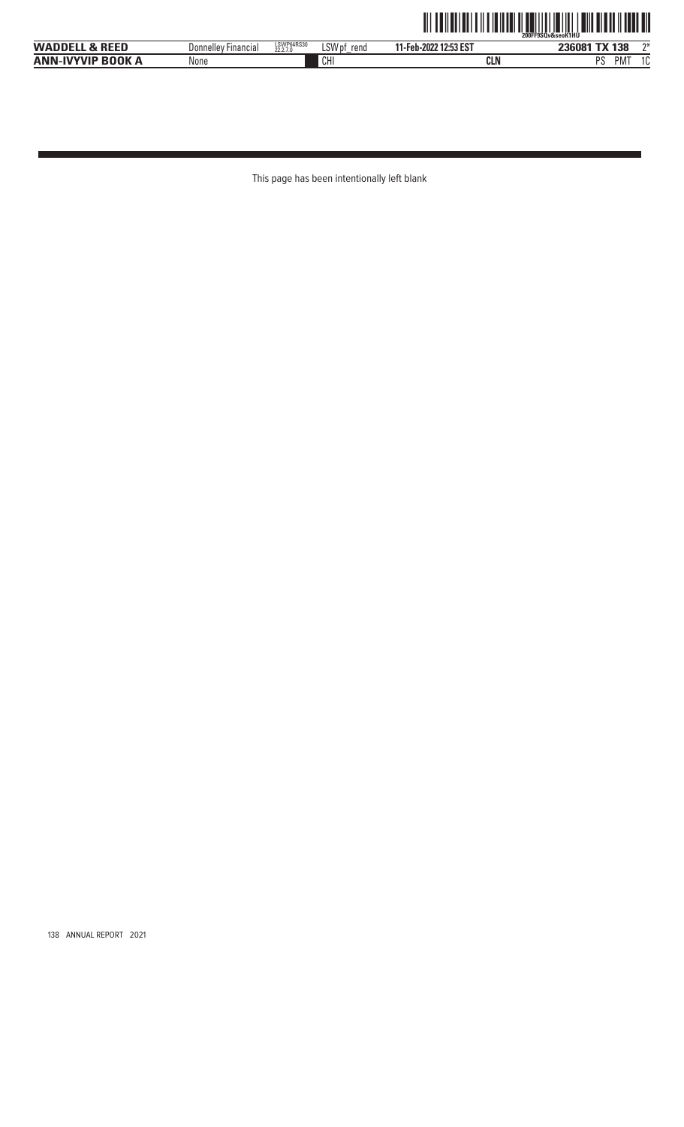|                           |                            |                        |                | $\parallel$<br>III IIIII | 200FF9SOv&seoK1HU |                      |
|---------------------------|----------------------------|------------------------|----------------|--------------------------|-------------------|----------------------|
| <b>WADDELL &amp; REED</b> | <b>Donnelley Financial</b> | LSWP64RS30<br>22.2.7.0 | LSW pf<br>rena | 11-Feb-2022 12:53 EST    | 236081 TX 138     | ግ*                   |
| <b>ANN-IVYVIP BOOK A</b>  | None                       |                        | CHI            | <b>CLN</b>               | PS<br><b>PMT</b>  | 1 <sup>0</sup><br>ΙU |

This page has been intentionally left blank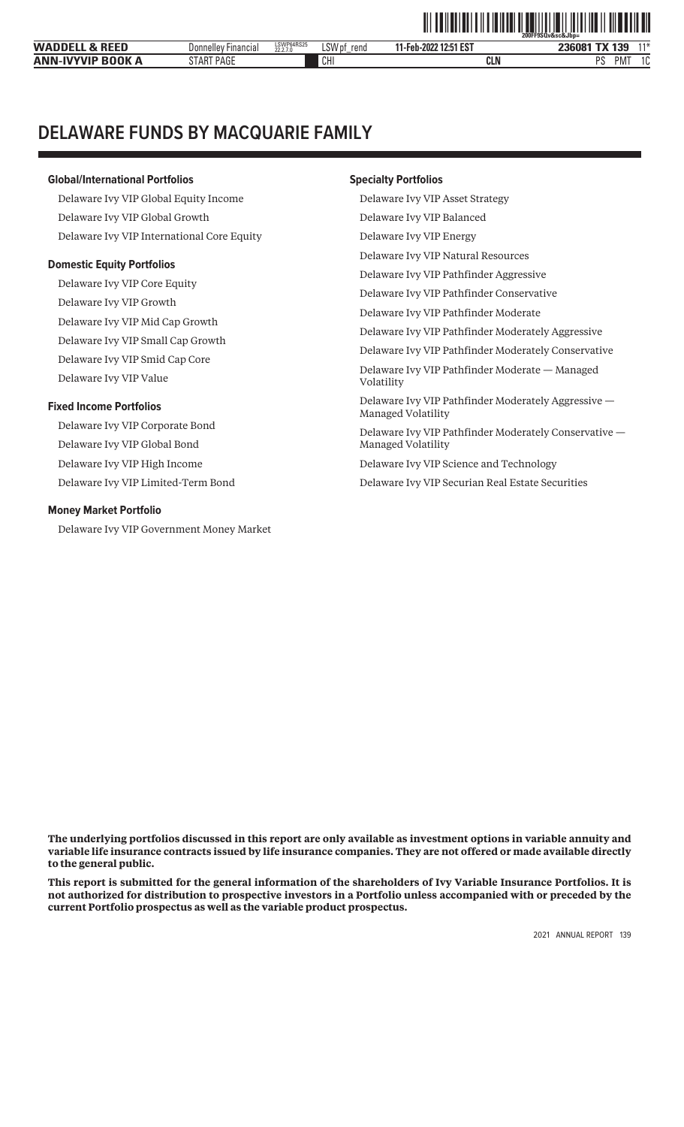|                           |                     |                        |                | <u> III IIIIIIIIIIIIIIIIIIIIII</u> | WUW<br>∭<br>200FF9SQv≻&Jbp= |
|---------------------------|---------------------|------------------------|----------------|------------------------------------|-----------------------------|
| <b>WADDELL &amp; REED</b> | Donnelley Financial | LSWP64RS25<br>22.2.7.0 | LSW pf<br>rend | 11-Feb-2022 12:51 EST              | $11*$<br>236081 TX 139      |
| <b>ANN-IVYVIP BOOK A</b>  | <b>START PAGE</b>   |                        | CHI            | <b>CLN</b>                         | DС<br>PM <sub>1</sub><br>10 |
|                           |                     |                        |                |                                    |                             |

### **DELAWARE FUNDS BY MACQUARIE FAMILY**

| <b>Global/International Portfolios</b>                   | <b>Specialty Portfolios</b>                                               |  |  |  |  |
|----------------------------------------------------------|---------------------------------------------------------------------------|--|--|--|--|
| Delaware Ivy VIP Global Equity Income                    | Delaware Ivy VIP Asset Strategy                                           |  |  |  |  |
| Delaware Ivy VIP Global Growth                           | Delaware Ivy VIP Balanced                                                 |  |  |  |  |
| Delaware Ivy VIP International Core Equity               | Delaware Ivy VIP Energy                                                   |  |  |  |  |
| <b>Domestic Equity Portfolios</b>                        | Delaware Ivy VIP Natural Resources                                        |  |  |  |  |
| Delaware Ivy VIP Core Equity                             | Delaware Ivy VIP Pathfinder Aggressive                                    |  |  |  |  |
| Delaware Ivy VIP Growth                                  | Delaware Ivy VIP Pathfinder Conservative                                  |  |  |  |  |
| Delaware Ivy VIP Mid Cap Growth                          | Delaware Ivy VIP Pathfinder Moderate                                      |  |  |  |  |
|                                                          | Delaware Ivy VIP Pathfinder Moderately Aggressive                         |  |  |  |  |
| Delaware Ivy VIP Small Cap Growth                        | Delaware Ivy VIP Pathfinder Moderately Conservative                       |  |  |  |  |
| Delaware Ivy VIP Smid Cap Core<br>Delaware Ivy VIP Value | Delaware Ivy VIP Pathfinder Moderate — Managed<br>Volatility              |  |  |  |  |
| <b>Fixed Income Portfolios</b>                           | Delaware Ivy VIP Pathfinder Moderately Aggressive —<br>Managed Volatility |  |  |  |  |
| Delaware Ivy VIP Corporate Bond                          | Delaware Ivy VIP Pathfinder Moderately Conservative -                     |  |  |  |  |
| Delaware Ivy VIP Global Bond                             | Managed Volatility                                                        |  |  |  |  |
| Delaware Ivy VIP High Income                             | Delaware Ivy VIP Science and Technology                                   |  |  |  |  |
| Delaware Ivy VIP Limited-Term Bond                       | Delaware Ivy VIP Securian Real Estate Securities                          |  |  |  |  |
| <b>Money Market Portfolio</b>                            |                                                                           |  |  |  |  |
| Delaware Ivy VIP Government Money Market                 |                                                                           |  |  |  |  |

**The underlying portfolios discussed in this report are only available as investment options in variable annuity and variable life insurance contracts issued by life insurance companies. They are not offered or made available directly to the general public.**

**This report is submitted for the general information of the shareholders of Ivy Variable Insurance Portfolios. It is not authorized for distribution to prospective investors in a Portfolio unless accompanied with or preceded by the current Portfolio prospectus as well as the variable product prospectus.**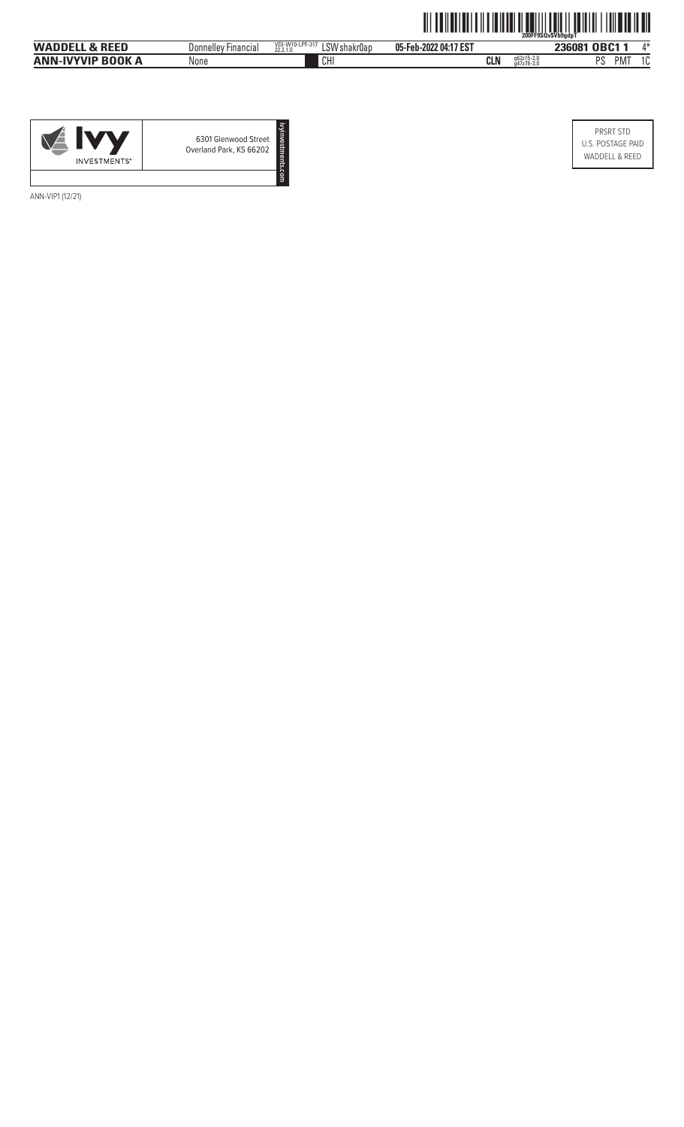# ˆ200FF9SQv\$Vb9gdpTŠ **200FF9SQv\$Vb9gdpT**

|                                       |                                      |                                                     |                       | _____                  | .                            |             |
|---------------------------------------|--------------------------------------|-----------------------------------------------------|-----------------------|------------------------|------------------------------|-------------|
| <b>REED</b><br><b>WADDEL</b><br>ឹ     | <b>Financial</b><br><b>Donnelley</b> | VDI-W10-LPF-317<br>0111<br>LSW shakr0ap<br>22.2.1.0 | 05-Feb-2022 04:17 EST |                        | OB <sub>C</sub> 1<br>236081  | $\Lambda^*$ |
| <b>LIVYVIP</b><br><b>ZROOK</b><br>ANN | None                                 | CHI                                                 | <b>CLN</b>            | a62z15-2.<br>147z78-3. | <b>DC</b><br>PM <sup>-</sup> | $\sim$      |
|                                       |                                      |                                                     |                       |                        |                              |             |

| <b>INVESTMENTS®</b> | 6301 Glenwood Street<br>Overland Park, KS 66202 | investments. |
|---------------------|-------------------------------------------------|--------------|
|                     |                                                 | igar         |

ANN-VIP1 (12/21)

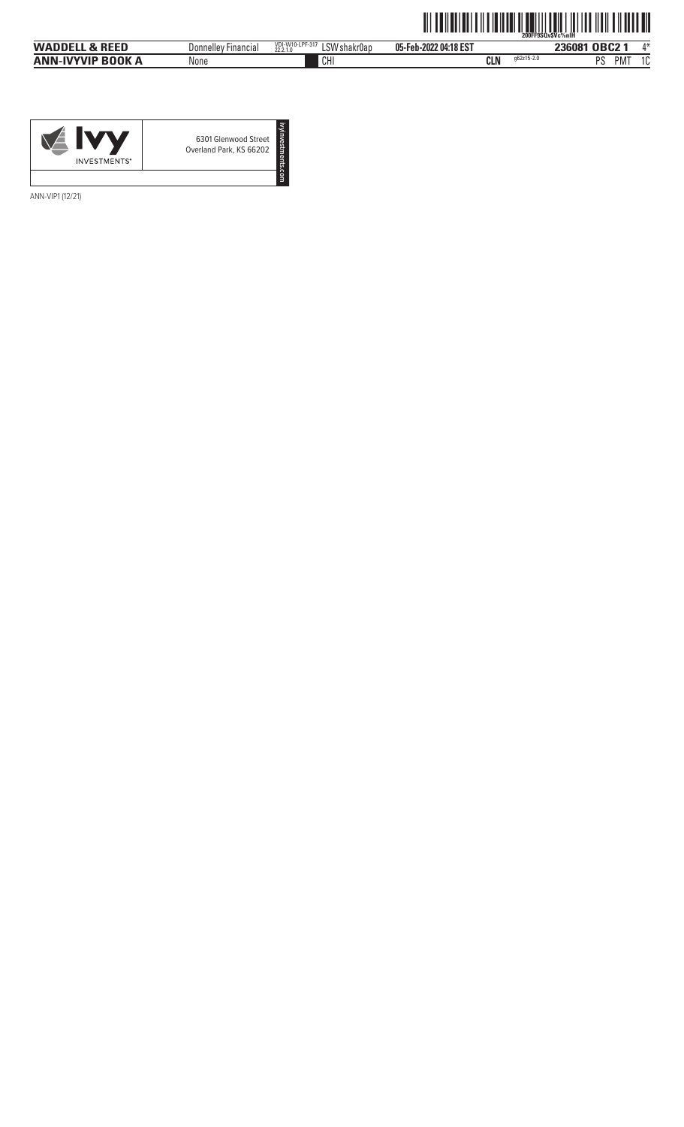|                           |                     |                                             |                       | I II II II II II II II<br>200FF9SQvSVc%nIH | $\parallel$ $\parallel$ $\parallel$ $\parallel$<br>W | ║  | Ш   | ║║║                  |
|---------------------------|---------------------|---------------------------------------------|-----------------------|--------------------------------------------|------------------------------------------------------|----|-----|----------------------|
| <b>WADDELL &amp; REED</b> | Donnelley Financial | VDI-W10-LPF-317<br>LSW shakr0ap<br>22.2.1.0 | 05-Feb-2022 04:18 EST |                                            | 236081 OBC2 1                                        |    |     | 4*                   |
| <b>ANN-IVYVIP BOOK A</b>  | None                | CHI                                         | CLN                   | g62z15-2.0                                 |                                                      | PS | PMT | 1 <sup>0</sup><br>ΙU |



ANN-VIP1 (12/21)